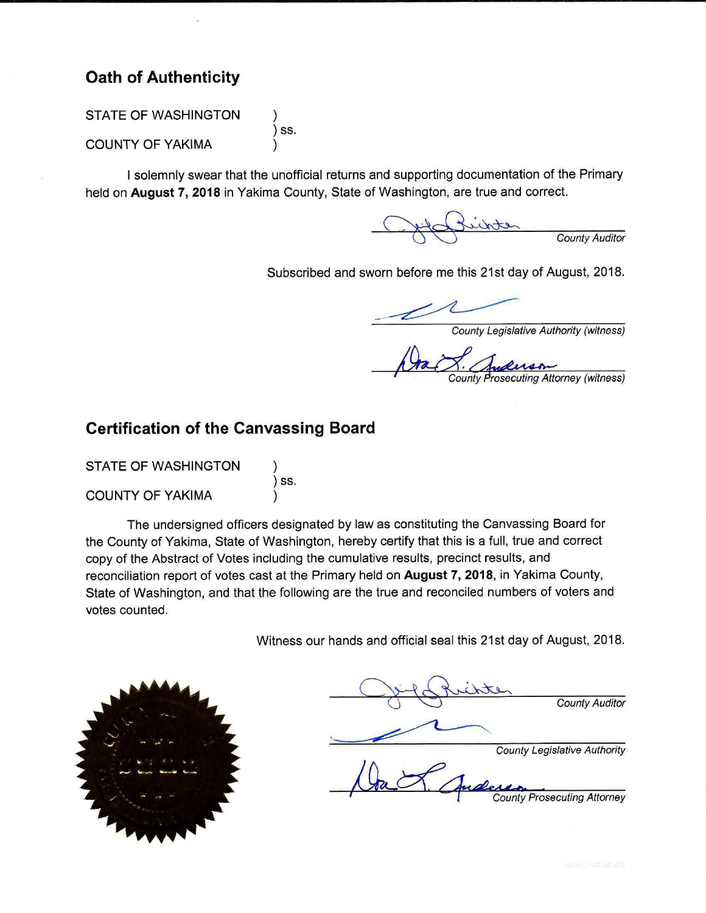### **Oath of Authenticity**

STATE OF WASHINGTON

**COUNTY OF YAKIMA** 

) ss.

I solemnly swear that the unofficial returns and supporting documentation of the Primary held on August 7, 2018 in Yakima County, State of Washington, are true and correct.

County Auditor

Subscribed and sworn before me this 21st day of August, 2018.

ounty Legislative Authority (witness)

Attorney (witness)

### **Certification of the Canvassing Board**

 $)$  ss.

**STATE OF WASHINGTON** 

**COUNTY OF YAKIMA** 

The undersigned officers designated by law as constituting the Canvassing Board for the County of Yakima. State of Washington, hereby certify that this is a full, true and correct copy of the Abstract of Votes including the cumulative results, precinct results, and reconciliation report of votes cast at the Primary held on August 7, 2018, in Yakima County, State of Washington, and that the following are the true and reconciled numbers of voters and votes counted.

Witness our hands and official seal this 21st day of August, 2018.



**County Auditor** 

**County Legislative Authority** 

**County Prosecuting Attorney**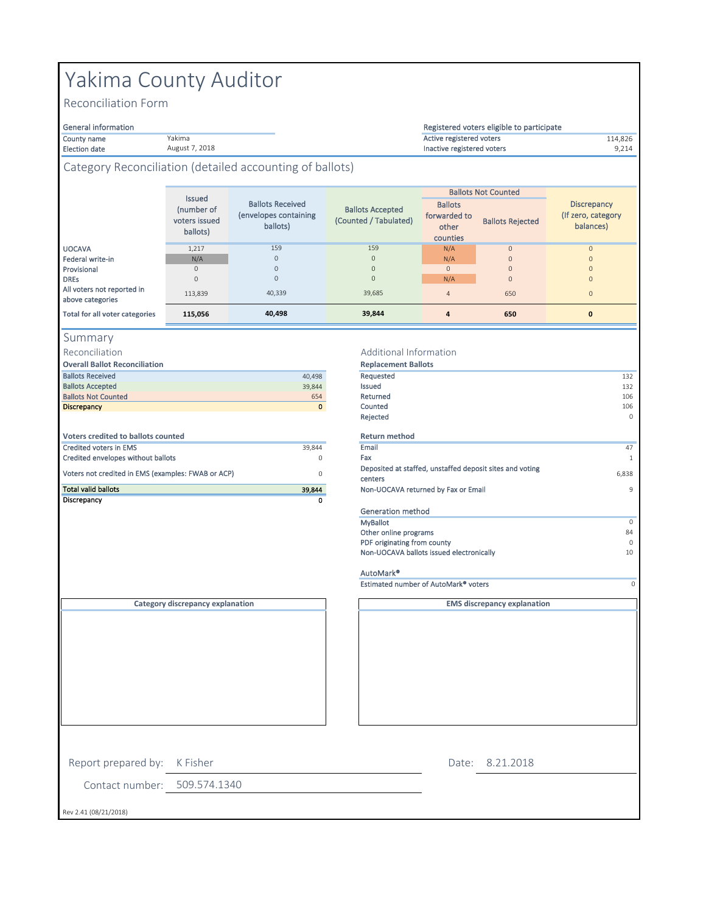# Yakima County Auditor

Yakima August 7, 2018

Reconciliation Form

#### General information

County name **114,826** and the Vakima and Vakima and Vakima and Vakima and Vakima and Vakima and Vakima and Vakima and Vakima and Vakima and Vakima and Vakima and Vakima and Vakima and Vakima and Vakima and Vakima and Vakim

Election date 9,214 Inactive registered voters

### Category Reconciliation (detailed accounting of ballots)

|                                                | <b>Issued</b>                           |                                                              |                                                  |                                                     | <b>Ballots Not Counted</b> |                                                        |
|------------------------------------------------|-----------------------------------------|--------------------------------------------------------------|--------------------------------------------------|-----------------------------------------------------|----------------------------|--------------------------------------------------------|
|                                                | (number of<br>voters issued<br>ballots) | <b>Ballots Received</b><br>(envelopes containing<br>ballots) | <b>Ballots Accepted</b><br>(Counted / Tabulated) | <b>Ballots</b><br>forwarded to<br>other<br>counties | <b>Ballots Rejected</b>    | <b>Discrepancy</b><br>(If zero, category)<br>balances) |
| <b>UOCAVA</b>                                  | 1,217                                   | 159                                                          | 159                                              | N/A                                                 | $\circ$                    | $\mathbf{0}$                                           |
| Federal write-in                               | N/A                                     | $\circ$                                                      | $\mathbf 0$                                      | N/A                                                 | $\circ$                    | $\mathbf{0}$                                           |
| Provisional                                    | $\Omega$                                | 0                                                            | $\mathbf{0}$                                     | $\mathbf{0}$                                        | $\Omega$                   | $\Omega$                                               |
| <b>DREs</b>                                    | $\Omega$                                | 0                                                            | $\mathbf{0}$                                     | N/A                                                 | $\mathbf{0}$               | $\Omega$                                               |
| All voters not reported in<br>above categories | 113.839                                 | 40.339                                                       | 39,685                                           | $\overline{4}$                                      | 650                        | $\mathbf{0}$                                           |
| Total for all voter categories                 | 115,056                                 | 40,498                                                       | 39,844                                           | 4                                                   | 650                        | $\mathbf{0}$                                           |

#### Summary

Reconciliation

| <b>Overall Ballot Reconciliation</b>               |             | <b>Replacement Ballots</b>         |
|----------------------------------------------------|-------------|------------------------------------|
| <b>Ballots Received</b>                            | 40.498      | Requested                          |
| <b>Ballots Accepted</b>                            | 39.844      | Issued                             |
| <b>Ballots Not Counted</b>                         | 654         | Returned                           |
| <b>Discrepancy</b>                                 | $\mathbf 0$ | Counted                            |
|                                                    |             | Rejected                           |
| Voters credited to ballots counted                 |             | <b>Return method</b>               |
| <b>Credited voters in EMS</b>                      | 39.844      | Email                              |
| Credited envelopes without ballots                 | $\Omega$    | Fax                                |
| Voters not credited in EMS (examples: FWAB or ACP) | 0           | Deposited at staffed, u<br>centers |
| <b>Total valid ballots</b>                         | 39,844      | Non-UOCAVA returned                |
| Discrepancy                                        | ٥           |                                    |

#### Additional Information

| <b>Overall Ballot Reconciliation</b>               |              | <b>Replacement Ballots</b>                                          |          |
|----------------------------------------------------|--------------|---------------------------------------------------------------------|----------|
| <b>Ballots Received</b>                            | 40,498       | Requested                                                           | 132      |
| <b>Ballots Accepted</b>                            | 39,844       | Issued                                                              | 132      |
| <b>Ballots Not Counted</b>                         | 654          | Returned                                                            | 106      |
| <b>Discrepancy</b>                                 | $\mathbf{0}$ | Counted                                                             | 106      |
|                                                    |              | Rejected                                                            | $\Omega$ |
| <b>Voters credited to ballots counted</b>          |              | <b>Return method</b>                                                |          |
| <b>Credited voters in EMS</b>                      | 39,844       | Email                                                               | 47       |
| Credited envelopes without ballots                 | 0            | Fax                                                                 | 1        |
| Voters not credited in EMS (examples: FWAB or ACP) | $\Omega$     | Deposited at staffed, unstaffed deposit sites and voting<br>centers | 6,838    |
| <b>Total valid ballots</b>                         | 39,844       | Non-UOCAVA returned by Fax or Email                                 | 9        |
| Discrepancy                                        | 0            |                                                                     |          |
|                                                    |              | Generation method                                                   |          |
|                                                    |              | <b>MyBallot</b>                                                     | $\circ$  |
|                                                    |              | Other online programs                                               | 84       |
|                                                    |              | PDF originating from county                                         | $\Omega$ |
|                                                    |              | Non-UOCAVA ballots issued electronically                            | 10       |
|                                                    |              | Arrest Advised Mill                                                 |          |

Registered voters eligible to participate

#### AutoMark® Estimated number of AutoMark® voters 0

**EMS discrepancy explanation**

**Category discrepancy explanation**

Contact number: 509.574.1340 Rev 2.41 (08/21/2018) Report prepared by: K Fisher 8.21.2018 Date: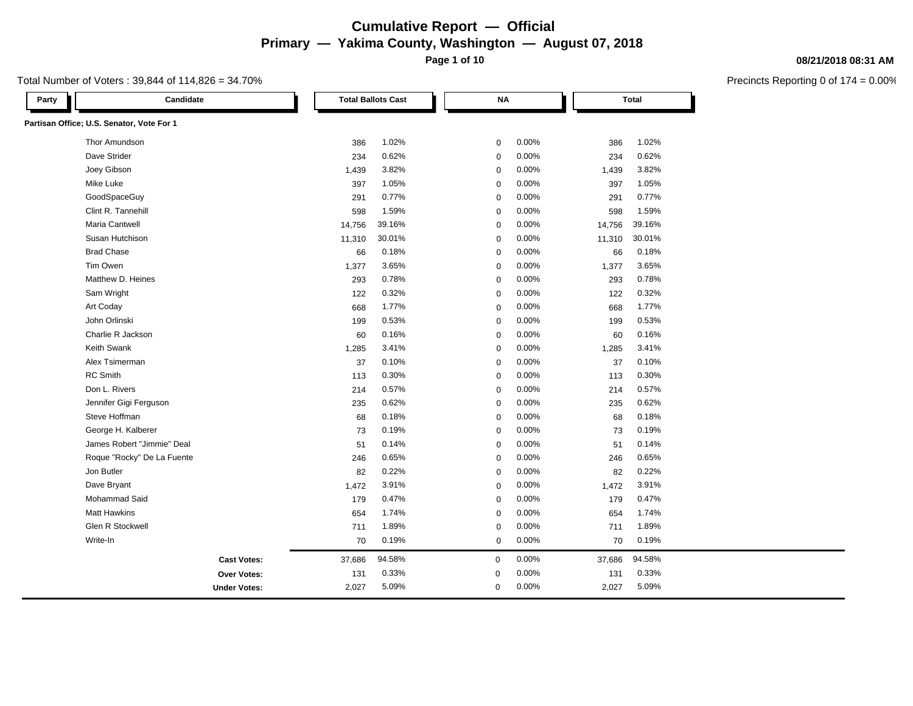**Page 1 of 10**

#### Total Number of Voters : 39,844 of 114,826 = 34.70%

| Candidate<br>Party                        |                     |        | <b>Total Ballots Cast</b> |                  | <b>NA</b> |       |        | <b>Total</b> |  |
|-------------------------------------------|---------------------|--------|---------------------------|------------------|-----------|-------|--------|--------------|--|
| Partisan Office; U.S. Senator, Vote For 1 |                     |        |                           |                  |           |       |        |              |  |
| Thor Amundson                             |                     | 386    | 1.02%                     | $\mathbf 0$      |           | 0.00% | 386    | 1.02%        |  |
| Dave Strider                              |                     | 234    | 0.62%                     | $\mathbf 0$      |           | 0.00% | 234    | 0.62%        |  |
| Joey Gibson                               |                     | 1,439  | 3.82%                     | $\mathbf 0$      |           | 0.00% | 1,439  | 3.82%        |  |
| Mike Luke                                 |                     | 397    | 1.05%                     | $\mathbf 0$      |           | 0.00% | 397    | 1.05%        |  |
| GoodSpaceGuy                              |                     | 291    | 0.77%                     | $\mathbf 0$      |           | 0.00% | 291    | 0.77%        |  |
| Clint R. Tannehill                        |                     | 598    | 1.59%                     | $\mathbf 0$      |           | 0.00% | 598    | 1.59%        |  |
| <b>Maria Cantwell</b>                     |                     | 14,756 | 39.16%                    | $\mathbf 0$      |           | 0.00% | 14,756 | 39.16%       |  |
| Susan Hutchison                           |                     | 11,310 | 30.01%                    | $\mathbf 0$      |           | 0.00% | 11,310 | 30.01%       |  |
| <b>Brad Chase</b>                         |                     | 66     | 0.18%                     | $\mathbf 0$      |           | 0.00% | 66     | 0.18%        |  |
| Tim Owen                                  |                     | 1,377  | 3.65%                     | $\mathbf 0$      |           | 0.00% | 1,377  | 3.65%        |  |
| Matthew D. Heines                         |                     | 293    | 0.78%                     | $\mathbf 0$      |           | 0.00% | 293    | 0.78%        |  |
| Sam Wright                                |                     | 122    | 0.32%                     | $\mathbf 0$      |           | 0.00% | 122    | 0.32%        |  |
| Art Coday                                 |                     | 668    | 1.77%                     | $\mathbf 0$      |           | 0.00% | 668    | 1.77%        |  |
| John Orlinski                             |                     | 199    | 0.53%                     | $\mathbf 0$      |           | 0.00% | 199    | 0.53%        |  |
| Charlie R Jackson                         |                     | 60     | 0.16%                     | $\mathbf 0$      |           | 0.00% | 60     | 0.16%        |  |
| <b>Keith Swank</b>                        |                     | 1,285  | 3.41%                     | $\mathbf 0$      |           | 0.00% | 1,285  | 3.41%        |  |
| Alex Tsimerman                            |                     | 37     | 0.10%                     | $\mathbf 0$      |           | 0.00% | 37     | 0.10%        |  |
| <b>RC</b> Smith                           |                     | 113    | 0.30%                     | $\mathbf 0$      |           | 0.00% | 113    | 0.30%        |  |
| Don L. Rivers                             |                     | 214    | 0.57%                     | $\mathbf 0$      |           | 0.00% | 214    | 0.57%        |  |
| Jennifer Gigi Ferguson                    |                     | 235    | 0.62%                     | $\mathbf 0$      |           | 0.00% | 235    | 0.62%        |  |
| Steve Hoffman                             |                     | 68     | 0.18%                     | $\mathbf 0$      |           | 0.00% | 68     | 0.18%        |  |
| George H. Kalberer                        |                     | 73     | 0.19%                     | $\mathbf 0$      |           | 0.00% | 73     | 0.19%        |  |
| James Robert "Jimmie" Deal                |                     | 51     | 0.14%                     | $\mathbf 0$      |           | 0.00% | 51     | 0.14%        |  |
| Roque "Rocky" De La Fuente                |                     | 246    | 0.65%                     | $\mathbf 0$      |           | 0.00% | 246    | 0.65%        |  |
| Jon Butler                                |                     | 82     | 0.22%                     | $\mathbf 0$      |           | 0.00% | 82     | 0.22%        |  |
| Dave Bryant                               |                     | 1,472  | 3.91%                     | $\mathbf 0$      |           | 0.00% | 1,472  | 3.91%        |  |
| Mohammad Said                             |                     | 179    | 0.47%                     | $\mathbf 0$      |           | 0.00% | 179    | 0.47%        |  |
| <b>Matt Hawkins</b>                       |                     | 654    | 1.74%                     | $\mathbf 0$      |           | 0.00% | 654    | 1.74%        |  |
| Glen R Stockwell                          |                     | 711    | 1.89%                     | $\mathbf 0$      |           | 0.00% | 711    | 1.89%        |  |
| Write-In                                  |                     | 70     | 0.19%                     | $\mathbf 0$      |           | 0.00% | 70     | 0.19%        |  |
|                                           | <b>Cast Votes:</b>  | 37,686 | 94.58%                    | $\boldsymbol{0}$ |           | 0.00% | 37,686 | 94.58%       |  |
|                                           | <b>Over Votes:</b>  | 131    | 0.33%                     | 0                |           | 0.00% | 131    | 0.33%        |  |
|                                           | <b>Under Votes:</b> | 2,027  | 5.09%                     | $\mathbf 0$      |           | 0.00% | 2,027  | 5.09%        |  |

#### **08/21/2018 08:31 AM**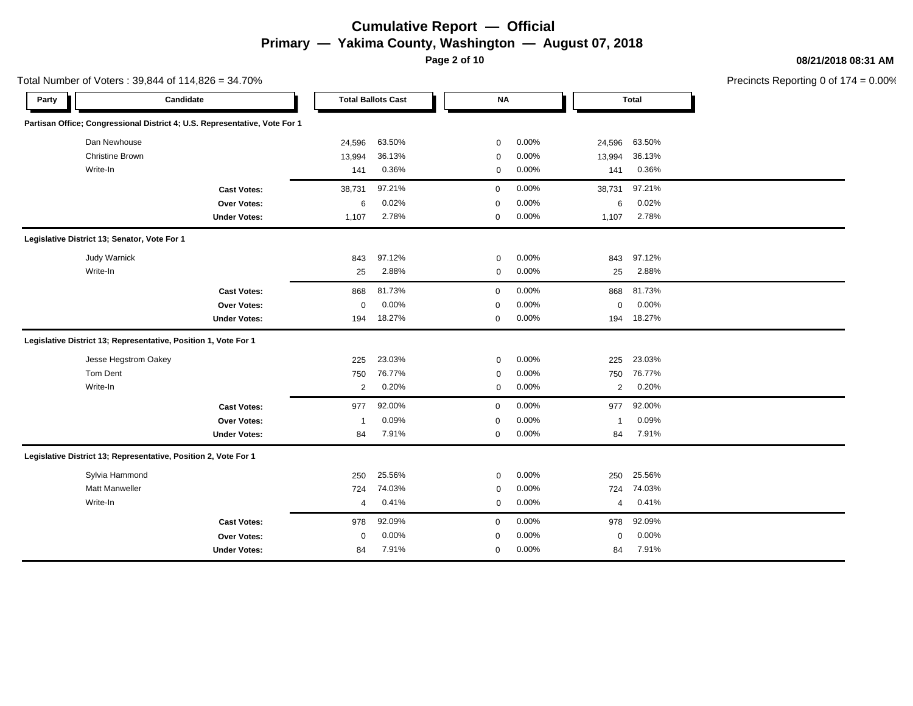**Page 2 of 10**

Total Number of Voters : 39,844 of 114,826 = 34.70%

#### **08/21/2018 08:31 AM**

| Party |                                                                 | Candidate                                                                  |                | <b>Total Ballots Cast</b> | <b>NA</b>   |          |        | <b>Total</b>                   |  |
|-------|-----------------------------------------------------------------|----------------------------------------------------------------------------|----------------|---------------------------|-------------|----------|--------|--------------------------------|--|
|       |                                                                 | Partisan Office; Congressional District 4; U.S. Representative, Vote For 1 |                |                           |             |          |        |                                |  |
|       | Dan Newhouse                                                    |                                                                            | 24,596         | 63.50%                    | 0           | 0.00%    | 24,596 | 63.50%                         |  |
|       | <b>Christine Brown</b>                                          |                                                                            | 13,994         | 36.13%                    | $\mathbf 0$ | 0.00%    | 13,994 | 36.13%                         |  |
|       | Write-In                                                        |                                                                            | 141            | 0.36%                     | $\mathbf 0$ | 0.00%    | 141    | 0.36%                          |  |
|       |                                                                 | <b>Cast Votes:</b>                                                         | 38,731         | 97.21%                    | $\mathbf 0$ | 0.00%    | 38,731 | 97.21%                         |  |
|       |                                                                 | Over Votes:                                                                | 6              | 0.02%                     | $\mathbf 0$ | 0.00%    |        | 0.02%<br>6                     |  |
|       |                                                                 | <b>Under Votes:</b>                                                        | 1,107          | 2.78%                     | 0           | $0.00\%$ | 1,107  | 2.78%                          |  |
|       | Legislative District 13; Senator, Vote For 1                    |                                                                            |                |                           |             |          |        |                                |  |
|       | <b>Judy Warnick</b>                                             |                                                                            | 843            | 97.12%                    | $\mathbf 0$ | 0.00%    | 843    | 97.12%                         |  |
|       | Write-In                                                        |                                                                            | 25             | 2.88%                     | 0           | 0.00%    | 25     | 2.88%                          |  |
|       |                                                                 | <b>Cast Votes:</b>                                                         | 868            | 81.73%                    | $\mathbf 0$ | 0.00%    | 868    | 81.73%                         |  |
|       |                                                                 | Over Votes:                                                                | $\mathbf 0$    | 0.00%                     | $\mathbf 0$ | 0.00%    |        | 0.00%<br>$\mathbf 0$           |  |
|       |                                                                 | <b>Under Votes:</b>                                                        | 194            | 18.27%                    | $\mathbf 0$ | 0.00%    | 194    | 18.27%                         |  |
|       | Legislative District 13; Representative, Position 1, Vote For 1 |                                                                            |                |                           |             |          |        |                                |  |
|       | Jesse Hegstrom Oakey                                            |                                                                            | 225            | 23.03%                    | $\mathbf 0$ | 0.00%    | 225    | 23.03%                         |  |
|       | Tom Dent                                                        |                                                                            | 750            | 76.77%                    | $\mathbf 0$ | 0.00%    | 750    | 76.77%                         |  |
|       | Write-In                                                        |                                                                            | $\overline{2}$ | 0.20%                     | $\mathbf 0$ | 0.00%    |        | 0.20%<br>$\overline{2}$        |  |
|       |                                                                 | <b>Cast Votes:</b>                                                         | 977            | 92.00%                    | $\mathbf 0$ | 0.00%    | 977    | 92.00%                         |  |
|       |                                                                 | <b>Over Votes:</b>                                                         | -1             | 0.09%                     | 0           | 0.00%    | -1     | 0.09%                          |  |
|       |                                                                 | <b>Under Votes:</b>                                                        | 84             | 7.91%                     | 0           | 0.00%    | 84     | 7.91%                          |  |
|       | Legislative District 13; Representative, Position 2, Vote For 1 |                                                                            |                |                           |             |          |        |                                |  |
|       | Sylvia Hammond                                                  |                                                                            | 250            | 25.56%                    | $\mathbf 0$ | 0.00%    | 250    | 25.56%                         |  |
|       | <b>Matt Manweller</b>                                           |                                                                            | 724            | 74.03%                    | $\mathbf 0$ | 0.00%    | 724    | 74.03%                         |  |
|       | Write-In                                                        |                                                                            | 4              | 0.41%                     | $\mathbf 0$ | 0.00%    |        | 0.41%<br>$\boldsymbol{\Delta}$ |  |
|       |                                                                 | <b>Cast Votes:</b>                                                         | 978            | 92.09%                    | $\mathbf 0$ | 0.00%    | 978    | 92.09%                         |  |
|       |                                                                 | <b>Over Votes:</b>                                                         | $\mathbf 0$    | 0.00%                     | $\mathbf 0$ | 0.00%    |        | 0.00%<br>$\mathbf 0$           |  |
|       |                                                                 | <b>Under Votes:</b>                                                        | 84             | 7.91%                     | $\mathbf 0$ | 0.00%    | 84     | 7.91%                          |  |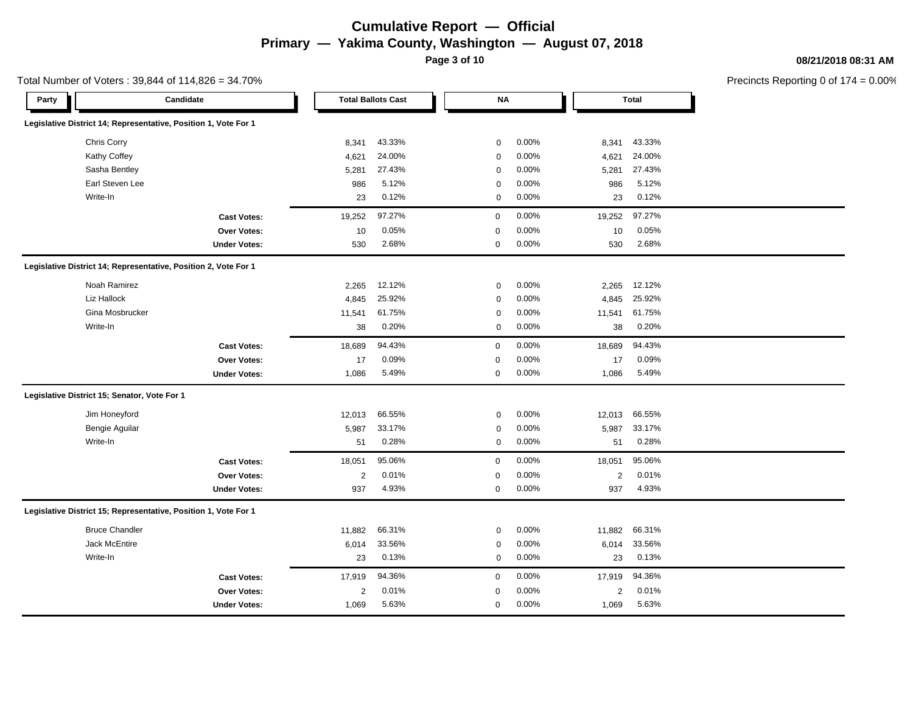**Page 3 of 10**

#### **08/21/2018 08:31 AM**

Precincts Reporting 0 of 174 = 0.00%

| Party |                                                                 | Candidate           |                         | <b>Total Ballots Cast</b> | <b>NA</b>   |       |            | <b>Total</b> |
|-------|-----------------------------------------------------------------|---------------------|-------------------------|---------------------------|-------------|-------|------------|--------------|
|       | Legislative District 14; Representative, Position 1, Vote For 1 |                     |                         |                           |             |       |            |              |
|       | Chris Corry                                                     |                     | 8,341                   | 43.33%                    | $\mathbf 0$ | 0.00% | 8,341      | 43.33%       |
|       | Kathy Coffey                                                    |                     | 4,621                   | 24.00%                    | $\mathbf 0$ | 0.00% | 4,621      | 24.00%       |
|       | Sasha Bentley                                                   |                     | 5,281                   | 27.43%                    | $\pmb{0}$   | 0.00% | 5,281      | 27.43%       |
|       | Earl Steven Lee                                                 |                     | 986                     | 5.12%                     | $\mathbf 0$ | 0.00% | 986        | 5.12%        |
|       | Write-In                                                        |                     | 23                      | 0.12%                     | $\mathbf 0$ | 0.00% | 23         | 0.12%        |
|       |                                                                 | <b>Cast Votes:</b>  | 19,252                  | 97.27%                    | $\mathbf 0$ | 0.00% | 19,252     | 97.27%       |
|       |                                                                 | <b>Over Votes:</b>  | 10                      | 0.05%                     | $\mathbf 0$ | 0.00% | 10         | 0.05%        |
|       |                                                                 | <b>Under Votes:</b> | 530                     | 2.68%                     | 0           | 0.00% | 530        | 2.68%        |
|       | Legislative District 14; Representative, Position 2, Vote For 1 |                     |                         |                           |             |       |            |              |
|       | Noah Ramirez                                                    |                     | 2.265                   | 12.12%                    | 0           | 0.00% | 2,265      | 12.12%       |
|       | Liz Hallock                                                     |                     | 4,845                   | 25.92%                    | $\pmb{0}$   | 0.00% | 4,845      | 25.92%       |
|       | Gina Mosbrucker                                                 |                     | 11,541                  | 61.75%                    | $\mathbf 0$ | 0.00% | 11,541     | 61.75%       |
|       | Write-In                                                        |                     | 38                      | 0.20%                     | $\mathbf 0$ | 0.00% | 38         | 0.20%        |
|       |                                                                 | <b>Cast Votes:</b>  | 18,689                  | 94.43%                    | $\mathbf 0$ | 0.00% | 18,689     | 94.43%       |
|       |                                                                 | Over Votes:         | 17                      | 0.09%                     | $\mathbf 0$ | 0.00% | 17         | 0.09%        |
|       |                                                                 | <b>Under Votes:</b> | 1,086                   | 5.49%                     | 0           | 0.00% | 1,086      | 5.49%        |
|       | Legislative District 15; Senator, Vote For 1                    |                     |                         |                           |             |       |            |              |
|       | Jim Honeyford                                                   |                     | 12,013                  | 66.55%                    | $\mathbf 0$ | 0.00% | 12,013     | 66.55%       |
|       | <b>Bengie Aguilar</b>                                           |                     | 5,987                   | 33.17%                    | $\pmb{0}$   | 0.00% | 5,987      | 33.17%       |
|       | Write-In                                                        |                     | 51                      | 0.28%                     | $\mathbf 0$ | 0.00% | 51         | 0.28%        |
|       |                                                                 | <b>Cast Votes:</b>  | 18,051                  | 95.06%                    | $\mathbf 0$ | 0.00% | 18,051     | 95.06%       |
|       |                                                                 | Over Votes:         | $\overline{2}$          | 0.01%                     | $\mathbf 0$ | 0.00% | 2          | 0.01%        |
|       |                                                                 | <b>Under Votes:</b> | 937                     | 4.93%                     | $\mathbf 0$ | 0.00% | 937        | 4.93%        |
|       | Legislative District 15; Representative, Position 1, Vote For 1 |                     |                         |                           |             |       |            |              |
|       | <b>Bruce Chandler</b>                                           |                     | 11,882                  | 66.31%                    | 0           | 0.00% | 11,882     | 66.31%       |
|       | Jack McEntire                                                   |                     | 6,014                   | 33.56%                    | $\pmb{0}$   | 0.00% | 6,014      | 33.56%       |
|       | Write-In                                                        |                     | 23                      | 0.13%                     | $\mathbf 0$ | 0.00% | 23         | 0.13%        |
|       |                                                                 | <b>Cast Votes:</b>  | 17,919                  | 94.36%                    | $\mathbf 0$ | 0.00% | 17,919     | 94.36%       |
|       |                                                                 | <b>Over Votes:</b>  | $\overline{\mathbf{c}}$ | 0.01%                     | $\mathbf 0$ | 0.00% | $\sqrt{2}$ | 0.01%        |
|       |                                                                 | <b>Under Votes:</b> | 1,069                   | 5.63%                     | 0           | 0.00% | 1,069      | 5.63%        |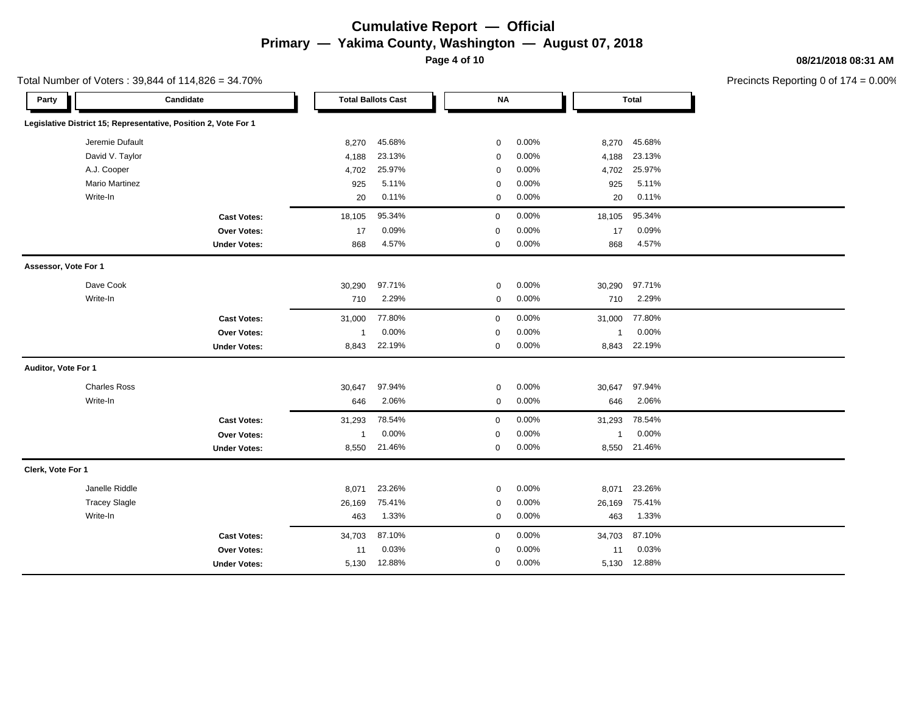**Page 4 of 10**

Total Number of Voters : 39,844 of 114,826 = 34.70%

#### **08/21/2018 08:31 AM**

| Candidate<br>Party                                              |                | <b>Total Ballots Cast</b> |             | <b>NA</b> |                | <b>Total</b> |
|-----------------------------------------------------------------|----------------|---------------------------|-------------|-----------|----------------|--------------|
| Legislative District 15; Representative, Position 2, Vote For 1 |                |                           |             |           |                |              |
| Jeremie Dufault                                                 | 8,270          | 45.68%                    | $\mathbf 0$ | 0.00%     | 8,270          | 45.68%       |
| David V. Taylor                                                 | 4,188          | 23.13%                    | $\mathbf 0$ | 0.00%     | 4,188          | 23.13%       |
| A.J. Cooper                                                     | 4,702          | 25.97%                    | $\mathbf 0$ | 0.00%     | 4,702          | 25.97%       |
| <b>Mario Martinez</b>                                           | 925            | 5.11%                     | $\mathbf 0$ | 0.00%     | 925            | 5.11%        |
| Write-In                                                        | 20             | 0.11%                     | $\mathbf 0$ | 0.00%     | 20             | 0.11%        |
| <b>Cast Votes:</b>                                              | 18,105         | 95.34%                    | $\mathbf 0$ | 0.00%     | 18,105         | 95.34%       |
| Over Votes:                                                     | 17             | 0.09%                     | $\mathbf 0$ | 0.00%     | 17             | 0.09%        |
| <b>Under Votes:</b>                                             | 868            | 4.57%                     | $\mathbf 0$ | 0.00%     | 868            | 4.57%        |
| Assessor, Vote For 1                                            |                |                           |             |           |                |              |
| Dave Cook                                                       | 30,290         | 97.71%                    | $\mathbf 0$ | 0.00%     | 30,290         | 97.71%       |
| Write-In                                                        | 710            | 2.29%                     | $\mathsf 0$ | 0.00%     | 710            | 2.29%        |
| <b>Cast Votes:</b>                                              | 31,000         | 77.80%                    | $\mathbf 0$ | 0.00%     | 31,000         | 77.80%       |
| <b>Over Votes:</b>                                              | $\mathbf{1}$   | 0.00%                     | $\mathbf 0$ | 0.00%     | -1             | 0.00%        |
| <b>Under Votes:</b>                                             | 8,843          | 22.19%                    | $\mathbf 0$ | 0.00%     | 8,843          | 22.19%       |
| Auditor, Vote For 1                                             |                |                           |             |           |                |              |
| <b>Charles Ross</b>                                             | 30,647         | 97.94%                    | $\mathbf 0$ | 0.00%     | 30,647         | 97.94%       |
| Write-In                                                        | 646            | 2.06%                     | $\mathbf 0$ | 0.00%     | 646            | 2.06%        |
| <b>Cast Votes:</b>                                              | 31,293         | 78.54%                    | $\mathbf 0$ | 0.00%     | 31,293         | 78.54%       |
| Over Votes:                                                     | $\overline{1}$ | 0.00%                     | $\mathbf 0$ | 0.00%     | $\overline{1}$ | 0.00%        |
| <b>Under Votes:</b>                                             | 8,550          | 21.46%                    | $\mathbf 0$ | 0.00%     |                | 8,550 21.46% |
| Clerk, Vote For 1                                               |                |                           |             |           |                |              |
| Janelle Riddle                                                  | 8,071          | 23.26%                    | $\mathbf 0$ | 0.00%     | 8,071          | 23.26%       |
| <b>Tracey Slagle</b>                                            | 26,169         | 75.41%                    | $\mathbf 0$ | 0.00%     | 26,169         | 75.41%       |
| Write-In                                                        | 463            | 1.33%                     | $\mathbf 0$ | 0.00%     | 463            | 1.33%        |
| <b>Cast Votes:</b>                                              | 34,703         | 87.10%                    | $\mathbf 0$ | 0.00%     | 34,703         | 87.10%       |
| <b>Over Votes:</b>                                              | 11             | 0.03%                     | $\mathbf 0$ | 0.00%     | 11             | 0.03%        |
| <b>Under Votes:</b>                                             | 5,130          | 12.88%                    | $\mathbf 0$ | 0.00%     |                | 5,130 12.88% |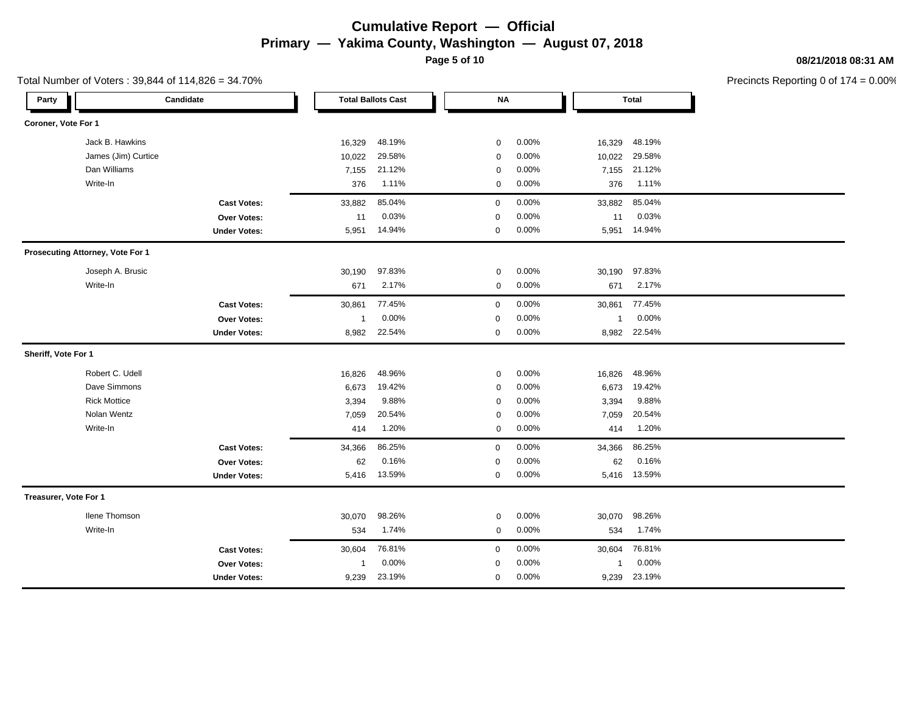**Page 5 of 10**

Total Number of Voters : 39,844 of 114,826 = 34.70%

#### **08/21/2018 08:31 AM**

| Party                 |                                  | Candidate           |                | <b>Total Ballots Cast</b> | <b>NA</b>   |          |              | <b>Total</b> |
|-----------------------|----------------------------------|---------------------|----------------|---------------------------|-------------|----------|--------------|--------------|
| Coroner, Vote For 1   |                                  |                     |                |                           |             |          |              |              |
|                       | Jack B. Hawkins                  |                     | 16,329         | 48.19%                    | 0           | 0.00%    | 16,329       | 48.19%       |
|                       | James (Jim) Curtice              |                     | 10,022         | 29.58%                    | $\mathbf 0$ | 0.00%    | 10,022       | 29.58%       |
|                       | Dan Williams                     |                     | 7,155          | 21.12%                    | $\mathbf 0$ | 0.00%    | 7,155        | 21.12%       |
|                       | Write-In                         |                     | 376            | 1.11%                     | 0           | 0.00%    | 376          | 1.11%        |
|                       |                                  | <b>Cast Votes:</b>  | 33,882         | 85.04%                    | $\mathbf 0$ | 0.00%    | 33,882       | 85.04%       |
|                       |                                  | Over Votes:         | 11             | 0.03%                     | $\mathsf 0$ | 0.00%    | 11           | 0.03%        |
|                       |                                  | <b>Under Votes:</b> | 5,951          | 14.94%                    | $\mathbf 0$ | 0.00%    | 5,951        | 14.94%       |
|                       | Prosecuting Attorney, Vote For 1 |                     |                |                           |             |          |              |              |
|                       | Joseph A. Brusic                 |                     | 30,190         | 97.83%                    | $\mathbf 0$ | 0.00%    | 30,190       | 97.83%       |
|                       | Write-In                         |                     | 671            | 2.17%                     | $\mathbf 0$ | 0.00%    | 671          | 2.17%        |
|                       |                                  | <b>Cast Votes:</b>  | 30,861         | 77.45%                    | $\mathbf 0$ | 0.00%    | 30,861       | 77.45%       |
|                       |                                  | Over Votes:         | $\mathbf{1}$   | 0.00%                     | 0           | 0.00%    | $\mathbf{1}$ | 0.00%        |
|                       |                                  | <b>Under Votes:</b> | 8,982          | 22.54%                    | 0           | 0.00%    | 8,982        | 22.54%       |
| Sheriff, Vote For 1   |                                  |                     |                |                           |             |          |              |              |
|                       | Robert C. Udell                  |                     | 16,826         | 48.96%                    | 0           | 0.00%    | 16,826       | 48.96%       |
|                       | Dave Simmons                     |                     | 6,673          | 19.42%                    | $\mathbf 0$ | 0.00%    | 6,673        | 19.42%       |
|                       | <b>Rick Mottice</b>              |                     | 3,394          | 9.88%                     | $\mathbf 0$ | 0.00%    | 3,394        | 9.88%        |
|                       | Nolan Wentz                      |                     | 7,059          | 20.54%                    | $\mathbf 0$ | 0.00%    | 7,059        | 20.54%       |
|                       | Write-In                         |                     | 414            | 1.20%                     | $\mathbf 0$ | 0.00%    | 414          | 1.20%        |
|                       |                                  | <b>Cast Votes:</b>  | 34,366         | 86.25%                    | $\mathbf 0$ | 0.00%    | 34,366       | 86.25%       |
|                       |                                  | <b>Over Votes:</b>  | 62             | 0.16%                     | 0           | 0.00%    | 62           | 0.16%        |
|                       |                                  | <b>Under Votes:</b> | 5,416          | 13.59%                    | 0           | $0.00\%$ |              | 5,416 13.59% |
| Treasurer, Vote For 1 |                                  |                     |                |                           |             |          |              |              |
|                       | <b>Ilene Thomson</b>             |                     | 30,070         | 98.26%                    | 0           | 0.00%    | 30,070       | 98.26%       |
|                       | Write-In                         |                     | 534            | 1.74%                     | $\mathbf 0$ | 0.00%    | 534          | 1.74%        |
|                       |                                  | <b>Cast Votes:</b>  | 30,604         | 76.81%                    | $\mathbf 0$ | 0.00%    | 30,604       | 76.81%       |
|                       |                                  | <b>Over Votes:</b>  | $\overline{1}$ | 0.00%                     | $\mathbf 0$ | 0.00%    | -1           | 0.00%        |
|                       |                                  | <b>Under Votes:</b> | 9,239          | 23.19%                    | 0           | 0.00%    | 9,239        | 23.19%       |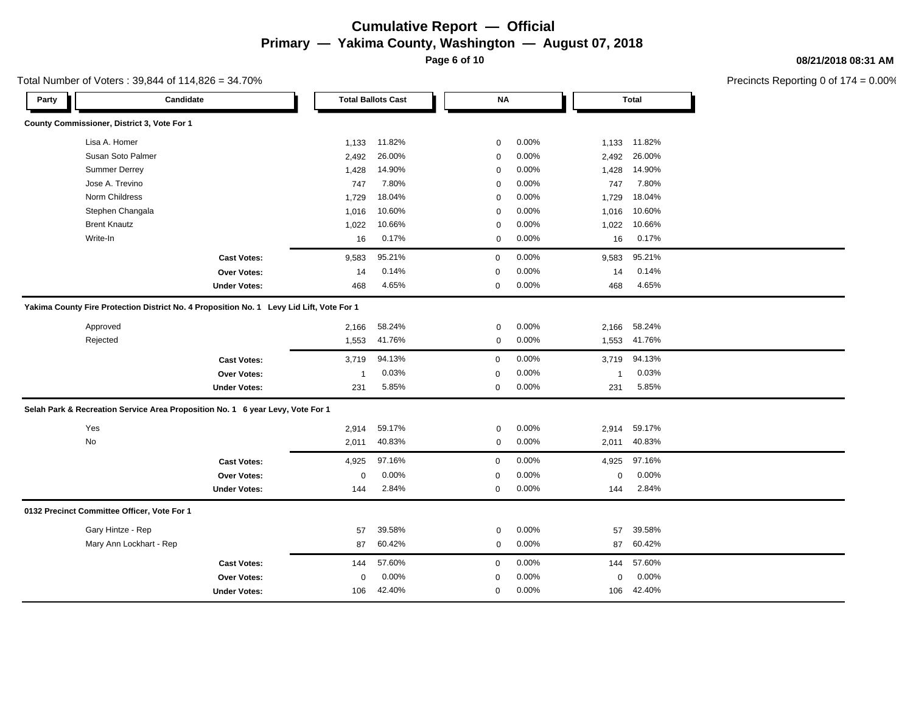**Page 6 of 10**

### **08/21/2018 08:31 AM**

Precincts Reporting 0 of 174 = 0.00%

| County Commissioner, District 3, Vote For 1<br>Lisa A. Homer<br>1,133<br>11.82%<br>0.00%<br>1,133 11.82%<br>$\mathbf 0$<br>Susan Soto Palmer<br>26.00%<br>2,492<br>0.00%<br>2,492<br>26.00%<br>$\mathbf 0$<br><b>Summer Derrey</b><br>14.90%<br>0.00%<br>14.90%<br>1,428<br>1,428<br>$\mathbf 0$<br>Jose A. Trevino<br>7.80%<br>0.00%<br>7.80%<br>747<br>$\mathbf 0$<br>747<br>Norm Childress<br>18.04%<br>0.00%<br>18.04%<br>1,729<br>$\mathbf 0$<br>1,729<br>Stephen Changala<br>10.60%<br>10.60%<br>1,016<br>$\mathbf 0$<br>0.00%<br>1,016<br><b>Brent Knautz</b><br>10.66%<br>10.66%<br>0.00%<br>1,022<br>$\mathbf 0$<br>1,022<br>Write-In<br>0.17%<br>0.17%<br>0.00%<br>16<br>$\mathbf 0$<br>16<br>95.21%<br>0.00%<br>95.21%<br>9,583<br>$\mathbf 0$<br>9,583<br><b>Cast Votes:</b><br>0.14%<br>$\mathbf 0$<br>0.00%<br>0.14%<br><b>Over Votes:</b><br>14<br>14<br>4.65%<br>0.00%<br>4.65%<br><b>Under Votes:</b><br>468<br>$\mathbf 0$<br>468<br>Yakima County Fire Protection District No. 4 Proposition No. 1 Levy Lid Lift, Vote For 1 |
|-------------------------------------------------------------------------------------------------------------------------------------------------------------------------------------------------------------------------------------------------------------------------------------------------------------------------------------------------------------------------------------------------------------------------------------------------------------------------------------------------------------------------------------------------------------------------------------------------------------------------------------------------------------------------------------------------------------------------------------------------------------------------------------------------------------------------------------------------------------------------------------------------------------------------------------------------------------------------------------------------------------------------------------------------|
|                                                                                                                                                                                                                                                                                                                                                                                                                                                                                                                                                                                                                                                                                                                                                                                                                                                                                                                                                                                                                                                 |
|                                                                                                                                                                                                                                                                                                                                                                                                                                                                                                                                                                                                                                                                                                                                                                                                                                                                                                                                                                                                                                                 |
|                                                                                                                                                                                                                                                                                                                                                                                                                                                                                                                                                                                                                                                                                                                                                                                                                                                                                                                                                                                                                                                 |
|                                                                                                                                                                                                                                                                                                                                                                                                                                                                                                                                                                                                                                                                                                                                                                                                                                                                                                                                                                                                                                                 |
|                                                                                                                                                                                                                                                                                                                                                                                                                                                                                                                                                                                                                                                                                                                                                                                                                                                                                                                                                                                                                                                 |
|                                                                                                                                                                                                                                                                                                                                                                                                                                                                                                                                                                                                                                                                                                                                                                                                                                                                                                                                                                                                                                                 |
|                                                                                                                                                                                                                                                                                                                                                                                                                                                                                                                                                                                                                                                                                                                                                                                                                                                                                                                                                                                                                                                 |
|                                                                                                                                                                                                                                                                                                                                                                                                                                                                                                                                                                                                                                                                                                                                                                                                                                                                                                                                                                                                                                                 |
|                                                                                                                                                                                                                                                                                                                                                                                                                                                                                                                                                                                                                                                                                                                                                                                                                                                                                                                                                                                                                                                 |
|                                                                                                                                                                                                                                                                                                                                                                                                                                                                                                                                                                                                                                                                                                                                                                                                                                                                                                                                                                                                                                                 |
|                                                                                                                                                                                                                                                                                                                                                                                                                                                                                                                                                                                                                                                                                                                                                                                                                                                                                                                                                                                                                                                 |
|                                                                                                                                                                                                                                                                                                                                                                                                                                                                                                                                                                                                                                                                                                                                                                                                                                                                                                                                                                                                                                                 |
|                                                                                                                                                                                                                                                                                                                                                                                                                                                                                                                                                                                                                                                                                                                                                                                                                                                                                                                                                                                                                                                 |
| Approved<br>58.24%<br>0.00%<br>2,166<br>58.24%<br>2,166<br>$\mathbf 0$                                                                                                                                                                                                                                                                                                                                                                                                                                                                                                                                                                                                                                                                                                                                                                                                                                                                                                                                                                          |
| 0.00%<br>Rejected<br>41.76%<br>41.76%<br>1,553<br>$\mathbf 0$<br>1,553                                                                                                                                                                                                                                                                                                                                                                                                                                                                                                                                                                                                                                                                                                                                                                                                                                                                                                                                                                          |
| 94.13%<br>0.00%<br>94.13%<br><b>Cast Votes:</b><br>3,719<br>$\mathbf 0$<br>3,719                                                                                                                                                                                                                                                                                                                                                                                                                                                                                                                                                                                                                                                                                                                                                                                                                                                                                                                                                                |
| 0.03%<br>0.00%<br>0.03%<br>Over Votes:<br>$\mathbf 0$<br>$\overline{\mathbf{1}}$<br>-1                                                                                                                                                                                                                                                                                                                                                                                                                                                                                                                                                                                                                                                                                                                                                                                                                                                                                                                                                          |
| 5.85%<br>0.00%<br>5.85%<br><b>Under Votes:</b><br>231<br>231<br>0                                                                                                                                                                                                                                                                                                                                                                                                                                                                                                                                                                                                                                                                                                                                                                                                                                                                                                                                                                               |
| Selah Park & Recreation Service Area Proposition No. 1 6 year Levy, Vote For 1                                                                                                                                                                                                                                                                                                                                                                                                                                                                                                                                                                                                                                                                                                                                                                                                                                                                                                                                                                  |
| Yes<br>59.17%<br>0.00%<br>59.17%<br>2,914<br>$\mathbf 0$<br>2,914                                                                                                                                                                                                                                                                                                                                                                                                                                                                                                                                                                                                                                                                                                                                                                                                                                                                                                                                                                               |
| No<br>40.83%<br>0.00%<br>2,011<br>40.83%<br>$\mathbf 0$<br>2,011                                                                                                                                                                                                                                                                                                                                                                                                                                                                                                                                                                                                                                                                                                                                                                                                                                                                                                                                                                                |
| 97.16%<br>0.00%<br>97.16%<br>4,925<br>$\mathbf 0$<br>4,925<br><b>Cast Votes:</b>                                                                                                                                                                                                                                                                                                                                                                                                                                                                                                                                                                                                                                                                                                                                                                                                                                                                                                                                                                |
| 0.00%<br>0.00%<br>0.00%<br><b>Over Votes:</b><br>$\mathbf 0$<br>$\mathbf 0$<br>$\mathbf 0$                                                                                                                                                                                                                                                                                                                                                                                                                                                                                                                                                                                                                                                                                                                                                                                                                                                                                                                                                      |
| 2.84%<br>0.00%<br>2.84%<br><b>Under Votes:</b><br>144<br>$\mathbf 0$<br>144                                                                                                                                                                                                                                                                                                                                                                                                                                                                                                                                                                                                                                                                                                                                                                                                                                                                                                                                                                     |
| 0132 Precinct Committee Officer, Vote For 1                                                                                                                                                                                                                                                                                                                                                                                                                                                                                                                                                                                                                                                                                                                                                                                                                                                                                                                                                                                                     |
| Gary Hintze - Rep<br>39.58%<br>0.00%<br>57<br>$\mathbf 0$<br>57<br>39.58%                                                                                                                                                                                                                                                                                                                                                                                                                                                                                                                                                                                                                                                                                                                                                                                                                                                                                                                                                                       |
| 60.42%<br>0.00%<br>Mary Ann Lockhart - Rep<br>60.42%<br>87<br>$\mathbf 0$<br>87                                                                                                                                                                                                                                                                                                                                                                                                                                                                                                                                                                                                                                                                                                                                                                                                                                                                                                                                                                 |
| 57.60%<br>0.00%<br>57.60%<br><b>Cast Votes:</b><br>144<br>0<br>144                                                                                                                                                                                                                                                                                                                                                                                                                                                                                                                                                                                                                                                                                                                                                                                                                                                                                                                                                                              |
| 0.00%<br>0.00%<br>0.00%<br>Over Votes:<br>$\mathbf 0$<br>$\mathbf 0$<br>0                                                                                                                                                                                                                                                                                                                                                                                                                                                                                                                                                                                                                                                                                                                                                                                                                                                                                                                                                                       |
| 42.40%<br>0.00%<br>42.40%<br><b>Under Votes:</b><br>$\mathbf 0$<br>106<br>106                                                                                                                                                                                                                                                                                                                                                                                                                                                                                                                                                                                                                                                                                                                                                                                                                                                                                                                                                                   |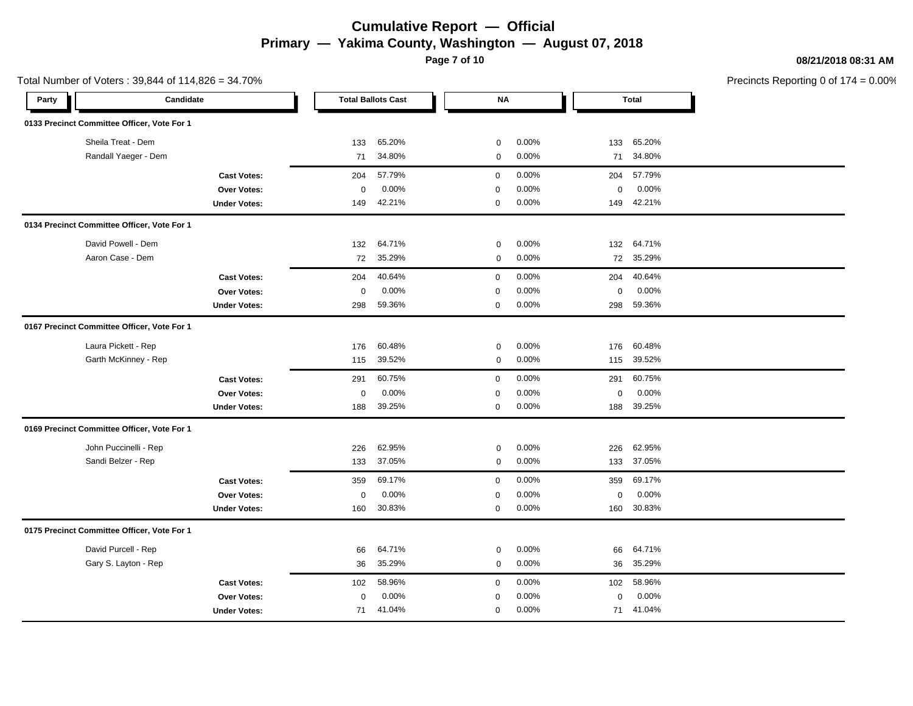**Page 7 of 10**

Total Number of Voters : 39,844 of 114,826 = 34.70%

#### **08/21/2018 08:31 AM**

| Party | Candidate                                   |                     |                  | <b>Total Ballots Cast</b> | <b>NA</b>    |       |             | <b>Total</b> |  |
|-------|---------------------------------------------|---------------------|------------------|---------------------------|--------------|-------|-------------|--------------|--|
|       | 0133 Precinct Committee Officer, Vote For 1 |                     |                  |                           |              |       |             |              |  |
|       | Sheila Treat - Dem                          |                     | 133              | 65.20%                    | $\mathbf 0$  | 0.00% | 133         | 65.20%       |  |
|       | Randall Yaeger - Dem                        |                     | 71               | 34.80%                    | $\mathbf 0$  | 0.00% | 71          | 34.80%       |  |
|       |                                             | <b>Cast Votes:</b>  | 204              | 57.79%                    | $\mathbf 0$  | 0.00% | 204         | 57.79%       |  |
|       |                                             | Over Votes:         | $\boldsymbol{0}$ | 0.00%                     | $\mathbf 0$  | 0.00% | 0           | 0.00%        |  |
|       |                                             | <b>Under Votes:</b> | 149              | 42.21%                    | 0            | 0.00% | 149         | 42.21%       |  |
|       | 0134 Precinct Committee Officer, Vote For 1 |                     |                  |                           |              |       |             |              |  |
|       | David Powell - Dem                          |                     | 132              | 64.71%                    | $\mathbf 0$  | 0.00% | 132         | 64.71%       |  |
|       | Aaron Case - Dem                            |                     | 72               | 35.29%                    | $\mathbf 0$  | 0.00% | 72          | 35.29%       |  |
|       |                                             | <b>Cast Votes:</b>  | 204              | 40.64%                    | $\mathbf{0}$ | 0.00% | 204         | 40.64%       |  |
|       |                                             | <b>Over Votes:</b>  | $\mathbf 0$      | 0.00%                     | $\mathbf 0$  | 0.00% | $\mathbf 0$ | 0.00%        |  |
|       |                                             | <b>Under Votes:</b> | 298              | 59.36%                    | 0            | 0.00% | 298         | 59.36%       |  |
|       | 0167 Precinct Committee Officer, Vote For 1 |                     |                  |                           |              |       |             |              |  |
|       | Laura Pickett - Rep                         |                     | 176              | 60.48%                    | 0            | 0.00% | 176         | 60.48%       |  |
|       | Garth McKinney - Rep                        |                     | 115              | 39.52%                    | 0            | 0.00% | 115         | 39.52%       |  |
|       |                                             | <b>Cast Votes:</b>  | 291              | 60.75%                    | $\mathbf 0$  | 0.00% | 291         | 60.75%       |  |
|       |                                             | Over Votes:         | $\mathbf 0$      | 0.00%                     | $\mathbf 0$  | 0.00% | $\mathbf 0$ | 0.00%        |  |
|       |                                             | <b>Under Votes:</b> | 188              | 39.25%                    | 0            | 0.00% | 188         | 39.25%       |  |
|       | 0169 Precinct Committee Officer, Vote For 1 |                     |                  |                           |              |       |             |              |  |
|       | John Puccinelli - Rep                       |                     | 226              | 62.95%                    | 0            | 0.00% | 226         | 62.95%       |  |
|       | Sandi Belzer - Rep                          |                     | 133              | 37.05%                    | $\mathbf 0$  | 0.00% | 133         | 37.05%       |  |
|       |                                             | <b>Cast Votes:</b>  | 359              | 69.17%                    | 0            | 0.00% | 359         | 69.17%       |  |
|       |                                             | Over Votes:         | $\mathbf 0$      | 0.00%                     | 0            | 0.00% | 0           | 0.00%        |  |
|       |                                             | <b>Under Votes:</b> | 160              | 30.83%                    | $\mathbf 0$  | 0.00% | 160         | 30.83%       |  |
|       | 0175 Precinct Committee Officer, Vote For 1 |                     |                  |                           |              |       |             |              |  |
|       | David Purcell - Rep                         |                     | 66               | 64.71%                    | $\mathbf 0$  | 0.00% | 66          | 64.71%       |  |
|       | Gary S. Layton - Rep                        |                     | 36               | 35.29%                    | $\mathbf 0$  | 0.00% | 36          | 35.29%       |  |
|       |                                             | <b>Cast Votes:</b>  | 102              | 58.96%                    | $\mathbf 0$  | 0.00% | 102         | 58.96%       |  |
|       |                                             | <b>Over Votes:</b>  | $\mathbf 0$      | 0.00%                     | $\mathbf 0$  | 0.00% | $\Omega$    | 0.00%        |  |
|       |                                             | <b>Under Votes:</b> | 71               | 41.04%                    | $\mathbf 0$  | 0.00% | 71          | 41.04%       |  |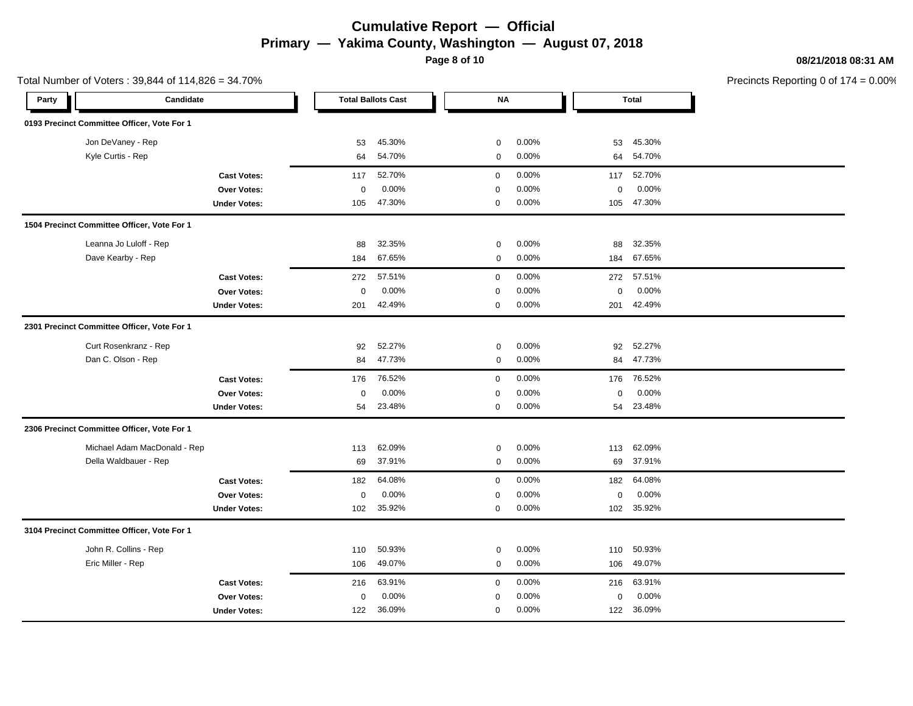**Page 8 of 10**

Total Number of Voters : 39,844 of 114,826 = 34.70%

#### **08/21/2018 08:31 AM**

| Candidate<br>Party                          | <b>Total Ballots Cast</b> | <b>NA</b>            | <b>Total</b>         |  |
|---------------------------------------------|---------------------------|----------------------|----------------------|--|
| 0193 Precinct Committee Officer, Vote For 1 |                           |                      |                      |  |
| Jon DeVaney - Rep                           | 45.30%<br>53              | 0.00%<br>$\mathbf 0$ | 53<br>45.30%         |  |
| Kyle Curtis - Rep                           | 54.70%<br>64              | 0.00%<br>0           | 54.70%<br>64         |  |
| <b>Cast Votes:</b>                          | 52.70%<br>117             | 0.00%<br>$\mathbf 0$ | 52.70%<br>117        |  |
| <b>Over Votes:</b>                          | 0.00%<br>$\mathbf 0$      | 0.00%<br>$\mathbf 0$ | 0.00%<br>$\mathbf 0$ |  |
| <b>Under Votes:</b>                         | 47.30%<br>105             | 0.00%<br>0           | 47.30%<br>105        |  |
| 1504 Precinct Committee Officer, Vote For 1 |                           |                      |                      |  |
| Leanna Jo Luloff - Rep                      | 32.35%<br>88              | 0.00%<br>0           | 32.35%<br>88         |  |
| Dave Kearby - Rep                           | 67.65%<br>184             | 0.00%<br>$\mathbf 0$ | 67.65%<br>184        |  |
| <b>Cast Votes:</b>                          | 57.51%<br>272             | 0.00%<br>$\mathbf 0$ | 57.51%<br>272        |  |
| Over Votes:                                 | $\mathbf 0$<br>0.00%      | 0.00%<br>$\mathbf 0$ | 0.00%<br>0           |  |
| <b>Under Votes:</b>                         | 42.49%<br>201             | 0.00%<br>$\mathbf 0$ | 42.49%<br>201        |  |
| 2301 Precinct Committee Officer, Vote For 1 |                           |                      |                      |  |
| Curt Rosenkranz - Rep                       | 52.27%<br>92              | 0.00%<br>0           | 52.27%<br>92         |  |
| Dan C. Olson - Rep                          | 47.73%<br>84              | 0.00%<br>0           | 47.73%<br>84         |  |
| <b>Cast Votes:</b>                          | 76.52%<br>176             | 0.00%<br>$\mathbf 0$ | 76.52%<br>176        |  |
| Over Votes:                                 | 0.00%<br>$\mathbf 0$      | 0.00%<br>$\mathbf 0$ | 0.00%<br>0           |  |
| <b>Under Votes:</b>                         | 54<br>23.48%              | $\mathbf 0$<br>0.00% | 54<br>23.48%         |  |
| 2306 Precinct Committee Officer, Vote For 1 |                           |                      |                      |  |
| Michael Adam MacDonald - Rep                | 62.09%<br>113             | 0.00%<br>$\mathbf 0$ | 62.09%<br>113        |  |
| Della Waldbauer - Rep                       | 37.91%<br>69              | 0.00%<br>$\mathbf 0$ | 37.91%<br>69         |  |
| <b>Cast Votes:</b>                          | 64.08%<br>182             | $\mathsf 0$<br>0.00% | 182<br>64.08%        |  |
| Over Votes:                                 | 0.00%<br>$\mathbf 0$      | 0.00%<br>0           | 0.00%<br>0           |  |
| <b>Under Votes:</b>                         | 102<br>35.92%             | $\mathbf 0$<br>0.00% | 102<br>35.92%        |  |
| 3104 Precinct Committee Officer, Vote For 1 |                           |                      |                      |  |
| John R. Collins - Rep                       | 50.93%<br>110             | 0.00%<br>0           | 50.93%<br>110        |  |
| Eric Miller - Rep                           | 49.07%<br>106             | 0.00%<br>0           | 49.07%<br>106        |  |
| <b>Cast Votes:</b>                          | 63.91%<br>216             | 0.00%<br>$\mathbf 0$ | 63.91%<br>216        |  |
| Over Votes:                                 | 0.00%<br>0                | 0.00%<br>0           | 0.00%<br>0           |  |
| <b>Under Votes:</b>                         | 36.09%<br>122             | 0.00%<br>$\mathbf 0$ | 36.09%<br>122        |  |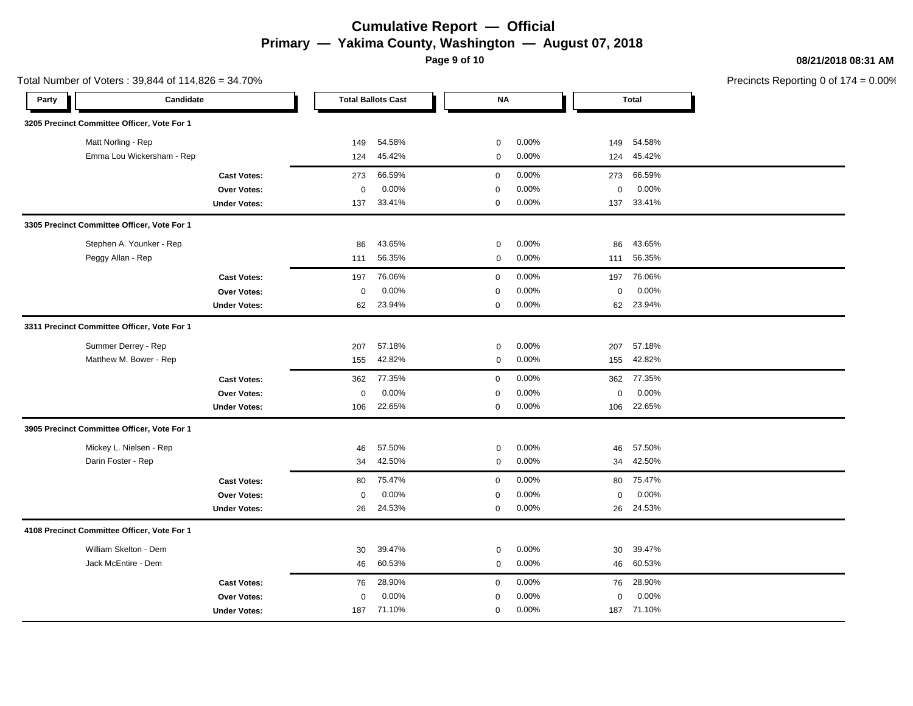**Page 9 of 10**

Total Number of Voters : 39,844 of 114,826 = 34.70%

#### **08/21/2018 08:31 AM**

| Party | Candidate                                   |                     |             | <b>Total Ballots Cast</b> |              | <b>NA</b> |             | <b>Total</b> |  |
|-------|---------------------------------------------|---------------------|-------------|---------------------------|--------------|-----------|-------------|--------------|--|
|       | 3205 Precinct Committee Officer, Vote For 1 |                     |             |                           |              |           |             |              |  |
|       | Matt Norling - Rep                          |                     | 149         | 54.58%                    | $\mathbf 0$  | 0.00%     | 149         | 54.58%       |  |
|       | Emma Lou Wickersham - Rep                   |                     | 124         | 45.42%                    | $\mathbf 0$  | 0.00%     | 124         | 45.42%       |  |
|       |                                             | <b>Cast Votes:</b>  | 273         | 66.59%                    | $\mathbf 0$  | 0.00%     | 273         | 66.59%       |  |
|       |                                             | Over Votes:         | $\mathbf 0$ | 0.00%                     | 0            | 0.00%     | 0           | 0.00%        |  |
|       |                                             | <b>Under Votes:</b> | 137         | 33.41%                    | 0            | 0.00%     | 137         | 33.41%       |  |
|       | 3305 Precinct Committee Officer, Vote For 1 |                     |             |                           |              |           |             |              |  |
|       | Stephen A. Younker - Rep                    |                     | 86          | 43.65%                    | $\mathbf 0$  | 0.00%     | 86          | 43.65%       |  |
|       | Peggy Allan - Rep                           |                     | 111         | 56.35%                    | $\mathbf 0$  | 0.00%     | 111         | 56.35%       |  |
|       |                                             | <b>Cast Votes:</b>  | 197         | 76.06%                    | 0            | 0.00%     | 197         | 76.06%       |  |
|       |                                             | <b>Over Votes:</b>  | $\mathbf 0$ | 0.00%                     | $\mathbf 0$  | 0.00%     | $\mathbf 0$ | 0.00%        |  |
|       |                                             | <b>Under Votes:</b> | 62          | 23.94%                    | $\mathbf{0}$ | 0.00%     | 62          | 23.94%       |  |
|       | 3311 Precinct Committee Officer, Vote For 1 |                     |             |                           |              |           |             |              |  |
|       | Summer Derrey - Rep                         |                     | 207         | 57.18%                    | 0            | 0.00%     | 207         | 57.18%       |  |
|       | Matthew M. Bower - Rep                      |                     | 155         | 42.82%                    | $\mathbf 0$  | 0.00%     | 155         | 42.82%       |  |
|       |                                             | <b>Cast Votes:</b>  | 362         | 77.35%                    | $\mathbf 0$  | 0.00%     | 362         | 77.35%       |  |
|       |                                             | Over Votes:         | $\mathbf 0$ | 0.00%                     | 0            | 0.00%     | 0           | 0.00%        |  |
|       |                                             | <b>Under Votes:</b> | 106         | 22.65%                    | 0            | 0.00%     | 106         | 22.65%       |  |
|       | 3905 Precinct Committee Officer, Vote For 1 |                     |             |                           |              |           |             |              |  |
|       | Mickey L. Nielsen - Rep                     |                     | 46          | 57.50%                    | 0            | 0.00%     | 46          | 57.50%       |  |
|       | Darin Foster - Rep                          |                     | 34          | 42.50%                    | $\mathbf 0$  | 0.00%     | 34          | 42.50%       |  |
|       |                                             | <b>Cast Votes:</b>  | 80          | 75.47%                    | 0            | 0.00%     | 80          | 75.47%       |  |
|       |                                             | Over Votes:         | $\mathbf 0$ | 0.00%                     | 0            | 0.00%     | $\mathbf 0$ | 0.00%        |  |
|       |                                             | <b>Under Votes:</b> | 26          | 24.53%                    | $\mathbf 0$  | 0.00%     | 26          | 24.53%       |  |
|       | 4108 Precinct Committee Officer, Vote For 1 |                     |             |                           |              |           |             |              |  |
|       | William Skelton - Dem                       |                     | 30          | 39.47%                    | $\mathbf 0$  | 0.00%     | 30          | 39.47%       |  |
|       | Jack McEntire - Dem                         |                     | 46          | 60.53%                    | $\mathbf 0$  | 0.00%     | 46          | 60.53%       |  |
|       |                                             | <b>Cast Votes:</b>  | 76          | 28.90%                    | $\mathbf{0}$ | 0.00%     | 76          | 28.90%       |  |
|       |                                             | <b>Over Votes:</b>  | 0           | 0.00%                     | 0            | 0.00%     | 0           | 0.00%        |  |
|       |                                             | <b>Under Votes:</b> | 187         | 71.10%                    | $\mathbf 0$  | 0.00%     | 187         | 71.10%       |  |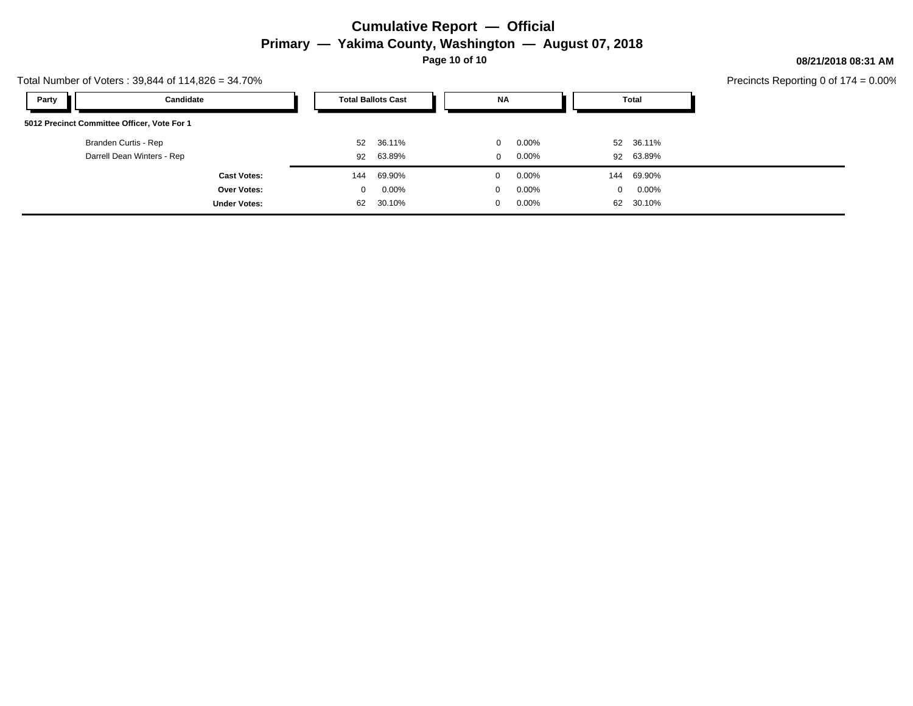**Page 10 of 10**

#### **08/21/2018 08:31 AM**

| Total Number of Voters: 39,844 of 114,826 = 34.70% |                     |                           |          |  |              |          |                |           |  | Precincts Reporting 0 of 1 |
|----------------------------------------------------|---------------------|---------------------------|----------|--|--------------|----------|----------------|-----------|--|----------------------------|
| Party<br>Candidate                                 |                     | <b>Total Ballots Cast</b> |          |  | <b>NA</b>    |          |                | Total     |  |                            |
| 5012 Precinct Committee Officer, Vote For 1        |                     |                           |          |  |              |          |                |           |  |                            |
| Branden Curtis - Rep                               |                     | 52                        | 36.11%   |  | $\mathbf{0}$ | $0.00\%$ |                | 52 36.11% |  |                            |
| Darrell Dean Winters - Rep                         |                     | 92                        | 63.89%   |  | $\mathbf{0}$ | 0.00%    |                | 92 63.89% |  |                            |
|                                                    | <b>Cast Votes:</b>  | 144                       | 69.90%   |  |              | $0.00\%$ | 144            | 69.90%    |  |                            |
|                                                    | Over Votes:         | 0                         | $0.00\%$ |  | $\Omega$     | $0.00\%$ | $\overline{0}$ | $0.00\%$  |  |                            |
|                                                    | <b>Under Votes:</b> | 62                        | 30.10%   |  |              | $0.00\%$ | 62             | 30.10%    |  |                            |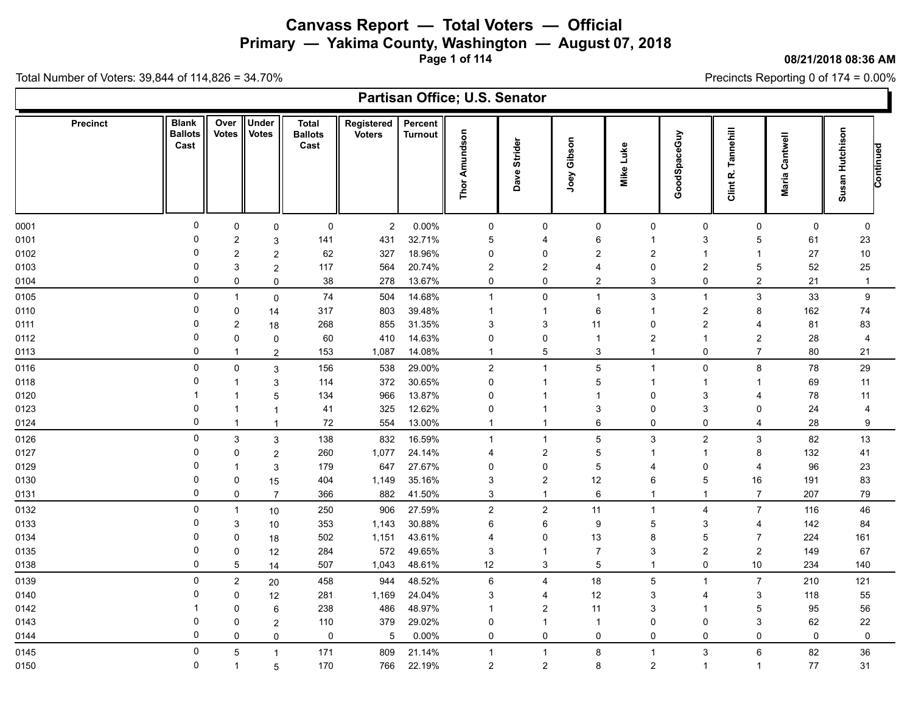**Primary — Yakima County, Washington — August 07, 2018**

**Page 1 of 114**

**08/21/2018 08:36 AM**

Precincts Reporting 0 of 174 = 0.00%

|                 |                                        |                           |                              |                                        |                             |                           | Partisan Office; U.S. Senator |                  |                |                  |                |                         |                   |                              |  |
|-----------------|----------------------------------------|---------------------------|------------------------------|----------------------------------------|-----------------------------|---------------------------|-------------------------------|------------------|----------------|------------------|----------------|-------------------------|-------------------|------------------------------|--|
| <b>Precinct</b> | <b>Blank</b><br><b>Ballots</b><br>Cast | Over<br><b>Votes</b>      | <b>Under</b><br><b>Votes</b> | <b>Total</b><br><b>Ballots</b><br>Cast | Registered<br><b>Voters</b> | Percent<br><b>Turnout</b> | Amundson<br>Thor              | Dave Strider     | Joey Gibson    | Mike Luke        | GoodSpaceGuy   | Tannehill<br>Clint R.   | Cantwell<br>Maria | Susan Hutchison<br>Continued |  |
| 0001            | 0                                      | $\mathbf 0$               | 0                            | 0                                      | $\overline{2}$              | 0.00%                     | 0                             | 0                | 0              | 0                | 0              | 0                       | 0                 | $\mathbf 0$                  |  |
| 0101            | 0                                      | $\overline{2}$            | 3                            | 141                                    | 431                         | 32.71%                    | 5                             | 4                | 6              | 1                | 3              | 5                       | 61                | 23                           |  |
| 0102            | $\Omega$                               | $\overline{2}$            | $\overline{c}$               | 62                                     | 327                         | 18.96%                    | 0                             | 0                | $\overline{2}$ | $\overline{2}$   | $\overline{1}$ | -1                      | 27                | 10                           |  |
| 0103            | $\Omega$                               | 3                         | $\overline{c}$               | 117                                    | 564                         | 20.74%                    | $\overline{c}$                | $\boldsymbol{2}$ | $\overline{4}$ | $\Omega$         | $\overline{2}$ | 5                       | 52                | 25                           |  |
| 0104            | $\Omega$                               | 0                         | 0                            | 38                                     | 278                         | 13.67%                    | 0                             | 0                | $\overline{2}$ | 3                | 0              | $\overline{2}$          | 21                | $\overline{1}$               |  |
| 0105            | $\mathbf 0$                            | $\mathbf{1}$              | 0                            | 74                                     | 504                         | 14.68%                    | $\mathbf{1}$                  | 0                | $\mathbf{1}$   | $\mathfrak{S}$   | $\overline{1}$ | $\mathbf{3}$            | 33                | $\boldsymbol{9}$             |  |
| 0110            | 0                                      | $\mathbf 0$               | 14                           | 317                                    | 803                         | 39.48%                    | -1                            | -1               | 6              | 1                | $\overline{c}$ | 8                       | 162               | 74                           |  |
| 0111            | $\Omega$                               | $\overline{2}$            | 18                           | 268                                    | 855                         | 31.35%                    | 3                             | 3                | 11             | 0                | $\overline{2}$ | 4                       | 81                | 83                           |  |
| 0112            | $\mathbf{0}$                           | $\mathbf 0$               | 0                            | 60                                     | 410                         | 14.63%                    | $\Omega$                      | $\mathsf 0$      | $\mathbf{1}$   | $\boldsymbol{2}$ | 1              | $\overline{\mathbf{c}}$ | 28                | $\overline{4}$               |  |
| 0113            | $\Omega$                               | $\mathbf{1}$              | $\overline{c}$               | 153                                    | 1,087                       | 14.08%                    | $\mathbf{1}$                  | $\,$ 5 $\,$      | 3              | $\overline{1}$   | 0              | $\overline{7}$          | 80                | 21                           |  |
| 0116            | $\mathbf 0$                            | $\mathbf 0$               | 3                            | 156                                    | 538                         | 29.00%                    | $\sqrt{2}$                    | $\mathbf{1}$     | 5              | $\mathbf{1}$     | $\mathbf 0$    | 8                       | 78                | 29                           |  |
| 0118            | $\Omega$                               | 1                         | 3                            | 114                                    | 372                         | 30.65%                    | 0                             | $\mathbf 1$      | 5              | $\overline{1}$   | -1             | -1                      | 69                | 11                           |  |
| 0120            |                                        |                           | 5                            | 134                                    | 966                         | 13.87%                    | 0                             | 1                | -1             | $\Omega$         | 3              | 4                       | 78                | 11                           |  |
| 0123            | 0                                      | 1                         | 1                            | 41                                     | 325                         | 12.62%                    | 0                             | $\mathbf 1$      | 3              | $\mathbf 0$      | 3              | 0                       | 24                | $\overline{4}$               |  |
| 0124            | $\Omega$                               | $\overline{1}$            |                              | $\bf 72$                               | 554                         | 13.00%                    | -1                            | $\overline{1}$   | 6              | $\mathbf 0$      | $\mathbf 0$    | $\overline{4}$          | 28                | 9                            |  |
| 0126            | $\mathbf 0$                            | $\ensuremath{\mathsf{3}}$ | 3                            | 138                                    | 832                         | 16.59%                    | $\mathbf{1}$                  | $\overline{1}$   | $\sqrt{5}$     | $\mathfrak{S}$   | $\overline{c}$ | $\sqrt{3}$              | 82                | 13                           |  |
| 0127            | $\Omega$                               | $\mathbf 0$               | $\overline{c}$               | 260                                    | 1,077                       | 24.14%                    | 4                             | $\boldsymbol{2}$ | $\mathbf 5$    | 1                | 1              | 8                       | 132               | 41                           |  |
| 0129            | 0                                      | 1                         | 3                            | 179                                    | 647                         | 27.67%                    | 0                             | $\mathsf 0$      | $\sqrt{5}$     | $\overline{4}$   | $\Omega$       | 4                       | 96                | 23                           |  |
| 0130            | $\Omega$                               | $\mathbf 0$               | 15                           | 404                                    | 1,149                       | 35.16%                    | 3                             | $\boldsymbol{2}$ | 12             | 6                | 5              | 16                      | 191               | 83                           |  |
| 0131            | $\mathbf 0$                            | $\pmb{0}$                 | $\overline{7}$               | 366                                    | 882                         | 41.50%                    | 3                             | $\mathbf{1}$     | $\,6\,$        | $\mathbf{1}$     | -1             | $\overline{7}$          | 207               | 79                           |  |
| 0132            | $\Omega$                               | $\mathbf{1}$              | 10                           | 250                                    | 906                         | 27.59%                    | $\boldsymbol{2}$              | $\boldsymbol{2}$ | 11             | $\mathbf 1$      | $\overline{4}$ | $\overline{7}$          | 116               | 46                           |  |
| 0133            | $\Omega$                               | 3                         | 10                           | 353                                    | 1,143                       | 30.88%                    | 6                             | 6                | 9              | 5                | 3              | 4                       | 142               | 84                           |  |
| 0134            | $\Omega$                               | $\mathbf 0$               | 18                           | 502                                    | 1,151                       | 43.61%                    | 4                             | 0                | 13             | 8                | 5              | $\overline{7}$          | 224               | 161                          |  |
| 0135            | 0                                      | $\pmb{0}$                 | 12                           | 284                                    | 572                         | 49.65%                    | 3                             | $\overline{1}$   | $\overline{7}$ | 3                | $\overline{2}$ | $\sqrt{2}$              | 149               | 67                           |  |
| 0138            | $\Omega$                               | 5                         | 14                           | 507                                    | 1,043                       | 48.61%                    | 12                            | 3                | $\overline{5}$ | $\mathbf{1}$     | 0              | 10                      | 234               | 140                          |  |
| 0139            | $\mathbf 0$                            | $\overline{2}$            | 20                           | 458                                    | 944                         | 48.52%                    | $\,6\,$                       | 4                | 18             | 5                | $\mathbf{1}$   | $\overline{7}$          | 210               | 121                          |  |
| 0140            | 0                                      | $\pmb{0}$                 | 12                           | 281                                    | 1,169                       | 24.04%                    | 3                             | $\overline{4}$   | 12             | 3                | 4              | 3                       | 118               | 55                           |  |
| 0142            |                                        | $\mathbf 0$               | 6                            | 238                                    | 486                         | 48.97%                    | $\overline{1}$                | $\overline{c}$   | 11             | 3                | 1              | 5                       | 95                | 56                           |  |
| 0143            | 0                                      | $\Omega$                  | 2                            | 110                                    | 379                         | 29.02%                    | 0                             | $\mathbf 1$      | $\mathbf{1}$   | $\Omega$         | $\Omega$       | 3                       | 62                | 22                           |  |
| 0144            | $\Omega$                               | $\mathbf 0$               | 0                            | 0                                      | 5                           | 0.00%                     | 0                             | 0                | $\mathbf 0$    | 0                | 0              | $\Omega$                | 0                 | $\pmb{0}$                    |  |
| 0145            | 0                                      | 5                         | 1                            | 171                                    | 809                         | 21.14%                    | $\mathbf 1$                   | $\mathbf{1}$     | 8              | $\mathbf{1}$     | 3              | 6                       | 82                | 36                           |  |
| 0150            | 0                                      | $\mathbf{1}$              | 5                            | 170                                    | 766                         | 22.19%                    | $\overline{2}$                | $\boldsymbol{2}$ | 8              | $\overline{2}$   | $\mathbf{1}$   | -1                      | 77                | 31                           |  |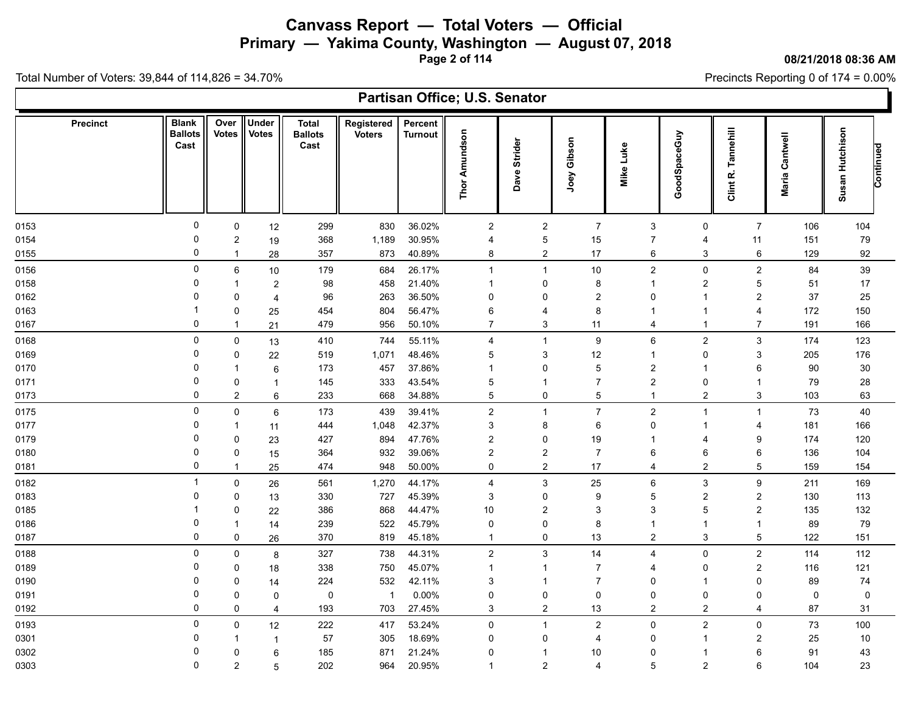**Primary — Yakima County, Washington — August 07, 2018**

**Page 2 of 114**

#### **08/21/2018 08:36 AM**

Precincts Reporting 0 of 174 = 0.00%

|                 |                                        |                         |                              |                                        |                             |                           | Partisan Office; U.S. Senator |                         |                           |                           |                           |                       |                   |                              |  |
|-----------------|----------------------------------------|-------------------------|------------------------------|----------------------------------------|-----------------------------|---------------------------|-------------------------------|-------------------------|---------------------------|---------------------------|---------------------------|-----------------------|-------------------|------------------------------|--|
| <b>Precinct</b> | <b>Blank</b><br><b>Ballots</b><br>Cast | Over<br><b>Votes</b>    | <b>Under</b><br><b>Votes</b> | <b>Total</b><br><b>Ballots</b><br>Cast | Registered<br><b>Voters</b> | Percent<br><b>Turnout</b> | Amundson<br>Thor              | Strider<br>Dave         | Joey Gibson               | Mike Luke                 | GoodSpaceGuy              | Tannehill<br>Clint R. | Cantwell<br>Maria | Susan Hutchison<br>Continued |  |
| 0153            | $\mathbf 0$                            | 0                       | 12                           | 299                                    | 830                         | 36.02%                    | $\overline{c}$                | $\overline{\mathbf{c}}$ | $\overline{7}$            | $\ensuremath{\mathsf{3}}$ | $\mathbf 0$               | $\overline{7}$        | 106               | 104                          |  |
| 0154            | 0                                      | $\overline{\mathbf{c}}$ | 19                           | 368                                    | 1,189                       | 30.95%                    | 4                             | 5                       | 15                        | $\overline{7}$            | 4                         | 11                    | 151               | 79                           |  |
| 0155            | $\mathbf 0$                            | $\mathbf{1}$            | 28                           | 357                                    | 873                         | 40.89%                    | 8                             | $\overline{\mathbf{c}}$ | 17                        | 6                         | 3                         | 6                     | 129               | 92                           |  |
| 0156            | $\mathbf 0$                            | 6                       | 10                           | 179                                    | 684                         | 26.17%                    | $\mathbf{1}$                  | $\mathbf{1}$            | $10\,$                    | $\overline{c}$            | $\mathbf 0$               | $\overline{2}$        | 84                | 39                           |  |
| 0158            | 0                                      |                         | $\overline{2}$               | 98                                     | 458                         | 21.40%                    | -1                            | 0                       | 8                         | $\overline{\mathbf{1}}$   | $\overline{2}$            | 5                     | 51                | 17                           |  |
| 0162            | $\Omega$                               | $\Omega$                | $\overline{4}$               | 96                                     | 263                         | 36.50%                    | $\mathbf{0}$                  | $\mathbf 0$             | $\boldsymbol{2}$          | $\Omega$                  | -1                        | $\overline{2}$        | 37                | 25                           |  |
| 0163            | 1                                      | 0                       | 25                           | 454                                    | 804                         | 56.47%                    | 6                             | 4                       | 8                         | -1                        | -1                        | 4                     | 172               | 150                          |  |
| 0167            | 0                                      | -1                      | 21                           | 479                                    | 956                         | 50.10%                    | $\overline{7}$                | 3                       | 11                        | 4                         | $\overline{1}$            | $\overline{7}$        | 191               | 166                          |  |
| 0168            | 0                                      | 0                       | 13                           | 410                                    | 744                         | 55.11%                    | 4                             | $\overline{1}$          | 9                         | 6                         | 2                         | 3                     | 174               | 123                          |  |
| 0169            | 0                                      | $\mathbf 0$             | 22                           | 519                                    | 1,071                       | 48.46%                    | 5                             | 3                       | 12                        | $\overline{\mathbf{1}}$   | $\Omega$                  | 3                     | 205               | 176                          |  |
| 0170            | $\Omega$                               |                         | 6                            | 173                                    | 457                         | 37.86%                    | $\mathbf 1$                   | $\mathbf{0}$            | $\mathbf 5$               | $\overline{\mathbf{c}}$   |                           | 6                     | 90                | 30                           |  |
| 0171            | $\Omega$                               | 0                       | $\mathbf{1}$                 | 145                                    | 333                         | 43.54%                    | 5                             | $\mathbf 1$             | $\overline{7}$            | $\overline{c}$            | $\mathbf 0$               | -1                    | 79                | 28                           |  |
| 0173            | $\Omega$                               | $\overline{\mathbf{c}}$ | 6                            | 233                                    | 668                         | 34.88%                    | $\sqrt{5}$                    | 0                       | $\mathbf 5$               | -1                        | $\boldsymbol{2}$          | 3                     | 103               | 63                           |  |
| 0175            | $\mathbf 0$                            | 0                       | $\,6$                        | 173                                    | 439                         | 39.41%                    | $\boldsymbol{2}$              | -1                      | $\boldsymbol{7}$          | $\boldsymbol{2}$          | $\overline{\mathbf{1}}$   | $\mathbf 1$           | 73                | 40                           |  |
| 0177            | $\Omega$                               | -1                      | 11                           | 444                                    | 1,048                       | 42.37%                    | 3                             | 8                       | 6                         | 0                         | -1                        | 4                     | 181               | 166                          |  |
| 0179            | $\Omega$                               | $\Omega$                | 23                           | 427                                    | 894                         | 47.76%                    | $\overline{2}$                | $\mathbf 0$             | 19                        | -1                        | 4                         | 9                     | 174               | 120                          |  |
| 0180            | 0                                      | 0                       | 15                           | 364                                    | 932                         | 39.06%                    | $\overline{c}$                | $\overline{\mathbf{c}}$ | $\overline{7}$            | 6                         | 6                         | 6                     | 136               | 104                          |  |
| 0181            | $\mathbf 0$                            | $\overline{1}$          | 25                           | 474                                    | 948                         | 50.00%                    | 0                             | $\overline{c}$          | 17                        | $\overline{4}$            | $\overline{2}$            | 5                     | 159               | 154                          |  |
| 0182            | $\mathbf{1}$                           | 0                       | 26                           | 561                                    | 1,270                       | 44.17%                    | 4                             | 3                       | 25                        | 6                         | $\ensuremath{\mathsf{3}}$ | $\boldsymbol{9}$      | 211               | 169                          |  |
| 0183            | $\Omega$                               | $\mathbf 0$             | 13                           | 330                                    | 727                         | 45.39%                    | 3                             | $\mathbf 0$             | $\boldsymbol{9}$          | 5                         | $\overline{2}$            | $\overline{c}$        | 130               | 113                          |  |
| 0185            |                                        | 0                       | 22                           | 386                                    | 868                         | 44.47%                    | 10                            | $\overline{\mathbf{c}}$ | $\ensuremath{\mathsf{3}}$ | 3                         | 5                         | $\boldsymbol{2}$      | 135               | 132                          |  |
| 0186            | $\Omega$                               |                         | 14                           | 239                                    | 522                         | 45.79%                    | 0                             | $\mathbf 0$             | 8                         | $\overline{\mathbf{1}}$   | -1                        | $\mathbf 1$           | 89                | 79                           |  |
| 0187            | $\mathbf 0$                            | $\mathbf 0$             | 26                           | 370                                    | 819                         | 45.18%                    | $\mathbf{1}$                  | 0                       | $13\,$                    | $\boldsymbol{2}$          | 3                         | 5                     | 122               | 151                          |  |
| 0188            | $\mathbf 0$                            | $\Omega$                | 8                            | 327                                    | 738                         | 44.31%                    | $\boldsymbol{2}$              | 3                       | 14                        | $\overline{4}$            | $\Omega$                  | $\overline{c}$        | 114               | 112                          |  |
| 0189            | $\Omega$                               | 0                       | 18                           | 338                                    | 750                         | 45.07%                    | $\mathbf{1}$                  | $\mathbf 1$             | 7                         | $\overline{4}$            | $\Omega$                  | $\overline{2}$        | 116               | 121                          |  |
| 0190            | $\Omega$                               | $\mathbf{0}$            | 14                           | 224                                    | 532                         | 42.11%                    | 3                             | 1                       | 7                         | $\mathbf{0}$              | -1                        | $\Omega$              | 89                | 74                           |  |
| 0191            | 0                                      | 0                       | $\mathbf 0$                  | 0                                      | $\overline{1}$              | 0.00%                     | 0                             | 0                       | $\mathbf 0$               | 0                         | 0                         | 0                     | 0                 | $\mathbf 0$                  |  |
| 0192            | $\Omega$                               | $\mathbf{0}$            | 4                            | 193                                    | 703                         | 27.45%                    | 3                             | $\overline{c}$          | 13                        | $\overline{2}$            | $\overline{c}$            | $\overline{4}$        | 87                | 31                           |  |
| 0193            | 0                                      | 0                       | 12                           | 222                                    | 417                         | 53.24%                    | $\pmb{0}$                     | $\overline{1}$          | $\overline{c}$            | 0                         | $\overline{c}$            | $\mathbf 0$           | 73                | 100                          |  |
| 0301            | $\Omega$                               |                         | $\mathbf{1}$                 | 57                                     | 305                         | 18.69%                    | $\mathbf 0$                   | 0                       | 4                         | $\Omega$                  | -1                        | $\overline{2}$        | 25                | 10                           |  |
| 0302            | 0                                      | $\mathbf{0}$            | 6                            | 185                                    | 871                         | 21.24%                    | $\Omega$                      | -1                      | 10                        | $\Omega$                  |                           | 6                     | 91                | 43                           |  |
| 0303            | $\mathbf 0$                            | $\overline{2}$          | 5                            | 202                                    | 964                         | 20.95%                    | $\mathbf 1$                   | $\overline{2}$          | 4                         | 5                         | $\overline{2}$            | 6                     | 104               | 23                           |  |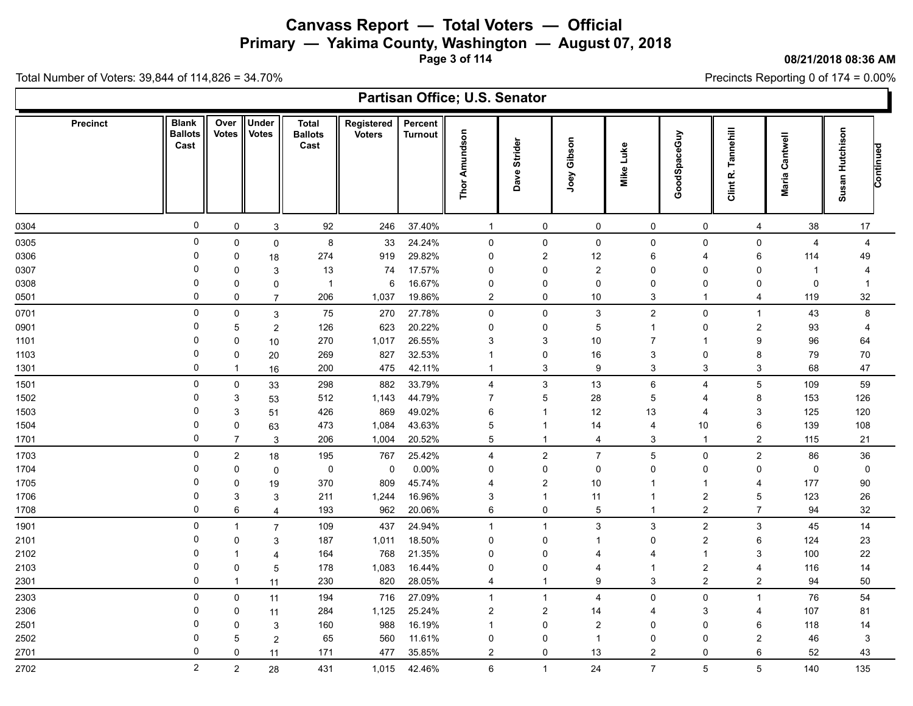**Primary — Yakima County, Washington — August 07, 2018**

**Page 3 of 114**

**08/21/2018 08:36 AM**

Precincts Reporting 0 of 174 = 0.00%

|                 |                                        |                      |                              |                                        |                             |                           | Partisan Office; U.S. Senator |                           |                         |                |                |                       |                   |                              |  |
|-----------------|----------------------------------------|----------------------|------------------------------|----------------------------------------|-----------------------------|---------------------------|-------------------------------|---------------------------|-------------------------|----------------|----------------|-----------------------|-------------------|------------------------------|--|
| <b>Precinct</b> | <b>Blank</b><br><b>Ballots</b><br>Cast | Over<br><b>Votes</b> | <b>Under</b><br><b>Votes</b> | <b>Total</b><br><b>Ballots</b><br>Cast | Registered<br><b>Voters</b> | Percent<br><b>Turnout</b> | Thor Amundson                 | Strider<br>Dave           | Joey Gibson             | Mike Luke      | GoodSpaceGuy   | Tannehill<br>Clint R. | Cantwell<br>Maria | Susan Hutchison<br>Continued |  |
| 0304            | 0                                      | 0                    | 3                            | 92                                     | 246                         | 37.40%                    | $\mathbf{1}$                  | 0                         | 0                       | 0              | 0              | 4                     | 38                | 17                           |  |
| 0305            | $\mathbf 0$                            | $\mathbf 0$          | $\mathbf 0$                  | 8                                      | 33                          | 24.24%                    | 0                             | 0                         | $\mathsf 0$             | 0              | $\mathbf 0$    | 0                     | $\overline{4}$    | $\overline{4}$               |  |
| 0306            | 0                                      | 0                    | 18                           | 274                                    | 919                         | 29.82%                    | 0                             | 2                         | 12                      | 6              | 4              | 6                     | 114               | 49                           |  |
| 0307            | $\Omega$                               | $\mathbf 0$          | 3                            | 13                                     | 74                          | 17.57%                    | 0                             | $\mathbf 0$               | $\overline{2}$          | $\Omega$       | $\Omega$       | $\Omega$              | -1                |                              |  |
| 0308            | 0                                      | $\mathbf 0$          | 0                            | $\overline{1}$                         | 6                           | 16.67%                    | 0                             | $\mathbf 0$               | $\mathbf 0$             | $\Omega$       | $\mathbf{0}$   | 0                     | $\mathbf 0$       | $\mathbf 1$                  |  |
| 0501            | $\Omega$                               | $\mathbf 0$          | $\overline{7}$               | 206                                    | 1,037                       | 19.86%                    | $\overline{c}$                | 0                         | $10\,$                  | 3              | -1             | $\overline{4}$        | 119               | 32                           |  |
| 0701            | 0                                      | $\mathsf 0$          | $\mathbf{3}$                 | 75                                     | 270                         | 27.78%                    | 0                             | 0                         | 3                       | $\overline{2}$ | 0              | $\overline{1}$        | 43                | 8                            |  |
| 0901            | 0                                      | 5                    | $\overline{\mathbf{c}}$      | 126                                    | 623                         | 20.22%                    | $\Omega$                      | 0                         | $\overline{5}$          | 1              | $\Omega$       | $\overline{c}$        | 93                | $\overline{4}$               |  |
| 1101            | 0                                      | $\mathbf 0$          | 10                           | 270                                    | 1,017                       | 26.55%                    | 3                             | 3                         | 10                      | 7              | 1              | 9                     | 96                | 64                           |  |
| 1103            | $\Omega$                               | $\mathbf 0$          | 20                           | 269                                    | 827                         | 32.53%                    | -1                            | 0                         | 16                      | 3              | $\mathbf 0$    | 8                     | 79                | 70                           |  |
| 1301            | $\Omega$                               | $\mathbf{1}$         | 16                           | 200                                    | 475                         | 42.11%                    | -1                            | $\ensuremath{\mathsf{3}}$ | 9                       | 3              | 3              | 3                     | 68                | 47                           |  |
| 1501            | $\Omega$                               | $\mathbf 0$          | 33                           | 298                                    | 882                         | 33.79%                    | 4                             | 3                         | 13                      | 6              | $\overline{4}$ | 5                     | 109               | 59                           |  |
| 1502            | $\Omega$                               | 3                    | 53                           | 512                                    | 1,143                       | 44.79%                    | $\overline{7}$                | 5                         | 28                      | 5              | 4              | 8                     | 153               | 126                          |  |
| 1503            | 0                                      | 3                    | 51                           | 426                                    | 869                         | 49.02%                    | 6                             | $\mathbf 1$               | 12                      | 13             | 4              | 3                     | 125               | 120                          |  |
| 1504            | $\Omega$                               | $\pmb{0}$            | 63                           | 473                                    | 1,084                       | 43.63%                    | 5                             | $\mathbf 1$               | 14                      | $\overline{4}$ | 10             | 6                     | 139               | 108                          |  |
| 1701            | $\Omega$                               | $\overline{7}$       | $\ensuremath{\mathsf{3}}$    | 206                                    | 1,004                       | 20.52%                    | 5                             | $\overline{1}$            | 4                       | 3              | $\overline{1}$ | $\overline{2}$        | 115               | 21                           |  |
| 1703            | $\mathbf 0$                            | $\boldsymbol{2}$     | 18                           | 195                                    | 767                         | 25.42%                    | 4                             | $\boldsymbol{2}$          | $\boldsymbol{7}$        | 5              | 0              | $\boldsymbol{2}$      | 86                | 36                           |  |
| 1704            | 0                                      | $\mathbf 0$          | 0                            | $\mathbf 0$                            | $\mathbf 0$                 | 0.00%                     | $\Omega$                      | 0                         | $\mathbf 0$             | $\Omega$       | $\Omega$       | $\mathbf{0}$          | 0                 | $\mathbf 0$                  |  |
| 1705            | $\Omega$                               | $\mathbf 0$          | 19                           | 370                                    | 809                         | 45.74%                    | 4                             | $\boldsymbol{2}$          | 10                      |                | 1              | 4                     | 177               | 90                           |  |
| 1706            | $\Omega$                               | 3                    | 3                            | 211                                    | 1,244                       | 16.96%                    | 3                             | $\overline{1}$            | 11                      | 1              | $\overline{c}$ | $\mathbf 5$           | 123               | 26                           |  |
| 1708            | $\Omega$                               | 6                    | $\overline{\mathbf{4}}$      | 193                                    | 962                         | 20.06%                    | 6                             | 0                         | $\overline{5}$          | 1              | $\overline{c}$ | $\overline{7}$        | 94                | 32                           |  |
| 1901            | $\Omega$                               | $\mathbf{1}$         | $\overline{7}$               | 109                                    | 437                         | 24.94%                    | $\mathbf{1}$                  | $\overline{1}$            | $\mathbf{3}$            | 3              | $\overline{c}$ | 3                     | 45                | 14                           |  |
| 2101            | $\Omega$                               | $\mathbf 0$          | 3                            | 187                                    | 1,011                       | 18.50%                    | $\mathbf 0$                   | 0                         | $\overline{1}$          | $\Omega$       | $\overline{2}$ | 6                     | 124               | 23                           |  |
| 2102            | $\Omega$                               | 1                    | $\overline{4}$               | 164                                    | 768                         | 21.35%                    | $\Omega$                      | 0                         | $\overline{4}$          | 4              | 1              | 3                     | 100               | 22                           |  |
| 2103            | 0                                      | $\mathbf 0$          | 5                            | 178                                    | 1,083                       | 16.44%                    | 0                             | 0                         | $\overline{4}$          | $\mathbf{1}$   | $\overline{c}$ | 4                     | 116               | 14                           |  |
| 2301            | $\Omega$                               | $\mathbf{1}$         | 11                           | 230                                    | 820                         | 28.05%                    | 4                             | $\mathbf 1$               | 9                       | 3              | $\overline{2}$ | $\overline{2}$        | 94                | 50                           |  |
| 2303            | $\mathbf 0$                            | $\pmb{0}$            | 11                           | 194                                    | 716                         | 27.09%                    | $\mathbf{1}$                  | $\mathbf{1}$              | $\overline{4}$          | $\mathbf 0$    | 0              | $\mathbf 1$           | 76                | 54                           |  |
| 2306            | 0                                      | 0                    | 11                           | 284                                    | 1,125                       | 25.24%                    | $\overline{c}$                | 2                         | 14                      | 4              | 3              | 4                     | 107               | 81                           |  |
| 2501            | $\Omega$                               | $\mathbf 0$          | 3                            | 160                                    | 988                         | 16.19%                    | -1                            | 0                         | $\overline{\mathbf{c}}$ | $\Omega$       | $\Omega$       | 6                     | 118               | 14                           |  |
| 2502            | $\Omega$                               | 5                    | $\overline{c}$               | 65                                     | 560                         | 11.61%                    | 0                             | 0                         | $\mathbf{1}$            | 0              | 0              | $\overline{2}$        | 46                | 3                            |  |
| 2701            | $\Omega$                               | $\mathbf 0$          | 11                           | 171                                    | 477                         | 35.85%                    | $\overline{c}$                | 0                         | 13                      | $\overline{2}$ | $\Omega$       | 6                     | 52                | 43                           |  |
| 2702            | $\overline{2}$                         | $\overline{2}$       | 28                           | 431                                    | 1,015                       | 42.46%                    | 6                             | $\overline{1}$            | 24                      | $\overline{7}$ | 5              | 5                     | 140               | 135                          |  |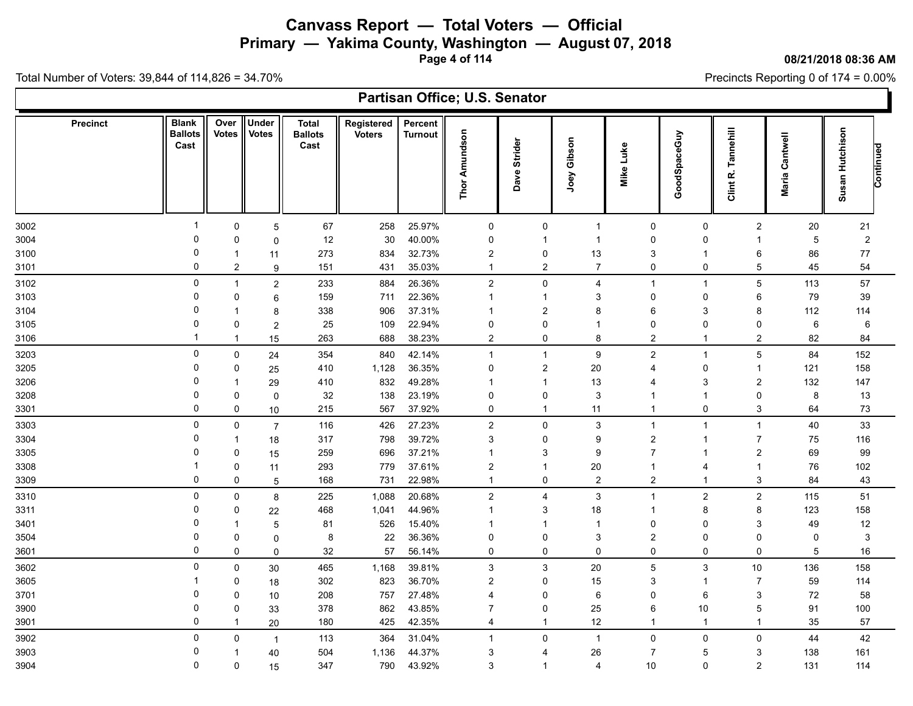**Primary — Yakima County, Washington — August 07, 2018**

**Page 4 of 114**

**08/21/2018 08:36 AM**

Precincts Reporting 0 of 174 = 0.00%

| Partisan Office; U.S. Senator<br><b>Blank</b><br>Under<br>Over<br><b>Total</b><br>Registered<br>Percent<br><b>Precinct</b><br>Tannehill<br>Susan Hutchison<br><b>Thor Amundson</b><br><b>Votes</b><br><b>Votes</b><br>GoodSpaceGuy<br><b>Ballots</b><br><b>Voters</b><br><b>Ballots</b><br><b>Turnout</b><br>Cantwell<br>Joey Gibson<br>Strider<br>Cast<br>Cast<br>Mike Luke<br>Continued<br>Dave<br>Clint R.<br>Maria |  |  |  |  |  |  |  |  |  |  |  |  |  |
|------------------------------------------------------------------------------------------------------------------------------------------------------------------------------------------------------------------------------------------------------------------------------------------------------------------------------------------------------------------------------------------------------------------------|--|--|--|--|--|--|--|--|--|--|--|--|--|
|                                                                                                                                                                                                                                                                                                                                                                                                                        |  |  |  |  |  |  |  |  |  |  |  |  |  |
| 21                                                                                                                                                                                                                                                                                                                                                                                                                     |  |  |  |  |  |  |  |  |  |  |  |  |  |
| $\overline{2}$                                                                                                                                                                                                                                                                                                                                                                                                         |  |  |  |  |  |  |  |  |  |  |  |  |  |
| 77                                                                                                                                                                                                                                                                                                                                                                                                                     |  |  |  |  |  |  |  |  |  |  |  |  |  |
| 54                                                                                                                                                                                                                                                                                                                                                                                                                     |  |  |  |  |  |  |  |  |  |  |  |  |  |
| 57                                                                                                                                                                                                                                                                                                                                                                                                                     |  |  |  |  |  |  |  |  |  |  |  |  |  |
| 39                                                                                                                                                                                                                                                                                                                                                                                                                     |  |  |  |  |  |  |  |  |  |  |  |  |  |
| 114                                                                                                                                                                                                                                                                                                                                                                                                                    |  |  |  |  |  |  |  |  |  |  |  |  |  |
| 6                                                                                                                                                                                                                                                                                                                                                                                                                      |  |  |  |  |  |  |  |  |  |  |  |  |  |
| 84                                                                                                                                                                                                                                                                                                                                                                                                                     |  |  |  |  |  |  |  |  |  |  |  |  |  |
| 152                                                                                                                                                                                                                                                                                                                                                                                                                    |  |  |  |  |  |  |  |  |  |  |  |  |  |
| 158                                                                                                                                                                                                                                                                                                                                                                                                                    |  |  |  |  |  |  |  |  |  |  |  |  |  |
| 147                                                                                                                                                                                                                                                                                                                                                                                                                    |  |  |  |  |  |  |  |  |  |  |  |  |  |
| 13                                                                                                                                                                                                                                                                                                                                                                                                                     |  |  |  |  |  |  |  |  |  |  |  |  |  |
| $73\,$                                                                                                                                                                                                                                                                                                                                                                                                                 |  |  |  |  |  |  |  |  |  |  |  |  |  |
| 33                                                                                                                                                                                                                                                                                                                                                                                                                     |  |  |  |  |  |  |  |  |  |  |  |  |  |
| 116                                                                                                                                                                                                                                                                                                                                                                                                                    |  |  |  |  |  |  |  |  |  |  |  |  |  |
| 99                                                                                                                                                                                                                                                                                                                                                                                                                     |  |  |  |  |  |  |  |  |  |  |  |  |  |
| 102                                                                                                                                                                                                                                                                                                                                                                                                                    |  |  |  |  |  |  |  |  |  |  |  |  |  |
| 43                                                                                                                                                                                                                                                                                                                                                                                                                     |  |  |  |  |  |  |  |  |  |  |  |  |  |
| 51                                                                                                                                                                                                                                                                                                                                                                                                                     |  |  |  |  |  |  |  |  |  |  |  |  |  |
| 158                                                                                                                                                                                                                                                                                                                                                                                                                    |  |  |  |  |  |  |  |  |  |  |  |  |  |
| 12                                                                                                                                                                                                                                                                                                                                                                                                                     |  |  |  |  |  |  |  |  |  |  |  |  |  |
| 3                                                                                                                                                                                                                                                                                                                                                                                                                      |  |  |  |  |  |  |  |  |  |  |  |  |  |
| 16                                                                                                                                                                                                                                                                                                                                                                                                                     |  |  |  |  |  |  |  |  |  |  |  |  |  |
| 158                                                                                                                                                                                                                                                                                                                                                                                                                    |  |  |  |  |  |  |  |  |  |  |  |  |  |
| 114                                                                                                                                                                                                                                                                                                                                                                                                                    |  |  |  |  |  |  |  |  |  |  |  |  |  |
| 58                                                                                                                                                                                                                                                                                                                                                                                                                     |  |  |  |  |  |  |  |  |  |  |  |  |  |
| 100                                                                                                                                                                                                                                                                                                                                                                                                                    |  |  |  |  |  |  |  |  |  |  |  |  |  |
| 57                                                                                                                                                                                                                                                                                                                                                                                                                     |  |  |  |  |  |  |  |  |  |  |  |  |  |
| 42                                                                                                                                                                                                                                                                                                                                                                                                                     |  |  |  |  |  |  |  |  |  |  |  |  |  |
| 161                                                                                                                                                                                                                                                                                                                                                                                                                    |  |  |  |  |  |  |  |  |  |  |  |  |  |
| 114                                                                                                                                                                                                                                                                                                                                                                                                                    |  |  |  |  |  |  |  |  |  |  |  |  |  |
|                                                                                                                                                                                                                                                                                                                                                                                                                        |  |  |  |  |  |  |  |  |  |  |  |  |  |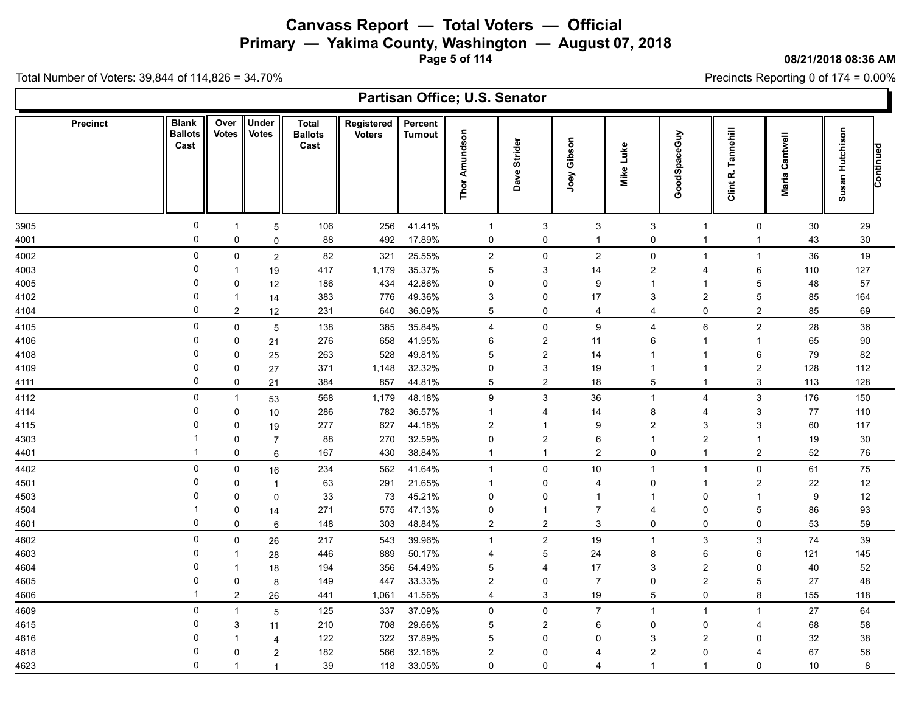**Primary — Yakima County, Washington — August 07, 2018**

**Page 5 of 114**

**08/21/2018 08:36 AM**

Precincts Reporting 0 of 174 = 0.00%

|                 |                                        |                |                              |                                        |                             |                           | Partisan Office; U.S. Senator |                         |                  |                         |                         |                       |                   |                              |  |
|-----------------|----------------------------------------|----------------|------------------------------|----------------------------------------|-----------------------------|---------------------------|-------------------------------|-------------------------|------------------|-------------------------|-------------------------|-----------------------|-------------------|------------------------------|--|
| <b>Precinct</b> | <b>Blank</b><br><b>Ballots</b><br>Cast | Over<br>Votes  | <b>Under</b><br><b>Votes</b> | <b>Total</b><br><b>Ballots</b><br>Cast | Registered<br><b>Voters</b> | Percent<br><b>Turnout</b> | <b>Thor Amundson</b>          | Strider<br>Dave         | Joey Gibson      | Mike Luke               | GoodSpaceGuy            | Tannehill<br>Clint R. | Cantwell<br>Maria | Susan Hutchison<br>Continued |  |
| 3905            | 0                                      | $\mathbf{1}$   | $\mathbf 5$                  | 106                                    | 256                         | 41.41%                    | $\mathbf{1}$                  | 3                       | 3                | 3                       | $\overline{1}$          | 0                     | 30                | 29                           |  |
| 4001            | 0                                      | $\mathbf 0$    | 0                            | 88                                     | 492                         | 17.89%                    | 0                             | 0                       | $\mathbf{1}$     | 0                       | $\overline{1}$          | -1                    | 43                | 30                           |  |
| 4002            | 0                                      | 0              | $\overline{2}$               | 82                                     | 321                         | 25.55%                    | $\sqrt{2}$                    | $\pmb{0}$               | $\boldsymbol{2}$ | 0                       | -1                      | $\mathbf{1}$          | 36                | 19                           |  |
| 4003            | 0                                      | $\mathbf 1$    | 19                           | 417                                    | 1,179                       | 35.37%                    | 5                             | 3                       | 14               | $\overline{2}$          | 4                       | 6                     | 110               | 127                          |  |
| 4005            | 0                                      | 0              | 12                           | 186                                    | 434                         | 42.86%                    | 0                             | 0                       | $\boldsymbol{9}$ | -1                      | -1                      | 5                     | 48                | 57                           |  |
| 4102            | 0                                      | -1             | 14                           | 383                                    | 776                         | 49.36%                    | 3                             | 0                       | 17               | 3                       | $\overline{c}$          | 5                     | 85                | 164                          |  |
| 4104            | $\mathbf 0$                            | $\overline{2}$ | 12                           | 231                                    | 640                         | 36.09%                    | $\overline{5}$                | $\pmb{0}$               | 4                | 4                       | 0                       | $\overline{c}$        | 85                | 69                           |  |
| 4105            | 0                                      | 0              | $\mathbf 5$                  | 138                                    | 385                         | 35.84%                    | 4                             | 0                       | 9                | $\overline{4}$          | 6                       | $\overline{c}$        | 28                | 36                           |  |
| 4106            | 0                                      | 0              | 21                           | 276                                    | 658                         | 41.95%                    | 6                             | $\boldsymbol{2}$        | 11               | 6                       | -1                      |                       | 65                | 90                           |  |
| 4108            | 0                                      | $\mathbf 0$    | 25                           | 263                                    | 528                         | 49.81%                    | 5                             | 2                       | 14               | 1                       | -1                      | 6                     | 79                | 82                           |  |
| 4109            | 0                                      | 0              | 27                           | 371                                    | 1,148                       | 32.32%                    | 0                             | 3                       | 19               | $\overline{1}$          | $\overline{1}$          | $\overline{2}$        | 128               | 112                          |  |
| 4111            | 0                                      | 0              | 21                           | 384                                    | 857                         | 44.81%                    | 5                             | $\overline{2}$          | 18               | 5                       | $\mathbf 1$             | 3                     | 113               | 128                          |  |
| 4112            | 0                                      | $\mathbf{1}$   | 53                           | 568                                    | 1,179                       | 48.18%                    | 9                             | 3                       | 36               | $\overline{1}$          | 4                       | 3                     | 176               | 150                          |  |
| 4114            | 0                                      | 0              | 10                           | 286                                    | 782                         | 36.57%                    | -1                            | 4                       | 14               | 8                       | 4                       | 3                     | 77                | 110                          |  |
| 4115            | 0                                      | $\mathbf 0$    | 19                           | 277                                    | 627                         | 44.18%                    | $\overline{2}$                | 1                       | 9                | $\overline{2}$          | 3                       | 3                     | 60                | 117                          |  |
| 4303            | -1                                     | 0              | $\overline{7}$               | 88                                     | 270                         | 32.59%                    | 0                             | $\overline{\mathbf{c}}$ | $\,6\,$          | $\overline{1}$          | $\overline{2}$          | -1                    | 19                | 30                           |  |
| 4401            | $\overline{1}$                         | 0              | 6                            | 167                                    | 430                         | 38.84%                    | $\overline{1}$                | $\overline{1}$          | $\boldsymbol{2}$ | 0                       | $\overline{1}$          | $\overline{2}$        | 52                | 76                           |  |
| 4402            | 0                                      | 0              | 16                           | 234                                    | 562                         | 41.64%                    | $\mathbf{1}$                  | $\mathbf 0$             | 10               | $\overline{1}$          | $\overline{1}$          | $\mathbf 0$           | 61                | 75                           |  |
| 4501            | 0                                      | 0              | $\overline{1}$               | 63                                     | 291                         | 21.65%                    | -1                            | 0                       | 4                | 0                       | -1                      | $\overline{2}$        | 22                | 12                           |  |
| 4503            | 0                                      | 0              | 0                            | 33                                     | 73                          | 45.21%                    | 0                             | 0                       | $\mathbf{1}$     | 1                       | $\mathbf{0}$            |                       | 9                 | 12                           |  |
| 4504            | -1                                     | 0              | 14                           | 271                                    | 575                         | 47.13%                    | 0                             | 1                       | $\overline{7}$   | $\overline{4}$          | 0                       | 5                     | 86                | 93                           |  |
| 4601            | 0                                      | $\mathbf 0$    | 6                            | 148                                    | 303                         | 48.84%                    | $\overline{2}$                | $\overline{2}$          | $\mathbf{3}$     | $\Omega$                | $\Omega$                | $\mathbf 0$           | 53                | 59                           |  |
| 4602            | $\Omega$                               | 0              | 26                           | 217                                    | 543                         | 39.96%                    | $\mathbf{1}$                  | $\overline{c}$          | 19               | $\overline{1}$          | 3                       | 3                     | 74                | 39                           |  |
| 4603            | 0                                      | $\mathbf 1$    | 28                           | 446                                    | 889                         | 50.17%                    | 4                             | 5                       | 24               | 8                       | 6                       | 6                     | 121               | 145                          |  |
| 4604            | 0                                      |                | 18                           | 194                                    | 356                         | 54.49%                    | 5                             | 4                       | 17               | 3                       | 2                       | $\Omega$              | 40                | 52                           |  |
| 4605            | 0                                      | 0              | 8                            | 149                                    | 447                         | 33.33%                    | 2                             | 0                       | $\boldsymbol{7}$ | 0                       | $\overline{2}$          | 5                     | 27                | 48                           |  |
| 4606            | -1                                     | $\overline{2}$ | 26                           | 441                                    | 1,061                       | 41.56%                    | 4                             | 3                       | 19               | 5                       | 0                       | 8                     | 155               | 118                          |  |
| 4609            | 0                                      | $\mathbf{1}$   | 5                            | 125                                    | 337                         | 37.09%                    | 0                             | 0                       | 7                | $\overline{1}$          | $\overline{1}$          | $\overline{1}$        | 27                | 64                           |  |
| 4615            | 0                                      | 3              | 11                           | 210                                    | 708                         | 29.66%                    | 5                             | $\overline{c}$          | 6                | $\mathbf{0}$            | 0                       | 4                     | 68                | 58                           |  |
| 4616            | 0                                      | -1             | 4                            | 122                                    | 322                         | 37.89%                    | 5                             | 0                       | $\mathbf 0$      | 3                       | 2                       | $\Omega$              | 32                | 38                           |  |
| 4618            | 0                                      | 0              | $\overline{\mathbf{c}}$      | 182                                    | 566                         | 32.16%                    | $\overline{2}$                | 0                       | 4                | $\overline{2}$          | 0                       | -4                    | 67                | 56                           |  |
| 4623            | 0                                      | -1             | $\overline{1}$               | 39                                     | 118                         | 33.05%                    | 0                             | 0                       | 4                | $\overline{\mathbf{1}}$ | $\overline{\mathbf{1}}$ | 0                     | 10                | 8                            |  |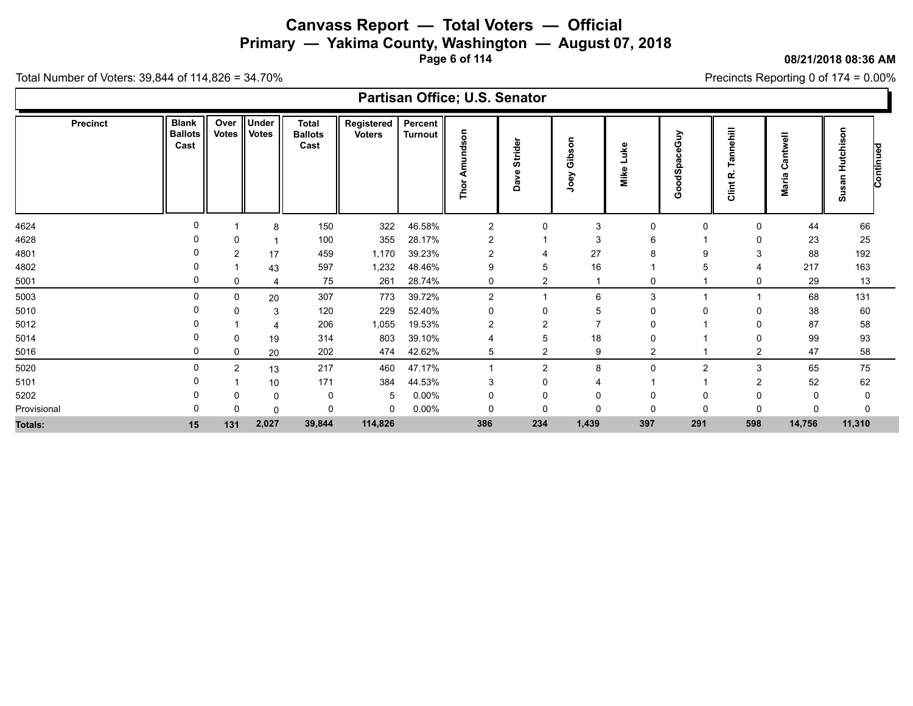**Primary — Yakima County, Washington — August 07, 2018**

**Page 6 of 114**

#### **08/21/2018 08:36 AM**

Precincts Reporting 0 of 174 = 0.00%

|             | Partisan Office; U.S. Senator<br>Under<br><b>Blank</b><br>Over<br><b>Total</b><br>Registered<br>Percent<br><b>Precinct</b><br>nehill<br>Hutchison<br>Votes   Votes<br>son<br><b>Ballots</b><br><b>Ballots</b><br><b>Turnout</b><br><b>Voters</b><br>GoodSpaceGuy<br>등<br>Gibson<br>Strider<br>Cast<br>Cast<br>Luke<br><b>Continued</b><br>ಕ<br>⊂<br>۴ā<br>$\boldsymbol{\sigma}$<br>ပ<br>Mike<br>ω<br>Joey<br>$\alpha$<br>œ<br>nav<br>Da<br>Έ<br>Thor<br>Clint<br>σ<br><b>S</b><br>Σ<br>5<br>150<br>46.58%<br>322<br>$\overline{2}$<br>0<br>3<br>44<br>66<br>$\mathbf{0}$<br>0<br>$\Omega$<br>8<br>28.17%<br>3<br>100<br>355<br>23<br>25<br>2<br>6<br>0<br>27<br>1,170<br>39.23%<br>459<br>88<br>192<br>2<br>17 |                |       |        |         |          |                |                         |             |                |               |                |              |        |
|-------------|----------------------------------------------------------------------------------------------------------------------------------------------------------------------------------------------------------------------------------------------------------------------------------------------------------------------------------------------------------------------------------------------------------------------------------------------------------------------------------------------------------------------------------------------------------------------------------------------------------------------------------------------------------------------------------------------------------------|----------------|-------|--------|---------|----------|----------------|-------------------------|-------------|----------------|---------------|----------------|--------------|--------|
|             |                                                                                                                                                                                                                                                                                                                                                                                                                                                                                                                                                                                                                                                                                                                |                |       |        |         |          |                |                         |             |                |               |                |              |        |
| 4624        |                                                                                                                                                                                                                                                                                                                                                                                                                                                                                                                                                                                                                                                                                                                |                |       |        |         |          |                |                         |             |                |               |                |              |        |
| 4628        |                                                                                                                                                                                                                                                                                                                                                                                                                                                                                                                                                                                                                                                                                                                |                |       |        |         |          |                |                         |             |                |               |                |              |        |
| 4801        |                                                                                                                                                                                                                                                                                                                                                                                                                                                                                                                                                                                                                                                                                                                |                |       |        |         |          |                |                         |             |                |               |                |              |        |
| 4802        |                                                                                                                                                                                                                                                                                                                                                                                                                                                                                                                                                                                                                                                                                                                |                | 43    | 597    | 1,232   | 48.46%   | 9              | 5                       | 16          |                |               |                | 217          | 163    |
| 5001        |                                                                                                                                                                                                                                                                                                                                                                                                                                                                                                                                                                                                                                                                                                                | 0              |       | 75     | 261     | 28.74%   | 0              | $\overline{\mathbf{c}}$ |             | 0              |               | 0              | 29           | 13     |
| 5003        | <sup>0</sup>                                                                                                                                                                                                                                                                                                                                                                                                                                                                                                                                                                                                                                                                                                   | 0              | 20    | 307    | 773     | 39.72%   | $\overline{2}$ |                         | 6           | 3              |               |                | 68           | 131    |
| 5010        |                                                                                                                                                                                                                                                                                                                                                                                                                                                                                                                                                                                                                                                                                                                | 0              | 3     | 120    | 229     | 52.40%   | 0              | $\Omega$                | 5           | 0              |               | 0              | 38           | 60     |
| 5012        |                                                                                                                                                                                                                                                                                                                                                                                                                                                                                                                                                                                                                                                                                                                |                |       | 206    | 1,055   | 19.53%   | 2              | 2                       |             | 0              |               |                | 87           | 58     |
| 5014        |                                                                                                                                                                                                                                                                                                                                                                                                                                                                                                                                                                                                                                                                                                                | 0              | 19    | 314    | 803     | 39.10%   | 4              | 5                       | 18          | 0              |               |                | 99           | 93     |
| 5016        | 0                                                                                                                                                                                                                                                                                                                                                                                                                                                                                                                                                                                                                                                                                                              | 0              | 20    | 202    | 474     | 42.62%   | 5              | 2                       | 9           | $\overline{2}$ |               | $\overline{c}$ | 47           | 58     |
| 5020        | $\Omega$                                                                                                                                                                                                                                                                                                                                                                                                                                                                                                                                                                                                                                                                                                       | $\overline{2}$ | 13    | 217    | 460     | 47.17%   |                | $\overline{2}$          | 8           | $\Omega$       | $\mathcal{P}$ | 3              | 65           | 75     |
| 5101        |                                                                                                                                                                                                                                                                                                                                                                                                                                                                                                                                                                                                                                                                                                                |                | 10    | 171    | 384     | 44.53%   | 3              | 0                       |             |                |               |                | 52           | 62     |
| 5202        |                                                                                                                                                                                                                                                                                                                                                                                                                                                                                                                                                                                                                                                                                                                | 0              | 0     | 0      | 5       | $0.00\%$ | 0              | 0                       | 0           | C              |               |                | <sup>0</sup> | 0      |
| Provisional |                                                                                                                                                                                                                                                                                                                                                                                                                                                                                                                                                                                                                                                                                                                | 0              | 0     |        | 0       | $0.00\%$ | 0              | 0                       | $\mathbf 0$ | 0              | 0             |                | 0            |        |
| Totals:     | 15                                                                                                                                                                                                                                                                                                                                                                                                                                                                                                                                                                                                                                                                                                             | 131            | 2,027 | 39,844 | 114,826 |          | 386            | 234                     | 1,439       | 397            | 291           | 598            | 14,756       | 11,310 |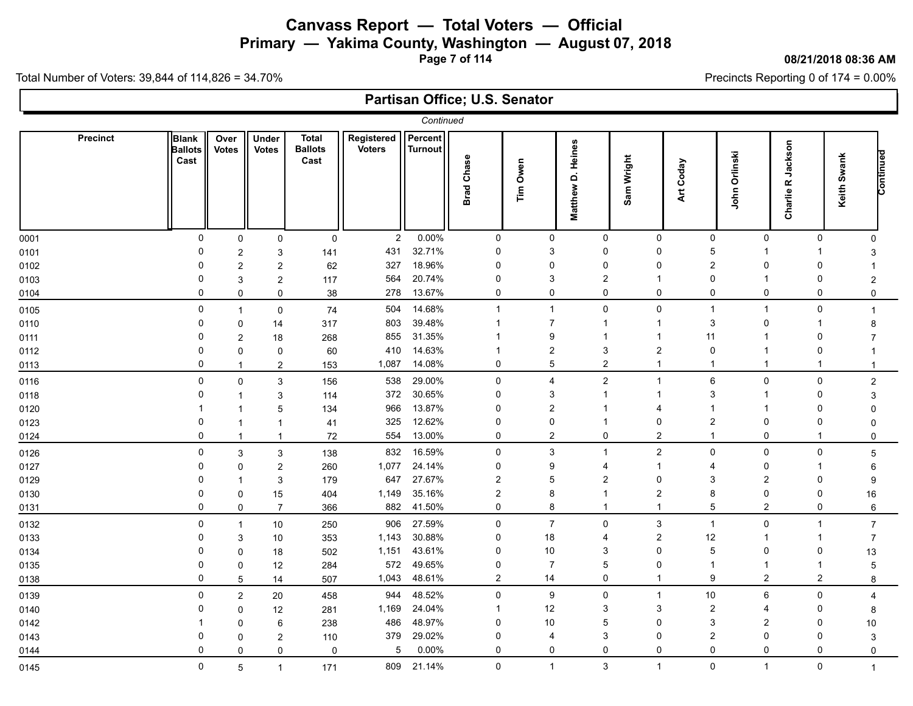# **Canvass Report — Total Voters — Official Primary — Yakima County, Washington — August 07, 2018**

**Page 7 of 114**

#### **08/21/2018 08:36 AM**

Precincts Reporting 0 of 174 = 0.00%

|                 |                                        |                      |                       |                                        |                             | Continued                 |                   |                  |                             |            |                |                  |                |                                |                  |           |
|-----------------|----------------------------------------|----------------------|-----------------------|----------------------------------------|-----------------------------|---------------------------|-------------------|------------------|-----------------------------|------------|----------------|------------------|----------------|--------------------------------|------------------|-----------|
| <b>Precinct</b> | <b>Blank</b><br><b>Ballots</b><br>Cast | Over<br><b>Votes</b> | Under<br><b>Votes</b> | <b>Total</b><br><b>Ballots</b><br>Cast | Registered<br><b>Voters</b> | Percent<br><b>Turnout</b> | <b>Brad Chase</b> | Tim Owen         | D. Heines<br><b>Matthew</b> | Sam Wright | Art Coday      | Orlinski<br>John |                | Jackson<br>œ<br><b>Charlie</b> | Keith Swank      | Continued |
| 0001            | 0                                      | $\mathbf 0$          | 0                     | $\pmb{0}$                              | $\overline{2}$              | 0.00%                     | $\mathbf 0$       | $\mathbf 0$      | $\mathbf 0$                 |            | $\mathbf 0$    | $\mathbf 0$      | $\mathbf 0$    | $\mathbf 0$                    | $\Omega$         |           |
| 0101            | 0                                      | $\overline{c}$       | 3                     | 141                                    | 431                         | 32.71%                    | $\mathbf 0$       | 3                | $\mathbf{0}$                |            | 0              | 5                | 1              | -1                             | 3                |           |
| 0102            | $\Omega$                               | $\overline{c}$       | $\overline{c}$        | 62                                     | 327                         | 18.96%                    | $\mathbf 0$       | $\Omega$         | $\Omega$                    |            | $\Omega$       | $\boldsymbol{2}$ | $\Omega$       | $\Omega$                       |                  |           |
| 0103            | 0                                      | 3                    | $\overline{c}$        | 117                                    | 564                         | 20.74%                    | 0                 | 3                | $\overline{2}$              |            |                | 0                | -1             | $\Omega$                       | $\overline{2}$   |           |
| 0104            | 0                                      | 0                    | 0                     | 38                                     | 278                         | 13.67%                    | $\mathbf 0$       | 0                | $\Omega$                    |            | $\Omega$       | 0                | $\mathbf 0$    | 0                              | $\mathbf 0$      |           |
| 0105            | 0                                      | 1                    | 0                     | 74                                     | 504                         | 14.68%                    | $\overline{1}$    | $\mathbf{1}$     | $\Omega$                    |            | 0              | $\mathbf 1$      | $\overline{1}$ | 0                              | -1               |           |
| 0110            | $\Omega$                               | 0                    | 14                    | 317                                    | 803                         | 39.48%                    | $\mathbf 1$       | $\overline{7}$   |                             |            | -1             | 3                | $\Omega$       | $\mathbf{1}$                   | 8                |           |
| 0111            | $\Omega$                               | 2                    | 18                    | 268                                    | 855                         | 31.35%                    |                   | 9                |                             |            |                | 11               |                | 0                              |                  |           |
| 0112            | 0                                      | $\mathbf 0$          | $\mathbf 0$           | 60                                     | 410                         | 14.63%                    | -1                | $\overline{c}$   | 3                           |            | $\overline{2}$ | 0                | $\mathbf 1$    | $\mathbf 0$                    |                  |           |
| 0113            | $\mathbf 0$                            | $\mathbf{1}$         | $\overline{2}$        | 153                                    | 1,087                       | 14.08%                    | $\mathbf 0$       | 5                | $\overline{2}$              |            | 1              | -1               | $\overline{1}$ | $\mathbf{1}$                   | $\mathbf 1$      |           |
| 0116            | $\mathbf 0$                            | 0                    | 3                     | 156                                    | 538                         | 29.00%                    | $\mathbf 0$       | $\overline{4}$   | $\overline{2}$              |            | $\overline{1}$ | 6                | $\mathbf 0$    | $\mathbf 0$                    | $\boldsymbol{2}$ |           |
| 0118            | 0                                      | 1                    | 3                     | 114                                    | 372                         | 30.65%                    | $\mathbf 0$       | 3                |                             |            | 1              | 3                | $\mathbf 1$    | $\Omega$                       | 3                |           |
| 0120            |                                        |                      | 5                     | 134                                    | 966                         | 13.87%                    | $\mathbf 0$       | $\overline{2}$   |                             |            | 4              |                  | -1             | $\Omega$                       |                  |           |
| 0123            | 0                                      | 1                    | $\mathbf 1$           | 41                                     | 325                         | 12.62%                    | 0                 | $\Omega$         |                             |            | 0              | $\overline{2}$   | 0              | $\Omega$                       |                  |           |
| 0124            | 0                                      | $\mathbf{1}$         | $\mathbf{1}$          | 72                                     | 554                         | 13.00%                    | $\mathbf 0$       | $\overline{2}$   | $\Omega$                    |            | $\mathbf{2}$   | $\mathbf{1}$     | $\mathbf 0$    | $\mathbf{1}$                   | $\Omega$         |           |
| 0126            | 0                                      | 3                    | 3                     | 138                                    | 832                         | 16.59%                    | $\mathbf 0$       | 3                | -1                          |            | $\overline{a}$ | 0                | $\mathbf 0$    | 0                              | 5                |           |
| 0127            | $\Omega$                               | 0                    | $\overline{c}$        | 260                                    | 1,077                       | 24.14%                    | 0                 | 9                | 4                           |            | $\mathbf 1$    | $\overline{4}$   | 0              | $\mathbf 1$                    | 6                |           |
| 0129            | $\Omega$                               | 1                    | 3                     | 179                                    | 647                         | 27.67%                    | $\overline{2}$    | 5                | $\overline{2}$              |            | $\Omega$       | 3                | $\overline{2}$ | $\Omega$                       | 9                |           |
| 0130            | 0                                      | 0                    | 15                    | 404                                    | 1,149                       | 35.16%                    | $\overline{2}$    | 8                |                             |            | $\overline{c}$ | 8                | $\mathbf 0$    | 0                              | 16               |           |
| 0131            | $\mathbf 0$                            | 0                    | $\overline{7}$        | 366                                    | 882                         | 41.50%                    | $\mathbf 0$       | 8                | -1                          |            | 1              | 5                | 2              | $\mathbf 0$                    | 6                |           |
| 0132            | 0                                      | $\mathbf{1}$         | 10                    | 250                                    | 906                         | 27.59%                    | $\pmb{0}$         | $\boldsymbol{7}$ | $\Omega$                    |            | 3              | $\mathbf{1}$     | $\mathbf 0$    | $\mathbf{1}$                   | $\overline{7}$   |           |
| 0133            | 0                                      | 3                    | 10                    | 353                                    | 1,143                       | 30.88%                    | $\mathbf 0$       | 18               | 4                           |            | $\overline{2}$ | 12               | $\mathbf 1$    | $\mathbf{1}$                   | $\overline{7}$   |           |
| 0134            | 0                                      | 0                    | 18                    | 502                                    | 1,151                       | 43.61%                    | $\mathbf 0$       | $10\,$           | 3                           |            | 0              | 5                | $\mathbf 0$    | 0                              | 13               |           |
| 0135            | 0                                      | 0                    | 12                    | 284                                    | 572                         | 49.65%                    | $\mathbf 0$       | $\overline{7}$   | 5                           |            | 0              | -1               | -1             | $\mathbf 1$                    | 5                |           |
| 0138            | 0                                      | 5                    | 14                    | 507                                    | 1,043                       | 48.61%                    | $\overline{2}$    | 14               | $\Omega$                    |            | 1              | 9                | $\overline{2}$ | $\overline{2}$                 | 8                |           |
| 0139            | 0                                      | $\overline{2}$       | 20                    | 458                                    | 944                         | 48.52%                    | $\mathbf 0$       | 9                | $\Omega$                    |            | 1              | 10               | 6              | 0                              | 4                |           |
| 0140            | 0                                      | 0                    | 12                    | 281                                    | 1,169                       | 24.04%                    | -1                | 12               | 3                           |            | 3              | $\overline{2}$   | 4              | $\Omega$                       | 8                |           |
| 0142            |                                        | 0                    | 6                     | 238                                    | 486                         | 48.97%                    | $\mathbf 0$       | 10               | 5                           |            | $\Omega$       | 3                | $\overline{2}$ | $\Omega$                       | 10               |           |
| 0143            | 0                                      | 0                    | $\overline{c}$        | 110                                    | 379                         | 29.02%                    | $\mathbf 0$       | 4                | 3                           |            | 0              | $\overline{2}$   | $\mathbf 0$    | $\Omega$                       | 3                |           |
| 0144            | 0                                      | $\Omega$             | 0                     | $\pmb{0}$                              | 5                           | 0.00%                     | $\Omega$          | 0                | $\Omega$                    |            | 0              | $\mathbf 0$      | $\mathbf 0$    | 0                              | $\Omega$         |           |
| 0145            | 0                                      | 5                    | $\mathbf{1}$          | 171                                    | 809                         | 21.14%                    | $\pmb{0}$         | $\mathbf{1}$     | 3                           |            | $\mathbf{1}$   | 0                | $\overline{1}$ | 0                              | $\mathbf{1}$     |           |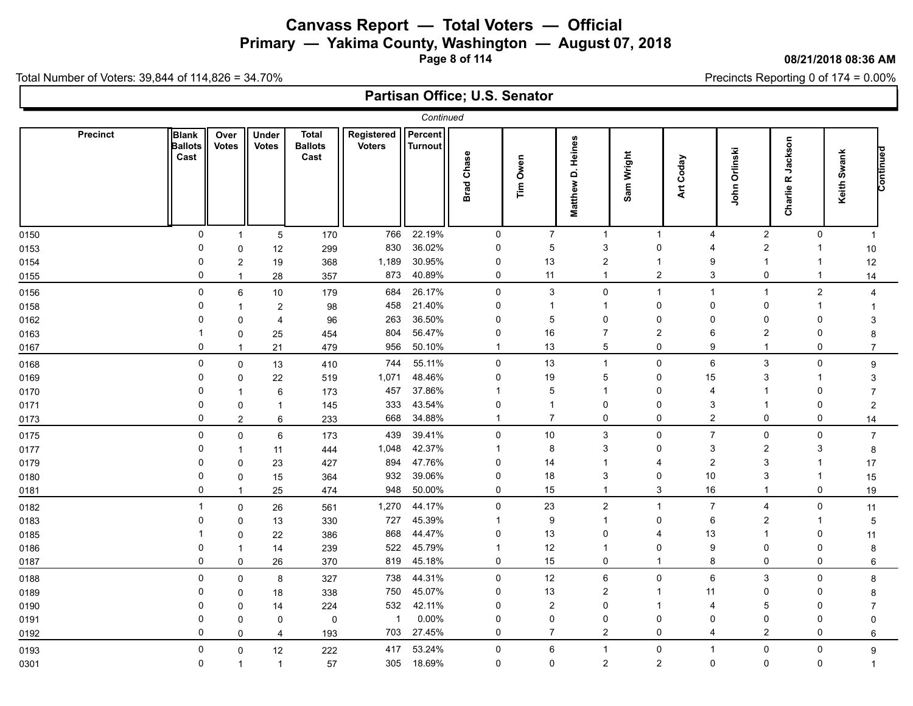**Primary — Yakima County, Washington — August 07, 2018**

**Page 8 of 114**

#### **08/21/2018 08:36 AM**

Precincts Reporting 0 of 174 = 0.00%

Total Number of Voters: 39,844 of 114,826 = 34.70%

|                 |                                 |                      |                                                      |                                        |                             | Continued          |                   |                |                      |                      |                         |                               |                                      |                  |           |
|-----------------|---------------------------------|----------------------|------------------------------------------------------|----------------------------------------|-----------------------------|--------------------|-------------------|----------------|----------------------|----------------------|-------------------------|-------------------------------|--------------------------------------|------------------|-----------|
| <b>Precinct</b> | Blank<br><b>Ballots</b><br>Cast | Over<br><b>Votes</b> | Under<br><b>Votes</b>                                | <b>Total</b><br><b>Ballots</b><br>Cast | Registered<br><b>Voters</b> | Percent<br>Turnout | <b>Brad Chase</b> | Tim Owen       | Matthew D. Heines    | Sam Wright           | Art Coday               | Orlinski<br>John              | Jackson<br>$\pmb{\alpha}$<br>Charlie | Keith Swank      | Continued |
| 0150            |                                 | 0                    | 5<br>$\overline{1}$                                  | 170                                    | 766                         | 22.19%             | 0                 | $\overline{7}$ | $\mathbf{1}$         | $\mathbf 1$          | $\overline{4}$          | $\boldsymbol{2}$              | 0                                    | $\overline{1}$   |           |
| 0153            |                                 | 0                    | 12<br>$\mathbf 0$                                    | 299                                    | 830                         | 36.02%             | $\mathbf 0$       | $\mathbf 5$    | 3                    | 0                    | $\overline{4}$          | $\overline{2}$                | $\mathbf{1}$                         | 10               |           |
| 0154            |                                 | $\mathbf 0$          | 19<br>$\overline{2}$                                 | 368                                    | 1,189                       | 30.95%             | 0                 | 13             | $\overline{2}$       | 1                    | 9                       | $\overline{1}$                | $\mathbf 1$                          | 12               |           |
| 0155            |                                 | $\Omega$             | 28<br>$\overline{1}$                                 | 357                                    | 873                         | 40.89%             | $\mathbf 0$       | 11             | -1                   | $\overline{2}$       | 3                       | $\mathbf 0$                   | $\mathbf{1}$                         | 14               |           |
| 0156            |                                 | 0                    | 6<br>$10\,$                                          | 179                                    | 684                         | 26.17%             | $\mathbf 0$       | 3              | $\mathbf 0$          | $\mathbf 1$          | $\mathbf{1}$            | $\overline{1}$                | $\overline{2}$                       | 4                |           |
| 0158            |                                 | $\Omega$             | $\boldsymbol{2}$<br>$\overline{1}$                   | 98                                     | 458                         | 21.40%             | $\mathbf 0$       | -1             |                      | $\Omega$             | $\mathbf 0$             | $\mathbf 0$                   | $\mathbf{1}$                         |                  |           |
| 0162            |                                 | 0                    | $\overline{4}$<br>$\mathbf{0}$                       | 96                                     | 263                         | 36.50%             | $\mathbf 0$       | 5              | 0                    | 0                    | $\Omega$                | $\mathbf 0$                   | $\mathbf{0}$                         | 3                |           |
| 0163            |                                 |                      | 0<br>25                                              | 454                                    | 804                         | 56.47%             | $\mathbf 0$       | 16             | $\overline{7}$       | $\overline{2}$       | 6                       | $\overline{2}$                | 0                                    | 8                |           |
| 0167            |                                 | 0                    | 21<br>$\overline{1}$                                 | 479                                    | 956                         | 50.10%             | -1                | 13             | 5                    | 0                    | 9                       | $\overline{1}$                | 0                                    | $\overline{7}$   |           |
| 0168            |                                 | $\mathbf{0}$         | 13<br>0                                              | 410                                    | 744                         | 55.11%             | $\mathbf 0$       | 13             |                      | $\Omega$             | 6                       | 3                             | 0                                    | $\boldsymbol{9}$ |           |
| 0169            |                                 | 0                    | 22<br>0                                              | 519                                    | 1,071                       | 48.46%             | $\overline{0}$    | 19             | 5                    | $\mathbf 0$          | 15                      | 3                             | $\mathbf 1$                          | 3                |           |
| 0170            |                                 | $\Omega$             | 6<br>$\overline{1}$                                  | 173                                    | 457                         | 37.86%             | $\Omega$          | 5<br>-1        |                      | $\Omega$<br>$\Omega$ | 4                       | $\overline{1}$                | $\Omega$                             |                  |           |
| 0171            |                                 | $\Omega$<br>$\Omega$ | $\mathbf 0$<br>$\overline{1}$<br>$\overline{2}$<br>6 | 145<br>233                             | 333<br>668                  | 43.54%<br>34.88%   | -1                | $\overline{7}$ | $\Omega$<br>$\Omega$ | 0                    | 3<br>$\overline{2}$     | $\mathbf 0$                   | $\Omega$<br>0                        | $\overline{c}$   |           |
| 0173            |                                 |                      |                                                      |                                        |                             |                    |                   |                |                      |                      | $\overline{7}$          |                               |                                      | 14               |           |
| 0175            |                                 | 0                    | 6<br>0                                               | 173                                    | 439                         | 39.41%<br>42.37%   | $\mathbf 0$<br>-1 | 10<br>8        | 3<br>3               | 0<br>0               |                         | $\mathsf 0$<br>$\overline{2}$ | 0<br>3                               | $\overline{7}$   |           |
| 0177<br>0179    |                                 | 0<br>$\Omega$        | 11<br>$\overline{1}$<br>23<br>$\Omega$               | 444<br>427                             | 1,048<br>894                | 47.76%             | $\mathbf 0$       | 14             |                      | $\Delta$             | 3<br>$\overline{2}$     | 3                             | $\mathbf 1$                          | 8<br>17          |           |
| 0180            |                                 | 0                    | $\mathbf 0$<br>15                                    | 364                                    | 932                         | 39.06%             | 0                 | 18             | 3                    | $\mathbf 0$          | 10                      | 3                             | $\mathbf{1}$                         | 15               |           |
| 0181            |                                 | 0                    | $\overline{1}$<br>25                                 | 474                                    | 948                         | 50.00%             | $\mathbf 0$       | 15             | -1                   | 3                    | 16                      | $\overline{1}$                | 0                                    | 19               |           |
| 0182            |                                 | 1                    | 0<br>26                                              | 561                                    | 1,270                       | 44.17%             | $\mathbf 0$       | 23             | $\overline{c}$       | $\mathbf 1$          | $\overline{7}$          | $\overline{4}$                | 0                                    | 11               |           |
| 0183            |                                 | $\Omega$             | $\mathbf{0}$<br>13                                   | 330                                    | 727                         | 45.39%             | $\overline{1}$    | 9              |                      | 0                    | 6                       | $\overline{2}$                | $\mathbf{1}$                         | 5                |           |
| 0185            |                                 |                      | 22<br>0                                              | 386                                    | 868                         | 44.47%             | $\mathbf 0$       | 13             | $\Omega$             | 4                    | 13                      | $\overline{1}$                | $\Omega$                             | 11               |           |
| 0186            |                                 | 0                    | 14<br>1                                              | 239                                    | 522                         | 45.79%             | -1                | 12             |                      | $\mathbf 0$          | 9                       | $\Omega$                      | $\Omega$                             | 8                |           |
| 0187            |                                 | $\Omega$             | 0<br>26                                              | 370                                    | 819                         | 45.18%             | 0                 | 15             | $\mathbf 0$          | $\mathbf 1$          | 8                       | $\mathbf 0$                   | 0                                    | 6                |           |
| 0188            |                                 | 0                    | 8<br>0                                               | 327                                    | 738                         | 44.31%             | $\mathbf 0$       | 12             | 6                    | 0                    | 6                       | 3                             | 0                                    | 8                |           |
| 0189            |                                 | 0                    | 18<br>0                                              | 338                                    | 750                         | 45.07%             | $\mathbf 0$       | 13             | $\overline{c}$       | 1                    | 11                      | $\mathbf 0$                   | $\mathbf 0$                          | 8                |           |
| 0190            |                                 | 0                    | $\Omega$<br>14                                       | 224                                    | 532                         | 42.11%             | 0                 | 2              | $\Omega$             | -1                   | 4                       | 5                             | $\Omega$                             | $\overline{7}$   |           |
| 0191            |                                 | $\Omega$             | $\Omega$<br>0                                        | 0                                      | $\mathbf{1}$                | 0.00%              | $\mathbf 0$       | $\Omega$       | $\Omega$             | 0                    | $\Omega$                | $\mathbf 0$                   | 0                                    | $\mathbf{0}$     |           |
| 0192            |                                 | 0                    | $\mathbf 0$<br>$\overline{4}$                        | 193                                    | 703                         | 27.45%             | $\mathbf 0$       | $\overline{7}$ | $\overline{2}$       | 0                    | $\overline{\mathbf{4}}$ | $\overline{2}$                | 0                                    | 6                |           |
| 0193            |                                 | $\mathbf{0}$         | 12<br>0                                              | 222                                    | 417                         | 53.24%             | $\pmb{0}$         | 6              | $\mathbf{1}$         | 0                    | $\mathbf{1}$            | $\mathbf 0$                   | $\mathbf 0$                          | $\boldsymbol{9}$ |           |
| 0301            |                                 | 0                    | $\overline{1}$<br>$\mathbf{1}$                       | 57                                     | 305                         | 18.69%             | $\mathbf 0$       | $\mathbf 0$    | $\overline{c}$       | $\overline{a}$       | $\mathsf 0$             | $\mathbf 0$                   | 0                                    | $\mathbf 1$      |           |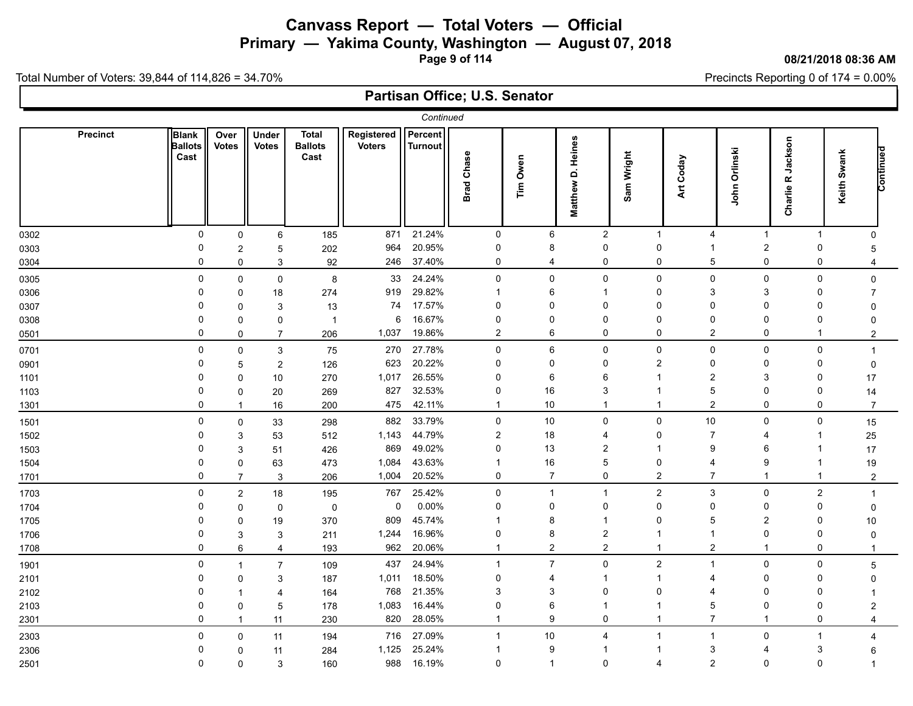# **Canvass Report — Total Voters — Official Primary — Yakima County, Washington — August 07, 2018**

**Page 9 of 114**

#### **08/21/2018 08:36 AM**

Precincts Reporting 0 of 174 = 0.00%

Total Number of Voters: 39,844 of 114,826 = 34.70%

|                 |                                        |                         |                       |                                        |                             | Continued          |                   |                |                             |                |                       |                |                                                  |                |           |
|-----------------|----------------------------------------|-------------------------|-----------------------|----------------------------------------|-----------------------------|--------------------|-------------------|----------------|-----------------------------|----------------|-----------------------|----------------|--------------------------------------------------|----------------|-----------|
| <b>Precinct</b> | <b>Blank</b><br><b>Ballots</b><br>Cast | Over<br><b>Votes</b>    | Under<br><b>Votes</b> | <b>Total</b><br><b>Ballots</b><br>Cast | Registered<br><b>Voters</b> | Percent<br>Turnout | <b>Brad Chase</b> | Tim Owen       | D. Heines<br><b>Matthew</b> | Sam Wright     | Art Coday             | John Orlinski  | Jackson<br>$\pmb{\underline{\alpha}}$<br>Charlie | Keith Swank    | Continued |
| 0302            | 0                                      | 0                       | 6                     | 185                                    | 871                         | 21.24%             | $\mathbf 0$       | 6              | $\overline{2}$              | $\mathbf{1}$   | $\overline{4}$        | $\overline{1}$ | $\mathbf{1}$                                     | $\mathbf 0$    |           |
| 0303            | $\Omega$                               | $\overline{\mathbf{c}}$ | 5                     | 202                                    | 964                         | 20.95%             | 0                 | 8              | 0                           | 0              | $\mathbf 1$           | $\overline{2}$ | 0                                                | 5              |           |
| 0304            | $\mathbf 0$                            | 0                       | 3                     | 92                                     | 246                         | 37.40%             | $\pmb{0}$         | 4              | 0                           | 0              | 5                     | $\mathbf 0$    | 0                                                | 4              |           |
| 0305            | 0                                      | 0                       | 0                     | $\bf 8$                                | 33                          | 24.24%             | $\pmb{0}$         | 0              | 0                           | 0              | 0                     | $\mathbf 0$    | 0                                                | 0              |           |
| 0306            | 0                                      | 0                       | 18                    | 274                                    | 919                         | 29.82%             | -1                | 6              |                             | 0              | 3                     | 3              | 0                                                | $\overline{7}$ |           |
| 0307            | 0                                      | 0                       | 3                     | 13                                     | 74                          | 17.57%             | 0                 | 0              | O                           | $\Omega$       | $\Omega$              | $\Omega$       | 0                                                | $\Omega$       |           |
| 0308            | $\Omega$                               | 0                       | 0                     | $\overline{1}$                         | 6                           | 16.67%             | $\mathbf 0$       | $\Omega$       | $\Omega$                    | $\Omega$       | 0                     | $\mathbf 0$    | $\Omega$                                         | $\Omega$       |           |
| 0501            | $\mathbf 0$                            | 0                       | $\overline{7}$        | 206                                    | 1,037                       | 19.86%             | $\overline{2}$    | 6              | 0                           | 0              | $\overline{2}$        | $\mathbf 0$    | $\overline{1}$                                   | $\overline{2}$ |           |
| 0701            | $\mathbf 0$                            | 0                       | 3                     | 75                                     | 270                         | 27.78%             | $\pmb{0}$         | 6              | $\mathbf 0$                 | $\mathbf 0$    | $\mathbf 0$           | $\mathbf 0$    | 0                                                | $\mathbf 1$    |           |
| 0901            | $\Omega$                               | 5                       | $\overline{c}$        | 126                                    | 623                         | 20.22%             | $\mathbf 0$       | $\Omega$       | $\mathbf{0}$                | $\overline{2}$ | $\mathbf 0$           | $\mathbf 0$    | 0                                                | $\mathbf 0$    |           |
| 1101            | $\Omega$                               | 0                       | 10                    | 270                                    | 1,017                       | 26.55%             | $\mathbf 0$       | 6              | 6                           |                | $\overline{2}$        | 3              | $\Omega$                                         | 17             |           |
| 1103            | $\Omega$                               | 0                       | 20                    | 269                                    | 827                         | 32.53%             | $\mathbf 0$       | 16             | 3                           |                | 5                     | $\mathbf 0$    | $\Omega$                                         | 14             |           |
| 1301            | $\Omega$                               |                         | 16                    | 200                                    | 475                         | 42.11%             | $\overline{1}$    | 10             | -1                          |                | $\overline{2}$        | $\mathbf 0$    | 0                                                | $\overline{7}$ |           |
| 1501            | 0                                      | 0                       | 33                    | 298                                    | 882                         | 33.79%             | 0                 | 10             | $\mathbf 0$                 | 0              | 10                    | $\mathbf 0$    | 0                                                | 15             |           |
| 1502            | 0                                      | 3                       | 53                    | 512                                    | 1,143                       | 44.79%             | $\overline{2}$    | 18             | 4                           | $\Omega$       | $\overline{7}$        | 4              | -1                                               | 25             |           |
| 1503            | $\Omega$                               | 3                       | 51                    | 426                                    | 869                         | 49.02%             | $\mathbf 0$       | 13             | $\overline{2}$              |                | 9                     | 6              |                                                  | 17             |           |
| 1504            | 0                                      | 0                       | 63                    | 473                                    | 1,084                       | 43.63%             | $\overline{1}$    | $16\,$         | 5                           | $\mathbf 0$    | 4                     | 9              | -1                                               | 19             |           |
| 1701            | $\Omega$                               | $\overline{7}$          | 3                     | 206                                    | 1,004                       | 20.52%             | $\mathbf 0$       | $\overline{7}$ | $\mathbf 0$                 | $\overline{2}$ | $\overline{7}$        | $\mathbf 1$    | $\overline{1}$                                   | $\overline{c}$ |           |
| 1703            | $\mathbf 0$                            | $\overline{c}$          | 18                    | 195                                    | 767                         | 25.42%             | $\mathbf 0$       | $\overline{1}$ | $\mathbf 1$                 | $\overline{2}$ | 3                     | $\mathbf 0$    | $\overline{c}$                                   | $\overline{1}$ |           |
| 1704            | $\Omega$                               | 0                       | 0                     | $\pmb{0}$                              | 0                           | 0.00%              | $\mathbf 0$       | $\Omega$       | $\Omega$                    | $\Omega$       | $\mathbf 0$           | $\mathbf 0$    | $\Omega$                                         | $\mathbf 0$    |           |
| 1705            | $\Omega$                               | 0                       | 19                    | 370                                    | 809                         | 45.74%             | -1                | 8              |                             | $\Omega$       | 5                     | $\overline{2}$ | $\Omega$                                         | 10             |           |
| 1706            | 0                                      | 3                       | 3                     | 211                                    | 1,244                       | 16.96%             | 0                 | 8              | 2                           |                | -1                    | $\mathbf 0$    | $\Omega$                                         | $\Omega$       |           |
| 1708            | $\mathbf 0$                            | 6                       | $\overline{4}$        | 193                                    | 962                         | 20.06%             | $\overline{1}$    | $\overline{c}$ | $\overline{2}$              |                | $\overline{2}$        | $\overline{1}$ | 0                                                | $\mathbf 1$    |           |
| 1901            | 0                                      | $\mathbf{1}$            | $\overline{7}$        | 109                                    | 437                         | 24.94%             | $\overline{1}$    | $\overline{7}$ | $\mathbf{0}$                | $\overline{2}$ | $\mathbf 1$           | $\mathbf 0$    | 0                                                | 5              |           |
| 2101            | $\Omega$                               | 0                       | 3                     | 187                                    | 1,011                       | 18.50%             | $\mathbf 0$       | 4              |                             |                | $\boldsymbol{\Delta}$ | $\Omega$       | $\Omega$                                         | O              |           |
| 2102            | 0                                      |                         | 4                     | 164                                    | 768                         | 21.35%             | 3                 | 3              | $\Omega$                    | $\Omega$       | 4                     | $\mathbf 0$    | $\Omega$                                         |                |           |
| 2103            | $\mathbf 0$                            | $\mathbf 0$             | 5                     | 178                                    | 1,083                       | 16.44%             | $\mathbf 0$       | 6              |                             |                | 5                     | $\mathbf 0$    | $\Omega$                                         | 2              |           |
| 2301            | $\Omega$                               | $\mathbf{1}$            | 11                    | 230                                    | 820                         | 28.05%             | $\overline{1}$    | 9              | $\mathbf{0}$                | 1              | $\overline{7}$        | $\overline{1}$ | 0                                                | $\overline{4}$ |           |
| 2303            | 0                                      | $\mathbf 0$             | 11                    | 194                                    | 716                         | 27.09%             | $\overline{1}$    | 10             | 4                           |                | -1                    | $\mathbf 0$    | $\mathbf{1}$                                     | $\overline{4}$ |           |
| 2306            | $\Omega$                               | $\mathbf 0$             | 11                    | 284                                    | 1,125                       | 25.24%             | -1                | 9              |                             |                | 3                     | 4              | 3                                                | 6              |           |
| 2501            | $\Omega$                               | 0                       | 3                     | 160                                    | 988                         | 16.19%             | $\pmb{0}$         | $\overline{1}$ | $\mathbf{0}$                | 4              | $\overline{2}$        | $\mathbf 0$    | $\mathbf 0$                                      |                |           |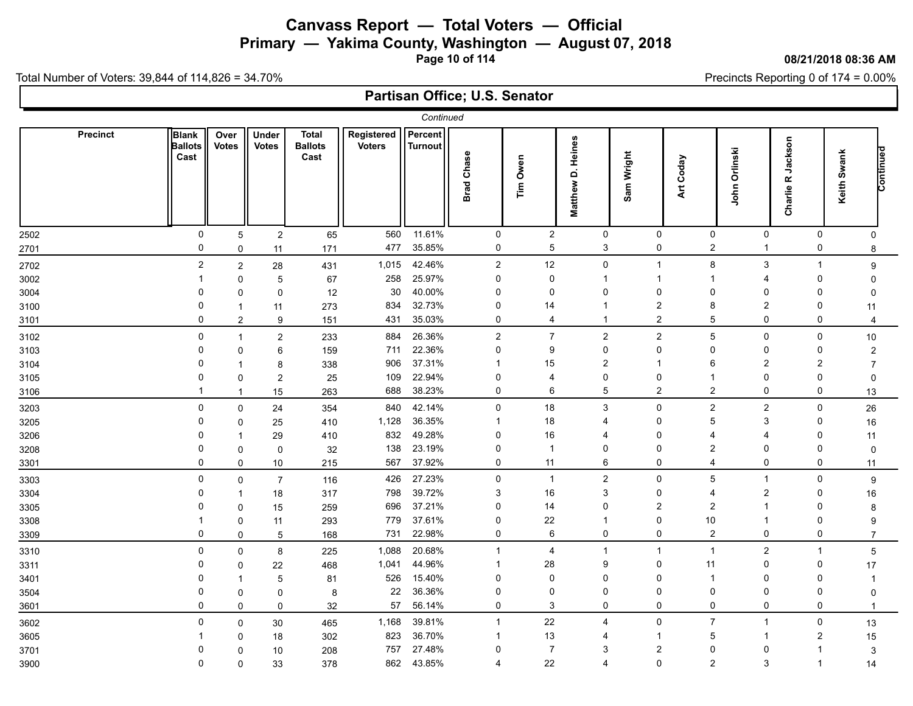**Primary — Yakima County, Washington — August 07, 2018**

**Page 10 of 114**

#### **08/21/2018 08:36 AM**

Precincts Reporting 0 of 174 = 0.00%

Total Number of Voters: 39,844 of 114,826 = 34.70%

|      |                 |                                        |                      |                         |                                        |                             | Continued                 |                         |                  |                       |                |                |                  |                                                  |                |                           |
|------|-----------------|----------------------------------------|----------------------|-------------------------|----------------------------------------|-----------------------------|---------------------------|-------------------------|------------------|-----------------------|----------------|----------------|------------------|--------------------------------------------------|----------------|---------------------------|
|      | <b>Precinct</b> | <b>Blank</b><br><b>Ballots</b><br>Cast | Over<br><b>Votes</b> | Under<br><b>Votes</b>   | <b>Total</b><br><b>Ballots</b><br>Cast | Registered<br><b>Voters</b> | Percent<br><b>Turnout</b> | <b>Brad Chase</b>       | Tim Owen         | Matthew D. Heines     | Sam Wright     | Art Coday      | John Orlinski    | Jackson<br>$\pmb{\underline{\alpha}}$<br>Charlie | Keith Swank    | Continued                 |
| 2502 |                 | $\mathbf 0$                            | 5                    | $\overline{\mathbf{c}}$ | 65                                     | 560                         | 11.61%                    | $\mathbf 0$             | $\boldsymbol{2}$ | 0                     | 0              | 0              | 0                |                                                  | 0              | $\mathsf 0$               |
| 2701 |                 | 0                                      | 0                    | 11                      | 171                                    | 477                         | 35.85%                    | $\pmb{0}$               | 5                | 3                     | 0              | $\sqrt{2}$     | $\overline{1}$   |                                                  | 0              | 8                         |
| 2702 |                 | $\overline{c}$                         | $\overline{a}$       | 28                      | 431                                    | 1,015                       | 42.46%                    | $\sqrt{2}$              | 12               | $\mathbf{0}$          | $\mathbf{1}$   | 8              | 3                |                                                  | $\overline{1}$ | $\boldsymbol{9}$          |
| 3002 |                 |                                        | 0                    | 5                       | 67                                     | 258                         | 25.97%                    | $\mathbf 0$             | $\Omega$         |                       |                |                | 4                |                                                  | $\Omega$       |                           |
| 3004 |                 | 0                                      | $\Omega$             | $\mathbf{0}$            | 12                                     | 30                          | 40.00%                    | 0                       | $\Omega$         | $\Omega$              | 0              | $\Omega$       | $\Omega$         |                                                  | $\Omega$       |                           |
| 3100 |                 | 0                                      | $\mathbf{1}$         | 11                      | 273                                    | 834                         | 32.73%                    | $\mathbf 0$             | 14               |                       | $\overline{2}$ | 8              | $\overline{2}$   |                                                  | 0              | 11                        |
| 3101 |                 | $\mathbf 0$                            | $\mathbf{2}$         | 9                       | 151                                    | 431                         | 35.03%                    | $\pmb{0}$               | 4                |                       | $\overline{2}$ | 5              | $\mathbf 0$      |                                                  | 0              | 4                         |
| 3102 |                 | 0                                      | 1                    | $\overline{2}$          | 233                                    | 884                         | 26.36%                    | $\sqrt{2}$              | $\overline{7}$   | $\overline{2}$        | $\overline{a}$ | 5              | 0                |                                                  | 0              | 10                        |
| 3103 |                 | $\Omega$                               | $\Omega$             | 6                       | 159                                    | 711                         | 22.36%                    | $\mathbf 0$             | 9                | $\Omega$              | $\Omega$       | $\mathbf 0$    | $\Omega$         |                                                  | $\mathbf 0$    | $\overline{c}$            |
| 3104 |                 | $\Omega$                               |                      | 8                       | 338                                    | 906                         | 37.31%                    | $\overline{1}$          | 15               | $\overline{2}$        |                | 6              | $\overline{2}$   |                                                  | $\overline{2}$ |                           |
| 3105 |                 | $\mathbf 0$                            | 0                    | $\overline{c}$          | 25                                     | 109                         | 22.94%                    | 0                       | 4                | $\Omega$              | 0              | -1             | $\mathbf 0$      |                                                  | $\Omega$       | 0                         |
| 3106 |                 |                                        | $\mathbf{1}$         | 15                      | 263                                    | 688                         | 38.23%                    | $\mathbf 0$             | 6                | 5                     | $\overline{2}$ | $\overline{2}$ | $\mathbf 0$      |                                                  | 0              | 13                        |
| 3203 |                 | 0                                      | 0                    | 24                      | 354                                    | 840                         | 42.14%                    | $\mathbf 0$             | 18               | 3                     | $\mathbf 0$    | $\overline{2}$ | $\overline{2}$   |                                                  | 0              | 26                        |
| 3205 |                 | 0                                      | 0                    | 25                      | 410                                    | 1,128                       | 36.35%                    | $\overline{1}$          | 18               | $\boldsymbol{\Delta}$ | $\mathbf 0$    | 5              | 3                |                                                  | $\Omega$       | 16                        |
| 3206 |                 | 0                                      | 1                    | 29                      | 410                                    | 832                         | 49.28%                    | $\mathbf 0$             | 16               | 4                     | $\Omega$       | 4              | 4                |                                                  | $\Omega$       | 11                        |
| 3208 |                 | 0                                      | 0                    | 0                       | 32                                     | 138                         | 23.19%                    | 0                       | $\mathbf 1$      | $\Omega$              | 0              | $\overline{2}$ | $\Omega$         |                                                  | $\Omega$       | $\mathbf 0$               |
| 3301 |                 | 0                                      | 0                    | 10                      | 215                                    | 567                         | 37.92%                    | $\Omega$                | 11               | 6                     | $\Omega$       | $\overline{4}$ | $\Omega$         |                                                  | 0              | 11                        |
| 3303 |                 | $\mathbf 0$                            | 0                    | $\overline{7}$          | 116                                    | 426                         | 27.23%                    | $\mathbf 0$             | $\mathbf{1}$     | $\overline{2}$        | $\Omega$       | 5              | $\overline{1}$   |                                                  | 0              | 9                         |
| 3304 |                 | 0                                      | 1                    | 18                      | 317                                    | 798                         | 39.72%                    | 3                       | 16               | 3                     | $\mathbf 0$    | $\overline{4}$ | $\overline{2}$   |                                                  | $\mathbf 0$    | 16                        |
| 3305 |                 | 0                                      | 0                    | 15                      | 259                                    | 696                         | 37.21%                    | $\mathbf 0$             | 14               | O                     | $\overline{2}$ | $\overline{c}$ |                  |                                                  | $\Omega$       | 8                         |
| 3308 |                 |                                        | 0                    | 11                      | 293                                    | 779                         | 37.61%                    | $\mathbf 0$             | 22               |                       | $\mathbf 0$    | 10             | $\mathbf 1$      |                                                  | $\Omega$       | 9                         |
| 3309 |                 | $\mathbf 0$                            | 0                    | 5                       | 168                                    | 731                         | 22.98%                    | $\mathbf 0$             | 6                | $\mathbf 0$           | 0              | $\overline{2}$ | $\mathbf 0$      |                                                  | 0              | $\overline{7}$            |
| 3310 |                 | 0                                      | 0                    | 8                       | 225                                    | 1,088                       | 20.68%                    | $\overline{1}$          | 4                | $\overline{1}$        | $\overline{1}$ | $\mathbf{1}$   | $\boldsymbol{2}$ |                                                  | $\mathbf{1}$   | $\mathbf 5$               |
| 3311 |                 | 0                                      | 0                    | 22                      | 468                                    | 1,041                       | 44.96%                    | $\mathbf{\overline{1}}$ | 28               | 9                     | 0              | 11             | $\mathbf 0$      |                                                  | 0              | 17                        |
| 3401 |                 | 0                                      | 1                    | 5                       | 81                                     | 526                         | 15.40%                    | 0                       | $\Omega$         | <sup>0</sup>          | 0              | -1             | $\Omega$         |                                                  | $\Omega$       | -1                        |
| 3504 |                 | 0                                      | 0                    | $\mathbf 0$             | 8                                      | 22                          | 36.36%                    | 0                       | $\mathbf 0$      | $\Omega$              | 0              | 0              | $\mathbf 0$      |                                                  | $\mathbf 0$    | $\Omega$                  |
| 3601 |                 | 0                                      | $\Omega$             | 0                       | 32                                     | 57                          | 56.14%                    | $\mathbf 0$             | 3                | $\Omega$              | 0              | $\mathbf 0$    | $\mathbf 0$      |                                                  | 0              | $\mathbf 1$               |
| 3602 |                 | 0                                      | 0                    | 30                      | 465                                    | 1,168                       | 39.81%                    | $\overline{1}$          | 22               | 4                     | 0              | $\overline{7}$ | $\mathbf{1}$     |                                                  | 0              | 13                        |
| 3605 |                 |                                        | 0                    | 18                      | 302                                    | 823                         | 36.70%                    | -1                      | 13               | 4                     |                | 5              | -1               |                                                  | 2              | 15                        |
| 3701 |                 | 0                                      | 0                    | 10                      | 208                                    | 757                         | 27.48%                    | $\Omega$                | $\overline{7}$   | 3                     | $\overline{2}$ | $\Omega$       | $\Omega$         |                                                  | 1              | $\ensuremath{\mathsf{3}}$ |
| 3900 |                 | 0                                      | $\Omega$             | 33                      | 378                                    | 862                         | 43.85%                    | $\overline{4}$          | 22               | 4                     | $\mathbf 0$    | $\overline{2}$ | 3                |                                                  | $\mathbf{1}$   | 14                        |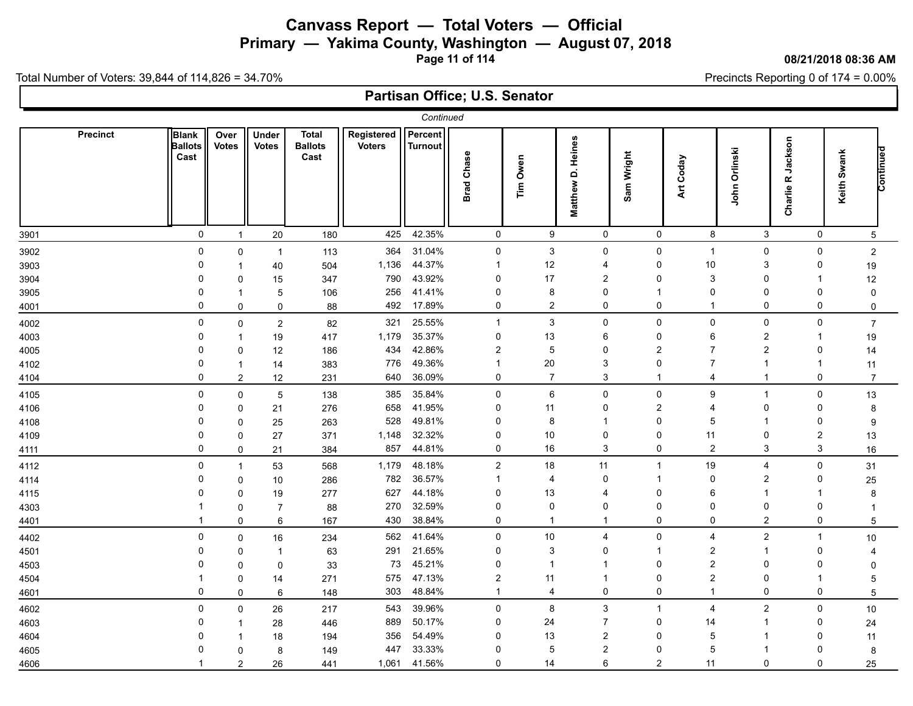**Primary — Yakima County, Washington — August 07, 2018**

**Page 11 of 114**

#### **08/21/2018 08:36 AM**

Precincts Reporting 0 of 174 = 0.00%

Total Number of Voters: 39,844 of 114,826 = 34.70%

|      | Continued<br>Percent<br>Registered<br><b>Precinct</b><br>Blank<br>Under<br><b>Total</b><br>Over |                |                         |                        |               |                |                   |                |                             |                |                |                |                         |                          |
|------|-------------------------------------------------------------------------------------------------|----------------|-------------------------|------------------------|---------------|----------------|-------------------|----------------|-----------------------------|----------------|----------------|----------------|-------------------------|--------------------------|
|      | <b>Ballots</b><br>Cast                                                                          | <b>Votes</b>   | <b>Votes</b>            | <b>Ballots</b><br>Cast | <b>Voters</b> | <b>Turnout</b> | <b>Brad Chase</b> | Tim Owen       | D. Heines<br><b>Matthew</b> | Sam Wright     | Art Coday      | John Orlinski  | Jackson<br>ĸ<br>Charlie | Continued<br>Keith Swank |
| 3901 | $\mathsf{O}$                                                                                    | $\mathbf{1}$   | 20                      | 180                    | 425           | 42.35%         | $\mathbf 0$       | 9              | $\mathbf 0$                 | 0              | 8              | 3              | $\mathsf{O}$            | $\overline{5}$           |
| 3902 | 0                                                                                               | 0              | $\overline{1}$          | 113                    | 364           | 31.04%         | $\mathsf 0$       | 3              | $\Omega$                    | 0              | $\mathbf{1}$   | $\mathbf 0$    | 0                       | $\boldsymbol{2}$         |
| 3903 | 0                                                                                               | 1              | 40                      | 504                    | 1,136         | 44.37%         | -1                | 12             | 4                           | $\mathbf 0$    | 10             | 3              | 0                       | 19                       |
| 3904 | 0                                                                                               | 0              | 15                      | 347                    | 790           | 43.92%         | 0                 | 17             | 2                           | 0              | 3              | 0              | $\mathbf{1}$            | 12                       |
| 3905 | 0                                                                                               | 1              | 5                       | 106                    | 256           | 41.41%         | $\mathbf 0$       | 8              | $\Omega$                    | 1              | $\mathbf 0$    | $\mathbf 0$    | 0                       | $\mathbf 0$              |
| 4001 | $\Omega$                                                                                        | 0              | 0                       | 88                     | 492           | 17.89%         | $\Omega$          | $\overline{c}$ | $\Omega$                    | $\Omega$       | $\mathbf 1$    | $\mathbf 0$    | 0                       | 0                        |
| 4002 | $\mathbf 0$                                                                                     | 0              | $\overline{\mathbf{c}}$ | 82                     | 321           | 25.55%         | $\overline{1}$    | 3              | $\Omega$                    | 0              | $\mathbf 0$    | $\mathbf 0$    | 0                       | $\overline{7}$           |
| 4003 | 0                                                                                               | 1              | 19                      | 417                    | 1,179         | 35.37%         | $\pmb{0}$         | 13             | 6                           | 0              | 6              | $\overline{c}$ | $\mathbf{1}$            | 19                       |
| 4005 | 0                                                                                               | 0              | 12                      | 186                    | 434           | 42.86%         | $\overline{2}$    | 5              | $\Omega$                    | $\overline{2}$ | $\overline{7}$ | $\overline{2}$ | $\mathbf 0$             | 14                       |
| 4102 | 0                                                                                               | $\mathbf{1}$   | 14                      | 383                    | 776           | 49.36%         | $\overline{1}$    | 20             | 3                           | $\mathbf 0$    | $\overline{7}$ | $\overline{1}$ | $\mathbf{1}$            | 11                       |
| 4104 | $\mathbf 0$                                                                                     | $\mathbf{2}$   | 12                      | 231                    | 640           | 36.09%         | 0                 | $\overline{7}$ | 3                           | 1              | 4              | $\overline{1}$ | 0                       | $\overline{7}$           |
| 4105 | 0                                                                                               | 0              | 5                       | 138                    | 385           | 35.84%         | $\pmb{0}$         | 6              | $\Omega$                    | 0              | 9              | $\overline{1}$ | 0                       | 13                       |
| 4106 | 0                                                                                               | 0              | 21                      | 276                    | 658           | 41.95%         | $\mathbf 0$       | 11             | $\Omega$                    | $\overline{2}$ | $\overline{4}$ | $\mathbf 0$    | 0                       | 8                        |
| 4108 | 0                                                                                               | 0              | 25                      | 263                    | 528           | 49.81%         | 0                 | 8              |                             | $\mathbf 0$    | 5              | $\mathbf 1$    | $\Omega$                | 9                        |
| 4109 | 0                                                                                               | 0              | 27                      | 371                    | 1,148         | 32.32%         | 0                 | 10             | 0                           | 0              | 11             | $\mathbf 0$    | $\overline{c}$          | 13                       |
| 4111 | 0                                                                                               | 0              | 21                      | 384                    | 857           | 44.81%         | $\mathbf 0$       | 16             | 3                           | 0              | $\overline{2}$ | 3              | 3                       | 16                       |
| 4112 | $\mathbf 0$                                                                                     | $\mathbf{1}$   | 53                      | 568                    | 1,179         | 48.18%         | $\overline{2}$    | $18$           | 11                          | $\mathbf 1$    | 19             | $\overline{4}$ | 0                       | 31                       |
| 4114 | 0                                                                                               | $\Omega$       | 10                      | 286                    | 782           | 36.57%         | $\overline{1}$    | $\overline{4}$ | $\Omega$                    | 1              | 0              | $\overline{2}$ | 0                       | 25                       |
| 4115 | 0                                                                                               | 0              | 19                      | 277                    | 627           | 44.18%         | 0                 | 13             | $\boldsymbol{\Delta}$       | $\Omega$       | 6              | $\overline{1}$ | $\overline{\mathbf{1}}$ | 8                        |
| 4303 |                                                                                                 | 0              | $\overline{7}$          | 88                     | 270           | 32.59%         | 0                 | $\Omega$       | $\mathbf{0}$                | 0              | 0              | $\mathbf 0$    | 0                       | -1                       |
| 4401 |                                                                                                 | $\Omega$       | 6                       | 167                    | 430           | 38.84%         | $\mathbf 0$       | $\mathbf{1}$   | -1                          | $\Omega$       | $\mathbf 0$    | $\overline{2}$ | 0                       | 5                        |
| 4402 | 0                                                                                               | $\Omega$       | 16                      | 234                    | 562           | 41.64%         | $\mathbf 0$       | 10             | $\overline{\mathbf{4}}$     | $\Omega$       | $\overline{4}$ | $\overline{2}$ | $\mathbf{1}$            | 10                       |
| 4501 | 0                                                                                               | 0              | $\mathbf 1$             | 63                     | 291           | 21.65%         | $\mathbf 0$       | 3              | $\Omega$                    | $\mathbf 1$    | $\overline{c}$ | $\overline{1}$ | $\Omega$                | 4                        |
| 4503 | 0                                                                                               | 0              | 0                       | 33                     | 73            | 45.21%         | $\pmb{0}$         | -1             | -1                          | $\mathbf 0$    | $\overline{c}$ | $\mathbf 0$    | $\Omega$                | $\Omega$                 |
| 4504 |                                                                                                 | 0              | 14                      | 271                    | 575           | 47.13%         | $\overline{2}$    | 11             |                             | 0              | $\overline{2}$ | $\mathbf 0$    | $\mathbf 1$             | 5                        |
| 4601 | 0                                                                                               | 0              | 6                       | 148                    | 303           | 48.84%         | $\overline{1}$    | 4              | $\Omega$                    | $\Omega$       | $\mathbf{1}$   | $\mathbf 0$    | 0                       | $\sqrt{5}$               |
| 4602 | $\mathbf 0$                                                                                     | 0              | 26                      | 217                    | 543           | 39.96%         | $\mathbf 0$       | 8              | 3                           | $\mathbf 1$    | $\overline{4}$ | $\overline{2}$ | 0                       | 10                       |
| 4603 | 0                                                                                               | 1              | 28                      | 446                    | 889           | 50.17%         | $\mathbf 0$       | 24             | $\overline{7}$              | 0              | 14             | $\mathbf 1$    | 0                       | 24                       |
| 4604 | 0                                                                                               | 1              | 18                      | 194                    | 356           | 54.49%         | 0                 | 13             | $\overline{2}$              | 0              | 5              | -1             | 0                       | 11                       |
| 4605 | 0                                                                                               | $\Omega$       | 8                       | 149                    | 447           | 33.33%         | $\Omega$          | 5              | $\overline{2}$              | $\mathbf 0$    | 5              |                | $\Omega$                | 8                        |
| 4606 |                                                                                                 | $\overline{2}$ | 26                      | 441                    | 1,061         | 41.56%         | $\mathbf 0$       | 14             | 6                           | $\overline{2}$ | 11             | $\mathbf 0$    | $\mathbf 0$             | 25                       |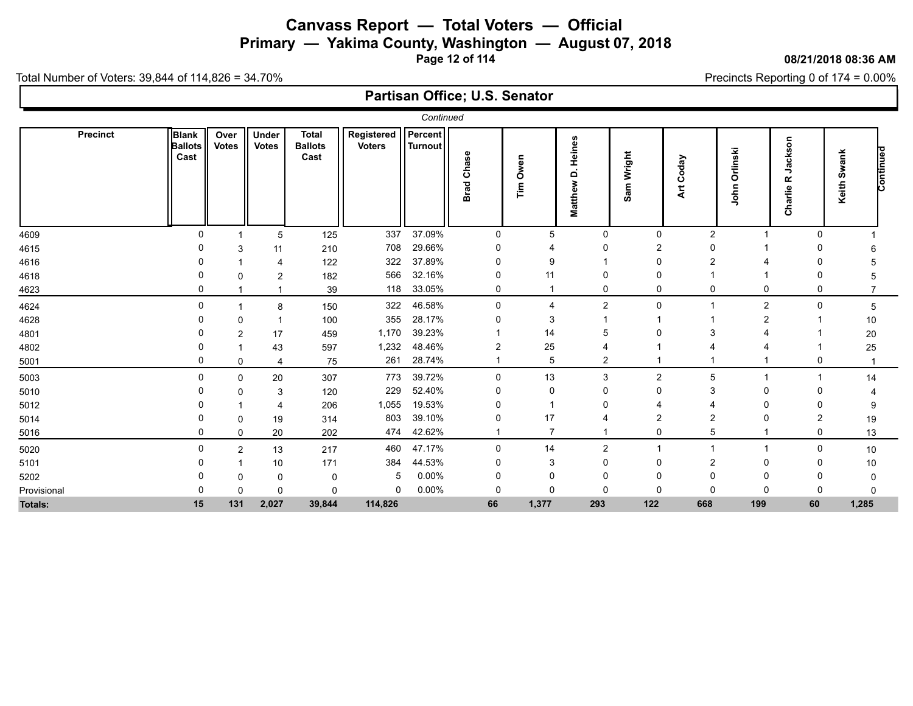**Primary — Yakima County, Washington — August 07, 2018**

**Page 12 of 114**

#### **08/21/2018 08:36 AM**

Precincts Reporting 0 of 174 = 0.00%

Total Number of Voters: 39,844 of 114,826 = 34.70%

| Continued       |                                        |                      |                       |                                        |                             |                           |                      |                |                                         |                |                     |                      |                                    |                |           |
|-----------------|----------------------------------------|----------------------|-----------------------|----------------------------------------|-----------------------------|---------------------------|----------------------|----------------|-----------------------------------------|----------------|---------------------|----------------------|------------------------------------|----------------|-----------|
| <b>Precinct</b> | <b>Blank</b><br><b>Ballots</b><br>Cast | Over<br><b>Votes</b> | Under<br><b>Votes</b> | <b>Total</b><br><b>Ballots</b><br>Cast | Registered<br><b>Voters</b> | <b>Percent</b><br>Turnout | Chase<br><b>Brad</b> | Owen<br>۴<br>آ | Heines<br>$\dot{\mathbf{a}}$<br>Matthew | Sam Wright     | Coday<br><b>Art</b> | Orlinski<br>ohn<br>∍ | g<br>cks<br>ೲ<br>っ<br>œ<br>Charlie | Swank<br>Keith | Continued |
| 4609            | 0                                      |                      | 5                     | 125                                    | 337                         | 37.09%                    | $\mathbf 0$          | 5              | $\Omega$                                | 0              | 2                   | $\overline{1}$       | 0                                  |                |           |
| 4615            |                                        | 3                    | 11                    | 210                                    | 708                         | 29.66%                    | $\Omega$             |                |                                         | 2              | $\Omega$            |                      | O                                  |                |           |
| 4616            |                                        |                      | 4                     | 122                                    | 322                         | 37.89%                    | $\Omega$             | .q             |                                         | 0              | 2                   |                      |                                    |                |           |
| 4618            |                                        |                      | 2                     | 182                                    | 566                         | 32.16%                    | $\Omega$             | 11             |                                         | 0              |                     |                      | 0                                  |                |           |
| 4623            |                                        |                      |                       | 39                                     | 118                         | 33.05%                    | 0                    |                |                                         | 0              | 0                   | 0                    | 0                                  |                |           |
| 4624            | $\Omega$                               |                      | 8                     | 150                                    | 322                         | 46.58%                    | $\Omega$             | 4              | 2                                       | 0              |                     | $\overline{2}$       | 0                                  | 5              |           |
| 4628            |                                        | $\Omega$             |                       | 100                                    | 355                         | 28.17%                    |                      | 3              |                                         |                |                     |                      |                                    | 10             |           |
| 4801            |                                        | $\mathcal{P}$        | 17                    | 459                                    | 1,170                       | 39.23%                    |                      | 14             |                                         |                |                     |                      |                                    | 20             |           |
| 4802            |                                        |                      | 43                    | 597                                    | 1,232                       | 48.46%                    | $\overline{2}$       | 25             |                                         |                |                     |                      |                                    | 25             |           |
| 5001            |                                        | $\mathbf 0$          | 4                     | 75                                     | 261                         | 28.74%                    |                      | 5              | $\overline{2}$                          |                |                     |                      | 0                                  |                |           |
| 5003            |                                        | $\mathbf 0$          | 20                    | 307                                    | 773                         | 39.72%                    | $\mathbf 0$          | 13             | 3                                       | $\overline{c}$ | 5                   |                      |                                    | 14             |           |
| 5010            |                                        |                      | 3                     | 120                                    | 229                         | 52.40%                    | 0                    | 0              |                                         | ი              | 3                   | $\Omega$             |                                    |                |           |
| 5012            |                                        |                      | 4                     | 206                                    | 1,055                       | 19.53%                    | 0                    |                |                                         |                |                     |                      |                                    |                |           |
| 5014            |                                        |                      | 19                    | 314                                    | 803                         | 39.10%                    | 0                    | 17             |                                         |                | 2                   |                      | 2                                  | 19             |           |
| 5016            |                                        | $\Omega$             | 20                    | 202                                    | 474                         | 42.62%                    |                      | 7              |                                         | 0              | 5                   |                      | 0                                  | 13             |           |
| 5020            | O                                      | $\overline{2}$       | 13                    | 217                                    | 460                         | 47.17%                    | $\Omega$             | 14             | 2                                       |                |                     |                      | $\Omega$                           | 10             |           |
| 5101            |                                        |                      | 10                    | 171                                    | 384                         | 44.53%                    | 0                    | 3              |                                         | 0              | 2                   | $\Omega$             | 0                                  | 10             |           |
| 5202            |                                        |                      | 0                     | $\Omega$                               | 5                           | 0.00%                     | $\Omega$             | 0              |                                         | 0              | $\Omega$            | $\Omega$             |                                    |                |           |
| Provisional     |                                        | 0                    | 0                     | $\Omega$                               | 0                           | 0.00%                     | $\mathbf 0$          | $\Omega$       | $\Omega$                                | 0              | $\mathbf{0}$        | $\Omega$             | 0                                  |                |           |
| <b>Totals:</b>  | 15                                     | 131                  | 2,027                 | 39,844                                 | 114,826                     |                           | 66                   | 1,377          | 293                                     | 122            | 668                 | 199                  | 60                                 | 1,285          |           |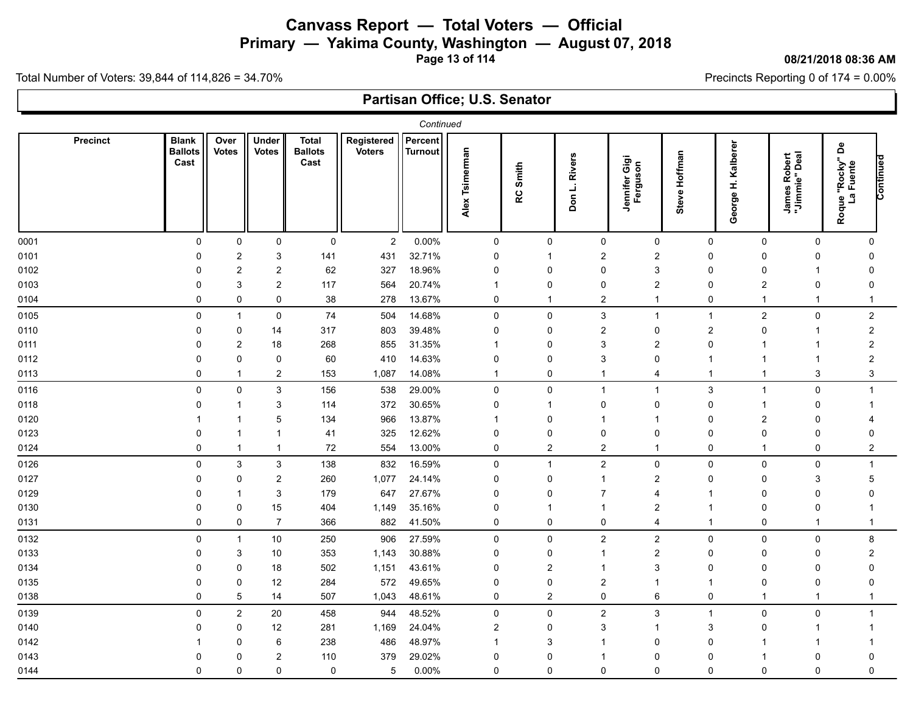**Primary — Yakima County, Washington — August 07, 2018**

**Page 13 of 114**

#### **08/21/2018 08:36 AM**

Precincts Reporting 0 of 174 = 0.00%

Total Number of Voters: 39,844 of 114,826 = 34.70%

|      | Continued<br>Percent<br><b>Blank</b><br>Under<br>Over<br>Registered<br><b>Precinct</b><br><b>Total</b>                                                                                                                                                                                                                                        |                           |                           |                        |                |         |                                |                         |                         |                           |               |                          |                               |                                                           |  |
|------|-----------------------------------------------------------------------------------------------------------------------------------------------------------------------------------------------------------------------------------------------------------------------------------------------------------------------------------------------|---------------------------|---------------------------|------------------------|----------------|---------|--------------------------------|-------------------------|-------------------------|---------------------------|---------------|--------------------------|-------------------------------|-----------------------------------------------------------|--|
|      | <b>Ballots</b><br>Cast                                                                                                                                                                                                                                                                                                                        | <b>Votes</b>              | <b>Votes</b>              | <b>Ballots</b><br>Cast | <b>Voters</b>  | Turnout | Tsimerman<br>Alex <sup>-</sup> | Smith<br>RC             | Don L. Rivers           | Jennifer Gigi<br>Ferguson | Steve Hoffman | Kalberer<br>£,<br>George | James Robert<br>"Jimmie" Deal | <b> ue "Rocky" De<br/>La Fuente</b><br>Continued<br>Roque |  |
| 0001 | 0                                                                                                                                                                                                                                                                                                                                             | $\mathbf 0$               | $\mathbf 0$               | $\pmb{0}$              | $\overline{c}$ | 0.00%   | $\mathbf 0$                    | $\mathbf 0$             | $\mathbf 0$             | $\mathbf 0$               | 0             | $\mathbf 0$              | $\Omega$                      | $\mathbf 0$                                               |  |
| 0101 | 0                                                                                                                                                                                                                                                                                                                                             | $\boldsymbol{2}$          | $\ensuremath{\mathsf{3}}$ | 141                    | 431            | 32.71%  | 0                              | -1                      | $\overline{2}$          | $\overline{c}$            | 0             | $\Omega$                 | 0                             | $\Omega$                                                  |  |
| 0102 | $\mathbf 0$                                                                                                                                                                                                                                                                                                                                   | $\boldsymbol{2}$          | $\sqrt{2}$                | 62                     | 327            | 18.96%  | 0                              | $\Omega$                | $\Omega$                | 3                         | 0             | $\Omega$                 | $\mathbf{1}$                  | $\Omega$                                                  |  |
| 0103 | $\mathbf 0$                                                                                                                                                                                                                                                                                                                                   | 3                         | $\sqrt{2}$                | 117                    | 564            | 20.74%  | -1                             | $\mathbf 0$             | $\Omega$                | 2                         | 0             | $\overline{c}$           | $\Omega$                      | $\Omega$                                                  |  |
| 0104 | $\Omega$                                                                                                                                                                                                                                                                                                                                      | 0                         | $\mathbf 0$               | 38                     | 278            | 13.67%  | 0                              | -1                      | $\overline{2}$          | 1                         | 0             | $\mathbf{1}$             | $\mathbf{1}$                  | $\mathbf 1$                                               |  |
| 0105 | 14.68%<br>$\overline{c}$<br>0<br>$\mathbf 0$<br>74<br>504<br>$\mathbf 0$<br>$\mathbf{0}$<br>3<br>0<br>$\overline{2}$<br>$\mathbf{1}$<br>$\mathbf{1}$<br>$\mathbf{1}$<br>39.48%<br>0<br>317<br>803<br>0<br>$\overline{2}$<br>$\mathbf 0$<br>$\overline{c}$<br>$\mathbf 0$<br>$\overline{2}$<br>$\mathbf 0$<br>14<br>$\mathbf 0$<br>$\mathbf 1$ |                           |                           |                        |                |         |                                |                         |                         |                           |               |                          |                               |                                                           |  |
| 0110 |                                                                                                                                                                                                                                                                                                                                               |                           |                           |                        |                |         |                                |                         |                         |                           |               |                          |                               |                                                           |  |
| 0111 | $\mathbf 0$                                                                                                                                                                                                                                                                                                                                   | $\boldsymbol{2}$          | 18                        | 268                    | 855            | 31.35%  | -1                             | 0                       | 3                       | $\overline{2}$            | $\mathbf 0$   | $\overline{1}$           | 1                             | $\overline{2}$                                            |  |
| 0112 | $\Omega$                                                                                                                                                                                                                                                                                                                                      | $\pmb{0}$                 | 0                         | 60                     | 410            | 14.63%  | $\mathbf 0$                    | $\Omega$                | 3                       | $\Omega$                  |               |                          | 1                             | $\overline{2}$                                            |  |
| 0113 | $\Omega$                                                                                                                                                                                                                                                                                                                                      | $\mathbf{1}$              | $\overline{2}$            | 153                    | 1,087          | 14.08%  | $\mathbf{1}$                   | $\Omega$                | -1                      | 4                         | $\mathbf{1}$  | $\mathbf{1}$             | 3                             | 3                                                         |  |
| 0116 | $\pmb{0}$                                                                                                                                                                                                                                                                                                                                     | 0                         | $\mathsf 3$               | 156                    | 538            | 29.00%  | $\pmb{0}$                      | 0                       | $\mathbf 1$             | $\mathbf 1$               | 3             | $\mathbf{1}$             | $\pmb{0}$                     | $\mathbf{1}$                                              |  |
| 0118 | $\Omega$                                                                                                                                                                                                                                                                                                                                      | 1                         | 3                         | 114                    | 372            | 30.65%  | 0                              | 1                       | $\Omega$                | $\Omega$                  | 0             | -1                       | $\mathbf 0$                   | -1                                                        |  |
| 0120 |                                                                                                                                                                                                                                                                                                                                               | 1                         | 5                         | 134                    | 966            | 13.87%  | -1                             | $\mathbf 0$             |                         |                           | 0             | $\overline{2}$           | $\Omega$                      | 4                                                         |  |
| 0123 | 0                                                                                                                                                                                                                                                                                                                                             | 1                         | $\overline{1}$            | 41                     | 325            | 12.62%  | 0                              | 0                       | 0                       | 0                         | 0             | $\Omega$                 | 0                             | $\Omega$                                                  |  |
| 0124 | 0                                                                                                                                                                                                                                                                                                                                             | $\overline{1}$            | $\mathbf{1}$              | 72                     | 554            | 13.00%  | $\mathbf 0$                    | $\overline{2}$          | $\overline{2}$          | 1                         | $\mathbf 0$   | $\overline{1}$           | $\mathbf 0$                   | $\overline{2}$                                            |  |
| 0126 | $\pmb{0}$                                                                                                                                                                                                                                                                                                                                     | $\ensuremath{\mathsf{3}}$ | 3                         | 138                    | 832            | 16.59%  | $\pmb{0}$                      | $\overline{1}$          | $\overline{\mathbf{c}}$ | $\pmb{0}$                 | 0             | $\Omega$                 | $\mathbf 0$                   | $\mathbf 1$                                               |  |
| 0127 | $\mathbf 0$                                                                                                                                                                                                                                                                                                                                   | 0                         | $\overline{c}$            | 260                    | 1,077          | 24.14%  | $\mathbf 0$                    | $\mathbf 0$             |                         | $\overline{2}$            | 0             | $\Omega$                 | 3                             | 5                                                         |  |
| 0129 | 0                                                                                                                                                                                                                                                                                                                                             | 1                         | $\sqrt{3}$                | 179                    | 647            | 27.67%  | 0                              | 0                       | 7                       | 4                         |               | $\Omega$                 | 0                             | $\Omega$                                                  |  |
| 0130 | 0                                                                                                                                                                                                                                                                                                                                             | 0                         | 15                        | 404                    | 1,149          | 35.16%  | 0                              | -1                      |                         | $\overline{2}$            |               | $\Omega$                 | $\mathbf 0$                   | -1                                                        |  |
| 0131 | $\Omega$                                                                                                                                                                                                                                                                                                                                      | $\mathbf 0$               | $\overline{7}$            | 366                    | 882            | 41.50%  | 0                              | $\Omega$                | 0                       | 4                         | $\mathbf{1}$  | $\mathbf 0$              | $\mathbf 1$                   | $\mathbf{1}$                                              |  |
| 0132 | 0                                                                                                                                                                                                                                                                                                                                             | $\mathbf{1}$              | 10                        | 250                    | 906            | 27.59%  | $\pmb{0}$                      | 0                       | $\overline{c}$          | $\overline{\mathbf{c}}$   | 0             | 0                        | 0                             | 8                                                         |  |
| 0133 | $\mathbf 0$                                                                                                                                                                                                                                                                                                                                   | 3                         | 10                        | 353                    | 1,143          | 30.88%  | 0                              | $\mathbf 0$             |                         | $\overline{2}$            | 0             | $\Omega$                 | 0                             | $\overline{2}$                                            |  |
| 0134 | 0                                                                                                                                                                                                                                                                                                                                             | 0                         | 18                        | 502                    | 1,151          | 43.61%  | 0                              | $\overline{2}$          |                         | 3                         | 0             | $\Omega$                 | 0                             | $\Omega$                                                  |  |
| 0135 | 0                                                                                                                                                                                                                                                                                                                                             | 0                         | 12                        | 284                    | 572            | 49.65%  | 0                              | 0                       | $\overline{2}$          |                           | -1            | $\Omega$                 | $\mathbf 0$                   | $\Omega$                                                  |  |
| 0138 | $\mathbf{0}$                                                                                                                                                                                                                                                                                                                                  | $\mathbf 5$               | 14                        | 507                    | 1,043          | 48.61%  | $\pmb{0}$                      | $\overline{\mathbf{c}}$ | $\mathbf 0$             | 6                         | 0             | $\mathbf 1$              | $\mathbf{1}$                  | $\mathbf 1$                                               |  |
| 0139 | 0                                                                                                                                                                                                                                                                                                                                             | $\overline{c}$            | $20\,$                    | 458                    | 944            | 48.52%  | $\mathbf 0$                    | 0                       | $\overline{\mathbf{c}}$ | 3                         | 1             | $\mathsf 0$              | $\pmb{0}$                     | $\mathbf{1}$                                              |  |
| 0140 | $\mathbf 0$                                                                                                                                                                                                                                                                                                                                   | 0                         | 12                        | 281                    | 1,169          | 24.04%  | $\overline{2}$                 | $\mathbf 0$             | 3                       |                           | 3             | $\Omega$                 | $\mathbf 1$                   | -1                                                        |  |
| 0142 |                                                                                                                                                                                                                                                                                                                                               | 0                         | 6                         | 238                    | 486            | 48.97%  | -1                             | 3                       |                         | $\Omega$                  | $\Omega$      | -1                       | 1                             |                                                           |  |
| 0143 | 0                                                                                                                                                                                                                                                                                                                                             | $\Omega$                  | $\boldsymbol{2}$          | 110                    | 379            | 29.02%  | $\Omega$                       | 0                       |                         | 0                         | $\Omega$      |                          | 0                             | $\Omega$                                                  |  |
| 0144 | 0                                                                                                                                                                                                                                                                                                                                             | 0                         | 0                         | $\mathbf 0$            | 5              | 0.00%   | 0                              | 0                       | 0                       | 0                         | 0             | 0                        | $\mathbf 0$                   | 0                                                         |  |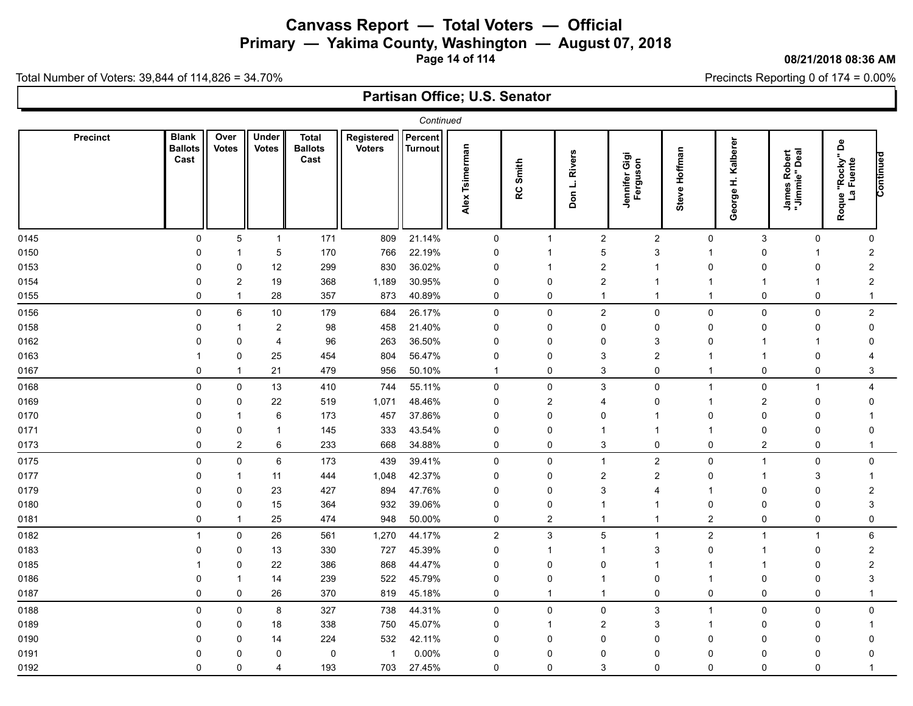**Primary — Yakima County, Washington — August 07, 2018**

**Page 14 of 114**

#### **08/21/2018 08:36 AM**

Precincts Reporting 0 of 174 = 0.00%

Total Number of Voters: 39,844 of 114,826 = 34.70%

|      | Continued<br>Percent<br><b>Blank</b><br>Registered<br>Precinct<br>Over<br>Under<br>Total |                         |                |                        |               |         |                   |                         |                |                           |                |                         |                               |                                       |           |
|------|------------------------------------------------------------------------------------------|-------------------------|----------------|------------------------|---------------|---------|-------------------|-------------------------|----------------|---------------------------|----------------|-------------------------|-------------------------------|---------------------------------------|-----------|
|      | <b>Ballots</b><br>Cast                                                                   | <b>Votes</b>            | <b>Votes</b>   | <b>Ballots</b><br>Cast | <b>Voters</b> | Turnout | Tsimerman<br>Alex | Smith<br>RC             | Don L. Rivers  | Jennifer Gigi<br>Ferguson | Steve Hoffman  | Kalberer<br>£<br>George | James Robert<br>"Jimmie" Deal | å<br>ue "Rocky"<br>La Fuente<br>Roque | Continued |
| 0145 | $\pmb{0}$                                                                                | 5                       | $\mathbf{1}$   | 171                    | 809           | 21.14%  | $\mathbf 0$       | $\overline{1}$          | $\overline{2}$ | $\boldsymbol{2}$          | 0              | 3                       | $\mathsf 0$                   | $\mathbf 0$                           |           |
| 0150 | $\Omega$                                                                                 |                         | 5              | 170                    | 766           | 22.19%  | 0                 | -1                      | 5              | 3                         |                | $\Omega$                |                               | $\overline{2}$                        |           |
| 0153 | 0                                                                                        | 0                       | 12             | 299                    | 830           | 36.02%  | 0                 | -1                      | 2              |                           | 0              | $\Omega$                | 0                             | 2                                     |           |
| 0154 |                                                                                          | $\overline{\mathbf{c}}$ | 19             | 368                    | 1,189         | 30.95%  | $\Omega$          | $\mathbf 0$             | $\overline{2}$ |                           |                |                         | 1                             | $\overline{2}$                        |           |
| 0155 | $\mathbf 0$                                                                              | $\mathbf{1}$            | 28             | 357                    | 873           | 40.89%  | 0                 | 0                       | -1             |                           | -1             | 0                       | 0                             | $\mathbf{1}$                          |           |
| 0156 | 0                                                                                        | 6                       | 10             | 179                    | 684           | 26.17%  | 0                 | 0                       | $\overline{c}$ | 0                         | 0              | $\mathbf 0$             | 0                             | $\overline{2}$                        |           |
| 0158 | 0                                                                                        |                         | 2              | 98                     | 458           | 21.40%  | $\mathbf 0$       | $\mathbf 0$             | $\Omega$       | 0                         | 0              | $\Omega$                | 0                             | 0                                     |           |
| 0162 | $\Omega$                                                                                 | 0                       | $\overline{4}$ | 96                     | 263           | 36.50%  | $\Omega$          | 0                       | $\Omega$       | 3                         | $\Omega$       | -1                      | -1                            | 0                                     |           |
| 0163 |                                                                                          | 0                       | 25             | 454                    | 804           | 56.47%  | 0                 | 0                       | 3              | $\overline{2}$            |                | -1                      | 0                             |                                       |           |
| 0167 | $\mathbf 0$                                                                              | -1                      | 21             | 479                    | 956           | 50.10%  | $\overline{1}$    | 0                       | 3              | $\mathbf 0$               | 1              | 0                       | 0                             | 3                                     |           |
| 0168 | 0                                                                                        | 0                       | 13             | 410                    | 744           | 55.11%  | $\mathsf 0$       | $\pmb{0}$               | 3              | 0                         | $\mathbf{1}$   | 0                       | $\mathbf{1}$                  | 4                                     |           |
| 0169 | $\Omega$                                                                                 | 0                       | 22             | 519                    | 1,071         | 48.46%  | $\Omega$          | $\overline{2}$          | 4              | $\Omega$                  |                | $\overline{2}$          | 0                             | $\Omega$                              |           |
| 0170 | 0                                                                                        | -1                      | 6              | 173                    | 457           | 37.86%  | $\Omega$          | $\mathbf 0$             | $\Omega$       |                           | $\Omega$       | $\Omega$                | $\mathbf 0$                   | -1                                    |           |
| 0171 | $\Omega$                                                                                 | 0                       | 1              | 145                    | 333           | 43.54%  | $\Omega$          | 0                       | 1              |                           |                | $\Omega$                | $\mathbf 0$                   | $\mathbf 0$                           |           |
| 0173 | $\Omega$                                                                                 | 2                       | 6              | 233                    | 668           | 34.88%  | 0                 | $\mathbf 0$             | 3              | $\mathbf 0$               | $\Omega$       | $\overline{2}$          | $\mathbf 0$                   | $\mathbf 1$                           |           |
| 0175 | 0                                                                                        | 0                       | 6              | 173                    | 439           | 39.41%  | 0                 | $\pmb{0}$               | -1             | $\overline{\mathbf{c}}$   | $\mathbf 0$    | $\mathbf{1}$            | $\mathsf 0$                   | $\mathbf 0$                           |           |
| 0177 | $\Omega$                                                                                 | -1                      | 11             | 444                    | 1,048         | 42.37%  | $\mathbf 0$       | 0                       | $\overline{2}$ | $\overline{2}$            | $\mathbf 0$    | -1                      | 3                             | 1                                     |           |
| 0179 | $\Omega$                                                                                 | $\mathbf 0$             | 23             | 427                    | 894           | 47.76%  | $\Omega$          | 0                       | 3              | Δ                         | -1             | $\Omega$                | $\mathbf 0$                   | $\overline{2}$                        |           |
| 0180 | $\Omega$                                                                                 | 0                       | 15             | 364                    | 932           | 39.06%  | $\mathbf 0$       | $\mathbf 0$             |                |                           | $\mathbf 0$    | $\Omega$                | $\mathbf 0$                   | 3                                     |           |
| 0181 | 0                                                                                        |                         | 25             | 474                    | 948           | 50.00%  | $\mathbf 0$       | $\overline{\mathbf{c}}$ | -1             |                           | $\overline{c}$ | $\mathbf 0$             | $\pmb{0}$                     | 0                                     |           |
| 0182 | -1                                                                                       | 0                       | 26             | 561                    | 1,270         | 44.17%  | $\sqrt{2}$        | 3                       | 5              |                           | $\overline{c}$ | $\mathbf 1$             | $\mathbf{1}$                  | 6                                     |           |
| 0183 | $\Omega$                                                                                 | 0                       | 13             | 330                    | 727           | 45.39%  | $\mathbf 0$       | -1                      | -1             | 3                         | $\Omega$       | $\mathbf 1$             | 0                             | $\overline{2}$                        |           |
| 0185 |                                                                                          | 0                       | 22             | 386                    | 868           | 44.47%  | $\mathbf{0}$      | $\mathbf 0$             | $\Omega$       |                           | -1             | -1                      | $\mathbf 0$                   | $\overline{2}$                        |           |
| 0186 |                                                                                          |                         | 14             | 239                    | 522           | 45.79%  | $\mathbf 0$       | $\mathbf{0}$            | -1             | $\mathbf{0}$              |                | $\Omega$                | $\mathbf 0$                   | 3                                     |           |
| 0187 | 0                                                                                        | 0                       | 26             | 370                    | 819           | 45.18%  | 0                 |                         | -1             | 0                         | 0              | $\mathbf 0$             | 0                             | $\mathbf{1}$                          |           |
| 0188 | $\Omega$                                                                                 | $\mathbf 0$             | 8              | 327                    | 738           | 44.31%  | 0                 | $\overline{0}$          | $\mathbf 0$    | 3                         | -1             | $\mathbf 0$             | 0                             | $\mathsf{O}\xspace$                   |           |
| 0189 | $\Omega$                                                                                 | 0                       | 18             | 338                    | 750           | 45.07%  | $\Omega$          | -1                      | $\overline{2}$ | 3                         |                | $\Omega$                | 0                             | 1                                     |           |
| 0190 |                                                                                          | 0                       | 14             | 224                    | 532           | 42.11%  | $\Omega$          | 0                       | $\Omega$       | $\Omega$                  | $\Omega$       | $\Omega$                | 0                             | $\mathbf 0$                           |           |
| 0191 |                                                                                          | 0                       | 0              | 0                      | -1            | 0.00%   | 0                 | 0                       | $\Omega$       | 0                         | 0              | 0                       | 0                             | $\Omega$                              |           |
| 0192 | $\Omega$                                                                                 | 0                       | 4              | 193                    | 703           | 27.45%  | $\Omega$          | $\mathbf 0$             | 3              | $\Omega$                  | $\Omega$       | $\mathbf{0}$            | $\mathbf 0$                   | -1                                    |           |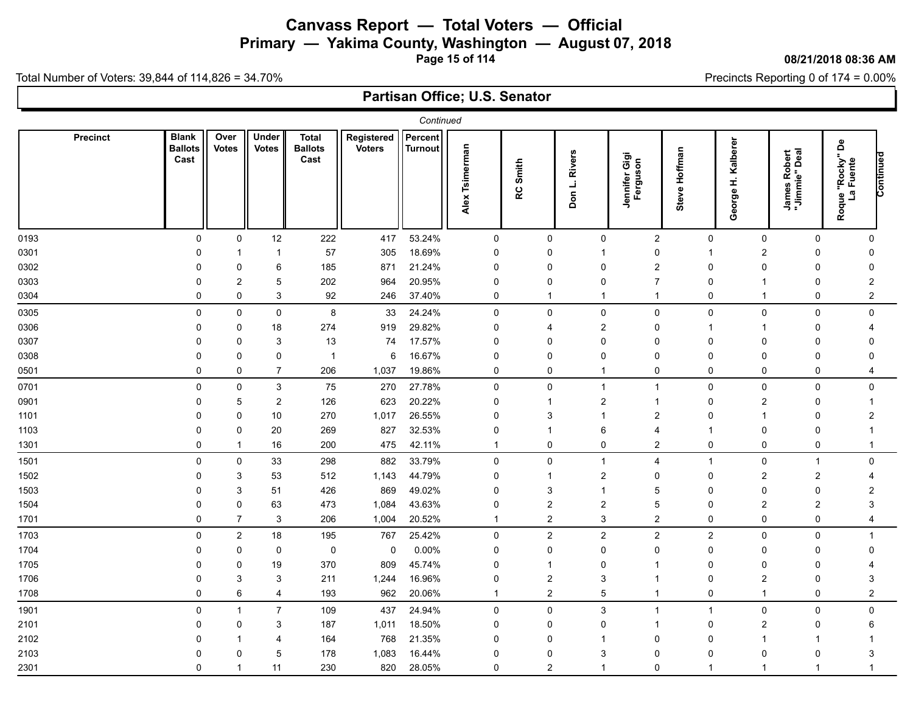**Primary — Yakima County, Washington — August 07, 2018**

**Page 15 of 114**

#### **08/21/2018 08:36 AM**

Precincts Reporting 0 of 174 = 0.00%

Total Number of Voters: 39,844 of 114,826 = 34.70%

|      | Continued<br>Percent<br><b>Blank</b><br>Registered<br>Precinct<br>Over<br>Under<br>Total |                |                |                        |               |         |                   |                |                |                           |                |                         |                               |                                       |           |
|------|------------------------------------------------------------------------------------------|----------------|----------------|------------------------|---------------|---------|-------------------|----------------|----------------|---------------------------|----------------|-------------------------|-------------------------------|---------------------------------------|-----------|
|      | <b>Ballots</b><br>Cast                                                                   | <b>Votes</b>   | <b>Votes</b>   | <b>Ballots</b><br>Cast | <b>Voters</b> | Turnout | Tsimerman<br>Alex | Smith<br>RC    | Don L. Rivers  | Jennifer Gigi<br>Ferguson | Steve Hoffman  | Kalberer<br>£<br>George | James Robert<br>"Jimmie" Deal | å<br>ue "Rocky"<br>La Fuente<br>Roque | Continued |
| 0193 | $\pmb{0}$                                                                                | $\mathbf 0$    | 12             | 222                    | 417           | 53.24%  | $\mathbf 0$       | $\mathbf 0$    | $\mathbf 0$    | $\mathbf{2}$              | 0              | $\mathbf 0$             | $\mathsf 0$                   | $\mathbf 0$                           |           |
| 0301 | $\Omega$                                                                                 |                | 1              | 57                     | 305           | 18.69%  | $\mathbf 0$       | $\overline{0}$ |                | $\mathbf 0$               | 1              | $\overline{2}$          | $\mathbf 0$                   | 0                                     |           |
| 0302 | 0                                                                                        | 0              | 6              | 185                    | 871           | 21.24%  | 0                 | 0              | 0              | 2                         | 0              | $\Omega$                | 0                             | 0                                     |           |
| 0303 |                                                                                          | $\overline{2}$ | 5              | 202                    | 964           | 20.95%  | $\Omega$          | $\mathbf 0$    | $\Omega$       | 7                         | $\Omega$       |                         | 0                             | $\overline{2}$                        |           |
| 0304 | $\Omega$                                                                                 | 0              | 3              | 92                     | 246           | 37.40%  | 0                 | -1             | -1             |                           | $\mathbf 0$    | -1                      | 0                             | $\overline{2}$                        |           |
| 0305 | 0                                                                                        | 0              | 0              | 8                      | 33            | 24.24%  | 0                 | 0              | 0              | 0                         | 0              | $\mathbf 0$             | 0                             | $\mathbf 0$                           |           |
| 0306 | $\Omega$                                                                                 | 0              | 18             | 274                    | 919           | 29.82%  | $\mathbf 0$       | 4              | $\overline{2}$ | 0                         |                |                         | 0                             | 4                                     |           |
| 0307 | $\Omega$                                                                                 | 0              | 3              | 13                     | 74            | 17.57%  | $\Omega$          | 0              | $\Omega$       | $\Omega$                  | $\Omega$       | $\Omega$                | $\mathbf 0$                   | $\Omega$                              |           |
| 0308 | $\Omega$                                                                                 | 0              | 0              | $\overline{1}$         | 6             | 16.67%  | 0                 | 0              | $\Omega$       | 0                         | 0              | $\Omega$                | 0                             | 0                                     |           |
| 0501 | $\Omega$                                                                                 | 0              | $\overline{7}$ | 206                    | 1,037         | 19.86%  | 0                 | $\mathbf 0$    | -1             | $\mathbf 0$               | 0              | 0                       | 0                             | 4                                     |           |
| 0701 | 0                                                                                        | 0              | 3              | 75                     | 270           | 27.78%  | $\mathsf 0$       | $\pmb{0}$      | $\overline{1}$ |                           | 0              | 0                       | $\mathsf 0$                   | 0                                     |           |
| 0901 | $\Omega$                                                                                 | 5              | $\overline{c}$ | 126                    | 623           | 20.22%  | 0                 |                | $\overline{2}$ |                           | 0              | $\overline{2}$          | 0                             | 1                                     |           |
| 1101 | 0                                                                                        | 0              | 10             | 270                    | 1,017         | 26.55%  | $\mathbf 0$       | 3              | -1             | $\overline{2}$            | $\Omega$       | -1                      | 0                             | $\overline{c}$                        |           |
| 1103 | $\Omega$                                                                                 | 0              | 20             | 269                    | 827           | 32.53%  | $\Omega$          |                | 6              |                           |                | $\Omega$                | 0                             | -1                                    |           |
| 1301 | $\Omega$                                                                                 | 1              | 16             | 200                    | 475           | 42.11%  | $\mathbf 1$       | $\mathbf 0$    | $\mathbf 0$    | $\overline{2}$            | $\Omega$       | $\mathbf 0$             | $\mathbf 0$                   | $\mathbf{1}$                          |           |
| 1501 | $\mathbf 0$                                                                              | 0              | 33             | 298                    | 882           | 33.79%  | 0                 | $\pmb{0}$      | -1             | 4                         | -1             | 0                       | $\overline{1}$                | $\mathbf 0$                           |           |
| 1502 | $\Omega$                                                                                 | 3              | 53             | 512                    | 1,143         | 44.79%  | $\mathbf 0$       | -1             | $\overline{2}$ | 0                         | 0              | $\overline{c}$          | $\overline{c}$                | 4                                     |           |
| 1503 | $\Omega$                                                                                 | 3              | 51             | 426                    | 869           | 49.02%  | $\Omega$          | 3              | -1             | 5                         | $\Omega$       | $\Omega$                | $\mathbf 0$                   | $\overline{2}$                        |           |
| 1504 | $\Omega$                                                                                 | 0              | 63             | 473                    | 1,084         | 43.63%  | $\mathbf 0$       | $\overline{c}$ | $\overline{2}$ | 5                         | 0              | $\overline{2}$          | $\overline{c}$                | 3                                     |           |
| 1701 | 0                                                                                        | $\overline{7}$ | 3              | 206                    | 1,004         | 20.52%  | $\mathbf 1$       | $\overline{c}$ | 3              | $\overline{\mathbf{c}}$   | $\Omega$       | $\Omega$                | $\pmb{0}$                     | 4                                     |           |
| 1703 | $\mathbf{0}$                                                                             | $\overline{c}$ | $18$           | 195                    | 767           | 25.42%  | $\mathbf 0$       | $\overline{c}$ | $\overline{2}$ | $\overline{2}$            | $\overline{c}$ | 0                       | 0                             | $\mathbf{1}$                          |           |
| 1704 | $\Omega$                                                                                 | 0              | 0              | 0                      | 0             | 0.00%   | $\mathbf 0$       | $\mathbf 0$    | $\Omega$       | 0                         | $\Omega$       | $\Omega$                | 0                             | 0                                     |           |
| 1705 | $\Omega$                                                                                 | 0              | 19             | 370                    | 809           | 45.74%  | $\mathbf{0}$      | -1             | $\Omega$       |                           | $\Omega$       | $\mathbf{0}$            | $\mathbf 0$                   |                                       |           |
| 1706 | $\Omega$                                                                                 | 3              | 3              | 211                    | 1,244         | 16.96%  | $\Omega$          | $\overline{2}$ | 3              |                           | $\Omega$       | $\overline{2}$          | $\Omega$                      | 3                                     |           |
| 1708 | 0                                                                                        | 6              | $\overline{4}$ | 193                    | 962           | 20.06%  | $\mathbf 1$       | $\overline{2}$ | 5              |                           | 0              | $\mathbf 1$             | 0                             | $\overline{2}$                        |           |
| 1901 | $\mathbf 0$                                                                              | 1              | $\overline{7}$ | 109                    | 437           | 24.94%  | 0                 | $\overline{0}$ | $\mathsf 3$    |                           | -1             | $\mathbf 0$             | $\mathbf 0$                   | $\mathbf 0$                           |           |
| 2101 | $\Omega$                                                                                 | 0              | 3              | 187                    | 1,011         | 18.50%  | $\Omega$          | $\mathbf 0$    | $\Omega$       |                           | $\Omega$       | $\overline{2}$          | $\mathbf 0$                   | 6                                     |           |
| 2102 | $\Omega$                                                                                 |                | 4              | 164                    | 768           | 21.35%  | $\Omega$          | $\mathbf{0}$   | -1             | $\Omega$                  | 0              | $\mathbf 1$             | 1                             |                                       |           |
| 2103 | $\Omega$                                                                                 | 0              | 5              | 178                    | 1,083         | 16.44%  | 0                 | $\Omega$       | 3              | 0                         | 0              | $\Omega$                | 0                             | 3                                     |           |
| 2301 | $\Omega$                                                                                 | -1             | 11             | 230                    | 820           | 28.05%  | $\Omega$          | $\overline{2}$ | -1             | $\Omega$                  | -1             | -1                      | $\overline{1}$                | 1                                     |           |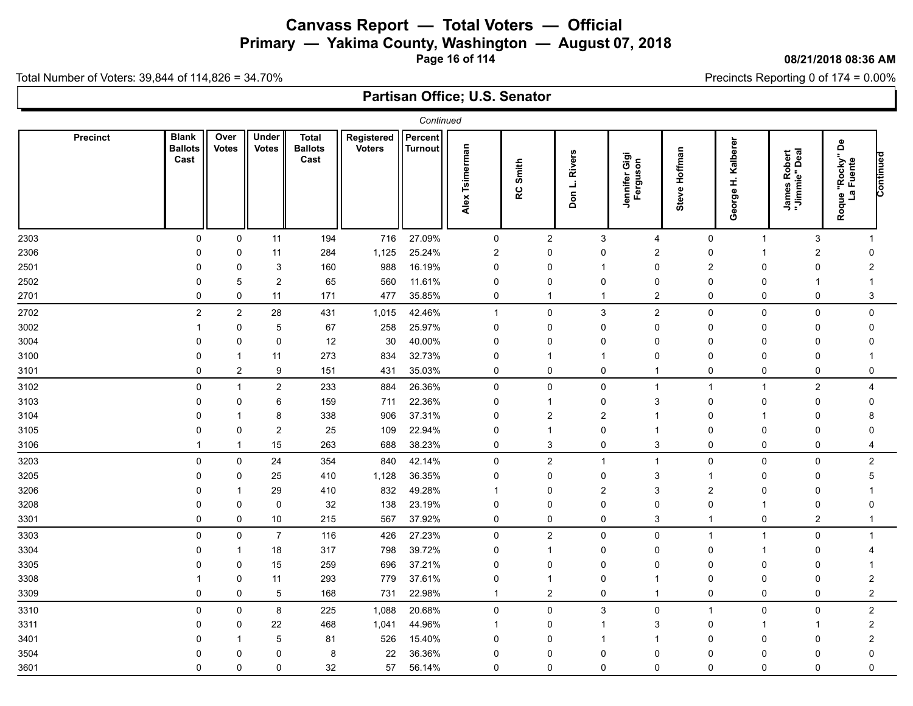**Primary — Yakima County, Washington — August 07, 2018**

**Page 16 of 114**

#### **08/21/2018 08:36 AM**

Precincts Reporting 0 of 174 = 0.00%

Total Number of Voters: 39,844 of 114,826 = 34.70%

|      | Continued<br>Percent<br><b>Blank</b><br><b>Precinct</b><br>Over<br>Under<br><b>Total</b><br>Registered |                |                |                        |               |                |                   |                |                         |                           |                |                         |                               |                                                    |           |
|------|--------------------------------------------------------------------------------------------------------|----------------|----------------|------------------------|---------------|----------------|-------------------|----------------|-------------------------|---------------------------|----------------|-------------------------|-------------------------------|----------------------------------------------------|-----------|
|      | <b>Ballots</b><br>Cast                                                                                 | <b>Votes</b>   | <b>Votes</b>   | <b>Ballots</b><br>Cast | <b>Voters</b> | <b>Turnout</b> | Tsimerman<br>Alex | Smith<br>RC    | <b>Rivers</b><br>Don L. | Jennifer Gigi<br>Ferguson | Steve Hoffman  | Kalberer<br>£<br>George | James Robert<br>"Jimmie" Deal | å<br>ue "Rocky"<br>La Fuente<br>Roque <sup>'</sup> | Continued |
| 2303 | $\mathbf 0$                                                                                            | $\pmb{0}$      | 11             | 194                    | 716           | 27.09%         | $\mathbf 0$       | $\sqrt{2}$     | 3                       | $\overline{4}$            | 0              | $\mathbf{1}$            | 3                             | -1                                                 |           |
| 2306 | $\Omega$                                                                                               | 0              | 11             | 284                    | 1,125         | 25.24%         | $\overline{c}$    | $\overline{0}$ | 0                       | $\overline{2}$            | 0              | -1                      | $\overline{2}$                | 0                                                  |           |
| 2501 | 0                                                                                                      | 0              | 3              | 160                    | 988           | 16.19%         | 0                 | 0              |                         | 0                         | $\overline{2}$ | $\Omega$                | 0                             | 2                                                  |           |
| 2502 |                                                                                                        | 5              | $\overline{c}$ | 65                     | 560           | 11.61%         | $\Omega$          | $\mathbf{0}$   | $\Omega$                | $\Omega$                  | $\Omega$       | $\Omega$                |                               | -1                                                 |           |
| 2701 | $\Omega$                                                                                               | 0              | 11             | 171                    | 477           | 35.85%         | 0                 | 1              | -1                      | $\overline{2}$            | $\mathbf 0$    | $\mathbf 0$             | 0                             | 3                                                  |           |
| 2702 | $\overline{c}$                                                                                         | 2              | 28             | 431                    | 1,015         | 42.46%         | $\mathbf{1}$      | 0              | 3                       | $\overline{c}$            | 0              | $\mathbf 0$             | 0                             | $\mathbf 0$                                        |           |
| 3002 |                                                                                                        | 0              | 5              | 67                     | 258           | 25.97%         | $\mathbf 0$       | 0              | $\Omega$                | 0                         | 0              | $\Omega$                | 0                             | 0                                                  |           |
| 3004 | $\Omega$                                                                                               | 0              | 0              | 12                     | 30            | 40.00%         | $\Omega$          | 0              | $\Omega$                | $\Omega$                  | 0              | $\Omega$                | $\mathbf 0$                   | $\Omega$                                           |           |
| 3100 |                                                                                                        | 1              | 11             | 273                    | 834           | 32.73%         | $\Omega$          |                |                         | 0                         | 0              | $\Omega$                | 0                             |                                                    |           |
| 3101 | $\mathbf 0$                                                                                            | $\overline{c}$ | 9              | 151                    | 431           | 35.03%         | 0                 | $\mathbf 0$    | 0                       | 1                         | 0              | 0                       | 0                             | 0                                                  |           |
| 3102 | 0                                                                                                      | $\mathbf{1}$   | $\overline{c}$ | 233                    | 884           | 26.36%         | $\mathbf 0$       | $\mathbf 0$    | 0                       | 1                         | $\overline{1}$ | $\mathbf{1}$            | $\overline{c}$                | 4                                                  |           |
| 3103 | O                                                                                                      | 0              | 6              | 159                    | 711           | 22.36%         | $\Omega$          |                | $\Omega$                | 3                         | 0              | $\Omega$                | 0                             | $\Omega$                                           |           |
| 3104 |                                                                                                        | 1              | 8              | 338                    | 906           | 37.31%         | $\Omega$          | $\overline{2}$ | $\overline{2}$          |                           | 0              | -1                      | 0                             | 8                                                  |           |
| 3105 | $\Omega$                                                                                               | 0              | $\overline{2}$ | 25                     | 109           | 22.94%         | $\Omega$          |                | $\Omega$                |                           | 0              | $\Omega$                | $\Omega$                      | $\Omega$                                           |           |
| 3106 |                                                                                                        | 1              | 15             | 263                    | 688           | 38.23%         | $\mathbf 0$       | 3              | $\mathbf 0$             | 3                         | $\mathbf 0$    | $\mathbf 0$             | $\mathbf 0$                   | 4                                                  |           |
| 3203 | $\Omega$                                                                                               | 0              | 24             | 354                    | 840           | 42.14%         | 0                 | $\overline{c}$ | -1                      | 1                         | 0              | $\mathbf 0$             | $\mathsf 0$                   | $\overline{2}$                                     |           |
| 3205 | $\Omega$                                                                                               | 0              | 25             | 410                    | 1,128         | 36.35%         | $\Omega$          | $\mathbf 0$    | $\mathbf{0}$            | 3                         | 1              | $\Omega$                | 0                             | 5                                                  |           |
| 3206 | O                                                                                                      | 1              | 29             | 410                    | 832           | 49.28%         | $\mathbf 1$       | $\mathbf{0}$   | $\overline{2}$          | 3                         | $\overline{2}$ | $\Omega$                | 0                             | 1                                                  |           |
| 3208 | 0                                                                                                      | $\mathbf 0$    | $\mathbf 0$    | 32                     | 138           | 23.19%         | $\mathbf{0}$      | $\mathbf 0$    | $\Omega$                | $\Omega$                  | $\Omega$       | -1                      | $\mathbf 0$                   | $\mathbf 0$                                        |           |
| 3301 | $\Omega$                                                                                               | 0              | 10             | 215                    | 567           | 37.92%         | 0                 | 0              | 0                       | 3                         | -1             | 0                       | $\overline{\mathbf{c}}$       | $\mathbf{1}$                                       |           |
| 3303 | $\Omega$                                                                                               | 0              | $\overline{7}$ | 116                    | 426           | 27.23%         | $\mathbf 0$       | $\overline{c}$ | 0                       | $\Omega$                  | $\overline{1}$ | $\mathbf{1}$            | 0                             | $\mathbf{1}$                                       |           |
| 3304 | O                                                                                                      | 1              | 18             | 317                    | 798           | 39.72%         | $\Omega$          | $\overline{1}$ | $\Omega$                | $\Omega$                  | $\Omega$       | $\mathbf 1$             | 0                             | 4                                                  |           |
| 3305 | $\Omega$                                                                                               | $\mathbf 0$    | 15             | 259                    | 696           | 37.21%         | $\mathbf{0}$      | $\mathbf 0$    | $\mathbf{0}$            | $\mathbf{0}$              | 0              | $\Omega$                | $\mathbf 0$                   | -1                                                 |           |
| 3308 |                                                                                                        | 0              | 11             | 293                    | 779           | 37.61%         | $\Omega$          |                | $\Omega$                |                           | $\Omega$       | $\Omega$                | $\Omega$                      | $\overline{2}$                                     |           |
| 3309 | 0                                                                                                      | 0              | 5              | 168                    | 731           | 22.98%         | $\mathbf 1$       | $\overline{2}$ | 0                       | $\mathbf 1$               | 0              | 0                       | 0                             | $\overline{2}$                                     |           |
| 3310 | $\Omega$                                                                                               | 0              | 8              | 225                    | 1,088         | 20.68%         | $\mathsf 0$       | $\overline{0}$ | $\sqrt{3}$              | $\mathbf 0$               | -1             | $\mathbf 0$             | 0                             | $\boldsymbol{2}$                                   |           |
| 3311 | $\Omega$                                                                                               | 0              | 22             | 468                    | 1,041         | 44.96%         | -1                | $\mathbf 0$    |                         | 3                         | $\mathbf 0$    | $\mathbf 1$             | 1                             | $\boldsymbol{2}$                                   |           |
| 3401 |                                                                                                        | 1              | 5              | 81                     | 526           | 15.40%         | $\Omega$          | $\mathbf{0}$   |                         |                           | $\Omega$       | $\Omega$                | $\mathbf{0}$                  | $\overline{2}$                                     |           |
| 3504 |                                                                                                        | 0              | 0              | 8                      | 22            | 36.36%         | $\Omega$          | 0              | $\Omega$                | 0                         | 0              | $\Omega$                | 0                             | $\Omega$                                           |           |
| 3601 | $\Omega$                                                                                               | 0              | 0              | 32                     | 57            | 56.14%         | $\Omega$          | 0              | $\Omega$                | $\Omega$                  | $\mathbf 0$    | $\mathbf{0}$            | $\mathbf 0$                   | $\Omega$                                           |           |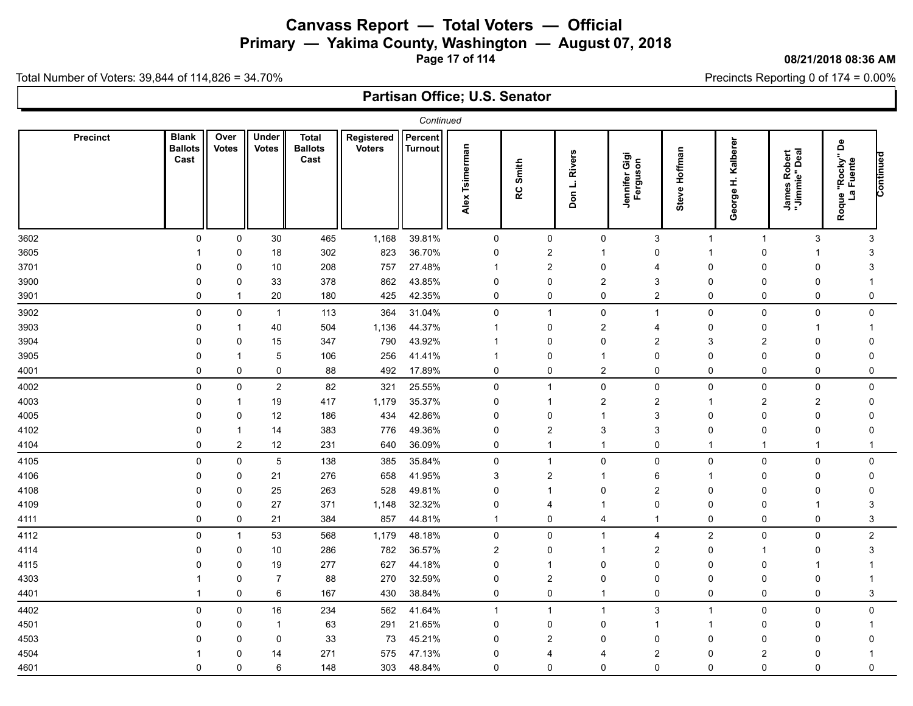**Primary — Yakima County, Washington — August 07, 2018**

**Page 17 of 114**

### **08/21/2018 08:36 AM**

Precincts Reporting 0 of 174 = 0.00%

Total Number of Voters: 39,844 of 114,826 = 34.70%

|      | Continued<br>Percent<br><b>Blank</b><br>Registered<br>Precinct<br>Over<br>Under<br>Total |                |                |                        |               |         |                   |                |                |                           |                |                         |                               |                                       |           |
|------|------------------------------------------------------------------------------------------|----------------|----------------|------------------------|---------------|---------|-------------------|----------------|----------------|---------------------------|----------------|-------------------------|-------------------------------|---------------------------------------|-----------|
|      | <b>Ballots</b><br>Cast                                                                   | <b>Votes</b>   | <b>Votes</b>   | <b>Ballots</b><br>Cast | <b>Voters</b> | Turnout | Tsimerman<br>Alex | Smith<br>RC    | Don L. Rivers  | Jennifer Gigi<br>Ferguson | Steve Hoffman  | Kalberer<br>£<br>George | James Robert<br>"Jimmie" Deal | å<br>ue "Rocky"<br>La Fuente<br>Roque | Continued |
| 3602 | $\mathbf 0$                                                                              | $\mathsf 0$    | $30\,$         | 465                    | 1,168         | 39.81%  | $\mathbf 0$       | $\mathbf 0$    | $\mathbf 0$    | 3                         | $\mathbf 1$    | $\mathbf{1}$            | $\sqrt{3}$                    | 3                                     |           |
| 3605 |                                                                                          | 0              | 18             | 302                    | 823           | 36.70%  | $\mathbf 0$       | $\overline{2}$ | -1             | $\Omega$                  | 1              | $\Omega$                | 1                             | 3                                     |           |
| 3701 | 0                                                                                        | 0              | 10             | 208                    | 757           | 27.48%  | $\mathbf 1$       | $\overline{2}$ | 0              | 4                         | 0              | 0                       | 0                             | 3                                     |           |
| 3900 |                                                                                          | 0              | 33             | 378                    | 862           | 43.85%  | $\Omega$          | $\mathbf 0$    | $\overline{2}$ | 3                         | 0              | $\Omega$                | $\Omega$                      | -1                                    |           |
| 3901 | 0                                                                                        | $\mathbf 1$    | 20             | 180                    | 425           | 42.35%  | 0                 | 0              | $\mathbf 0$    | $\overline{2}$            | $\mathbf 0$    | $\mathbf 0$             | 0                             | 0                                     |           |
| 3902 | 0                                                                                        | 0              | $\mathbf{1}$   | 113                    | 364           | 31.04%  | 0                 | $\overline{1}$ | 0              | -1                        | 0              | $\mathbf 0$             | 0                             | $\mathbf 0$                           |           |
| 3903 | $\Omega$                                                                                 |                | 40             | 504                    | 1,136         | 44.37%  | $\mathbf 1$       | $\mathbf 0$    | $\overline{2}$ | 4                         | $\Omega$       | $\Omega$                | 1                             | -1                                    |           |
| 3904 | $\Omega$                                                                                 | $\mathbf 0$    | 15             | 347                    | 790           | 43.92%  | -1                | $\mathbf 0$    | $\Omega$       | $\overline{2}$            | 3              | 2                       | $\mathbf 0$                   | 0                                     |           |
| 3905 | $\Omega$                                                                                 | 1              | 5              | 106                    | 256           | 41.41%  | -1                | 0              | -1             | 0                         | 0              | $\Omega$                | 0                             | $\mathbf 0$                           |           |
| 4001 | $\mathbf 0$                                                                              | 0              | 0              | 88                     | 492           | 17.89%  | 0                 | $\mathbf 0$    | $\overline{2}$ | $\mathbf 0$               | 0              | 0                       | 0                             | 0                                     |           |
| 4002 | 0                                                                                        | 0              | $\overline{c}$ | 82                     | 321           | 25.55%  | $\mathsf 0$       | $\overline{1}$ | 0              | 0                         | 0              | 0                       | 0                             | 0                                     |           |
| 4003 | 0                                                                                        | 1              | 19             | 417                    | 1,179         | 35.37%  | 0                 | -1             | $\overline{2}$ | $\overline{2}$            | 1              | 2                       | $\overline{c}$                | 0                                     |           |
| 4005 | $\Omega$                                                                                 | 0              | 12             | 186                    | 434           | 42.86%  | $\mathbf 0$       | $\mathbf 0$    | -1             | 3                         | $\mathbf{0}$   | $\Omega$                | $\mathbf 0$                   | $\mathbf 0$                           |           |
| 4102 | $\Omega$                                                                                 |                | 14             | 383                    | 776           | 49.36%  | $\Omega$          | $\overline{2}$ | 3              | 3                         | $\Omega$       | $\Omega$                | $\mathbf 0$                   | $\Omega$                              |           |
| 4104 | $\Omega$                                                                                 | $\overline{2}$ | 12             | 231                    | 640           | 36.09%  | 0                 | 1              | -1             | $\mathbf 0$               | -1             | -1                      | -1                            | $\mathbf{1}$                          |           |
| 4105 | $\mathbf 0$                                                                              | 0              | 5              | 138                    | 385           | 35.84%  | 0                 | $\overline{1}$ | $\mathbf 0$    | 0                         | 0              | $\mathbf 0$             | $\mathsf 0$                   | $\mathbf 0$                           |           |
| 4106 | $\Omega$                                                                                 | 0              | 21             | 276                    | 658           | 41.95%  | 3                 | $\overline{c}$ | -1             | 6                         | -1             | $\Omega$                | 0                             | 0                                     |           |
| 4108 | $\Omega$                                                                                 | 0              | 25             | 263                    | 528           | 49.81%  | $\Omega$          | -1             | $\Omega$       | $\overline{2}$            | $\Omega$       | $\Omega$                | $\mathbf 0$                   | 0                                     |           |
| 4109 | $\Omega$                                                                                 | 0              | 27             | 371                    | 1,148         | 32.32%  | $\mathbf 0$       | 4              |                | $\Omega$                  | $\Omega$       | $\Omega$                | -1                            | 3                                     |           |
| 4111 | 0                                                                                        | 0              | 21             | 384                    | 857           | 44.81%  | $\mathbf 1$       | 0              | 4              |                           | 0              | 0                       | $\pmb{0}$                     | $\mathsf 3$                           |           |
| 4112 | $\mathbf{0}$                                                                             | $\mathbf 1$    | 53             | 568                    | 1,179         | 48.18%  | $\mathbf 0$       | $\pmb{0}$      | $\overline{1}$ | $\overline{\mathbf{4}}$   | $\overline{c}$ | 0                       | 0                             | $\overline{2}$                        |           |
| 4114 | $\Omega$                                                                                 | 0              | 10             | 286                    | 782           | 36.57%  | $\overline{2}$    | $\mathbf 0$    | -1             | $\overline{2}$            | $\Omega$       | $\mathbf 1$             | $\mathbf 0$                   | 3                                     |           |
| 4115 | $\Omega$                                                                                 | 0              | 19             | 277                    | 627           | 44.18%  | $\mathbf{0}$      | -1             | $\Omega$       | $\mathbf{0}$              | $\Omega$       | $\Omega$                | 1                             | -1                                    |           |
| 4303 |                                                                                          | 0              | $\overline{7}$ | 88                     | 270           | 32.59%  | $\Omega$          | $\overline{2}$ | $\Omega$       | 0                         | $\Omega$       | $\Omega$                | $\mathbf 0$                   | -1                                    |           |
| 4401 |                                                                                          | 0              | 6              | 167                    | 430           | 38.84%  | 0                 | 0              | -1             | 0                         | 0              | 0                       | 0                             | 3                                     |           |
| 4402 | $\mathbf 0$                                                                              | $\mathbf 0$    | $16$           | 234                    | 562           | 41.64%  | $\overline{1}$    | -1             | -1             | $\mathsf 3$               | -1             | $\mathbf 0$             | 0                             | $\mathsf{O}\xspace$                   |           |
| 4501 | $\Omega$                                                                                 | 0              | 1              | 63                     | 291           | 21.65%  | $\Omega$          | $\mathbf 0$    | $\Omega$       |                           |                | $\Omega$                | 0                             | 1                                     |           |
| 4503 |                                                                                          | 0              | 0              | 33                     | 73            | 45.21%  | $\Omega$          | $\overline{2}$ | $\Omega$       | $\Omega$                  | $\Omega$       | $\Omega$                | $\mathbf{0}$                  | $\mathbf 0$                           |           |
| 4504 |                                                                                          | 0              | 14             | 271                    | 575           | 47.13%  | 0                 | 4              | 4              | $\overline{2}$            | 0              | $\overline{2}$          | 0                             |                                       |           |
| 4601 | $\Omega$                                                                                 | 0              | 6              | 148                    | 303           | 48.84%  | $\Omega$          | $\mathbf 0$    | $\mathbf{0}$   | $\mathbf{0}$              | $\mathbf 0$    | $\mathbf 0$             | $\mathbf 0$                   | $\mathbf 0$                           |           |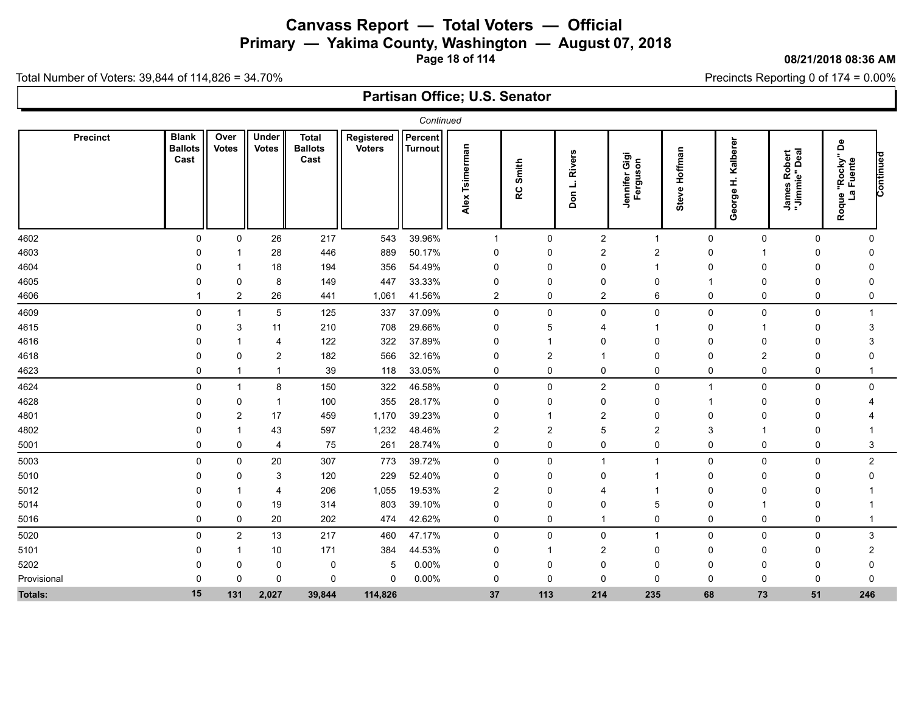**Primary — Yakima County, Washington — August 07, 2018**

**Page 18 of 114**

#### **08/21/2018 08:36 AM**

Precincts Reporting 0 of 174 = 0.00%

Total Number of Voters: 39,844 of 114,826 = 34.70%

| Continued<br><b>Blank</b><br>Percent<br>Over<br><b>Under</b><br><b>Total</b><br>Registered<br><b>Precinct</b> |                        |                |                |                        |               |         |                   |                |                            |                                  |               |                         |                                         |                                          |           |
|---------------------------------------------------------------------------------------------------------------|------------------------|----------------|----------------|------------------------|---------------|---------|-------------------|----------------|----------------------------|----------------------------------|---------------|-------------------------|-----------------------------------------|------------------------------------------|-----------|
|                                                                                                               | <b>Ballots</b><br>Cast | <b>Votes</b>   | <b>Votes</b>   | <b>Ballots</b><br>Cast | <b>Voters</b> | Turnout | Tsimerman<br>Alex | Smith<br>RC    | <b>Rivers</b><br>j,<br>Don | Gigi<br>Jennifer Gig<br>Ferguson | Steve Hoffman | Kalberer<br>£<br>George | tobert<br>"Deal<br>James Ro<br>"Jimmie" | å<br>"Rocky"<br>I Fuente<br>مًا<br>Roque | Continued |
| 4602                                                                                                          | $\mathbf 0$            | $\mathbf 0$    | 26             | 217                    | 543           | 39.96%  | $\mathbf{1}$      | $\mathbf 0$    | $\overline{2}$             | $\overline{1}$                   | $\Omega$      | $\mathbf 0$             | $\mathbf 0$                             | $\mathbf{0}$                             |           |
| 4603                                                                                                          | $\Omega$               |                | 28             | 446                    | 889           | 50.17%  | 0                 | 0              | $\overline{2}$             | 2                                | 0             |                         | 0                                       | $\Omega$                                 |           |
| 4604                                                                                                          | $\Omega$               |                | 18             | 194                    | 356           | 54.49%  | 0                 | 0              | $\Omega$                   |                                  | 0             | 0                       | 0                                       | $\Omega$                                 |           |
| 4605                                                                                                          | $\Omega$               | $\Omega$       | 8              | 149                    | 447           | 33.33%  | 0                 | $\Omega$       | $\Omega$                   |                                  |               | $\Omega$                | $\mathbf{0}$                            | $\Omega$                                 |           |
| 4606                                                                                                          |                        | 2              | 26             | 441                    | 1,061         | 41.56%  | $\overline{2}$    | 0              | 2                          | 6                                | 0             | 0                       | 0                                       | 0                                        |           |
| 4609                                                                                                          | $\mathbf 0$            | $\mathbf{1}$   | 5              | 125                    | 337           | 37.09%  | 0                 | $\mathbf 0$    | $\mathbf{0}$               | $\Omega$                         | 0             | $\mathbf 0$             |                                         | 0<br>$\mathbf{1}$                        |           |
| 4615                                                                                                          | $\Omega$               | 3              | 11             | 210                    | 708           | 29.66%  | $\mathbf 0$       | 5              |                            |                                  | U             |                         | $\mathbf 0$                             | 3                                        |           |
| 4616                                                                                                          |                        |                | 4              | 122                    | 322           | 37.89%  | 0                 |                | 0                          |                                  |               | $\Omega$                | 0                                       | 3                                        |           |
| 4618                                                                                                          | <sup>0</sup>           | 0              | $\overline{2}$ | 182                    | 566           | 32.16%  | 0                 | $\overline{2}$ | -1                         | 0                                | 0             | 2                       | 0                                       | 0                                        |           |
| 4623                                                                                                          | 0                      | 1              |                | 39                     | 118           | 33.05%  | 0                 | $\mathbf 0$    | 0                          | 0                                | 0             | $\mathbf 0$             | 0                                       | $\mathbf 1$                              |           |
| 4624                                                                                                          | $\mathbf 0$            | $\mathbf{1}$   | 8              | 150                    | 322           | 46.58%  | 0                 | 0              | $\overline{c}$             | $\mathbf 0$                      | -1            | 0                       | 0                                       | $\mathbf 0$                              |           |
| 4628                                                                                                          | $\Omega$               | $\Omega$       |                | 100                    | 355           | 28.17%  | $\mathbf 0$       | 0              | $\Omega$                   | $\Omega$                         |               | $\Omega$                | 0                                       |                                          |           |
| 4801                                                                                                          | $\Omega$               | $\overline{2}$ | 17             | 459                    | 1,170         | 39.23%  | 0                 |                | $\overline{c}$             |                                  |               | $\Omega$                | 0                                       |                                          |           |
| 4802                                                                                                          | <sup>0</sup>           |                | 43             | 597                    | 1,232         | 48.46%  | $\overline{c}$    | $\overline{2}$ | 5                          | 2                                | 3             |                         | 0                                       |                                          |           |
| 5001                                                                                                          | 0                      | $\mathbf 0$    | 4              | 75                     | 261           | 28.74%  | 0                 | $\Omega$       | $\Omega$                   | 0                                | 0             | 0                       | 0                                       | 3                                        |           |
| 5003                                                                                                          | $\mathbf 0$            | 0              | 20             | 307                    | 773           | 39.72%  | 0                 | $\mathbf 0$    | $\overline{\mathbf{1}}$    |                                  | 0             | $\mathbf 0$             | 0                                       | $\overline{2}$                           |           |
| 5010                                                                                                          | 0                      | $\mathbf 0$    | 3              | 120                    | 229           | 52.40%  | 0                 | 0              | $\Omega$                   |                                  | 0             | $\Omega$                | 0                                       | $\mathbf{0}$                             |           |
| 5012                                                                                                          |                        |                | 4              | 206                    | 1,055         | 19.53%  | $\overline{2}$    | 0              | 4                          |                                  |               | $\Omega$                | 0                                       |                                          |           |
| 5014                                                                                                          | <sup>0</sup>           | $\mathbf 0$    | 19             | 314                    | 803           | 39.10%  | 0                 | $\Omega$       | $\Omega$                   | 5                                | 0             |                         | 0                                       |                                          |           |
| 5016                                                                                                          | 0                      | 0              | 20             | 202                    | 474           | 42.62%  | 0                 | 0              | -1                         | 0                                | 0             | 0                       | 0                                       | -1                                       |           |
| 5020                                                                                                          | 0                      | $\overline{2}$ | 13             | 217                    | 460           | 47.17%  | 0                 | $\mathbf 0$    | $\mathbf 0$                |                                  | 0             | $\mathbf 0$             | 0                                       | 3                                        |           |
| 5101                                                                                                          | $\Omega$               | 1              | 10             | 171                    | 384           | 44.53%  | 0                 | -1             | $\overline{2}$             | 0                                | 0             | 0                       | 0                                       | 2                                        |           |
| 5202                                                                                                          |                        | 0              | 0              | 0                      | 5             | 0.00%   | 0                 | 0              | 0                          |                                  | Ω             | 0                       | 0                                       | 0                                        |           |
| Provisional                                                                                                   | $\Omega$               | $\Omega$       | 0              | $\mathbf 0$            | $\Omega$      | 0.00%   | $\mathbf 0$       | $\mathbf 0$    | $\Omega$                   | $\Omega$                         | 0             | $\Omega$                | $\mathbf 0$                             | $\Omega$                                 |           |
| <b>Totals:</b>                                                                                                | 15                     | 131            | 2,027          | 39,844                 | 114,826       |         | 37                | 113            | 214                        | 235                              | 68            | 73                      | 51                                      | 246                                      |           |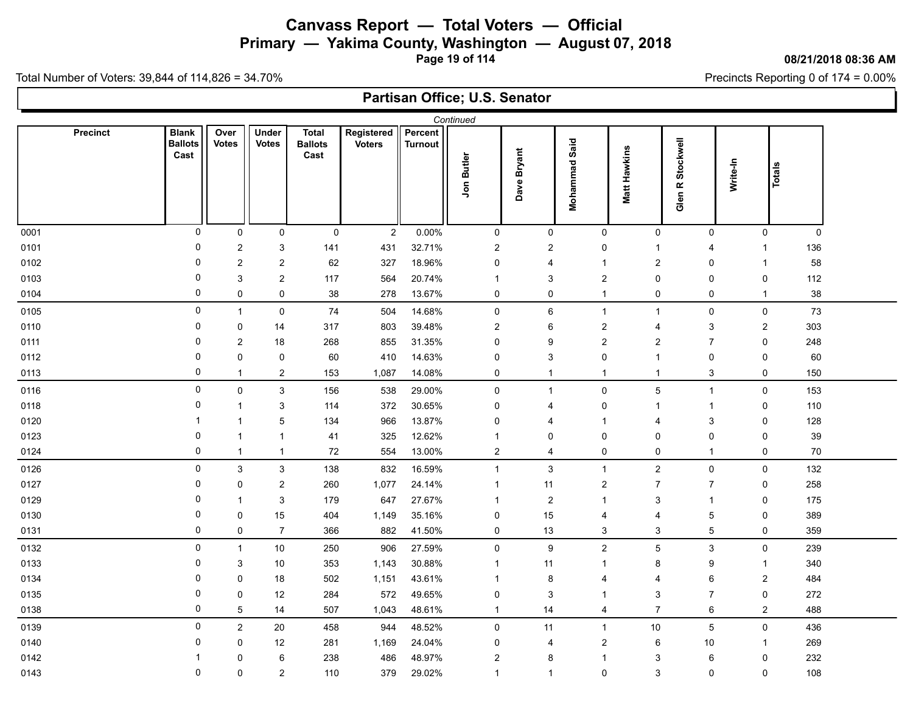**Primary — Yakima County, Washington — August 07, 2018**

**Page 19 of 114**

### **08/21/2018 08:36 AM**

H

Precincts Reporting 0 of 174 = 0.00%

Total Number of Voters: 39,844 of 114,826 = 34.70%

| Continued       |                                        |                      |                              |                                        |                             |                           |                |                  |                      |                     |                           |                  |             |  |
|-----------------|----------------------------------------|----------------------|------------------------------|----------------------------------------|-----------------------------|---------------------------|----------------|------------------|----------------------|---------------------|---------------------------|------------------|-------------|--|
| <b>Precinct</b> | <b>Blank</b><br><b>Ballots</b><br>Cast | Over<br><b>Votes</b> | <b>Under</b><br><b>Votes</b> | <b>Total</b><br><b>Ballots</b><br>Cast | Registered<br><b>Voters</b> | Percent<br><b>Turnout</b> | Jon Butler     | Dave Bryant      | <b>Mohammad Said</b> | <b>Matt Hawkins</b> | R Stockwell<br>Glen       | Write-In         | Totals      |  |
| 0001            | 0                                      | $\mathbf 0$          | 0                            | $\mathbf 0$                            | $\overline{c}$              | 0.00%                     | $\mathbf 0$    | $\mathbf 0$      | $\mathbf 0$          | 0                   | 0                         | 0                | $\mathbf 0$ |  |
| 0101            | 0                                      | $\overline{c}$       | 3                            | 141                                    | 431                         | 32.71%                    | 2              | $\overline{c}$   | 0                    | $\overline{1}$      | 4                         | $\mathbf{1}$     | 136         |  |
| 0102            | 0                                      | $\boldsymbol{2}$     | $\overline{\mathbf{c}}$      | 62                                     | 327                         | 18.96%                    | 0              | 4                | $\overline{1}$       | $\overline{2}$      | $\mathbf 0$               | $\mathbf{1}$     | 58          |  |
| 0103            | 0                                      | 3                    | $\overline{c}$               | 117                                    | 564                         | 20.74%                    | $\mathbf 1$    | 3                | $\overline{2}$       | $\pmb{0}$           | $\mathbf 0$               | 0                | 112         |  |
| 0104            | 0                                      | 0                    | $\mathsf{O}\xspace$          | 38                                     | 278                         | 13.67%                    | 0              | 0                | $\mathbf{1}$         | $\mathsf 0$         | $\pmb{0}$                 | $\mathbf{1}$     | 38          |  |
| 0105            | 0                                      | $\mathbf{1}$         | $\pmb{0}$                    | 74                                     | 504                         | 14.68%                    | $\mathsf 0$    | 6                | $\mathbf{1}$         | $\mathbf{1}$        | $\mathbf 0$               | $\mathsf 0$      | 73          |  |
| 0110            | 0                                      | 0                    | 14                           | 317                                    | 803                         | 39.48%                    | $\overline{c}$ | 6                | $\overline{c}$       | $\overline{4}$      | $\ensuremath{\mathsf{3}}$ | $\boldsymbol{2}$ | 303         |  |
| 0111            | 0                                      | $\boldsymbol{2}$     | 18                           | 268                                    | 855                         | 31.35%                    | $\mathbf 0$    | 9                | $\overline{2}$       | $\overline{2}$      | $\overline{7}$            | 0                | 248         |  |
| 0112            | 0                                      | 0                    | 0                            | 60                                     | 410                         | 14.63%                    | 0              | 3                | 0                    | $\mathbf{1}$        | $\mathbf 0$               | $\pmb{0}$        | 60          |  |
| 0113            | 0                                      | $\overline{1}$       | $\overline{2}$               | 153                                    | 1,087                       | 14.08%                    | 0              | $\mathbf{1}$     | $\overline{1}$       | $\mathbf{1}$        | $\mathsf 3$               | $\pmb{0}$        | 150         |  |
| 0116            | 0                                      | $\pmb{0}$            | $\mathbf{3}$                 | 156                                    | 538                         | 29.00%                    | $\pmb{0}$      | $\mathbf{1}$     | $\mathsf 0$          | $\mathbf 5$         | $\mathbf{1}$              | $\mathsf 0$      | 153         |  |
| 0118            | 0                                      | $\mathbf{1}$         | 3                            | 114                                    | 372                         | 30.65%                    | 0              | 4                | $\mathbf 0$          | $\overline{1}$      | $\mathbf{1}$              | $\pmb{0}$        | 110         |  |
| 0120            | 1                                      | $\overline{1}$       | 5                            | 134                                    | 966                         | 13.87%                    | $\mathbf 0$    | 4                | $\overline{1}$       | $\overline{4}$      | 3                         | 0                | 128         |  |
| 0123            | 0                                      | $\mathbf{1}$         | $\overline{1}$               | 41                                     | 325                         | 12.62%                    | $\mathbf{1}$   | 0                | $\mathbf 0$          | 0                   | 0                         | $\pmb{0}$        | $39\,$      |  |
| 0124            | 0                                      | $\mathbf{1}$         | $\mathbf{1}$                 | $72\,$                                 | 554                         | 13.00%                    | $\overline{2}$ | 4                | $\mathbf 0$          | 0                   | $\mathbf{1}$              | 0                | 70          |  |
| 0126            | $\mathbf 0$                            | $\mathsf 3$          | $\mathbf{3}$                 | 138                                    | 832                         | 16.59%                    | $\mathbf{1}$   | $\mathsf 3$      | $\mathbf{1}$         | $\overline{2}$      | $\mathbf 0$               | $\pmb{0}$        | 132         |  |
| 0127            | 0                                      | 0                    | $\overline{c}$               | 260                                    | 1,077                       | 24.14%                    | 1              | 11               | $\sqrt{2}$           | $\overline{7}$      | $\overline{7}$            | 0                | 258         |  |
| 0129            | 0                                      | $\mathbf 1$          | $\mathsf 3$                  | 179                                    | 647                         | 27.67%                    | 1              | $\boldsymbol{2}$ | $\mathbf{1}$         | 3                   | $\mathbf{1}$              | $\pmb{0}$        | 175         |  |
| 0130            | 0                                      | 0                    | 15                           | 404                                    | 1,149                       | 35.16%                    | $\mathbf 0$    | 15               | $\overline{4}$       | $\overline{4}$      | 5                         | $\mathbf 0$      | 389         |  |
| 0131            | $\mathbf 0$                            | 0                    | $\overline{7}$               | 366                                    | 882                         | 41.50%                    | 0              | 13               | 3                    | $\sqrt{3}$          | $\mathbf 5$               | $\pmb{0}$        | 359         |  |
| 0132            | 0                                      | $\mathbf{1}$         | 10                           | 250                                    | 906                         | 27.59%                    | $\mathbf 0$    | 9                | $\overline{2}$       | $\overline{5}$      | $\mathsf 3$               | $\pmb{0}$        | 239         |  |
| 0133            | 0                                      | 3                    | 10                           | 353                                    | 1,143                       | 30.88%                    | 1              | 11               | $\overline{1}$       | 8                   | 9                         | $\mathbf{1}$     | 340         |  |
| 0134            | 0                                      | 0                    | 18                           | 502                                    | 1,151                       | 43.61%                    | $\mathbf 1$    | 8                | $\overline{4}$       | $\overline{4}$      | 6                         | $\boldsymbol{2}$ | 484         |  |
| 0135            | 0                                      | 0                    | 12                           | 284                                    | 572                         | 49.65%                    | 0              | 3                | $\overline{1}$       | 3                   | $\overline{7}$            | $\pmb{0}$        | 272         |  |
| 0138            | $\mathbf 0$                            | 5                    | 14                           | 507                                    | 1,043                       | 48.61%                    | $\mathbf{1}$   | 14               | 4                    | $\overline{7}$      | $\,6\,$                   | $\boldsymbol{2}$ | 488         |  |
| 0139            | 0                                      | $\overline{c}$       | 20                           | 458                                    | 944                         | 48.52%                    | 0              | 11               | $\overline{1}$       | $10$                | $\sqrt{5}$                | 0                | 436         |  |
| 0140            | 0                                      | 0                    | $12$                         | 281                                    | 1,169                       | 24.04%                    | $\mathbf 0$    | 4                | $\sqrt{2}$           | $\,6$               | $10$                      | $\mathbf{1}$     | 269         |  |
| 0142            | 1                                      | 0                    | 6                            | 238                                    | 486                         | 48.97%                    | $\overline{c}$ | 8                | $\overline{1}$       | 3                   | $\,6\,$                   | $\pmb{0}$        | 232         |  |
| 0143            | 0                                      | 0                    | $\overline{2}$               | 110                                    | 379                         | 29.02%                    | $\mathbf{1}$   | $\mathbf{1}$     | $\mathbf 0$          | 3                   | 0                         | $\mathbf 0$      | 108         |  |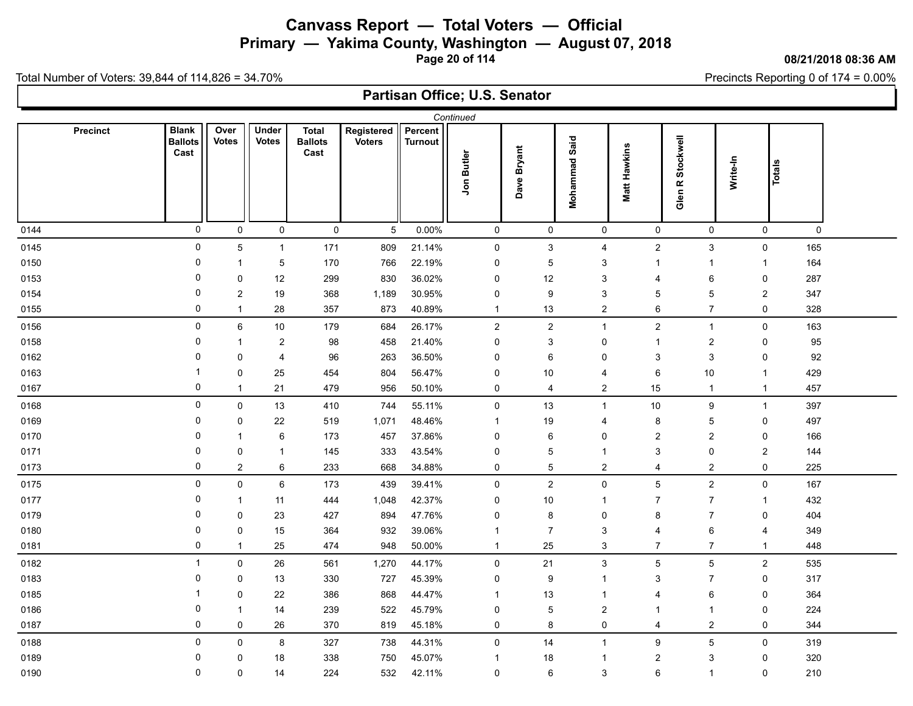**Primary — Yakima County, Washington — August 07, 2018**

**Page 20 of 114**

### **08/21/2018 08:36 AM**

Precincts Reporting 0 of 174 = 0.00%

Total Number of Voters: 39,844 of 114,826 = 34.70%

| Continued       |                                        |                         |                         |                                        |                             |                           |                         |                |                           |                     |                                |                  |        |  |
|-----------------|----------------------------------------|-------------------------|-------------------------|----------------------------------------|-----------------------------|---------------------------|-------------------------|----------------|---------------------------|---------------------|--------------------------------|------------------|--------|--|
| <b>Precinct</b> | <b>Blank</b><br><b>Ballots</b><br>Cast | Over<br><b>Votes</b>    | Under<br><b>Votes</b>   | <b>Total</b><br><b>Ballots</b><br>Cast | Registered<br><b>Voters</b> | Percent<br><b>Turnout</b> | Jon Butler              | Dave Bryant    | <b>Mohammad Said</b>      | <b>Matt Hawkins</b> | Stockwell<br>Glen <sub>R</sub> | Write-In         | Totals |  |
| 0144            | 0                                      | $\mathsf{O}\xspace$     | $\mathsf{O}\xspace$     | $\mathbf 0$                            | $5\phantom{.0}$             | 0.00%                     | $\mathsf{O}\xspace$     | $\mathsf{O}$   | $\mathsf 0$               | $\mathsf 0$         | $\mathsf 0$                    | 0                | 0      |  |
| 0145            | 0                                      | $\overline{5}$          | $\mathbf{1}$            | 171                                    | 809                         | 21.14%                    | $\pmb{0}$               | $\mathfrak{S}$ | $\overline{4}$            | $\overline{2}$      | $\sqrt{3}$                     | $\mathsf 0$      | 165    |  |
| 0150            | 0                                      | $\mathbf 1$             | 5                       | 170                                    | 766                         | 22.19%                    | 0                       | 5              | 3                         | $\mathbf{1}$        | $\mathbf{1}$                   | $\mathbf{1}$     | 164    |  |
| 0153            | 0                                      | 0                       | $12$                    | 299                                    | 830                         | 36.02%                    | 0                       | 12             | 3                         | $\overline{4}$      | 6                              | 0                | 287    |  |
| 0154            | 0                                      | 2                       | 19                      | 368                                    | 1,189                       | 30.95%                    | 0                       | 9              | 3                         | 5                   | 5                              | $\boldsymbol{2}$ | 347    |  |
| 0155            | 0                                      | $\overline{1}$          | 28                      | 357                                    | 873                         | 40.89%                    | $\mathbf{1}$            | 13             | $\overline{\mathbf{c}}$   | $\,6\,$             | $\overline{7}$                 | 0                | 328    |  |
| 0156            | 0                                      | $\,6\,$                 | $10$                    | 179                                    | 684                         | 26.17%                    | $\boldsymbol{2}$        | $\overline{c}$ | $\overline{1}$            | $\overline{2}$      | $\mathbf{1}$                   | 0                | 163    |  |
| 0158            | 0                                      | $\overline{1}$          | $\overline{2}$          | 98                                     | 458                         | 21.40%                    | 0                       | 3              | $\pmb{0}$                 | $\mathbf{1}$        | $\sqrt{2}$                     | 0                | 95     |  |
| 0162            | 0                                      | 0                       | $\overline{\mathbf{4}}$ | 96                                     | 263                         | 36.50%                    | 0                       | 6              | $\mathbf 0$               | $\sqrt{3}$          | $\sqrt{3}$                     | 0                | 92     |  |
| 0163            | -1                                     | 0                       | 25                      | 454                                    | 804                         | 56.47%                    | 0                       | $10$           | $\overline{4}$            | $\,6$               | 10                             | $\mathbf{1}$     | 429    |  |
| 0167            | 0                                      | $\overline{1}$          | 21                      | 479                                    | 956                         | 50.10%                    | 0                       | $\overline{4}$ | $\sqrt{2}$                | 15                  | $\mathbf{1}$                   | $\mathbf{1}$     | 457    |  |
| 0168            | 0                                      | $\mathsf{O}\xspace$     | 13                      | 410                                    | 744                         | 55.11%                    | $\pmb{0}$               | 13             | $\overline{1}$            | $10$                | $\boldsymbol{9}$               | $\mathbf{1}$     | 397    |  |
| 0169            | 0                                      | 0                       | 22                      | 519                                    | 1,071                       | 48.46%                    | -1                      | $19$           | $\overline{4}$            | 8                   | $\sqrt{5}$                     | 0                | 497    |  |
| 0170            | 0                                      | $\overline{1}$          | 6                       | 173                                    | 457                         | 37.86%                    | $\mathbf 0$             | 6              | $\mathbf 0$               | $\overline{c}$      | $\overline{c}$                 | 0                | 166    |  |
| 0171            | 0                                      | $\pmb{0}$               | 1                       | 145                                    | 333                         | 43.54%                    | $\mathbf 0$             | 5              | $\overline{1}$            | $\mathbf{3}$        | $\pmb{0}$                      | $\overline{c}$   | 144    |  |
| 0173            | 0                                      | $\overline{\mathbf{c}}$ | 6                       | 233                                    | 668                         | 34.88%                    | 0                       | 5              | $\boldsymbol{2}$          | $\overline{4}$      | $\boldsymbol{2}$               | $\pmb{0}$        | 225    |  |
| 0175            | 0                                      | $\mathsf{O}\xspace$     | $\,6\,$                 | 173                                    | 439                         | 39.41%                    | $\pmb{0}$               | $\overline{a}$ | $\pmb{0}$                 | $\sqrt{5}$          | $\sqrt{2}$                     | $\mathsf 0$      | 167    |  |
| 0177            | 0                                      | $\overline{1}$          | 11                      | 444                                    | 1,048                       | 42.37%                    | 0                       | 10             | $\overline{1}$            | $\overline{7}$      | $\overline{7}$                 | $\mathbf{1}$     | 432    |  |
| 0179            | 0                                      | 0                       | 23                      | 427                                    | 894                         | 47.76%                    | $\mathbf 0$             | 8              | $\mathbf 0$               | 8                   | $\overline{7}$                 | 0                | 404    |  |
| 0180            | 0                                      | 0                       | 15                      | 364                                    | 932                         | 39.06%                    | $\overline{\mathbf{1}}$ | $\overline{7}$ | 3                         | $\overline{4}$      | $\,6\,$                        | 4                | 349    |  |
| 0181            | 0                                      | $\mathbf{1}$            | 25                      | 474                                    | 948                         | 50.00%                    | $\mathbf 1$             | 25             | 3                         | $\overline{7}$      | $\overline{7}$                 | $\mathbf{1}$     | 448    |  |
| 0182            | $\mathbf{1}$                           | $\mathbf 0$             | 26                      | 561                                    | 1,270                       | 44.17%                    | 0                       | 21             | $\ensuremath{\mathsf{3}}$ | $\overline{5}$      | $\sqrt{5}$                     | $\boldsymbol{2}$ | 535    |  |
| 0183            | 0                                      | 0                       | 13                      | 330                                    | 727                         | 45.39%                    | 0                       | 9              | $\overline{1}$            | 3                   | $\overline{7}$                 | 0                | 317    |  |
| 0185            | 1                                      | 0                       | 22                      | 386                                    | 868                         | 44.47%                    | $\overline{\mathbf{1}}$ | 13             | $\overline{1}$            | $\overline{4}$      | $\,6\,$                        | 0                | 364    |  |
| 0186            | 0                                      | $\mathbf 1$             | 14                      | 239                                    | 522                         | 45.79%                    | 0                       | 5              | $\overline{\mathbf{c}}$   | $\overline{1}$      | $\mathbf{1}$                   | 0                | 224    |  |
| 0187            | 0                                      | 0                       | 26                      | 370                                    | 819                         | 45.18%                    | 0                       | 8              | $\pmb{0}$                 | $\overline{4}$      | $\overline{c}$                 | 0                | 344    |  |
| 0188            | 0                                      | 0                       | 8                       | 327                                    | 738                         | 44.31%                    | 0                       | 14             | $\overline{1}$            | $\boldsymbol{9}$    | $\sqrt{5}$                     | $\mathsf 0$      | 319    |  |
| 0189            | 0                                      | 0                       | 18                      | 338                                    | 750                         | 45.07%                    | -1                      | 18             | $\overline{1}$            | $\overline{c}$      | $\ensuremath{\mathsf{3}}$      | 0                | 320    |  |
| 0190            | 0                                      | 0                       | 14                      | 224                                    | 532                         | 42.11%                    | 0                       | 6              | 3                         | 6                   | $\mathbf{1}$                   | 0                | 210    |  |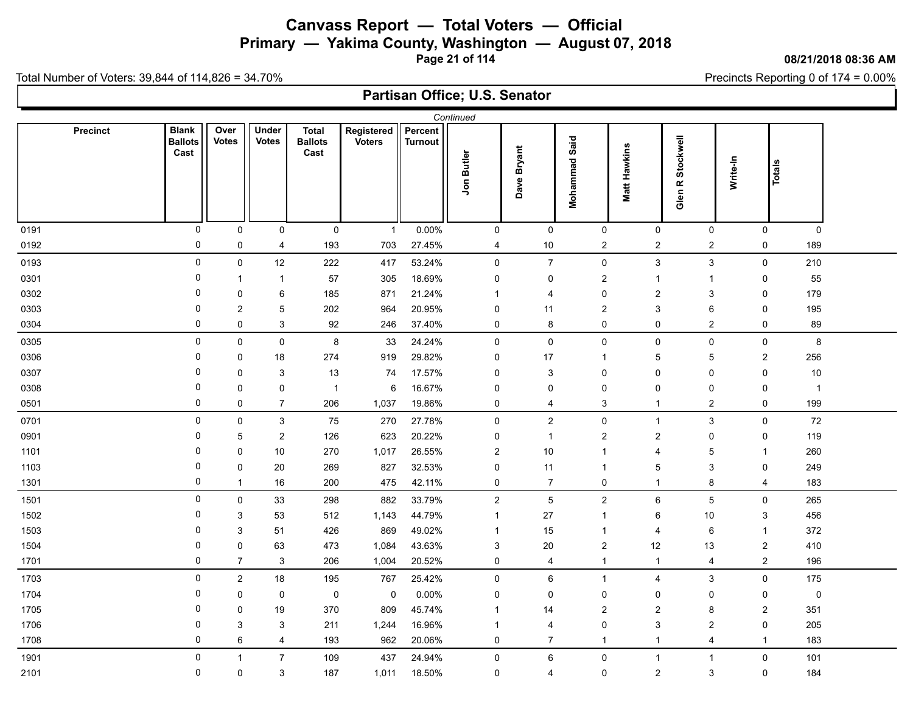**Primary — Yakima County, Washington — August 07, 2018**

**Page 21 of 114**

### **08/21/2018 08:36 AM**

Precincts Reporting 0 of 174 = 0.00%

Total Number of Voters: 39,844 of 114,826 = 34.70%

| Continued       |                                        |                      |                       |                                        |                             |                           |                         |                     |                           |                |                                |                  |                     |  |
|-----------------|----------------------------------------|----------------------|-----------------------|----------------------------------------|-----------------------------|---------------------------|-------------------------|---------------------|---------------------------|----------------|--------------------------------|------------------|---------------------|--|
| <b>Precinct</b> | <b>Blank</b><br><b>Ballots</b><br>Cast | Over<br><b>Votes</b> | Under<br><b>Votes</b> | <b>Total</b><br><b>Ballots</b><br>Cast | Registered<br><b>Voters</b> | Percent<br><b>Turnout</b> | Jon Butler              | Dave Bryant         | <b>Mohammad Said</b>      | Matt Hawkins   | Stockwell<br>Glen <sub>R</sub> | Write-In         | <b>Totals</b>       |  |
| 0191            | 0                                      | 0                    | $\mathsf{O}\xspace$   | $\mathsf 0$                            | $\mathbf{1}$                | 0.00%                     | $\pmb{0}$               | $\pmb{0}$           | $\mathsf{O}\xspace$       | $\pmb{0}$      | $\pmb{0}$                      | $\pmb{0}$        | $\mathsf{O}\xspace$ |  |
| 0192            | 0                                      | 0                    | 4                     | 193                                    | 703                         | 27.45%                    | 4                       | 10                  | $\overline{2}$            | $\overline{2}$ | $\sqrt{2}$                     | 0                | 189                 |  |
| 0193            | 0                                      | $\mathsf 0$          | $12$                  | 222                                    | 417                         | 53.24%                    | $\pmb{0}$               | $\overline{7}$      | $\pmb{0}$                 | $\sqrt{3}$     | $\sqrt{3}$                     | 0                | 210                 |  |
| 0301            | 0                                      | $\overline{1}$       | $\mathbf{1}$          | 57                                     | 305                         | 18.69%                    | 0                       | 0                   | $\sqrt{2}$                | $\mathbf{1}$   | $\overline{1}$                 | 0                | 55                  |  |
| 0302            | 0                                      | 0                    | 6                     | 185                                    | 871                         | 21.24%                    | 1                       | 4                   | 0                         | $\overline{c}$ | $\sqrt{3}$                     | 0                | 179                 |  |
| 0303            | 0                                      | 2                    | 5                     | 202                                    | 964                         | 20.95%                    | 0                       | 11                  | $\overline{c}$            | $\mathbf{3}$   | 6                              | 0                | 195                 |  |
| 0304            | 0                                      | $\pmb{0}$            | $\mathfrak{S}$        | 92                                     | 246                         | 37.40%                    | 0                       | $\bf 8$             | $\mathsf 0$               | $\pmb{0}$      | $\overline{2}$                 | $\pmb{0}$        | 89                  |  |
| 0305            | 0                                      | $\mathsf 0$          | $\mathsf{O}\xspace$   | $\bf8$                                 | 33                          | 24.24%                    | $\pmb{0}$               | $\mathsf{O}\xspace$ | $\mathsf 0$               | $\mathsf 0$    | $\pmb{0}$                      | $\pmb{0}$        | $\bf 8$             |  |
| 0306            | 0                                      | 0                    | $18\,$                | 274                                    | 919                         | 29.82%                    | $\mathbf 0$             | 17                  | $\overline{1}$            | $\sqrt{5}$     | $\sqrt{5}$                     | $\boldsymbol{2}$ | 256                 |  |
| 0307            | 0                                      | 0                    | 3                     | 13                                     | 74                          | 17.57%                    | $\mathbf 0$             | 3                   | $\pmb{0}$                 | $\mathbf 0$    | $\mathbf 0$                    | 0                | $10$                |  |
| 0308            | 0                                      | 0                    | 0                     | $\overline{1}$                         | $\,6$                       | 16.67%                    | 0                       | 0                   | $\mathbf 0$               | $\pmb{0}$      | $\pmb{0}$                      | 0                | $\overline{1}$      |  |
| 0501            | 0                                      | 0                    | $\overline{7}$        | 206                                    | 1,037                       | 19.86%                    | 0                       | 4                   | $\ensuremath{\mathsf{3}}$ | $\mathbf{1}$   | $\overline{c}$                 | $\pmb{0}$        | 199                 |  |
| 0701            | 0                                      | $\mathsf 0$          | $\mathfrak{S}$        | 75                                     | 270                         | 27.78%                    | $\pmb{0}$               | $\overline{2}$      | $\mathsf 0$               | $\mathbf{1}$   | $\sqrt{3}$                     | $\pmb{0}$        | 72                  |  |
| 0901            | 0                                      | 5                    | $\overline{c}$        | 126                                    | 623                         | 20.22%                    | 0                       | $\overline{1}$      | $\overline{c}$            | $\overline{c}$ | $\pmb{0}$                      | $\pmb{0}$        | 119                 |  |
| 1101            | 0                                      | 0                    | 10                    | 270                                    | 1,017                       | 26.55%                    | $\overline{c}$          | $10$                | $\overline{1}$            | $\overline{4}$ | $\sqrt{5}$                     | $\mathbf{1}$     | 260                 |  |
| 1103            | 0                                      | 0                    | 20                    | 269                                    | 827                         | 32.53%                    | $\mathbf 0$             | 11                  | $\overline{1}$            | 5              | $\mathsf 3$                    | $\pmb{0}$        | 249                 |  |
| 1301            | 0                                      | $\overline{1}$       | 16                    | 200                                    | 475                         | 42.11%                    | 0                       | $\overline{7}$      | $\mathbf 0$               | $\mathbf{1}$   | 8                              | 4                | 183                 |  |
| 1501            | 0                                      | $\mathsf{O}\xspace$  | 33                    | 298                                    | 882                         | 33.79%                    | $\boldsymbol{2}$        | $\overline{5}$      | $\sqrt{2}$                | $\,6\,$        | $\overline{5}$                 | $\pmb{0}$        | 265                 |  |
| 1502            | 0                                      | 3                    | 53                    | 512                                    | 1,143                       | 44.79%                    | $\mathbf{1}$            | $27\,$              | $\overline{1}$            | 6              | 10                             | 3                | 456                 |  |
| 1503            | 0                                      | 3                    | 51                    | 426                                    | 869                         | 49.02%                    | $\overline{\mathbf{1}}$ | 15                  | $\overline{1}$            | $\overline{4}$ | 6                              | $\mathbf{1}$     | 372                 |  |
| 1504            | 0                                      | 0                    | 63                    | 473                                    | 1,084                       | 43.63%                    | 3                       | 20                  | $\overline{2}$            | 12             | 13                             | $\overline{2}$   | 410                 |  |
| 1701            | 0                                      | $\overline{7}$       | 3                     | 206                                    | 1,004                       | 20.52%                    | $\mathbf 0$             | 4                   | $\mathbf{1}$              | $\mathbf{1}$   | 4                              | $\boldsymbol{2}$ | 196                 |  |
| 1703            | 0                                      | $\boldsymbol{2}$     | 18                    | 195                                    | 767                         | 25.42%                    | 0                       | 6                   | $\overline{1}$            | $\overline{4}$ | $\sqrt{3}$                     | 0                | 175                 |  |
| 1704            | 0                                      | 0                    | $\pmb{0}$             | $\mathbf 0$                            | $\mathsf 0$                 | 0.00%                     | 0                       | 0                   | $\mathbf 0$               | $\mathbf 0$    | $\mathbf 0$                    | 0                | $\pmb{0}$           |  |
| 1705            | $\mathbf{0}$                           | 0                    | 19                    | 370                                    | 809                         | 45.74%                    | -1                      | 14                  | $\overline{2}$            | $\overline{2}$ | 8                              | $\overline{c}$   | 351                 |  |
| 1706            | 0                                      | 3                    | 3                     | 211                                    | 1,244                       | 16.96%                    | $\overline{\mathbf{1}}$ | $\overline{4}$      | $\pmb{0}$                 | 3              | $\overline{c}$                 | 0                | 205                 |  |
| 1708            | 0                                      | 6                    | $\overline{4}$        | 193                                    | 962                         | 20.06%                    | $\mathbf 0$             | $\overline{7}$      | $\overline{1}$            | $\mathbf{1}$   | $\overline{4}$                 | $\mathbf{1}$     | 183                 |  |
| 1901            | 0                                      | $\mathbf{1}$         | $\overline{7}$        | 109                                    | 437                         | 24.94%                    | 0                       | 6                   | $\pmb{0}$                 | $\mathbf{1}$   | $\mathbf{1}$                   | $\pmb{0}$        | 101                 |  |
| 2101            | 0                                      | 0                    | 3                     | 187                                    | 1,011                       | 18.50%                    | 0                       | 4                   | $\mathsf 0$               | $\overline{2}$ | 3                              | 0                | 184                 |  |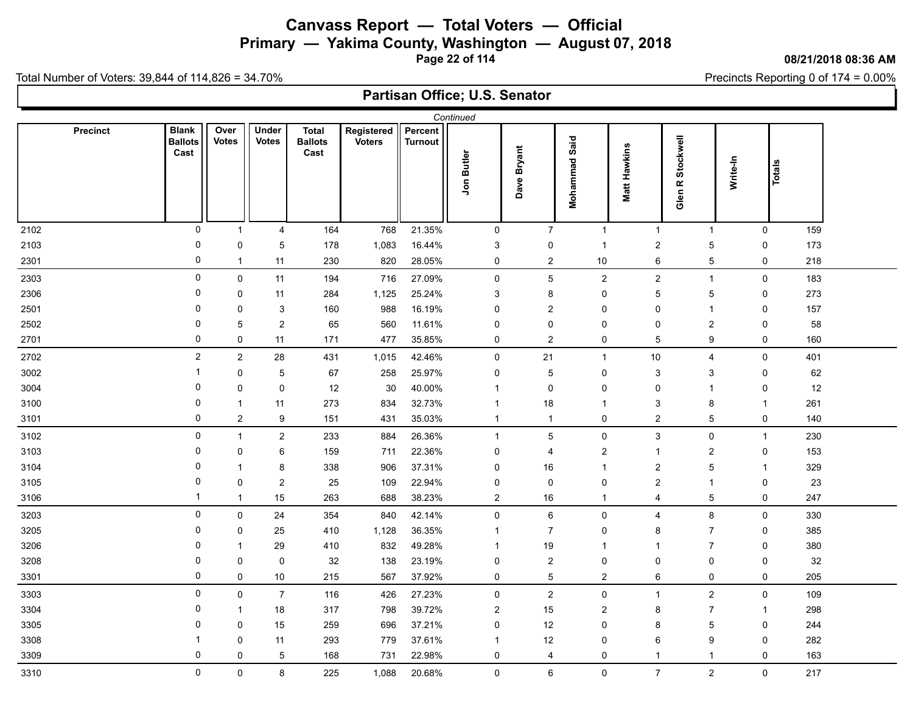# **Canvass Report — Total Voters — Official Primary — Yakima County, Washington — August 07, 2018**

**Page 22 of 114**

#### **08/21/2018 08:36 AM**

Precincts Reporting 0 of 174 = 0.00%

Total Number of Voters: 39,844 of 114,826 = 34.70%

| Continued |                                        |                      |                         |                                        |                             |                           |                         |                  |                         |                         |                                |          |                     |  |
|-----------|----------------------------------------|----------------------|-------------------------|----------------------------------------|-----------------------------|---------------------------|-------------------------|------------------|-------------------------|-------------------------|--------------------------------|----------|---------------------|--|
| Precinct  | <b>Blank</b><br><b>Ballots</b><br>Cast | Over<br><b>Votes</b> | Under<br><b>Votes</b>   | <b>Total</b><br><b>Ballots</b><br>Cast | Registered<br><b>Voters</b> | Percent<br><b>Turnout</b> | Jon Butler              | Dave Bryant      | Mohammad Said           | Matt Hawkins            | Stockwell<br>Glen <sub>R</sub> | Write-In | Totals              |  |
| 2102      | $\pmb{0}$                              | $\mathbf{1}$         | $\overline{\mathbf{4}}$ | 164                                    | 768                         | 21.35%                    | $\mathsf 0$             | $\overline{7}$   | $\overline{1}$          | $\mathbf{1}$            | $\mathbf{1}$                   |          | $\pmb{0}$<br>159    |  |
| 2103      | 0                                      | $\pmb{0}$            | 5                       | 178                                    | 1,083                       | 16.44%                    | $\mathsf 3$             | $\pmb{0}$        | $\overline{1}$          | $\boldsymbol{2}$        | 5                              |          | $\pmb{0}$<br>173    |  |
| 2301      | 0                                      | $\mathbf{1}$         | 11                      | 230                                    | 820                         | 28.05%                    | 0                       | $\sqrt{2}$       | $10$                    | 6                       | $\overline{5}$                 |          | $\pmb{0}$<br>218    |  |
| 2303      | $\pmb{0}$                              | $\mathsf 0$          | 11                      | 194                                    | 716                         | 27.09%                    | $\pmb{0}$               | $\mathbf 5$      | $\mathbf{2}$            | $\mathbf{2}$            | $\overline{1}$                 |          | $\pmb{0}$<br>183    |  |
| 2306      | 0                                      | $\mathbf 0$          | 11                      | 284                                    | 1,125                       | 25.24%                    | 3                       | 8                | 0                       | $\sqrt{5}$              | $\overline{5}$                 |          | 0<br>273            |  |
| 2501      | 0                                      | 0                    | 3                       | 160                                    | 988                         | 16.19%                    | 0                       | $\overline{c}$   | 0                       | $\mathbf 0$             | $\mathbf{1}$                   |          | 0<br>157            |  |
| 2502      | 0                                      | $\overline{5}$       | $\boldsymbol{2}$        | 65                                     | 560                         | 11.61%                    | 0                       | 0                | 0                       | 0                       | $\overline{c}$                 |          | 0<br>58             |  |
| 2701      | 0                                      | 0                    | 11                      | 171                                    | 477                         | 35.85%                    | 0                       | $\overline{c}$   | 0                       | $\mathbf 5$             | 9                              |          | $\pmb{0}$<br>160    |  |
| 2702      | $\overline{2}$                         | $\boldsymbol{2}$     | 28                      | 431                                    | 1,015                       | 42.46%                    | 0                       | 21               | $\overline{1}$          | $10\,$                  | $\overline{\mathbf{4}}$        |          | $\pmb{0}$<br>401    |  |
| 3002      | $\mathbf 1$                            | $\mathbf 0$          | 5                       | 67                                     | 258                         | 25.97%                    | 0                       | $\mathbf 5$      | 0                       | $\mathbf{3}$            | 3                              |          | 0<br>62             |  |
| 3004      | $\mathbf 0$                            | 0                    | 0                       | 12                                     | 30                          | 40.00%                    | $\overline{1}$          | 0                | $\mathbf 0$             | 0                       | $\overline{1}$                 |          | 0<br>12             |  |
| 3100      | $\Omega$                               | $\mathbf{1}$         | 11                      | 273                                    | 834                         | 32.73%                    | $\mathbf{1}$            | 18               | $\overline{\mathbf{1}}$ | 3                       | 8                              |          | $\mathbf{1}$<br>261 |  |
| 3101      | 0                                      | $\boldsymbol{2}$     | 9                       | 151                                    | 431                         | 35.03%                    | $\mathbf{1}$            | $\mathbf{1}$     | 0                       | $\overline{2}$          | $\overline{5}$                 |          | $\pmb{0}$<br>140    |  |
| 3102      | $\pmb{0}$                              | $\mathbf{1}$         | $\overline{c}$          | 233                                    | 884                         | 26.36%                    | $\overline{1}$          | 5                | 0                       | $\mathbf{3}$            | $\pmb{0}$                      |          | 230<br>$\mathbf{1}$ |  |
| 3103      | 0                                      | 0                    | 6                       | 159                                    | 711                         | 22.36%                    | 0                       | 4                | $\sqrt{2}$              | $\mathbf{1}$            | $\overline{c}$                 |          | 0<br>153            |  |
| 3104      | 0                                      | $\mathbf{1}$         | 8                       | 338                                    | 906                         | 37.31%                    | 0                       | 16               | $\overline{1}$          | $\overline{c}$          | $\overline{5}$                 |          | 329<br>$\mathbf{1}$ |  |
| 3105      | 0                                      | 0                    | $\boldsymbol{2}$        | 25                                     | 109                         | 22.94%                    | 0                       | 0                | 0                       | $\sqrt{2}$              | $\mathbf{1}$                   |          | $\pmb{0}$<br>23     |  |
| 3106      | $\mathbf{1}$                           | $\mathbf{1}$         | 15                      | 263                                    | 688                         | 38.23%                    | $\overline{a}$          | 16               | $\overline{1}$          | $\overline{4}$          | 5                              |          | 0<br>247            |  |
| 3203      | 0                                      | $\mathsf 0$          | 24                      | 354                                    | 840                         | 42.14%                    | $\pmb{0}$               | 6                | 0                       | $\overline{\mathbf{4}}$ | 8                              |          | $\mathsf 0$<br>330  |  |
| 3205      | 0                                      | $\mathbf 0$          | 25                      | 410                                    | 1,128                       | 36.35%                    | $\mathbf 1$             | $\overline{7}$   | $\mathbf 0$             | 8                       | $\overline{7}$                 |          | 0<br>385            |  |
| 3206      | 0                                      | $\mathbf{1}$         | 29                      | 410                                    | 832                         | 49.28%                    | $\overline{1}$          | 19               | $\overline{1}$          | $\overline{1}$          | $\overline{7}$                 |          | $\pmb{0}$<br>380    |  |
| 3208      | 0                                      | $\pmb{0}$            | 0                       | $32\,$                                 | 138                         | 23.19%                    | 0                       | $\boldsymbol{2}$ | 0                       | 0                       | $\pmb{0}$                      |          | $\pmb{0}$<br>32     |  |
| 3301      | 0                                      | 0                    | 10                      | 215                                    | 567                         | 37.92%                    | 0                       | $\mathbf 5$      | $\overline{c}$          | 6                       | $\pmb{0}$                      |          | $\pmb{0}$<br>205    |  |
| 3303      | $\mathbf 0$                            | $\pmb{0}$            | $\boldsymbol{7}$        | 116                                    | 426                         | 27.23%                    | $\pmb{0}$               | $\boldsymbol{2}$ | 0                       | $\mathbf{1}$            | $\overline{c}$                 |          | $\mathsf 0$<br>109  |  |
| 3304      | 0                                      | 1                    | 18                      | 317                                    | 798                         | 39.72%                    | $\overline{\mathbf{c}}$ | 15               | $\overline{c}$          | 8                       | $\overline{7}$                 |          | 298<br>$\mathbf{1}$ |  |
| 3305      | 0                                      | $\mathbf 0$          | 15                      | 259                                    | 696                         | 37.21%                    | 0                       | 12               | 0                       | 8                       | 5                              |          | 0<br>244            |  |
| 3308      | 1                                      | $\pmb{0}$            | 11                      | 293                                    | 779                         | 37.61%                    | $\mathbf{1}$            | 12               | 0                       | $\,6\,$                 | $\boldsymbol{9}$               |          | $\pmb{0}$<br>282    |  |
| 3309      | $\mathbf 0$                            | 0                    | 5                       | 168                                    | 731                         | 22.98%                    | 0                       | 4                | 0                       | $\mathbf{1}$            | -1                             |          | $\mathbf 0$<br>163  |  |
| 3310      | $\mathsf{O}\xspace$                    | $\mathsf 0$          | 8                       | 225                                    | 1,088                       | 20.68%                    | $\mathsf 0$             | $\,6\,$          | $\mathsf{O}\xspace$     | $\overline{7}$          | $\overline{2}$                 |          | $\pmb{0}$<br>217    |  |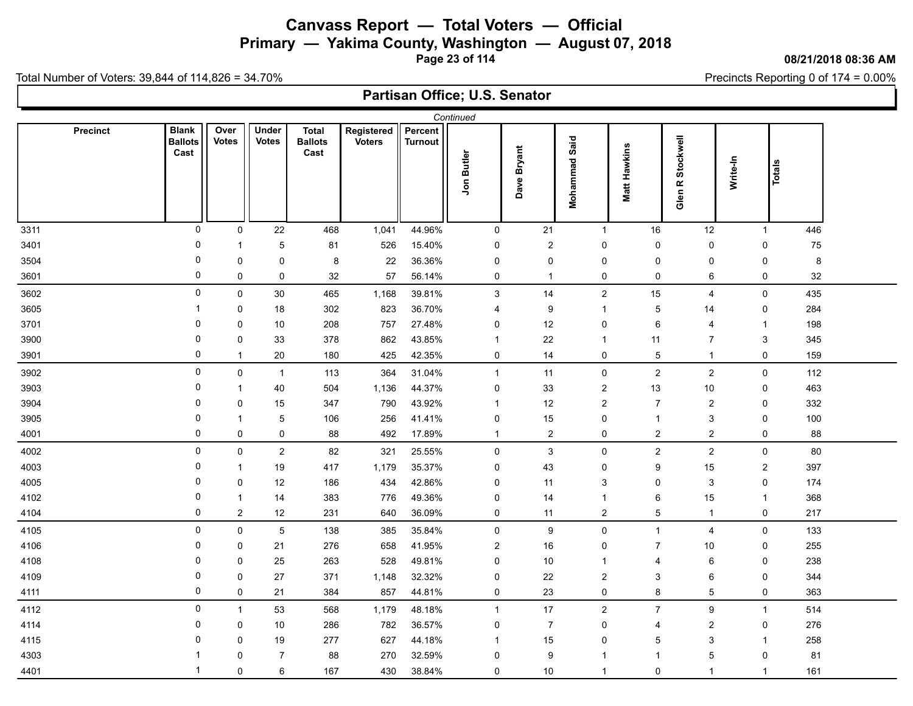**Primary — Yakima County, Washington — August 07, 2018**

**Page 23 of 114**

### **08/21/2018 08:36 AM**

Precincts Reporting 0 of 174 = 0.00%

Total Number of Voters: 39,844 of 114,826 = 34.70%

| Continued       |                                        |                      |                       |                                        |                             |                           |                           |                  |                      |                  |                                |                           |            |  |
|-----------------|----------------------------------------|----------------------|-----------------------|----------------------------------------|-----------------------------|---------------------------|---------------------------|------------------|----------------------|------------------|--------------------------------|---------------------------|------------|--|
| <b>Precinct</b> | <b>Blank</b><br><b>Ballots</b><br>Cast | Over<br><b>Votes</b> | Under<br><b>Votes</b> | <b>Total</b><br><b>Ballots</b><br>Cast | Registered<br><b>Voters</b> | Percent<br><b>Turnout</b> | Jon Butler                | Dave Bryant      | <b>Mohammad Said</b> | Matt Hawkins     | Stockwell<br>Glen <sub>R</sub> | Write-In                  | Totals     |  |
| 3311            | $\mathbf 0$                            | 0                    | 22                    | 468                                    | 1,041                       | 44.96%                    | 0                         | 21               | $\mathbf{1}$         | 16               | 12                             | $\mathbf{1}$              | 446        |  |
| 3401            | 0                                      | $\mathbf{1}$         | 5                     | 81                                     | 526                         | 15.40%                    | 0                         | $\boldsymbol{2}$ | $\pmb{0}$            | $\pmb{0}$        | $\pmb{0}$                      | $\pmb{0}$                 | ${\bf 75}$ |  |
| 3504            | 0                                      | 0                    | 0                     | 8                                      | 22                          | 36.36%                    | 0                         | 0                | $\mathbf 0$          | $\pmb{0}$        | $\mathbf 0$                    | 0                         | 8          |  |
| 3601            | 0                                      | 0                    | 0                     | $32\,$                                 | 57                          | 56.14%                    | 0                         | $\mathbf{1}$     | 0                    | 0                | $\,6\,$                        | $\pmb{0}$                 | 32         |  |
| 3602            | 0                                      | $\mathsf{O}\xspace$  | $30\,$                | 465                                    | 1,168                       | 39.81%                    | $\ensuremath{\mathsf{3}}$ | 14               | $\overline{2}$       | 15               | 4                              | $\pmb{0}$                 | 435        |  |
| 3605            | 1                                      | 0                    | 18                    | 302                                    | 823                         | 36.70%                    | $\overline{4}$            | 9                | $\overline{1}$       | $\sqrt{5}$       | 14                             | $\pmb{0}$                 | 284        |  |
| 3701            | 0                                      | 0                    | 10                    | 208                                    | 757                         | 27.48%                    | 0                         | 12               | 0                    | $\,6\,$          | $\overline{a}$                 | $\mathbf{1}$              | 198        |  |
| 3900            | 0                                      | 0                    | 33                    | 378                                    | 862                         | 43.85%                    | 1                         | 22               | $\overline{1}$       | 11               | $\overline{7}$                 | $\ensuremath{\mathsf{3}}$ | 345        |  |
| 3901            | 0                                      | $\mathbf{1}$         | 20                    | 180                                    | 425                         | 42.35%                    | $\pmb{0}$                 | 14               | 0                    | $5\phantom{.0}$  | $\mathbf{1}$                   | $\pmb{0}$                 | 159        |  |
| 3902            | $\mathsf 0$                            | 0                    | $\overline{1}$        | 113                                    | 364                         | 31.04%                    | $\mathbf{1}$              | 11               | $\mathsf 0$          | $\overline{2}$   | $\overline{c}$                 | $\pmb{0}$                 | 112        |  |
| 3903            | 0                                      | $\mathbf{1}$         | 40                    | 504                                    | 1,136                       | 44.37%                    | 0                         | 33               | $\sqrt{2}$           | 13               | 10                             | 0                         | 463        |  |
| 3904            | 0                                      | 0                    | 15                    | 347                                    | 790                         | 43.92%                    | $\mathbf 1$               | 12               | $\sqrt{2}$           | $\overline{7}$   | $\sqrt{2}$                     | $\pmb{0}$                 | 332        |  |
| 3905            | 0                                      | $\mathbf{1}$         | 5                     | 106                                    | 256                         | 41.41%                    | 0                         | 15               | $\mathbf 0$          | $\mathbf{1}$     | 3                              | 0                         | 100        |  |
| 4001            | 0                                      | 0                    | 0                     | 88                                     | 492                         | 17.89%                    | $\mathbf{1}$              | $\boldsymbol{2}$ | $\mathbf 0$          | $\overline{2}$   | $\overline{c}$                 | $\mathbf 0$               | 88         |  |
| 4002            | 0                                      | $\mathsf 0$          | $\overline{2}$        | 82                                     | 321                         | 25.55%                    | $\pmb{0}$                 | $\mathsf 3$      | $\mathbf 0$          | $\boldsymbol{2}$ | $\boldsymbol{2}$               | $\mathsf{O}\xspace$       | 80         |  |
| 4003            | 0                                      | $\mathbf{1}$         | 19                    | 417                                    | 1,179                       | 35.37%                    | 0                         | 43               | $\pmb{0}$            | $\boldsymbol{9}$ | 15                             | $\overline{c}$            | 397        |  |
| 4005            | 0                                      | 0                    | $12$                  | 186                                    | 434                         | 42.86%                    | $\mathbf 0$               | 11               | $\sqrt{3}$           | $\pmb{0}$        | $\sqrt{3}$                     | $\pmb{0}$                 | 174        |  |
| 4102            | 0                                      | $\mathbf{1}$         | 14                    | 383                                    | 776                         | 49.36%                    | 0                         | 14               | $\overline{1}$       | $\,6$            | 15                             | $\mathbf{1}$              | 368        |  |
| 4104            | 0                                      | $\overline{2}$       | 12                    | 231                                    | 640                         | 36.09%                    | 0                         | 11               | $\overline{2}$       | $\sqrt{5}$       | $\mathbf{1}$                   | $\pmb{0}$                 | 217        |  |
| 4105            | 0                                      | 0                    | 5                     | 138                                    | 385                         | 35.84%                    | $\pmb{0}$                 | $\boldsymbol{9}$ | $\mathsf 0$          | $\overline{1}$   | $\overline{\mathbf{4}}$        | $\pmb{0}$                 | 133        |  |
| 4106            | 0                                      | 0                    | 21                    | 276                                    | 658                         | 41.95%                    | $\overline{c}$            | 16               | 0                    | $\overline{7}$   | 10                             | 0                         | 255        |  |
| 4108            | 0                                      | 0                    | 25                    | 263                                    | 528                         | 49.81%                    | $\mathbf 0$               | $10$             | $\overline{1}$       | $\overline{4}$   | 6                              | 0                         | 238        |  |
| 4109            | 0                                      | 0                    | 27                    | 371                                    | 1,148                       | 32.32%                    | 0                         | 22               | $\overline{2}$       | 3                | 6                              | $\pmb{0}$                 | 344        |  |
| 4111            | 0                                      | 0                    | 21                    | 384                                    | 857                         | 44.81%                    | 0                         | 23               | 0                    | $\bf 8$          | $\mathbf 5$                    | 0                         | 363        |  |
| 4112            | $\mathbf 0$                            | $\mathbf{1}$         | 53                    | 568                                    | 1,179                       | 48.18%                    | $\mathbf{1}$              | 17               | $\boldsymbol{2}$     | $\overline{7}$   | $\boldsymbol{9}$               | $\mathbf{1}$              | 514        |  |
| 4114            | 0                                      | 0                    | 10                    | 286                                    | 782                         | 36.57%                    | 0                         | $\overline{7}$   | $\pmb{0}$            | $\overline{4}$   | $\boldsymbol{2}$               | 0                         | 276        |  |
| 4115            | 0                                      | 0                    | 19                    | 277                                    | 627                         | 44.18%                    | 1                         | 15               | $\pmb{0}$            | 5                | $\ensuremath{\mathsf{3}}$      | -1                        | 258        |  |
| 4303            | 1                                      | 0                    | $\overline{7}$        | 88                                     | 270                         | 32.59%                    | $\mathbf 0$               | 9                | $\overline{1}$       | $\overline{1}$   | $\mathbf 5$                    | $\mathbf 0$               | 81         |  |
| 4401            | $\mathbf{1}$                           | 0                    | 6                     | 167                                    | 430                         | 38.84%                    | 0                         | 10               | $\mathbf{1}$         | $\mathbf 0$      | $\mathbf{1}$                   | $\mathbf{1}$              | 161        |  |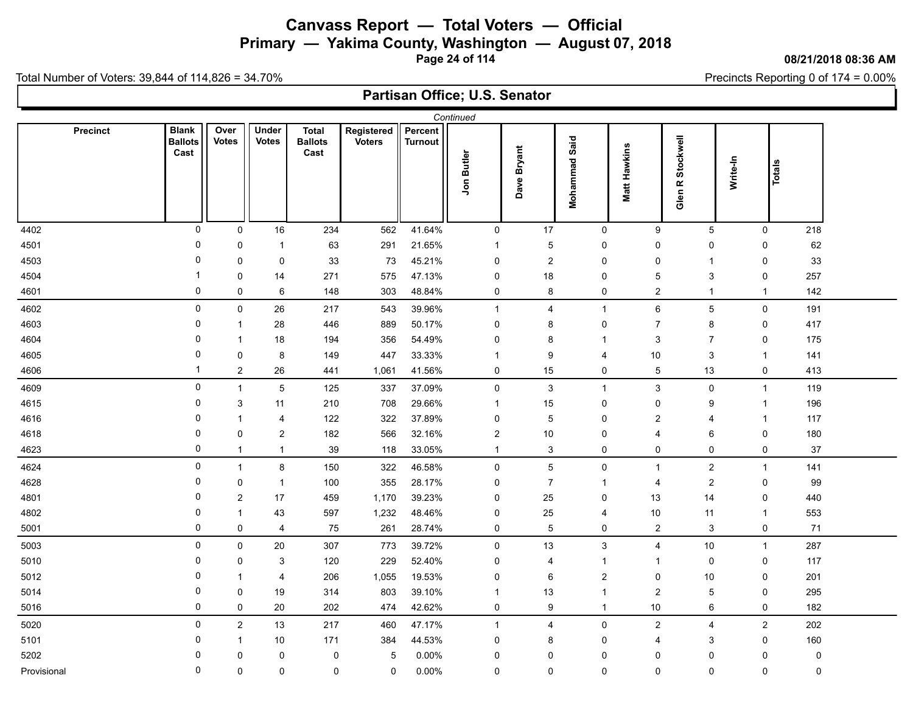# **Canvass Report — Total Voters — Official Primary — Yakima County, Washington — August 07, 2018**

**Page 24 of 114**

#### **08/21/2018 08:36 AM**

Precincts Reporting 0 of 174 = 0.00%

Total Number of Voters: 39,844 of 114,826 = 34.70%

|                 |                                        |                      |                              |                                        |                             |                           | Continued               |                  |                           |                     |                         |                     |        |
|-----------------|----------------------------------------|----------------------|------------------------------|----------------------------------------|-----------------------------|---------------------------|-------------------------|------------------|---------------------------|---------------------|-------------------------|---------------------|--------|
| <b>Precinct</b> | <b>Blank</b><br><b>Ballots</b><br>Cast | Over<br><b>Votes</b> | <b>Under</b><br><b>Votes</b> | <b>Total</b><br><b>Ballots</b><br>Cast | Registered<br><b>Voters</b> | Percent<br><b>Turnout</b> | Jon Butler              | Dave Bryant      | Mohammad Said             | <b>Matt Hawkins</b> | Glen R Stockwell        | Write-In            | Totals |
| 4402            | 0                                      | $\mathsf{O}$         | 16                           | 234                                    | 562                         | 41.64%                    | 0                       | 17               | $\mathbf 0$               | 9                   | $\overline{5}$          | 0                   | 218    |
| 4501            | 0                                      | 0                    | $\mathbf 1$                  | 63                                     | 291                         | 21.65%                    | $\mathbf 1$             | 5                | $\pmb{0}$                 | $\pmb{0}$           | $\pmb{0}$               | 0                   | 62     |
| 4503            | 0                                      | 0                    | $\pmb{0}$                    | 33                                     | 73                          | 45.21%                    | $\pmb{0}$               | $\boldsymbol{2}$ | $\pmb{0}$                 | $\pmb{0}$           | $\mathbf{1}$            | 0                   | 33     |
| 4504            | $\overline{\mathbf{1}}$                | 0                    | 14                           | 271                                    | 575                         | 47.13%                    | 0                       | 18               | $\mathbf 0$               | 5                   | $\sqrt{3}$              | $\pmb{0}$           | 257    |
| 4601            | 0                                      | 0                    | 6                            | 148                                    | 303                         | 48.84%                    | 0                       | $\bf 8$          | 0                         | $\overline{2}$      | $\mathbf{1}$            | $\mathbf{1}$        | 142    |
| 4602            | 0                                      | 0                    | $26\,$                       | 217                                    | 543                         | 39.96%                    | $\mathbf{1}$            | 4                | $\overline{1}$            | $\,6\,$             | $\overline{5}$          | $\mathsf{O}\xspace$ | 191    |
| 4603            | 0                                      | $\overline{1}$       | 28                           | 446                                    | 889                         | 50.17%                    | 0                       | 8                | $\mathbf 0$               | $\overline{7}$      | 8                       | 0                   | 417    |
| 4604            | 0                                      | $\overline{1}$       | 18                           | 194                                    | 356                         | 54.49%                    | 0                       | 8                | $\overline{1}$            | 3                   | $\overline{7}$          | 0                   | 175    |
| 4605            | 0                                      | 0                    | 8                            | 149                                    | 447                         | 33.33%                    | $\overline{\mathbf{1}}$ | 9                | $\overline{4}$            | 10                  | 3                       | $\mathbf{1}$        | 141    |
| 4606            | $\mathbf{1}$                           | $\overline{c}$       | 26                           | 441                                    | 1,061                       | 41.56%                    | 0                       | 15               | $\mathsf 0$               | $\overline{5}$      | 13                      | 0                   | 413    |
| 4609            | 0                                      | $\mathbf{1}$         | $\sqrt{5}$                   | 125                                    | 337                         | 37.09%                    | 0                       | 3                | $\mathbf{1}$              | $\sqrt{3}$          | $\pmb{0}$               | $\mathbf{1}$        | 119    |
| 4615            | 0                                      | 3                    | 11                           | 210                                    | 708                         | 29.66%                    | -1                      | 15               | $\mathbf 0$               | $\pmb{0}$           | $\boldsymbol{9}$        | $\mathbf{1}$        | 196    |
| 4616            | 0                                      | $\overline{1}$       | 4                            | 122                                    | 322                         | 37.89%                    | $\mathbf 0$             | 5                | $\mathbf 0$               | $\overline{2}$      | 4                       | 1                   | 117    |
| 4618            | 0                                      | $\mathsf 0$          | $\overline{a}$               | 182                                    | 566                         | 32.16%                    | $\boldsymbol{2}$        | $10$             | $\mathbf 0$               | $\overline{4}$      | $\,6\,$                 | $\pmb{0}$           | 180    |
| 4623            | 0                                      | $\overline{1}$       | $\mathbf{1}$                 | 39                                     | 118                         | 33.05%                    | $\mathbf{1}$            | 3                | $\mathbf 0$               | $\pmb{0}$           | $\mathbf 0$             | 0                   | $37\,$ |
| 4624            | 0                                      | $\mathbf{1}$         | 8                            | 150                                    | 322                         | 46.58%                    | $\pmb{0}$               | $\overline{5}$   | $\mathsf 0$               | $\mathbf{1}$        | $\overline{c}$          | $\mathbf{1}$        | 141    |
| 4628            | 0                                      | 0                    | $\mathbf{1}$                 | 100                                    | 355                         | 28.17%                    | 0                       | $\overline{7}$   | $\overline{1}$            | 4                   | $\overline{c}$          | 0                   | 99     |
| 4801            | 0                                      | 2                    | 17                           | 459                                    | 1,170                       | 39.23%                    | 0                       | 25               | 0                         | 13                  | 14                      | 0                   | 440    |
| 4802            | 0                                      | $\overline{1}$       | 43                           | 597                                    | 1,232                       | 48.46%                    | 0                       | 25               | $\overline{4}$            | 10                  | 11                      | $\mathbf{1}$        | 553    |
| 5001            | 0                                      | $\mathsf 0$          | 4                            | ${\bf 75}$                             | 261                         | 28.74%                    | 0                       | $\overline{5}$   | $\pmb{0}$                 | $\overline{2}$      | $\sqrt{3}$              | 0                   | 71     |
| 5003            | 0                                      | $\pmb{0}$            | 20                           | 307                                    | 773                         | 39.72%                    | 0                       | 13               | $\ensuremath{\mathsf{3}}$ | $\overline{4}$      | 10                      | $\mathbf{1}$        | 287    |
| 5010            | 0                                      | 0                    | $\ensuremath{\mathsf{3}}$    | 120                                    | 229                         | 52.40%                    | $\mathbf 0$             | 4                | $\overline{1}$            | $\overline{1}$      | $\mathbf 0$             | 0                   | 117    |
| 5012            | 0                                      | $\overline{1}$       | 4                            | 206                                    | 1,055                       | 19.53%                    | 0                       | 6                | $\sqrt{2}$                | $\pmb{0}$           | 10                      | $\pmb{0}$           | 201    |
| 5014            | 0                                      | 0                    | 19                           | 314                                    | 803                         | 39.10%                    | $\mathbf{1}$            | 13               | $\overline{1}$            | $\overline{2}$      | 5                       | 0                   | 295    |
| 5016            | 0                                      | $\mathbf 0$          | 20                           | 202                                    | 474                         | 42.62%                    | $\pmb{0}$               | 9                | $\overline{1}$            | 10                  | $\,6\,$                 | $\pmb{0}$           | 182    |
| 5020            | 0                                      | $\boldsymbol{2}$     | 13                           | 217                                    | 460                         | 47.17%                    | $\mathbf{1}$            | 4                | $\mathsf 0$               | $\overline{2}$      | $\overline{\mathbf{4}}$ | $\boldsymbol{2}$    | 202    |
| 5101            | 0                                      | $\overline{1}$       | 10                           | 171                                    | 384                         | 44.53%                    | $\mathbf 0$             | 8                | 0                         | $\overline{4}$      | 3                       | 0                   | 160    |
| 5202            | 0                                      | 0                    | 0                            | 0                                      | $\mathbf 5$                 | 0.00%                     | $\mathbf 0$             | 0                | $\mathbf 0$               | $\mathbf 0$         | $\pmb{0}$               | 0                   | 0      |
| Provisional     | 0                                      | 0                    | 0                            | 0                                      | $\mathbf 0$                 | 0.00%                     | $\mathbf 0$             | 0                | $\mathbf 0$               | $\mathbf 0$         | $\mathbf 0$             | $\mathbf 0$         | 0      |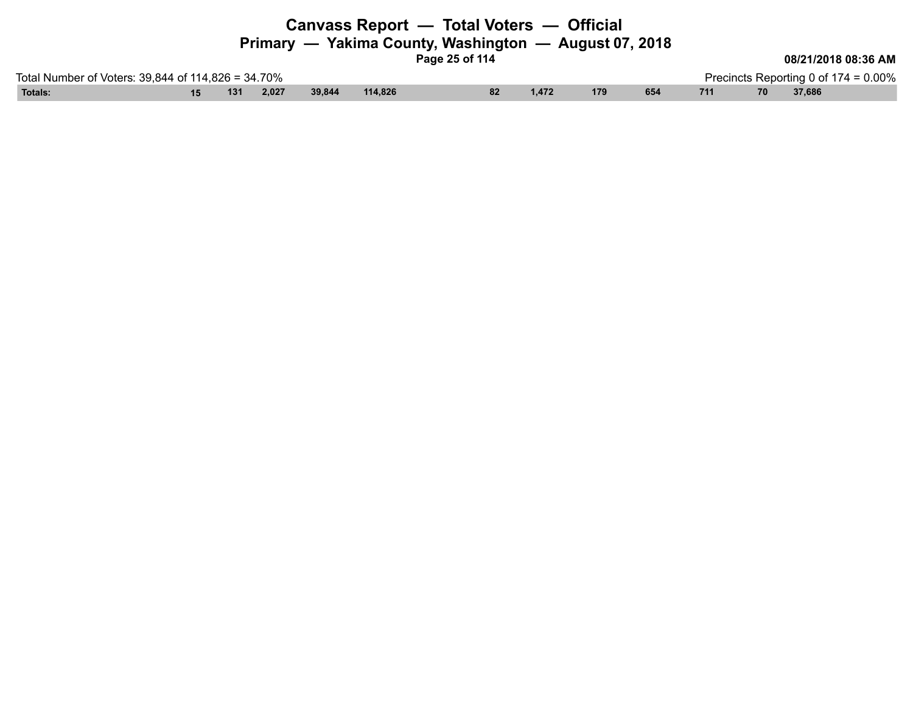|                                                    |     |       |        |         | Canvass Report - Total Voters - Official<br>Page 25 of 114 |    |       | Primary — Yakima County, Washington — August 07, 2018 |     |     |    | 08/21/2018 08:36 AM                     |  |
|----------------------------------------------------|-----|-------|--------|---------|------------------------------------------------------------|----|-------|-------------------------------------------------------|-----|-----|----|-----------------------------------------|--|
| Total Number of Voters: 39,844 of 114,826 = 34.70% |     |       |        |         |                                                            |    |       |                                                       |     |     |    | Precincts Reporting 0 of $174 = 0.00\%$ |  |
| Totals:                                            | 131 | 2,027 | 39,844 | 114.826 |                                                            | 82 | 1,472 | 179                                                   | 654 | 711 | 70 | 37,686                                  |  |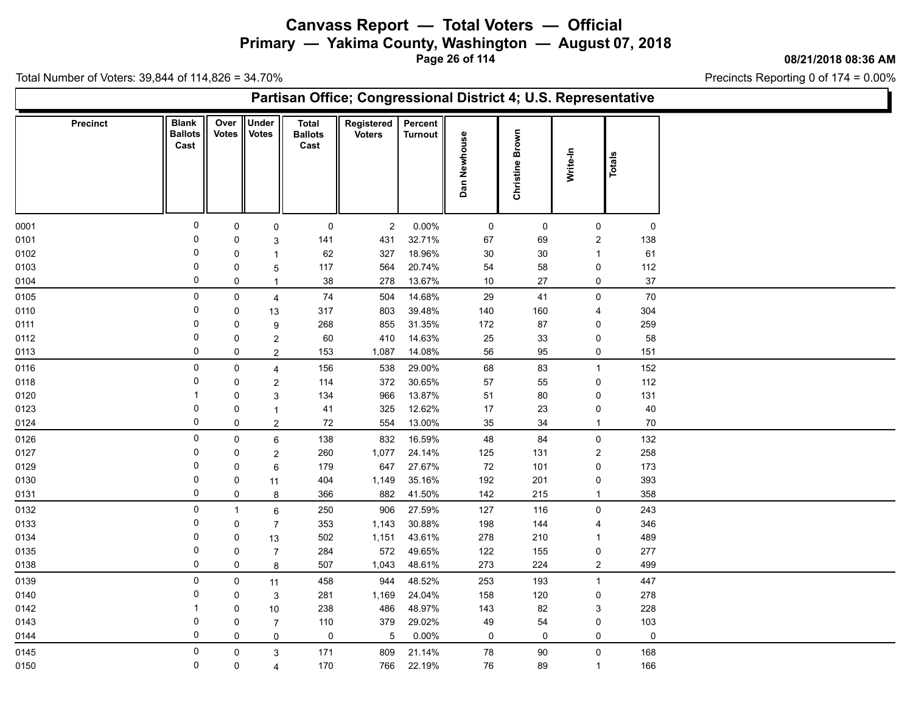**Primary — Yakima County, Washington — August 07, 2018**

**Page 26 of 114**

**08/21/2018 08:36 AM**

Ъ

Precincts Reporting 0 of 174 = 0.00%

| <b>Under</b><br>Over<br><b>Total</b><br>Registered<br>Percent<br><b>Precinct</b><br><b>Blank</b><br>Brown<br>Votes<br><b>Votes</b><br><b>Ballots</b><br><b>Ballots</b><br><b>Voters</b><br><b>Turnout</b><br>Dan Newhouse<br>Cast<br>Cast<br>Write-In<br>Totals<br>Christine<br>$\mathbf 0$<br>0.00%<br>$\mathsf{O}\xspace$<br>$\overline{2}$<br>$\mathsf 0$<br>$\mathsf{O}\xspace$<br>$\mathsf{O}\xspace$<br>$\mathsf{O}$<br>0<br>0<br>32.71%<br>0<br>431<br>67<br>69<br>$\overline{c}$<br>138<br>$\mathbf 0$<br>141<br>3<br>0<br>327<br>18.96%<br>30<br>30<br>61<br>62<br>0<br>$\mathbf{1}$<br>$\overline{1}$<br>0<br>20.74%<br>$\pmb{0}$<br>112<br>117<br>564<br>54<br>58<br>0<br>$\overline{5}$<br>$\mathbf 0$<br>13.67%<br>$37\,$<br>38<br>278<br>10<br>$27\,$<br>0<br>0<br>$\overline{1}$<br>$\pmb{0}$<br>$70$<br>74<br>14.68%<br>29<br>41<br>$\mathsf{O}\xspace$<br>$\mathsf{O}$<br>504<br>4<br>$\mathbf 0$<br>317<br>803<br>39.48%<br>304<br>0<br>140<br>160<br>13<br>4<br>0<br>855<br>31.35%<br>172<br>87<br>259<br>0<br>268<br>0<br>9<br>$\mathbf 0$<br>60<br>410<br>14.63%<br>25<br>33<br>0<br>58<br>0<br>$\overline{2}$<br>$\mathbf 0$<br>14.08%<br>56<br>95<br>0<br>151<br>0<br>$\boldsymbol{2}$<br>153<br>1,087<br>$\pmb{0}$<br>29.00%<br>68<br>152<br>0<br>156<br>538<br>83<br>$\mathbf{1}$<br>4<br>$\mathbf 0$<br>372<br>30.65%<br>57<br>55<br>0<br>112<br>$\mathbf 0$<br>$\boldsymbol{2}$<br>114<br>13.87%<br>80<br>131<br>0<br>134<br>966<br>51<br>0<br>-1<br>3<br>0<br>325<br>12.62%<br>$17$<br>23<br>40<br>0<br>41<br>0<br>$\mathbf{1}$<br>$\mathbf 0$<br>72<br>554<br>13.00%<br>35<br>34<br>70<br>$\mathbf 0$<br>$\overline{2}$<br>$\mathbf{1}$<br>$\mathsf 0$<br>132<br>$\mathsf{O}$<br>138<br>832<br>16.59%<br>48<br>84<br>$\mathsf{O}$<br>6<br>$\mathbf 0$<br>258<br>260<br>1,077<br>24.14%<br>$\overline{c}$<br>125<br>131<br>0<br>$\overline{2}$<br>$\mathbf 0$<br>27.67%<br>173<br>179<br>647<br>72<br>$\pmb{0}$<br>0<br>101<br>6<br>0<br>1,149<br>35.16%<br>192<br>201<br>393<br>0<br>0<br>404<br>11<br>0<br>41.50%<br>142<br>0<br>366<br>882<br>215<br>358<br>8<br>$\mathbf{1}$<br>$\mathsf 0$<br>906<br>27.59%<br>$\mathsf{O}\xspace$<br>243<br>250<br>127<br>116<br>$\mathbf{1}$<br>6<br>$\mathbf 0$<br>1,143<br>30.88%<br>144<br>346<br>0<br>$\overline{7}$<br>353<br>198<br>4<br>0<br>1,151<br>43.61%<br>502<br>278<br>210<br>489<br>0<br>13<br>$\mathbf{1}$<br>0<br>572<br>277<br>284<br>49.65%<br>122<br>155<br>0<br>$\overline{7}$<br>0<br>$\mathbf 0$<br>273<br>499<br>507<br>1,043<br>48.61%<br>224<br>$\overline{2}$<br>$\mathbf 0$<br>8<br>$\mathsf 0$<br>458<br>944<br>48.52%<br>253<br>193<br>$\mathbf{1}$<br>447<br>$\mathbf 0$<br>11<br>0<br>281<br>1,169<br>24.04%<br>158<br>120<br>0<br>278<br>$\mathbf 0$<br>$\mathbf 3$<br>238<br>486<br>48.97%<br>82<br>3<br>228<br>143<br>-1<br>0<br>10<br>0<br>379<br>29.02%<br>49<br>54<br>0<br>103<br>0<br>110<br>$\overline{7}$<br>$\mathbf 0$<br>$0.00\%$<br>0<br>$\,$ 5 $\,$<br>$\mathbf 0$<br>$\mathbf 0$<br>$\mathbf 0$<br>$\mathbf 0$<br>$\mathbf 0$<br>$\mathsf{O}\xspace$<br>$\pmb{0}$<br>168<br>0145<br>$\mathbf 0$<br>171<br>809<br>21.14%<br>78<br>$90\,$<br>$\mathsf{O}$<br>3<br>$\mathbf 0$ |      | Partisan Office; Congressional District 4; U.S. Representative |   |   |     |     |        |    |    |              |     |  |  |  |  |
|-----------------------------------------------------------------------------------------------------------------------------------------------------------------------------------------------------------------------------------------------------------------------------------------------------------------------------------------------------------------------------------------------------------------------------------------------------------------------------------------------------------------------------------------------------------------------------------------------------------------------------------------------------------------------------------------------------------------------------------------------------------------------------------------------------------------------------------------------------------------------------------------------------------------------------------------------------------------------------------------------------------------------------------------------------------------------------------------------------------------------------------------------------------------------------------------------------------------------------------------------------------------------------------------------------------------------------------------------------------------------------------------------------------------------------------------------------------------------------------------------------------------------------------------------------------------------------------------------------------------------------------------------------------------------------------------------------------------------------------------------------------------------------------------------------------------------------------------------------------------------------------------------------------------------------------------------------------------------------------------------------------------------------------------------------------------------------------------------------------------------------------------------------------------------------------------------------------------------------------------------------------------------------------------------------------------------------------------------------------------------------------------------------------------------------------------------------------------------------------------------------------------------------------------------------------------------------------------------------------------------------------------------------------------------------------------------------------------------------------------------------------------------------------------------------------------------------------------------------------------------------------------------------------------------------------------------------------------------------------------------------------------------------------------------------------------------------------------------------------------------------------------------------------------------------------------------|------|----------------------------------------------------------------|---|---|-----|-----|--------|----|----|--------------|-----|--|--|--|--|
|                                                                                                                                                                                                                                                                                                                                                                                                                                                                                                                                                                                                                                                                                                                                                                                                                                                                                                                                                                                                                                                                                                                                                                                                                                                                                                                                                                                                                                                                                                                                                                                                                                                                                                                                                                                                                                                                                                                                                                                                                                                                                                                                                                                                                                                                                                                                                                                                                                                                                                                                                                                                                                                                                                                                                                                                                                                                                                                                                                                                                                                                                                                                                                                               |      |                                                                |   |   |     |     |        |    |    |              |     |  |  |  |  |
|                                                                                                                                                                                                                                                                                                                                                                                                                                                                                                                                                                                                                                                                                                                                                                                                                                                                                                                                                                                                                                                                                                                                                                                                                                                                                                                                                                                                                                                                                                                                                                                                                                                                                                                                                                                                                                                                                                                                                                                                                                                                                                                                                                                                                                                                                                                                                                                                                                                                                                                                                                                                                                                                                                                                                                                                                                                                                                                                                                                                                                                                                                                                                                                               | 0001 |                                                                |   |   |     |     |        |    |    |              |     |  |  |  |  |
|                                                                                                                                                                                                                                                                                                                                                                                                                                                                                                                                                                                                                                                                                                                                                                                                                                                                                                                                                                                                                                                                                                                                                                                                                                                                                                                                                                                                                                                                                                                                                                                                                                                                                                                                                                                                                                                                                                                                                                                                                                                                                                                                                                                                                                                                                                                                                                                                                                                                                                                                                                                                                                                                                                                                                                                                                                                                                                                                                                                                                                                                                                                                                                                               | 0101 |                                                                |   |   |     |     |        |    |    |              |     |  |  |  |  |
|                                                                                                                                                                                                                                                                                                                                                                                                                                                                                                                                                                                                                                                                                                                                                                                                                                                                                                                                                                                                                                                                                                                                                                                                                                                                                                                                                                                                                                                                                                                                                                                                                                                                                                                                                                                                                                                                                                                                                                                                                                                                                                                                                                                                                                                                                                                                                                                                                                                                                                                                                                                                                                                                                                                                                                                                                                                                                                                                                                                                                                                                                                                                                                                               | 0102 |                                                                |   |   |     |     |        |    |    |              |     |  |  |  |  |
|                                                                                                                                                                                                                                                                                                                                                                                                                                                                                                                                                                                                                                                                                                                                                                                                                                                                                                                                                                                                                                                                                                                                                                                                                                                                                                                                                                                                                                                                                                                                                                                                                                                                                                                                                                                                                                                                                                                                                                                                                                                                                                                                                                                                                                                                                                                                                                                                                                                                                                                                                                                                                                                                                                                                                                                                                                                                                                                                                                                                                                                                                                                                                                                               | 0103 |                                                                |   |   |     |     |        |    |    |              |     |  |  |  |  |
|                                                                                                                                                                                                                                                                                                                                                                                                                                                                                                                                                                                                                                                                                                                                                                                                                                                                                                                                                                                                                                                                                                                                                                                                                                                                                                                                                                                                                                                                                                                                                                                                                                                                                                                                                                                                                                                                                                                                                                                                                                                                                                                                                                                                                                                                                                                                                                                                                                                                                                                                                                                                                                                                                                                                                                                                                                                                                                                                                                                                                                                                                                                                                                                               | 0104 |                                                                |   |   |     |     |        |    |    |              |     |  |  |  |  |
|                                                                                                                                                                                                                                                                                                                                                                                                                                                                                                                                                                                                                                                                                                                                                                                                                                                                                                                                                                                                                                                                                                                                                                                                                                                                                                                                                                                                                                                                                                                                                                                                                                                                                                                                                                                                                                                                                                                                                                                                                                                                                                                                                                                                                                                                                                                                                                                                                                                                                                                                                                                                                                                                                                                                                                                                                                                                                                                                                                                                                                                                                                                                                                                               | 0105 |                                                                |   |   |     |     |        |    |    |              |     |  |  |  |  |
|                                                                                                                                                                                                                                                                                                                                                                                                                                                                                                                                                                                                                                                                                                                                                                                                                                                                                                                                                                                                                                                                                                                                                                                                                                                                                                                                                                                                                                                                                                                                                                                                                                                                                                                                                                                                                                                                                                                                                                                                                                                                                                                                                                                                                                                                                                                                                                                                                                                                                                                                                                                                                                                                                                                                                                                                                                                                                                                                                                                                                                                                                                                                                                                               | 0110 |                                                                |   |   |     |     |        |    |    |              |     |  |  |  |  |
|                                                                                                                                                                                                                                                                                                                                                                                                                                                                                                                                                                                                                                                                                                                                                                                                                                                                                                                                                                                                                                                                                                                                                                                                                                                                                                                                                                                                                                                                                                                                                                                                                                                                                                                                                                                                                                                                                                                                                                                                                                                                                                                                                                                                                                                                                                                                                                                                                                                                                                                                                                                                                                                                                                                                                                                                                                                                                                                                                                                                                                                                                                                                                                                               | 0111 |                                                                |   |   |     |     |        |    |    |              |     |  |  |  |  |
|                                                                                                                                                                                                                                                                                                                                                                                                                                                                                                                                                                                                                                                                                                                                                                                                                                                                                                                                                                                                                                                                                                                                                                                                                                                                                                                                                                                                                                                                                                                                                                                                                                                                                                                                                                                                                                                                                                                                                                                                                                                                                                                                                                                                                                                                                                                                                                                                                                                                                                                                                                                                                                                                                                                                                                                                                                                                                                                                                                                                                                                                                                                                                                                               | 0112 |                                                                |   |   |     |     |        |    |    |              |     |  |  |  |  |
|                                                                                                                                                                                                                                                                                                                                                                                                                                                                                                                                                                                                                                                                                                                                                                                                                                                                                                                                                                                                                                                                                                                                                                                                                                                                                                                                                                                                                                                                                                                                                                                                                                                                                                                                                                                                                                                                                                                                                                                                                                                                                                                                                                                                                                                                                                                                                                                                                                                                                                                                                                                                                                                                                                                                                                                                                                                                                                                                                                                                                                                                                                                                                                                               | 0113 |                                                                |   |   |     |     |        |    |    |              |     |  |  |  |  |
|                                                                                                                                                                                                                                                                                                                                                                                                                                                                                                                                                                                                                                                                                                                                                                                                                                                                                                                                                                                                                                                                                                                                                                                                                                                                                                                                                                                                                                                                                                                                                                                                                                                                                                                                                                                                                                                                                                                                                                                                                                                                                                                                                                                                                                                                                                                                                                                                                                                                                                                                                                                                                                                                                                                                                                                                                                                                                                                                                                                                                                                                                                                                                                                               | 0116 |                                                                |   |   |     |     |        |    |    |              |     |  |  |  |  |
|                                                                                                                                                                                                                                                                                                                                                                                                                                                                                                                                                                                                                                                                                                                                                                                                                                                                                                                                                                                                                                                                                                                                                                                                                                                                                                                                                                                                                                                                                                                                                                                                                                                                                                                                                                                                                                                                                                                                                                                                                                                                                                                                                                                                                                                                                                                                                                                                                                                                                                                                                                                                                                                                                                                                                                                                                                                                                                                                                                                                                                                                                                                                                                                               | 0118 |                                                                |   |   |     |     |        |    |    |              |     |  |  |  |  |
|                                                                                                                                                                                                                                                                                                                                                                                                                                                                                                                                                                                                                                                                                                                                                                                                                                                                                                                                                                                                                                                                                                                                                                                                                                                                                                                                                                                                                                                                                                                                                                                                                                                                                                                                                                                                                                                                                                                                                                                                                                                                                                                                                                                                                                                                                                                                                                                                                                                                                                                                                                                                                                                                                                                                                                                                                                                                                                                                                                                                                                                                                                                                                                                               | 0120 |                                                                |   |   |     |     |        |    |    |              |     |  |  |  |  |
|                                                                                                                                                                                                                                                                                                                                                                                                                                                                                                                                                                                                                                                                                                                                                                                                                                                                                                                                                                                                                                                                                                                                                                                                                                                                                                                                                                                                                                                                                                                                                                                                                                                                                                                                                                                                                                                                                                                                                                                                                                                                                                                                                                                                                                                                                                                                                                                                                                                                                                                                                                                                                                                                                                                                                                                                                                                                                                                                                                                                                                                                                                                                                                                               | 0123 |                                                                |   |   |     |     |        |    |    |              |     |  |  |  |  |
|                                                                                                                                                                                                                                                                                                                                                                                                                                                                                                                                                                                                                                                                                                                                                                                                                                                                                                                                                                                                                                                                                                                                                                                                                                                                                                                                                                                                                                                                                                                                                                                                                                                                                                                                                                                                                                                                                                                                                                                                                                                                                                                                                                                                                                                                                                                                                                                                                                                                                                                                                                                                                                                                                                                                                                                                                                                                                                                                                                                                                                                                                                                                                                                               | 0124 |                                                                |   |   |     |     |        |    |    |              |     |  |  |  |  |
|                                                                                                                                                                                                                                                                                                                                                                                                                                                                                                                                                                                                                                                                                                                                                                                                                                                                                                                                                                                                                                                                                                                                                                                                                                                                                                                                                                                                                                                                                                                                                                                                                                                                                                                                                                                                                                                                                                                                                                                                                                                                                                                                                                                                                                                                                                                                                                                                                                                                                                                                                                                                                                                                                                                                                                                                                                                                                                                                                                                                                                                                                                                                                                                               | 0126 |                                                                |   |   |     |     |        |    |    |              |     |  |  |  |  |
|                                                                                                                                                                                                                                                                                                                                                                                                                                                                                                                                                                                                                                                                                                                                                                                                                                                                                                                                                                                                                                                                                                                                                                                                                                                                                                                                                                                                                                                                                                                                                                                                                                                                                                                                                                                                                                                                                                                                                                                                                                                                                                                                                                                                                                                                                                                                                                                                                                                                                                                                                                                                                                                                                                                                                                                                                                                                                                                                                                                                                                                                                                                                                                                               | 0127 |                                                                |   |   |     |     |        |    |    |              |     |  |  |  |  |
|                                                                                                                                                                                                                                                                                                                                                                                                                                                                                                                                                                                                                                                                                                                                                                                                                                                                                                                                                                                                                                                                                                                                                                                                                                                                                                                                                                                                                                                                                                                                                                                                                                                                                                                                                                                                                                                                                                                                                                                                                                                                                                                                                                                                                                                                                                                                                                                                                                                                                                                                                                                                                                                                                                                                                                                                                                                                                                                                                                                                                                                                                                                                                                                               | 0129 |                                                                |   |   |     |     |        |    |    |              |     |  |  |  |  |
|                                                                                                                                                                                                                                                                                                                                                                                                                                                                                                                                                                                                                                                                                                                                                                                                                                                                                                                                                                                                                                                                                                                                                                                                                                                                                                                                                                                                                                                                                                                                                                                                                                                                                                                                                                                                                                                                                                                                                                                                                                                                                                                                                                                                                                                                                                                                                                                                                                                                                                                                                                                                                                                                                                                                                                                                                                                                                                                                                                                                                                                                                                                                                                                               | 0130 |                                                                |   |   |     |     |        |    |    |              |     |  |  |  |  |
|                                                                                                                                                                                                                                                                                                                                                                                                                                                                                                                                                                                                                                                                                                                                                                                                                                                                                                                                                                                                                                                                                                                                                                                                                                                                                                                                                                                                                                                                                                                                                                                                                                                                                                                                                                                                                                                                                                                                                                                                                                                                                                                                                                                                                                                                                                                                                                                                                                                                                                                                                                                                                                                                                                                                                                                                                                                                                                                                                                                                                                                                                                                                                                                               | 0131 |                                                                |   |   |     |     |        |    |    |              |     |  |  |  |  |
|                                                                                                                                                                                                                                                                                                                                                                                                                                                                                                                                                                                                                                                                                                                                                                                                                                                                                                                                                                                                                                                                                                                                                                                                                                                                                                                                                                                                                                                                                                                                                                                                                                                                                                                                                                                                                                                                                                                                                                                                                                                                                                                                                                                                                                                                                                                                                                                                                                                                                                                                                                                                                                                                                                                                                                                                                                                                                                                                                                                                                                                                                                                                                                                               | 0132 |                                                                |   |   |     |     |        |    |    |              |     |  |  |  |  |
|                                                                                                                                                                                                                                                                                                                                                                                                                                                                                                                                                                                                                                                                                                                                                                                                                                                                                                                                                                                                                                                                                                                                                                                                                                                                                                                                                                                                                                                                                                                                                                                                                                                                                                                                                                                                                                                                                                                                                                                                                                                                                                                                                                                                                                                                                                                                                                                                                                                                                                                                                                                                                                                                                                                                                                                                                                                                                                                                                                                                                                                                                                                                                                                               | 0133 |                                                                |   |   |     |     |        |    |    |              |     |  |  |  |  |
|                                                                                                                                                                                                                                                                                                                                                                                                                                                                                                                                                                                                                                                                                                                                                                                                                                                                                                                                                                                                                                                                                                                                                                                                                                                                                                                                                                                                                                                                                                                                                                                                                                                                                                                                                                                                                                                                                                                                                                                                                                                                                                                                                                                                                                                                                                                                                                                                                                                                                                                                                                                                                                                                                                                                                                                                                                                                                                                                                                                                                                                                                                                                                                                               | 0134 |                                                                |   |   |     |     |        |    |    |              |     |  |  |  |  |
|                                                                                                                                                                                                                                                                                                                                                                                                                                                                                                                                                                                                                                                                                                                                                                                                                                                                                                                                                                                                                                                                                                                                                                                                                                                                                                                                                                                                                                                                                                                                                                                                                                                                                                                                                                                                                                                                                                                                                                                                                                                                                                                                                                                                                                                                                                                                                                                                                                                                                                                                                                                                                                                                                                                                                                                                                                                                                                                                                                                                                                                                                                                                                                                               | 0135 |                                                                |   |   |     |     |        |    |    |              |     |  |  |  |  |
|                                                                                                                                                                                                                                                                                                                                                                                                                                                                                                                                                                                                                                                                                                                                                                                                                                                                                                                                                                                                                                                                                                                                                                                                                                                                                                                                                                                                                                                                                                                                                                                                                                                                                                                                                                                                                                                                                                                                                                                                                                                                                                                                                                                                                                                                                                                                                                                                                                                                                                                                                                                                                                                                                                                                                                                                                                                                                                                                                                                                                                                                                                                                                                                               | 0138 |                                                                |   |   |     |     |        |    |    |              |     |  |  |  |  |
|                                                                                                                                                                                                                                                                                                                                                                                                                                                                                                                                                                                                                                                                                                                                                                                                                                                                                                                                                                                                                                                                                                                                                                                                                                                                                                                                                                                                                                                                                                                                                                                                                                                                                                                                                                                                                                                                                                                                                                                                                                                                                                                                                                                                                                                                                                                                                                                                                                                                                                                                                                                                                                                                                                                                                                                                                                                                                                                                                                                                                                                                                                                                                                                               | 0139 |                                                                |   |   |     |     |        |    |    |              |     |  |  |  |  |
|                                                                                                                                                                                                                                                                                                                                                                                                                                                                                                                                                                                                                                                                                                                                                                                                                                                                                                                                                                                                                                                                                                                                                                                                                                                                                                                                                                                                                                                                                                                                                                                                                                                                                                                                                                                                                                                                                                                                                                                                                                                                                                                                                                                                                                                                                                                                                                                                                                                                                                                                                                                                                                                                                                                                                                                                                                                                                                                                                                                                                                                                                                                                                                                               | 0140 |                                                                |   |   |     |     |        |    |    |              |     |  |  |  |  |
|                                                                                                                                                                                                                                                                                                                                                                                                                                                                                                                                                                                                                                                                                                                                                                                                                                                                                                                                                                                                                                                                                                                                                                                                                                                                                                                                                                                                                                                                                                                                                                                                                                                                                                                                                                                                                                                                                                                                                                                                                                                                                                                                                                                                                                                                                                                                                                                                                                                                                                                                                                                                                                                                                                                                                                                                                                                                                                                                                                                                                                                                                                                                                                                               | 0142 |                                                                |   |   |     |     |        |    |    |              |     |  |  |  |  |
|                                                                                                                                                                                                                                                                                                                                                                                                                                                                                                                                                                                                                                                                                                                                                                                                                                                                                                                                                                                                                                                                                                                                                                                                                                                                                                                                                                                                                                                                                                                                                                                                                                                                                                                                                                                                                                                                                                                                                                                                                                                                                                                                                                                                                                                                                                                                                                                                                                                                                                                                                                                                                                                                                                                                                                                                                                                                                                                                                                                                                                                                                                                                                                                               | 0143 |                                                                |   |   |     |     |        |    |    |              |     |  |  |  |  |
|                                                                                                                                                                                                                                                                                                                                                                                                                                                                                                                                                                                                                                                                                                                                                                                                                                                                                                                                                                                                                                                                                                                                                                                                                                                                                                                                                                                                                                                                                                                                                                                                                                                                                                                                                                                                                                                                                                                                                                                                                                                                                                                                                                                                                                                                                                                                                                                                                                                                                                                                                                                                                                                                                                                                                                                                                                                                                                                                                                                                                                                                                                                                                                                               | 0144 |                                                                |   |   |     |     |        |    |    |              |     |  |  |  |  |
|                                                                                                                                                                                                                                                                                                                                                                                                                                                                                                                                                                                                                                                                                                                                                                                                                                                                                                                                                                                                                                                                                                                                                                                                                                                                                                                                                                                                                                                                                                                                                                                                                                                                                                                                                                                                                                                                                                                                                                                                                                                                                                                                                                                                                                                                                                                                                                                                                                                                                                                                                                                                                                                                                                                                                                                                                                                                                                                                                                                                                                                                                                                                                                                               |      |                                                                |   |   |     |     |        |    |    |              |     |  |  |  |  |
|                                                                                                                                                                                                                                                                                                                                                                                                                                                                                                                                                                                                                                                                                                                                                                                                                                                                                                                                                                                                                                                                                                                                                                                                                                                                                                                                                                                                                                                                                                                                                                                                                                                                                                                                                                                                                                                                                                                                                                                                                                                                                                                                                                                                                                                                                                                                                                                                                                                                                                                                                                                                                                                                                                                                                                                                                                                                                                                                                                                                                                                                                                                                                                                               | 0150 |                                                                | 0 | 4 | 170 | 766 | 22.19% | 76 | 89 | $\mathbf{1}$ | 166 |  |  |  |  |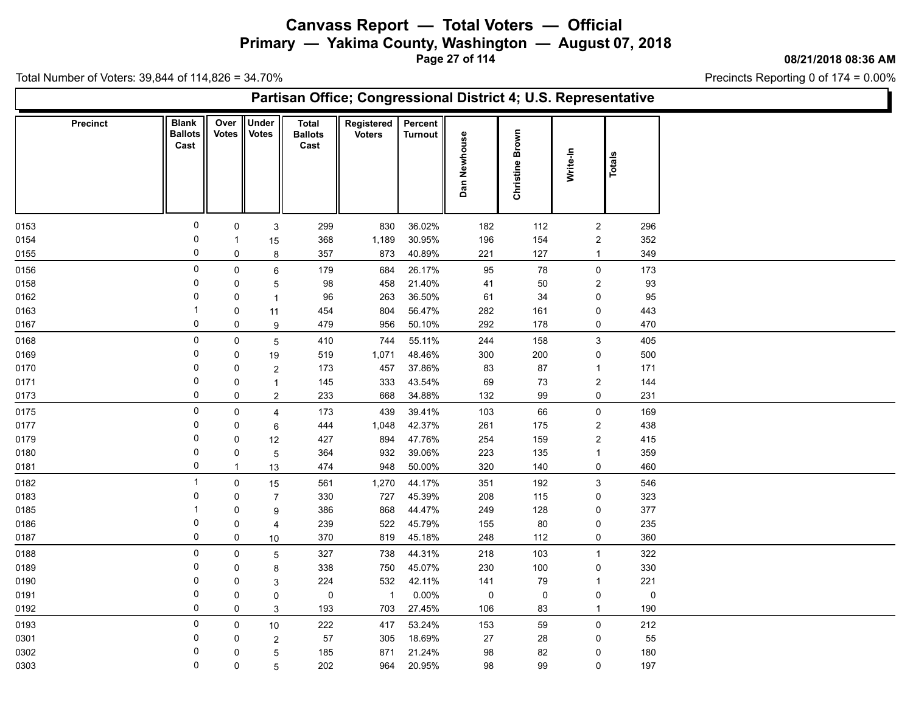**Primary — Yakima County, Washington — August 07, 2018**

**Page 27 of 114**

**08/21/2018 08:36 AM**

Ъ

Precincts Reporting 0 of 174 = 0.00%

| Partisan Office; Congressional District 4; U.S. Representative |                                        |               |                              |                                 |                             |                           |              |                    |                         |             |  |  |  |
|----------------------------------------------------------------|----------------------------------------|---------------|------------------------------|---------------------------------|-----------------------------|---------------------------|--------------|--------------------|-------------------------|-------------|--|--|--|
| <b>Precinct</b>                                                | <b>Blank</b><br><b>Ballots</b><br>Cast | Over<br>Votes | <b>Under</b><br><b>Votes</b> | Total<br><b>Ballots</b><br>Cast | Registered<br><b>Voters</b> | Percent<br><b>Turnout</b> | Dan Newhouse | Brown<br>Christine | Write-In                | Totals      |  |  |  |
| 0153                                                           | 0                                      | 0             | 3                            | 299                             | 830                         | 36.02%                    | 182          | 112                | $\overline{2}$          | 296         |  |  |  |
| 0154                                                           | 0                                      | $\mathbf 1$   | 15                           | 368                             | 1,189                       | 30.95%                    | 196          | 154                | $\overline{2}$          | 352         |  |  |  |
| 0155                                                           | $\mathbf 0$                            | 0             | 8                            | 357                             | 873                         | 40.89%                    | 221          | 127                | $\mathbf{1}$            | 349         |  |  |  |
| 0156                                                           | $\pmb{0}$                              | $\mathbf 0$   | 6                            | 179                             | 684                         | 26.17%                    | 95           | 78                 | $\mathsf 0$             | 173         |  |  |  |
| 0158                                                           | $\mathbf 0$                            | $\mathbf 0$   | $\mathbf 5$                  | 98                              | 458                         | 21.40%                    | 41           | 50                 | $\overline{\mathbf{c}}$ | 93          |  |  |  |
| 0162                                                           | $\mathbf 0$                            | 0             | $\overline{1}$               | 96                              | 263                         | 36.50%                    | 61           | 34                 | 0                       | 95          |  |  |  |
| 0163                                                           | -1                                     | 0             | 11                           | 454                             | 804                         | 56.47%                    | 282          | 161                | 0                       | 443         |  |  |  |
| 0167                                                           | 0                                      | 0             | 9                            | 479                             | 956                         | 50.10%                    | 292          | 178                | 0                       | 470         |  |  |  |
| 0168                                                           | $\pmb{0}$                              | $\mathbf 0$   | $\overline{5}$               | 410                             | 744                         | 55.11%                    | 244          | 158                | $\mathsf 3$             | 405         |  |  |  |
| 0169                                                           | $\mathbf 0$                            | 0             | 19                           | 519                             | 1,071                       | 48.46%                    | 300          | 200                | $\pmb{0}$               | 500         |  |  |  |
| 0170                                                           | 0                                      | 0             | $\overline{2}$               | 173                             | 457                         | 37.86%                    | 83           | 87                 | $\mathbf{1}$            | 171         |  |  |  |
| 0171                                                           | $\mathbf 0$                            | 0             | $\mathbf{1}$                 | 145                             | 333                         | 43.54%                    | 69           | 73                 | $\overline{\mathbf{c}}$ | 144         |  |  |  |
| 0173                                                           | 0                                      | 0             | $\overline{2}$               | 233                             | 668                         | 34.88%                    | 132          | 99                 | 0                       | 231         |  |  |  |
| 0175                                                           | $\mathsf 0$                            | $\mathbf 0$   | 4                            | 173                             | 439                         | 39.41%                    | 103          | 66                 | $\mathsf{O}$            | 169         |  |  |  |
| 0177                                                           | 0                                      | 0             | 6                            | 444                             | 1,048                       | 42.37%                    | 261          | 175                | $\overline{2}$          | 438         |  |  |  |
| 0179                                                           | 0                                      | 0             | 12                           | 427                             | 894                         | 47.76%                    | 254          | 159                | $\overline{c}$          | 415         |  |  |  |
| 0180                                                           | $\mathbf 0$                            | 0             | $\mathbf 5$                  | 364                             | 932                         | 39.06%                    | 223          | 135                | $\mathbf{1}$            | 359         |  |  |  |
| 0181                                                           | 0                                      | $\mathbf{1}$  | 13                           | 474                             | 948                         | 50.00%                    | 320          | 140                | 0                       | 460         |  |  |  |
| 0182                                                           | $\overline{1}$                         | $\mathbf 0$   | 15                           | 561                             | 1,270                       | 44.17%                    | 351          | 192                | $\mathbf{3}$            | 546         |  |  |  |
| 0183                                                           | 0                                      | 0             | $\overline{7}$               | 330                             | 727                         | 45.39%                    | 208          | 115                | 0                       | 323         |  |  |  |
| 0185                                                           | -1                                     | 0             | 9                            | 386                             | 868                         | 44.47%                    | 249          | 128                | 0                       | 377         |  |  |  |
| 0186                                                           | 0                                      | 0             | 4                            | 239                             | 522                         | 45.79%                    | 155          | 80                 | 0                       | 235         |  |  |  |
| 0187                                                           | 0                                      | 0             | 10                           | 370                             | 819                         | 45.18%                    | 248          | 112                | 0                       | 360         |  |  |  |
| 0188                                                           | 0                                      | 0             | $\mathbf 5$                  | 327                             | 738                         | 44.31%                    | 218          | 103                | $\overline{1}$          | 322         |  |  |  |
| 0189                                                           | 0                                      | 0             | 8                            | 338                             | 750                         | 45.07%                    | 230          | 100                | 0                       | 330         |  |  |  |
| 0190                                                           | $\mathbf 0$                            | 0             | 3                            | 224                             | 532                         | 42.11%                    | 141          | 79                 | $\mathbf{1}$            | 221         |  |  |  |
| 0191                                                           | 0                                      | 0             | 0                            | 0                               | $\overline{1}$              | 0.00%                     | $\pmb{0}$    | $\mathbf 0$        | 0                       | $\mathbf 0$ |  |  |  |
| 0192                                                           | 0                                      | 0             | 3                            | 193                             | 703                         | 27.45%                    | 106          | 83                 | $\mathbf{1}$            | 190         |  |  |  |
| 0193                                                           | $\mathsf 0$                            | 0             | 10                           | 222                             | 417                         | 53.24%                    | 153          | 59                 | $\mathsf{O}$            | 212         |  |  |  |
| 0301                                                           | 0                                      | 0             | $\overline{2}$               | 57                              | 305                         | 18.69%                    | 27           | 28                 | 0                       | 55          |  |  |  |
| 0302                                                           | $\mathbf 0$                            | 0             | $\overline{5}$               | 185                             | 871                         | 21.24%                    | 98           | 82                 | 0                       | 180         |  |  |  |
| 0303                                                           | 0                                      | 0             | 5                            | 202                             | 964                         | 20.95%                    | 98           | 99                 | 0                       | 197         |  |  |  |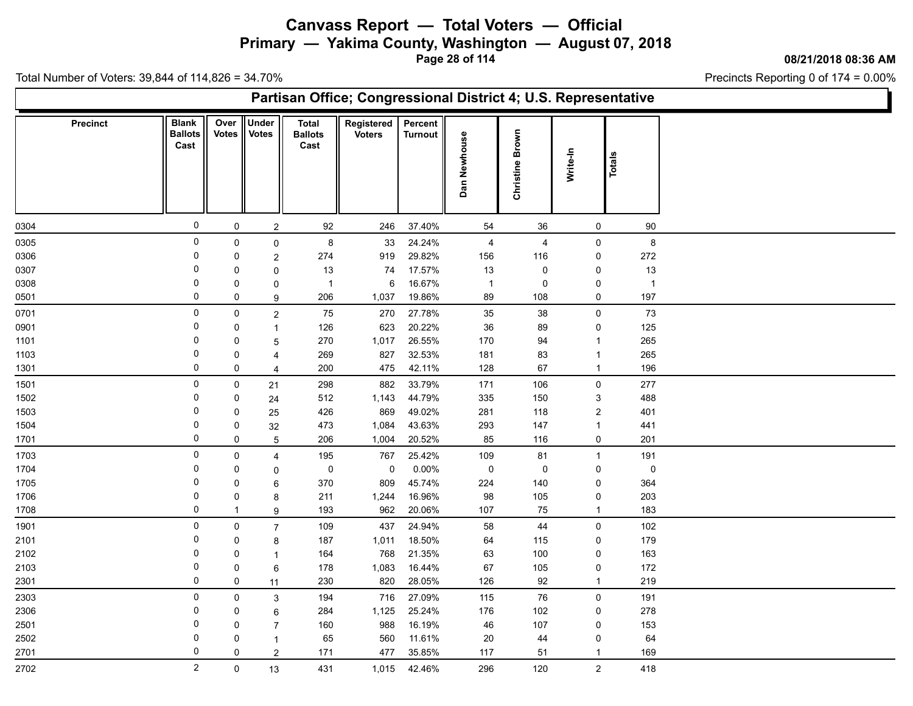**Primary — Yakima County, Washington — August 07, 2018**

**Page 28 of 114**

**08/21/2018 08:36 AM**

Ъ

Precincts Reporting 0 of 174 = 0.00%

|              | Partisan Office; Congressional District 4; U.S. Representative |                                        |               |                              |                                        |                             |                           |                |                    |                     |                |  |  |  |
|--------------|----------------------------------------------------------------|----------------------------------------|---------------|------------------------------|----------------------------------------|-----------------------------|---------------------------|----------------|--------------------|---------------------|----------------|--|--|--|
|              | <b>Precinct</b>                                                | <b>Blank</b><br><b>Ballots</b><br>Cast | Over<br>Votes | <b>Under</b><br><b>Votes</b> | <b>Total</b><br><b>Ballots</b><br>Cast | Registered<br><b>Voters</b> | Percent<br><b>Turnout</b> | Dan Newhouse   | Brown<br>Christine | Write-In            | Totals         |  |  |  |
| 0304         |                                                                | $\mathbf 0$                            | $\mathbf 0$   | $\boldsymbol{2}$             | 92                                     | 246                         | 37.40%                    | 54             | 36                 | $\mathsf{O}\xspace$ | 90             |  |  |  |
| 0305         |                                                                | $\pmb{0}$                              | 0             | $\mathsf 0$                  | $\bf 8$                                | 33                          | 24.24%                    | 4              | $\overline{4}$     | 0                   | $\bf 8$        |  |  |  |
| 0306         |                                                                | 0                                      | 0             | 2                            | 274                                    | 919                         | 29.82%                    | 156            | 116                | 0                   | 272            |  |  |  |
| 0307         |                                                                | 0                                      | 0             | $\mathbf 0$                  | 13                                     | 74                          | 17.57%                    | 13             | 0                  | 0                   | $13$           |  |  |  |
| 0308         |                                                                | 0                                      | 0             | 0                            | $\overline{\mathbf{1}}$                | 6                           | 16.67%                    | $\overline{1}$ | 0                  | 0                   | $\overline{1}$ |  |  |  |
| 0501         |                                                                | 0                                      | 0             | 9                            | 206                                    | 1,037                       | 19.86%                    | 89             | 108                | 0                   | 197            |  |  |  |
| 0701         |                                                                | $\mathsf 0$                            | $\mathbf 0$   | $\boldsymbol{2}$             | 75                                     | 270                         | 27.78%                    | 35             | $38\,$             | 0                   | 73             |  |  |  |
| 0901         |                                                                | 0                                      | 0             | $\mathbf{1}$                 | 126                                    | 623                         | 20.22%                    | 36             | 89                 | 0                   | 125            |  |  |  |
| 1101         |                                                                | 0                                      | 0             | 5                            | 270                                    | 1,017                       | 26.55%                    | 170            | 94                 | $\mathbf{1}$        | 265            |  |  |  |
| 1103         |                                                                | $\overline{0}$                         | 0             | 4                            | 269                                    | 827                         | 32.53%                    | 181            | 83                 | $\mathbf{1}$        | 265            |  |  |  |
| 1301         |                                                                | 0                                      | $\mathbf 0$   | 4                            | 200                                    | 475                         | 42.11%                    | 128            | 67                 | $\mathbf{1}$        | 196            |  |  |  |
| 1501         |                                                                | 0                                      | 0             | 21                           | 298                                    | 882                         | 33.79%                    | 171            | 106                | $\mathbf 0$         | 277            |  |  |  |
| 1502         |                                                                | $\mathbf 0$                            | 0             | 24                           | 512                                    | 1,143                       | 44.79%                    | 335            | 150                | 3                   | 488            |  |  |  |
| 1503         |                                                                | 0                                      | 0             | 25                           | 426                                    | 869                         | 49.02%                    | 281            | 118                | $\overline{c}$      | 401            |  |  |  |
| 1504         |                                                                | 0                                      | 0             | 32                           | 473                                    | 1,084                       | 43.63%                    | 293            | 147                | $\mathbf{1}$        | 441            |  |  |  |
| 1701         |                                                                | 0                                      | 0             | $\overline{5}$               | 206                                    | 1,004                       | 20.52%                    | 85             | 116                | 0                   | 201            |  |  |  |
| 1703         |                                                                | 0                                      | $\mathsf 0$   | 4                            | 195                                    | 767                         | 25.42%                    | 109            | 81                 | $\mathbf{1}$        | 191            |  |  |  |
| 1704         |                                                                | 0                                      | 0             | 0                            | 0                                      | $\mathbf 0$                 | 0.00%                     | $\pmb{0}$      | 0                  | 0                   | $\mathbf 0$    |  |  |  |
| 1705         |                                                                | 0                                      | 0             | 6                            | 370                                    | 809                         | 45.74%                    | 224            | 140                | 0                   | 364            |  |  |  |
| 1706         |                                                                | $\overline{0}$                         | 0             | 8                            | 211                                    | 1,244                       | 16.96%                    | 98             | 105                | $\pmb{0}$           | 203            |  |  |  |
| 1708         |                                                                | 0                                      | -1            | 9                            | 193                                    | 962                         | 20.06%                    | 107            | 75                 | $\mathbf{1}$        | 183            |  |  |  |
| 1901         |                                                                | $\pmb{0}$                              | $\mathbf 0$   | $\overline{7}$               | 109                                    | 437                         | 24.94%                    | 58             | 44                 | $\mathbf 0$         | 102            |  |  |  |
| 2101         |                                                                | 0                                      | 0             | 8                            | 187                                    | 1,011                       | 18.50%                    | 64             | 115                | 0                   | 179            |  |  |  |
| 2102         |                                                                | 0                                      | $\mathbf 0$   | $\mathbf{1}$                 | 164                                    | 768                         | 21.35%                    | 63             | 100                | 0                   | 163            |  |  |  |
| 2103         |                                                                | 0                                      | 0             | 6                            | 178                                    | 1,083                       | 16.44%                    | 67             | 105                | 0                   | 172            |  |  |  |
| 2301         |                                                                | 0                                      | 0             | 11                           | 230                                    | 820                         | 28.05%                    | 126            | 92                 | $\mathbf{1}$        | 219            |  |  |  |
| 2303         |                                                                | $\mathsf 0$                            | $\mathbf 0$   |                              |                                        |                             | 27.09%                    |                | 76                 | $\mathsf{O}\xspace$ | 191            |  |  |  |
|              |                                                                | 0                                      | $\mathbf 0$   | $\mathbf{3}$                 | 194                                    | 716<br>1,125                | 25.24%                    | 115            |                    |                     | 278            |  |  |  |
| 2306         |                                                                | $\mathbf 0$                            |               | 6                            | 284                                    |                             |                           | 176            | 102                | 0                   |                |  |  |  |
| 2501<br>2502 |                                                                | $\Omega$                               | 0<br>0        | $\overline{7}$               | 160                                    | 988<br>560                  | 16.19%<br>11.61%          | 46<br>20       | 107                | 0<br>$\pmb{0}$      | 153            |  |  |  |
|              |                                                                | $\mathbf 0$                            |               | $\mathbf{1}$                 | 65                                     | 477                         | 35.85%                    | 117            | 44                 |                     | 64<br>169      |  |  |  |
| 2701         |                                                                |                                        | 0             | $\overline{c}$               | 171                                    |                             |                           |                | 51                 | $\mathbf{1}$        |                |  |  |  |
| 2702         |                                                                | $\overline{2}$                         | 0             | 13                           | 431                                    | 1,015                       | 42.46%                    | 296            | 120                | $\overline{2}$      | 418            |  |  |  |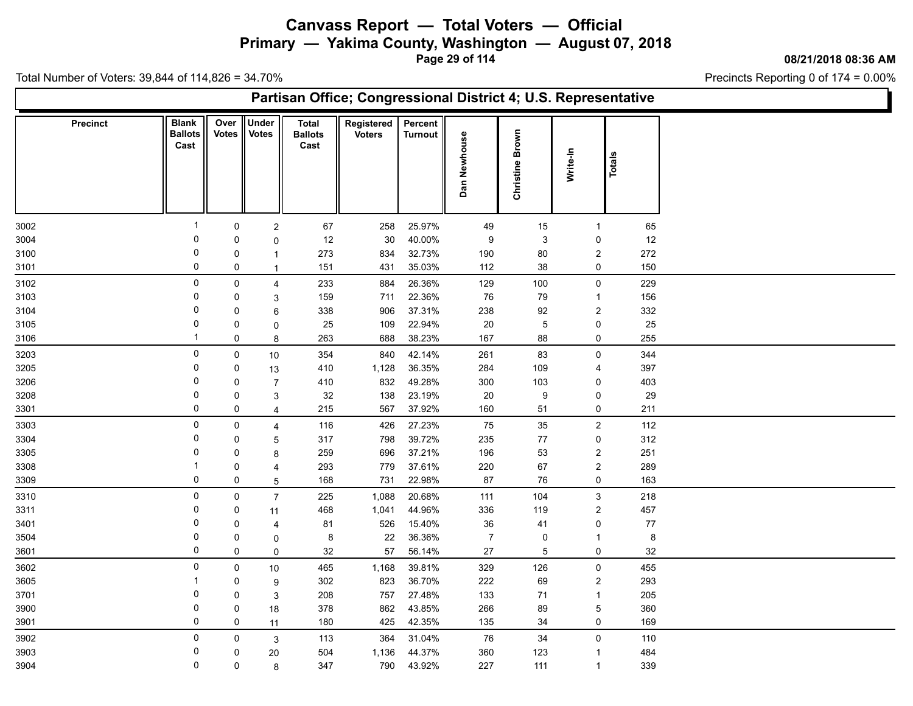**Primary — Yakima County, Washington — August 07, 2018**

**Page 29 of 114**

**08/21/2018 08:36 AM**

Ъ

Precincts Reporting 0 of 174 = 0.00%

| Partisan Office; Congressional District 4; U.S. Representative |                                        |               |                              |                                        |                             |                           |                |                    |                  |               |  |  |  |
|----------------------------------------------------------------|----------------------------------------|---------------|------------------------------|----------------------------------------|-----------------------------|---------------------------|----------------|--------------------|------------------|---------------|--|--|--|
| <b>Precinct</b>                                                | <b>Blank</b><br><b>Ballots</b><br>Cast | Over<br>Votes | <b>Under</b><br><b>Votes</b> | <b>Total</b><br><b>Ballots</b><br>Cast | Registered<br><b>Voters</b> | Percent<br><b>Turnout</b> | Dan Newhouse   | Brown<br>Christine | Write-In         | <b>Totals</b> |  |  |  |
| 3002                                                           | -1                                     | 0             | $\sqrt{2}$                   | 67                                     | 258                         | 25.97%                    | 49             | 15                 | $\overline{1}$   | 65            |  |  |  |
| 3004                                                           | 0                                      | 0             | 0                            | 12                                     | $30\,$                      | 40.00%                    | 9              | $\mathbf{3}$       | 0                | 12            |  |  |  |
| 3100                                                           | 0                                      | 0             | $\mathbf{1}$                 | 273                                    | 834                         | 32.73%                    | 190            | 80                 | $\overline{c}$   | 272           |  |  |  |
| 3101                                                           | $\mathbf 0$                            | 0             | $\overline{1}$               | 151                                    | 431                         | 35.03%                    | 112            | $38\,$             | 0                | 150           |  |  |  |
| 3102                                                           | $\pmb{0}$                              | 0             | $\overline{4}$               | 233                                    | 884                         | 26.36%                    | 129            | 100                | $\mathsf{O}$     | 229           |  |  |  |
| 3103                                                           | $\mathbf 0$                            | $\mathbf 0$   | $\mathbf{3}$                 | 159                                    | 711                         | 22.36%                    | 76             | $\bf 79$           | $\mathbf{1}$     | 156           |  |  |  |
| 3104                                                           | 0                                      | 0             | 6                            | 338                                    | 906                         | 37.31%                    | 238            | 92                 | $\overline{2}$   | 332           |  |  |  |
| 3105                                                           | $\mathbf 0$                            | 0             | 0                            | 25                                     | 109                         | 22.94%                    | 20             | $\overline{5}$     | $\pmb{0}$        | 25            |  |  |  |
| 3106                                                           | $\overline{1}$                         | 0             | 8                            | 263                                    | 688                         | 38.23%                    | 167            | 88                 | 0                | 255           |  |  |  |
| 3203                                                           | $\mathsf 0$                            | $\mathsf 0$   | $10$                         | 354                                    | 840                         | 42.14%                    | 261            | 83                 | $\mathsf 0$      | 344           |  |  |  |
| 3205                                                           | 0                                      | 0             | 13                           | 410                                    | 1,128                       | 36.35%                    | 284            | 109                | 4                | 397           |  |  |  |
| 3206                                                           | $\mathbf 0$                            | 0             | $\overline{7}$               | 410                                    | 832                         | 49.28%                    | 300            | 103                | 0                | 403           |  |  |  |
| 3208                                                           | 0                                      | 0             | 3                            | 32                                     | 138                         | 23.19%                    | 20             | 9                  | 0                | 29            |  |  |  |
| 3301                                                           | 0                                      | 0             | $\overline{4}$               | 215                                    | 567                         | 37.92%                    | 160            | 51                 | 0                | 211           |  |  |  |
| 3303                                                           | $\mathsf 0$                            | $\mathsf{O}$  | $\overline{4}$               | 116                                    | 426                         | 27.23%                    | 75             | 35                 | $\overline{2}$   | 112           |  |  |  |
| 3304                                                           | 0                                      | 0             | $\overline{5}$               | 317                                    | 798                         | 39.72%                    | 235            | 77                 | 0                | 312           |  |  |  |
| 3305                                                           | $\mathbf 0$                            | $\mathbf 0$   | 8                            | 259                                    | 696                         | 37.21%                    | 196            | 53                 | $\overline{c}$   | 251           |  |  |  |
| 3308                                                           | -1                                     | 0             | 4                            | 293                                    | 779                         | 37.61%                    | 220            | 67                 | $\overline{2}$   | 289           |  |  |  |
| 3309                                                           | $\mathbf 0$                            | 0             | 5                            | 168                                    | 731                         | 22.98%                    | 87             | 76                 | 0                | 163           |  |  |  |
| 3310                                                           | 0                                      | $\mathbf 0$   | $\overline{7}$               | 225                                    | 1,088                       | 20.68%                    | 111            | 104                | $\mathsf 3$      | 218           |  |  |  |
| 3311                                                           | $\mathbf 0$                            | 0             | 11                           | 468                                    | 1,041                       | 44.96%                    | 336            | 119                | $\boldsymbol{2}$ | 457           |  |  |  |
| 3401                                                           | 0                                      | 0             | 4                            | 81                                     | 526                         | 15.40%                    | 36             | 41                 | 0                | $77\,$        |  |  |  |
| 3504                                                           | $\mathbf 0$                            | 0             | 0                            | $\bf 8$                                | 22                          | 36.36%                    | $\overline{7}$ | $\pmb{0}$          | $\mathbf{1}$     | $\,8\,$       |  |  |  |
| 3601                                                           | 0                                      | 0             | $\mathbf 0$                  | 32                                     | 57                          | 56.14%                    | 27             | $\overline{5}$     | 0                | 32            |  |  |  |
| 3602                                                           | $\mathbf 0$                            | 0             | $10\,$                       | 465                                    | 1,168                       | 39.81%                    | 329            | 126                | $\mathsf{O}$     | 455           |  |  |  |
| 3605                                                           | -1                                     | 0             | 9                            | 302                                    | 823                         | 36.70%                    | 222            | 69                 | $\overline{2}$   | 293           |  |  |  |
| 3701                                                           | $\mathbf 0$                            | 0             | $\mathbf{3}$                 | 208                                    | 757                         | 27.48%                    | 133            | $\bf 71$           | $\mathbf{1}$     | 205           |  |  |  |
| 3900                                                           | 0                                      | 0             | $18\,$                       | 378                                    | 862                         | 43.85%                    | 266            | 89                 | 5                | 360           |  |  |  |
| 3901                                                           | $\mathbf 0$                            | 0             | 11                           | 180                                    | 425                         | 42.35%                    | 135            | 34                 | 0                | 169           |  |  |  |
| 3902                                                           | 0                                      | 0             | $\mathbf{3}$                 | 113                                    | 364                         | 31.04%                    | 76             | 34                 | $\mathsf{O}$     | 110           |  |  |  |
| 3903                                                           | 0                                      | 0             | 20                           | 504                                    | 1,136                       | 44.37%                    | 360            | 123                | $\mathbf{1}$     | 484           |  |  |  |
| 3904                                                           | $\mathbf 0$                            | 0             | 8                            | 347                                    | 790                         | 43.92%                    | 227            | 111                | $\mathbf{1}$     | 339           |  |  |  |
|                                                                |                                        |               |                              |                                        |                             |                           |                |                    |                  |               |  |  |  |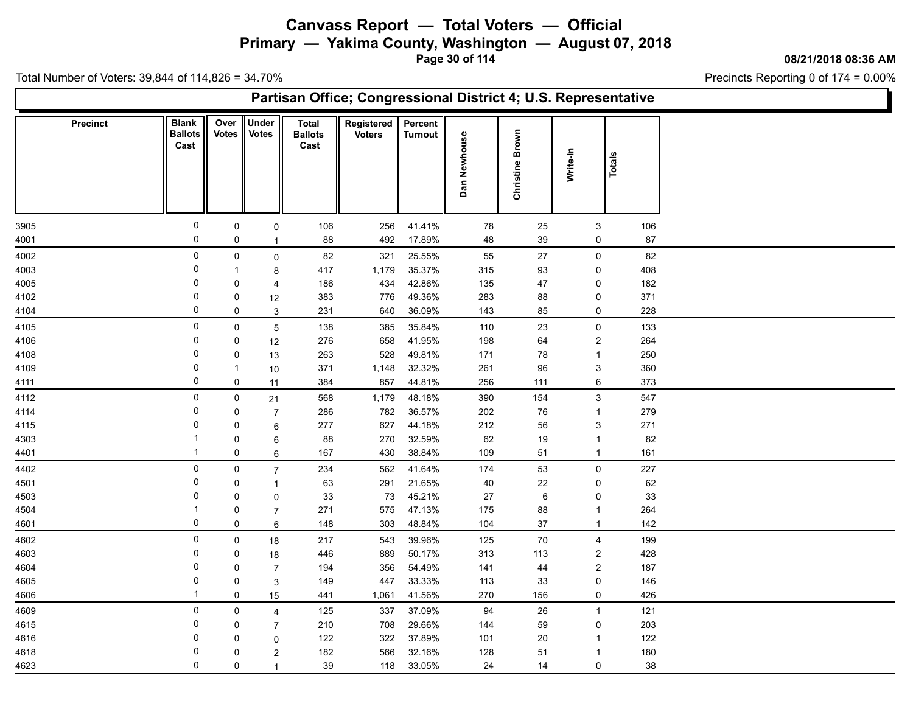**Primary — Yakima County, Washington — August 07, 2018**

**Page 30 of 114**

**08/21/2018 08:36 AM**

Ъ

Precincts Reporting 0 of 174 = 0.00%

| Partisan Office; Congressional District 4; U.S. Representative |                                        |                  |                       |                                        |                             |                           |              |                    |                                       |            |  |  |  |
|----------------------------------------------------------------|----------------------------------------|------------------|-----------------------|----------------------------------------|-----------------------------|---------------------------|--------------|--------------------|---------------------------------------|------------|--|--|--|
| <b>Precinct</b>                                                | <b>Blank</b><br><b>Ballots</b><br>Cast | Over<br>Votes    | Under<br><b>Votes</b> | <b>Total</b><br><b>Ballots</b><br>Cast | Registered<br><b>Voters</b> | Percent<br><b>Turnout</b> | Dan Newhouse | Brown<br>Christine | Write-In                              | Totals     |  |  |  |
| 3905                                                           | 0                                      | $\mathsf{O}$     | $\mathsf{O}$          | 106                                    | 256                         | 41.41%                    | 78           | 25                 | 3                                     | 106        |  |  |  |
| 4001                                                           | 0                                      | 0                | $\mathbf{1}$          | 88                                     | 492                         | 17.89%                    | 48           | 39                 | 0                                     | 87         |  |  |  |
| 4002                                                           | $\mathsf 0$                            | $\mathsf{O}$     | $\mathbf 0$           | 82                                     | 321                         | 25.55%                    | 55           | 27                 | $\mathsf{O}$                          | 82         |  |  |  |
| 4003                                                           | 0                                      | $\mathbf{1}$     | 8                     | 417                                    | 1,179                       | 35.37%                    | 315          | 93                 | 0                                     | 408        |  |  |  |
| 4005                                                           | 0                                      | 0                | 4                     | 186                                    | 434                         | 42.86%                    | 135          | 47                 | 0                                     | 182        |  |  |  |
| 4102                                                           | 0<br>0                                 | 0<br>$\mathbf 0$ | 12                    | 383                                    | 776                         | 49.36%                    | 283          | 88                 | 0<br>0                                | 371        |  |  |  |
| 4104                                                           |                                        |                  | 3                     | 231                                    | 640                         | 36.09%                    | 143          | 85                 |                                       | 228        |  |  |  |
| 4105                                                           | $\mathbf 0$<br>0                       | $\mathsf 0$<br>0 | 5                     | 138<br>276                             | 385<br>658                  | 35.84%<br>41.95%          | 110<br>198   | 23<br>64           | $\mathsf{O}\xspace$<br>$\overline{c}$ | 133<br>264 |  |  |  |
| 4106<br>4108                                                   | 0                                      | 0                | 12<br>13              | 263                                    | 528                         | 49.81%                    | 171          | 78                 | $\mathbf{1}$                          | 250        |  |  |  |
| 4109                                                           | $\mathbf 0$                            | $\mathbf{1}$     | 10                    | 371                                    | 1,148                       | 32.32%                    | 261          | 96                 | $\mathfrak{S}$                        | 360        |  |  |  |
| 4111                                                           | 0                                      | $\mathbf 0$      | 11                    | 384                                    | 857                         | 44.81%                    | 256          | 111                | 6                                     | 373        |  |  |  |
| 4112                                                           | $\mathbf 0$                            | 0                | 21                    | 568                                    | 1,179                       | 48.18%                    | 390          | 154                | 3                                     | 547        |  |  |  |
| 4114                                                           | 0                                      | 0                | $\overline{7}$        | 286                                    | 782                         | 36.57%                    | 202          | 76                 | $\mathbf{1}$                          | 279        |  |  |  |
| 4115                                                           | 0                                      | 0                | 6                     | 277                                    | 627                         | 44.18%                    | 212          | 56                 | 3                                     | 271        |  |  |  |
| 4303                                                           | -1                                     | 0                | 6                     | 88                                     | 270                         | 32.59%                    | 62           | 19                 | $\mathbf{1}$                          | 82         |  |  |  |
| 4401                                                           | $\overline{1}$                         | 0                | 6                     | 167                                    | 430                         | 38.84%                    | 109          | 51                 | $\mathbf{1}$                          | 161        |  |  |  |
| 4402                                                           | 0                                      | 0                | $\overline{7}$        | 234                                    | 562                         | 41.64%                    | 174          | 53                 | $\mathbf 0$                           | 227        |  |  |  |
| 4501                                                           | $\mathbf 0$                            | 0                | $\mathbf{1}$          | 63                                     | 291                         | 21.65%                    | 40           | 22                 | 0                                     | 62         |  |  |  |
| 4503                                                           | 0                                      | 0                | 0                     | 33                                     | 73                          | 45.21%                    | 27           | 6                  | 0                                     | 33         |  |  |  |
| 4504                                                           |                                        | 0                | $\overline{7}$        | 271                                    | 575                         | 47.13%                    | 175          | 88                 | $\mathbf{1}$                          | 264        |  |  |  |
| 4601                                                           | $\mathbf 0$                            | $\pmb{0}$        | 6                     | 148                                    | 303                         | 48.84%                    | 104          | $37\,$             | $\mathbf{1}$                          | 142        |  |  |  |
| 4602                                                           | $\mathsf 0$                            | $\mathbf 0$      | 18                    | 217                                    | 543                         | 39.96%                    | 125          | 70                 | 4                                     | 199        |  |  |  |
| 4603                                                           | $\mathbf 0$                            | 0                | 18                    | 446                                    | 889                         | 50.17%                    | 313          | 113                | $\overline{2}$                        | 428        |  |  |  |
| 4604                                                           | 0<br>$\mathbf 0$                       | 0                | $\overline{7}$        | 194                                    | 356                         | 54.49%                    | 141          | 44                 | $\overline{2}$                        | 187        |  |  |  |
| 4605<br>4606                                                   | $\mathbf{1}$                           | 0<br>0           | 3                     | 149<br>441                             | 447<br>1,061                | 33.33%<br>41.56%          | 113<br>270   | 33<br>156          | 0<br>0                                | 146<br>426 |  |  |  |
|                                                                | $\mathbf 0$                            |                  | 15                    |                                        |                             |                           |              |                    |                                       |            |  |  |  |
| 4609<br>4615                                                   | 0                                      | $\mathbf 0$<br>0 | 4                     | 125<br>210                             | 337<br>708                  | 37.09%<br>29.66%          | 94<br>144    | 26<br>59           | $\mathbf{1}$<br>0                     | 121<br>203 |  |  |  |
| 4616                                                           | $\Omega$                               | 0                | $\overline{7}$<br>0   | 122                                    | 322                         | 37.89%                    | 101          | $20\,$             | $\mathbf{1}$                          | 122        |  |  |  |
| 4618                                                           | 0                                      | $\Omega$         | 2                     | 182                                    | 566                         | 32.16%                    | 128          | 51                 | $\mathbf{1}$                          | 180        |  |  |  |
| 4623                                                           | $\mathbf 0$                            | 0                | $\mathbf{1}$          | 39                                     | 118                         | 33.05%                    | 24           | 14                 | 0                                     | 38         |  |  |  |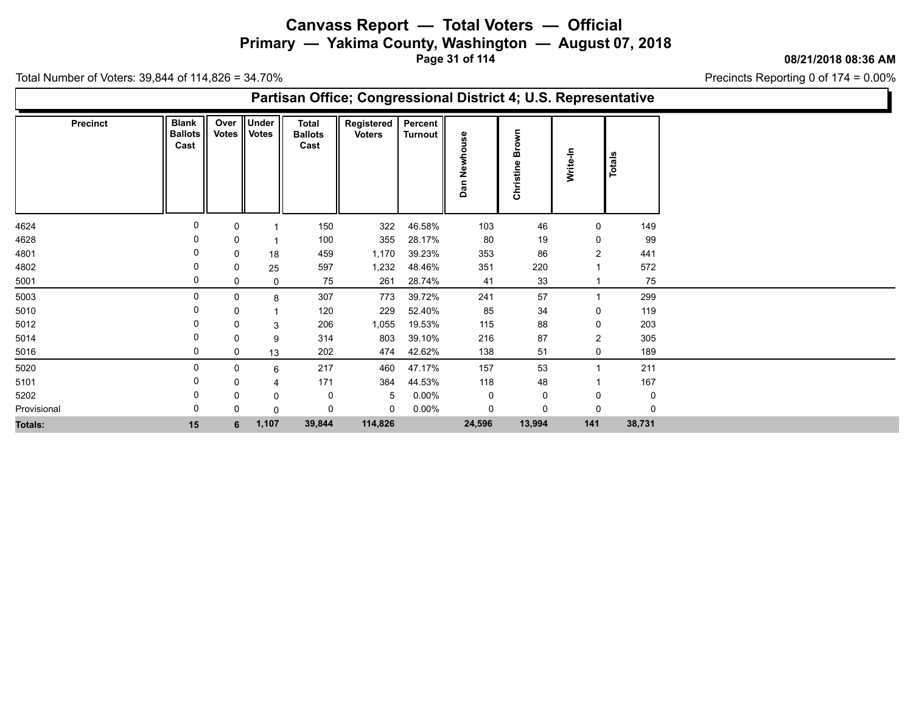**Primary — Yakima County, Washington — August 07, 2018**

**Page 31 of 114**

**08/21/2018 08:36 AM**

Precincts Reporting 0 of 174 = 0.00%

| Partisan Office; Congressional District 4; U.S. Representative |                                        |             |                         |                                 |                             |                                  |                            |                                           |                |        |  |  |  |
|----------------------------------------------------------------|----------------------------------------|-------------|-------------------------|---------------------------------|-----------------------------|----------------------------------|----------------------------|-------------------------------------------|----------------|--------|--|--|--|
| <b>Precinct</b>                                                | <b>Blank</b><br><b>Ballots</b><br>Cast | Over        | Under<br>Votes    Votes | Total<br><b>Ballots</b><br>Cast | Registered<br><b>Voters</b> | <b>Percent</b><br><b>Turnout</b> | မ္က<br>с<br>ş<br>فع<br>Dan | ş<br>Bro<br>$\mathbf{\omega}$<br>Christin | Write-In       | Totals |  |  |  |
| 4624                                                           |                                        | 0           |                         | 150                             | 322                         | 46.58%                           | 103                        | 46                                        | 0              | 149    |  |  |  |
| 4628                                                           |                                        | 0           |                         | 100                             | 355                         | 28.17%                           | 80                         | 19                                        | 0              | 99     |  |  |  |
| 4801                                                           |                                        | 0           | 18                      | 459                             | 1,170                       | 39.23%                           | 353                        | 86                                        | $\overline{2}$ | 441    |  |  |  |
| 4802                                                           |                                        | 0           | 25                      | 597                             | 1,232                       | 48.46%                           | 351                        | 220                                       |                | 572    |  |  |  |
| 5001                                                           | 0                                      | 0           | 0                       | 75                              | 261                         | 28.74%                           | 41                         | 33                                        |                | 75     |  |  |  |
| 5003                                                           | $\Omega$                               | 0           | 8                       | 307                             | 773                         | 39.72%                           | 241                        | 57                                        | -1             | 299    |  |  |  |
| 5010                                                           |                                        | 0           |                         | 120                             | 229                         | 52.40%                           | 85                         | 34                                        | 0              | 119    |  |  |  |
| 5012                                                           |                                        | 0           | 3                       | 206                             | 1,055                       | 19.53%                           | 115                        | 88                                        | 0              | 203    |  |  |  |
| 5014                                                           |                                        | 0           | 9                       | 314                             | 803                         | 39.10%                           | 216                        | 87                                        | $\overline{2}$ | 305    |  |  |  |
| 5016                                                           | 0                                      | $\mathbf 0$ | 13                      | 202                             | 474                         | 42.62%                           | 138                        | 51                                        | 0              | 189    |  |  |  |
| 5020                                                           | $\Omega$                               | 0           | 6                       | 217                             | 460                         | 47.17%                           | 157                        | 53                                        |                | 211    |  |  |  |
| 5101                                                           |                                        | 0           |                         | 171                             | 384                         | 44.53%                           | 118                        | 48                                        |                | 167    |  |  |  |
| 5202                                                           |                                        | 0           | 0                       | 0                               | -5                          | $0.00\%$                         | 0                          | 0                                         | 0              | 0      |  |  |  |
| Provisional                                                    |                                        | 0           | 0                       | 0                               | 0                           | $0.00\%$                         | 0                          | 0                                         | 0              |        |  |  |  |
| Totals:                                                        | 15                                     | 6           | 1,107                   | 39,844                          | 114,826                     |                                  | 24,596                     | 13,994                                    | 141            | 38,731 |  |  |  |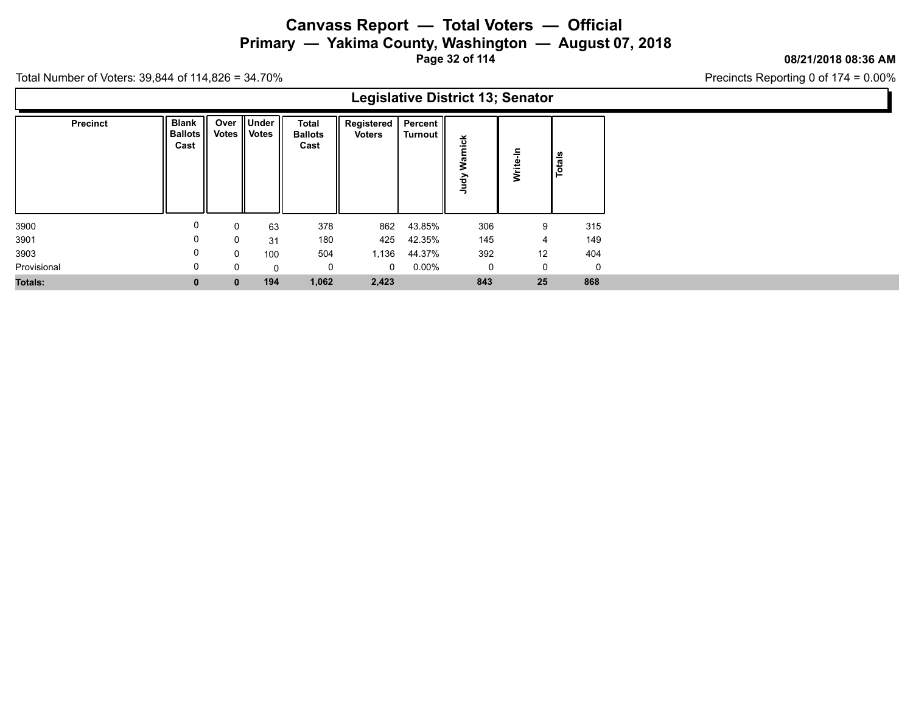**Primary — Yakima County, Washington — August 07, 2018**

**Page 32 of 114**

### **08/21/2018 08:36 AM**

Precincts Reporting 0 of 174 = 0.00%

Total Number of Voters: 39,844 of 114,826 = 34.70%

|                 |                                        |              |                                 |                                        | ັ                                 |          |     |          |              |
|-----------------|----------------------------------------|--------------|---------------------------------|----------------------------------------|-----------------------------------|----------|-----|----------|--------------|
| <b>Precinct</b> | <b>Blank</b><br><b>Ballots</b><br>Cast |              | Over    Under<br>Votes    Votes | <b>Total</b><br><b>Ballots</b><br>Cast | Registered   Percent   <br>Voters | Turnout  | >   | Write-In | Totals       |
| 3900            | 0                                      | 0            | 63                              | 378                                    | 862                               | 43.85%   | 306 | 9        | 315          |
| 3901            | 0                                      | 0            | 31                              | 180                                    | 425                               | 42.35%   | 145 | 4        | 149          |
| 3903            | 0                                      | 0            | 100                             | 504                                    | 1,136                             | 44.37%   | 392 | 12       | 404          |
| Provisional     | 0                                      | 0            | 0                               | 0                                      | $\mathbf{0}$                      | $0.00\%$ | 0   | 0        | $\mathbf{0}$ |
| <b>Totals:</b>  |                                        | $\mathbf{0}$ | 194                             | 1,062                                  | 2,423                             |          | 843 | 25       | 868          |

### **Legislative District 13; Senator**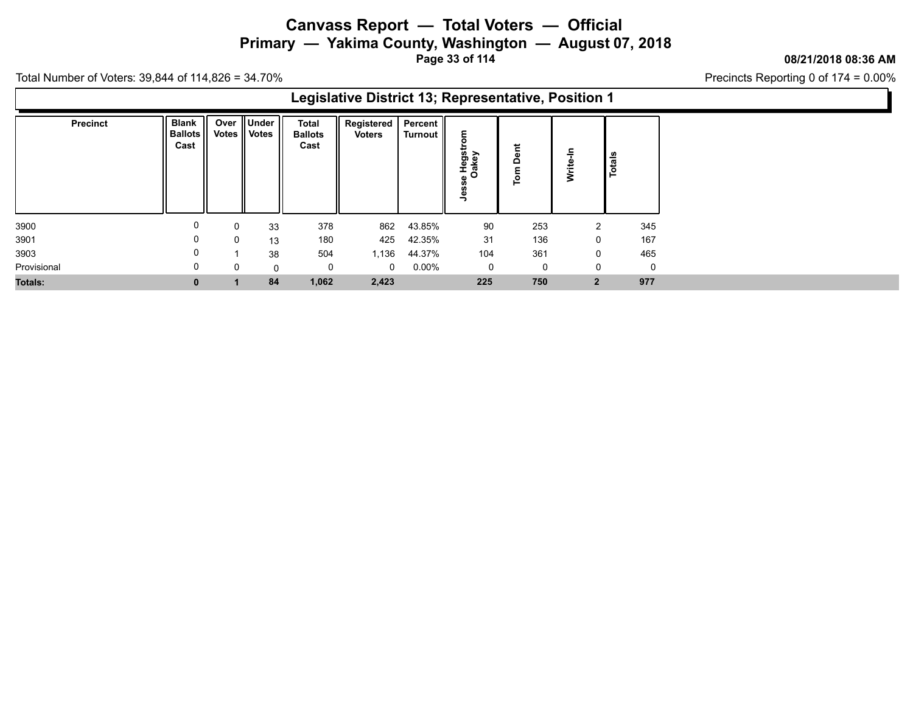## **Canvass Report — Total Voters — Official Primary — Yakima County, Washington — August 07, 2018**

**Page 33 of 114**

### **08/21/2018 08:36 AM**

Precincts Reporting 0 of 174 = 0.00%

| Legislative District 13; Representative, Position 1 |                                        |          |                              |                                 |                                         |         |                                           |                                                               |                |        |  |  |  |  |
|-----------------------------------------------------|----------------------------------------|----------|------------------------------|---------------------------------|-----------------------------------------|---------|-------------------------------------------|---------------------------------------------------------------|----------------|--------|--|--|--|--|
| <b>Precinct</b>                                     | <b>Blank</b><br><b>Ballots</b><br>Cast |          | Over Under<br>Votes    Votes | Total<br><b>Ballots</b><br>Cast | Registered   Percent  <br><b>Voters</b> | Turnout | ε<br>c<br>÷<br>PHegst<br>Cakey<br>C.<br>읙 | E.<br>$\mathbf{\omega}$<br>$\Delta$<br>$\overline{\text{Im}}$ | 두<br>Write-    | Totals |  |  |  |  |
| 3900                                                | 0                                      | 0        | 33                           | 378                             | 862                                     | 43.85%  | 90                                        | 253                                                           | 2              | 345    |  |  |  |  |
| 3901                                                | 0                                      | $\Omega$ | 13                           | 180                             | 425                                     | 42.35%  | 31                                        | 136                                                           | 0              | 167    |  |  |  |  |
| 3903                                                | 0                                      |          | 38                           | 504                             | 1,136                                   | 44.37%  | 104                                       | 361                                                           | 0              | 465    |  |  |  |  |
| Provisional                                         | 0                                      | 0        | 0                            |                                 | $\mathbf{0}$                            | 0.00%   | 0                                         | 0                                                             | 0              | 0      |  |  |  |  |
| Totals:                                             | $\bf{0}$                               |          | 84                           | 1,062                           | 2,423                                   |         | 225                                       | 750                                                           | $\overline{2}$ | 977    |  |  |  |  |
|                                                     |                                        |          |                              |                                 |                                         |         |                                           |                                                               |                |        |  |  |  |  |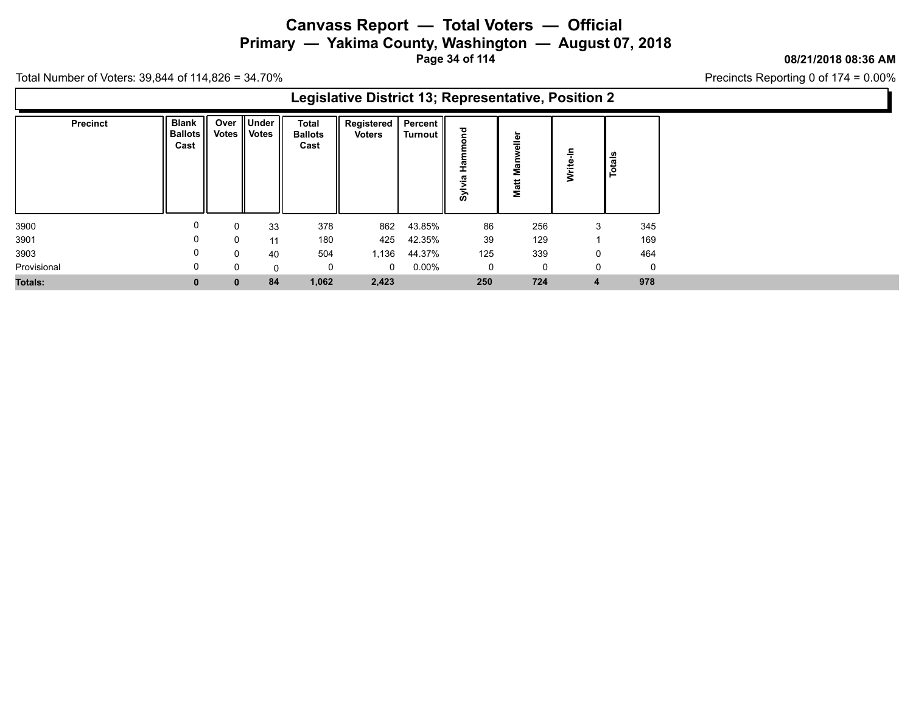## **Canvass Report — Total Voters — Official Primary — Yakima County, Washington — August 07, 2018**

**Page 34 of 114**

### **08/21/2018 08:36 AM**

Precincts Reporting 0 of 174 = 0.00%

| Legislative District 13; Representative, Position 2 |                                      |       |                                  |                                        |                               |                      |            |                    |                   |             |  |  |  |  |
|-----------------------------------------------------|--------------------------------------|-------|----------------------------------|----------------------------------------|-------------------------------|----------------------|------------|--------------------|-------------------|-------------|--|--|--|--|
| <b>Precinct</b>                                     | <b>Blank</b><br>  Ballots   <br>Cast | Votes | Over    Under   <br><b>Votes</b> | <b>Total</b><br><b>Ballots</b><br>Cast | Registered  <br><b>Voters</b> | Percent  <br>Turnout | <u>ढ</u> े | aller<br>Σ<br>Matt | 두<br><b>Write</b> | Totals      |  |  |  |  |
| 3900                                                | 0                                    | 0     | 33                               | 378                                    | 862                           | 43.85%               | 86         | 256                | 3                 | 345         |  |  |  |  |
| 3901                                                | 0                                    | 0     | 11                               | 180                                    | 425                           | 42.35%               | 39         | 129                |                   | 169         |  |  |  |  |
| 3903                                                | 0                                    | 0     | 40                               | 504                                    | 1,136                         | 44.37%               | 125        | 339                | 0                 | 464         |  |  |  |  |
| Provisional                                         | $\Omega$                             | 0     | $\Omega$                         | 0                                      | $\Omega$                      | 0.00%                | 0          | 0                  | $\Omega$          | $\mathbf 0$ |  |  |  |  |
| <b>Totals:</b>                                      | $\mathbf{0}$                         | 0     | 84                               | 1,062                                  | 2,423                         |                      | 250        | 724                | $\overline{4}$    | 978         |  |  |  |  |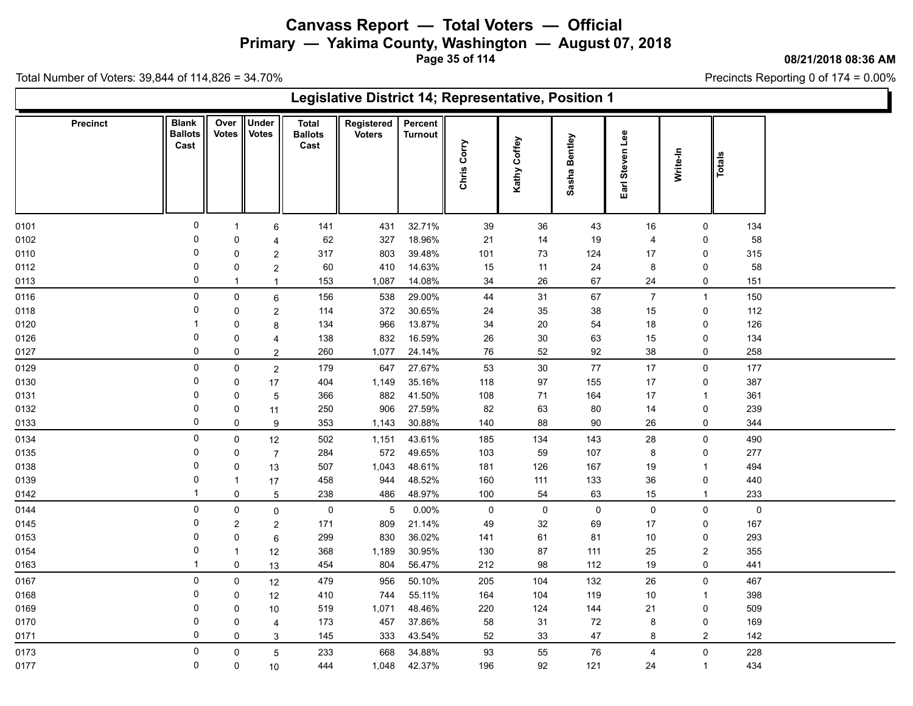**Primary — Yakima County, Washington — August 07, 2018**

**Page 35 of 114**

**08/21/2018 08:36 AM**

Precincts Reporting 0 of 174 = 0.00%

| Legislative District 14; Representative, Position 1 |                                        |                      |                         |                                        |                             |                           |             |              |               |                 |                  |        |  |
|-----------------------------------------------------|----------------------------------------|----------------------|-------------------------|----------------------------------------|-----------------------------|---------------------------|-------------|--------------|---------------|-----------------|------------------|--------|--|
| <b>Precinct</b>                                     | <b>Blank</b><br><b>Ballots</b><br>Cast | Over<br><b>Votes</b> | Under<br><b>Votes</b>   | <b>Total</b><br><b>Ballots</b><br>Cast | Registered<br><b>Voters</b> | Percent<br><b>Turnout</b> | Chris Corry | Kathy Coffey | Sasha Bentley | Earl Steven Lee | Write-In         | Totals |  |
| 0101                                                | 0                                      | $\mathbf{1}$         | 6                       | 141                                    | 431                         | 32.71%                    | $39\,$      | 36           | 43            | 16              | $\mathbf 0$      | 134    |  |
| 0102                                                | 0                                      | $\mathbf 0$          | $\overline{4}$          | 62                                     | 327                         | 18.96%                    | 21          | 14           | 19            | $\overline{4}$  | 0                | 58     |  |
| 0110                                                | $\mathbf 0$                            | $\mathbf 0$          | $\overline{\mathbf{c}}$ | 317                                    | 803                         | 39.48%                    | 101         | 73           | 124           | 17              | 0                | 315    |  |
| 0112                                                | $\mathbf 0$                            | $\mathbf 0$          | $\overline{\mathbf{c}}$ | 60                                     | 410                         | 14.63%                    | 15          | 11           | 24            | 8               | 0                | 58     |  |
| 0113                                                | $\Omega$                               | $\mathbf{1}$         | $\mathbf{1}$            | 153                                    | 1,087                       | 14.08%                    | 34          | 26           | 67            | 24              | 0                | 151    |  |
| 0116                                                | $\mathbf 0$                            | $\mathsf 0$          | 6                       | 156                                    | 538                         | 29.00%                    | 44          | $31$         | 67            | $\overline{7}$  | $\mathbf{1}$     | 150    |  |
| 0118                                                | 0                                      | $\mathbf 0$          | $\overline{\mathbf{c}}$ | 114                                    | 372                         | 30.65%                    | 24          | 35           | 38            | 15              | 0                | 112    |  |
| 0120                                                |                                        | $\mathbf 0$          | 8                       | 134                                    | 966                         | 13.87%                    | 34          | $20\,$       | 54            | 18              | 0                | 126    |  |
| 0126                                                | $\mathbf 0$                            | $\mathbf 0$          | 4                       | 138                                    | 832                         | 16.59%                    | 26          | 30           | 63            | 15              | 0                | 134    |  |
| 0127                                                | 0                                      | 0                    | $\overline{a}$          | 260                                    | 1,077                       | 24.14%                    | 76          | 52           | 92            | 38              | 0                | 258    |  |
| 0129                                                | $\mathbf 0$                            | $\mathbf 0$          | $\overline{2}$          | 179                                    | 647                         | 27.67%                    | 53          | $30\,$       | 77            | $17$            | $\mathsf{O}$     | 177    |  |
| 0130                                                | 0                                      | $\mathbf 0$          | 17                      | 404                                    | 1,149                       | 35.16%                    | 118         | 97           | 155           | 17              | 0                | 387    |  |
| 0131                                                | $\Omega$                               | $\pmb{0}$            | $\mathbf 5$             | 366                                    | 882                         | 41.50%                    | 108         | 71           | 164           | 17              | $\mathbf{1}$     | 361    |  |
| 0132                                                | 0                                      | $\mathbf 0$          | 11                      | 250                                    | 906                         | 27.59%                    | 82          | 63           | 80            | 14              | $\pmb{0}$        | 239    |  |
| 0133                                                | $\Omega$                               | $\mathsf 0$          | 9                       | 353                                    | 1,143                       | 30.88%                    | 140         | 88           | $90\,$        | 26              | 0                | 344    |  |
| 0134                                                | $\mathbf 0$                            | $\mathsf 0$          | 12                      | 502                                    | 1,151                       | 43.61%                    | 185         | 134          | 143           | 28              | $\mathsf 0$      | 490    |  |
| 0135                                                | 0                                      | $\mathbf 0$          | $\overline{7}$          | 284                                    | 572                         | 49.65%                    | 103         | 59           | 107           | 8               | 0                | 277    |  |
| 0138                                                | $\mathbf 0$                            | $\pmb{0}$            | 13                      | 507                                    | 1,043                       | 48.61%                    | 181         | 126          | 167           | 19              | $\mathbf{1}$     | 494    |  |
| 0139                                                | $\mathbf 0$                            | $\mathbf{1}$         | 17                      | 458                                    | 944                         | 48.52%                    | 160         | 111          | 133           | 36              | 0                | 440    |  |
| 0142                                                | -1                                     | $\mathsf 0$          | 5                       | 238                                    | 486                         | 48.97%                    | 100         | 54           | 63            | 15              | $\mathbf{1}$     | 233    |  |
| 0144                                                | $\mathbf{0}$                           | $\mathbf 0$          | $\mathbf 0$             | $\mathbf 0$                            | 5                           | 0.00%                     | 0           | 0            | $\mathbf 0$   | $\mathbf 0$     | $\mathbf 0$      | 0      |  |
| 0145                                                | 0                                      | $\overline{2}$       | $\overline{c}$          | 171                                    | 809                         | 21.14%                    | 49          | 32           | 69            | 17              | 0                | 167    |  |
| 0153                                                | 0                                      | $\pmb{0}$            | 6                       | 299                                    | 830                         | 36.02%                    | 141         | 61           | 81            | $10$            | 0                | 293    |  |
| 0154                                                | $\mathbf 0$                            | $\mathbf{1}$         | $12$                    | 368                                    | 1,189                       | 30.95%                    | 130         | 87           | 111           | 25              | $\overline{c}$   | 355    |  |
| 0163                                                | -1                                     | $\mathbf 0$          | 13                      | 454                                    | 804                         | 56.47%                    | 212         | 98           | 112           | 19              | 0                | 441    |  |
| 0167                                                | 0                                      | $\mathbf 0$          | 12                      | 479                                    | 956                         | 50.10%                    | 205         | 104          | 132           | 26              | $\mathbf 0$      | 467    |  |
| 0168                                                | 0                                      | $\mathbf 0$          | 12                      | 410                                    | 744                         | 55.11%                    | 164         | 104          | 119           | $10$            | $\mathbf{1}$     | 398    |  |
| 0169                                                | 0                                      | $\mathbf 0$          | 10                      | 519                                    | 1,071                       | 48.46%                    | 220         | 124          | 144           | 21              | 0                | 509    |  |
| 0170                                                | $\Omega$                               | $\pmb{0}$            | 4                       | 173                                    | 457                         | 37.86%                    | 58          | 31           | 72            | 8               | 0                | 169    |  |
| 0171                                                | $\Omega$                               | $\mathbf 0$          | 3                       | 145                                    | 333                         | 43.54%                    | $52\,$      | 33           | 47            | 8               | $\boldsymbol{2}$ | 142    |  |
| 0173                                                | $\mathbf 0$                            | $\mathbf 0$          | 5                       | 233                                    | 668                         | 34.88%                    | 93          | 55           | 76            | $\overline{4}$  | $\mathsf 0$      | 228    |  |
| 0177                                                | 0                                      | 0                    | 10                      | 444                                    | 1,048                       | 42.37%                    | 196         | 92           | 121           | 24              | $\mathbf{1}$     | 434    |  |
|                                                     |                                        |                      |                         |                                        |                             |                           |             |              |               |                 |                  |        |  |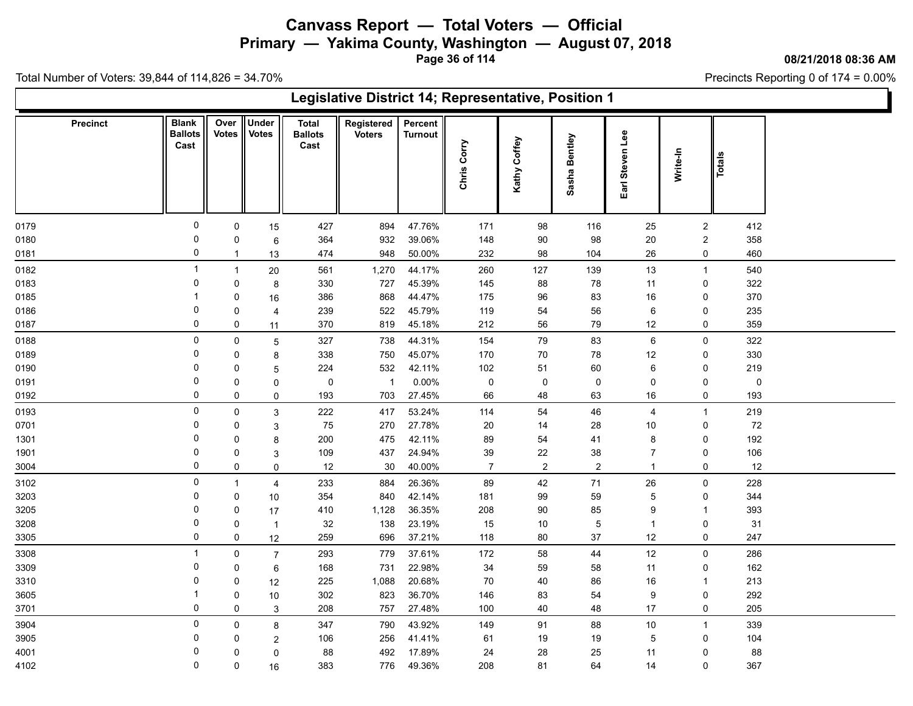**Primary — Yakima County, Washington — August 07, 2018**

**Page 36 of 114**

**08/21/2018 08:36 AM**

Precincts Reporting 0 of 174 = 0.00%

| Legislative District 14; Representative, Position 1 |                                        |                      |                              |                                        |                             |                           |                |                 |                  |                 |                |             |  |
|-----------------------------------------------------|----------------------------------------|----------------------|------------------------------|----------------------------------------|-----------------------------|---------------------------|----------------|-----------------|------------------|-----------------|----------------|-------------|--|
| <b>Precinct</b>                                     | <b>Blank</b><br><b>Ballots</b><br>Cast | Over<br><b>Votes</b> | <b>Under</b><br><b>Votes</b> | <b>Total</b><br><b>Ballots</b><br>Cast | Registered<br><b>Voters</b> | Percent<br><b>Turnout</b> | Chris Corry    | Coffey<br>Kathy | Sasha Bentley    | Earl Steven Lee | Write-In       | Totals      |  |
| 0179                                                | 0                                      | $\mathbf 0$          | 15                           | 427                                    | 894                         | 47.76%                    | 171            | 98              | 116              | 25              | $\overline{2}$ | 412         |  |
| 0180                                                | 0                                      | $\mathbf 0$          | $\,6$                        | 364                                    | 932                         | 39.06%                    | 148            | 90              | 98               | $20\,$          | $\overline{2}$ | 358         |  |
| 0181                                                | 0                                      | $\mathbf{1}$         | 13                           | 474                                    | 948                         | 50.00%                    | 232            | 98              | 104              | 26              | 0              | 460         |  |
| 0182                                                | -1                                     | $\overline{1}$       | 20                           | 561                                    | 1,270                       | 44.17%                    | 260            | 127             | 139              | $13$            | $\overline{1}$ | 540         |  |
| 0183                                                | 0                                      | 0                    | 8                            | 330                                    | 727                         | 45.39%                    | 145            | 88              | 78               | 11              | 0              | 322         |  |
| 0185                                                | -1                                     | 0                    | 16                           | 386                                    | 868                         | 44.47%                    | 175            | 96              | 83               | 16              | 0              | 370         |  |
| 0186                                                | 0                                      | 0                    | 4                            | 239                                    | 522                         | 45.79%                    | 119            | 54              | 56               | 6               | 0              | 235         |  |
| 0187                                                | $\mathbf 0$                            | 0                    | 11                           | 370                                    | 819                         | 45.18%                    | 212            | 56              | 79               | $12$            | 0              | 359         |  |
| 0188                                                | 0                                      | 0                    | 5                            | 327                                    | 738                         | 44.31%                    | 154            | 79              | 83               | 6               | $\mathbf 0$    | 322         |  |
| 0189                                                | $\Omega$                               | $\mathbf 0$          | 8                            | 338                                    | 750                         | 45.07%                    | 170            | 70              | 78               | $12$            | 0              | 330         |  |
| 0190                                                | 0                                      | 0                    | 5                            | 224                                    | 532                         | 42.11%                    | 102            | 51              | 60               | 6               | 0              | 219         |  |
| 0191                                                | $\Omega$                               | 0                    | 0                            | $\pmb{0}$                              | $\overline{\phantom{1}}$    | 0.00%                     | $\mathsf 0$    | $\pmb{0}$       | $\pmb{0}$        | 0               | 0              | $\mathsf 0$ |  |
| 0192                                                | $\mathbf 0$                            | 0                    | $\mathsf 0$                  | 193                                    | 703                         | 27.45%                    | 66             | 48              | 63               | 16              | 0              | 193         |  |
| 0193                                                | 0                                      | 0                    | 3                            | 222                                    | 417                         | 53.24%                    | 114            | 54              | 46               | $\overline{4}$  | $\overline{1}$ | 219         |  |
| 0701                                                | 0                                      | 0                    | 3                            | 75                                     | 270                         | 27.78%                    | 20             | 14              | 28               | 10              | 0              | 72          |  |
| 1301                                                | 0                                      | 0                    | 8                            | 200                                    | 475                         | 42.11%                    | 89             | 54              | 41               | 8               | 0              | 192         |  |
| 1901                                                | 0                                      | 0                    | $\mathbf{3}$                 | 109                                    | 437                         | 24.94%                    | 39             | 22              | 38               | $\overline{7}$  | 0              | 106         |  |
| 3004                                                | 0                                      | 0                    | $\mathbf 0$                  | 12                                     | 30                          | 40.00%                    | $\overline{7}$ | $\overline{c}$  | $\boldsymbol{2}$ | $\overline{1}$  | 0              | 12          |  |
| 3102                                                | 0                                      | $\mathbf{1}$         | $\overline{4}$               | 233                                    | 884                         | 26.36%                    | 89             | 42              | 71               | 26              | $\pmb{0}$      | 228         |  |
| 3203                                                | 0                                      | 0                    | 10                           | 354                                    | 840                         | 42.14%                    | 181            | 99              | 59               | $\mathbf 5$     | 0              | 344         |  |
| 3205                                                | 0                                      | 0                    | 17                           | 410                                    | 1,128                       | 36.35%                    | 208            | $90\,$          | 85               | 9               | $\overline{1}$ | 393         |  |
| 3208                                                | 0                                      | 0                    | $\overline{1}$               | 32                                     | 138                         | 23.19%                    | 15             | 10              | $\overline{5}$   | $\overline{1}$  | 0              | 31          |  |
| 3305                                                | $\mathbf 0$                            | 0                    | 12                           | 259                                    | 696                         | 37.21%                    | 118            | 80              | $37\,$           | $12$            | 0              | 247         |  |
| 3308                                                | -1                                     | 0                    | $\overline{7}$               | 293                                    | 779                         | 37.61%                    | 172            | 58              | 44               | $12$            | 0              | 286         |  |
| 3309                                                | 0                                      | $\mathbf 0$          | 6                            | 168                                    | 731                         | 22.98%                    | 34             | 59              | 58               | 11              | 0              | 162         |  |
| 3310                                                | 0                                      | 0                    | 12                           | 225                                    | 1,088                       | 20.68%                    | 70             | 40              | 86               | 16              | $\overline{1}$ | 213         |  |
| 3605                                                | -1                                     | 0                    | 10                           | 302                                    | 823                         | 36.70%                    | 146            | 83              | 54               | 9               | 0              | 292         |  |
| 3701                                                | 0                                      | $\mathbf 0$          | $\mathbf{3}$                 | 208                                    | 757                         | 27.48%                    | 100            | 40              | 48               | 17              | 0              | 205         |  |
| 3904                                                | 0                                      | 0                    | 8                            | 347                                    | 790                         | 43.92%                    | 149            | 91              | 88               | $10$            | $\overline{1}$ | 339         |  |
| 3905                                                | 0                                      | $\Omega$             | $\sqrt{2}$                   | 106                                    | 256                         | 41.41%                    | 61             | 19              | 19               | 5               | 0              | 104         |  |
| 4001                                                | 0                                      | $\mathbf 0$          | 0                            | 88                                     | 492                         | 17.89%                    | 24             | 28              | 25               | 11              | 0              | 88          |  |
| 4102                                                | 0                                      | 0                    | 16                           | 383                                    | 776                         | 49.36%                    | 208            | 81              | 64               | 14              | 0              | 367         |  |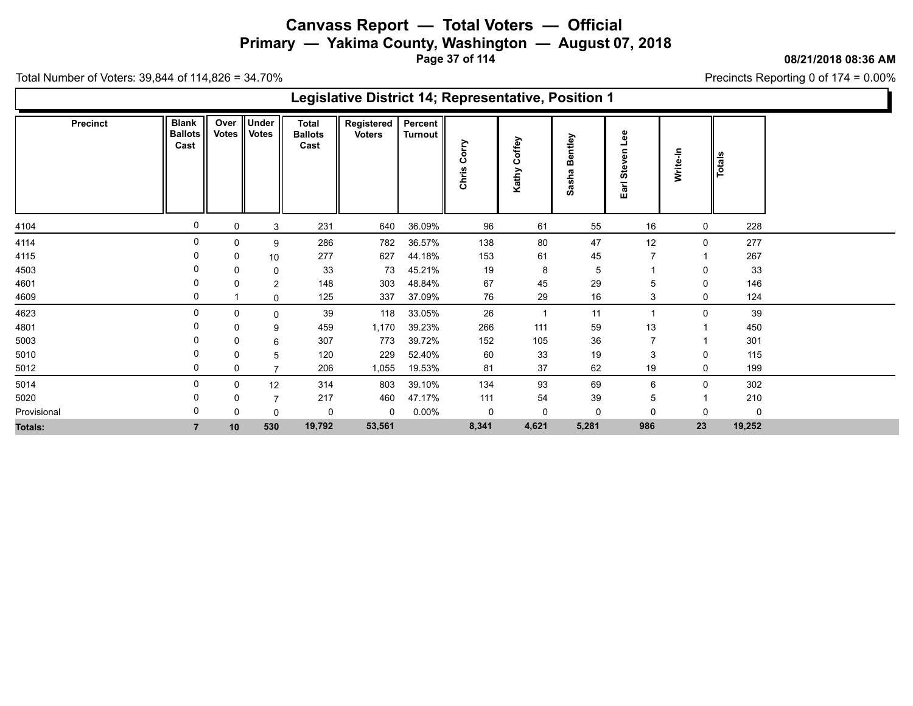**Primary — Yakima County, Washington — August 07, 2018**

**Page 37 of 114**

**08/21/2018 08:36 AM**

Precincts Reporting 0 of 174 = 0.00%

|                 |                                        |             |                        |                                        | Legislative District 14; Representative, Position 1 |                    |                    |                               |                      |                              |          |        |  |
|-----------------|----------------------------------------|-------------|------------------------|----------------------------------------|-----------------------------------------------------|--------------------|--------------------|-------------------------------|----------------------|------------------------------|----------|--------|--|
| <b>Precinct</b> | <b>Blank</b><br><b>Ballots</b><br>Cast | Over        | Under<br>Votes   Votes | <b>Total</b><br><b>Ballots</b><br>Cast | Registered<br><b>Voters</b>                         | Percent<br>Turnout | ΟLLO<br>ပ<br>Chris | offey<br>$\mathbf c$<br>Kathy | entley<br>m<br>Sasha | Lee<br>5<br>><br>Ste<br>Earl | Write-In | Totals |  |
| 4104            | 0                                      | 0           | 3                      | 231                                    | 640                                                 | 36.09%             | 96                 | 61                            | 55                   | 16                           | 0        | 228    |  |
| 4114            | 0                                      | 0           | 9                      | 286                                    | 782                                                 | 36.57%             | 138                | 80                            | 47                   | 12                           | 0        | 277    |  |
| 4115            |                                        | 0           | 10                     | 277                                    | 627                                                 | 44.18%             | 153                | 61                            | 45                   |                              |          | 267    |  |
| 4503            |                                        | 0           | 0                      | 33                                     | 73                                                  | 45.21%             | 19                 | 8                             | 5                    |                              |          | 33     |  |
| 4601            | 0                                      | 0           | 2                      | 148                                    | 303                                                 | 48.84%             | 67                 | 45                            | 29                   | 5                            | 0        | 146    |  |
| 4609            | 0                                      |             | 0                      | 125                                    | 337                                                 | 37.09%             | 76                 | 29                            | 16                   | 3                            | 0        | 124    |  |
| 4623            | 0                                      | 0           | 0                      | 39                                     | 118                                                 | 33.05%             | 26                 | $\overline{1}$                | 11                   |                              | $\Omega$ | 39     |  |
| 4801            |                                        | 0           | 9                      | 459                                    | 1,170                                               | 39.23%             | 266                | 111                           | 59                   | 13                           |          | 450    |  |
| 5003            |                                        | 0           | 6                      | 307                                    | 773                                                 | 39.72%             | 152                | 105                           | 36                   | $\overline{7}$               |          | 301    |  |
| 5010            | 0                                      | 0           | 5                      | 120                                    | 229                                                 | 52.40%             | 60                 | 33                            | 19                   | 3                            | 0        | 115    |  |
| 5012            | 0                                      | 0           |                        | 206                                    | 1,055                                               | 19.53%             | 81                 | 37                            | 62                   | 19                           | 0        | 199    |  |
| 5014            | 0                                      | 0           | 12                     | 314                                    | 803                                                 | 39.10%             | 134                | 93                            | 69                   | 6                            | 0        | 302    |  |
| 5020            |                                        | $\mathbf 0$ |                        | 217                                    | 460                                                 | 47.17%             | 111                | 54                            | 39                   | 5                            |          | 210    |  |
| Provisional     |                                        | 0           | 0                      | 0                                      | 0                                                   | $0.00\%$           | 0                  | 0                             | 0                    | 0                            | 0        | 0      |  |
| Totals:         |                                        | 10          | 530                    | 19,792                                 | 53,561                                              |                    | 8,341              | 4,621                         | 5,281                | 986                          | 23       | 19,252 |  |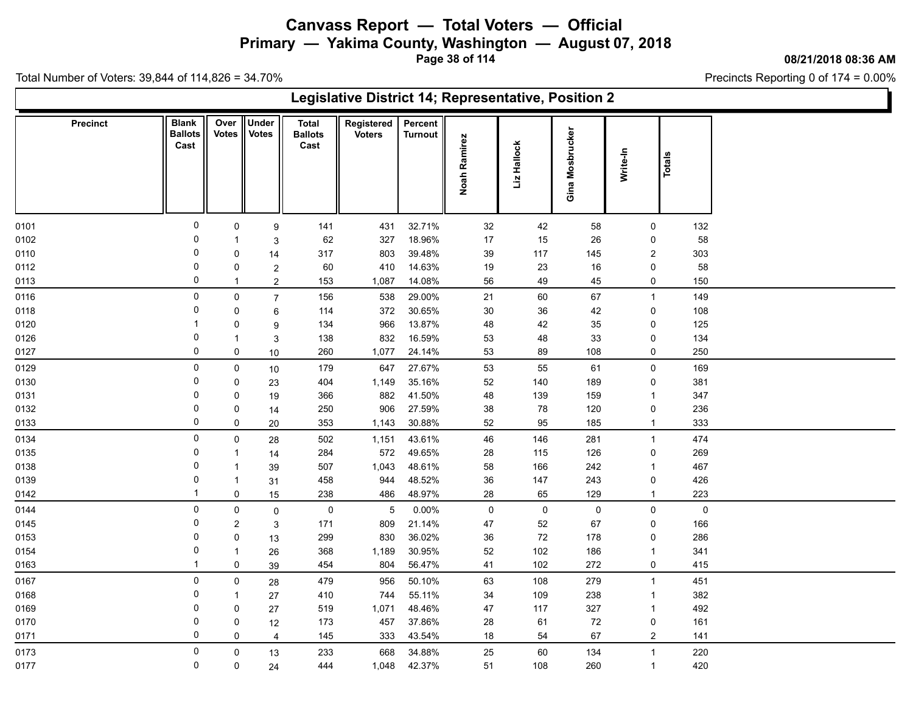**Primary — Yakima County, Washington — August 07, 2018**

**Page 38 of 114**

**08/21/2018 08:36 AM**

Precincts Reporting 0 of 174 = 0.00%

|                 | Legislative District 14; Representative, Position 2<br><b>Under</b><br><b>Blank</b><br>Over   <br>Registered<br>Percent<br><b>Total</b><br>Gina Mosbrucker<br><b>Votes</b><br><b>Ballots</b><br>Votes  <br><b>Ballots</b><br><b>Voters</b><br><b>Turnout</b><br>Noah Ramirez<br>Liz Hallock<br>Cast<br>Cast<br>Write-In<br>Totals<br>0<br>32.71%<br>42<br>$\mathbf 0$<br>141<br>431<br>32<br>58<br>$\mathbf 0$<br>9<br>$\overline{0}$<br>18.96%<br>62<br>327<br>17<br>15<br>26<br>0<br>-1<br>3<br>0<br>39.48%<br>117<br>317<br>803<br>39<br>145<br>$\overline{2}$<br>0<br>14<br>0<br>410<br>14.63%<br>23<br>16<br>60<br>19<br>0<br>0<br>$\overline{c}$<br>$\mathbf 0$<br>1,087<br>14.08%<br>56<br>49<br>45<br>$\overline{2}$<br>153<br>0<br>$\mathbf 1$<br>$\pmb{0}$<br>538<br>29.00%<br>21<br>60<br>67<br>0<br>$\overline{7}$<br>156<br>$\overline{1}$<br>$\overline{0}$<br>372<br>30.65%<br>$30\,$<br>42<br>0<br>114<br>36<br>0<br>6<br>134<br>966<br>13.87%<br>48<br>42<br>35<br>0<br>0<br>9<br>0<br>832<br>16.59%<br>33<br>138<br>53<br>48<br>0<br>$\overline{1}$<br>3<br>$\mathbf 0$<br>260<br>1,077<br>24.14%<br>53<br>89<br>108<br>0<br>0<br>10<br>0<br>27.67%<br>$\mathbf 0$<br>647<br>61<br>$\mathbf 0$<br>179<br>53<br>55<br>10<br>35.16%<br>$\overline{0}$<br>404<br>1,149<br>52<br>140<br>189<br>$\mathbf 0$<br>0<br>23<br>41.50%<br>0<br>366<br>882<br>48<br>139<br>159<br>0<br>$\overline{1}$<br>19<br>0<br>906<br>27.59%<br>38<br>78<br>120<br>250<br>0<br>0<br>14<br>$\mathbf 0$<br>95<br>353<br>1,143<br>30.88%<br>52<br>185<br>$\mathbf{1}$<br>0<br>20<br>$\mathsf 0$<br>43.61%<br>46<br>146<br>0<br>502<br>1,151<br>281<br>$\overline{1}$<br>28<br>0<br>572<br>284<br>49.65%<br>28<br>115<br>126<br>0<br>14<br>-1<br>0<br>166<br>507<br>1,043<br>48.61%<br>58<br>242<br>$\overline{1}$<br>39<br>$\overline{1}$<br>0<br>458<br>944<br>48.52%<br>36<br>147<br>243<br>0<br>31<br>$\mathbf 1$<br>$\mathbf{1}$<br>238<br>48.97%<br>28<br>65<br>0<br>$15\,$<br>486<br>129<br>$\mathbf{1}$ |                |                |     |       |        |    |              |             |                |     |  |  |  |
|-----------------|--------------------------------------------------------------------------------------------------------------------------------------------------------------------------------------------------------------------------------------------------------------------------------------------------------------------------------------------------------------------------------------------------------------------------------------------------------------------------------------------------------------------------------------------------------------------------------------------------------------------------------------------------------------------------------------------------------------------------------------------------------------------------------------------------------------------------------------------------------------------------------------------------------------------------------------------------------------------------------------------------------------------------------------------------------------------------------------------------------------------------------------------------------------------------------------------------------------------------------------------------------------------------------------------------------------------------------------------------------------------------------------------------------------------------------------------------------------------------------------------------------------------------------------------------------------------------------------------------------------------------------------------------------------------------------------------------------------------------------------------------------------------------------------------------------------------------------------------------------------------------------------------------------------------------------------------------------------------------------------------------------|----------------|----------------|-----|-------|--------|----|--------------|-------------|----------------|-----|--|--|--|
| <b>Precinct</b> |                                                                                                                                                                                                                                                                                                                                                                                                                                                                                                                                                                                                                                                                                                                                                                                                                                                                                                                                                                                                                                                                                                                                                                                                                                                                                                                                                                                                                                                                                                                                                                                                                                                                                                                                                                                                                                                                                                                                                                                                        |                |                |     |       |        |    |              |             |                |     |  |  |  |
| 0101            |                                                                                                                                                                                                                                                                                                                                                                                                                                                                                                                                                                                                                                                                                                                                                                                                                                                                                                                                                                                                                                                                                                                                                                                                                                                                                                                                                                                                                                                                                                                                                                                                                                                                                                                                                                                                                                                                                                                                                                                                        |                |                |     |       |        |    |              |             |                | 132 |  |  |  |
| 0102            |                                                                                                                                                                                                                                                                                                                                                                                                                                                                                                                                                                                                                                                                                                                                                                                                                                                                                                                                                                                                                                                                                                                                                                                                                                                                                                                                                                                                                                                                                                                                                                                                                                                                                                                                                                                                                                                                                                                                                                                                        |                |                |     |       |        |    |              |             |                | 58  |  |  |  |
| 0110            |                                                                                                                                                                                                                                                                                                                                                                                                                                                                                                                                                                                                                                                                                                                                                                                                                                                                                                                                                                                                                                                                                                                                                                                                                                                                                                                                                                                                                                                                                                                                                                                                                                                                                                                                                                                                                                                                                                                                                                                                        |                |                |     |       |        |    |              |             |                | 303 |  |  |  |
| 0112            |                                                                                                                                                                                                                                                                                                                                                                                                                                                                                                                                                                                                                                                                                                                                                                                                                                                                                                                                                                                                                                                                                                                                                                                                                                                                                                                                                                                                                                                                                                                                                                                                                                                                                                                                                                                                                                                                                                                                                                                                        |                |                |     |       |        |    |              |             |                | 58  |  |  |  |
| 0113            |                                                                                                                                                                                                                                                                                                                                                                                                                                                                                                                                                                                                                                                                                                                                                                                                                                                                                                                                                                                                                                                                                                                                                                                                                                                                                                                                                                                                                                                                                                                                                                                                                                                                                                                                                                                                                                                                                                                                                                                                        |                |                |     |       |        |    |              |             |                | 150 |  |  |  |
| 0116            |                                                                                                                                                                                                                                                                                                                                                                                                                                                                                                                                                                                                                                                                                                                                                                                                                                                                                                                                                                                                                                                                                                                                                                                                                                                                                                                                                                                                                                                                                                                                                                                                                                                                                                                                                                                                                                                                                                                                                                                                        |                |                |     |       |        |    |              |             |                | 149 |  |  |  |
| 0118            |                                                                                                                                                                                                                                                                                                                                                                                                                                                                                                                                                                                                                                                                                                                                                                                                                                                                                                                                                                                                                                                                                                                                                                                                                                                                                                                                                                                                                                                                                                                                                                                                                                                                                                                                                                                                                                                                                                                                                                                                        |                |                |     |       |        |    |              |             |                | 108 |  |  |  |
| 0120            |                                                                                                                                                                                                                                                                                                                                                                                                                                                                                                                                                                                                                                                                                                                                                                                                                                                                                                                                                                                                                                                                                                                                                                                                                                                                                                                                                                                                                                                                                                                                                                                                                                                                                                                                                                                                                                                                                                                                                                                                        |                |                |     |       |        |    |              |             |                | 125 |  |  |  |
| 0126            |                                                                                                                                                                                                                                                                                                                                                                                                                                                                                                                                                                                                                                                                                                                                                                                                                                                                                                                                                                                                                                                                                                                                                                                                                                                                                                                                                                                                                                                                                                                                                                                                                                                                                                                                                                                                                                                                                                                                                                                                        |                |                |     |       |        |    |              |             |                | 134 |  |  |  |
| 0127            |                                                                                                                                                                                                                                                                                                                                                                                                                                                                                                                                                                                                                                                                                                                                                                                                                                                                                                                                                                                                                                                                                                                                                                                                                                                                                                                                                                                                                                                                                                                                                                                                                                                                                                                                                                                                                                                                                                                                                                                                        |                |                |     |       |        |    |              |             |                | 250 |  |  |  |
| 0129            |                                                                                                                                                                                                                                                                                                                                                                                                                                                                                                                                                                                                                                                                                                                                                                                                                                                                                                                                                                                                                                                                                                                                                                                                                                                                                                                                                                                                                                                                                                                                                                                                                                                                                                                                                                                                                                                                                                                                                                                                        |                |                |     |       |        |    |              |             |                | 169 |  |  |  |
| 0130            |                                                                                                                                                                                                                                                                                                                                                                                                                                                                                                                                                                                                                                                                                                                                                                                                                                                                                                                                                                                                                                                                                                                                                                                                                                                                                                                                                                                                                                                                                                                                                                                                                                                                                                                                                                                                                                                                                                                                                                                                        |                |                |     |       |        |    |              |             |                | 381 |  |  |  |
| 0131            |                                                                                                                                                                                                                                                                                                                                                                                                                                                                                                                                                                                                                                                                                                                                                                                                                                                                                                                                                                                                                                                                                                                                                                                                                                                                                                                                                                                                                                                                                                                                                                                                                                                                                                                                                                                                                                                                                                                                                                                                        |                |                |     |       |        |    |              |             |                | 347 |  |  |  |
| 0132            |                                                                                                                                                                                                                                                                                                                                                                                                                                                                                                                                                                                                                                                                                                                                                                                                                                                                                                                                                                                                                                                                                                                                                                                                                                                                                                                                                                                                                                                                                                                                                                                                                                                                                                                                                                                                                                                                                                                                                                                                        |                |                |     |       |        |    |              |             |                | 236 |  |  |  |
| 0133            |                                                                                                                                                                                                                                                                                                                                                                                                                                                                                                                                                                                                                                                                                                                                                                                                                                                                                                                                                                                                                                                                                                                                                                                                                                                                                                                                                                                                                                                                                                                                                                                                                                                                                                                                                                                                                                                                                                                                                                                                        |                |                |     |       |        |    |              |             |                | 333 |  |  |  |
| 0134            |                                                                                                                                                                                                                                                                                                                                                                                                                                                                                                                                                                                                                                                                                                                                                                                                                                                                                                                                                                                                                                                                                                                                                                                                                                                                                                                                                                                                                                                                                                                                                                                                                                                                                                                                                                                                                                                                                                                                                                                                        |                |                |     |       |        |    |              |             |                | 474 |  |  |  |
| 0135            |                                                                                                                                                                                                                                                                                                                                                                                                                                                                                                                                                                                                                                                                                                                                                                                                                                                                                                                                                                                                                                                                                                                                                                                                                                                                                                                                                                                                                                                                                                                                                                                                                                                                                                                                                                                                                                                                                                                                                                                                        |                |                |     |       |        |    |              |             |                | 269 |  |  |  |
| 0138            |                                                                                                                                                                                                                                                                                                                                                                                                                                                                                                                                                                                                                                                                                                                                                                                                                                                                                                                                                                                                                                                                                                                                                                                                                                                                                                                                                                                                                                                                                                                                                                                                                                                                                                                                                                                                                                                                                                                                                                                                        |                |                |     |       |        |    |              |             |                | 467 |  |  |  |
| 0139            |                                                                                                                                                                                                                                                                                                                                                                                                                                                                                                                                                                                                                                                                                                                                                                                                                                                                                                                                                                                                                                                                                                                                                                                                                                                                                                                                                                                                                                                                                                                                                                                                                                                                                                                                                                                                                                                                                                                                                                                                        |                |                |     |       |        |    |              |             |                | 426 |  |  |  |
| 0142            |                                                                                                                                                                                                                                                                                                                                                                                                                                                                                                                                                                                                                                                                                                                                                                                                                                                                                                                                                                                                                                                                                                                                                                                                                                                                                                                                                                                                                                                                                                                                                                                                                                                                                                                                                                                                                                                                                                                                                                                                        |                |                |     |       |        |    |              |             |                | 223 |  |  |  |
| 0144            | $\mathbf 0$                                                                                                                                                                                                                                                                                                                                                                                                                                                                                                                                                                                                                                                                                                                                                                                                                                                                                                                                                                                                                                                                                                                                                                                                                                                                                                                                                                                                                                                                                                                                                                                                                                                                                                                                                                                                                                                                                                                                                                                            | 0              | $\mathbf 0$    | 0   | 5     | 0.00%  | 0  | $\mathsf{O}$ | $\mathbf 0$ | 0              | 0   |  |  |  |
| 0145            | 0                                                                                                                                                                                                                                                                                                                                                                                                                                                                                                                                                                                                                                                                                                                                                                                                                                                                                                                                                                                                                                                                                                                                                                                                                                                                                                                                                                                                                                                                                                                                                                                                                                                                                                                                                                                                                                                                                                                                                                                                      | $\overline{2}$ | 3              | 171 | 809   | 21.14% | 47 | 52           | 67          | 0              | 166 |  |  |  |
| 0153            | 0                                                                                                                                                                                                                                                                                                                                                                                                                                                                                                                                                                                                                                                                                                                                                                                                                                                                                                                                                                                                                                                                                                                                                                                                                                                                                                                                                                                                                                                                                                                                                                                                                                                                                                                                                                                                                                                                                                                                                                                                      | 0              | 13             | 299 | 830   | 36.02% | 36 | 72           | 178         | 0              | 286 |  |  |  |
| 0154            | 0                                                                                                                                                                                                                                                                                                                                                                                                                                                                                                                                                                                                                                                                                                                                                                                                                                                                                                                                                                                                                                                                                                                                                                                                                                                                                                                                                                                                                                                                                                                                                                                                                                                                                                                                                                                                                                                                                                                                                                                                      | $\mathbf 1$    | 26             | 368 | 1,189 | 30.95% | 52 | 102          | 186         | $\overline{1}$ | 341 |  |  |  |
| 0163            | $\overline{1}$                                                                                                                                                                                                                                                                                                                                                                                                                                                                                                                                                                                                                                                                                                                                                                                                                                                                                                                                                                                                                                                                                                                                                                                                                                                                                                                                                                                                                                                                                                                                                                                                                                                                                                                                                                                                                                                                                                                                                                                         | $\mathbf 0$    | 39             | 454 | 804   | 56.47% | 41 | 102          | 272         | $\mathbf 0$    | 415 |  |  |  |
| 0167            | $\mathbf 0$                                                                                                                                                                                                                                                                                                                                                                                                                                                                                                                                                                                                                                                                                                                                                                                                                                                                                                                                                                                                                                                                                                                                                                                                                                                                                                                                                                                                                                                                                                                                                                                                                                                                                                                                                                                                                                                                                                                                                                                            | $\pmb{0}$      | 28             | 479 | 956   | 50.10% | 63 | 108          | 279         | $\mathbf{1}$   | 451 |  |  |  |
| 0168            | 0                                                                                                                                                                                                                                                                                                                                                                                                                                                                                                                                                                                                                                                                                                                                                                                                                                                                                                                                                                                                                                                                                                                                                                                                                                                                                                                                                                                                                                                                                                                                                                                                                                                                                                                                                                                                                                                                                                                                                                                                      | $\mathbf 1$    | 27             | 410 | 744   | 55.11% | 34 | 109          | 238         | $\overline{1}$ | 382 |  |  |  |
| 0169            | 0                                                                                                                                                                                                                                                                                                                                                                                                                                                                                                                                                                                                                                                                                                                                                                                                                                                                                                                                                                                                                                                                                                                                                                                                                                                                                                                                                                                                                                                                                                                                                                                                                                                                                                                                                                                                                                                                                                                                                                                                      | 0              | 27             | 519 | 1,071 | 48.46% | 47 | 117          | 327         | $\mathbf{1}$   | 492 |  |  |  |
| 0170            | 0                                                                                                                                                                                                                                                                                                                                                                                                                                                                                                                                                                                                                                                                                                                                                                                                                                                                                                                                                                                                                                                                                                                                                                                                                                                                                                                                                                                                                                                                                                                                                                                                                                                                                                                                                                                                                                                                                                                                                                                                      | 0              | 12             | 173 | 457   | 37.86% | 28 | 61           | 72          | $\mathbf 0$    | 161 |  |  |  |
| 0171            | 0                                                                                                                                                                                                                                                                                                                                                                                                                                                                                                                                                                                                                                                                                                                                                                                                                                                                                                                                                                                                                                                                                                                                                                                                                                                                                                                                                                                                                                                                                                                                                                                                                                                                                                                                                                                                                                                                                                                                                                                                      | 0              | $\overline{4}$ | 145 | 333   | 43.54% | 18 | 54           | 67          | $\overline{2}$ | 141 |  |  |  |
| 0173            | $\mathbf 0$                                                                                                                                                                                                                                                                                                                                                                                                                                                                                                                                                                                                                                                                                                                                                                                                                                                                                                                                                                                                                                                                                                                                                                                                                                                                                                                                                                                                                                                                                                                                                                                                                                                                                                                                                                                                                                                                                                                                                                                            | $\mathsf 0$    | 13             | 233 | 668   | 34.88% | 25 | 60           | 134         | $\overline{1}$ | 220 |  |  |  |
| 0177            | 0                                                                                                                                                                                                                                                                                                                                                                                                                                                                                                                                                                                                                                                                                                                                                                                                                                                                                                                                                                                                                                                                                                                                                                                                                                                                                                                                                                                                                                                                                                                                                                                                                                                                                                                                                                                                                                                                                                                                                                                                      | 0              | 24             | 444 | 1,048 | 42.37% | 51 | 108          | 260         | $\overline{1}$ | 420 |  |  |  |
|                 |                                                                                                                                                                                                                                                                                                                                                                                                                                                                                                                                                                                                                                                                                                                                                                                                                                                                                                                                                                                                                                                                                                                                                                                                                                                                                                                                                                                                                                                                                                                                                                                                                                                                                                                                                                                                                                                                                                                                                                                                        |                |                |     |       |        |    |              |             |                |     |  |  |  |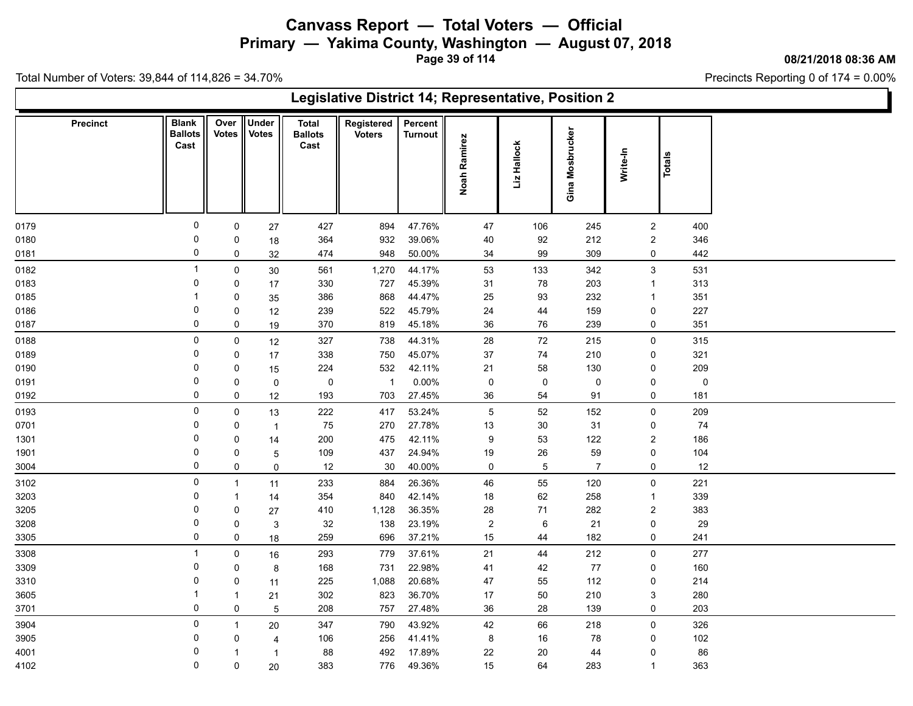**Primary — Yakima County, Washington — August 07, 2018**

**Page 39 of 114**

**08/21/2018 08:36 AM**

Precincts Reporting 0 of 174 = 0.00%

|              | Legislative District 14; Representative, Position 2<br>Under<br><b>Blank</b><br>Over<br>Registered<br>Percent<br><b>Precinct</b><br><b>Total</b><br>Gina Mosbrucker<br>Votes<br><b>Votes</b><br><b>Ballots</b><br><b>Ballots</b><br><b>Voters</b><br><b>Turnout</b><br><b>Noah Ramirez</b><br>Liz Hallock<br>Cast<br>Cast<br>Write-In<br><b>Totals</b><br>0<br>47.76%<br>$\pmb{0}$<br>427<br>894<br>47<br>106<br>245<br>$\overline{2}$<br>400<br>27<br>0<br>932<br>39.06%<br>40<br>92<br>212<br>364<br>$\overline{2}$<br>346<br>0<br>$18\,$<br>0<br>948<br>50.00%<br>34<br>99<br>309<br>442<br>474<br>0<br>0<br>32<br>$\overline{1}$<br>44.17%<br>53<br>133<br>$\mathbf{3}$<br>531<br>$\mathbf 0$<br>561<br>1,270<br>342<br>$30\,$<br>0<br>727<br>45.39%<br>31<br>78<br>313<br>330<br>203<br>$\overline{1}$<br>0<br>17<br>868<br>44.47%<br>$\mathbf 1$<br>386<br>25<br>93<br>232<br>351<br>0<br>$\overline{1}$<br>35<br>0<br>522<br>45.79%<br>24<br>227<br>0<br>239<br>44<br>159<br>0<br>12<br>0<br>45.18%<br>$36\,$<br>76<br>351<br>370<br>819<br>239<br>0<br>0<br>19<br>0<br>44.31%<br>28<br>72<br>315<br>$\mathbf 0$<br>327<br>738<br>215<br>$\mathsf{O}$<br>12<br>0<br>338<br>750<br>45.07%<br>37<br>74<br>210<br>321<br>0<br>0<br>17<br>532<br>42.11%<br>21<br>209<br>0<br>224<br>58<br>130<br>0<br>0<br>15<br>0<br>$\pmb{0}$<br>$\overline{1}$<br>$0.00\%$<br>$\pmb{0}$<br>$\mathsf{O}$<br>$\pmb{0}$<br>$\pmb{0}$<br>0<br>0<br>$\mathsf 0$<br>0<br>703<br>27.45%<br>36<br>91<br>181<br>193<br>54<br>0<br>0<br>12<br>0<br>209<br>$\pmb{0}$<br>222<br>417<br>53.24%<br>$\mathbf 5$<br>52<br>152<br>$\mathbf 0$<br>13<br>27.78%<br>0<br>75<br>270<br>13<br>$30\,$<br>31<br>$74\,$<br>0<br>0<br>$\overline{1}$<br>$\Omega$<br>200<br>475<br>42.11%<br>53<br>122<br>$\overline{2}$<br>186<br>9<br>0<br>14<br>437<br>24.94%<br>$26\,$<br>0<br>109<br>59<br>104<br>0<br>19<br>0<br>5<br>0<br>40.00%<br>5<br>0<br>12<br>$30\,$<br>$\mathsf 0$<br>$\overline{7}$<br>12<br>0<br>$\mathbf 0$<br>$\mathbf 0$<br>55<br>233<br>884<br>26.36%<br>46<br>120<br>$\mathbf 0$<br>221<br>$\mathbf{1}$<br>11<br>0<br>840<br>42.14%<br>62<br>258<br>339<br>354<br>18<br>$\overline{1}$<br>-1<br>14<br>0<br>36.35%<br>71<br>$\overline{2}$<br>410<br>1,128<br>28<br>282<br>383<br>0<br>27<br>$\mathbf 0$<br>$\sqrt{2}$<br>$21\,$<br>32<br>138<br>23.19%<br>6<br>29<br>0<br>0<br>3<br>$\Omega$<br>696<br>37.21%<br>15<br>182<br>259<br>44<br>241<br>0<br>18<br>0 |              |        |     |       |        |         |    |     |                |     |  |  |  |
|--------------|------------------------------------------------------------------------------------------------------------------------------------------------------------------------------------------------------------------------------------------------------------------------------------------------------------------------------------------------------------------------------------------------------------------------------------------------------------------------------------------------------------------------------------------------------------------------------------------------------------------------------------------------------------------------------------------------------------------------------------------------------------------------------------------------------------------------------------------------------------------------------------------------------------------------------------------------------------------------------------------------------------------------------------------------------------------------------------------------------------------------------------------------------------------------------------------------------------------------------------------------------------------------------------------------------------------------------------------------------------------------------------------------------------------------------------------------------------------------------------------------------------------------------------------------------------------------------------------------------------------------------------------------------------------------------------------------------------------------------------------------------------------------------------------------------------------------------------------------------------------------------------------------------------------------------------------------------------------------------------------------------------------------------------------------------------------------------------------------------------------------------------------------------------------------------------------------------------------------------------------------------------------------------------------------------------------------------------------------------------------------------------------------------------------------------------------------|--------------|--------|-----|-------|--------|---------|----|-----|----------------|-----|--|--|--|
|              |                                                                                                                                                                                                                                                                                                                                                                                                                                                                                                                                                                                                                                                                                                                                                                                                                                                                                                                                                                                                                                                                                                                                                                                                                                                                                                                                                                                                                                                                                                                                                                                                                                                                                                                                                                                                                                                                                                                                                                                                                                                                                                                                                                                                                                                                                                                                                                                                                                                |              |        |     |       |        |         |    |     |                |     |  |  |  |
| 0179         |                                                                                                                                                                                                                                                                                                                                                                                                                                                                                                                                                                                                                                                                                                                                                                                                                                                                                                                                                                                                                                                                                                                                                                                                                                                                                                                                                                                                                                                                                                                                                                                                                                                                                                                                                                                                                                                                                                                                                                                                                                                                                                                                                                                                                                                                                                                                                                                                                                                |              |        |     |       |        |         |    |     |                |     |  |  |  |
| 0180         |                                                                                                                                                                                                                                                                                                                                                                                                                                                                                                                                                                                                                                                                                                                                                                                                                                                                                                                                                                                                                                                                                                                                                                                                                                                                                                                                                                                                                                                                                                                                                                                                                                                                                                                                                                                                                                                                                                                                                                                                                                                                                                                                                                                                                                                                                                                                                                                                                                                |              |        |     |       |        |         |    |     |                |     |  |  |  |
| 0181         |                                                                                                                                                                                                                                                                                                                                                                                                                                                                                                                                                                                                                                                                                                                                                                                                                                                                                                                                                                                                                                                                                                                                                                                                                                                                                                                                                                                                                                                                                                                                                                                                                                                                                                                                                                                                                                                                                                                                                                                                                                                                                                                                                                                                                                                                                                                                                                                                                                                |              |        |     |       |        |         |    |     |                |     |  |  |  |
| 0182         |                                                                                                                                                                                                                                                                                                                                                                                                                                                                                                                                                                                                                                                                                                                                                                                                                                                                                                                                                                                                                                                                                                                                                                                                                                                                                                                                                                                                                                                                                                                                                                                                                                                                                                                                                                                                                                                                                                                                                                                                                                                                                                                                                                                                                                                                                                                                                                                                                                                |              |        |     |       |        |         |    |     |                |     |  |  |  |
| 0183         |                                                                                                                                                                                                                                                                                                                                                                                                                                                                                                                                                                                                                                                                                                                                                                                                                                                                                                                                                                                                                                                                                                                                                                                                                                                                                                                                                                                                                                                                                                                                                                                                                                                                                                                                                                                                                                                                                                                                                                                                                                                                                                                                                                                                                                                                                                                                                                                                                                                |              |        |     |       |        |         |    |     |                |     |  |  |  |
| 0185         |                                                                                                                                                                                                                                                                                                                                                                                                                                                                                                                                                                                                                                                                                                                                                                                                                                                                                                                                                                                                                                                                                                                                                                                                                                                                                                                                                                                                                                                                                                                                                                                                                                                                                                                                                                                                                                                                                                                                                                                                                                                                                                                                                                                                                                                                                                                                                                                                                                                |              |        |     |       |        |         |    |     |                |     |  |  |  |
| 0186<br>0187 |                                                                                                                                                                                                                                                                                                                                                                                                                                                                                                                                                                                                                                                                                                                                                                                                                                                                                                                                                                                                                                                                                                                                                                                                                                                                                                                                                                                                                                                                                                                                                                                                                                                                                                                                                                                                                                                                                                                                                                                                                                                                                                                                                                                                                                                                                                                                                                                                                                                |              |        |     |       |        |         |    |     |                |     |  |  |  |
|              |                                                                                                                                                                                                                                                                                                                                                                                                                                                                                                                                                                                                                                                                                                                                                                                                                                                                                                                                                                                                                                                                                                                                                                                                                                                                                                                                                                                                                                                                                                                                                                                                                                                                                                                                                                                                                                                                                                                                                                                                                                                                                                                                                                                                                                                                                                                                                                                                                                                |              |        |     |       |        |         |    |     |                |     |  |  |  |
| 0188<br>0189 |                                                                                                                                                                                                                                                                                                                                                                                                                                                                                                                                                                                                                                                                                                                                                                                                                                                                                                                                                                                                                                                                                                                                                                                                                                                                                                                                                                                                                                                                                                                                                                                                                                                                                                                                                                                                                                                                                                                                                                                                                                                                                                                                                                                                                                                                                                                                                                                                                                                |              |        |     |       |        |         |    |     |                |     |  |  |  |
| 0190         |                                                                                                                                                                                                                                                                                                                                                                                                                                                                                                                                                                                                                                                                                                                                                                                                                                                                                                                                                                                                                                                                                                                                                                                                                                                                                                                                                                                                                                                                                                                                                                                                                                                                                                                                                                                                                                                                                                                                                                                                                                                                                                                                                                                                                                                                                                                                                                                                                                                |              |        |     |       |        |         |    |     |                |     |  |  |  |
| 0191         |                                                                                                                                                                                                                                                                                                                                                                                                                                                                                                                                                                                                                                                                                                                                                                                                                                                                                                                                                                                                                                                                                                                                                                                                                                                                                                                                                                                                                                                                                                                                                                                                                                                                                                                                                                                                                                                                                                                                                                                                                                                                                                                                                                                                                                                                                                                                                                                                                                                |              |        |     |       |        |         |    |     |                |     |  |  |  |
| 0192         |                                                                                                                                                                                                                                                                                                                                                                                                                                                                                                                                                                                                                                                                                                                                                                                                                                                                                                                                                                                                                                                                                                                                                                                                                                                                                                                                                                                                                                                                                                                                                                                                                                                                                                                                                                                                                                                                                                                                                                                                                                                                                                                                                                                                                                                                                                                                                                                                                                                |              |        |     |       |        |         |    |     |                |     |  |  |  |
| 0193         |                                                                                                                                                                                                                                                                                                                                                                                                                                                                                                                                                                                                                                                                                                                                                                                                                                                                                                                                                                                                                                                                                                                                                                                                                                                                                                                                                                                                                                                                                                                                                                                                                                                                                                                                                                                                                                                                                                                                                                                                                                                                                                                                                                                                                                                                                                                                                                                                                                                |              |        |     |       |        |         |    |     |                |     |  |  |  |
| 0701         |                                                                                                                                                                                                                                                                                                                                                                                                                                                                                                                                                                                                                                                                                                                                                                                                                                                                                                                                                                                                                                                                                                                                                                                                                                                                                                                                                                                                                                                                                                                                                                                                                                                                                                                                                                                                                                                                                                                                                                                                                                                                                                                                                                                                                                                                                                                                                                                                                                                |              |        |     |       |        |         |    |     |                |     |  |  |  |
| 1301         |                                                                                                                                                                                                                                                                                                                                                                                                                                                                                                                                                                                                                                                                                                                                                                                                                                                                                                                                                                                                                                                                                                                                                                                                                                                                                                                                                                                                                                                                                                                                                                                                                                                                                                                                                                                                                                                                                                                                                                                                                                                                                                                                                                                                                                                                                                                                                                                                                                                |              |        |     |       |        |         |    |     |                |     |  |  |  |
| 1901         |                                                                                                                                                                                                                                                                                                                                                                                                                                                                                                                                                                                                                                                                                                                                                                                                                                                                                                                                                                                                                                                                                                                                                                                                                                                                                                                                                                                                                                                                                                                                                                                                                                                                                                                                                                                                                                                                                                                                                                                                                                                                                                                                                                                                                                                                                                                                                                                                                                                |              |        |     |       |        |         |    |     |                |     |  |  |  |
| 3004         |                                                                                                                                                                                                                                                                                                                                                                                                                                                                                                                                                                                                                                                                                                                                                                                                                                                                                                                                                                                                                                                                                                                                                                                                                                                                                                                                                                                                                                                                                                                                                                                                                                                                                                                                                                                                                                                                                                                                                                                                                                                                                                                                                                                                                                                                                                                                                                                                                                                |              |        |     |       |        |         |    |     |                |     |  |  |  |
| 3102         |                                                                                                                                                                                                                                                                                                                                                                                                                                                                                                                                                                                                                                                                                                                                                                                                                                                                                                                                                                                                                                                                                                                                                                                                                                                                                                                                                                                                                                                                                                                                                                                                                                                                                                                                                                                                                                                                                                                                                                                                                                                                                                                                                                                                                                                                                                                                                                                                                                                |              |        |     |       |        |         |    |     |                |     |  |  |  |
| 3203         |                                                                                                                                                                                                                                                                                                                                                                                                                                                                                                                                                                                                                                                                                                                                                                                                                                                                                                                                                                                                                                                                                                                                                                                                                                                                                                                                                                                                                                                                                                                                                                                                                                                                                                                                                                                                                                                                                                                                                                                                                                                                                                                                                                                                                                                                                                                                                                                                                                                |              |        |     |       |        |         |    |     |                |     |  |  |  |
| 3205         |                                                                                                                                                                                                                                                                                                                                                                                                                                                                                                                                                                                                                                                                                                                                                                                                                                                                                                                                                                                                                                                                                                                                                                                                                                                                                                                                                                                                                                                                                                                                                                                                                                                                                                                                                                                                                                                                                                                                                                                                                                                                                                                                                                                                                                                                                                                                                                                                                                                |              |        |     |       |        |         |    |     |                |     |  |  |  |
| 3208         |                                                                                                                                                                                                                                                                                                                                                                                                                                                                                                                                                                                                                                                                                                                                                                                                                                                                                                                                                                                                                                                                                                                                                                                                                                                                                                                                                                                                                                                                                                                                                                                                                                                                                                                                                                                                                                                                                                                                                                                                                                                                                                                                                                                                                                                                                                                                                                                                                                                |              |        |     |       |        |         |    |     |                |     |  |  |  |
| 3305         |                                                                                                                                                                                                                                                                                                                                                                                                                                                                                                                                                                                                                                                                                                                                                                                                                                                                                                                                                                                                                                                                                                                                                                                                                                                                                                                                                                                                                                                                                                                                                                                                                                                                                                                                                                                                                                                                                                                                                                                                                                                                                                                                                                                                                                                                                                                                                                                                                                                |              |        |     |       |        |         |    |     |                |     |  |  |  |
| 3308         | -1                                                                                                                                                                                                                                                                                                                                                                                                                                                                                                                                                                                                                                                                                                                                                                                                                                                                                                                                                                                                                                                                                                                                                                                                                                                                                                                                                                                                                                                                                                                                                                                                                                                                                                                                                                                                                                                                                                                                                                                                                                                                                                                                                                                                                                                                                                                                                                                                                                             | 0            | $16\,$ | 293 | 779   | 37.61% | 21      | 44 | 212 | 0              | 277 |  |  |  |
| 3309         | 0                                                                                                                                                                                                                                                                                                                                                                                                                                                                                                                                                                                                                                                                                                                                                                                                                                                                                                                                                                                                                                                                                                                                                                                                                                                                                                                                                                                                                                                                                                                                                                                                                                                                                                                                                                                                                                                                                                                                                                                                                                                                                                                                                                                                                                                                                                                                                                                                                                              | 0            | 8      | 168 | 731   | 22.98% | 41      | 42 | 77  | 0              | 160 |  |  |  |
| 3310         | 0                                                                                                                                                                                                                                                                                                                                                                                                                                                                                                                                                                                                                                                                                                                                                                                                                                                                                                                                                                                                                                                                                                                                                                                                                                                                                                                                                                                                                                                                                                                                                                                                                                                                                                                                                                                                                                                                                                                                                                                                                                                                                                                                                                                                                                                                                                                                                                                                                                              | 0            | 11     | 225 | 1,088 | 20.68% | 47      | 55 | 112 | 0              | 214 |  |  |  |
| 3605         | -1                                                                                                                                                                                                                                                                                                                                                                                                                                                                                                                                                                                                                                                                                                                                                                                                                                                                                                                                                                                                                                                                                                                                                                                                                                                                                                                                                                                                                                                                                                                                                                                                                                                                                                                                                                                                                                                                                                                                                                                                                                                                                                                                                                                                                                                                                                                                                                                                                                             | $\mathbf{1}$ | 21     | 302 | 823   | 36.70% | 17      | 50 | 210 | 3              | 280 |  |  |  |
| 3701         | 0                                                                                                                                                                                                                                                                                                                                                                                                                                                                                                                                                                                                                                                                                                                                                                                                                                                                                                                                                                                                                                                                                                                                                                                                                                                                                                                                                                                                                                                                                                                                                                                                                                                                                                                                                                                                                                                                                                                                                                                                                                                                                                                                                                                                                                                                                                                                                                                                                                              | $\mathbf 0$  | 5      | 208 | 757   | 27.48% | $36\,$  | 28 | 139 | $\mathbf 0$    | 203 |  |  |  |
| 3904         | 0                                                                                                                                                                                                                                                                                                                                                                                                                                                                                                                                                                                                                                                                                                                                                                                                                                                                                                                                                                                                                                                                                                                                                                                                                                                                                                                                                                                                                                                                                                                                                                                                                                                                                                                                                                                                                                                                                                                                                                                                                                                                                                                                                                                                                                                                                                                                                                                                                                              | $\mathbf{1}$ | 20     | 347 | 790   | 43.92% | 42      | 66 | 218 | $\mathbf 0$    | 326 |  |  |  |
| 3905         | 0                                                                                                                                                                                                                                                                                                                                                                                                                                                                                                                                                                                                                                                                                                                                                                                                                                                                                                                                                                                                                                                                                                                                                                                                                                                                                                                                                                                                                                                                                                                                                                                                                                                                                                                                                                                                                                                                                                                                                                                                                                                                                                                                                                                                                                                                                                                                                                                                                                              | $\mathbf 0$  | 4      | 106 | 256   | 41.41% | $\bf 8$ | 16 | 78  | 0              | 102 |  |  |  |
| 4001         | 0                                                                                                                                                                                                                                                                                                                                                                                                                                                                                                                                                                                                                                                                                                                                                                                                                                                                                                                                                                                                                                                                                                                                                                                                                                                                                                                                                                                                                                                                                                                                                                                                                                                                                                                                                                                                                                                                                                                                                                                                                                                                                                                                                                                                                                                                                                                                                                                                                                              | -1           | -1     | 88  | 492   | 17.89% | 22      | 20 | 44  | 0              | 86  |  |  |  |
| 4102         | 0                                                                                                                                                                                                                                                                                                                                                                                                                                                                                                                                                                                                                                                                                                                                                                                                                                                                                                                                                                                                                                                                                                                                                                                                                                                                                                                                                                                                                                                                                                                                                                                                                                                                                                                                                                                                                                                                                                                                                                                                                                                                                                                                                                                                                                                                                                                                                                                                                                              | 0            | 20     | 383 | 776   | 49.36% | 15      | 64 | 283 | $\overline{1}$ | 363 |  |  |  |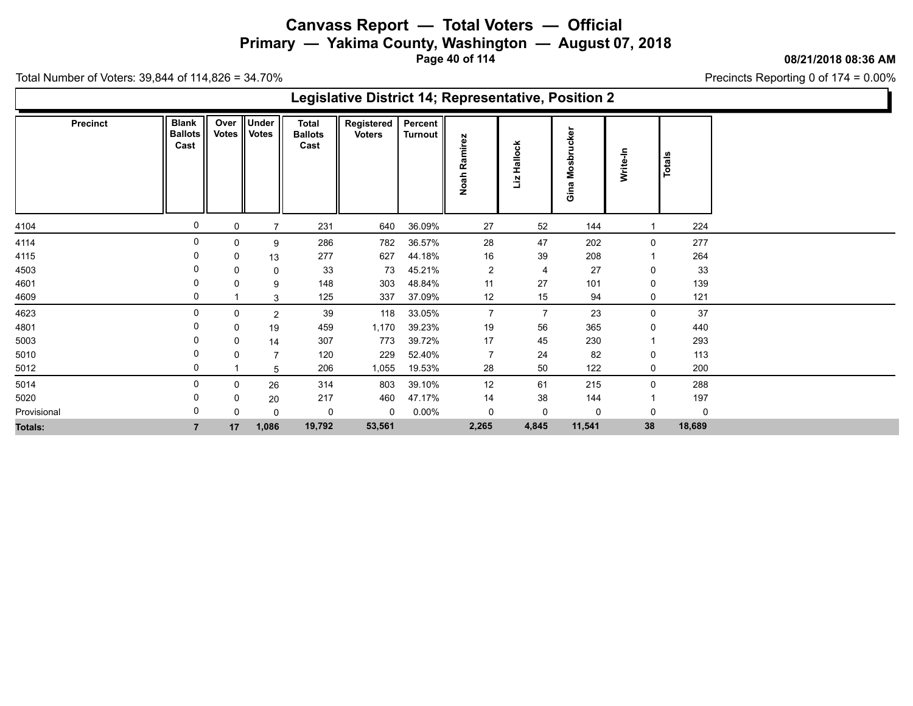**Primary — Yakima County, Washington — August 07, 2018**

**Page 40 of 114**

**08/21/2018 08:36 AM**

Ъ

Precincts Reporting 0 of 174 = 0.00%

Total Number of Voters: 39,844 of 114,826 = 34.70%

Г

|                 |                                        |               |                       |                                        | Legislative District 14; Representative, Position 2 |                           |                 |                     |                            |             |        |  |
|-----------------|----------------------------------------|---------------|-----------------------|----------------------------------------|-----------------------------------------------------|---------------------------|-----------------|---------------------|----------------------------|-------------|--------|--|
| <b>Precinct</b> | <b>Blank</b><br><b>Ballots</b><br>Cast | Over<br>Votes | Under<br><b>Votes</b> | <b>Total</b><br><b>Ballots</b><br>Cast | Registered<br><b>Voters</b>                         | Percent<br><b>Turnout</b> | Ramirez<br>Noah | lallock<br>I<br>Liz | sbrucker<br>۰<br>Σ<br>Gina | Write-In    | Totals |  |
| 4104            | 0                                      | 0             |                       | 231                                    | 640                                                 | 36.09%                    | 27              | 52                  | 144                        |             | 224    |  |
| 4114            | 0                                      | 0             | 9                     | 286                                    | 782                                                 | 36.57%                    | 28              | 47                  | 202                        | $\mathbf 0$ | 277    |  |
| 4115            |                                        | 0             | 13                    | 277                                    | 627                                                 | 44.18%                    | 16              | 39                  | 208                        |             | 264    |  |
| 4503            |                                        | 0             | 0                     | 33                                     | 73                                                  | 45.21%                    | $\overline{2}$  | $\overline{4}$      | 27                         | 0           | 33     |  |
| 4601            |                                        | 0             | 9                     | 148                                    | 303                                                 | 48.84%                    | 11              | 27                  | 101                        | 0           | 139    |  |
| 4609            |                                        |               | 3                     | 125                                    | 337                                                 | 37.09%                    | 12              | 15                  | 94                         | 0           | 121    |  |
| 4623            |                                        | 0             | $\overline{2}$        | 39                                     | 118                                                 | 33.05%                    | $\overline{7}$  | $\overline{7}$      | 23                         | 0           | $37\,$ |  |
| 4801            |                                        | 0             | 19                    | 459                                    | 1,170                                               | 39.23%                    | 19              | 56                  | 365                        | 0           | 440    |  |
| 5003            |                                        | 0             | 14                    | 307                                    | 773                                                 | 39.72%                    | 17              | 45                  | 230                        |             | 293    |  |
| 5010            |                                        | 0             | 7                     | 120                                    | 229                                                 | 52.40%                    | $\overline{7}$  | 24                  | 82                         | 0           | 113    |  |
| 5012            |                                        |               | 5                     | 206                                    | 1,055                                               | 19.53%                    | 28              | 50                  | 122                        | 0           | 200    |  |
| 5014            |                                        | 0             | 26                    | 314                                    | 803                                                 | 39.10%                    | 12              | 61                  | 215                        | $\mathbf 0$ | 288    |  |
| 5020            |                                        | 0             | 20                    | 217                                    | 460                                                 | 47.17%                    | 14              | 38                  | 144                        |             | 197    |  |
| Provisional     |                                        | 0             | $\Omega$              | 0                                      | 0                                                   | $0.00\%$                  | 0               | 0                   | 0                          | 0           | 0      |  |
| Totals:         |                                        | 17            | 1,086                 | 19,792                                 | 53,561                                              |                           | 2,265           | 4,845               | 11,541                     | 38          | 18,689 |  |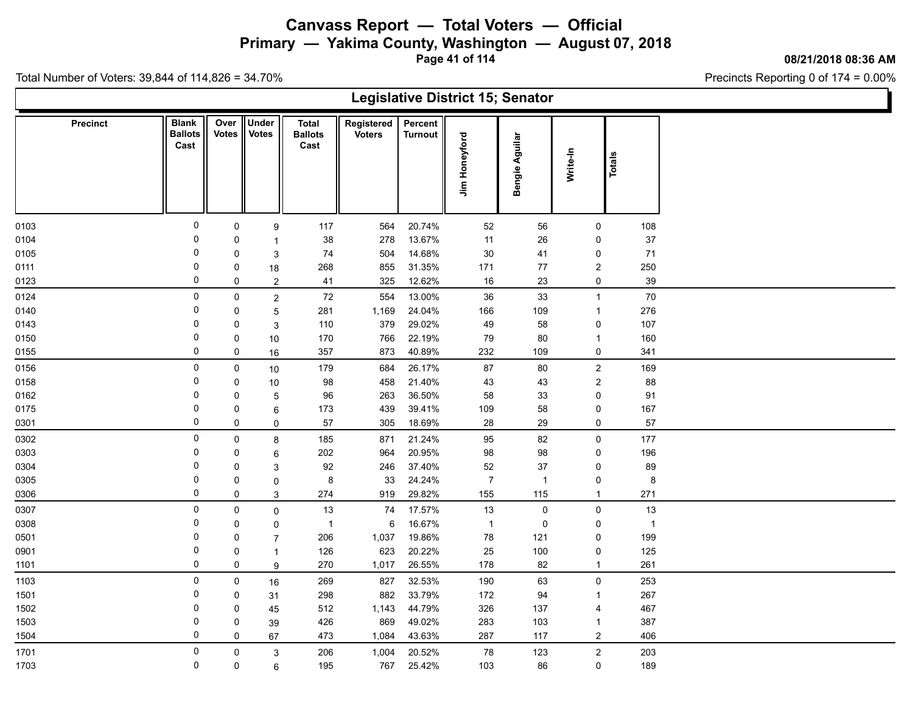**Primary — Yakima County, Washington — August 07, 2018**

**Page 41 of 114**

**08/21/2018 08:36 AM**

Precincts Reporting 0 of 174 = 0.00%

|          |                                        |                      |                              |                                        |                             |                           |                | <b>Legislative District 15; Senator</b> |                  |                |  |
|----------|----------------------------------------|----------------------|------------------------------|----------------------------------------|-----------------------------|---------------------------|----------------|-----------------------------------------|------------------|----------------|--|
| Precinct | <b>Blank</b><br><b>Ballots</b><br>Cast | Over<br><b>Votes</b> | <b>Under</b><br><b>Votes</b> | <b>Total</b><br><b>Ballots</b><br>Cast | Registered<br><b>Voters</b> | Percent<br><b>Turnout</b> | Jim Honeyford  | Bengie Aguilar                          | Write-In         | Totals         |  |
| 0103     | 0                                      | 0                    | 9                            | 117                                    | 564                         | 20.74%                    | 52             | 56                                      | 0                | 108            |  |
| 0104     | $\Omega$                               | 0                    | -1                           | 38                                     | 278                         | 13.67%                    | 11             | 26                                      | $\pmb{0}$        | 37             |  |
| 0105     | 0                                      | 0                    | 3                            | 74                                     | 504                         | 14.68%                    | $30\,$         | 41                                      | 0                | 71             |  |
| 0111     | $\Omega$                               | 0                    | 18                           | 268                                    | 855                         | 31.35%                    | 171            | $77\,$                                  | $\boldsymbol{2}$ | 250            |  |
| 0123     | $\mathbf 0$                            | $\mathbf 0$          | $\overline{2}$               | 41                                     | 325                         | 12.62%                    | $16\,$         | $23\,$                                  | $\pmb{0}$        | $39\,$         |  |
| 0124     | $\mathbf 0$                            | $\pmb{0}$            | $\sqrt{2}$                   | 72                                     | 554                         | 13.00%                    | 36             | 33                                      | $\mathbf{1}$     | $70\,$         |  |
| 0140     | 0                                      | 0                    | 5                            | 281                                    | 1,169                       | 24.04%                    | 166            | 109                                     | $\mathbf{1}$     | 276            |  |
| 0143     | 0                                      | 0                    | 3                            | 110                                    | 379                         | 29.02%                    | 49             | 58                                      | 0                | 107            |  |
| 0150     | $\Omega$                               | 0                    | 10                           | 170                                    | 766                         | 22.19%                    | 79             | 80                                      | $\mathbf{1}$     | 160            |  |
| 0155     | 0                                      | 0                    | 16                           | 357                                    | 873                         | 40.89%                    | 232            | 109                                     | $\pmb{0}$        | 341            |  |
| 0156     | $\mathbf 0$                            | $\mathbf 0$          | 10                           | 179                                    | 684                         | 26.17%                    | 87             | 80                                      | $\boldsymbol{2}$ | 169            |  |
| 0158     | 0                                      | 0                    | 10                           | 98                                     | 458                         | 21.40%                    | 43             | 43                                      | $\sqrt{2}$       | 88             |  |
| 0162     | $\Omega$                               | $\mathbf 0$          | 5                            | 96                                     | 263                         | 36.50%                    | 58             | 33                                      | $\pmb{0}$        | 91             |  |
| 0175     | 0                                      | 0                    | 6                            | 173                                    | 439                         | 39.41%                    | 109            | 58                                      | $\pmb{0}$        | 167            |  |
| 0301     | $\mathbf 0$                            | 0                    | $\mathbf 0$                  | 57                                     | 305                         | 18.69%                    | 28             | 29                                      | 0                | 57             |  |
| 0302     | 0                                      | $\mathbf 0$          | $\bf 8$                      | 185                                    | 871                         | 21.24%                    | 95             | 82                                      | $\pmb{0}$        | 177            |  |
| 0303     | $\Omega$                               | 0                    | 6                            | 202                                    | 964                         | 20.95%                    | 98             | 98                                      | $\pmb{0}$        | 196            |  |
| 0304     | 0                                      | 0                    | 3                            | 92                                     | 246                         | 37.40%                    | 52             | 37                                      | $\pmb{0}$        | 89             |  |
| 0305     | $\Omega$                               | 0                    | $\mathbf 0$                  | 8                                      | 33                          | 24.24%                    | $\overline{7}$ | $\overline{1}$                          | 0                | $\bf 8$        |  |
| 0306     | 0                                      | $\pmb{0}$            | $\ensuremath{\mathsf{3}}$    | 274                                    | 919                         | 29.82%                    | 155            | 115                                     | $\mathbf{1}$     | 271            |  |
| 0307     | $\mathbf 0$                            | $\pmb{0}$            | $\mathbf 0$                  | 13                                     | 74                          | 17.57%                    | 13             | $\pmb{0}$                               | $\pmb{0}$        | 13             |  |
| 0308     | 0                                      | 0                    | $\mathbf 0$                  | $\mathbf{1}$                           | 6                           | 16.67%                    | $\overline{1}$ | 0                                       | 0                | $\overline{1}$ |  |
| 0501     | $\Omega$                               | 0                    | $\overline{7}$               | 206                                    | 1,037                       | 19.86%                    | 78             | 121                                     | $\pmb{0}$        | 199            |  |
| 0901     | 0                                      | 0                    | $\mathbf{1}$                 | 126                                    | 623                         | 20.22%                    | 25             | 100                                     | 0                | 125            |  |
| 1101     | 0                                      | 0                    | 9                            | 270                                    | 1,017                       | 26.55%                    | 178            | 82                                      | $\mathbf{1}$     | 261            |  |
| 1103     | 0                                      | $\mathbf 0$          | $16\,$                       | 269                                    | 827                         | 32.53%                    | 190            | 63                                      | $\pmb{0}$        | 253            |  |
| 1501     | 0                                      | 0                    | 31                           | 298                                    | 882                         | 33.79%                    | 172            | 94                                      | $\mathbf{1}$     | 267            |  |
| 1502     | 0                                      | 0                    | 45                           | 512                                    | 1,143                       | 44.79%                    | 326            | 137                                     | $\overline{4}$   | 467            |  |
| 1503     | 0                                      | 0                    | 39                           | 426                                    | 869                         | 49.02%                    | 283            | 103                                     | $\mathbf{1}$     | 387            |  |
| 1504     | $\mathbf 0$                            | 0                    | 67                           | 473                                    | 1,084                       | 43.63%                    | 287            | 117                                     | $\overline{c}$   | 406            |  |
| 1701     | 0                                      | 0                    | $\ensuremath{\mathsf{3}}$    | 206                                    | 1,004                       | 20.52%                    | 78             | 123                                     | $\boldsymbol{2}$ | 203            |  |
| 1703     | $\mathbf 0$                            | $\mathsf 0$          | 6                            | 195                                    | 767                         | 25.42%                    | 103            | 86                                      | $\pmb{0}$        | 189            |  |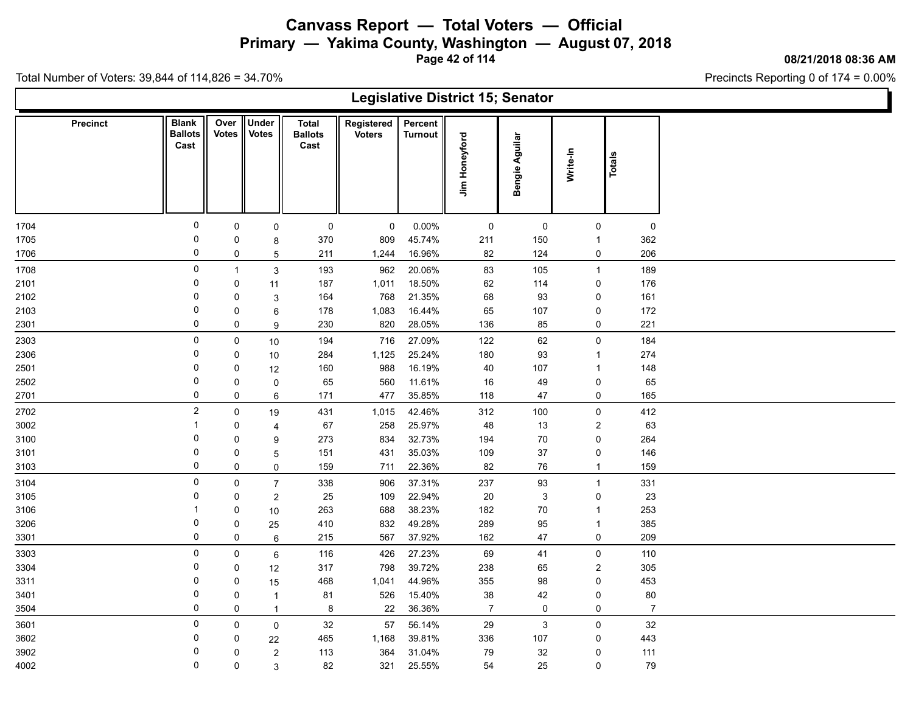**Primary — Yakima County, Washington — August 07, 2018**

**Page 42 of 114**

**08/21/2018 08:36 AM**

Precincts Reporting 0 of 174 = 0.00%

|                 |                                        |                      |                              |                                        |                             |                           |                | <b>Legislative District 15; Senator</b> |                             |                |  |
|-----------------|----------------------------------------|----------------------|------------------------------|----------------------------------------|-----------------------------|---------------------------|----------------|-----------------------------------------|-----------------------------|----------------|--|
| <b>Precinct</b> | <b>Blank</b><br><b>Ballots</b><br>Cast | Over<br><b>Votes</b> | <b>Under</b><br><b>Votes</b> | <b>Total</b><br><b>Ballots</b><br>Cast | Registered<br><b>Voters</b> | Percent<br><b>Turnout</b> | Jim Honeyford  | Bengie Aguilar                          | Write-In                    | Totals         |  |
| 1704            | 0                                      | 0                    | $\mathsf 0$                  | 0                                      | $\mathbf 0$                 | 0.00%                     | $\mathsf 0$    | 0                                       | 0                           | 0              |  |
| 1705            | 0                                      | 0                    | 8                            | 370                                    | 809                         | 45.74%                    | 211            | 150                                     | $\mathbf{1}$                | 362            |  |
| 1706            | 0                                      | 0                    | 5                            | 211                                    | 1,244                       | 16.96%                    | 82             | 124                                     | 0                           | 206            |  |
| 1708            | 0                                      | $\mathbf{1}$         | $\mathbf{3}$                 | 193                                    | 962                         | 20.06%                    | 83             | 105                                     | $\mathbf{1}$                | 189            |  |
| 2101            | 0                                      | 0                    | 11                           | 187                                    | 1,011                       | 18.50%                    | 62             | 114                                     | $\mathsf 0$                 | 176            |  |
| 2102            | 0                                      | 0                    | $\mathbf{3}$                 | 164                                    | 768                         | 21.35%                    | 68             | 93                                      | $\mathsf 0$                 | 161            |  |
| 2103            | 0                                      | 0                    | 6                            | 178                                    | 1,083                       | 16.44%                    | 65             | 107                                     | $\mathsf 0$                 | 172            |  |
| 2301            | 0                                      | 0                    | 9                            | 230                                    | 820                         | 28.05%                    | 136            | 85                                      | $\mathsf 0$                 | 221            |  |
| 2303            | 0                                      | 0                    | 10                           | 194                                    | 716                         | 27.09%                    | 122            | 62                                      | $\mathbf 0$                 | 184            |  |
| 2306            | 0                                      | 0                    | $10$                         | 284                                    | 1,125                       | 25.24%                    | 180            | 93                                      | $\mathbf{1}$                | 274            |  |
| 2501            | 0                                      | 0                    | 12                           | 160                                    | 988                         | 16.19%                    | 40             | 107                                     | $\mathbf{1}$                | 148            |  |
| 2502            | 0                                      | 0                    | $\pmb{0}$                    | 65                                     | 560                         | 11.61%                    | 16             | 49                                      | $\mathbf 0$                 | 65             |  |
| 2701            | 0                                      | 0                    | 6                            | 171                                    | 477                         | 35.85%                    | 118            | 47                                      | 0                           | 165            |  |
| 2702            | 2                                      | $\pmb{0}$            | 19                           | 431                                    | 1,015                       | 42.46%                    | 312            | 100                                     | $\mathbf 0$                 | 412            |  |
| 3002            | $\overline{\mathbf{1}}$                | 0                    | 4                            | 67                                     | 258                         | 25.97%                    | 48             | 13                                      | $\sqrt{2}$                  | 63             |  |
| 3100            | 0                                      | 0                    | 9                            | 273                                    | 834                         | 32.73%                    | 194            | 70                                      | $\pmb{0}$                   | 264            |  |
| 3101            | $\mathbf 0$<br>0                       | 0                    | 5                            | 151                                    | 431                         | 35.03%                    | 109            | 37                                      | $\pmb{0}$                   | 146            |  |
| 3103            |                                        | $\pmb{0}$            | $\mathsf{O}$                 | 159                                    | 711                         | 22.36%                    | 82             | 76                                      | $\mathbf{1}$                | 159            |  |
| 3104            | 0                                      | 0                    | $\overline{7}$               | 338                                    | 906                         | 37.31%                    | 237            | 93                                      | $\mathbf{1}$                | 331            |  |
| 3105            | 0<br>-1                                | 0                    | $\sqrt{2}$                   | 25                                     | 109                         | 22.94%                    | 20             | $\mathbf{3}$                            | 0                           | 23             |  |
| 3106            |                                        | 0                    | $10$                         | 263                                    | 688                         | 38.23%                    | 182            | 70                                      | $\mathbf{1}$                | 253            |  |
| 3206            | 0<br>0                                 | 0<br>0               | 25                           | 410                                    | 832<br>567                  | 49.28%<br>37.92%          | 289            | 95<br>47                                | $\mathbf{1}$<br>$\mathbf 0$ | 385<br>209     |  |
| 3301            |                                        |                      | 6                            | 215                                    |                             |                           | 162            |                                         |                             |                |  |
| 3303            | $\mathbf 0$                            | 0                    | 6                            | 116                                    | 426                         | 27.23%                    | 69             | 41                                      | 0                           | 110            |  |
| 3304            | 0<br>0                                 | 0                    | 12                           | 317                                    | 798                         | 39.72%                    | 238            | 65                                      | $\overline{2}$              | 305            |  |
| 3311<br>3401    | 0                                      | 0<br>$\mathsf 0$     | 15                           | 468<br>81                              | 1,041<br>526                | 44.96%<br>15.40%          | 355<br>$38\,$  | 98<br>42                                | 0<br>$\pmb{0}$              | 453<br>$80\,$  |  |
| 3504            | 0                                      | 0                    | $\mathbf{1}$<br>$\mathbf{1}$ | 8                                      | 22                          | 36.36%                    | $\overline{7}$ | 0                                       | $\mathsf 0$                 | $\overline{7}$ |  |
|                 | 0                                      |                      |                              |                                        |                             |                           |                |                                         |                             |                |  |
| 3601<br>3602    | 0                                      | 0                    | $\pmb{0}$                    | 32<br>465                              | 57<br>1,168                 | 56.14%<br>39.81%          | 29<br>336      | 3                                       | $\mathbf 0$                 | $32\,$<br>443  |  |
| 3902            | 0                                      | 0<br>0               | 22                           | 113                                    | 364                         | 31.04%                    | 79             | 107<br>32                               | 0<br>0                      | 111            |  |
| 4002            | 0                                      | 0                    | $\sqrt{2}$<br>3              | 82                                     | 321                         | 25.55%                    | 54             | 25                                      | $\mathsf{O}\xspace$         | $\bf 79$       |  |
|                 |                                        |                      |                              |                                        |                             |                           |                |                                         |                             |                |  |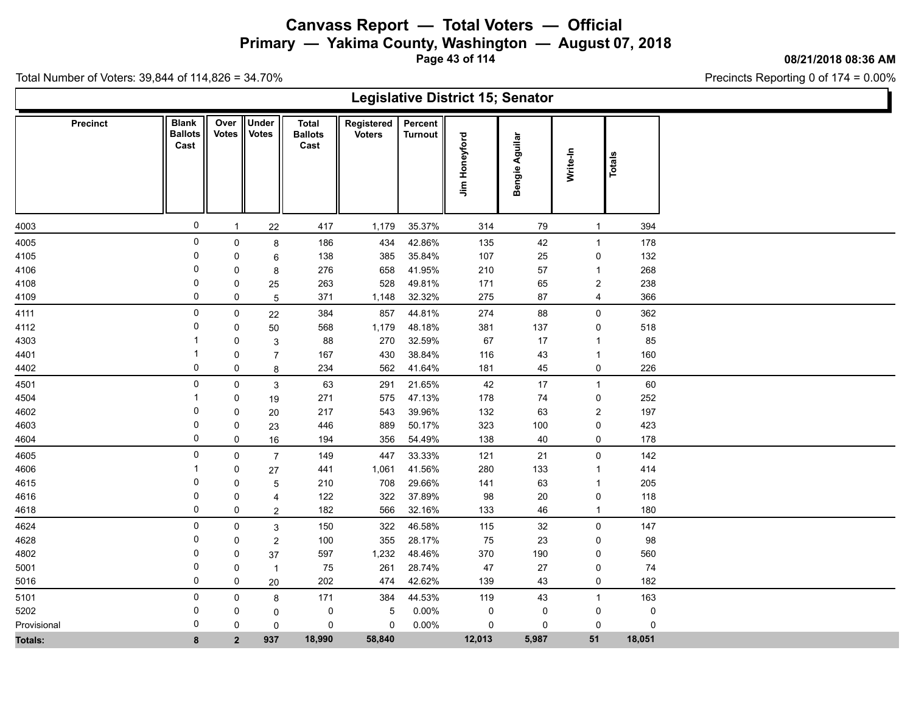**Primary — Yakima County, Washington — August 07, 2018**

**Page 43 of 114**

**08/21/2018 08:36 AM**

Precincts Reporting 0 of 174 = 0.00%

|                 |                                        |                      |                       |                                        |                             |                           | <b>Legislative District 15; Senator</b> |                |                  |               |  |
|-----------------|----------------------------------------|----------------------|-----------------------|----------------------------------------|-----------------------------|---------------------------|-----------------------------------------|----------------|------------------|---------------|--|
| <b>Precinct</b> | <b>Blank</b><br><b>Ballots</b><br>Cast | Over<br><b>Votes</b> | Under<br><b>Votes</b> | <b>Total</b><br><b>Ballots</b><br>Cast | Registered<br><b>Voters</b> | Percent<br><b>Turnout</b> | Jim Honeyford                           | Bengie Aguilar | Write-In         | <b>Totals</b> |  |
| 4003            | $\pmb{0}$                              | $\mathbf{1}$         | 22                    | 417                                    | 1,179                       | 35.37%                    | 314                                     | 79             | $\mathbf{1}$     | 394           |  |
| 4005            | $\pmb{0}$                              | $\mathsf 0$          | 8                     | 186                                    | 434                         | 42.86%                    | 135                                     | 42             | $\mathbf{1}$     | 178           |  |
| 4105            | 0                                      | 0                    | 6                     | 138                                    | 385                         | 35.84%                    | 107                                     | 25             | 0                | 132           |  |
| 4106            | $\mathbf 0$                            | 0                    | 8                     | 276                                    | 658                         | 41.95%                    | 210                                     | 57             | $\mathbf{1}$     | 268           |  |
| 4108            | 0                                      | 0                    | 25                    | 263                                    | 528                         | 49.81%                    | 171                                     | 65             | $\boldsymbol{2}$ | 238           |  |
| 4109            | 0                                      | 0                    | $\overline{5}$        | 371                                    | 1,148                       | 32.32%                    | 275                                     | $87\,$         | $\overline{4}$   | 366           |  |
| 4111            | 0                                      | 0                    | 22                    | 384                                    | 857                         | 44.81%                    | 274                                     | 88             | $\mathsf 0$      | 362           |  |
| 4112            | $\Omega$                               | 0                    | 50                    | 568                                    | 1,179                       | 48.18%                    | 381                                     | 137            | $\mathsf 0$      | 518           |  |
| 4303            |                                        | 0                    | 3                     | 88                                     | 270                         | 32.59%                    | 67                                      | $17$           | $\mathbf{1}$     | 85            |  |
| 4401            |                                        | 0                    | $\overline{7}$        | 167                                    | 430                         | 38.84%                    | 116                                     | 43             | $\mathbf{1}$     | 160           |  |
| 4402            | 0                                      | 0                    | 8                     | 234                                    | 562                         | 41.64%                    | 181                                     | 45             | $\mathsf 0$      | 226           |  |
| 4501            | 0                                      | 0                    | $\mathbf{3}$          | 63                                     | 291                         | 21.65%                    | 42                                      | 17             | $\mathbf{1}$     | 60            |  |
| 4504            |                                        | 0                    | $19$                  | 271                                    | 575                         | 47.13%                    | 178                                     | 74             | $\mathsf 0$      | 252           |  |
| 4602            | 0                                      | 0                    | 20                    | 217                                    | 543                         | 39.96%                    | 132                                     | 63             | $\boldsymbol{2}$ | 197           |  |
| 4603            | 0                                      | 0                    | 23                    | 446                                    | 889                         | 50.17%                    | 323                                     | 100            | $\pmb{0}$        | 423           |  |
| 4604            | 0                                      | $\mathbf 0$          | 16                    | 194                                    | 356                         | 54.49%                    | 138                                     | 40             | $\pmb{0}$        | 178           |  |
| 4605            | 0                                      | $\mathbf 0$          | $\overline{7}$        | 149                                    | 447                         | 33.33%                    | 121                                     | 21             | $\mathsf 0$      | 142           |  |
| 4606            |                                        | 0                    | 27                    | 441                                    | 1,061                       | 41.56%                    | 280                                     | 133            | $\mathbf{1}$     | 414           |  |
| 4615            | 0                                      | 0                    | 5                     | 210                                    | 708                         | 29.66%                    | 141                                     | 63             | $\mathbf{1}$     | 205           |  |
| 4616            | 0                                      | 0                    | $\overline{4}$        | 122                                    | 322                         | 37.89%                    | 98                                      | 20             | 0                | 118           |  |
| 4618            | 0                                      | 0                    | $\overline{a}$        | 182                                    | 566                         | 32.16%                    | 133                                     | 46             | $\mathbf{1}$     | 180           |  |
| 4624            | 0                                      | 0                    | $\mathfrak{S}$        | 150                                    | 322                         | 46.58%                    | 115                                     | 32             | $\mathbf 0$      | 147           |  |
| 4628            | 0                                      | 0                    | $\boldsymbol{2}$      | 100                                    | 355                         | 28.17%                    | 75                                      | 23             | 0                | 98            |  |
| 4802            | 0                                      | $\mathbf 0$          | 37                    | 597                                    | 1,232                       | 48.46%                    | 370                                     | 190            | 0                | 560           |  |
| 5001            | $\Omega$                               | $\pmb{0}$            | $\overline{1}$        | 75                                     | 261                         | 28.74%                    | 47                                      | 27             | 0                | 74            |  |
| 5016            | 0                                      | 0                    | $20\,$                | 202                                    | 474                         | 42.62%                    | 139                                     | 43             | $\pmb{0}$        | 182           |  |
| 5101            | 0                                      | $\mathbf 0$          | 8                     | 171                                    | 384                         | 44.53%                    | 119                                     | 43             | $\mathbf{1}$     | 163           |  |
| 5202            | $\Omega$                               | 0                    | 0                     | $\mathbf 0$                            | $\sqrt{5}$                  | 0.00%                     | $\pmb{0}$                               | 0              | $\mathbf 0$      | $\pmb{0}$     |  |
| Provisional     | $\Omega$                               | $\Omega$             | $\mathbf 0$           | 0                                      | 0                           | 0.00%                     | 0                                       | 0              | 0                | $\mathbf 0$   |  |
| <b>Totals:</b>  | 8                                      | 2 <sup>1</sup>       | 937                   | 18,990                                 | 58,840                      |                           | 12,013                                  | 5,987          | 51               | 18,051        |  |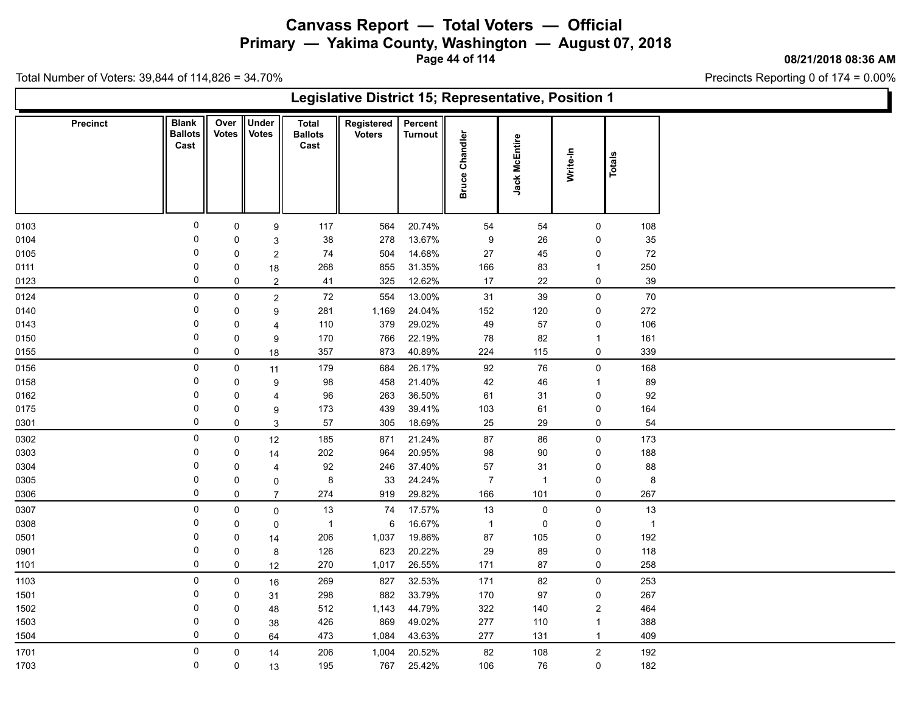**Primary — Yakima County, Washington — August 07, 2018**

**Page 44 of 114**

**08/21/2018 08:36 AM**

Precincts Reporting 0 of 174 = 0.00%

|                 | Legislative District 15; Representative, Position 1<br>Under<br><b>Blank</b><br>Over<br>Registered<br>Percent<br>Total<br>Votes<br><b>Votes</b><br>Chandler<br><b>Ballots</b><br><b>Ballots</b><br><b>Voters</b><br><b>Turnout</b><br>Jack McEntire<br>Cast<br>Cast<br>Write-In<br><b>Totals</b><br><b>Bruce</b><br>$\mathbf 0$<br>$\mathbf 0$<br>117<br>564<br>20.74%<br>$\mathsf{O}$<br>54<br>54<br>9<br>13.67%<br>0<br>38<br>278<br>9<br>26<br>0<br>0<br>3<br>$\mathbf 0$<br>14.68%<br>74<br>504<br>27<br>45<br>$\pmb{0}$<br>0<br>$\overline{c}$<br>0<br>31.35%<br>268<br>855<br>166<br>83<br>$\mathbf{1}$<br>0<br>18<br>0<br>325<br>12.62%<br>22<br>$\mathsf{O}$<br>41<br>17<br>0<br>$\overline{2}$<br>$\mathsf 0$<br>13.00%<br>$\mathsf{O}$<br>72<br>554<br>31<br>39<br>$\mathsf{O}$<br>$\overline{c}$ |              |                |                |       |        |                  |                |                |                |  |  |  |  |
|-----------------|-------------------------------------------------------------------------------------------------------------------------------------------------------------------------------------------------------------------------------------------------------------------------------------------------------------------------------------------------------------------------------------------------------------------------------------------------------------------------------------------------------------------------------------------------------------------------------------------------------------------------------------------------------------------------------------------------------------------------------------------------------------------------------------------------------------|--------------|----------------|----------------|-------|--------|------------------|----------------|----------------|----------------|--|--|--|--|
| <b>Precinct</b> |                                                                                                                                                                                                                                                                                                                                                                                                                                                                                                                                                                                                                                                                                                                                                                                                             |              |                |                |       |        |                  |                |                |                |  |  |  |  |
| 0103            |                                                                                                                                                                                                                                                                                                                                                                                                                                                                                                                                                                                                                                                                                                                                                                                                             |              |                |                |       |        |                  |                |                | 108            |  |  |  |  |
| 0104            |                                                                                                                                                                                                                                                                                                                                                                                                                                                                                                                                                                                                                                                                                                                                                                                                             |              |                |                |       |        |                  |                |                | 35             |  |  |  |  |
| 0105            |                                                                                                                                                                                                                                                                                                                                                                                                                                                                                                                                                                                                                                                                                                                                                                                                             |              |                |                |       |        |                  |                |                | $\bf 72$       |  |  |  |  |
| 0111            |                                                                                                                                                                                                                                                                                                                                                                                                                                                                                                                                                                                                                                                                                                                                                                                                             |              |                |                |       |        |                  |                |                | 250            |  |  |  |  |
| 0123            |                                                                                                                                                                                                                                                                                                                                                                                                                                                                                                                                                                                                                                                                                                                                                                                                             |              |                |                |       |        |                  |                |                | 39             |  |  |  |  |
| 0124            |                                                                                                                                                                                                                                                                                                                                                                                                                                                                                                                                                                                                                                                                                                                                                                                                             |              |                |                |       |        |                  |                |                | 70             |  |  |  |  |
| 0140            | 0                                                                                                                                                                                                                                                                                                                                                                                                                                                                                                                                                                                                                                                                                                                                                                                                           | 0            | 9              | 281            | 1,169 | 24.04% | 152              | 120            | 0              | 272            |  |  |  |  |
| 0143            | $\mathbf 0$                                                                                                                                                                                                                                                                                                                                                                                                                                                                                                                                                                                                                                                                                                                                                                                                 | 0            | 4              | 110            | 379   | 29.02% | 49               | 57             | 0              | 106            |  |  |  |  |
| 0150            | $\mathbf 0$                                                                                                                                                                                                                                                                                                                                                                                                                                                                                                                                                                                                                                                                                                                                                                                                 | 0            | 9              | 170            | 766   | 22.19% | 78               | 82             | $\mathbf{1}$   | 161            |  |  |  |  |
| 0155            | 0                                                                                                                                                                                                                                                                                                                                                                                                                                                                                                                                                                                                                                                                                                                                                                                                           | 0            | 18             | 357            | 873   | 40.89% | 224              | 115            | 0              | 339            |  |  |  |  |
| 0156            | $\mathbf 0$                                                                                                                                                                                                                                                                                                                                                                                                                                                                                                                                                                                                                                                                                                                                                                                                 | $\mathsf{O}$ | 11             | 179            | 684   | 26.17% | 92               | 76             | $\mathsf{O}$   | 168            |  |  |  |  |
| 0158            | 0                                                                                                                                                                                                                                                                                                                                                                                                                                                                                                                                                                                                                                                                                                                                                                                                           | 0            | 9              | 98             | 458   | 21.40% | 42               | 46             | $\mathbf{1}$   | 89             |  |  |  |  |
| 0162            | $\mathbf 0$                                                                                                                                                                                                                                                                                                                                                                                                                                                                                                                                                                                                                                                                                                                                                                                                 | 0            | 4              | 96             | 263   | 36.50% | 61               | 31             | 0              | 92             |  |  |  |  |
| 0175            | 0                                                                                                                                                                                                                                                                                                                                                                                                                                                                                                                                                                                                                                                                                                                                                                                                           | 0            | 9              | 173            | 439   | 39.41% | 103              | 61             | $\pmb{0}$      | 164            |  |  |  |  |
| 0301            | 0                                                                                                                                                                                                                                                                                                                                                                                                                                                                                                                                                                                                                                                                                                                                                                                                           | 0            | 3              | 57             | 305   | 18.69% | 25               | 29             | 0              | 54             |  |  |  |  |
| 0302            | $\mathbf 0$                                                                                                                                                                                                                                                                                                                                                                                                                                                                                                                                                                                                                                                                                                                                                                                                 | $\mathsf{O}$ | 12             | 185            | 871   | 21.24% | 87               | 86             | $\mathsf 0$    | 173            |  |  |  |  |
| 0303            | 0                                                                                                                                                                                                                                                                                                                                                                                                                                                                                                                                                                                                                                                                                                                                                                                                           | 0            | 14             | 202            | 964   | 20.95% | 98               | 90             | 0              | 188            |  |  |  |  |
| 0304            | $\mathbf 0$                                                                                                                                                                                                                                                                                                                                                                                                                                                                                                                                                                                                                                                                                                                                                                                                 | 0            | 4              | 92             | 246   | 37.40% | $57\,$           | 31             | 0              | 88             |  |  |  |  |
| 0305            | $\mathbf 0$                                                                                                                                                                                                                                                                                                                                                                                                                                                                                                                                                                                                                                                                                                                                                                                                 | 0            | 0              | 8              | 33    | 24.24% | $\boldsymbol{7}$ | $\overline{1}$ | 0              | 8              |  |  |  |  |
| 0306            | 0                                                                                                                                                                                                                                                                                                                                                                                                                                                                                                                                                                                                                                                                                                                                                                                                           | 0            | $\overline{7}$ | 274            | 919   | 29.82% | 166              | 101            | 0              | 267            |  |  |  |  |
| 0307            | $\mathbf 0$                                                                                                                                                                                                                                                                                                                                                                                                                                                                                                                                                                                                                                                                                                                                                                                                 | $\mathsf{O}$ | $\mathbf 0$    | 13             | 74    | 17.57% | 13               | 0              | $\mathsf{O}$   | 13             |  |  |  |  |
| 0308            | 0                                                                                                                                                                                                                                                                                                                                                                                                                                                                                                                                                                                                                                                                                                                                                                                                           | 0            | 0              | $\overline{1}$ | 6     | 16.67% | $\overline{1}$   | 0              | 0              | $\overline{1}$ |  |  |  |  |
| 0501            | $\mathbf 0$                                                                                                                                                                                                                                                                                                                                                                                                                                                                                                                                                                                                                                                                                                                                                                                                 | 0            | 14             | 206            | 1,037 | 19.86% | 87               | 105            | 0              | 192            |  |  |  |  |
| 0901            | 0                                                                                                                                                                                                                                                                                                                                                                                                                                                                                                                                                                                                                                                                                                                                                                                                           | 0            | 8              | 126            | 623   | 20.22% | 29               | 89             | 0              | 118            |  |  |  |  |
| 1101            | 0                                                                                                                                                                                                                                                                                                                                                                                                                                                                                                                                                                                                                                                                                                                                                                                                           | 0            | 12             | 270            | 1,017 | 26.55% | 171              | 87             | 0              | 258            |  |  |  |  |
| 1103            | 0                                                                                                                                                                                                                                                                                                                                                                                                                                                                                                                                                                                                                                                                                                                                                                                                           | $\mathsf{O}$ | 16             | 269            | 827   | 32.53% | 171              | 82             | $\pmb{0}$      | 253            |  |  |  |  |
| 1501            | 0                                                                                                                                                                                                                                                                                                                                                                                                                                                                                                                                                                                                                                                                                                                                                                                                           | 0            | 31             | 298            | 882   | 33.79% | 170              | 97             | 0              | 267            |  |  |  |  |
| 1502            | $\mathbf 0$                                                                                                                                                                                                                                                                                                                                                                                                                                                                                                                                                                                                                                                                                                                                                                                                 | 0            | 48             | 512            | 1,143 | 44.79% | 322              | 140            | $\overline{c}$ | 464            |  |  |  |  |
| 1503            | 0                                                                                                                                                                                                                                                                                                                                                                                                                                                                                                                                                                                                                                                                                                                                                                                                           | 0            | 38             | 426            | 869   | 49.02% | 277              | 110            | $\mathbf{1}$   | 388            |  |  |  |  |
| 1504            | $\mathbf 0$                                                                                                                                                                                                                                                                                                                                                                                                                                                                                                                                                                                                                                                                                                                                                                                                 | 0            | 64             | 473            | 1,084 | 43.63% | 277              | 131            | $\mathbf{1}$   | 409            |  |  |  |  |
| 1701            | $\mathsf 0$                                                                                                                                                                                                                                                                                                                                                                                                                                                                                                                                                                                                                                                                                                                                                                                                 | $\mathbf 0$  | 14             | 206            | 1,004 | 20.52% | 82               | 108            | $\overline{2}$ | 192            |  |  |  |  |
| 1703            | 0                                                                                                                                                                                                                                                                                                                                                                                                                                                                                                                                                                                                                                                                                                                                                                                                           | 0            | 13             | 195            | 767   | 25.42% | 106              | 76             | 0              | 182            |  |  |  |  |
|                 |                                                                                                                                                                                                                                                                                                                                                                                                                                                                                                                                                                                                                                                                                                                                                                                                             |              |                |                |       |        |                  |                |                |                |  |  |  |  |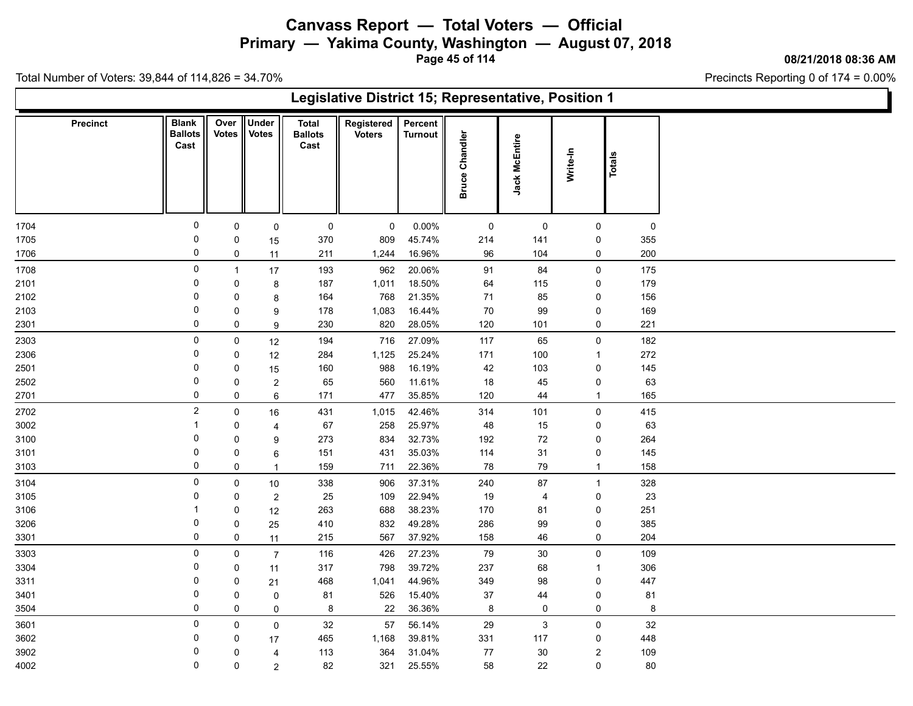**Primary — Yakima County, Washington — August 07, 2018**

**Page 45 of 114**

**08/21/2018 08:36 AM**

Precincts Reporting 0 of 174 = 0.00%

|      |                 | Legislative District 15; Representative, Position 1<br><b>Under</b><br><b>Blank</b><br>Over<br>Registered<br>Percent<br><b>Total</b><br><b>Votes</b><br><b>Votes</b><br>Chandler<br><b>Ballots</b><br><b>Ballots</b><br><b>Voters</b><br><b>Turnout</b><br>Jack McEntire<br>Cast<br>Cast<br>Write-In<br>Totals<br><b>Bruce</b><br>0<br>0<br>0.00%<br>$\mathsf 0$<br>$\mathsf 0$<br>$\mathbf 0$<br>$\mathbf 0$<br>0<br>$\mathsf 0$<br>0<br>45.74%<br>370<br>809<br>214<br>141<br>0<br>15<br>0<br>0<br>96<br>16.96%<br>104<br>$\mathbf 0$<br>0<br>211<br>1,244<br>11<br>0<br>193<br>962<br>20.06%<br>91<br>$\pmb{0}$<br>84<br>$\mathbf{1}$<br>17<br>18.50%<br>0<br>187<br>1,011<br>64<br>$\mathbf 0$<br>0<br>$\bf 8$<br>115<br>0<br>768<br>21.35%<br>164<br>71<br>85<br>0<br>0<br>8<br>0<br>1,083<br>16.44%<br>70<br>99<br>$\mathsf 0$<br>0<br>178<br>9<br>0<br>820<br>230<br>28.05%<br>120<br>101<br>$\mathbf 0$<br>0<br>$\boldsymbol{9}$<br>0<br>27.09%<br>$\pmb{0}$<br>194<br>716<br>117<br>65<br>0<br>12<br>25.24%<br>0<br>284<br>1,125<br>171<br>100<br>0<br>12<br>$\mathbf{1}$<br>0<br>988<br>16.19%<br>42<br>$\mathsf 0$<br>160<br>103<br>0<br>15<br>11.61%<br>0<br>560<br>$18\,$<br>45<br>$\pmb{0}$<br>0<br>65<br>$\overline{c}$<br>0<br>477<br>35.85%<br>120<br>0<br>171<br>44<br>6<br>$\mathbf{1}$<br>$\overline{2}$<br>42.46%<br>$\pmb{0}$<br>431<br>1,015<br>314<br>101<br>$\mathsf 0$<br>16<br>25.97%<br>$\overline{\mathbf{1}}$<br>67<br>258<br>48<br>15<br>0<br>0<br>$\overline{4}$<br>0<br>32.73%<br>273<br>834<br>192<br>72<br>0<br>0<br>9<br>0<br>35.03%<br>151<br>431<br>31<br>$\pmb{0}$<br>0<br>114<br>6<br>0<br>22.36%<br>78<br>79<br>0<br>159<br>711<br>$\mathbf{1}$<br>$\overline{1}$<br>0<br>338<br>906<br>37.31%<br>240<br>87<br>$\mathbf 0$<br>$10\,$<br>$\mathbf{1}$<br>0<br>25<br>109<br>22.94%<br>$19$<br>0<br>0<br>$\overline{2}$<br>4<br>38.23%<br>-1<br>263<br>688<br>170<br>0<br>0<br>12<br>81<br>0<br>410<br>832<br>49.28%<br>286<br>99<br>$\mathsf 0$<br>0<br>25 |             |                |     |       |        |         |        |                            |     |  |  |  |  |
|------|-----------------|---------------------------------------------------------------------------------------------------------------------------------------------------------------------------------------------------------------------------------------------------------------------------------------------------------------------------------------------------------------------------------------------------------------------------------------------------------------------------------------------------------------------------------------------------------------------------------------------------------------------------------------------------------------------------------------------------------------------------------------------------------------------------------------------------------------------------------------------------------------------------------------------------------------------------------------------------------------------------------------------------------------------------------------------------------------------------------------------------------------------------------------------------------------------------------------------------------------------------------------------------------------------------------------------------------------------------------------------------------------------------------------------------------------------------------------------------------------------------------------------------------------------------------------------------------------------------------------------------------------------------------------------------------------------------------------------------------------------------------------------------------------------------------------------------------------------------------------------------------------------------------------------------------------------------------------------------------------------------------------------------|-------------|----------------|-----|-------|--------|---------|--------|----------------------------|-----|--|--|--|--|
|      | <b>Precinct</b> |                                                                                                                                                                                                                                                                                                                                                                                                                                                                                                                                                                                                                                                                                                                                                                                                                                                                                                                                                                                                                                                                                                                                                                                                                                                                                                                                                                                                                                                                                                                                                                                                                                                                                                                                                                                                                                                                                                                                                                                                   |             |                |     |       |        |         |        |                            |     |  |  |  |  |
| 1704 |                 |                                                                                                                                                                                                                                                                                                                                                                                                                                                                                                                                                                                                                                                                                                                                                                                                                                                                                                                                                                                                                                                                                                                                                                                                                                                                                                                                                                                                                                                                                                                                                                                                                                                                                                                                                                                                                                                                                                                                                                                                   |             |                |     |       |        |         |        |                            | 0   |  |  |  |  |
| 1705 |                 |                                                                                                                                                                                                                                                                                                                                                                                                                                                                                                                                                                                                                                                                                                                                                                                                                                                                                                                                                                                                                                                                                                                                                                                                                                                                                                                                                                                                                                                                                                                                                                                                                                                                                                                                                                                                                                                                                                                                                                                                   |             |                |     |       |        |         |        |                            | 355 |  |  |  |  |
| 1706 |                 |                                                                                                                                                                                                                                                                                                                                                                                                                                                                                                                                                                                                                                                                                                                                                                                                                                                                                                                                                                                                                                                                                                                                                                                                                                                                                                                                                                                                                                                                                                                                                                                                                                                                                                                                                                                                                                                                                                                                                                                                   |             |                |     |       |        |         |        |                            | 200 |  |  |  |  |
| 1708 |                 |                                                                                                                                                                                                                                                                                                                                                                                                                                                                                                                                                                                                                                                                                                                                                                                                                                                                                                                                                                                                                                                                                                                                                                                                                                                                                                                                                                                                                                                                                                                                                                                                                                                                                                                                                                                                                                                                                                                                                                                                   |             |                |     |       |        |         |        |                            | 175 |  |  |  |  |
| 2101 |                 |                                                                                                                                                                                                                                                                                                                                                                                                                                                                                                                                                                                                                                                                                                                                                                                                                                                                                                                                                                                                                                                                                                                                                                                                                                                                                                                                                                                                                                                                                                                                                                                                                                                                                                                                                                                                                                                                                                                                                                                                   |             |                |     |       |        |         |        |                            | 179 |  |  |  |  |
| 2102 |                 |                                                                                                                                                                                                                                                                                                                                                                                                                                                                                                                                                                                                                                                                                                                                                                                                                                                                                                                                                                                                                                                                                                                                                                                                                                                                                                                                                                                                                                                                                                                                                                                                                                                                                                                                                                                                                                                                                                                                                                                                   |             |                |     |       |        |         |        |                            | 156 |  |  |  |  |
| 2103 |                 |                                                                                                                                                                                                                                                                                                                                                                                                                                                                                                                                                                                                                                                                                                                                                                                                                                                                                                                                                                                                                                                                                                                                                                                                                                                                                                                                                                                                                                                                                                                                                                                                                                                                                                                                                                                                                                                                                                                                                                                                   |             |                |     |       |        |         |        |                            | 169 |  |  |  |  |
| 2301 |                 |                                                                                                                                                                                                                                                                                                                                                                                                                                                                                                                                                                                                                                                                                                                                                                                                                                                                                                                                                                                                                                                                                                                                                                                                                                                                                                                                                                                                                                                                                                                                                                                                                                                                                                                                                                                                                                                                                                                                                                                                   |             |                |     |       |        |         |        |                            | 221 |  |  |  |  |
| 2303 |                 |                                                                                                                                                                                                                                                                                                                                                                                                                                                                                                                                                                                                                                                                                                                                                                                                                                                                                                                                                                                                                                                                                                                                                                                                                                                                                                                                                                                                                                                                                                                                                                                                                                                                                                                                                                                                                                                                                                                                                                                                   |             |                |     |       |        |         |        |                            | 182 |  |  |  |  |
| 2306 |                 |                                                                                                                                                                                                                                                                                                                                                                                                                                                                                                                                                                                                                                                                                                                                                                                                                                                                                                                                                                                                                                                                                                                                                                                                                                                                                                                                                                                                                                                                                                                                                                                                                                                                                                                                                                                                                                                                                                                                                                                                   |             |                |     |       |        |         |        |                            | 272 |  |  |  |  |
| 2501 |                 |                                                                                                                                                                                                                                                                                                                                                                                                                                                                                                                                                                                                                                                                                                                                                                                                                                                                                                                                                                                                                                                                                                                                                                                                                                                                                                                                                                                                                                                                                                                                                                                                                                                                                                                                                                                                                                                                                                                                                                                                   |             |                |     |       |        |         |        |                            | 145 |  |  |  |  |
| 2502 |                 |                                                                                                                                                                                                                                                                                                                                                                                                                                                                                                                                                                                                                                                                                                                                                                                                                                                                                                                                                                                                                                                                                                                                                                                                                                                                                                                                                                                                                                                                                                                                                                                                                                                                                                                                                                                                                                                                                                                                                                                                   |             |                |     |       |        |         |        |                            | 63  |  |  |  |  |
| 2701 |                 |                                                                                                                                                                                                                                                                                                                                                                                                                                                                                                                                                                                                                                                                                                                                                                                                                                                                                                                                                                                                                                                                                                                                                                                                                                                                                                                                                                                                                                                                                                                                                                                                                                                                                                                                                                                                                                                                                                                                                                                                   |             |                |     |       |        |         |        |                            | 165 |  |  |  |  |
| 2702 |                 |                                                                                                                                                                                                                                                                                                                                                                                                                                                                                                                                                                                                                                                                                                                                                                                                                                                                                                                                                                                                                                                                                                                                                                                                                                                                                                                                                                                                                                                                                                                                                                                                                                                                                                                                                                                                                                                                                                                                                                                                   |             |                |     |       |        |         |        |                            | 415 |  |  |  |  |
| 3002 |                 |                                                                                                                                                                                                                                                                                                                                                                                                                                                                                                                                                                                                                                                                                                                                                                                                                                                                                                                                                                                                                                                                                                                                                                                                                                                                                                                                                                                                                                                                                                                                                                                                                                                                                                                                                                                                                                                                                                                                                                                                   |             |                |     |       |        |         |        |                            | 63  |  |  |  |  |
| 3100 |                 |                                                                                                                                                                                                                                                                                                                                                                                                                                                                                                                                                                                                                                                                                                                                                                                                                                                                                                                                                                                                                                                                                                                                                                                                                                                                                                                                                                                                                                                                                                                                                                                                                                                                                                                                                                                                                                                                                                                                                                                                   |             |                |     |       |        |         |        |                            | 264 |  |  |  |  |
| 3101 |                 |                                                                                                                                                                                                                                                                                                                                                                                                                                                                                                                                                                                                                                                                                                                                                                                                                                                                                                                                                                                                                                                                                                                                                                                                                                                                                                                                                                                                                                                                                                                                                                                                                                                                                                                                                                                                                                                                                                                                                                                                   |             |                |     |       |        |         |        |                            | 145 |  |  |  |  |
| 3103 |                 |                                                                                                                                                                                                                                                                                                                                                                                                                                                                                                                                                                                                                                                                                                                                                                                                                                                                                                                                                                                                                                                                                                                                                                                                                                                                                                                                                                                                                                                                                                                                                                                                                                                                                                                                                                                                                                                                                                                                                                                                   |             |                |     |       |        |         |        |                            | 158 |  |  |  |  |
| 3104 |                 |                                                                                                                                                                                                                                                                                                                                                                                                                                                                                                                                                                                                                                                                                                                                                                                                                                                                                                                                                                                                                                                                                                                                                                                                                                                                                                                                                                                                                                                                                                                                                                                                                                                                                                                                                                                                                                                                                                                                                                                                   |             |                |     |       |        |         |        |                            | 328 |  |  |  |  |
| 3105 |                 |                                                                                                                                                                                                                                                                                                                                                                                                                                                                                                                                                                                                                                                                                                                                                                                                                                                                                                                                                                                                                                                                                                                                                                                                                                                                                                                                                                                                                                                                                                                                                                                                                                                                                                                                                                                                                                                                                                                                                                                                   |             |                |     |       |        |         |        |                            | 23  |  |  |  |  |
| 3106 |                 |                                                                                                                                                                                                                                                                                                                                                                                                                                                                                                                                                                                                                                                                                                                                                                                                                                                                                                                                                                                                                                                                                                                                                                                                                                                                                                                                                                                                                                                                                                                                                                                                                                                                                                                                                                                                                                                                                                                                                                                                   |             |                |     |       |        |         |        |                            | 251 |  |  |  |  |
| 3206 |                 | 0                                                                                                                                                                                                                                                                                                                                                                                                                                                                                                                                                                                                                                                                                                                                                                                                                                                                                                                                                                                                                                                                                                                                                                                                                                                                                                                                                                                                                                                                                                                                                                                                                                                                                                                                                                                                                                                                                                                                                                                                 |             |                |     |       |        |         |        |                            | 385 |  |  |  |  |
| 3301 |                 |                                                                                                                                                                                                                                                                                                                                                                                                                                                                                                                                                                                                                                                                                                                                                                                                                                                                                                                                                                                                                                                                                                                                                                                                                                                                                                                                                                                                                                                                                                                                                                                                                                                                                                                                                                                                                                                                                                                                                                                                   | 0           | 11             | 215 | 567   | 37.92% | 158     | 46     | 0                          | 204 |  |  |  |  |
| 3303 |                 | 0                                                                                                                                                                                                                                                                                                                                                                                                                                                                                                                                                                                                                                                                                                                                                                                                                                                                                                                                                                                                                                                                                                                                                                                                                                                                                                                                                                                                                                                                                                                                                                                                                                                                                                                                                                                                                                                                                                                                                                                                 | $\mathsf 0$ | $\overline{7}$ | 116 | 426   | 27.23% | 79      | 30     | $\mathsf 0$                | 109 |  |  |  |  |
| 3304 |                 | 0                                                                                                                                                                                                                                                                                                                                                                                                                                                                                                                                                                                                                                                                                                                                                                                                                                                                                                                                                                                                                                                                                                                                                                                                                                                                                                                                                                                                                                                                                                                                                                                                                                                                                                                                                                                                                                                                                                                                                                                                 | 0           | 11             | 317 | 798   | 39.72% | 237     | 68     | $\mathbf{1}$               | 306 |  |  |  |  |
| 3311 |                 | $\mathbf 0$                                                                                                                                                                                                                                                                                                                                                                                                                                                                                                                                                                                                                                                                                                                                                                                                                                                                                                                                                                                                                                                                                                                                                                                                                                                                                                                                                                                                                                                                                                                                                                                                                                                                                                                                                                                                                                                                                                                                                                                       | 0           | 21             | 468 | 1,041 | 44.96% | 349     | 98     | $\pmb{0}$                  | 447 |  |  |  |  |
| 3401 |                 | 0<br>0                                                                                                                                                                                                                                                                                                                                                                                                                                                                                                                                                                                                                                                                                                                                                                                                                                                                                                                                                                                                                                                                                                                                                                                                                                                                                                                                                                                                                                                                                                                                                                                                                                                                                                                                                                                                                                                                                                                                                                                            | 0           | 0              | 81  | 526   | 15.40% | $37\,$  | 44     | $\mathsf 0$<br>$\mathbf 0$ | 81  |  |  |  |  |
| 3504 |                 |                                                                                                                                                                                                                                                                                                                                                                                                                                                                                                                                                                                                                                                                                                                                                                                                                                                                                                                                                                                                                                                                                                                                                                                                                                                                                                                                                                                                                                                                                                                                                                                                                                                                                                                                                                                                                                                                                                                                                                                                   | 0           | $\mathbf 0$    | 8   | 22    | 36.36% | 8       | 0      |                            | 8   |  |  |  |  |
| 3601 |                 | 0                                                                                                                                                                                                                                                                                                                                                                                                                                                                                                                                                                                                                                                                                                                                                                                                                                                                                                                                                                                                                                                                                                                                                                                                                                                                                                                                                                                                                                                                                                                                                                                                                                                                                                                                                                                                                                                                                                                                                                                                 | 0           | $\mathsf 0$    | 32  | 57    | 56.14% | 29      | 3      | $\mathbf 0$                | 32  |  |  |  |  |
| 3602 |                 | 0                                                                                                                                                                                                                                                                                                                                                                                                                                                                                                                                                                                                                                                                                                                                                                                                                                                                                                                                                                                                                                                                                                                                                                                                                                                                                                                                                                                                                                                                                                                                                                                                                                                                                                                                                                                                                                                                                                                                                                                                 | 0           | 17             | 465 | 1,168 | 39.81% | 331     | 117    | 0                          | 448 |  |  |  |  |
| 3902 |                 | 0<br>0                                                                                                                                                                                                                                                                                                                                                                                                                                                                                                                                                                                                                                                                                                                                                                                                                                                                                                                                                                                                                                                                                                                                                                                                                                                                                                                                                                                                                                                                                                                                                                                                                                                                                                                                                                                                                                                                                                                                                                                            | 0           | 4              | 113 | 364   | 31.04% | $77 \,$ | $30\,$ | $\boldsymbol{2}$           | 109 |  |  |  |  |
| 4002 |                 |                                                                                                                                                                                                                                                                                                                                                                                                                                                                                                                                                                                                                                                                                                                                                                                                                                                                                                                                                                                                                                                                                                                                                                                                                                                                                                                                                                                                                                                                                                                                                                                                                                                                                                                                                                                                                                                                                                                                                                                                   | 0           | $\overline{2}$ | 82  | 321   | 25.55% | 58      | 22     | $\mathbf 0$                | 80  |  |  |  |  |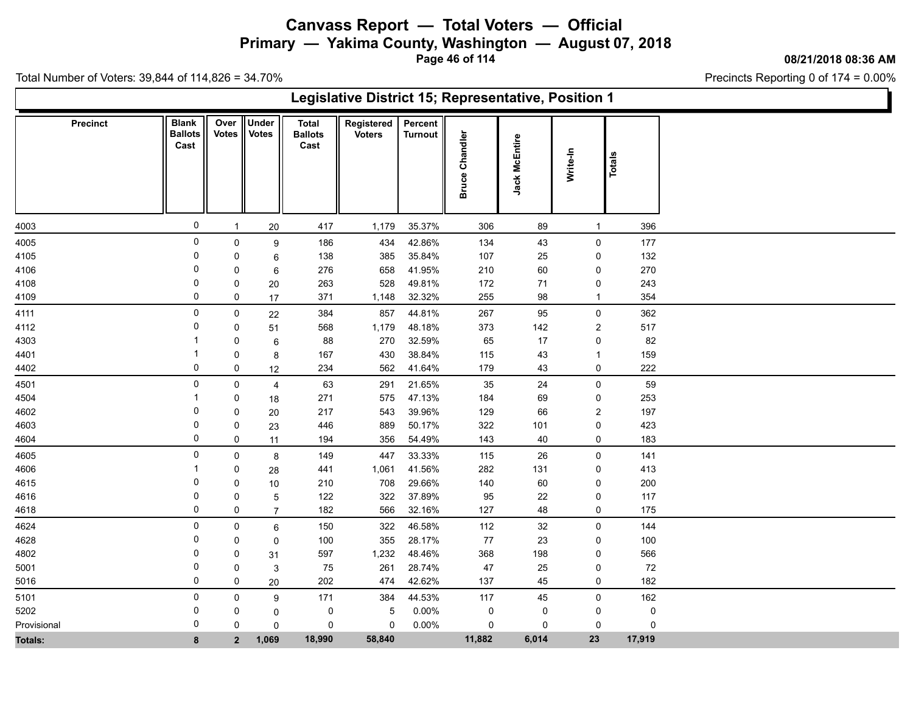**Primary — Yakima County, Washington — August 07, 2018**

**Page 46 of 114**

**08/21/2018 08:36 AM**

Precincts Reporting 0 of 174 = 0.00%

|                 |                                        |                      |                              |                                        | Legislative District 15; Representative, Position 1 |                           |                       |               |                |             |  |
|-----------------|----------------------------------------|----------------------|------------------------------|----------------------------------------|-----------------------------------------------------|---------------------------|-----------------------|---------------|----------------|-------------|--|
| <b>Precinct</b> | <b>Blank</b><br><b>Ballots</b><br>Cast | Over<br><b>Votes</b> | <b>Under</b><br><b>Votes</b> | <b>Total</b><br><b>Ballots</b><br>Cast | Registered<br><b>Voters</b>                         | Percent<br><b>Turnout</b> | <b>Bruce Chandler</b> | Jack McEntire | Write-In       | Totals      |  |
| 4003            | $\mathbf 0$                            |                      | $20\,$                       | 417                                    | 1,179                                               | 35.37%                    | 306                   | 89            | $\mathbf{1}$   | 396         |  |
| 4005            | 0                                      | $\mathbf 0$          | $\boldsymbol{9}$             | 186                                    | 434                                                 | 42.86%                    | 134                   | 43            | $\pmb{0}$      | 177         |  |
| 4105            | 0                                      | $\Omega$             | 6                            | 138                                    | 385                                                 | 35.84%                    | 107                   | 25            | 0              | 132         |  |
| 4106            | 0                                      | 0                    | 6                            | 276                                    | 658                                                 | 41.95%                    | 210                   | 60            | 0              | 270         |  |
| 4108            | $\Omega$                               | 0                    | 20                           | 263                                    | 528                                                 | 49.81%                    | 172                   | 71            | $\pmb{0}$      | 243         |  |
| 4109            | $\mathbf 0$                            | 0                    | 17                           | 371                                    | 1,148                                               | 32.32%                    | 255                   | 98            | $\mathbf{1}$   | 354         |  |
| 4111            | 0                                      | $\mathbf 0$          | 22                           | 384                                    | 857                                                 | 44.81%                    | 267                   | 95            | $\pmb{0}$      | 362         |  |
| 4112            | $\Omega$                               | 0                    | 51                           | 568                                    | 1,179                                               | 48.18%                    | 373                   | 142           | $\sqrt{2}$     | 517         |  |
| 4303            |                                        | 0                    | 6                            | 88                                     | 270                                                 | 32.59%                    | 65                    | 17            | $\pmb{0}$      | 82          |  |
| 4401            | 1                                      | 0                    | 8                            | 167                                    | 430                                                 | 38.84%                    | 115                   | 43            | $\mathbf{1}$   | 159         |  |
| 4402            | 0                                      | 0                    | 12                           | 234                                    | 562                                                 | 41.64%                    | 179                   | 43            | 0              | 222         |  |
| 4501            | 0                                      | 0                    | 4                            | 63                                     | 291                                                 | 21.65%                    | 35                    | 24            | $\pmb{0}$      | 59          |  |
| 4504            | -1                                     | 0                    | 18                           | 271                                    | 575                                                 | 47.13%                    | 184                   | 69            | 0              | 253         |  |
| 4602            | 0                                      | 0                    | 20                           | 217                                    | 543                                                 | 39.96%                    | 129                   | 66            | $\overline{c}$ | 197         |  |
| 4603            | 0                                      | 0                    | 23                           | 446                                    | 889                                                 | 50.17%                    | 322                   | 101           | $\pmb{0}$      | 423         |  |
| 4604            | $\mathbf 0$                            | $\pmb{0}$            | 11                           | 194                                    | 356                                                 | 54.49%                    | 143                   | 40            | $\pmb{0}$      | 183         |  |
| 4605            | 0                                      | $\mathbf 0$          | 8                            | 149                                    | 447                                                 | 33.33%                    | 115                   | 26            | $\pmb{0}$      | 141         |  |
| 4606            | -1                                     | 0                    | 28                           | 441                                    | 1,061                                               | 41.56%                    | 282                   | 131           | $\pmb{0}$      | 413         |  |
| 4615            | 0                                      | 0                    | 10                           | 210                                    | 708                                                 | 29.66%                    | 140                   | 60            | 0              | 200         |  |
| 4616            | 0                                      | 0                    | $\mathbf 5$                  | 122                                    | 322                                                 | 37.89%                    | 95                    | 22            | 0              | 117         |  |
| 4618            | $\mathbf 0$                            | $\mathbf 0$          | $\overline{7}$               | 182                                    | 566                                                 | 32.16%                    | 127                   | 48            | $\pmb{0}$      | 175         |  |
| 4624            | 0                                      | 0                    | $\,6\,$                      | 150                                    | 322                                                 | 46.58%                    | 112                   | 32            | $\pmb{0}$      | 144         |  |
| 4628            | 0                                      | 0                    | 0                            | 100                                    | 355                                                 | 28.17%                    | $77\,$                | 23            | $\pmb{0}$      | 100         |  |
| 4802            | 0                                      | 0                    | 31                           | 597                                    | 1,232                                               | 48.46%                    | 368                   | 198           | 0              | 566         |  |
| 5001            | $\Omega$                               | 0                    | $\sqrt{3}$                   | 75                                     | 261                                                 | 28.74%                    | 47                    | 25            | 0              | 72          |  |
| 5016            | 0                                      | $\mathbf 0$          | 20                           | 202                                    | 474                                                 | 42.62%                    | 137                   | 45            | $\pmb{0}$      | 182         |  |
| 5101            | $\mathbf 0$                            | $\mathbf 0$          | 9                            | 171                                    | 384                                                 | 44.53%                    | 117                   | 45            | $\pmb{0}$      | 162         |  |
| 5202            | 0                                      | 0                    | $\mathbf 0$                  | 0                                      | 5                                                   | 0.00%                     | $\mathsf 0$           | 0             | $\pmb{0}$      | $\pmb{0}$   |  |
| Provisional     | $\Omega$                               | $\Omega$             | $\mathbf 0$                  | 0                                      | 0                                                   | 0.00%                     | $\mathbf 0$           | 0             | 0              | $\mathbf 0$ |  |
| <b>Totals:</b>  | 8                                      | $\overline{2}$       | 1,069                        | 18,990                                 | 58,840                                              |                           | 11,882                | 6,014         | 23             | 17,919      |  |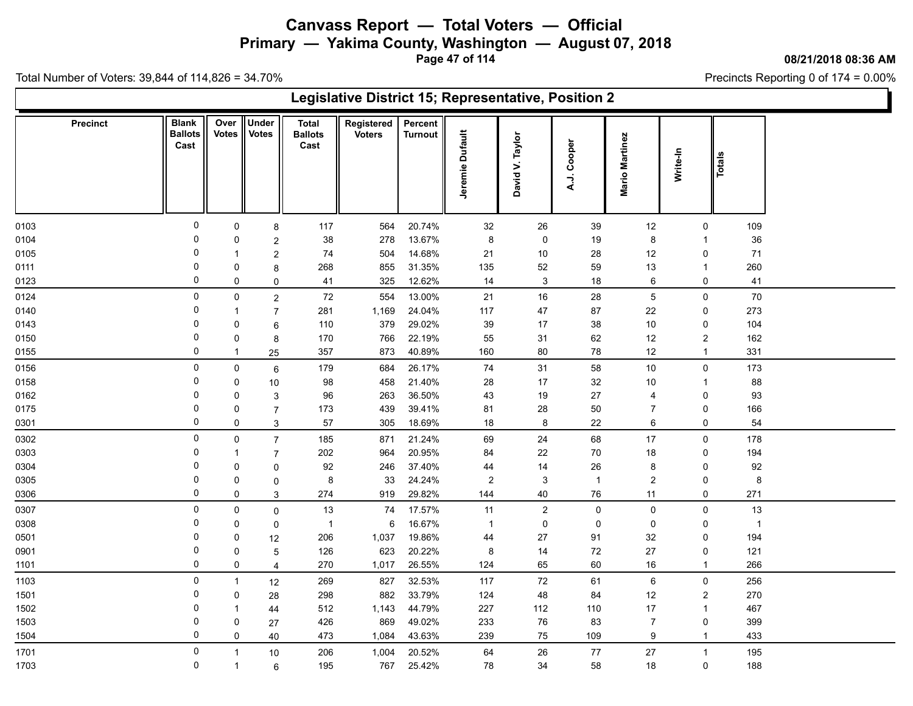**Primary — Yakima County, Washington — August 07, 2018**

**Page 47 of 114**

**08/21/2018 08:36 AM**

Precincts Reporting 0 of 174 = 0.00%

|                 | Legislative District 15; Representative, Position 2<br><b>Under</b><br><b>Blank</b><br>Over  <br><b>Total</b><br>Registered<br>Percent<br>Jeremie Dufault<br><b>Votes</b><br><b>Ballots</b><br>Votes  <br><b>Ballots</b><br><b>Turnout</b><br><b>Voters</b><br>Taylor<br><b>Mario Martinez</b><br>A.J. Cooper<br>Cast<br>Cast<br>Write-In<br>Totals<br>David V.<br>$\mathbf 0$<br>0<br>117<br>564<br>20.74%<br>32<br>26<br>39<br>12<br>109<br>8<br>0<br>0<br>278<br>13.67%<br>8<br>19<br>36<br>38<br>0<br>8<br>0<br>$\boldsymbol{2}$<br>$\mathbf 1$<br>$\mathbf 0$<br>14.68%<br>21<br>$10$<br>71<br>74<br>504<br>28<br>12<br>$\overline{c}$<br>0<br>-1<br>0<br>31.35%<br>268<br>855<br>135<br>52<br>59<br>13<br>260<br>0<br>8<br>$\overline{1}$<br>0<br>$\mathbf{3}$<br>325<br>12.62%<br>14<br>0<br>41<br>18<br>6<br>0<br>41<br>$\mathbf 0$<br>0<br>13.00%<br>$\sqrt{5}$<br>70<br>$\mathbf 0$<br>72<br>554<br>21<br>$16\,$<br>28<br>$\mathbf 0$<br>$\overline{c}$<br>0<br>281<br>1,169<br>24.04%<br>273<br>117<br>47<br>87<br>22<br>0<br>$\overline{7}$<br>-1<br>$\mathbf 0$<br>379<br>29.02%<br>110<br>39<br>17<br>38<br>10<br>104<br>0<br>0<br>6<br>$\overline{0}$<br>170<br>766<br>22.19%<br>55<br>31<br>62<br>12<br>$\overline{c}$<br>162<br>0<br>8 |                |                |                |       |        |                |              |                |                |                |                |  |  |
|-----------------|---------------------------------------------------------------------------------------------------------------------------------------------------------------------------------------------------------------------------------------------------------------------------------------------------------------------------------------------------------------------------------------------------------------------------------------------------------------------------------------------------------------------------------------------------------------------------------------------------------------------------------------------------------------------------------------------------------------------------------------------------------------------------------------------------------------------------------------------------------------------------------------------------------------------------------------------------------------------------------------------------------------------------------------------------------------------------------------------------------------------------------------------------------------------------------------------------------------------------------------------------------|----------------|----------------|----------------|-------|--------|----------------|--------------|----------------|----------------|----------------|----------------|--|--|
| <b>Precinct</b> |                                                                                                                                                                                                                                                                                                                                                                                                                                                                                                                                                                                                                                                                                                                                                                                                                                                                                                                                                                                                                                                                                                                                                                                                                                                         |                |                |                |       |        |                |              |                |                |                |                |  |  |
| 0103            |                                                                                                                                                                                                                                                                                                                                                                                                                                                                                                                                                                                                                                                                                                                                                                                                                                                                                                                                                                                                                                                                                                                                                                                                                                                         |                |                |                |       |        |                |              |                |                |                |                |  |  |
| 0104            |                                                                                                                                                                                                                                                                                                                                                                                                                                                                                                                                                                                                                                                                                                                                                                                                                                                                                                                                                                                                                                                                                                                                                                                                                                                         |                |                |                |       |        |                |              |                |                |                |                |  |  |
| 0105            |                                                                                                                                                                                                                                                                                                                                                                                                                                                                                                                                                                                                                                                                                                                                                                                                                                                                                                                                                                                                                                                                                                                                                                                                                                                         |                |                |                |       |        |                |              |                |                |                |                |  |  |
| 0111            |                                                                                                                                                                                                                                                                                                                                                                                                                                                                                                                                                                                                                                                                                                                                                                                                                                                                                                                                                                                                                                                                                                                                                                                                                                                         |                |                |                |       |        |                |              |                |                |                |                |  |  |
| 0123            |                                                                                                                                                                                                                                                                                                                                                                                                                                                                                                                                                                                                                                                                                                                                                                                                                                                                                                                                                                                                                                                                                                                                                                                                                                                         |                |                |                |       |        |                |              |                |                |                |                |  |  |
| 0124            |                                                                                                                                                                                                                                                                                                                                                                                                                                                                                                                                                                                                                                                                                                                                                                                                                                                                                                                                                                                                                                                                                                                                                                                                                                                         |                |                |                |       |        |                |              |                |                |                |                |  |  |
| 0140            |                                                                                                                                                                                                                                                                                                                                                                                                                                                                                                                                                                                                                                                                                                                                                                                                                                                                                                                                                                                                                                                                                                                                                                                                                                                         |                |                |                |       |        |                |              |                |                |                |                |  |  |
| 0143            |                                                                                                                                                                                                                                                                                                                                                                                                                                                                                                                                                                                                                                                                                                                                                                                                                                                                                                                                                                                                                                                                                                                                                                                                                                                         |                |                |                |       |        |                |              |                |                |                |                |  |  |
| 0150            |                                                                                                                                                                                                                                                                                                                                                                                                                                                                                                                                                                                                                                                                                                                                                                                                                                                                                                                                                                                                                                                                                                                                                                                                                                                         |                |                |                |       |        |                |              |                |                |                |                |  |  |
| 0155            | 0                                                                                                                                                                                                                                                                                                                                                                                                                                                                                                                                                                                                                                                                                                                                                                                                                                                                                                                                                                                                                                                                                                                                                                                                                                                       | -1             | 25             | 357            | 873   | 40.89% | 160            | 80           | 78             | $12$           | $\overline{1}$ | 331            |  |  |
| 0156            | $\mathbf 0$                                                                                                                                                                                                                                                                                                                                                                                                                                                                                                                                                                                                                                                                                                                                                                                                                                                                                                                                                                                                                                                                                                                                                                                                                                             | $\mathbf 0$    | 6              | 179            | 684   | 26.17% | 74             | 31           | 58             | 10             | $\mathsf{O}$   | 173            |  |  |
| 0158            | $\overline{0}$                                                                                                                                                                                                                                                                                                                                                                                                                                                                                                                                                                                                                                                                                                                                                                                                                                                                                                                                                                                                                                                                                                                                                                                                                                          | 0              | 10             | 98             | 458   | 21.40% | 28             | 17           | 32             | 10             | -1             | 88             |  |  |
| 0162            | 0                                                                                                                                                                                                                                                                                                                                                                                                                                                                                                                                                                                                                                                                                                                                                                                                                                                                                                                                                                                                                                                                                                                                                                                                                                                       | 0              | 3              | 96             | 263   | 36.50% | 43             | 19           | 27             | $\overline{4}$ | 0              | 93             |  |  |
| 0175            | $\mathbf 0$                                                                                                                                                                                                                                                                                                                                                                                                                                                                                                                                                                                                                                                                                                                                                                                                                                                                                                                                                                                                                                                                                                                                                                                                                                             | 0              | $\overline{7}$ | 173            | 439   | 39.41% | 81             | 28           | 50             | $\overline{7}$ | 0              | 166            |  |  |
| 0301            | 0                                                                                                                                                                                                                                                                                                                                                                                                                                                                                                                                                                                                                                                                                                                                                                                                                                                                                                                                                                                                                                                                                                                                                                                                                                                       | $\mathbf 0$    | $\mathbf{3}$   | 57             | 305   | 18.69% | 18             | $\bf 8$      | 22             | 6              | 0              | 54             |  |  |
| 0302            | $\mathbf 0$                                                                                                                                                                                                                                                                                                                                                                                                                                                                                                                                                                                                                                                                                                                                                                                                                                                                                                                                                                                                                                                                                                                                                                                                                                             | 0              | $\overline{7}$ | 185            | 871   | 21.24% | 69             | 24           | 68             | 17             | 0              | 178            |  |  |
| 0303            | 0                                                                                                                                                                                                                                                                                                                                                                                                                                                                                                                                                                                                                                                                                                                                                                                                                                                                                                                                                                                                                                                                                                                                                                                                                                                       | -1             | $\overline{7}$ | 202            | 964   | 20.95% | 84             | 22           | 70             | $18$           | $\mathbf 0$    | 194            |  |  |
| 0304            | 0                                                                                                                                                                                                                                                                                                                                                                                                                                                                                                                                                                                                                                                                                                                                                                                                                                                                                                                                                                                                                                                                                                                                                                                                                                                       | 0              | 0              | 92             | 246   | 37.40% | 44             | 14           | 26             | 8              | 0              | 92             |  |  |
| 0305            | 0                                                                                                                                                                                                                                                                                                                                                                                                                                                                                                                                                                                                                                                                                                                                                                                                                                                                                                                                                                                                                                                                                                                                                                                                                                                       | 0              | 0              | $\bf 8$        | 33    | 24.24% | $\overline{2}$ | $\mathbf{3}$ | $\overline{1}$ | $\overline{c}$ | 0              | 8              |  |  |
| 0306            | 0                                                                                                                                                                                                                                                                                                                                                                                                                                                                                                                                                                                                                                                                                                                                                                                                                                                                                                                                                                                                                                                                                                                                                                                                                                                       | 0              | 3              | 274            | 919   | 29.82% | 144            | 40           | 76             | 11             | 0              | 271            |  |  |
| 0307            | 0                                                                                                                                                                                                                                                                                                                                                                                                                                                                                                                                                                                                                                                                                                                                                                                                                                                                                                                                                                                                                                                                                                                                                                                                                                                       | $\mathbf 0$    | $\mathsf 0$    | 13             | 74    | 17.57% | 11             | $\sqrt{2}$   | $\mathbf 0$    | $\mathbf 0$    | $\mathsf{O}$   | 13             |  |  |
| 0308            | 0                                                                                                                                                                                                                                                                                                                                                                                                                                                                                                                                                                                                                                                                                                                                                                                                                                                                                                                                                                                                                                                                                                                                                                                                                                                       | 0              | 0              | $\overline{1}$ | 6     | 16.67% | $\overline{1}$ | $\pmb{0}$    | 0              | $\mathbf 0$    | $\mathbf 0$    | $\overline{1}$ |  |  |
| 0501            | $\mathbf 0$                                                                                                                                                                                                                                                                                                                                                                                                                                                                                                                                                                                                                                                                                                                                                                                                                                                                                                                                                                                                                                                                                                                                                                                                                                             | 0              | 12             | 206            | 1,037 | 19.86% | 44             | 27           | 91             | 32             | 0              | 194            |  |  |
| 0901            | 0                                                                                                                                                                                                                                                                                                                                                                                                                                                                                                                                                                                                                                                                                                                                                                                                                                                                                                                                                                                                                                                                                                                                                                                                                                                       | 0              | 5              | 126            | 623   | 20.22% | 8              | 14           | 72             | 27             | 0              | 121            |  |  |
| 1101            | $\mathbf 0$                                                                                                                                                                                                                                                                                                                                                                                                                                                                                                                                                                                                                                                                                                                                                                                                                                                                                                                                                                                                                                                                                                                                                                                                                                             | 0              | $\overline{4}$ | 270            | 1,017 | 26.55% | 124            | 65           | 60             | 16             | $\mathbf{1}$   | 266            |  |  |
| 1103            | $\mathbf 0$                                                                                                                                                                                                                                                                                                                                                                                                                                                                                                                                                                                                                                                                                                                                                                                                                                                                                                                                                                                                                                                                                                                                                                                                                                             | $\mathbf{1}$   | $12\,$         | 269            | 827   | 32.53% | 117            | 72           | 61             | 6              | $\mathsf{O}$   | 256            |  |  |
| 1501            | $\pmb{0}$                                                                                                                                                                                                                                                                                                                                                                                                                                                                                                                                                                                                                                                                                                                                                                                                                                                                                                                                                                                                                                                                                                                                                                                                                                               | 0              | 28             | 298            | 882   | 33.79% | 124            | 48           | 84             | 12             | 2              | 270            |  |  |
| 1502            | 0                                                                                                                                                                                                                                                                                                                                                                                                                                                                                                                                                                                                                                                                                                                                                                                                                                                                                                                                                                                                                                                                                                                                                                                                                                                       | -1             | 44             | 512            | 1,143 | 44.79% | 227            | 112          | 110            | 17             | $\overline{1}$ | 467            |  |  |
| 1503            | 0                                                                                                                                                                                                                                                                                                                                                                                                                                                                                                                                                                                                                                                                                                                                                                                                                                                                                                                                                                                                                                                                                                                                                                                                                                                       | 0              | 27             | 426            | 869   | 49.02% | 233            | 76           | 83             | $\overline{7}$ | 0              | 399            |  |  |
| 1504            | $\mathbf 0$                                                                                                                                                                                                                                                                                                                                                                                                                                                                                                                                                                                                                                                                                                                                                                                                                                                                                                                                                                                                                                                                                                                                                                                                                                             | $\mathbf 0$    | 40             | 473            | 1,084 | 43.63% | 239            | 75           | 109            | 9              | $\overline{1}$ | 433            |  |  |
| 1701            | 0                                                                                                                                                                                                                                                                                                                                                                                                                                                                                                                                                                                                                                                                                                                                                                                                                                                                                                                                                                                                                                                                                                                                                                                                                                                       | $\mathbf 1$    | 10             | 206            | 1,004 | 20.52% | 64             | 26           | 77             | 27             | $\overline{1}$ | 195            |  |  |
| 1703            | 0                                                                                                                                                                                                                                                                                                                                                                                                                                                                                                                                                                                                                                                                                                                                                                                                                                                                                                                                                                                                                                                                                                                                                                                                                                                       | $\overline{1}$ | 6              | 195            | 767   | 25.42% | 78             | 34           | 58             | 18             | $\mathsf{O}$   | 188            |  |  |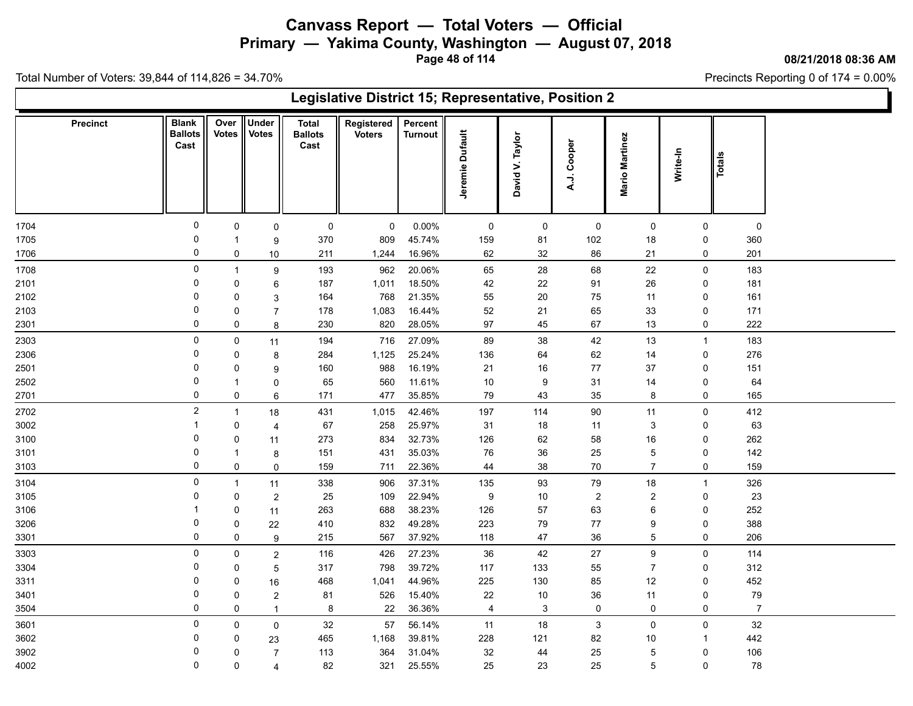**Primary — Yakima County, Washington — August 07, 2018**

**Page 48 of 114**

**08/21/2018 08:36 AM**

Precincts Reporting 0 of 174 = 0.00%

|      | Legislative District 15; Representative, Position 2<br>Under<br><b>Blank</b><br>Over<br>Percent<br><b>Total</b><br>Registered<br><b>Precinct</b><br>Jeremie Dufault<br><b>Votes</b><br><b>Votes</b><br><b>Ballots</b><br><b>Ballots</b><br><b>Voters</b><br><b>Turnout</b><br>David V. Taylor<br>Mario Martinez<br>A.J. Cooper<br>Cast<br>Cast<br>Write-In<br>Totals<br>0<br>0.00%<br>$\mathsf 0$<br>$\pmb{0}$<br>$\mathbf 0$<br>$\mathbf 0$<br>$\pmb{0}$<br>$\mathbf 0$<br>$\mathsf{O}$<br>$\mathbf 0$<br>$\mathbf 0$<br>0<br>0<br>370<br>45.74%<br>159<br>102<br>809<br>81<br>18<br>0<br>360<br>9<br>$\mathbf 1$<br>0<br>16.96%<br>62<br>32<br>86<br>21<br>201<br>211<br>1,244<br>0<br>0<br>10<br>0<br>20.06%<br>$28\,$<br>68<br>22<br>183<br>193<br>962<br>65<br>$\mathsf{O}$<br>$\boldsymbol{9}$<br>$\overline{1}$<br>18.50%<br>26<br>181<br>0<br>187<br>1,011<br>42<br>22<br>91<br>$\Omega$<br>6<br>0<br>21.35%<br>0<br>768<br>$20\,$<br>161<br>164<br>55<br>75<br>11<br>0<br>0<br>3<br>1,083<br>16.44%<br>52<br>33<br>$\Omega$<br>178<br>21<br>65<br>$\mathsf 0$<br>171<br>0<br>$\overline{7}$<br>$\mathbf 0$<br>820<br>28.05%<br>97<br>222<br>$\mathbf 0$<br>230<br>45<br>67<br>13<br>0<br>8 |              |                         |     |       |        |                         |             |                |                |                |                |  |  |  |
|------|-----------------------------------------------------------------------------------------------------------------------------------------------------------------------------------------------------------------------------------------------------------------------------------------------------------------------------------------------------------------------------------------------------------------------------------------------------------------------------------------------------------------------------------------------------------------------------------------------------------------------------------------------------------------------------------------------------------------------------------------------------------------------------------------------------------------------------------------------------------------------------------------------------------------------------------------------------------------------------------------------------------------------------------------------------------------------------------------------------------------------------------------------------------------------------------------------------|--------------|-------------------------|-----|-------|--------|-------------------------|-------------|----------------|----------------|----------------|----------------|--|--|--|
|      |                                                                                                                                                                                                                                                                                                                                                                                                                                                                                                                                                                                                                                                                                                                                                                                                                                                                                                                                                                                                                                                                                                                                                                                                     |              |                         |     |       |        |                         |             |                |                |                |                |  |  |  |
| 1704 |                                                                                                                                                                                                                                                                                                                                                                                                                                                                                                                                                                                                                                                                                                                                                                                                                                                                                                                                                                                                                                                                                                                                                                                                     |              |                         |     |       |        |                         |             |                |                |                |                |  |  |  |
| 1705 |                                                                                                                                                                                                                                                                                                                                                                                                                                                                                                                                                                                                                                                                                                                                                                                                                                                                                                                                                                                                                                                                                                                                                                                                     |              |                         |     |       |        |                         |             |                |                |                |                |  |  |  |
| 1706 |                                                                                                                                                                                                                                                                                                                                                                                                                                                                                                                                                                                                                                                                                                                                                                                                                                                                                                                                                                                                                                                                                                                                                                                                     |              |                         |     |       |        |                         |             |                |                |                |                |  |  |  |
| 1708 |                                                                                                                                                                                                                                                                                                                                                                                                                                                                                                                                                                                                                                                                                                                                                                                                                                                                                                                                                                                                                                                                                                                                                                                                     |              |                         |     |       |        |                         |             |                |                |                |                |  |  |  |
| 2101 |                                                                                                                                                                                                                                                                                                                                                                                                                                                                                                                                                                                                                                                                                                                                                                                                                                                                                                                                                                                                                                                                                                                                                                                                     |              |                         |     |       |        |                         |             |                |                |                |                |  |  |  |
| 2102 |                                                                                                                                                                                                                                                                                                                                                                                                                                                                                                                                                                                                                                                                                                                                                                                                                                                                                                                                                                                                                                                                                                                                                                                                     |              |                         |     |       |        |                         |             |                |                |                |                |  |  |  |
| 2103 |                                                                                                                                                                                                                                                                                                                                                                                                                                                                                                                                                                                                                                                                                                                                                                                                                                                                                                                                                                                                                                                                                                                                                                                                     |              |                         |     |       |        |                         |             |                |                |                |                |  |  |  |
| 2301 |                                                                                                                                                                                                                                                                                                                                                                                                                                                                                                                                                                                                                                                                                                                                                                                                                                                                                                                                                                                                                                                                                                                                                                                                     |              |                         |     |       |        |                         |             |                |                |                |                |  |  |  |
| 2303 | 0                                                                                                                                                                                                                                                                                                                                                                                                                                                                                                                                                                                                                                                                                                                                                                                                                                                                                                                                                                                                                                                                                                                                                                                                   | 0            | 11                      | 194 | 716   | 27.09% | 89                      | 38          | $42\,$         | 13             | $\overline{1}$ | 183            |  |  |  |
| 2306 | 0                                                                                                                                                                                                                                                                                                                                                                                                                                                                                                                                                                                                                                                                                                                                                                                                                                                                                                                                                                                                                                                                                                                                                                                                   | 0            | 8                       | 284 | 1,125 | 25.24% | 136                     | 64          | 62             | 14             | 0              | 276            |  |  |  |
| 2501 | $\Omega$                                                                                                                                                                                                                                                                                                                                                                                                                                                                                                                                                                                                                                                                                                                                                                                                                                                                                                                                                                                                                                                                                                                                                                                            | 0            | 9                       | 160 | 988   | 16.19% | 21                      | 16          | 77             | 37             | 0              | 151            |  |  |  |
| 2502 | 0                                                                                                                                                                                                                                                                                                                                                                                                                                                                                                                                                                                                                                                                                                                                                                                                                                                                                                                                                                                                                                                                                                                                                                                                   |              | $\mathbf 0$             | 65  | 560   | 11.61% | $10\,$                  | 9           | 31             | 14             | 0              | 64             |  |  |  |
| 2701 | 0                                                                                                                                                                                                                                                                                                                                                                                                                                                                                                                                                                                                                                                                                                                                                                                                                                                                                                                                                                                                                                                                                                                                                                                                   | $\mathbf 0$  | 6                       | 171 | 477   | 35.85% | 79                      | 43          | 35             | 8              | 0              | 165            |  |  |  |
| 2702 | $\overline{c}$                                                                                                                                                                                                                                                                                                                                                                                                                                                                                                                                                                                                                                                                                                                                                                                                                                                                                                                                                                                                                                                                                                                                                                                      | $\mathbf{1}$ | 18                      | 431 | 1,015 | 42.46% | 197                     | 114         | $90\,$         | 11             | $\mathbf 0$    | 412            |  |  |  |
| 3002 | -1                                                                                                                                                                                                                                                                                                                                                                                                                                                                                                                                                                                                                                                                                                                                                                                                                                                                                                                                                                                                                                                                                                                                                                                                  | 0            | $\overline{4}$          | 67  | 258   | 25.97% | 31                      | 18          | 11             | 3              | 0              | 63             |  |  |  |
| 3100 | 0                                                                                                                                                                                                                                                                                                                                                                                                                                                                                                                                                                                                                                                                                                                                                                                                                                                                                                                                                                                                                                                                                                                                                                                                   | 0            | 11                      | 273 | 834   | 32.73% | 126                     | 62          | 58             | 16             | $\mathbf 0$    | 262            |  |  |  |
| 3101 | 0                                                                                                                                                                                                                                                                                                                                                                                                                                                                                                                                                                                                                                                                                                                                                                                                                                                                                                                                                                                                                                                                                                                                                                                                   | -1           | 8                       | 151 | 431   | 35.03% | $76\,$                  | 36          | 25             | 5              | 0              | 142            |  |  |  |
| 3103 | $\mathbf 0$                                                                                                                                                                                                                                                                                                                                                                                                                                                                                                                                                                                                                                                                                                                                                                                                                                                                                                                                                                                                                                                                                                                                                                                         | $\mathbf 0$  | $\mathsf{O}\xspace$     | 159 | 711   | 22.36% | 44                      | $38\,$      | 70             | $\overline{7}$ | $\mathbf 0$    | 159            |  |  |  |
| 3104 | 0                                                                                                                                                                                                                                                                                                                                                                                                                                                                                                                                                                                                                                                                                                                                                                                                                                                                                                                                                                                                                                                                                                                                                                                                   | $\mathbf{1}$ | 11                      | 338 | 906   | 37.31% | 135                     | 93          | $\bf 79$       | $18$           | $\mathbf{1}$   | 326            |  |  |  |
| 3105 | 0                                                                                                                                                                                                                                                                                                                                                                                                                                                                                                                                                                                                                                                                                                                                                                                                                                                                                                                                                                                                                                                                                                                                                                                                   | 0            | $\sqrt{2}$              | 25  | 109   | 22.94% | 9                       | 10          | $\overline{c}$ | $\overline{c}$ | 0              | 23             |  |  |  |
| 3106 |                                                                                                                                                                                                                                                                                                                                                                                                                                                                                                                                                                                                                                                                                                                                                                                                                                                                                                                                                                                                                                                                                                                                                                                                     | 0            | 11                      | 263 | 688   | 38.23% | 126                     | 57          | 63             | 6              | 0              | 252            |  |  |  |
| 3206 | $\mathbf 0$                                                                                                                                                                                                                                                                                                                                                                                                                                                                                                                                                                                                                                                                                                                                                                                                                                                                                                                                                                                                                                                                                                                                                                                         | 0            | 22                      | 410 | 832   | 49.28% | 223                     | 79          | $77$           | 9              | 0              | 388            |  |  |  |
| 3301 | 0                                                                                                                                                                                                                                                                                                                                                                                                                                                                                                                                                                                                                                                                                                                                                                                                                                                                                                                                                                                                                                                                                                                                                                                                   | 0            | 9                       | 215 | 567   | 37.92% | 118                     | 47          | 36             | 5              | 0              | 206            |  |  |  |
| 3303 | 0                                                                                                                                                                                                                                                                                                                                                                                                                                                                                                                                                                                                                                                                                                                                                                                                                                                                                                                                                                                                                                                                                                                                                                                                   | 0            | $\sqrt{2}$              | 116 | 426   | 27.23% | 36                      | 42          | 27             | 9              | 0              | 114            |  |  |  |
| 3304 | 0                                                                                                                                                                                                                                                                                                                                                                                                                                                                                                                                                                                                                                                                                                                                                                                                                                                                                                                                                                                                                                                                                                                                                                                                   | 0            | 5                       | 317 | 798   | 39.72% | 117                     | 133         | 55             | $\overline{7}$ | 0              | 312            |  |  |  |
| 3311 | 0                                                                                                                                                                                                                                                                                                                                                                                                                                                                                                                                                                                                                                                                                                                                                                                                                                                                                                                                                                                                                                                                                                                                                                                                   | 0            | 16                      | 468 | 1,041 | 44.96% | 225                     | 130         | 85             | 12             | 0              | 452            |  |  |  |
| 3401 | 0                                                                                                                                                                                                                                                                                                                                                                                                                                                                                                                                                                                                                                                                                                                                                                                                                                                                                                                                                                                                                                                                                                                                                                                                   | 0            | $\boldsymbol{2}$        | 81  | 526   | 15.40% | 22                      | $10\,$      | 36             | 11             | 0              | $\bf 79$       |  |  |  |
| 3504 | $\mathbf 0$                                                                                                                                                                                                                                                                                                                                                                                                                                                                                                                                                                                                                                                                                                                                                                                                                                                                                                                                                                                                                                                                                                                                                                                         | $\mathbf 0$  | $\mathbf{1}$            | 8   | 22    | 36.36% | $\overline{\mathbf{4}}$ | $\mathsf 3$ | $\pmb{0}$      | $\mathsf 0$    | 0              | $\overline{7}$ |  |  |  |
| 3601 | 0                                                                                                                                                                                                                                                                                                                                                                                                                                                                                                                                                                                                                                                                                                                                                                                                                                                                                                                                                                                                                                                                                                                                                                                                   | 0            | $\pmb{0}$               | 32  | 57    | 56.14% | 11                      | 18          | $\mathbf{3}$   | $\mathbf 0$    | $\mathbf 0$    | 32             |  |  |  |
| 3602 | 0                                                                                                                                                                                                                                                                                                                                                                                                                                                                                                                                                                                                                                                                                                                                                                                                                                                                                                                                                                                                                                                                                                                                                                                                   | 0            | 23                      | 465 | 1,168 | 39.81% | 228                     | 121         | 82             | 10             | -1             | 442            |  |  |  |
| 3902 | 0                                                                                                                                                                                                                                                                                                                                                                                                                                                                                                                                                                                                                                                                                                                                                                                                                                                                                                                                                                                                                                                                                                                                                                                                   | 0            | $\overline{7}$          | 113 | 364   | 31.04% | 32                      | 44          | 25             | 5              | 0              | 106            |  |  |  |
| 4002 | $\mathbf 0$                                                                                                                                                                                                                                                                                                                                                                                                                                                                                                                                                                                                                                                                                                                                                                                                                                                                                                                                                                                                                                                                                                                                                                                         | $\mathbf 0$  | $\overline{\mathbf{4}}$ | 82  | 321   | 25.55% | 25                      | 23          | 25             | 5              | 0              | 78             |  |  |  |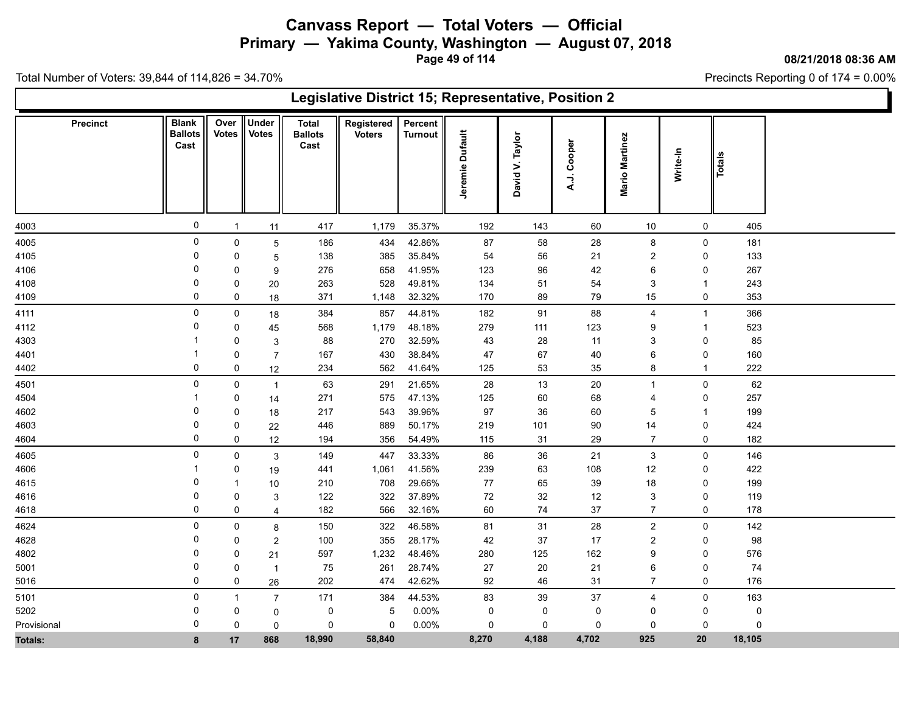**Primary — Yakima County, Washington — August 07, 2018**

**Page 49 of 114**

**08/21/2018 08:36 AM**

'n

Precincts Reporting 0 of 174 = 0.00%

|             | Legislative District 15; Representative, Position 2 |               |                              |                                        |                             |                           |                 |                                 |                  |                   |                |               |  |  |
|-------------|-----------------------------------------------------|---------------|------------------------------|----------------------------------------|-----------------------------|---------------------------|-----------------|---------------------------------|------------------|-------------------|----------------|---------------|--|--|
| Precinct    | <b>Blank</b><br><b>Ballots</b><br>Cast              | Over<br>Votes | <b>Under</b><br><b>Votes</b> | <b>Total</b><br><b>Ballots</b><br>Cast | Registered<br><b>Voters</b> | Percent<br><b>Turnout</b> | Jeremie Dufault | Taylor<br>$\mathbf{z}$<br>David | Cooper<br>:<br>خ | Martinez<br>Mario | Write-In       | <b>Totals</b> |  |  |
| 4003        | $\mathbf 0$                                         | $\mathbf{1}$  | 11                           | 417                                    | 1,179                       | 35.37%                    | 192             | 143                             | 60               | 10                | $\mathbf 0$    | 405           |  |  |
| 4005        | 0                                                   | $\mathsf 0$   | 5                            | 186                                    | 434                         | 42.86%                    | 87              | 58                              | 28               | 8                 | $\mathsf{O}$   | 181           |  |  |
| 4105        | 0                                                   | 0             | $\overline{5}$               | 138                                    | 385                         | 35.84%                    | 54              | 56                              | 21               | 2                 | 0              | 133           |  |  |
| 4106        | 0                                                   | 0             | 9                            | 276                                    | 658                         | 41.95%                    | 123             | 96                              | 42               | 6                 | 0              | 267           |  |  |
| 4108        | 0                                                   | 0             | 20                           | 263                                    | 528                         | 49.81%                    | 134             | 51                              | 54               | 3                 | -1             | 243           |  |  |
| 4109        | 0                                                   | 0             | 18                           | 371                                    | 1,148                       | 32.32%                    | 170             | 89                              | 79               | 15                | 0              | 353           |  |  |
| 4111        | 0                                                   | 0             | 18                           | 384                                    | 857                         | 44.81%                    | 182             | 91                              | 88               | $\overline{4}$    | $\overline{1}$ | 366           |  |  |
| 4112        | $\Omega$                                            | 0             | 45                           | 568                                    | 1,179                       | 48.18%                    | 279             | 111                             | 123              | 9                 | $\overline{1}$ | 523           |  |  |
| 4303        |                                                     | 0             | 3                            | 88                                     | 270                         | 32.59%                    | 43              | 28                              | 11               | 3                 | 0              | 85            |  |  |
| 4401        |                                                     | 0             | $\overline{7}$               | 167                                    | 430                         | 38.84%                    | 47              | 67                              | 40               | 6                 | 0              | 160           |  |  |
| 4402        | 0                                                   | 0             | 12                           | 234                                    | 562                         | 41.64%                    | 125             | 53                              | 35               | 8                 | $\overline{1}$ | 222           |  |  |
| 4501        | 0                                                   | 0             | $\overline{1}$               | 63                                     | 291                         | 21.65%                    | 28              | 13                              | 20               | $\overline{1}$    | 0              | 62            |  |  |
| 4504        |                                                     | 0             | 14                           | 271                                    | 575                         | 47.13%                    | 125             | 60                              | 68               | $\overline{4}$    | $\mathbf 0$    | 257           |  |  |
| 4602        | 0                                                   | 0             | 18                           | 217                                    | 543                         | 39.96%                    | 97              | 36                              | 60               | 5                 | $\overline{1}$ | 199           |  |  |
| 4603        | 0                                                   | 0             | 22                           | 446                                    | 889                         | 50.17%                    | 219             | 101                             | 90               | 14                | 0              | 424           |  |  |
| 4604        | 0                                                   | $\mathbf 0$   | 12                           | 194                                    | 356                         | 54.49%                    | 115             | 31                              | 29               | $\overline{7}$    | 0              | 182           |  |  |
| 4605        | 0                                                   | $\mathbf 0$   | 3                            | 149                                    | 447                         | 33.33%                    | 86              | 36                              | 21               | $\mathbf{3}$      | $\mathsf{O}$   | 146           |  |  |
| 4606        |                                                     | 0             | 19                           | 441                                    | 1,061                       | 41.56%                    | 239             | 63                              | 108              | 12                | 0              | 422           |  |  |
| 4615        | 0                                                   | -1            | 10                           | 210                                    | 708                         | 29.66%                    | 77              | 65                              | 39               | 18                | 0              | 199           |  |  |
| 4616        | 0                                                   | 0             | 3                            | 122                                    | 322                         | 37.89%                    | 72              | 32                              | 12               | 3                 | 0              | 119           |  |  |
| 4618        | 0                                                   | $\mathbf 0$   | 4                            | 182                                    | 566                         | 32.16%                    | 60              | 74                              | 37               | $\overline{7}$    | $\mathbf 0$    | 178           |  |  |
| 4624        | $\mathsf 0$                                         | 0             | 8                            | 150                                    | 322                         | 46.58%                    | 81              | 31                              | 28               | $\overline{2}$    | 0              | 142           |  |  |
| 4628        | 0                                                   | 0             | $\overline{2}$               | 100                                    | 355                         | 28.17%                    | 42              | 37                              | 17               | 2                 | 0              | 98            |  |  |
| 4802        | 0                                                   | $\mathbf 0$   | 21                           | 597                                    | 1,232                       | 48.46%                    | 280             | 125                             | 162              | 9                 | $\mathbf 0$    | 576           |  |  |
| 5001        | 0                                                   | 0             | $\overline{1}$               | 75                                     | 261                         | 28.74%                    | $27\,$          | 20                              | 21               | 6                 | 0              | 74            |  |  |
| 5016        | 0                                                   | 0             | 26                           | 202                                    | 474                         | 42.62%                    | 92              | 46                              | 31               | $\overline{7}$    | 0              | 176           |  |  |
| 5101        | $\mathbf 0$                                         | $\mathbf{1}$  | 7                            | 171                                    | 384                         | 44.53%                    | 83              | 39                              | 37               | $\overline{4}$    | 0              | 163           |  |  |
| 5202        | 0                                                   | 0             | 0                            | 0                                      | 5                           | 0.00%                     | 0               | 0                               | 0                | 0                 | 0              | 0             |  |  |
| Provisional | 0                                                   | 0             | $\mathbf 0$                  | 0                                      | 0                           | 0.00%                     | 0               | 0                               | 0                | 0                 | 0              | 0             |  |  |
| Totals:     | 8                                                   | 17            | 868                          | 18,990                                 | 58,840                      |                           | 8,270           | 4,188                           | 4,702            | 925               | 20             | 18,105        |  |  |
|             |                                                     |               |                              |                                        |                             |                           |                 |                                 |                  |                   |                |               |  |  |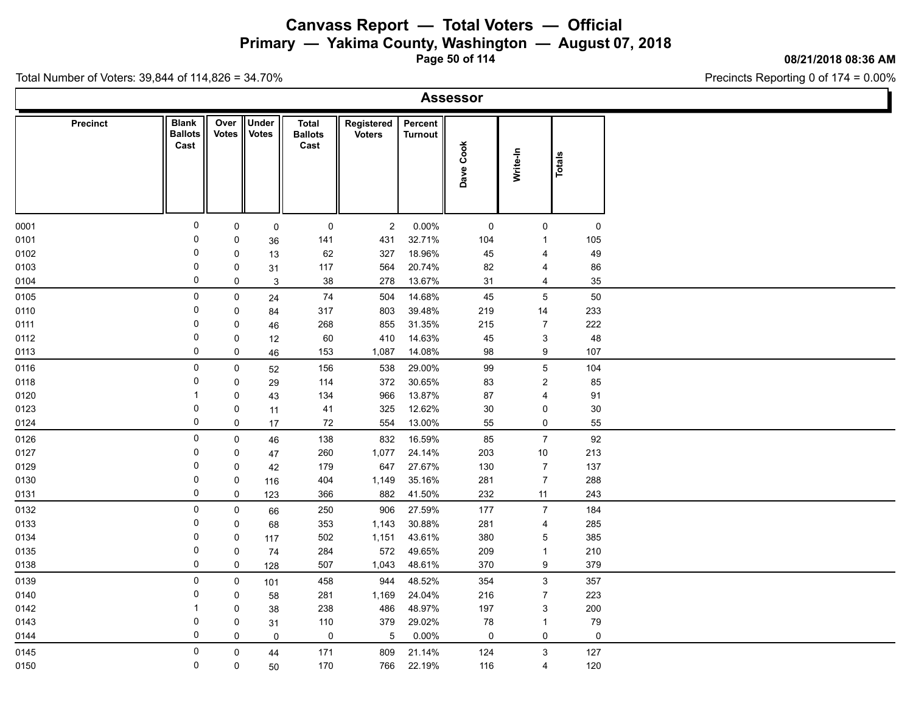**Primary — Yakima County, Washington — August 07, 2018**

**Page 50 of 114**

### **08/21/2018 08:36 AM**

Precincts Reporting 0 of 174 = 0.00%

|  | Assessor |  |  |
|--|----------|--|--|
|  |          |  |  |

| Precinct | <b>Blank</b><br><b>Ballots</b><br>Cast | Over<br><b>Votes</b> | Under<br><b>Votes</b> | <b>Total</b><br><b>Ballots</b><br>Cast | Registered<br><b>Voters</b> | Percent<br>Turnout | Dave Cook | Write-In                  | Totals      |
|----------|----------------------------------------|----------------------|-----------------------|----------------------------------------|-----------------------------|--------------------|-----------|---------------------------|-------------|
|          |                                        |                      |                       |                                        |                             |                    |           |                           |             |
| 0001     | $\mathbf 0$                            | 0                    | $\mathbf 0$           | $\mathsf{O}$                           | $\overline{2}$              | $0.00\%$           | 0         | $\mathbf 0$               | $\mathbf 0$ |
| 0101     | 0                                      | 0                    | 36                    | 141                                    | 431                         | 32.71%             | 104       | $\mathbf{1}$              | 105         |
| 0102     | 0                                      | $\mathsf 0$          | 13                    | 62                                     | 327                         | 18.96%             | 45        | $\overline{\mathbf{4}}$   | 49          |
| 0103     | 0                                      | $\mathsf 0$          | 31                    | 117                                    | 564                         | 20.74%             | 82        | 4                         | 86          |
| 0104     | $\mathbf 0$                            | $\mathbf 0$          | $\mathbf{3}$          | 38                                     | 278                         | 13.67%             | 31        | $\overline{4}$            | 35          |
| 0105     | 0                                      | $\pmb{0}$            | 24                    | $\bf 74$                               | 504                         | 14.68%             | 45        | $\overline{5}$            | 50          |
| 0110     | 0                                      | $\mathbf 0$          | 84                    | 317                                    | 803                         | 39.48%             | 219       | 14                        | 233         |
| 0111     | $\mathbf 0$                            | $\mathbf 0$          | 46                    | 268                                    | 855                         | 31.35%             | 215       | $\overline{7}$            | 222         |
| 0112     | 0                                      | $\mathbf 0$          | 12                    | 60                                     | 410                         | 14.63%             | 45        | $\ensuremath{\mathsf{3}}$ | 48          |
| 0113     | $\mathbf 0$                            | $\pmb{0}$            | 46                    | 153                                    | 1,087                       | 14.08%             | 98        | $\boldsymbol{9}$          | 107         |
| 0116     | 0                                      | $\mathsf 0$          | 52                    | 156                                    | 538                         | 29.00%             | 99        | $\sqrt{5}$                | 104         |
| 0118     | 0                                      | $\mathbf 0$          | 29                    | 114                                    | 372                         | 30.65%             | 83        | $\overline{2}$            | 85          |
| 0120     | $\overline{1}$                         | $\mathsf 0$          | 43                    | 134                                    | 966                         | 13.87%             | 87        | $\overline{4}$            | 91          |
| 0123     | 0                                      | $\mathsf 0$          | 11                    | 41                                     | 325                         | 12.62%             | $30\,$    | 0                         | 30          |
| 0124     | $\mathbf 0$                            | $\mathbf 0$          | 17                    | 72                                     | 554                         | 13.00%             | 55        | $\mathbf 0$               | 55          |
| 0126     | 0                                      | $\mathsf 0$          | 46                    | 138                                    | 832                         | 16.59%             | 85        | $\overline{7}$            | 92          |
| 0127     | $\mathbf 0$                            | 0                    | $47\,$                | 260                                    | 1,077                       | 24.14%             | 203       | $10\,$                    | 213         |
| 0129     | 0                                      | $\mathsf 0$          | 42                    | 179                                    | 647                         | 27.67%             | 130       | $\boldsymbol{7}$          | 137         |
| 0130     | 0                                      | $\mathsf 0$          | 116                   | 404                                    | 1,149                       | 35.16%             | 281       | $\overline{7}$            | 288         |
| 0131     | $\mathbf 0$                            | $\pmb{0}$            | 123                   | 366                                    | 882                         | 41.50%             | 232       | 11                        | 243         |
| 0132     | 0                                      | $\mathsf 0$          | 66                    | 250                                    | 906                         | 27.59%             | 177       | $\overline{7}$            | 184         |
| 0133     | 0                                      | $\mathbf 0$          | 68                    | 353                                    | 1,143                       | 30.88%             | 281       | $\overline{\mathbf{4}}$   | 285         |
| 0134     | 0                                      | $\mathbf 0$          | 117                   | 502                                    | 1,151                       | 43.61%             | 380       | $\mathbf 5$               | 385         |
| 0135     | 0                                      | $\mathsf 0$          | 74                    | 284                                    | 572                         | 49.65%             | 209       | $\mathbf{1}$              | 210         |
| 0138     | $\mathbf 0$                            | $\pmb{0}$            | 128                   | 507                                    | 1,043                       | 48.61%             | 370       | $\boldsymbol{9}$          | 379         |
| 0139     | 0                                      | $\mathsf 0$          | 101                   | 458                                    | 944                         | 48.52%             | 354       | $\mathsf 3$               | 357         |
| 0140     | 0                                      | $\mathbf 0$          | 58                    | 281                                    | 1,169                       | 24.04%             | 216       | $\overline{7}$            | 223         |
| 0142     | -1                                     | 0                    | 38                    | 238                                    | 486                         | 48.97%             | 197       | $\mathbf{3}$              | 200         |
| 0143     | 0                                      | $\pmb{0}$            | 31                    | 110                                    | 379                         | 29.02%             | 78        | $\mathbf{1}$              | 79          |
| 0144     | 0                                      | $\mathbf 0$          | $\pmb{0}$             | $\mathsf{O}$                           | $\,$ 5 $\,$                 | 0.00%              | 0         | $\mathbf 0$               | $\pmb{0}$   |
| 0145     | 0                                      | $\mathsf 0$          | 44                    | 171                                    | 809                         | 21.14%             | 124       | $\ensuremath{\mathsf{3}}$ | 127         |
| 0150     | $\mathbf 0$                            | $\mathbf 0$          | 50                    | 170                                    | 766                         | 22.19%             | 116       | $\overline{4}$            | 120         |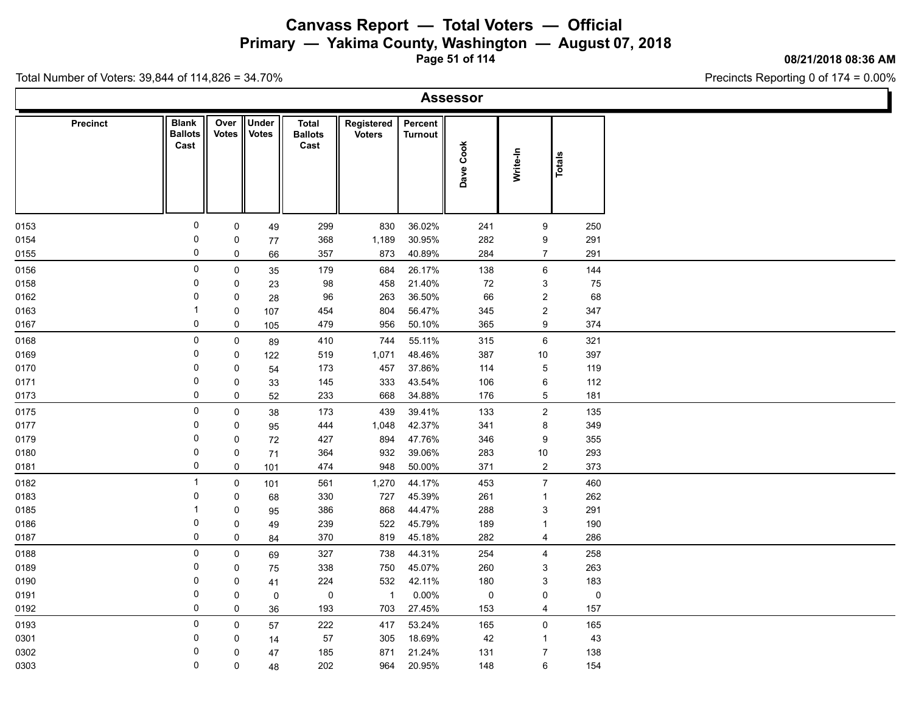**Primary — Yakima County, Washington — August 07, 2018**

**Page 51 of 114**

**08/21/2018 08:36 AM**

Precincts Reporting 0 of 174 = 0.00%

|  | Assessor |  |  |
|--|----------|--|--|
|  |          |  |  |

|      | Precinct | <b>Blank</b><br><b>Ballots</b><br>Cast | Over<br><b>Votes</b> | Under<br><b>Votes</b> | <b>Total</b><br><b>Ballots</b><br>Cast | Registered<br><b>Voters</b> | Percent<br><b>Turnout</b> | Dave Cook   | Write-In                  | Totals    |
|------|----------|----------------------------------------|----------------------|-----------------------|----------------------------------------|-----------------------------|---------------------------|-------------|---------------------------|-----------|
| 0153 |          | 0                                      | $\mathbf 0$          | 49                    | 299                                    | 830                         | 36.02%                    | 241         | $\boldsymbol{9}$          | 250       |
| 0154 |          | 0                                      | 0                    | 77                    | 368                                    | 1,189                       | 30.95%                    | 282         | 9                         | 291       |
| 0155 |          | 0                                      | $\mathbf 0$          | 66                    | 357                                    | 873                         | 40.89%                    | 284         | $\overline{7}$            | 291       |
| 0156 |          | 0                                      | $\mathbf 0$          | 35                    | 179                                    | 684                         | 26.17%                    | 138         | 6                         | 144       |
| 0158 |          | 0                                      | $\mathbf 0$          | 23                    | 98                                     | 458                         | 21.40%                    | 72          | $\ensuremath{\mathsf{3}}$ | 75        |
| 0162 |          | 0                                      | $\mathbf 0$          | 28                    | 96                                     | 263                         | 36.50%                    | 66          | $\boldsymbol{2}$          | 68        |
| 0163 |          | $\mathbf{1}$                           | $\pmb{0}$            | 107                   | 454                                    | 804                         | 56.47%                    | 345         | $\boldsymbol{2}$          | 347       |
| 0167 |          | 0                                      | $\mathbf 0$          | 105                   | 479                                    | 956                         | 50.10%                    | 365         | $\boldsymbol{9}$          | 374       |
| 0168 |          | 0                                      | $\mathbf 0$          | 89                    | 410                                    | 744                         | 55.11%                    | 315         | $\,6\,$                   | 321       |
| 0169 |          | 0                                      | $\mathbf 0$          | 122                   | 519                                    | 1,071                       | 48.46%                    | 387         | $10$                      | 397       |
| 0170 |          | 0                                      | $\mathbf 0$          | 54                    | 173                                    | 457                         | 37.86%                    | 114         | $\overline{5}$            | 119       |
| 0171 |          | 0                                      | $\mathbf 0$          | 33                    | 145                                    | 333                         | 43.54%                    | 106         | $\,6\,$                   | 112       |
| 0173 |          | 0                                      | $\mathbf 0$          | 52                    | 233                                    | 668                         | 34.88%                    | 176         | $\mathbf 5$               | 181       |
| 0175 |          | 0                                      | $\mathbf 0$          | 38                    | 173                                    | 439                         | 39.41%                    | 133         | $\overline{2}$            | 135       |
| 0177 |          | 0                                      | $\mathbf 0$          | 95                    | 444                                    | 1,048                       | 42.37%                    | 341         | $\bf 8$                   | 349       |
| 0179 |          | 0                                      | $\mathbf 0$          | 72                    | 427                                    | 894                         | 47.76%                    | 346         | $\boldsymbol{9}$          | 355       |
| 0180 |          | 0                                      | $\mathbf 0$          | 71                    | 364                                    | 932                         | 39.06%                    | 283         | $10$                      | 293       |
| 0181 |          | 0                                      | $\pmb{0}$            | 101                   | 474                                    | 948                         | 50.00%                    | 371         | $\boldsymbol{2}$          | 373       |
| 0182 |          | $\mathbf{1}$                           | $\mathbf 0$          | 101                   | 561                                    | 1,270                       | 44.17%                    | 453         | $\overline{7}$            | 460       |
| 0183 |          | 0                                      | $\mathbf 0$          | 68                    | 330                                    | 727                         | 45.39%                    | 261         | $\mathbf{1}$              | 262       |
| 0185 |          | $\mathbf{1}$                           | $\mathbf 0$          | 95                    | 386                                    | 868                         | 44.47%                    | 288         | $\mathbf{3}$              | 291       |
| 0186 |          | 0                                      | $\pmb{0}$            | 49                    | 239                                    | 522                         | 45.79%                    | 189         | $\mathbf{1}$              | 190       |
| 0187 |          | 0                                      | $\mathbf 0$          | 84                    | 370                                    | 819                         | 45.18%                    | 282         | $\overline{4}$            | 286       |
| 0188 |          | 0                                      | $\mathbf 0$          | 69                    | 327                                    | 738                         | 44.31%                    | 254         | $\overline{4}$            | 258       |
| 0189 |          | 0                                      | 0                    | 75                    | 338                                    | 750                         | 45.07%                    | 260         | $\ensuremath{\mathsf{3}}$ | 263       |
| 0190 |          | 0                                      | $\mathbf 0$          | 41                    | 224                                    | 532                         | 42.11%                    | 180         | $\ensuremath{\mathsf{3}}$ | 183       |
| 0191 |          | 0                                      | $\mathbf 0$          | $\mathbf 0$           | $\pmb{0}$                              | $\mathbf{1}$                | $0.00\%$                  | $\mathsf 0$ | 0                         | $\pmb{0}$ |
| 0192 |          | 0                                      | $\mathbf 0$          | 36                    | 193                                    | 703                         | 27.45%                    | 153         | $\overline{4}$            | 157       |
| 0193 |          | 0                                      | $\mathbf 0$          | 57                    | 222                                    | 417                         | 53.24%                    | 165         | $\mathsf 0$               | 165       |
| 0301 |          | 0                                      | 0                    | 14                    | 57                                     | 305                         | 18.69%                    | 42          | $\mathbf{1}$              | 43        |
| 0302 |          | 0                                      | $\Omega$             | 47                    | 185                                    | 871                         | 21.24%                    | 131         | $\boldsymbol{7}$          | 138       |
| 0303 |          | 0                                      | $\mathbf 0$          | 48                    | 202                                    | 964                         | 20.95%                    | 148         | $\,6\,$                   | 154       |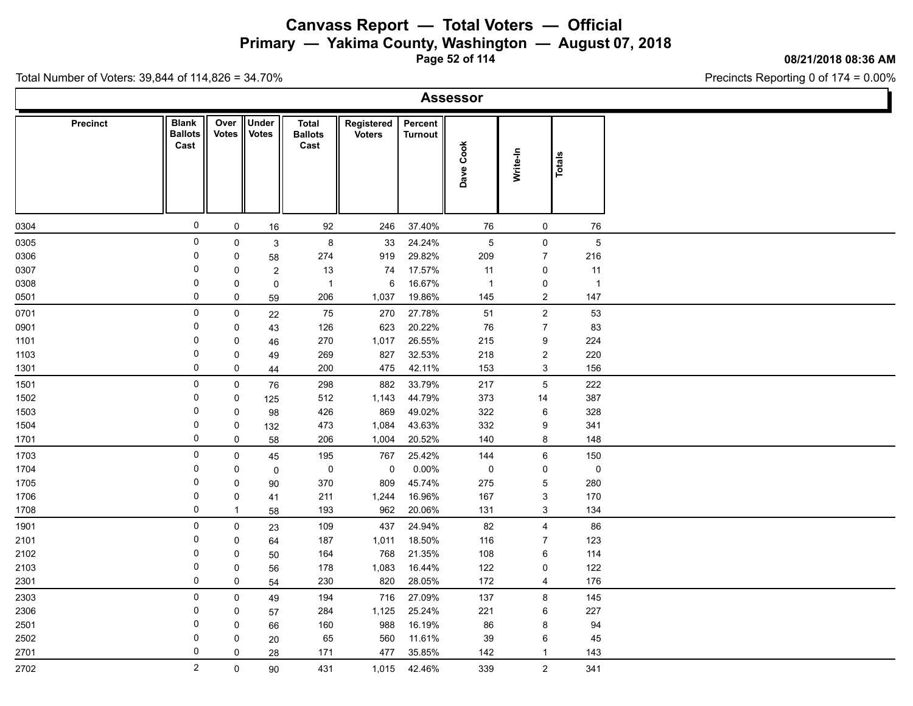**Primary — Yakima County, Washington — August 07, 2018**

**Page 52 of 114**

**08/21/2018 08:36 AM**

Precincts Reporting 0 of 174 = 0.00%

| <b>Precinct</b> | <b>Blank</b><br><b>Ballots</b><br>Cast | Over<br><b>Votes</b> | Under<br><b>Votes</b> | <b>Total</b><br><b>Ballots</b><br>Cast | Registered<br><b>Voters</b> | Percent<br><b>Turnout</b> | Dave Cook           | Write-In                  | Totals |                |  |  |  |
|-----------------|----------------------------------------|----------------------|-----------------------|----------------------------------------|-----------------------------|---------------------------|---------------------|---------------------------|--------|----------------|--|--|--|
| 0304            | $\mathsf{O}\xspace$                    | $\mathbf 0$          | $16\,$                | 92                                     | 246                         | 37.40%                    | 76                  | $\mathbf 0$               | 76     |                |  |  |  |
| 0305            | $\pmb{0}$                              | $\mathbf 0$          | $\mathbf{3}$          | 8                                      | 33                          | 24.24%                    | $\,$ 5 $\,$         | $\pmb{0}$                 |        | $\overline{5}$ |  |  |  |
| 0306            | 0                                      | $\mathbf 0$          | 58                    | 274                                    | 919                         | 29.82%                    | 209                 | $\overline{7}$            | 216    |                |  |  |  |
| 0307            | 0                                      | $\mathbf 0$          | $\overline{c}$        | 13                                     | 74                          | 17.57%                    | 11                  | $\mathbf 0$               | 11     |                |  |  |  |
| 0308            | 0                                      | $\pmb{0}$            | $\pmb{0}$             | $\overline{1}$                         | 6                           | 16.67%                    | $\overline{1}$      | $\pmb{0}$                 |        | $\overline{1}$ |  |  |  |
| 0501            | $\mathbf 0$                            | $\pmb{0}$            | 59                    | 206                                    | 1,037                       | 19.86%                    | 145                 | $\sqrt{2}$                | 147    |                |  |  |  |
| 0701            | $\pmb{0}$                              | $\mathsf 0$          | 22                    | 75                                     | 270                         | 27.78%                    | 51                  | $\mathbf 2$               | 53     |                |  |  |  |
| 0901            | $\mathsf 0$                            | $\mathbf 0$          | 43                    | 126                                    | 623                         | 20.22%                    | 76                  | $\overline{7}$            | 83     |                |  |  |  |
| 1101            | 0                                      | $\pmb{0}$            | 46                    | 270                                    | 1,017                       | 26.55%                    | 215                 | $\boldsymbol{9}$          | 224    |                |  |  |  |
| 1103            | $\mathsf 0$                            | $\pmb{0}$            | 49                    | 269                                    | 827                         | 32.53%                    | 218                 | $\sqrt{2}$                | 220    |                |  |  |  |
| 1301            | $\mathsf 0$                            | $\mathsf 0$          | 44                    | 200                                    | 475                         | 42.11%                    | 153                 | $\mathbf{3}$              | 156    |                |  |  |  |
| 1501            | 0                                      | $\mathsf 0$          | 76                    | 298                                    | 882                         | 33.79%                    | 217                 | $\mathbf 5$               | 222    |                |  |  |  |
| 1502            | 0                                      | $\pmb{0}$            | 125                   | 512                                    | 1,143                       | 44.79%                    | 373                 | 14                        | 387    |                |  |  |  |
| 1503            | 0                                      | $\pmb{0}$            | 98                    | 426                                    | 869                         | 49.02%                    | 322                 | $\,6\,$                   | 328    |                |  |  |  |
| 1504            | 0                                      | $\pmb{0}$            | 132                   | 473                                    | 1,084                       | 43.63%                    | 332                 | $\boldsymbol{9}$          | 341    |                |  |  |  |
| 1701            | $\mathsf 0$                            | $\mathbf 0$          | 58                    | 206                                    | 1,004                       | 20.52%                    | 140                 | 8                         | 148    |                |  |  |  |
| 1703            | $\pmb{0}$                              | $\mathsf 0$          | 45                    | 195                                    | 767                         | 25.42%                    | 144                 | $\,6\,$                   | 150    |                |  |  |  |
| 1704            | 0                                      | $\mathbf 0$          | $\mathsf 0$           | $\mathsf 0$                            | 0                           | 0.00%                     | $\mathsf{O}\xspace$ | $\mathbf 0$               |        | $\mathbf 0$    |  |  |  |
| 1705            | 0                                      | $\pmb{0}$            | 90                    | 370                                    | 809                         | 45.74%                    | 275                 | $\sqrt{5}$                | 280    |                |  |  |  |
| 1706            | $\pmb{0}$                              | $\pmb{0}$            | 41                    | 211                                    | 1,244                       | 16.96%                    | 167                 | $\ensuremath{\mathsf{3}}$ | 170    |                |  |  |  |
| 1708            | $\mathsf 0$                            | $\mathbf{1}$         | 58                    | 193                                    | 962                         | 20.06%                    | 131                 | $\sqrt{3}$                | 134    |                |  |  |  |
| 1901            | $\pmb{0}$                              | $\mathsf{O}$         | 23                    | 109                                    | 437                         | 24.94%                    | 82                  | $\overline{\mathbf{4}}$   | 86     |                |  |  |  |
| 2101            | 0                                      | $\mathbf 0$          | 64                    | 187                                    | 1,011                       | 18.50%                    | 116                 | $\overline{7}$            | 123    |                |  |  |  |
| 2102            | $\mathsf 0$                            | $\mathbf 0$          | 50                    | 164                                    | 768                         | 21.35%                    | 108                 | $\,6\,$                   | 114    |                |  |  |  |
| 2103            | 0                                      | $\pmb{0}$            | 56                    | 178                                    | 1,083                       | 16.44%                    | 122                 | 0                         | 122    |                |  |  |  |
| 2301            | $\mathsf 0$                            | $\mathsf 0$          | 54                    | 230                                    | 820                         | 28.05%                    | 172                 | 4                         | 176    |                |  |  |  |
| 2303            | $\pmb{0}$                              | $\mathsf 0$          | 49                    | 194                                    | 716                         | 27.09%                    | 137                 | $\bf 8$                   | 145    |                |  |  |  |
| 2306            | 0                                      | $\pmb{0}$            | 57                    | 284                                    | 1,125                       | 25.24%                    | 221                 | $\,6\,$                   | 227    |                |  |  |  |
| 2501            | 0                                      | $\pmb{0}$            | 66                    | 160                                    | 988                         | 16.19%                    | 86                  | $\bf 8$                   | 94     |                |  |  |  |
| 2502            | 0                                      | $\pmb{0}$            | 20                    | 65                                     | 560                         | 11.61%                    | 39                  | $\,6\,$                   |        | 45             |  |  |  |
| 2701            | $\mathsf 0$                            | 0                    | 28                    | 171                                    | 477                         | 35.85%                    | 142                 | $\mathbf{1}$              | 143    |                |  |  |  |
| 2702            | $\overline{2}$                         | $\pmb{0}$            | 90                    | 431                                    | 1,015                       | 42.46%                    | 339                 | $\sqrt{2}$                | 341    |                |  |  |  |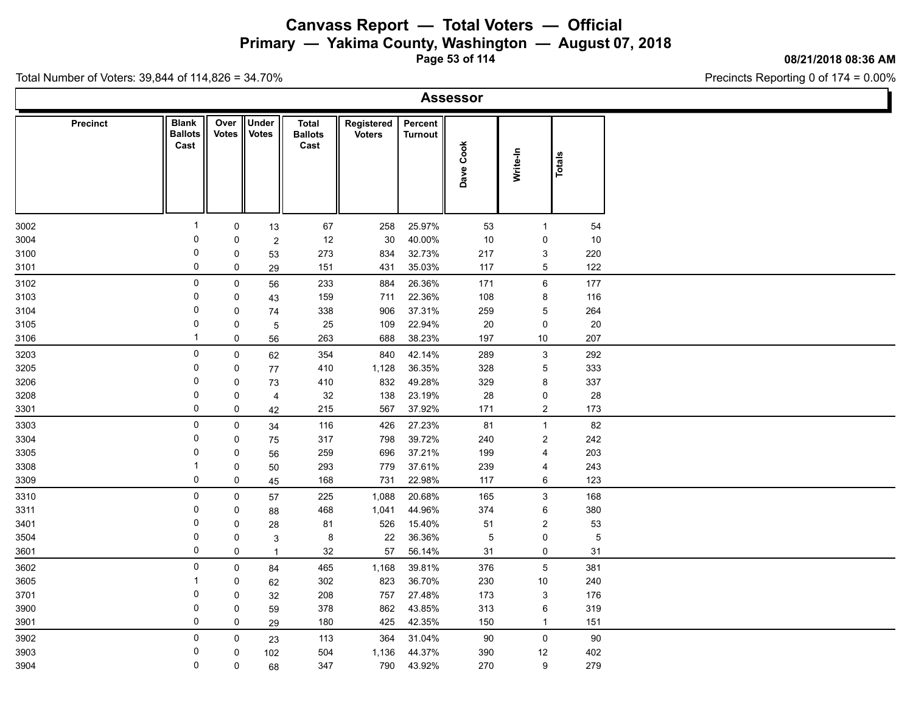**Primary — Yakima County, Washington — August 07, 2018**

**Page 53 of 114**

### **08/21/2018 08:36 AM**

Precincts Reporting 0 of 174 = 0.00%

|  | Assessor |  |  |
|--|----------|--|--|
|  |          |  |  |

| <b>Precinct</b> | <b>Blank</b><br><b>Ballots</b><br>Cast | Over<br><b>Votes</b> | Under<br><b>Votes</b> | <b>Total</b><br><b>Ballots</b><br>Cast | Registered<br><b>Voters</b> | Percent<br>Turnout | Dave Cook   | Write-In         | Totals         |
|-----------------|----------------------------------------|----------------------|-----------------------|----------------------------------------|-----------------------------|--------------------|-------------|------------------|----------------|
|                 |                                        |                      |                       |                                        |                             |                    |             |                  |                |
| 3002            | $\overline{\mathbf{1}}$                | 0                    | 13                    | 67                                     | 258                         | 25.97%             | 53          | $\mathbf{1}$     | 54             |
| 3004            | 0                                      | 0                    | $\sqrt{2}$            | 12                                     | 30                          | 40.00%             | 10          | $\mathbf 0$      | 10             |
| 3100            | 0                                      | $\mathsf 0$          | 53                    | 273                                    | 834                         | 32.73%             | 217         | $\mathbf{3}$     | 220            |
| 3101            | 0                                      | $\mathbf 0$          | 29                    | 151                                    | 431                         | 35.03%             | 117         | $\mathbf 5$      | 122            |
| 3102            | 0                                      | $\pmb{0}$            | 56                    | 233                                    | 884                         | 26.36%             | 171         | $\,6\,$          | 177            |
| 3103            | 0                                      | $\mathbf 0$          | 43                    | 159                                    | 711                         | 22.36%             | 108         | $\bf 8$          | 116            |
| 3104            | 0                                      | $\mathbf 0$          | 74                    | 338                                    | 906                         | 37.31%             | 259         | $\mathbf 5$      | 264            |
| 3105            | 0                                      | $\mathsf 0$          | $\overline{5}$        | 25                                     | 109                         | 22.94%             | $20\,$      | $\pmb{0}$        | 20             |
| 3106            | $\overline{1}$                         | $\pmb{0}$            | 56                    | 263                                    | 688                         | 38.23%             | 197         | 10               | 207            |
| 3203            | 0                                      | $\mathsf 0$          | 62                    | 354                                    | 840                         | 42.14%             | 289         | $\mathbf{3}$     | 292            |
| 3205            | 0                                      | $\mathsf 0$          | $77\,$                | 410                                    | 1,128                       | 36.35%             | 328         | $\overline{5}$   | 333            |
| 3206            | 0                                      | $\mathbf 0$          | 73                    | 410                                    | 832                         | 49.28%             | 329         | 8                | 337            |
| 3208            | 0                                      | $\mathsf 0$          | $\overline{4}$        | 32                                     | 138                         | 23.19%             | 28          | $\pmb{0}$        | 28             |
| 3301            | 0                                      | $\mathbf 0$          | 42                    | 215                                    | 567                         | 37.92%             | 171         | $\overline{c}$   | 173            |
| 3303            | 0                                      | $\mathsf 0$          | 34                    | 116                                    | 426                         | 27.23%             | 81          | $\mathbf{1}$     | 82             |
| 3304            | 0                                      | $\mathbf 0$          | 75                    | 317                                    | 798                         | 39.72%             | 240         | $\sqrt{2}$       | 242            |
| 3305            | 0                                      | 0                    | 56                    | 259                                    | 696                         | 37.21%             | 199         | $\overline{4}$   | 203            |
| 3308            | -1                                     | $\mathsf 0$          | 50                    | 293                                    | 779                         | 37.61%             | 239         | $\overline{4}$   | 243            |
| 3309            | 0                                      | $\mathsf 0$          | 45                    | 168                                    | 731                         | 22.98%             | 117         | 6                | 123            |
| 3310            | 0                                      | $\mathsf 0$          | 57                    | 225                                    | 1,088                       | 20.68%             | 165         | $\mathbf{3}$     | 168            |
| 3311            | 0                                      | $\mathsf 0$          | 88                    | 468                                    | 1,041                       | 44.96%             | 374         | $\,6$            | 380            |
| 3401            | 0                                      | $\mathbf 0$          | 28                    | 81                                     | 526                         | 15.40%             | 51          | $\boldsymbol{2}$ | 53             |
| 3504            | 0                                      | $\mathbf 0$          | $\mathbf{3}$          | 8                                      | 22                          | 36.36%             | $\,$ 5 $\,$ | 0                | $\overline{5}$ |
| 3601            | 0                                      | $\mathbf 0$          | $\overline{1}$        | 32                                     | 57                          | 56.14%             | 31          | $\mathsf 0$      | 31             |
| 3602            | 0                                      | $\mathsf 0$          | 84                    | 465                                    | 1,168                       | 39.81%             | 376         | $\overline{5}$   | 381            |
| 3605            | -1                                     | $\mathsf 0$          | 62                    | 302                                    | 823                         | 36.70%             | 230         | $10\,$           | 240            |
| 3701            | 0                                      | $\mathbf 0$          | 32                    | 208                                    | 757                         | 27.48%             | 173         | 3                | 176            |
| 3900            | 0                                      | $\mathsf 0$          | 59                    | 378                                    | 862                         | 43.85%             | 313         | 6                | 319            |
| 3901            | 0                                      | $\mathsf 0$          | 29                    | 180                                    | 425                         | 42.35%             | 150         | $\mathbf{1}$     | 151            |
|                 | 0                                      | $\mathbf 0$          |                       |                                        | 364                         | 31.04%             | $90\,$      | $\mathsf 0$      |                |
| 3902            | 0                                      |                      | 23                    | 113                                    |                             |                    |             |                  | $90\,$         |
| 3903            | $\mathbf 0$                            | $\pmb{0}$            | 102                   | 504                                    | 1,136                       | 44.37%             | 390         | 12               | 402            |
| 3904            |                                        | $\mathbf 0$          | 68                    | 347                                    | 790                         | 43.92%             | 270         | $\boldsymbol{9}$ | 279            |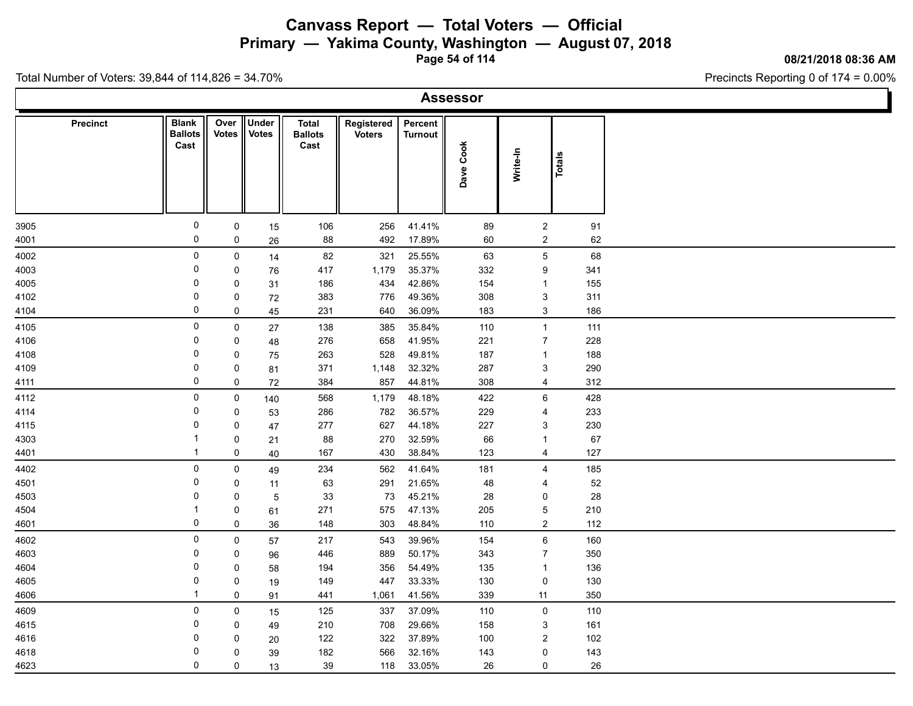**Primary — Yakima County, Washington — August 07, 2018**

**Page 54 of 114**

**08/21/2018 08:36 AM**

Precincts Reporting 0 of 174 = 0.00%

|  | Assessor |  |  |
|--|----------|--|--|
|  |          |  |  |

| Dave Cook<br>Write-In<br><b>Totals</b>                                                                                                                           |
|------------------------------------------------------------------------------------------------------------------------------------------------------------------|
|                                                                                                                                                                  |
| 0<br>256<br>41.41%<br>89<br>$\overline{2}$<br>$\mathsf 0$<br>106<br>91<br>3905<br>15                                                                             |
| 0<br>17.89%<br>$\boldsymbol{2}$<br>$\mathbf 0$<br>88<br>492<br>60<br>62<br>4001<br>26                                                                            |
| 0<br>25.55%<br>4002<br>82<br>321<br>63<br>$\overline{5}$<br>68<br>0<br>14                                                                                        |
| 35.37%<br>1,179<br>332<br>$\boldsymbol{9}$<br>341<br>4003<br>0<br>$\mathbf 0$<br>417<br>76                                                                       |
| 0<br>434<br>42.86%<br>155<br>$\mathbf 0$<br>186<br>154<br>4005<br>$\mathbf{1}$<br>31                                                                             |
| 0<br>49.36%<br>$\ensuremath{\mathsf{3}}$<br>$\mathsf 0$<br>776<br>308<br>311<br>4102<br>383<br>72                                                                |
| 0<br>36.09%<br>$\sqrt{3}$<br>$\mathbf 0$<br>640<br>186<br>4104<br>45<br>231<br>183                                                                               |
| 0<br>$\mathsf 0$<br>138<br>385<br>35.84%<br>110<br>$\mathbf{1}$<br>111<br>4105<br>27                                                                             |
| 0<br>658<br>41.95%<br>$\overline{7}$<br>228<br>4106<br>$\mathbf 0$<br>276<br>221<br>48                                                                           |
| $\mathbf 0$<br>528<br>49.81%<br>$\mathsf 0$<br>263<br>187<br>188<br>4108<br>75<br>$\mathbf{1}$                                                                   |
| 0<br>$\mathsf 0$<br>371<br>1,148<br>32.32%<br>287<br>$\ensuremath{\mathsf{3}}$<br>290<br>4109<br>81                                                              |
| 0<br>$\mathbf 0$<br>384<br>857<br>44.81%<br>308<br>$\overline{4}$<br>312<br>4111<br>$72\,$                                                                       |
| 0<br>48.18%<br>$\,6\,$<br>$\mathsf 0$<br>568<br>1,179<br>422<br>428<br>4112<br>140                                                                               |
| 782<br>36.57%<br>0<br>$\mathsf 0$<br>286<br>229<br>233<br>4114<br>$\overline{4}$<br>53                                                                           |
| 44.18%<br>0<br>$\mathbf 0$<br>277<br>627<br>227<br>$\ensuremath{\mathsf{3}}$<br>230<br>4115<br>47                                                                |
| 32.59%<br>88<br>270<br>66<br>67<br>-1<br>0<br>$\mathbf{1}$<br>4303<br>21<br>$\mathbf 1$                                                                          |
| 38.84%<br>$\mathbf 0$<br>430<br>123<br>127<br>4401<br>40<br>167<br>$\overline{4}$                                                                                |
| 0<br>41.64%<br>4402<br>562<br>$\overline{4}$<br>185<br>0<br>234<br>181<br>49                                                                                     |
| 21.65%<br>0<br>291<br>52<br>4501<br>0<br>63<br>48<br>$\overline{4}$<br>11                                                                                        |
| 0<br>73<br>45.21%<br>$\mathbf 0$<br>33<br>28<br>28<br>4503<br>5<br>0<br>47.13%<br>$\mathbf 1$                                                                    |
| $\mathbf 5$<br>$\mathsf 0$<br>271<br>575<br>205<br>210<br>4504<br>61<br>0<br>48.84%<br>$\boldsymbol{2}$<br>$\mathbf 0$<br>148<br>303<br>110<br>112<br>4601<br>36 |
|                                                                                                                                                                  |
| $\,6\,$<br>0<br>39.96%<br>160<br>$\mathsf 0$<br>543<br>154<br>4602<br>217<br>57<br>0<br>50.17%<br>$\overline{7}$<br>4603<br>$\mathbf 0$<br>889<br>343<br>350     |
| 446<br>96<br>54.49%<br>4604<br>0<br>194<br>356<br>135<br>136<br>0<br>58<br>$\mathbf{1}$                                                                          |
| 33.33%<br>0<br>$\mathsf 0$<br>149<br>447<br>130<br>$\mathsf 0$<br>130<br>4605<br>19                                                                              |
| $\overline{1}$<br>41.56%<br>$\mathbf 0$<br>441<br>1,061<br>339<br>11<br>350<br>4606<br>91                                                                        |
| 37.09%<br>$\mathbf 0$<br>4609<br>0<br>$\mathsf 0$<br>125<br>337<br>110<br>110                                                                                    |
| 15<br>708<br>29.66%<br>4615<br>0<br>$\mathsf 0$<br>210<br>158<br>$\mathsf 3$<br>161<br>49                                                                        |
| 37.89%<br>$\boldsymbol{2}$<br>0<br>$\mathsf 0$<br>122<br>322<br>100<br>102<br>4616<br>20                                                                         |
| 0<br>32.16%<br>0<br>143<br>4618<br>0<br>182<br>566<br>143<br>39                                                                                                  |
| $\mathbf 0$<br>$\mathbf 0$<br>4623<br>39<br>118<br>33.05%<br>26<br>$\mathbf 0$<br>26<br>13                                                                       |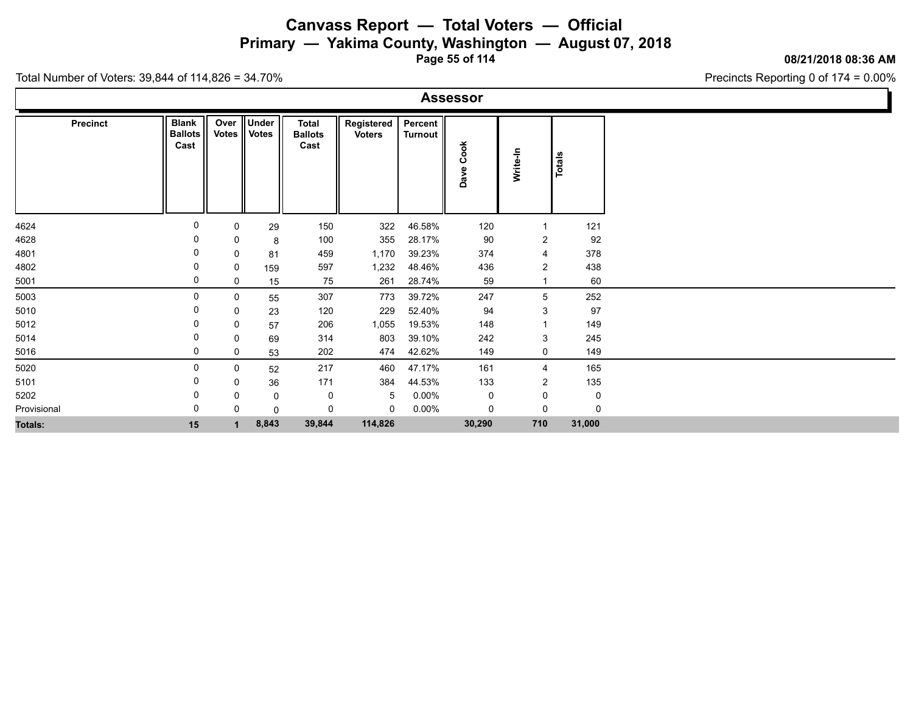**Primary — Yakima County, Washington — August 07, 2018**

**Page 55 of 114**

### **08/21/2018 08:36 AM**

Precincts Reporting 0 of 174 = 0.00%

|  | Assessor |  |  |
|--|----------|--|--|
|  |          |  |  |

| Precinct       | <b>Blank</b><br><b>Ballots</b><br>Cast | Over<br><b>Votes</b> | <b>Under</b><br>Votes | <b>Total</b><br><b>Ballots</b><br>Cast | Registered<br><b>Voters</b> | Percent<br><b>Turnout</b> | Cook<br>Dave | Write-In       | <b>Totals</b> |
|----------------|----------------------------------------|----------------------|-----------------------|----------------------------------------|-----------------------------|---------------------------|--------------|----------------|---------------|
|                |                                        |                      |                       |                                        |                             |                           |              |                |               |
| 4624           | 0                                      | 0                    | 29                    | 150                                    | 322                         | 46.58%                    | 120          | -1             | 121           |
| 4628           | 0                                      | 0                    | 8                     | 100                                    | 355                         | 28.17%                    | 90           | $\overline{2}$ | 92            |
| 4801           | 0                                      | 0                    | 81                    | 459                                    | 1,170                       | 39.23%                    | 374          | $\overline{4}$ | 378           |
| 4802           | 0                                      | 0                    | 159                   | 597                                    | 1,232                       | 48.46%                    | 436          | $\overline{c}$ | 438           |
| 5001           | 0                                      | 0                    | 15                    | 75                                     | 261                         | 28.74%                    | 59           |                | 60            |
| 5003           | 0                                      | 0                    | 55                    | 307                                    | 773                         | 39.72%                    | 247          | 5              | 252           |
| 5010           | 0                                      | 0                    | 23                    | 120                                    | 229                         | 52.40%                    | 94           | 3              | 97            |
| 5012           | 0                                      | 0                    | 57                    | 206                                    | 1,055                       | 19.53%                    | 148          | $\overline{1}$ | 149           |
| 5014           | 0                                      | 0                    | 69                    | 314                                    | 803                         | 39.10%                    | 242          | $\mathbf{3}$   | 245           |
| 5016           | 0                                      | 0                    | 53                    | 202                                    | 474                         | 42.62%                    | 149          | $\mathbf 0$    | 149           |
| 5020           | 0                                      | $\mathbf 0$          | 52                    | 217                                    | 460                         | 47.17%                    | 161          | $\overline{4}$ | 165           |
| 5101           | 0                                      | 0                    | 36                    | 171                                    | 384                         | 44.53%                    | 133          | $\overline{c}$ | 135           |
| 5202           | 0                                      | 0                    | $\mathbf 0$           | 0                                      | 5                           | $0.00\%$                  | 0            | 0              | $\mathbf 0$   |
| Provisional    | 0                                      | $\Omega$             | $\mathbf 0$           | 0                                      | 0                           | $0.00\%$                  | 0            | 0              | $\Omega$      |
| <b>Totals:</b> | 15                                     |                      | 8,843                 | 39,844                                 | 114,826                     |                           | 30,290       | 710            | 31,000        |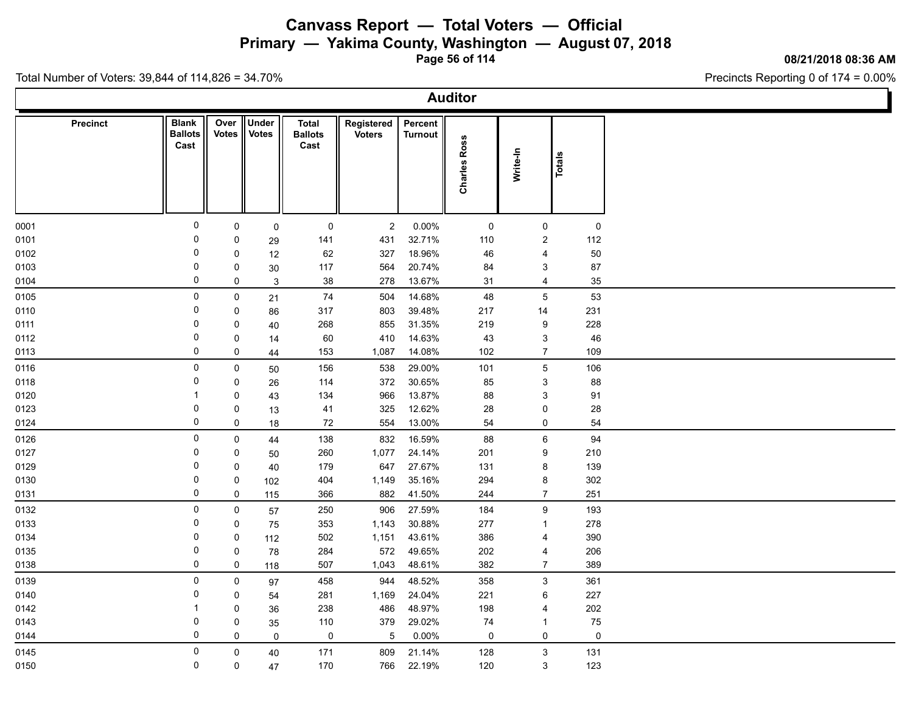**Primary — Yakima County, Washington — August 07, 2018**

**Page 56 of 114**

### **08/21/2018 08:36 AM**

Ъ

Precincts Reporting 0 of 174 = 0.00%

| <b>Auditor</b>  |                                        |                  |                       |                                 |                             |                           |                     |                     |              |  |  |
|-----------------|----------------------------------------|------------------|-----------------------|---------------------------------|-----------------------------|---------------------------|---------------------|---------------------|--------------|--|--|
| <b>Precinct</b> | <b>Blank</b><br><b>Ballots</b><br>Cast | Over II<br>Votes | Under<br><b>Votes</b> | Total<br><b>Ballots</b><br>Cast | Registered<br><b>Voters</b> | Percent<br><b>Turnout</b> | <b>Charles Ross</b> | Write-In            | Totals       |  |  |
| 0001            | 0                                      | $\mathbf 0$      | $\mathsf 0$           | $\mathsf{O}$                    | $\overline{2}$              | $0.00\%$                  | $\mathbf 0$         | $\mathsf 0$         | $\mathsf{O}$ |  |  |
| 0101            | 0                                      | 0                | 29                    | 141                             | 431                         | 32.71%                    | 110                 | $\overline{a}$      | 112          |  |  |
| 0102            | 0                                      | $\mathbf 0$      | 12                    | 62                              | 327                         | 18.96%                    | 46                  | 4                   | 50           |  |  |
| 0103            | 0                                      | 0                | 30                    | 117                             | 564                         | 20.74%                    | 84                  | 3                   | 87           |  |  |
| 0104            | $\mathbf 0$                            | $\mathsf{O}$     | $\mathsf 3$           | 38                              | 278                         | 13.67%                    | 31                  | $\overline{4}$      | 35           |  |  |
| 0105            | $\mathsf{O}$                           | $\mathsf{O}$     | 21                    | 74                              | 504                         | 14.68%                    | 48                  | $\overline{5}$      | 53           |  |  |
| 0110            | 0                                      | 0                | 86                    | 317                             | 803                         | 39.48%                    | 217                 | 14                  | 231          |  |  |
| 0111            | 0                                      | $\mathbf 0$      | 40                    | 268                             | 855                         | 31.35%                    | 219                 | 9                   | 228          |  |  |
| 0112            | 0                                      | 0                | 14                    | 60                              | 410                         | 14.63%                    | 43                  | $\mathbf{3}$        | 46           |  |  |
| 0113            | 0                                      | 0                | 44                    | 153                             | 1,087                       | 14.08%                    | 102                 | $\overline{7}$      | 109          |  |  |
| 0116            | $\mathbf 0$                            | $\mathbf 0$      | 50                    | 156                             | 538                         | 29.00%                    | 101                 | $5\phantom{.0}$     | 106          |  |  |
| 0118            | 0                                      | 0                | 26                    | 114                             | 372                         | 30.65%                    | 85                  | $\mathbf{3}$        | 88           |  |  |
| 0120            | $\overline{1}$                         | $\mathbf 0$      | 43                    | 134                             | 966                         | 13.87%                    | 88                  | $\mathbf{3}$        | 91           |  |  |
| 0123            | 0                                      | 0                | 13                    | 41                              | 325                         | 12.62%                    | 28                  | $\mathsf{O}$        | 28           |  |  |
| 0124            | $\mathbf 0$                            | 0                | 18                    | 72                              | 554                         | 13.00%                    | 54                  | $\mathsf{O}\xspace$ | 54           |  |  |
| 0126            | $\mathbf 0$                            | $\mathsf 0$      | 44                    | 138                             | 832                         | 16.59%                    | 88                  | $\,6\,$             | 94           |  |  |
| 0127            | 0                                      | 0                | 50                    | 260                             | 1,077                       | 24.14%                    | 201                 | 9                   | 210          |  |  |
| 0129            | 0                                      | $\mathbf 0$      | 40                    | 179                             | 647                         | 27.67%                    | 131                 | 8                   | 139          |  |  |
| 0130            | 0                                      | 0                | 102                   | 404                             | 1,149                       | 35.16%                    | 294                 | 8                   | 302          |  |  |
| 0131            | $\mathbf 0$                            | $\mathsf{O}$     | 115                   | 366                             | 882                         | 41.50%                    | 244                 | $\overline{7}$      | 251          |  |  |
| 0132            | $\mathbf 0$                            | $\mathbf 0$      | 57                    | 250                             | 906                         | 27.59%                    | 184                 | $9\,$               | 193          |  |  |
| 0133            | 0                                      | $\mathsf{O}$     | 75                    | 353                             | 1,143                       | 30.88%                    | 277                 | $\mathbf{1}$        | 278          |  |  |
| 0134            | 0                                      | $\mathbf 0$      | 112                   | 502                             | 1,151                       | 43.61%                    | 386                 | 4                   | 390          |  |  |
| 0135            | 0                                      | 0                | 78                    | 284                             | 572                         | 49.65%                    | 202                 | $\overline{4}$      | 206          |  |  |
| 0138            | 0                                      | $\mathbf 0$      | 118                   | 507                             | 1,043                       | 48.61%                    | 382                 | $\overline{7}$      | 389          |  |  |
| 0139            | $\mathbf 0$                            | $\mathbf 0$      | 97                    | 458                             | 944                         | 48.52%                    | 358                 | $\mathbf{3}$        | 361          |  |  |
| 0140            | 0                                      | 0                | 54                    | 281                             | 1,169                       | 24.04%                    | 221                 | 6                   | 227          |  |  |
| 0142            | $\overline{1}$                         | 0                | 36                    | 238                             | 486                         | 48.97%                    | 198                 | $\overline{4}$      | 202          |  |  |
| 0143            | 0                                      | 0                | 35                    | 110                             | 379                         | 29.02%                    | 74                  | $\mathbf{1}$        | 75           |  |  |
| 0144            | 0                                      | $\mathbf 0$      | 0                     | $\mathbf 0$                     | $5\phantom{.0}$             | $0.00\%$                  | $\mathbf 0$         | $\mathsf{O}$        | $\mathsf{O}$ |  |  |
| 0145            | $\mathbf 0$                            | $\mathsf{O}$     | 40                    | 171                             | 809                         | 21.14%                    | 128                 | $\mathbf{3}$        | 131          |  |  |
| 0150            | 0                                      | $\mathbf 0$      | 47                    | 170                             | 766                         | 22.19%                    | 120                 | 3                   | 123          |  |  |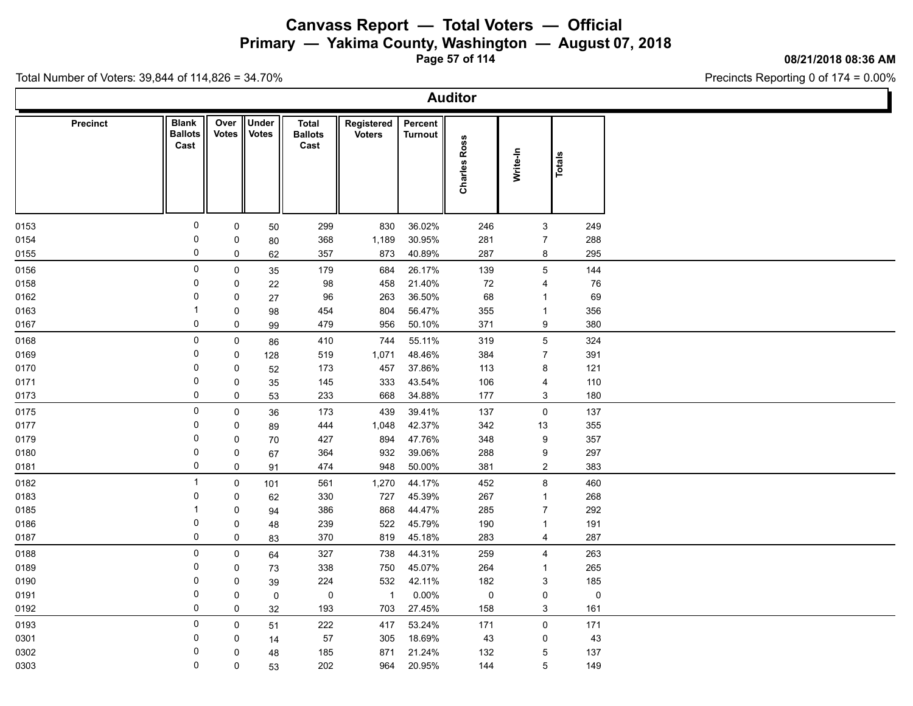**Primary — Yakima County, Washington — August 07, 2018**

**Page 57 of 114**

### **08/21/2018 08:36 AM**

Precincts Reporting 0 of 174 = 0.00%

| <b>Auditor</b>  |                                        |               |                       |                                 |                             |                           |                     |                     |           |  |  |  |
|-----------------|----------------------------------------|---------------|-----------------------|---------------------------------|-----------------------------|---------------------------|---------------------|---------------------|-----------|--|--|--|
| <b>Precinct</b> | <b>Blank</b><br><b>Ballots</b><br>Cast | Over<br>Votes | Under<br><b>Votes</b> | Total<br><b>Ballots</b><br>Cast | Registered<br><b>Voters</b> | Percent<br><b>Turnout</b> | <b>Charles Ross</b> | Write-In            | Totals    |  |  |  |
| 0153            | 0                                      | 0             | 50                    | 299                             | 830                         | 36.02%                    | 246                 | 3                   | 249       |  |  |  |
| 0154            | 0                                      | 0             | 80                    | 368                             | 1,189                       | 30.95%                    | 281                 | $\overline{7}$      | 288       |  |  |  |
| 0155            | 0                                      | 0             | 62                    | 357                             | 873                         | 40.89%                    | 287                 | 8                   | 295       |  |  |  |
| 0156            | 0                                      | $\mathbf 0$   | 35                    | 179                             | 684                         | 26.17%                    | 139                 | $5\phantom{.0}$     | 144       |  |  |  |
| 0158            | $\Omega$                               | 0             | 22                    | 98                              | 458                         | 21.40%                    | 72                  | $\overline{4}$      | 76        |  |  |  |
| 0162            | 0                                      | 0             | 27                    | 96                              | 263                         | 36.50%                    | 68                  | $\mathbf{1}$        | 69        |  |  |  |
| 0163            | -1                                     | 0             | 98                    | 454                             | 804                         | 56.47%                    | 355                 | $\mathbf{1}$        | 356       |  |  |  |
| 0167            | 0                                      | 0             | 99                    | 479                             | 956                         | 50.10%                    | 371                 | 9                   | 380       |  |  |  |
| 0168            | 0                                      | 0             | 86                    | 410                             | 744                         | 55.11%                    | 319                 | $\overline{5}$      | 324       |  |  |  |
| 0169            | 0                                      | 0             | 128                   | 519                             | 1,071                       | 48.46%                    | 384                 | $\overline{7}$      | 391       |  |  |  |
| 0170            | 0                                      | 0             | 52                    | 173                             | 457                         | 37.86%                    | 113                 | 8                   | 121       |  |  |  |
| 0171            | 0                                      | 0             | 35                    | 145                             | 333                         | 43.54%                    | 106                 | 4                   | 110       |  |  |  |
| 0173            | 0                                      | 0             | 53                    | 233                             | 668                         | 34.88%                    | 177                 | 3                   | 180       |  |  |  |
| 0175            | 0                                      | $\pmb{0}$     | 36                    | 173                             | 439                         | 39.41%                    | 137                 | $\mathbf 0$         | 137       |  |  |  |
| 0177            | 0                                      | 0             | 89                    | 444                             | 1,048                       | 42.37%                    | 342                 | 13                  | 355       |  |  |  |
| 0179            | 0                                      | 0             | 70                    | 427                             | 894                         | 47.76%                    | 348                 | 9                   | 357       |  |  |  |
| 0180            | 0                                      | 0             | 67                    | 364                             | 932                         | 39.06%                    | 288                 | 9                   | 297       |  |  |  |
| 0181            | 0                                      | 0             | 91                    | 474                             | 948                         | 50.00%                    | 381                 | $\overline{2}$      | 383       |  |  |  |
| 0182            | $\overline{1}$                         | $\mathbf 0$   | 101                   | 561                             | 1,270                       | 44.17%                    | 452                 | 8                   | 460       |  |  |  |
| 0183            | 0                                      | 0             | 62                    | 330                             | 727                         | 45.39%                    | 267                 | $\mathbf{1}$        | 268       |  |  |  |
| 0185            | $\mathbf 1$                            | 0             | 94                    | 386                             | 868                         | 44.47%                    | 285                 | $\overline{7}$      | 292       |  |  |  |
| 0186            | 0                                      | 0             | 48                    | 239                             | 522                         | 45.79%                    | 190                 | $\mathbf{1}$        | 191       |  |  |  |
| 0187            | 0                                      | 0             | 83                    | 370                             | 819                         | 45.18%                    | 283                 | $\overline{4}$      | 287       |  |  |  |
| 0188            | $\mathbf 0$                            | 0             | 64                    | 327                             | 738                         | 44.31%                    | 259                 | 4                   | 263       |  |  |  |
| 0189            | 0                                      | 0             | 73                    | 338                             | 750                         | 45.07%                    | 264                 | $\mathbf{1}$        | 265       |  |  |  |
| 0190            | 0                                      | 0             | 39                    | 224                             | 532                         | 42.11%                    | 182                 | $\mathbf{3}$        | 185       |  |  |  |
| 0191            | 0                                      | 0             | $\mathbf 0$           | $\pmb{0}$                       | $\overline{1}$              | 0.00%                     | $\mathsf 0$         | $\mathsf{O}\xspace$ | $\pmb{0}$ |  |  |  |
| 0192            | 0                                      | 0             | 32                    | 193                             | 703                         | 27.45%                    | 158                 | 3                   | 161       |  |  |  |
| 0193            | 0                                      | 0             | 51                    | 222                             | 417                         | 53.24%                    | 171                 | $\mathsf{O}$        | 171       |  |  |  |
| 0301            | 0                                      | 0             | 14                    | 57                              | 305                         | 18.69%                    | 43                  | 0                   | 43        |  |  |  |
| 0302            | 0                                      | 0             | 48                    | 185                             | 871                         | 21.24%                    | 132                 | $5\,$               | 137       |  |  |  |
| 0303            | $\mathbf 0$                            | 0             | 53                    | 202                             | 964                         | 20.95%                    | 144                 | 5                   | 149       |  |  |  |
|                 |                                        |               |                       |                                 |                             |                           |                     |                     |           |  |  |  |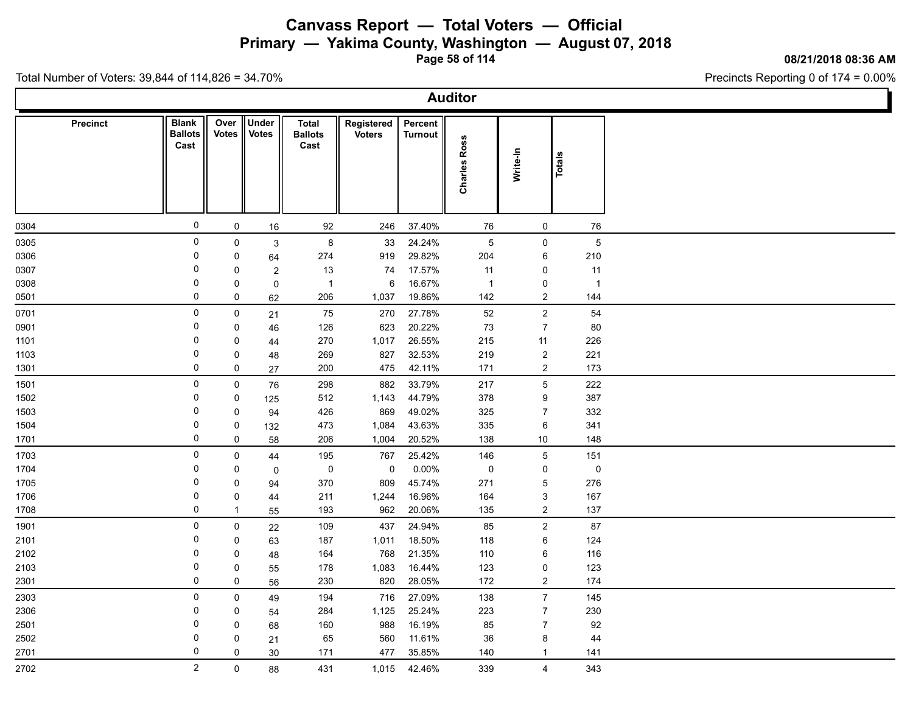**Primary — Yakima County, Washington — August 07, 2018**

**Page 58 of 114**

**08/21/2018 08:36 AM**

Ъ

Precincts Reporting 0 of 174 = 0.00%

Total Number of Voters: 39,844 of 114,826 = 34.70%

Г

|          | <b>Auditor</b>                         |                      |                       |                                        |                             |                    |                     |                           |        |                |  |  |  |
|----------|----------------------------------------|----------------------|-----------------------|----------------------------------------|-----------------------------|--------------------|---------------------|---------------------------|--------|----------------|--|--|--|
| Precinct | <b>Blank</b><br><b>Ballots</b><br>Cast | Over<br><b>Votes</b> | Under<br><b>Votes</b> | <b>Total</b><br><b>Ballots</b><br>Cast | Registered<br><b>Voters</b> | Percent<br>Turnout | <b>Charles Ross</b> | Write-In                  | Totals |                |  |  |  |
| 0304     | $\mathsf{O}$                           | 0                    | 16                    | 92                                     | 246                         | 37.40%             | 76                  | 0                         |        | 76             |  |  |  |
| 0305     | $\mathsf 0$                            | 0                    | $\mathbf{3}$          | $\bf 8$                                | 33                          | 24.24%             | $\overline{5}$      | $\mathsf{O}\xspace$       |        | $\sqrt{5}$     |  |  |  |
| 0306     | $\mathbf 0$                            | 0                    | 64                    | 274                                    | 919                         | 29.82%             | 204                 | 6                         |        | 210            |  |  |  |
| 0307     | $\mathbf 0$                            | $\pmb{0}$            | $\overline{c}$        | 13                                     | 74                          | 17.57%             | 11                  | $\mathsf 0$               |        | 11             |  |  |  |
| 0308     | $\mathbf 0$                            | 0                    | $\pmb{0}$             | $\overline{1}$                         | 6                           | 16.67%             | $\overline{1}$      | $\mathsf 0$               |        | $\overline{1}$ |  |  |  |
| 0501     | 0                                      | 0                    | 62                    | 206                                    | 1,037                       | 19.86%             | 142                 | $\boldsymbol{2}$          |        | 144            |  |  |  |
| 0701     | $\mathsf{O}$                           | 0                    | 21                    | 75                                     | 270                         | 27.78%             | $52\,$              | $\mathbf 2$               |        | 54             |  |  |  |
| 0901     | $\mathbf 0$                            | 0                    | 46                    | 126                                    | 623                         | 20.22%             | 73                  | $\overline{7}$            |        | 80             |  |  |  |
| 1101     | $\Omega$                               | 0                    | 44                    | 270                                    | 1,017                       | 26.55%             | 215                 | 11                        |        | 226            |  |  |  |
| 1103     | $\mathbf 0$                            | 0                    | 48                    | 269                                    | 827                         | 32.53%             | 219                 | $\mathbf 2$               |        | 221            |  |  |  |
| 1301     | 0                                      | 0                    | 27                    | 200                                    | 475                         | 42.11%             | 171                 | $\overline{c}$            |        | 173            |  |  |  |
| 1501     | $\mathsf{O}$                           | 0                    | 76                    | 298                                    | 882                         | 33.79%             | 217                 | $\mathbf 5$               |        | 222            |  |  |  |
| 1502     | 0                                      | 0                    | 125                   | 512                                    | 1,143                       | 44.79%             | 378                 | 9                         |        | 387            |  |  |  |
| 1503     | 0                                      | 0                    | 94                    | 426                                    | 869                         | 49.02%             | 325                 | $\overline{7}$            |        | 332            |  |  |  |
| 1504     | $\mathbf 0$                            | 0                    | 132                   | 473                                    | 1,084                       | 43.63%             | 335                 | $\,6\,$                   |        | 341            |  |  |  |
| 1701     | 0                                      | 0                    | 58                    | 206                                    | 1,004                       | 20.52%             | 138                 | $10\,$                    |        | 148            |  |  |  |
| 1703     | $\mathsf{O}$                           | 0                    | 44                    | 195                                    | 767                         | 25.42%             | 146                 | $\mathbf 5$               |        | 151            |  |  |  |
| 1704     | $\mathbf 0$                            | 0                    | $\mathbf 0$           | $\pmb{0}$                              | $\mathbf 0$                 | $0.00\%$           | $\pmb{0}$           | $\pmb{0}$                 |        | $\pmb{0}$      |  |  |  |
| 1705     | $\mathbf 0$                            | 0                    | 94                    | 370                                    | 809                         | 45.74%             | 271                 | $\mathbf 5$               |        | 276            |  |  |  |
| 1706     | $\mathbf 0$                            | $\pmb{0}$            | 44                    | 211                                    | 1,244                       | 16.96%             | 164                 | $\ensuremath{\mathsf{3}}$ |        | 167            |  |  |  |
| 1708     | 0                                      | $\mathbf{1}$         | 55                    | 193                                    | 962                         | 20.06%             | 135                 | $\boldsymbol{2}$          |        | 137            |  |  |  |
| 1901     | $\mathsf{O}$                           | 0                    | 22                    | 109                                    | 437                         | 24.94%             | 85                  | $\boldsymbol{2}$          |        | 87             |  |  |  |
| 2101     | $\mathbf 0$                            | 0                    | 63                    | 187                                    | 1,011                       | 18.50%             | 118                 | $\,6\,$                   |        | 124            |  |  |  |
| 2102     | $\mathbf 0$                            | 0                    | 48                    | 164                                    | 768                         | 21.35%             | 110                 | $\,6\,$                   |        | 116            |  |  |  |
| 2103     | $\mathbf 0$                            | 0                    | 55                    | 178                                    | 1,083                       | 16.44%             | 123                 | $\mathsf 0$               |        | 123            |  |  |  |
| 2301     | 0                                      | 0                    | 56                    | 230                                    | 820                         | 28.05%             | 172                 | $\boldsymbol{2}$          |        | 174            |  |  |  |
| 2303     | 0                                      | 0                    | 49                    | 194                                    | 716                         | 27.09%             | 138                 | $\boldsymbol{7}$          |        | 145            |  |  |  |
| 2306     | 0                                      | 0                    | 54                    | 284                                    | 1,125                       | 25.24%             | 223                 | $\overline{7}$            |        | 230            |  |  |  |
| 2501     | 0                                      | 0                    | 68                    | 160                                    | 988                         | 16.19%             | 85                  | $\overline{7}$            |        | 92             |  |  |  |
| 2502     | $\Omega$                               | 0                    | 21                    | 65                                     | 560                         | 11.61%             | 36                  | $\bf 8$                   |        | 44             |  |  |  |
| 2701     | 0                                      | 0                    | 30                    | 171                                    | 477                         | 35.85%             | 140                 | $\mathbf{1}$              |        | 141            |  |  |  |
| 2702     | $\overline{2}$                         | $\mathsf{O}\xspace$  | 88                    | 431                                    | 1,015                       | 42.46%             | 339                 | $\overline{\mathbf{4}}$   |        | 343            |  |  |  |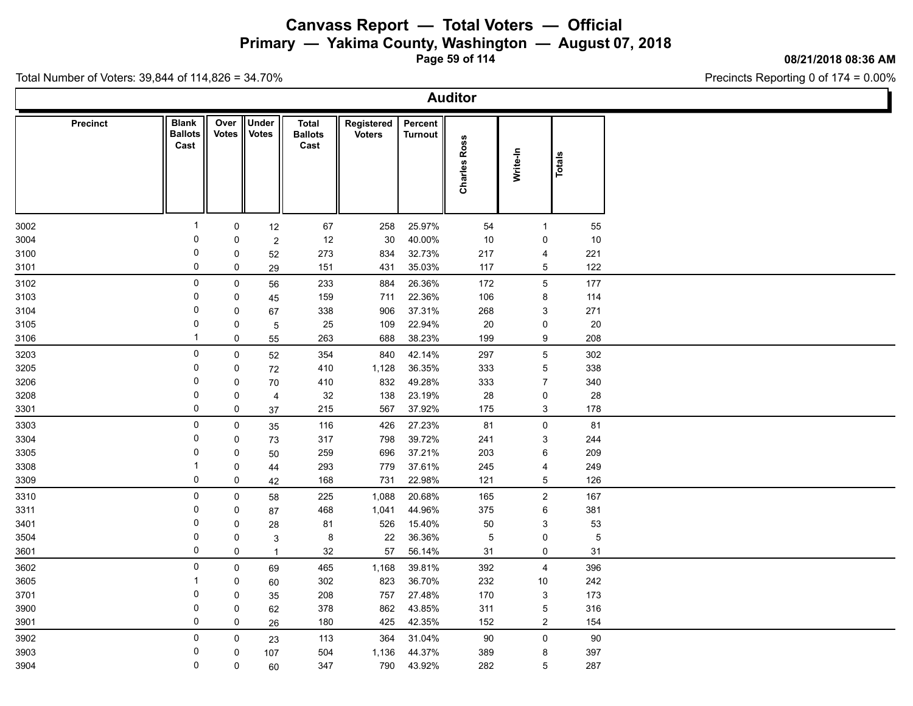**Primary — Yakima County, Washington — August 07, 2018**

**Page 59 of 114**

### **08/21/2018 08:36 AM**

Precincts Reporting 0 of 174 = 0.00%

| <b>Auditor</b>  |                                        |               |                       |                                        |                             |                    |                        |                     |             |  |  |  |
|-----------------|----------------------------------------|---------------|-----------------------|----------------------------------------|-----------------------------|--------------------|------------------------|---------------------|-------------|--|--|--|
| <b>Precinct</b> | <b>Blank</b><br><b>Ballots</b><br>Cast | Over<br>Votes | Under<br><b>Votes</b> | <b>Total</b><br><b>Ballots</b><br>Cast | Registered<br><b>Voters</b> | Percent<br>Turnout | <b>Ross</b><br>Charles | Write-In            | Totals      |  |  |  |
| 3002            | $\overline{1}$                         | $\mathsf{O}$  | 12                    | 67                                     | 258                         | 25.97%             | 54                     | $\mathbf{1}$        | 55          |  |  |  |
| 3004            | 0                                      | 0             | $\sqrt{2}$            | 12                                     | 30                          | 40.00%             | 10                     | 0                   | 10          |  |  |  |
| 3100            | 0                                      | 0             | 52                    | 273                                    | 834                         | 32.73%             | 217                    | 4                   | 221         |  |  |  |
| 3101            | 0                                      | 0             | 29                    | 151                                    | 431                         | 35.03%             | 117                    | 5                   | 122         |  |  |  |
| 3102            | $\mathsf 0$                            | $\mathsf{0}$  | 56                    | 233                                    | 884                         | 26.36%             | 172                    | $\overline{5}$      | 177         |  |  |  |
| 3103            | 0                                      | $\mathbf 0$   | 45                    | 159                                    | 711                         | 22.36%             | 106                    | 8                   | 114         |  |  |  |
| 3104            | 0                                      | $\mathbf 0$   | 67                    | 338                                    | 906                         | 37.31%             | 268                    | 3                   | 271         |  |  |  |
| 3105            | 0                                      | 0             | $\overline{5}$        | 25                                     | 109                         | 22.94%             | 20                     | 0                   | $20\,$      |  |  |  |
| 3106            | $\overline{1}$                         | 0             | 55                    | 263                                    | 688                         | 38.23%             | 199                    | 9                   | 208         |  |  |  |
| 3203            | $\mathsf 0$                            | $\mathsf 0$   | 52                    | 354                                    | 840                         | 42.14%             | 297                    | $\overline{5}$      | 302         |  |  |  |
| 3205            | 0                                      | 0             | 72                    | 410                                    | 1,128                       | 36.35%             | 333                    | $\overline{5}$      | 338         |  |  |  |
| 3206            | $\mathbf 0$                            | 0             | 70                    | 410                                    | 832                         | 49.28%             | 333                    | $\overline{7}$      | 340         |  |  |  |
| 3208            | 0                                      | 0             | $\overline{4}$        | 32                                     | 138                         | 23.19%             | 28                     | $\mathsf{O}$        | 28          |  |  |  |
| 3301            | 0                                      | 0             | 37                    | 215                                    | 567                         | 37.92%             | 175                    | 3                   | 178         |  |  |  |
| 3303            | $\mathbf 0$                            | $\mathsf{O}$  | 35                    | 116                                    | 426                         | 27.23%             | 81                     | $\mathsf{O}\xspace$ | 81          |  |  |  |
| 3304            | 0                                      | 0             | 73                    | 317                                    | 798                         | 39.72%             | 241                    | 3                   | 244         |  |  |  |
| 3305            | 0                                      | $\mathbf 0$   | 50                    | 259                                    | 696                         | 37.21%             | 203                    | $\,6\,$             | 209         |  |  |  |
| 3308            | $\overline{1}$                         | 0             | 44                    | 293                                    | 779                         | 37.61%             | 245                    | $\overline{4}$      | 249         |  |  |  |
| 3309            | $\mathbf 0$                            | 0             | 42                    | 168                                    | 731                         | 22.98%             | 121                    | $\overline{5}$      | 126         |  |  |  |
| 3310            | 0                                      | $\mathsf{O}$  | 58                    | 225                                    | 1,088                       | 20.68%             | 165                    | $\overline{2}$      | 167         |  |  |  |
| 3311            | $\mathbf 0$                            | 0             | 87                    | 468                                    | 1,041                       | 44.96%             | 375                    | $\,6\,$             | 381         |  |  |  |
| 3401            | 0                                      | 0             | 28                    | 81                                     | 526                         | 15.40%             | 50                     | 3                   | 53          |  |  |  |
| 3504            | $\mathbf 0$                            | $\mathbf 0$   | 3                     | 8                                      | 22                          | 36.36%             | 5                      | $\pmb{0}$           | $\mathbf 5$ |  |  |  |
| 3601            | 0                                      | $\mathbf 0$   | $\overline{1}$        | 32                                     | 57                          | 56.14%             | 31                     | $\mathsf{O}$        | 31          |  |  |  |
| 3602            | $\mathbf 0$                            | $\mathbf 0$   | 69                    | 465                                    | 1,168                       | 39.81%             | 392                    | $\overline{4}$      | 396         |  |  |  |
| 3605            | $\mathbf{1}$                           | 0             | 60                    | 302                                    | 823                         | 36.70%             | 232                    | 10 <sup>°</sup>     | 242         |  |  |  |
| 3701            | $\mathbf 0$                            | 0             | 35                    | 208                                    | 757                         | 27.48%             | 170                    | 3                   | 173         |  |  |  |
| 3900            | 0                                      | 0             | 62                    | 378                                    | 862                         | 43.85%             | 311                    | $\overline{5}$      | 316         |  |  |  |
| 3901            | $\mathbf 0$                            | 0             | 26                    | 180                                    | 425                         | 42.35%             | 152                    | $\overline{2}$      | 154         |  |  |  |
| 3902            | 0                                      | $\mathbf 0$   | 23                    | 113                                    | 364                         | 31.04%             | 90                     | $\mathsf{O}$        | 90          |  |  |  |
| 3903            | 0                                      | 0             | 107                   | 504                                    | 1,136                       | 44.37%             | 389                    | 8                   | 397         |  |  |  |
| 3904            | 0                                      | 0             | 60                    | 347                                    | 790                         | 43.92%             | 282                    | 5                   | 287         |  |  |  |
|                 |                                        |               |                       |                                        |                             |                    |                        |                     |             |  |  |  |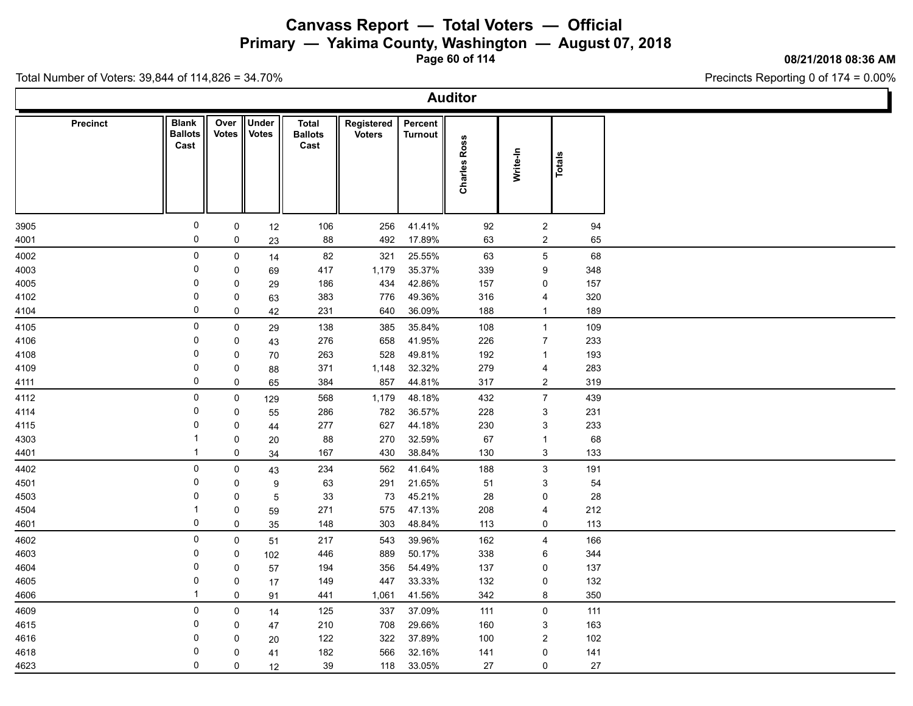**Primary — Yakima County, Washington — August 07, 2018**

**Page 60 of 114**

### **08/21/2018 08:36 AM**

Precincts Reporting 0 of 174 = 0.00%

| <b>Auditor</b>  |                                        |               |                       |                                 |                             |                           |                     |                |        |  |  |  |
|-----------------|----------------------------------------|---------------|-----------------------|---------------------------------|-----------------------------|---------------------------|---------------------|----------------|--------|--|--|--|
| <b>Precinct</b> | <b>Blank</b><br><b>Ballots</b><br>Cast | Over<br>Votes | Under<br><b>Votes</b> | Total<br><b>Ballots</b><br>Cast | Registered<br><b>Voters</b> | Percent<br><b>Turnout</b> | <b>Charles Ross</b> | Write-In       | Totals |  |  |  |
| 3905            | $\mathsf{O}$                           | $\mathbf 0$   | 12                    | 106                             | 256                         | 41.41%                    | 92                  | $\overline{2}$ | 94     |  |  |  |
| 4001            | 0                                      | 0             | 23                    | 88                              | 492                         | 17.89%                    | 63                  | $\overline{2}$ | 65     |  |  |  |
| 4002            | 0                                      | $\pmb{0}$     | 14                    | 82                              | 321                         | 25.55%                    | 63                  | $\,$ 5 $\,$    | 68     |  |  |  |
| 4003            | 0                                      | 0             | 69                    | 417                             | 1,179                       | 35.37%                    | 339                 | 9              | 348    |  |  |  |
| 4005            | 0                                      | 0             | 29                    | 186                             | 434                         | 42.86%                    | 157                 | 0              | 157    |  |  |  |
| 4102            | 0                                      | 0             | 63                    | 383                             | 776                         | 49.36%                    | 316                 | 4              | 320    |  |  |  |
| 4104            | 0                                      | $\pmb{0}$     | 42                    | 231                             | 640                         | 36.09%                    | 188                 | $\mathbf{1}$   | 189    |  |  |  |
| 4105            | 0                                      | 0             | 29                    | 138                             | 385                         | 35.84%                    | 108                 | $\overline{1}$ | 109    |  |  |  |
| 4106            | 0                                      | 0             | 43                    | 276                             | 658                         | 41.95%                    | 226                 | $\overline{7}$ | 233    |  |  |  |
| 4108            | 0                                      | 0             | 70                    | 263                             | 528                         | 49.81%                    | 192                 | $\mathbf{1}$   | 193    |  |  |  |
| 4109            | $\mathbf 0$                            | 0             | 88                    | 371                             | 1,148                       | 32.32%                    | 279                 | 4              | 283    |  |  |  |
| 4111            | 0                                      | 0             | 65                    | 384                             | 857                         | 44.81%                    | 317                 | $\overline{2}$ | 319    |  |  |  |
| 4112            | 0                                      | $\mathbf 0$   | 129                   | 568                             | 1,179                       | 48.18%                    | 432                 | $\overline{7}$ | 439    |  |  |  |
| 4114            | 0                                      | 0             | 55                    | 286                             | 782                         | 36.57%                    | 228                 | 3              | 231    |  |  |  |
| 4115            | 0                                      | 0             | 44                    | 277                             | 627                         | 44.18%                    | 230                 | $\mathbf{3}$   | 233    |  |  |  |
| 4303            | $\overline{1}$                         | 0             | 20                    | 88                              | 270                         | 32.59%                    | 67                  | $\mathbf{1}$   | 68     |  |  |  |
| 4401            | $\mathbf{\overline{1}}$                | 0             | 34                    | 167                             | 430                         | 38.84%                    | 130                 | $\mathbf{3}$   | 133    |  |  |  |
| 4402            | 0                                      | $\pmb{0}$     | 43                    | 234                             | 562                         | 41.64%                    | 188                 | $\mathbf{3}$   | 191    |  |  |  |
| 4501            | 0                                      | 0             | 9                     | 63                              | 291                         | 21.65%                    | 51                  | 3              | 54     |  |  |  |
| 4503            | 0                                      | 0             | 5                     | 33                              | 73                          | 45.21%                    | 28                  | 0              | 28     |  |  |  |
| 4504            | $\mathbf 1$                            | 0             | 59                    | 271                             | 575                         | 47.13%                    | 208                 | 4              | 212    |  |  |  |
| 4601            | 0                                      | 0             | 35                    | 148                             | 303                         | 48.84%                    | 113                 | 0              | 113    |  |  |  |
| 4602            | $\mathbf 0$                            | 0             | 51                    | 217                             | 543                         | 39.96%                    | 162                 | 4              | 166    |  |  |  |
| 4603            | 0                                      | 0             | 102                   | 446                             | 889                         | 50.17%                    | 338                 | 6              | 344    |  |  |  |
| 4604            | 0                                      | 0             | 57                    | 194                             | 356                         | 54.49%                    | 137                 | 0              | 137    |  |  |  |
| 4605            | 0                                      | 0             | 17                    | 149                             | 447                         | 33.33%                    | 132                 | $\mathsf{O}$   | 132    |  |  |  |
| 4606            | $\overline{1}$                         | 0             | 91                    | 441                             | 1,061                       | 41.56%                    | 342                 | 8              | 350    |  |  |  |
| 4609            | 0                                      | $\pmb{0}$     | 14                    | 125                             | 337                         | 37.09%                    | 111                 | $\mathsf 0$    | 111    |  |  |  |
| 4615            | 0                                      | 0             | 47                    | 210                             | 708                         | 29.66%                    | 160                 | 3              | 163    |  |  |  |
| 4616            | 0                                      | 0             | 20                    | 122                             | 322                         | 37.89%                    | 100                 | $\mathbf{2}$   | 102    |  |  |  |
| 4618            | 0                                      | 0             | 41                    | 182                             | 566                         | 32.16%                    | 141                 | 0              | 141    |  |  |  |
| 4623            | $\mathbf 0$                            | $\mathbf 0$   | 12                    | 39                              | 118                         | 33.05%                    | 27                  | 0              | 27     |  |  |  |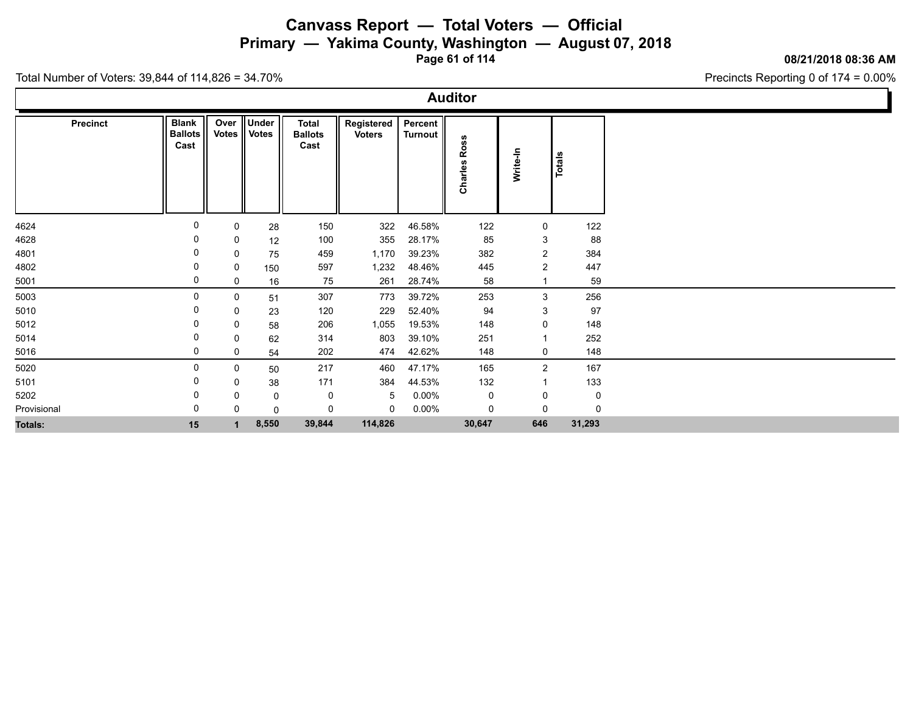**Primary — Yakima County, Washington — August 07, 2018**

**Page 61 of 114**

#### **08/21/2018 08:36 AM**

Precincts Reporting 0 of 174 = 0.00%

| Precinct       | <b>Blank</b><br><b>Ballots</b> | Over<br><b>Votes</b> | <b>Under</b><br><b>Votes</b> | <b>Total</b><br><b>Ballots</b> | Registered<br><b>Voters</b> | Percent<br><b>Turnout</b> |         |                         |             |
|----------------|--------------------------------|----------------------|------------------------------|--------------------------------|-----------------------------|---------------------------|---------|-------------------------|-------------|
|                | Cast                           |                      |                              | Cast                           |                             |                           | Ross    |                         |             |
|                |                                |                      |                              |                                |                             |                           |         |                         | Totals      |
|                |                                |                      |                              |                                |                             |                           |         | Write-In                |             |
|                |                                |                      |                              |                                |                             |                           | Charles |                         |             |
|                |                                |                      |                              |                                |                             |                           |         |                         |             |
|                |                                |                      |                              |                                |                             |                           |         |                         |             |
| 4624           | 0                              | 0                    | 28                           | 150                            | 322                         | 46.58%                    | 122     | 0                       | 122         |
| 4628           | 0                              | 0                    | 12                           | 100                            | 355                         | 28.17%                    | 85      | $\mathbf{3}$            | 88          |
| 4801           | 0                              | 0                    | 75                           | 459                            | 1,170                       | 39.23%                    | 382     | $\overline{c}$          | 384         |
| 4802           | 0                              | 0                    | 150                          | 597                            | 1,232                       | 48.46%                    | 445     | $\overline{c}$          | 447         |
| 5001           | 0                              | 0                    | 16                           | 75                             | 261                         | 28.74%                    | 58      |                         | 59          |
| 5003           | 0                              | 0                    | 51                           | 307                            | 773                         | 39.72%                    | 253     | 3                       | 256         |
| 5010           | 0                              | 0                    | 23                           | 120                            | 229                         | 52.40%                    | 94      | 3                       | 97          |
| 5012           | 0                              | 0                    | 58                           | 206                            | 1,055                       | 19.53%                    | 148     | 0                       | 148         |
| 5014           | 0                              | 0                    | 62                           | 314                            | 803                         | 39.10%                    | 251     | $\overline{\mathbf{1}}$ | 252         |
| 5016           | 0                              | 0                    | 54                           | 202                            | 474                         | 42.62%                    | 148     | 0                       | 148         |
| 5020           | 0                              | 0                    | 50                           | 217                            | 460                         | 47.17%                    | 165     | $\overline{2}$          | 167         |
| 5101           | 0                              | 0                    | 38                           | 171                            | 384                         | 44.53%                    | 132     |                         | 133         |
| 5202           | 0                              | 0                    | $\mathbf 0$                  | 0                              | 5                           | $0.00\%$                  | 0       | 0                       | $\mathbf 0$ |
| Provisional    | 0                              | 0                    | $\mathbf 0$                  | 0                              | 0                           | $0.00\%$                  | 0       | 0                       | $\mathbf 0$ |
| <b>Totals:</b> | 15                             | $\mathbf{1}$         | 8,550                        | 39,844                         | 114,826                     |                           | 30,647  | 646                     | 31,293      |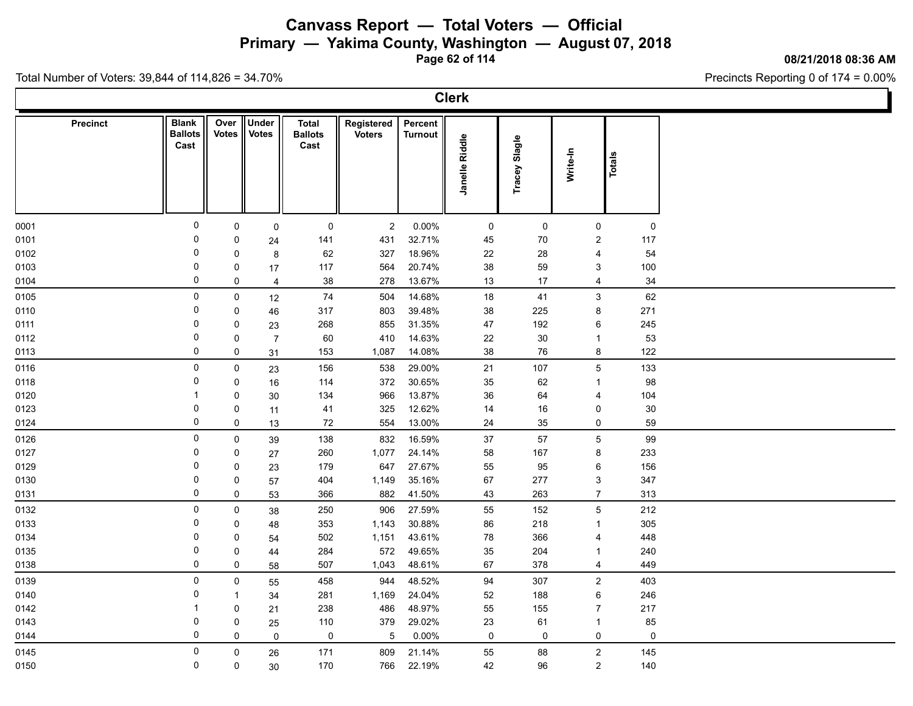**Primary — Yakima County, Washington — August 07, 2018**

**Page 62 of 114**

#### **08/21/2018 08:36 AM**

Precincts Reporting 0 of 174 = 0.00%

| <b>Precinct</b> | <b>Blank</b><br><b>Ballots</b><br>Cast | Over<br><b>Votes</b> | Under<br><b>Votes</b> | <b>Total</b><br><b>Ballots</b><br>Cast | Registered<br><b>Voters</b> | Percent<br><b>Turnout</b> |                     |               |                 |               |  |
|-----------------|----------------------------------------|----------------------|-----------------------|----------------------------------------|-----------------------------|---------------------------|---------------------|---------------|-----------------|---------------|--|
|                 |                                        |                      |                       |                                        |                             |                           | Janelle Riddle      | Tracey Slagle | Write-In        | <b>Totals</b> |  |
|                 |                                        |                      |                       |                                        |                             |                           |                     |               |                 |               |  |
| 0001            | 0                                      | 0                    | $\mathbf 0$           | 0                                      | $\overline{2}$              | $0.00\%$                  | $\mathsf{O}\xspace$ | $\mathbf 0$   | $\mathsf{O}$    | $\mathbf 0$   |  |
| 0101            | $\Omega$                               | 0                    | 24                    | 141                                    | 431                         | 32.71%                    | 45                  | $70\,$        | $\overline{2}$  | 117           |  |
| 0102            | 0                                      | $\mathbf 0$          | 8                     | 62                                     | 327                         | 18.96%                    | 22                  | 28            | $\overline{4}$  | 54            |  |
| 0103            | 0                                      | 0                    | 17                    | 117                                    | 564                         | 20.74%                    | $38\,$              | 59            | $\mathbf{3}$    | 100           |  |
| 0104            | $\mathbf 0$                            | $\mathsf 0$          | $\overline{4}$        | 38                                     | 278                         | 13.67%                    | 13                  | 17            | $\overline{4}$  | 34            |  |
| 0105            | 0                                      | $\mathsf 0$          | 12                    | 74                                     | 504                         | 14.68%                    | 18                  | 41            | $\mathbf{3}$    | 62            |  |
| 0110            | 0                                      | $\mathbf 0$          | 46                    | 317                                    | 803                         | 39.48%                    | 38                  | 225           | 8               | 271           |  |
| 0111            | 0                                      | $\mathbf 0$          | 23                    | 268                                    | 855                         | 31.35%                    | 47                  | 192           | 6               | 245           |  |
| 0112            | 0                                      | $\mathbf 0$          | $\overline{7}$        | 60                                     | 410                         | 14.63%                    | 22                  | $30\,$        | $\overline{1}$  | 53            |  |
| 0113            | 0                                      | $\mathbf 0$          | 31                    | 153                                    | 1,087                       | 14.08%                    | 38                  | 76            | $\bf 8$         | 122           |  |
| 0116            | 0                                      | 0                    | 23                    | 156                                    | 538                         | 29.00%                    | 21                  | 107           | $5\phantom{.0}$ | 133           |  |
| 0118            | 0                                      | $\mathsf 0$          | 16                    | 114                                    | 372                         | 30.65%                    | 35                  | 62            | $\overline{1}$  | 98            |  |
| 0120            | $\overline{1}$                         | $\mathsf 0$          | 30                    | 134                                    | 966                         | 13.87%                    | 36                  | 64            | $\overline{4}$  | 104           |  |
| 0123            | 0                                      | $\mathsf 0$          | 11                    | 41                                     | 325                         | 12.62%                    | 14                  | 16            | $\pmb{0}$       | $30\,$        |  |
| 0124            | 0                                      | $\mathsf 0$          | 13                    | 72                                     | 554                         | 13.00%                    | 24                  | 35            | $\mathbf 0$     | 59            |  |
| 0126            | 0                                      | $\mathbf 0$          | 39                    | 138                                    | 832                         | 16.59%                    | $37\,$              | 57            | $\overline{5}$  | 99            |  |
| 0127            | 0                                      | 0                    | 27                    | 260                                    | 1,077                       | 24.14%                    | 58                  | 167           | 8               | 233           |  |
| 0129            | 0                                      | $\mathbf 0$          | 23                    | 179                                    | 647                         | 27.67%                    | 55                  | 95            | $\,6\,$         | 156           |  |
| 0130            | 0                                      | $\mathsf 0$          | 57                    | 404                                    | 1,149                       | 35.16%                    | 67                  | 277           | $\mathbf{3}$    | 347           |  |
| 0131            | $\mathbf 0$                            | $\pmb{0}$            | 53                    | 366                                    | 882                         | 41.50%                    | 43                  | 263           | $\overline{7}$  | 313           |  |
| 0132            | 0                                      | $\mathbf 0$          | 38                    | 250                                    | 906                         | 27.59%                    | 55                  | 152           | $\,$ 5 $\,$     | 212           |  |
| 0133            | 0                                      | $\mathsf 0$          | 48                    | 353                                    | 1,143                       | 30.88%                    | 86                  | 218           | $\mathbf{1}$    | 305           |  |
| 0134            | 0                                      | $\mathbf 0$          | 54                    | 502                                    | 1,151                       | 43.61%                    | 78                  | 366           | $\overline{4}$  | 448           |  |
| 0135            | $\mathbf 0$                            | 0                    | 44                    | 284                                    | 572                         | 49.65%                    | 35                  | 204           | $\overline{1}$  | 240           |  |
| 0138            | 0                                      | $\mathsf 0$          | 58                    | 507                                    | 1,043                       | 48.61%                    | 67                  | 378           | $\overline{4}$  | 449           |  |
| 0139            | 0                                      | $\mathbf 0$          | 55                    | 458                                    | 944                         | 48.52%                    | 94                  | 307           | $\overline{2}$  | 403           |  |
| 0140            | 0                                      | $\mathbf{1}$         | 34                    | 281                                    | 1,169                       | 24.04%                    | $52\,$              | 188           | $\,6\,$         | 246           |  |
| 0142            | $\overline{1}$                         | $\mathsf 0$          | 21                    | 238                                    | 486                         | 48.97%                    | 55                  | 155           | $\overline{7}$  | 217           |  |
| 0143            | 0                                      | $\mathsf 0$          | 25                    | 110                                    | 379                         | 29.02%                    | 23                  | 61            | $\mathbf{1}$    | 85            |  |
| 0144            | $\mathbf 0$                            | $\mathbf 0$          | $\mathbf 0$           | $\mathsf 0$                            | $\overline{5}$              | 0.00%                     | $\mathbf 0$         | $\mathbf 0$   | $\mathbf 0$     | $\mathbf 0$   |  |
| 0145            | 0                                      | $\mathsf 0$          | 26                    | 171                                    | 809                         | 21.14%                    | 55                  | 88            | $\sqrt{2}$      | 145           |  |
| 0150            | 0                                      | $\mathbf 0$          | 30                    | 170                                    | 766                         | 22.19%                    | 42                  | 96            | $\overline{2}$  | 140           |  |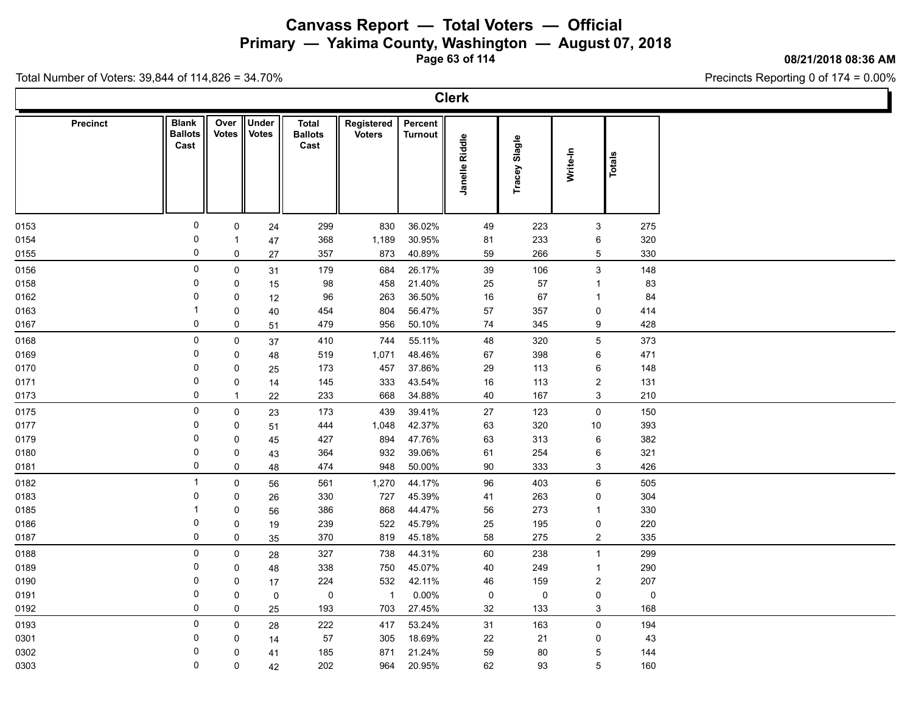**Primary — Yakima County, Washington — August 07, 2018**

**Page 63 of 114**

**08/21/2018 08:36 AM**

Precincts Reporting 0 of 174 = 0.00%

|                 |                                        |                  |                       |                                 |                             |                           | <b>Clerk</b>   |                  |                             |                    |  |
|-----------------|----------------------------------------|------------------|-----------------------|---------------------------------|-----------------------------|---------------------------|----------------|------------------|-----------------------------|--------------------|--|
| <b>Precinct</b> | <b>Blank</b><br><b>Ballots</b><br>Cast | Over<br>Votes    | Under<br><b>Votes</b> | Total<br><b>Ballots</b><br>Cast | Registered<br><b>Voters</b> | Percent<br><b>Turnout</b> | Janelle Riddle | Slagle<br>Tracey | Write-In                    | Totals             |  |
| 0153            | 0                                      | $\mathsf{O}$     | 24                    | 299                             | 830                         | 36.02%                    | 49             | 223              | 3                           | 275                |  |
| 0154            | 0                                      | -1               | 47                    | 368                             | 1,189                       | 30.95%                    | 81             | 233              | 6                           | 320                |  |
| 0155            | 0                                      | 0                | 27                    | 357                             | 873                         | 40.89%                    | 59             | 266              | 5                           | 330                |  |
| 0156            | $\mathbf 0$                            | $\mathsf{O}$     | 31                    | 179                             | 684                         | 26.17%                    | 39             | 106              | $\mathbf{3}$                | 148                |  |
| 0158            | $\mathbf 0$                            | 0                | 15                    | 98                              | 458                         | 21.40%                    | 25             | 57               | $\mathbf{1}$                | 83                 |  |
| 0162            | 0                                      | 0                | 12                    | 96                              | 263                         | 36.50%                    | 16             | 67               | $\mathbf{1}$                | 84                 |  |
| 0163            | -1                                     | 0                | 40                    | 454                             | 804                         | 56.47%                    | 57             | 357              | 0                           | 414                |  |
| 0167            | 0                                      | 0                | 51                    | 479                             | 956                         | 50.10%                    | 74             | 345              | 9                           | 428                |  |
| 0168            | $\mathsf 0$                            | $\mathbf 0$      | 37                    | 410                             | 744                         | 55.11%                    | 48             | 320              | 5                           | 373                |  |
| 0169            | 0                                      | 0                | 48                    | 519                             | 1,071                       | 48.46%                    | 67             | 398              | 6                           | 471                |  |
| 0170            | 0                                      | $\mathbf 0$      | 25                    | 173                             | 457                         | 37.86%                    | 29             | 113              | 6                           | 148                |  |
| 0171            | 0                                      | 0                | 14                    | 145                             | 333                         | 43.54%                    | 16             | 113              | $\overline{2}$              | 131                |  |
| 0173            | 0                                      | $\mathbf{1}$     | 22                    | 233                             | 668                         | 34.88%                    | 40             | 167              | 3                           | 210                |  |
| 0175            | $\mathbf 0$                            | $\mathsf{0}$     | 23                    | 173                             | 439                         | 39.41%                    | 27             | 123              | $\mathsf 0$                 | 150                |  |
| 0177            | 0                                      | 0                | 51                    | 444                             | 1,048                       | 42.37%                    | 63             | 320              | 10                          | 393                |  |
| 0179            | $\mathbf 0$                            | 0                | 45                    | 427                             | 894                         | 47.76%                    | 63             | 313              | $\,6\,$                     | 382                |  |
| 0180            | 0<br>$\mathbf 0$                       | 0                | 43                    | 364                             | 932                         | 39.06%                    | 61             | 254              | 6                           | 321                |  |
| 0181            |                                        | 0                | 48                    | 474                             | 948                         | 50.00%                    | 90             | 333              | 3                           | 426                |  |
| 0182            | $\overline{1}$                         | $\mathbf 0$      | 56                    | 561                             | 1,270                       | 44.17%                    | 96             | 403              | 6                           | 505                |  |
| 0183            | 0                                      | $\mathbf 0$      | 26                    | 330                             | 727                         | 45.39%                    | 41             | 263              | 0                           | 304                |  |
| 0185            | -1                                     | 0                | 56                    | 386                             | 868                         | 44.47%                    | 56             | 273              | $\mathbf{1}$                | 330                |  |
| 0186            | 0<br>0                                 | 0<br>0           | 19                    | 239<br>370                      | 522<br>819                  | 45.79%<br>45.18%          | 25<br>58       | 195<br>275       | 0<br>$\overline{2}$         | 220<br>335         |  |
| 0187            |                                        |                  | 35                    |                                 |                             |                           |                |                  |                             |                    |  |
| 0188            | $\mathbf 0$                            | $\mathsf{O}$     | 28                    | 327                             | 738                         | 44.31%                    | 60             | 238              | $\mathbf{1}$                | 299                |  |
| 0189            | $\mathbf 0$<br>0                       | 0                | 48                    | 338                             | 750                         | 45.07%                    | 40             | 249              | $\mathbf{1}$                | 290                |  |
| 0190            | $\mathbf 0$                            | 0<br>0           | 17                    | 224<br>0                        | 532<br>$\overline{1}$       | 42.11%<br>$0.00\%$        | 46<br>0        | 159<br>0         | $\overline{2}$<br>$\pmb{0}$ | 207<br>$\mathbf 0$ |  |
| 0191<br>0192    | 0                                      | 0                | $\mathbf 0$<br>25     | 193                             | 703                         | 27.45%                    | 32             | 133              | 3                           | 168                |  |
|                 | $\mathbf 0$                            |                  |                       |                                 |                             |                           |                |                  |                             |                    |  |
| 0193            | 0                                      | $\mathbf 0$<br>0 | 28                    | 222<br>57                       | 417<br>305                  | 53.24%<br>18.69%          | 31             | 163<br>21        | $\mathsf{O}$<br>0           | 194                |  |
| 0301<br>0302    | 0                                      | $\mathbf 0$      | 14                    | 185                             | 871                         | 21.24%                    | 22<br>59       | 80               | $\overline{5}$              | 43<br>144          |  |
| 0303            | 0                                      | $\mathbf 0$      | 41<br>42              | 202                             | 964                         | 20.95%                    | 62             | 93               | 5                           | 160                |  |
|                 |                                        |                  |                       |                                 |                             |                           |                |                  |                             |                    |  |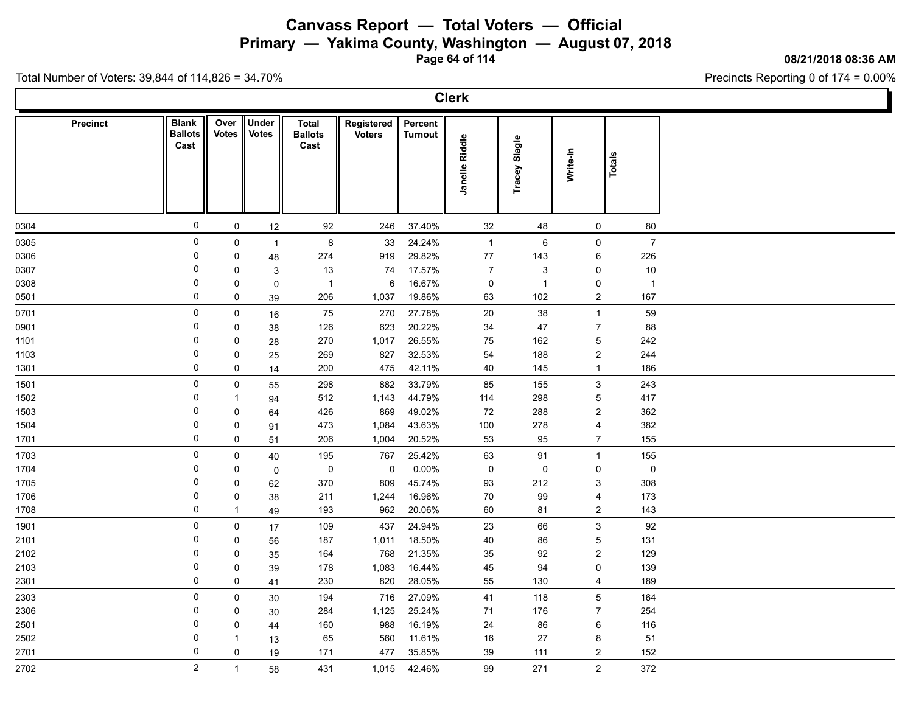**Primary — Yakima County, Washington — August 07, 2018**

**Page 64 of 114**

#### **08/21/2018 08:36 AM**

Precincts Reporting 0 of 174 = 0.00%

|                 |                                        |                      |                       |                                        |                             |                           | <b>Clerk</b>   |                  |                           |                |  |
|-----------------|----------------------------------------|----------------------|-----------------------|----------------------------------------|-----------------------------|---------------------------|----------------|------------------|---------------------------|----------------|--|
| <b>Precinct</b> | <b>Blank</b><br><b>Ballots</b><br>Cast | Over<br><b>Votes</b> | Under<br><b>Votes</b> | <b>Total</b><br><b>Ballots</b><br>Cast | Registered<br><b>Voters</b> | Percent<br><b>Turnout</b> | Janelle Riddle | Slagle<br>Tracey | Write-In                  | <b>Totals</b>  |  |
| 0304            | $\mathsf{O}$                           | 0                    | 12                    | 92                                     | 246                         | 37.40%                    | 32             | 48               | $\mathbf 0$               | 80             |  |
| 0305            | $\mathbf 0$                            | 0                    | $\mathbf{1}$          | $\bf 8$                                | 33                          | 24.24%                    | $\mathbf{1}$   | $\,6\,$          | 0                         | $\overline{7}$ |  |
| 0306            | 0                                      | 0                    | 48                    | 274                                    | 919                         | 29.82%                    | 77             | 143              | 6                         | 226            |  |
| 0307            | 0                                      | 0                    | 3                     | 13                                     | 74                          | 17.57%                    | $\overline{7}$ | 3                | 0                         | 10             |  |
| 0308            | 0                                      | 0                    | $\pmb{0}$             | $\mathbf{1}$                           | 6                           | 16.67%                    | $\mathbf 0$    | $\overline{1}$   | 0                         | $\overline{1}$ |  |
| 0501            | $\mathbf 0$                            | 0                    | 39                    | 206                                    | 1,037                       | 19.86%                    | 63             | 102              | $\overline{c}$            | 167            |  |
| 0701            | $\mathbf 0$                            | 0                    | 16                    | 75                                     | 270                         | 27.78%                    | $20\,$         | 38               | $\mathbf{1}$              | 59             |  |
| 0901            | 0                                      | 0                    | 38                    | 126                                    | 623                         | 20.22%                    | 34             | 47               | $\boldsymbol{7}$          | 88             |  |
| 1101            | 0                                      | 0                    | 28                    | 270                                    | 1,017                       | 26.55%                    | 75             | 162              | $\mathbf 5$               | 242            |  |
| 1103            | $\mathbf 0$                            | $\pmb{0}$            | 25                    | 269                                    | 827                         | 32.53%                    | 54             | 188              | $\boldsymbol{2}$          | 244            |  |
| 1301            | 0                                      | 0                    | 14                    | 200                                    | 475                         | 42.11%                    | 40             | 145              | $\mathbf{1}$              | 186            |  |
| 1501            | $\mathbf 0$                            | 0                    | 55                    | 298                                    | 882                         | 33.79%                    | 85             | 155              | $\ensuremath{\mathsf{3}}$ | 243            |  |
| 1502            | $\Omega$                               | -1                   | 94                    | 512                                    | 1,143                       | 44.79%                    | 114            | 298              | $\mathbf 5$               | 417            |  |
| 1503            | 0                                      | 0                    | 64                    | 426                                    | 869                         | 49.02%                    | 72             | 288              | $\overline{c}$            | 362            |  |
| 1504            | $\mathbf 0$                            | 0                    | 91                    | 473                                    | 1,084                       | 43.63%                    | 100            | 278              | $\overline{4}$            | 382            |  |
| 1701            | $\mathbf 0$                            | 0                    | 51                    | 206                                    | 1,004                       | 20.52%                    | 53             | 95               | $\overline{7}$            | 155            |  |
| 1703            | $\mathbf 0$                            | 0                    | 40                    | 195                                    | 767                         | 25.42%                    | 63             | 91               | $\mathbf{1}$              | 155            |  |
| 1704            | 0                                      | 0                    | $\pmb{0}$             | $\mathsf 0$                            | 0                           | $0.00\%$                  | $\mathbf 0$    | 0                | $\mathbf 0$               | $\mathsf 0$    |  |
| 1705            | 0                                      | 0                    | 62                    | 370                                    | 809                         | 45.74%                    | 93             | 212              | 3                         | 308            |  |
| 1706            | $\mathbf 0$                            | 0                    | 38                    | 211                                    | 1,244                       | 16.96%                    | 70             | 99               | 4                         | 173            |  |
| 1708            | 0                                      | $\mathbf{1}$         | 49                    | 193                                    | 962                         | 20.06%                    | 60             | 81               | $\boldsymbol{2}$          | 143            |  |
| 1901            | $\mathbf 0$                            | 0                    | 17                    | 109                                    | 437                         | 24.94%                    | 23             | 66               | $\ensuremath{\mathsf{3}}$ | 92             |  |
| 2101            | 0                                      | 0                    | 56                    | 187                                    | 1,011                       | 18.50%                    | 40             | 86               | $\mathbf 5$               | 131            |  |
| 2102            | 0                                      | 0                    | 35                    | 164                                    | 768                         | 21.35%                    | 35             | 92               | $\overline{c}$            | 129            |  |
| 2103            | 0                                      | 0                    | 39                    | 178                                    | 1,083                       | 16.44%                    | 45             | 94               | $\pmb{0}$                 | 139            |  |
| 2301            | $\mathbf 0$                            | $\mathbf 0$          | 41                    | 230                                    | 820                         | 28.05%                    | 55             | 130              | $\overline{4}$            | 189            |  |
| 2303            | $\mathbf 0$                            | $\pmb{0}$            | 30                    | 194                                    | 716                         | 27.09%                    | 41             | 118              | $\mathbf 5$               | 164            |  |
| 2306            | 0                                      | 0                    | 30                    | 284                                    | 1,125                       | 25.24%                    | 71             | 176              | $\overline{7}$            | 254            |  |
| 2501            | 0                                      | 0                    | 44                    | 160                                    | 988                         | 16.19%                    | 24             | 86               | 6                         | 116            |  |
| 2502            | 0                                      | -1                   | 13                    | 65                                     | 560                         | 11.61%                    | 16             | 27               | 8                         | 51             |  |
| 2701            | $\mathbf 0$                            | $\mathbf 0$          | 19                    | 171                                    | 477                         | 35.85%                    | 39             | 111              | $\boldsymbol{2}$          | 152            |  |
| 2702            | $\overline{2}$                         | $\mathbf{1}$         | 58                    | 431                                    | 1,015                       | 42.46%                    | 99             | 271              | $\sqrt{2}$                | 372            |  |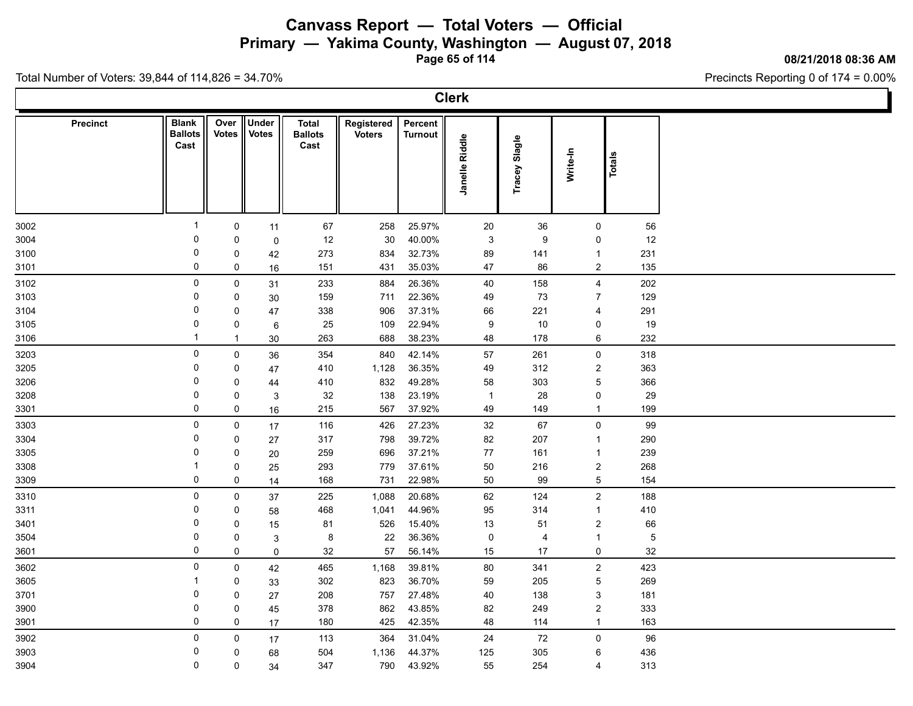**Primary — Yakima County, Washington — August 07, 2018**

**Page 65 of 114**

#### **08/21/2018 08:36 AM**

Precincts Reporting 0 of 174 = 0.00%

| <b>Precinct</b> | <b>Blank</b><br><b>Ballots</b> | <b>Votes</b> | Over Under<br><b>Votes</b> | <b>Total</b><br><b>Ballots</b> | Registered<br><b>Voters</b> | Percent<br><b>Turnout</b> |                     |               |                         |            |  |
|-----------------|--------------------------------|--------------|----------------------------|--------------------------------|-----------------------------|---------------------------|---------------------|---------------|-------------------------|------------|--|
|                 | Cast                           |              |                            | Cast                           |                             |                           | Janelle Riddle      | Tracey Slagle | Write-In                | Totals     |  |
|                 |                                |              |                            |                                |                             |                           |                     |               |                         |            |  |
| 3002            | 1                              | $\mathsf 0$  | 11                         | 67                             | 258                         | 25.97%                    | 20                  | 36            | $\mathsf 0$             | 56         |  |
| 3004            | $\mathbf 0$                    | $\mathsf 0$  | $\mathsf 0$                | 12                             | 30                          | 40.00%                    | $\mathbf{3}$        | $9\,$         | $\pmb{0}$               | 12         |  |
| 3100            | 0                              | 0            | 42                         | 273                            | 834                         | 32.73%                    | 89                  | 141           | $\overline{1}$          | 231        |  |
| 3101            | 0                              | $\mathbf 0$  | 16                         | 151                            | 431                         | 35.03%                    | $47\,$              | 86            | $\overline{2}$          | 135        |  |
| 3102            | 0                              | $\mathbf 0$  | 31                         | 233                            | 884                         | 26.36%                    | 40                  | 158           | $\overline{4}$          | 202        |  |
| 3103            | 0                              | $\mathbf 0$  | 30                         | 159                            | 711                         | 22.36%                    | 49                  | 73            | $\overline{7}$          | 129        |  |
| 3104            | 0                              | $\mathbf 0$  | 47                         | 338                            | 906                         | 37.31%                    | 66                  | 221           | $\overline{4}$          | 291        |  |
| 3105            | 0                              | $\mathsf 0$  | 6                          | 25                             | 109                         | 22.94%                    | $\boldsymbol{9}$    | $10$          | $\pmb{0}$               | 19         |  |
| 3106            | $\mathbf{1}$                   | $\mathbf{1}$ | $30\,$                     | 263                            | 688                         | 38.23%                    | 48                  | 178           | $\,6\,$                 | 232        |  |
| 3203            | 0                              | $\mathsf 0$  | 36                         | 354                            | 840                         | 42.14%                    | $57\,$              | 261           | $\pmb{0}$               | 318        |  |
| 3205            | 0                              | $\mathbf 0$  | 47                         | 410                            | 1,128                       | 36.35%                    | 49                  | 312           | $\overline{\mathbf{c}}$ | 363        |  |
| 3206            | 0                              | $\mathbf 0$  | 44                         | 410                            | 832                         | 49.28%                    | 58                  | 303           | $\overline{5}$          | 366        |  |
| 3208            | $\mathbf 0$                    | $\mathbf 0$  | $\ensuremath{\mathsf{3}}$  | 32                             | 138                         | 23.19%                    | $\overline{1}$      | 28            | $\pmb{0}$               | 29         |  |
| 3301            | 0                              | $\mathbf 0$  | 16                         | 215                            | 567                         | 37.92%                    | 49                  | 149           | $\overline{1}$          | 199        |  |
| 3303            | 0                              | $\mathbf 0$  | 17                         | 116                            | 426                         | 27.23%                    | 32                  | 67            | $\pmb{0}$               | 99         |  |
| 3304            | 0                              | $\mathbf 0$  | 27                         | 317                            | 798                         | 39.72%                    | 82                  | 207           | $\overline{1}$          | 290        |  |
| 3305            | 0                              | $\mathsf 0$  | 20                         | 259                            | 696                         | 37.21%                    | $77$                | 161           | $\overline{1}$          | 239        |  |
| 3308            | 1                              | $\mathbf 0$  | 25                         | 293                            | 779                         | 37.61%                    | 50                  | 216           | $\sqrt{2}$              | 268        |  |
| 3309            | 0                              | $\mathbf 0$  | 14                         | 168                            | 731                         | 22.98%                    | $50\,$              | 99            | $\sqrt{5}$              | 154        |  |
| 3310            | 0                              | $\mathbf 0$  | 37                         | 225                            | 1,088                       | 20.68%                    | 62                  | 124           | $\sqrt{2}$              | 188        |  |
| 3311            | 0                              | 0            | 58                         | 468                            | 1,041                       | 44.96%                    | 95                  | 314           | $\overline{1}$          | 410        |  |
| 3401            | 0                              | $\mathbf 0$  | 15                         | 81                             | 526                         | 15.40%                    | 13                  | 51            | $\sqrt{2}$              | 66         |  |
| 3504            | 0                              | $\mathsf 0$  | 3                          | $\bf 8$                        | 22                          | 36.36%                    | $\mathsf{O}\xspace$ | 4             | $\overline{1}$          | $\sqrt{5}$ |  |
| 3601            | 0                              | $\mathbf 0$  | $\pmb{0}$                  | 32                             | 57                          | 56.14%                    | 15                  | 17            | $\mathsf 0$             | 32         |  |
| 3602            | 0                              | $\mathbf 0$  | 42                         | 465                            | 1,168                       | 39.81%                    | $80\,$              | 341           | $\sqrt{2}$              | 423        |  |
| 3605            | 1                              | $\mathbf 0$  | 33                         | 302                            | 823                         | 36.70%                    | 59                  | 205           | $\sqrt{5}$              | 269        |  |
| 3701            | 0                              | $\mathbf 0$  | 27                         | 208                            | 757                         | 27.48%                    | $40\,$              | 138           | $\mathbf{3}$            | 181        |  |
| 3900            | 0                              | $\mathbf 0$  | 45                         | 378                            | 862                         | 43.85%                    | 82                  | 249           | $\sqrt{2}$              | 333        |  |
| 3901            | 0                              | $\mathbf 0$  | 17                         | 180                            | 425                         | 42.35%                    | 48                  | 114           | $\mathbf{1}$            | 163        |  |
| 3902            | 0                              | $\mathbf 0$  | 17                         | 113                            | 364                         | 31.04%                    | 24                  | 72            | $\pmb{0}$               | 96         |  |
| 3903            | 0                              | $\mathbf 0$  | 68                         | 504                            | 1,136                       | 44.37%                    | 125                 | 305           | $\,6\,$                 | 436        |  |
| 3904            | 0                              | $\mathbf 0$  | 34                         | 347                            | 790                         | 43.92%                    | 55                  | 254           | $\overline{4}$          | 313        |  |
|                 |                                |              |                            |                                |                             |                           |                     |               |                         |            |  |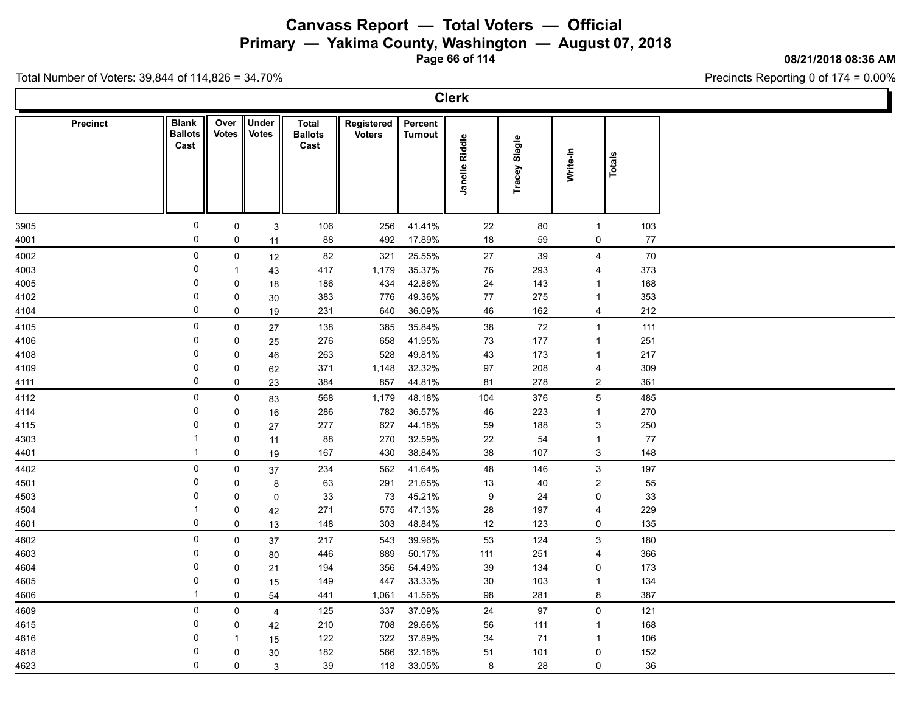**Primary — Yakima County, Washington — August 07, 2018**

**Page 66 of 114**

#### **08/21/2018 08:36 AM**

Precincts Reporting 0 of 174 = 0.00%

| <b>Precinct</b> | <b>Blank</b><br><b>Ballots</b><br>Cast | Over<br><b>Votes</b> | Under<br><b>Votes</b> | <b>Total</b><br><b>Ballots</b><br>Cast | Registered<br><b>Voters</b> | Percent<br><b>Turnout</b> | Janelle Riddle | Tracey Slagle | Write-In       | <b>Totals</b> |  |
|-----------------|----------------------------------------|----------------------|-----------------------|----------------------------------------|-----------------------------|---------------------------|----------------|---------------|----------------|---------------|--|
| 3905            | 0                                      | $\mathsf 0$          | $\sqrt{3}$            | 106                                    | 256                         | 41.41%                    | 22             | $80\,$        | $\overline{1}$ | 103           |  |
| 4001            | 0                                      | 0                    | 11                    | 88                                     | 492                         | 17.89%                    | 18             | 59            | $\mathsf 0$    | 77            |  |
| 4002            | 0                                      | 0                    | 12                    | 82                                     | 321                         | 25.55%                    | 27             | 39            | $\overline{4}$ | 70            |  |
| 4003            | $\mathbf 0$                            | $\mathbf{1}$         | 43                    | 417                                    | 1,179                       | 35.37%                    | 76             | 293           | $\overline{4}$ | 373           |  |
| 4005            | 0                                      | $\mathbf 0$          | 18                    | 186                                    | 434                         | 42.86%                    | 24             | 143           | $\overline{1}$ | 168           |  |
| 4102            | 0                                      | 0                    | 30                    | 383                                    | 776                         | 49.36%                    | 77             | 275           | $\overline{1}$ | 353           |  |
| 4104            | 0                                      | $\mathbf 0$          | 19                    | 231                                    | 640                         | 36.09%                    | 46             | 162           | $\overline{4}$ | 212           |  |
| 4105            | 0                                      | $\pmb{0}$            | $27\,$                | 138                                    | 385                         | 35.84%                    | 38             | 72            | $\overline{1}$ | 111           |  |
| 4106            | 0                                      | $\mathsf 0$          | 25                    | 276                                    | 658                         | 41.95%                    | 73             | 177           | $\mathbf{1}$   | 251           |  |
| 4108            | 0                                      | 0                    | 46                    | 263                                    | 528                         | 49.81%                    | 43             | 173           | $\overline{1}$ | 217           |  |
| 4109            | 0                                      | 0                    | 62                    | 371                                    | 1,148                       | 32.32%                    | 97             | 208           | $\overline{4}$ | 309           |  |
| 4111            | 0                                      | $\mathsf 0$          | 23                    | 384                                    | 857                         | 44.81%                    | 81             | 278           | $\overline{2}$ | 361           |  |
| 4112            | 0                                      | 0                    | 83                    | 568                                    | 1,179                       | 48.18%                    | 104            | 376           | $\overline{5}$ | 485           |  |
| 4114            | $\mathbf 0$                            | 0                    | 16                    | 286                                    | 782                         | 36.57%                    | 46             | 223           | $\overline{1}$ | 270           |  |
| 4115            | 0                                      | $\mathsf 0$          | 27                    | 277                                    | 627                         | 44.18%                    | 59             | 188           | $\mathbf{3}$   | 250           |  |
| 4303            | -1                                     | $\mathbf 0$          | 11                    | 88                                     | 270                         | 32.59%                    | $22\,$         | 54            | $\overline{1}$ | 77            |  |
| 4401            | -1                                     | 0                    | 19                    | 167                                    | 430                         | 38.84%                    | 38             | 107           | $\mathbf{3}$   | 148           |  |
| 4402            | 0                                      | $\mathbf 0$          | 37                    | 234                                    | 562                         | 41.64%                    | 48             | 146           | $\mathbf{3}$   | 197           |  |
| 4501            | $\mathbf 0$                            | 0                    | 8                     | 63                                     | 291                         | 21.65%                    | 13             | 40            | $\overline{c}$ | 55            |  |
| 4503            | 0                                      | $\mathsf 0$          | $\mathbf 0$           | 33                                     | 73                          | 45.21%                    | 9              | 24            | $\pmb{0}$      | 33            |  |
| 4504            | -1                                     | 0                    | 42                    | 271                                    | 575                         | 47.13%                    | 28             | 197           | $\overline{4}$ | 229           |  |
| 4601            | 0                                      | $\mathsf 0$          | 13                    | 148                                    | 303                         | 48.84%                    | 12             | 123           | $\mathsf 0$    | 135           |  |
| 4602            | 0                                      | $\mathsf 0$          | $37\,$                | 217                                    | 543                         | 39.96%                    | 53             | 124           | $\mathbf 3$    | 180           |  |
| 4603            | 0                                      | 0                    | 80                    | 446                                    | 889                         | 50.17%                    | 111            | 251           | $\overline{4}$ | 366           |  |
| 4604            | 0                                      | $\mathbf 0$          | 21                    | 194                                    | 356                         | 54.49%                    | 39             | 134           | $\pmb{0}$      | 173           |  |
| 4605            | 0                                      | $\mathbf 0$          | 15                    | 149                                    | 447                         | 33.33%                    | 30             | 103           | $\overline{1}$ | 134           |  |
| 4606            | $\overline{1}$                         | $\mathsf 0$          | 54                    | 441                                    | 1,061                       | 41.56%                    | 98             | 281           | $\bf 8$        | 387           |  |
| 4609            | 0                                      | $\mathbf 0$          | $\overline{4}$        | 125                                    | 337                         | 37.09%                    | 24             | 97            | $\mathsf 0$    | 121           |  |
| 4615            | 0                                      | 0                    | 42                    | 210                                    | 708                         | 29.66%                    | 56             | 111           | $\overline{1}$ | 168           |  |
| 4616            | $\Omega$                               | $\mathbf{1}$         | 15                    | 122                                    | 322                         | 37.89%                    | 34             | 71            | $\overline{1}$ | 106           |  |
| 4618            | 0                                      | $\mathsf 0$          | 30                    | 182                                    | 566                         | 32.16%                    | 51             | 101           | $\pmb{0}$      | 152           |  |
| 4623            | $\mathbf 0$                            | $\mathbf 0$          | 3                     | 39                                     | 118                         | 33.05%                    | 8              | 28            | $\mathbf 0$    | 36            |  |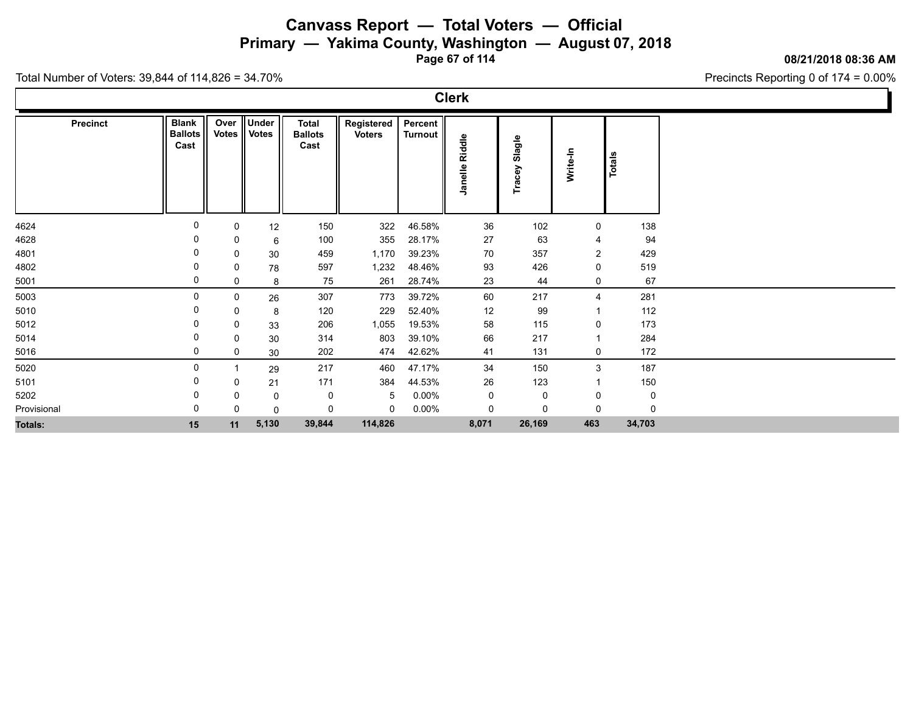**Primary — Yakima County, Washington — August 07, 2018**

**Page 67 of 114**

#### **08/21/2018 08:36 AM**

Precincts Reporting 0 of 174 = 0.00%

| Precinct       | <b>Blank</b><br><b>Ballots</b><br>Cast | Over<br><b>Votes</b> | <b>Under</b><br>Votes | <b>Total</b><br><b>Ballots</b><br>Cast | Registered<br><b>Voters</b> | Percent<br><b>Turnout</b> | Riddle<br>Janelle | Slagle<br>Tracey | Write-In       | <b>Totals</b> |
|----------------|----------------------------------------|----------------------|-----------------------|----------------------------------------|-----------------------------|---------------------------|-------------------|------------------|----------------|---------------|
|                |                                        |                      |                       |                                        |                             |                           |                   |                  |                |               |
| 4624           | 0                                      | 0                    | 12                    | 150                                    | 322                         | 46.58%                    | 36                | 102              | $\mathbf 0$    | 138           |
| 4628           | 0                                      | 0                    | 6                     | 100                                    | 355                         | 28.17%                    | 27                | 63               | $\overline{4}$ | 94            |
| 4801           | 0                                      | 0                    | 30                    | 459                                    | 1,170                       | 39.23%                    | 70                | 357              | $\overline{2}$ | 429           |
| 4802           | 0                                      | 0                    | 78                    | 597                                    | 1,232                       | 48.46%                    | 93                | 426              | $\mathbf 0$    | 519           |
| 5001           | 0                                      | 0                    | 8                     | 75                                     | 261                         | 28.74%                    | 23                | 44               | 0              | 67            |
| 5003           | 0                                      | 0                    | 26                    | 307                                    | 773                         | 39.72%                    | 60                | 217              | $\overline{4}$ | 281           |
| 5010           | 0                                      | 0                    | 8                     | 120                                    | 229                         | 52.40%                    | 12                | 99               | -1             | 112           |
| 5012           | 0                                      | 0                    | 33                    | 206                                    | 1,055                       | 19.53%                    | 58                | 115              | 0              | 173           |
| 5014           | 0                                      | 0                    | 30                    | 314                                    | 803                         | 39.10%                    | 66                | 217              |                | 284           |
| 5016           | 0                                      | 0                    | 30                    | 202                                    | 474                         | 42.62%                    | 41                | 131              | 0              | 172           |
| 5020           | 0                                      |                      | 29                    | 217                                    | 460                         | 47.17%                    | 34                | 150              | $\mathbf{3}$   | 187           |
| 5101           | 0                                      | 0                    | 21                    | 171                                    | 384                         | 44.53%                    | 26                | 123              |                | 150           |
| 5202           | 0                                      | 0                    | $\mathbf 0$           | 0                                      | 5                           | $0.00\%$                  | $\pmb{0}$         | $\mathbf 0$      | 0              | 0             |
| Provisional    | 0                                      | $\Omega$             | $\mathbf 0$           | 0                                      | 0                           | $0.00\%$                  | $\pmb{0}$         | $\mathbf 0$      | $\Omega$       | $\Omega$      |
| <b>Totals:</b> | 15                                     | 11                   | 5,130                 | 39,844                                 | 114,826                     |                           | 8,071             | 26,169           | 463            | 34,703        |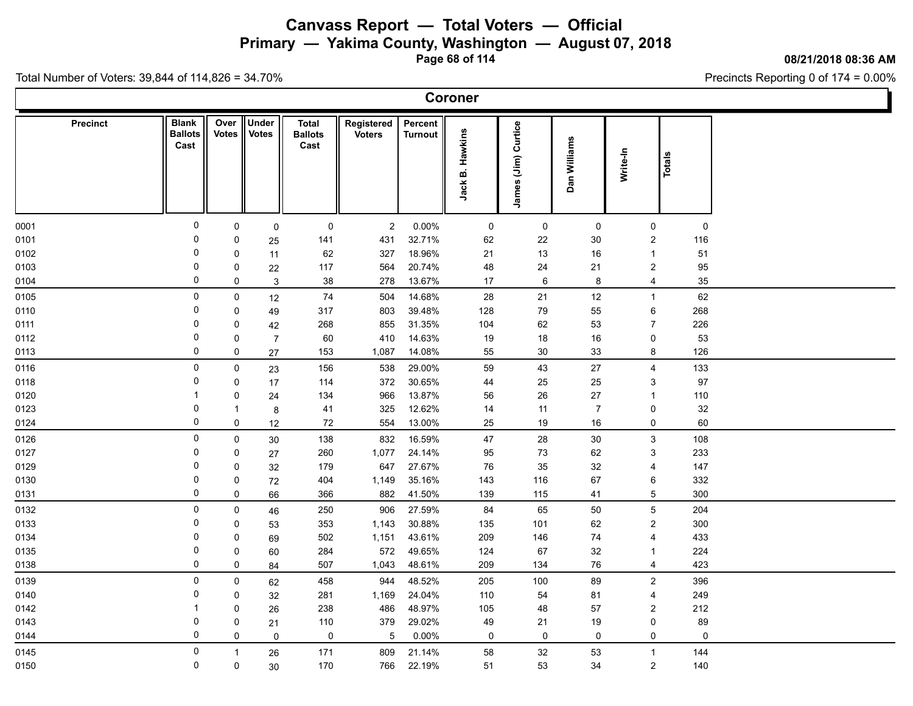**Primary — Yakima County, Washington — August 07, 2018**

**Page 68 of 114**

**08/21/2018 08:36 AM**

Precincts Reporting 0 of 174 = 0.00%

| <b>Precinct</b> | <b>Blank</b><br><b>Ballots</b><br>Cast | Over<br><b>Votes</b> | Under<br><b>Votes</b> | <b>Total</b><br><b>Ballots</b><br>Cast | Registered<br><b>Voters</b> | Percent<br><b>Turnout</b> | <b>B. Hawkins</b><br><b>Jack</b> | James (Jim) Curtice | Dan Williams   | Write-In       | Totals           |                     |  |  |
|-----------------|----------------------------------------|----------------------|-----------------------|----------------------------------------|-----------------------------|---------------------------|----------------------------------|---------------------|----------------|----------------|------------------|---------------------|--|--|
| 0001            | $\mathsf{O}\xspace$                    | 0                    | $\mathbf 0$           | 0                                      | $\overline{a}$              | $0.00\%$                  | $\mathbf 0$                      | $\mathsf 0$         | $\mathsf 0$    |                | 0                | 0                   |  |  |
| 0101            | 0                                      | 0                    | 25                    | 141                                    | 431                         | 32.71%                    | 62                               | 22                  | 30             |                | $\overline{c}$   | 116                 |  |  |
| 0102            | 0                                      | $\mathbf 0$          | 11                    | 62                                     | 327                         | 18.96%                    | 21                               | 13                  | 16             |                |                  | 51                  |  |  |
| 0103            | 0                                      | $\pmb{0}$            | 22                    | 117                                    | 564                         | 20.74%                    | 48                               | 24                  | 21             |                | $\overline{2}$   | 95                  |  |  |
| 0104            | $\mathbf 0$                            | $\mathbf 0$          | $\mathbf{3}$          | 38                                     | 278                         | 13.67%                    | 17                               | $\,6\,$             | 8              |                | $\overline{4}$   | 35                  |  |  |
| 0105            | 0                                      | $\pmb{0}$            | 12                    | 74                                     | 504                         | 14.68%                    | 28                               | 21                  | 12             |                | $\mathbf{1}$     | 62                  |  |  |
| 0110            | $\pmb{0}$                              | $\pmb{0}$            | 49                    | 317                                    | 803                         | 39.48%                    | 128                              | 79                  | 55             |                | $\,6\,$          | 268                 |  |  |
| 0111            | $\pmb{0}$                              | $\mathbf 0$          | 42                    | 268                                    | 855                         | 31.35%                    | 104                              | 62                  | 53             |                | $\overline{7}$   | 226                 |  |  |
| 0112            | 0                                      | 0                    | $\overline{7}$        | 60                                     | 410                         | 14.63%                    | 19                               | 18                  | 16             |                | 0                | 53                  |  |  |
| 0113            | $\mathbf 0$                            | $\mathbf 0$          | 27                    | 153                                    | 1,087                       | 14.08%                    | 55                               | $30\,$              | 33             |                | 8                | 126                 |  |  |
| 0116            | 0                                      | $\pmb{0}$            | 23                    | 156                                    | 538                         | 29.00%                    | 59                               | 43                  | 27             |                | $\overline{4}$   | 133                 |  |  |
| 0118            | 0                                      | $\pmb{0}$            | 17                    | 114                                    | 372                         | 30.65%                    | 44                               | 25                  | 25             |                | 3                | 97                  |  |  |
| 0120            | 1                                      | $\mathbf 0$          | 24                    | 134                                    | 966                         | 13.87%                    | 56                               | 26                  | 27             | $\overline{1}$ |                  | 110                 |  |  |
| 0123            | 0                                      | $\mathbf{1}$         | $\bf 8$               | 41                                     | 325                         | 12.62%                    | 14                               | 11                  | $\overline{7}$ |                | 0                | 32                  |  |  |
| 0124            | 0                                      | $\pmb{0}$            | 12                    | 72                                     | 554                         | 13.00%                    | 25                               | 19                  | 16             |                | 0                | 60                  |  |  |
| 0126            | $\mathbf 0$                            | $\mathbf 0$          | 30                    | 138                                    | 832                         | 16.59%                    | 47                               | 28                  | 30             |                | 3                | 108                 |  |  |
| 0127            | 0                                      | $\mathbf 0$          | 27                    | 260                                    | 1,077                       | 24.14%                    | 95                               | 73                  | 62             |                | 3                | 233                 |  |  |
| 0129            | 0                                      | $\pmb{0}$            | 32                    | 179                                    | 647                         | 27.67%                    | 76                               | 35                  | 32             |                | 4                | 147                 |  |  |
| 0130            | $\pmb{0}$                              | $\pmb{0}$            | $72\,$                | 404                                    | 1,149                       | 35.16%                    | 143                              | 116                 | 67             |                | 6                | 332                 |  |  |
| 0131            | $\pmb{0}$                              | $\pmb{0}$            | 66                    | 366                                    | 882                         | 41.50%                    | 139                              | 115                 | 41             |                | $5\phantom{.0}$  | 300                 |  |  |
| 0132            | $\mathsf{O}\xspace$                    | $\pmb{0}$            | 46                    | 250                                    | 906                         | 27.59%                    | 84                               | 65                  | 50             |                | $\overline{5}$   | 204                 |  |  |
| 0133            | 0                                      | $\pmb{0}$            | 53                    | 353                                    | 1,143                       | 30.88%                    | 135                              | 101                 | 62             |                | $\boldsymbol{2}$ | 300                 |  |  |
| 0134            | $\pmb{0}$                              | $\pmb{0}$            | 69                    | 502                                    | 1,151                       | 43.61%                    | 209                              | 146                 | 74             |                | 4                | 433                 |  |  |
| 0135            | 0                                      | $\pmb{0}$            | 60                    | 284                                    | 572                         | 49.65%                    | 124                              | 67                  | 32             |                | $\mathbf{1}$     | 224                 |  |  |
| 0138            | $\mathbf 0$                            | $\pmb{0}$            | 84                    | 507                                    | 1,043                       | 48.61%                    | 209                              | 134                 | 76             |                | $\overline{4}$   | 423                 |  |  |
| 0139            | 0                                      | $\pmb{0}$            | 62                    | 458                                    | 944                         | 48.52%                    | 205                              | 100                 | 89             |                | $\overline{2}$   | 396                 |  |  |
| 0140            | $\mathbf 0$                            | $\mathbf 0$          | 32                    | 281                                    | 1,169                       | 24.04%                    | 110                              | 54                  | 81             |                | 4                | 249                 |  |  |
| 0142            | 1                                      | $\pmb{0}$            | 26                    | 238                                    | 486                         | 48.97%                    | 105                              | 48                  | 57             |                | $\overline{c}$   | 212                 |  |  |
| 0143            | 0                                      | $\mathbf 0$          | 21                    | 110                                    | 379                         | 29.02%                    | 49                               | 21                  | 19             |                | $\mathbf 0$      | 89                  |  |  |
| 0144            | $\mathbf 0$                            | $\mathbf 0$          | $\mathbf 0$           | $\mathsf{O}\xspace$                    | 5                           | $0.00\%$                  | 0                                | $\mathbf 0$         | $\mathsf 0$    |                | 0                | $\mathsf{O}\xspace$ |  |  |
| 0145            | $\mathbf 0$                            | $\mathbf{1}$         | 26                    | 171                                    | 809                         | 21.14%                    | 58                               | 32                  | 53             | $\overline{1}$ |                  | 144                 |  |  |
| 0150            | 0                                      | $\mathbf 0$          | 30                    | 170                                    | 766                         | 22.19%                    | 51                               | 53                  | 34             |                | $\overline{2}$   | 140                 |  |  |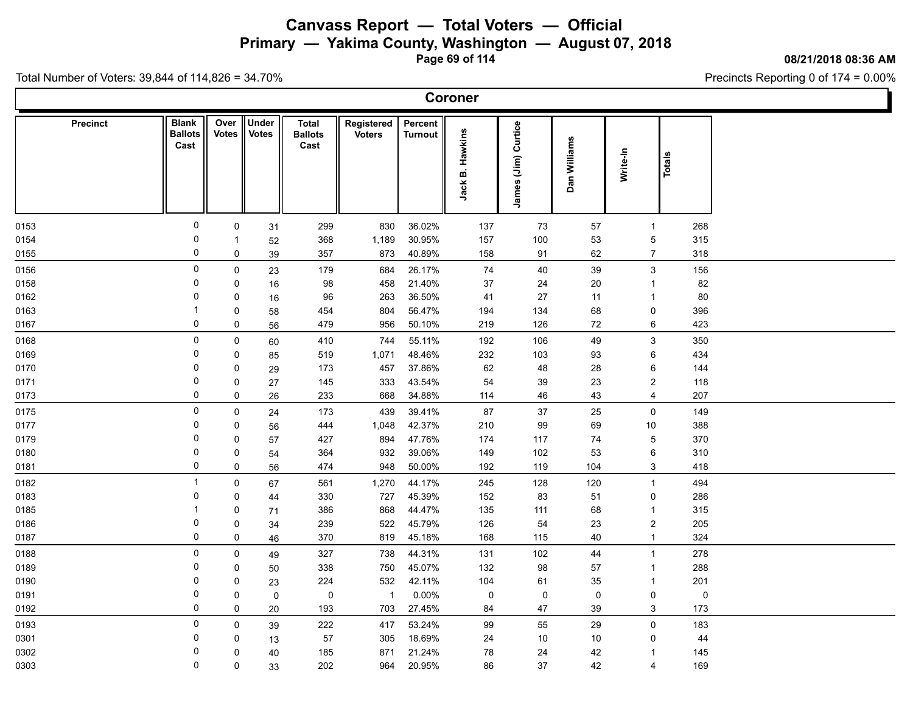**Primary — Yakima County, Washington — August 07, 2018**

**Page 69 of 114**

**08/21/2018 08:36 AM**

Ъ

Precincts Reporting 0 of 174 = 0.00%

| Coroner         |                                        |               |                       |                                 |                             |                           |                      |                        |                                  |                         |               |  |  |
|-----------------|----------------------------------------|---------------|-----------------------|---------------------------------|-----------------------------|---------------------------|----------------------|------------------------|----------------------------------|-------------------------|---------------|--|--|
| <b>Precinct</b> | <b>Blank</b><br><b>Ballots</b><br>Cast | Over<br>Votes | Under<br><b>Votes</b> | Total<br><b>Ballots</b><br>Cast | Registered<br><b>Voters</b> | Percent<br><b>Turnout</b> | Hawkins<br>ø<br>Jack | Curtice<br>James (Jim) | an Williams<br>$\mathbf{\Omega}$ | Write-In                | <b>Totals</b> |  |  |
| 0153            | $\mathbf 0$                            | $\mathsf{O}$  | 31                    | 299                             | 830                         | 36.02%                    | 137                  | 73                     | 57                               | $\overline{1}$          | 268           |  |  |
| 0154            | 0                                      | $\mathbf 1$   | 52                    | 368                             | 1,189                       | 30.95%                    | 157                  | 100                    | 53                               | $5\,$                   | 315           |  |  |
| 0155            | 0                                      | $\mathsf{O}$  | 39                    | 357                             | 873                         | 40.89%                    | 158                  | 91                     | 62                               | $\overline{7}$          | 318           |  |  |
| 0156            | $\mathbf 0$                            | $\mathsf 0$   | 23                    | 179                             | 684                         | 26.17%                    | 74                   | 40                     | 39                               | $\mathbf{3}$            | 156           |  |  |
| 0158            | 0                                      | 0             | 16                    | 98                              | 458                         | 21.40%                    | 37                   | 24                     | 20                               | $\overline{1}$          | 82            |  |  |
| 0162            | 0                                      | $\mathbf 0$   | 16                    | 96                              | 263                         | 36.50%                    | 41                   | 27                     | 11                               | $\overline{1}$          | 80            |  |  |
| 0163            | -1                                     | 0             | 58                    | 454                             | 804                         | 56.47%                    | 194                  | 134                    | 68                               | 0                       | 396           |  |  |
| 0167            | 0                                      | $\mathbf 0$   | 56                    | 479                             | 956                         | 50.10%                    | 219                  | 126                    | 72                               | 6                       | 423           |  |  |
| 0168            | 0                                      | $\mathsf{0}$  | 60                    | 410                             | 744                         | 55.11%                    | 192                  | 106                    | 49                               | 3                       | 350           |  |  |
| 0169            | 0                                      | $\mathbf 0$   | 85                    | 519                             | 1,071                       | 48.46%                    | 232                  | 103                    | 93                               | 6                       | 434           |  |  |
| 0170            | $\mathbf 0$                            | 0             | 29                    | 173                             | 457                         | 37.86%                    | 62                   | 48                     | 28                               | 6                       | 144           |  |  |
| 0171            | 0                                      | 0             | 27                    | 145                             | 333                         | 43.54%                    | 54                   | 39                     | 23                               | $\overline{2}$          | 118           |  |  |
| 0173            | 0                                      | $\mathbf 0$   | 26                    | 233                             | 668                         | 34.88%                    | 114                  | 46                     | 43                               | 4                       | 207           |  |  |
| 0175            | $\mathbf 0$                            | $\mathsf{O}$  | 24                    | 173                             | 439                         | 39.41%                    | 87                   | 37                     | 25                               | $\mathbf 0$             | 149           |  |  |
| 0177            | 0                                      | 0             | 56                    | 444                             | 1,048                       | 42.37%                    | 210                  | 99                     | 69                               | 10                      | 388           |  |  |
| 0179            | $\mathbf 0$                            | 0             | 57                    | 427                             | 894                         | 47.76%                    | 174                  | 117                    | 74                               | $\sqrt{5}$              | 370           |  |  |
| 0180            | 0                                      | 0             | 54                    | 364                             | 932                         | 39.06%                    | 149                  | 102                    | 53                               | 6                       | 310           |  |  |
| 0181            | $\mathbf 0$                            | $\mathbf 0$   | 56                    | 474                             | 948                         | 50.00%                    | 192                  | 119                    | 104                              | 3                       | 418           |  |  |
| 0182            | $\overline{1}$                         | $\mathbf 0$   | 67                    | 561                             | 1,270                       | 44.17%                    | 245                  | 128                    | 120                              | $\overline{1}$          | 494           |  |  |
| 0183            | 0                                      | $\mathbf 0$   | 44                    | 330                             | 727                         | 45.39%                    | 152                  | 83                     | 51                               | $\mathbf 0$             | 286           |  |  |
| 0185            | -1                                     | 0             | 71                    | 386                             | 868                         | 44.47%                    | 135                  | 111                    | 68                               | $\overline{1}$          | 315           |  |  |
| 0186            | 0                                      | 0             | 34                    | 239                             | 522                         | 45.79%                    | 126                  | 54                     | 23                               | $\overline{2}$          | 205           |  |  |
| 0187            | 0                                      | 0             | 46                    | 370                             | 819                         | 45.18%                    | 168                  | 115                    | 40                               | $\mathbf{1}$            | 324           |  |  |
| 0188            | $\mathbf 0$                            | $\mathsf{O}$  | 49                    | 327                             | 738                         | 44.31%                    | 131                  | 102                    | 44                               | $\overline{1}$          | 278           |  |  |
| 0189            | 0                                      | 0             | 50                    | 338                             | 750                         | 45.07%                    | 132                  | 98                     | 57                               | $\overline{1}$          | 288           |  |  |
| 0190            | 0                                      | 0             | 23                    | 224                             | 532                         | 42.11%                    | 104                  | 61                     | 35                               | $\overline{1}$          | 201           |  |  |
| 0191            | 0                                      | 0             | 0                     | 0                               | $\overline{1}$              | $0.00\%$                  | 0                    | $\mathsf{O}$           | 0                                | $\mathbf 0$             | 0             |  |  |
| 0192            | 0                                      | $\mathbf 0$   | 20                    | 193                             | 703                         | 27.45%                    | 84                   | 47                     | 39                               | 3                       | 173           |  |  |
| 0193            | $\mathsf 0$                            | $\mathsf{O}$  | 39                    | 222                             | 417                         | 53.24%                    | 99                   | 55                     | 29                               | $\mathsf{O}$            | 183           |  |  |
| 0301            | 0                                      | 0             | 13                    | 57                              | 305                         | 18.69%                    | 24                   | 10                     | 10                               | 0                       | 44            |  |  |
| 0302            | $\mathbf 0$                            | $\mathbf{0}$  | 40                    | 185                             | 871                         | 21.24%                    | 78                   | 24                     | 42                               | -1                      | 145           |  |  |
| 0303            | $\mathbf 0$                            | $\mathbf{0}$  | 33                    | 202                             | 964                         | 20.95%                    | 86                   | 37                     | 42                               | $\overline{\mathbf{4}}$ | 169           |  |  |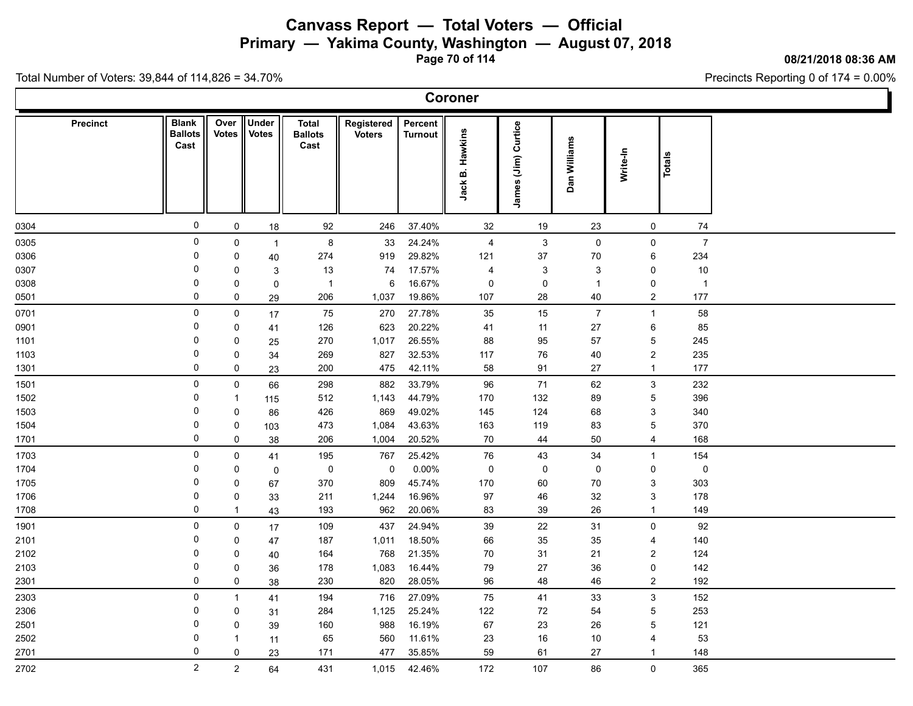**Primary — Yakima County, Washington — August 07, 2018**

**Page 70 of 114**

**08/21/2018 08:36 AM**

Ъ

Precincts Reporting 0 of 174 = 0.00%

Total Number of Voters: 39,844 of 114,826 = 34.70%

 $\Gamma$ 

|                 |                                        |                      |                       |                                        |                             |                           | Coroner              |                           |                |          |                                |                |  |
|-----------------|----------------------------------------|----------------------|-----------------------|----------------------------------------|-----------------------------|---------------------------|----------------------|---------------------------|----------------|----------|--------------------------------|----------------|--|
| <b>Precinct</b> | <b>Blank</b><br><b>Ballots</b><br>Cast | Over<br><b>Votes</b> | Under<br><b>Votes</b> | <b>Total</b><br><b>Ballots</b><br>Cast | Registered<br><b>Voters</b> | Percent<br><b>Turnout</b> | Hawkins<br>ø<br>Jack | James (Jim) Curtice       | Dan Williams   | Write-In | <b>Totals</b>                  |                |  |
| 0304            | 0                                      | $\mathsf{O}$         | 18                    | 92                                     | 246                         | 37.40%                    | 32                   | 19                        | 23             |          | 0                              | 74             |  |
| 0305            | $\mathbf 0$                            | $\mathsf 0$          | $\overline{1}$        | 8                                      | 33                          | 24.24%                    | $\overline{4}$       | $\mathbf{3}$              | $\mathsf 0$    |          | $\mathsf{O}$                   | $\overline{7}$ |  |
| 0306            | 0                                      | $\mathbf 0$          | 40                    | 274                                    | 919                         | 29.82%                    | 121                  | 37                        | 70             |          | 6                              | 234            |  |
| 0307            | $\Omega$                               | $\mathbf 0$          | 3                     | 13                                     | 74                          | 17.57%                    | 4                    | $\ensuremath{\mathsf{3}}$ | $\sqrt{3}$     |          | 0                              | $10$           |  |
| 0308            | 0                                      | $\mathbf 0$          | $\pmb{0}$             | $\overline{1}$                         | 6                           | 16.67%                    | 0                    | 0                         | $\overline{1}$ |          | 0                              | $\overline{1}$ |  |
| 0501            | $\Omega$                               | $\mathbf 0$          | 29                    | 206                                    | 1,037                       | 19.86%                    | 107                  | 28                        | 40             |          | $\overline{2}$                 | 177            |  |
| 0701            | 0                                      | $\mathbf 0$          | 17                    | 75                                     | 270                         | 27.78%                    | 35                   | 15                        | $\overline{7}$ |          | $\mathbf{1}$                   | 58             |  |
| 0901            | 0                                      | $\mathbf 0$          | 41                    | 126                                    | 623                         | 20.22%                    | 41                   | 11                        | 27             |          | 6                              | 85             |  |
| 1101            | 0                                      | $\mathbf 0$          | 25                    | 270                                    | 1,017                       | 26.55%                    | 88                   | 95                        | 57             |          | 5                              | 245            |  |
| 1103            | $\Omega$                               | $\mathbf 0$          | 34                    | 269                                    | 827                         | 32.53%                    | 117                  | 76                        | 40             |          | $\overline{2}$                 | 235            |  |
| 1301            | $\mathbf 0$                            | 0                    | 23                    | 200                                    | 475                         | 42.11%                    | 58                   | 91                        | 27             |          | $\mathbf{1}$                   | 177            |  |
| 1501            | $\mathbf 0$                            | 0                    | 66                    | 298                                    | 882                         | 33.79%                    | 96                   | 71                        | 62             |          | 3                              | 232            |  |
| 1502            | $\Omega$                               | $\overline{1}$       | 115                   | 512                                    | 1,143                       | 44.79%                    | 170                  | 132                       | 89             |          | 5                              | 396            |  |
| 1503            | 0                                      | $\mathbf 0$          | 86                    | 426                                    | 869                         | 49.02%                    | 145                  | 124                       | 68             |          | 3                              | 340            |  |
| 1504            | $\mathbf 0$                            | 0                    | 103                   | 473                                    | 1,084                       | 43.63%                    | 163                  | 119                       | 83             |          | 5                              | 370            |  |
| 1701            | $\mathbf 0$                            | 0                    | 38                    | 206                                    | 1,004                       | 20.52%                    | 70                   | 44                        | 50             |          | $\overline{4}$                 | 168            |  |
| 1703            | $\mathbf 0$                            | $\mathsf 0$          | 41                    | 195                                    | 767                         | 25.42%                    | $76\,$               | 43                        | 34             |          | $\mathbf{1}$                   | 154            |  |
| 1704            | 0                                      | $\mathbf 0$          | $\pmb{0}$             | 0                                      | 0                           | 0.00%                     | $\pmb{0}$            | 0                         | 0              |          | 0                              | $\mathsf 0$    |  |
| 1705            | 0                                      | $\mathbf 0$          | 67                    | 370                                    | 809                         | 45.74%                    | 170                  | 60                        | 70             |          | 3                              | 303            |  |
| 1706            | $\Omega$                               | $\mathsf 0$          | 33                    | 211                                    | 1,244                       | 16.96%                    | 97                   | 46                        | 32             |          | $\mathbf{3}$                   | 178            |  |
| 1708            | 0                                      | $\mathbf{1}$         | 43                    | 193                                    | 962                         | 20.06%                    | 83                   | 39                        | 26             |          | $\mathbf{1}$                   | 149            |  |
| 1901            | 0                                      | $\mathsf 0$          | 17                    | 109                                    | 437                         | 24.94%                    | 39                   | 22                        | 31             |          | $\mathbf 0$                    | 92             |  |
| 2101            | 0                                      | 0                    | 47                    | 187                                    | 1,011                       | 18.50%                    | 66                   | 35                        | 35             |          | 4                              | 140            |  |
| 2102            | 0                                      | 0                    | 40                    | 164                                    | 768                         | 21.35%                    | $70\,$               | 31                        | 21             |          | $\overline{c}$                 | 124            |  |
| 2103            | 0<br>0                                 | $\mathbf 0$          | 36                    | 178                                    | 1,083                       | 16.44%                    | 79                   | 27                        | 36             |          | 0                              | 142            |  |
| 2301            |                                        | 0                    | 38                    | 230                                    | 820                         | 28.05%                    | 96                   | 48                        | 46             |          | $\overline{2}$                 | 192            |  |
| 2303            | $\mathbf 0$                            | $\mathbf{1}$         | 41                    | 194                                    | 716                         | 27.09%                    | 75                   | 41                        | 33             |          | $\mathbf{3}$                   | 152            |  |
| 2306            | $\Omega$                               | $\mathbf 0$          | 31                    | 284                                    | 1,125                       | 25.24%                    | 122                  | 72                        | 54             |          | 5                              | 253            |  |
| 2501            | $\Omega$<br>0                          | $\mathbf 0$          | 39                    | 160                                    | 988                         | 16.19%                    | 67                   | 23                        | 26             |          | 5                              | 121            |  |
| 2502            | $\Omega$                               | $\mathbf{1}$         | 11                    | 65<br>171                              | 560<br>477                  | 11.61%<br>35.85%          | 23<br>59             | 16                        | 10             |          | $\overline{4}$<br>$\mathbf{1}$ | 53<br>148      |  |
| 2701            |                                        | 0                    | 23                    |                                        |                             |                           |                      | 61                        | 27             |          |                                |                |  |
| 2702            | $\overline{2}$                         | $\overline{2}$       | 64                    | 431                                    | 1,015                       | 42.46%                    | 172                  | 107                       | 86             |          | $\mathbf 0$                    | 365            |  |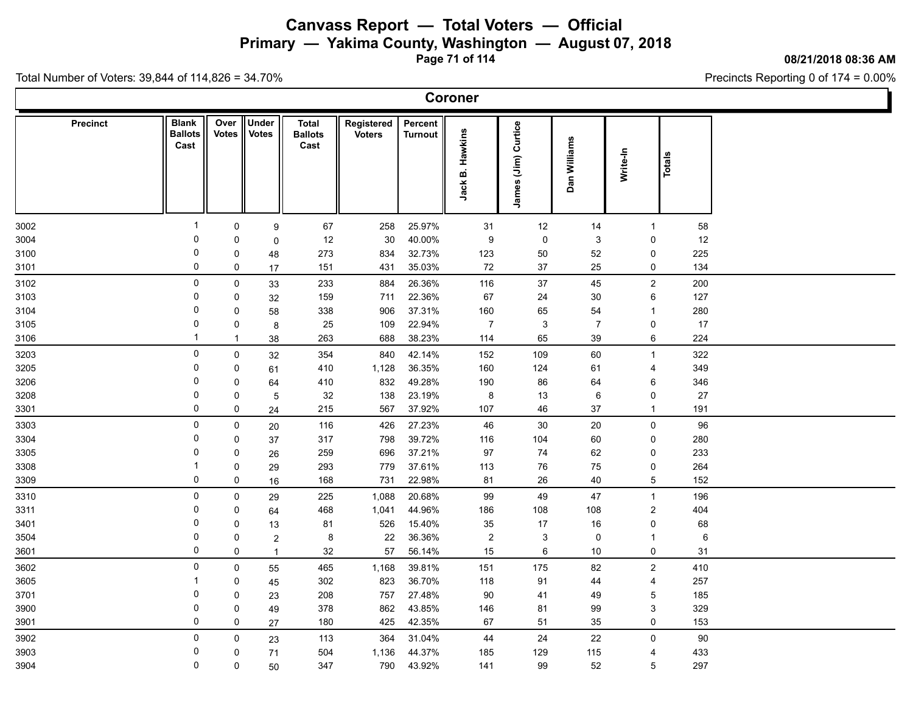**Primary — Yakima County, Washington — August 07, 2018**

**Page 71 of 114**

**08/21/2018 08:36 AM**

Precincts Reporting 0 of 174 = 0.00%

| <b>Coroner</b> |  |
|----------------|--|
|----------------|--|

| <b>Precinct</b> | <b>Blank</b><br><b>Ballots</b><br>Cast | Over<br><b>Votes</b> | Under<br><b>Votes</b> | <b>Total</b><br><b>Ballots</b><br>Cast | Registered<br><b>Voters</b> | Percent<br><b>Turnout</b> | <b>B. Hawkins</b><br><b>Jack</b> | James (Jim) Curtice | Dan Williams   | Write-In       | Totals              |        |  |
|-----------------|----------------------------------------|----------------------|-----------------------|----------------------------------------|-----------------------------|---------------------------|----------------------------------|---------------------|----------------|----------------|---------------------|--------|--|
| 3002            | $\mathbf{1}$                           | 0                    | $\boldsymbol{9}$      | 67                                     | 258                         | 25.97%                    | 31                               | 12                  | 14             |                | $\mathbf{1}$        | 58     |  |
| 3004            | 0                                      | 0                    | $\mathbf 0$           | 12                                     | 30                          | 40.00%                    | $\boldsymbol{9}$                 | $\pmb{0}$           | $\mathbf{3}$   |                | 0                   | 12     |  |
| 3100            | 0                                      | 0                    | 48                    | 273                                    | 834                         | 32.73%                    | 123                              | 50                  | 52             |                | 0                   | 225    |  |
| 3101            | 0                                      | $\pmb{0}$            | 17                    | 151                                    | 431                         | 35.03%                    | 72                               | 37                  | 25             |                | 0                   | 134    |  |
| 3102            | 0                                      | $\pmb{0}$            | 33                    | 233                                    | 884                         | 26.36%                    | 116                              | 37                  | 45             |                | $\overline{2}$      | 200    |  |
| 3103            | 0                                      | 0                    | 32                    | 159                                    | 711                         | 22.36%                    | 67                               | 24                  | 30             |                | 6                   | 127    |  |
| 3104            | 0                                      | $\pmb{0}$            | 58                    | 338                                    | 906                         | 37.31%                    | 160                              | 65                  | 54             | $\overline{1}$ |                     | 280    |  |
| 3105            | $\pmb{0}$                              | $\pmb{0}$            | $\bf 8$               | 25                                     | 109                         | 22.94%                    | $\overline{7}$                   | $\mathbf{3}$        | $\overline{7}$ |                | 0                   | 17     |  |
| 3106            | $\mathbf{1}$                           | $\mathbf{1}$         | 38                    | 263                                    | 688                         | 38.23%                    | 114                              | 65                  | 39             |                | 6                   | 224    |  |
| 3203            | 0                                      | $\mathbf 0$          | 32                    | 354                                    | 840                         | 42.14%                    | 152                              | 109                 | 60             |                | $\mathbf{1}$        | 322    |  |
| 3205            | 0                                      | 0                    | 61                    | 410                                    | 1,128                       | 36.35%                    | 160                              | 124                 | 61             |                | $\overline{4}$      | 349    |  |
| 3206            | $\pmb{0}$                              | $\mathbf 0$          | 64                    | 410                                    | 832                         | 49.28%                    | 190                              | 86                  | 64             |                | 6                   | 346    |  |
| 3208            | 0                                      | $\pmb{0}$            | $\overline{5}$        | 32                                     | 138                         | 23.19%                    | $\bf 8$                          | 13                  | $\,6\,$        |                | 0                   | 27     |  |
| 3301            | 0                                      | $\pmb{0}$            | 24                    | 215                                    | 567                         | 37.92%                    | 107                              | 46                  | 37             |                | $\mathbf{1}$        | 191    |  |
| 3303            | 0                                      | $\pmb{0}$            | 20                    | 116                                    | 426                         | 27.23%                    | 46                               | 30                  | 20             |                | $\mathsf{O}\xspace$ | 96     |  |
| 3304            | 0                                      | $\mathbf 0$          | 37                    | 317                                    | 798                         | 39.72%                    | 116                              | 104                 | 60             |                | 0                   | 280    |  |
| 3305            | 0                                      | $\pmb{0}$            | 26                    | 259                                    | 696                         | 37.21%                    | 97                               | 74                  | 62             |                | 0                   | 233    |  |
| 3308            | $\mathbf{1}$                           | $\pmb{0}$            | 29                    | 293                                    | 779                         | 37.61%                    | 113                              | 76                  | 75             |                | $\pmb{0}$           | 264    |  |
| 3309            | 0                                      | $\mathbf 0$          | 16                    | 168                                    | 731                         | 22.98%                    | 81                               | 26                  | 40             |                | $\overline{5}$      | 152    |  |
| 3310            | 0                                      | $\mathbf 0$          | 29                    | 225                                    | 1,088                       | 20.68%                    | 99                               | 49                  | 47             |                | $\mathbf{1}$        | 196    |  |
| 3311            | 0                                      | $\pmb{0}$            | 64                    | 468                                    | 1,041                       | 44.96%                    | 186                              | 108                 | 108            |                | $\overline{c}$      | 404    |  |
| 3401            | $\pmb{0}$                              | $\pmb{0}$            | 13                    | 81                                     | 526                         | 15.40%                    | 35                               | 17                  | 16             |                | $\mathbf 0$         | 68     |  |
| 3504            | 0                                      | $\pmb{0}$            | $\overline{c}$        | 8                                      | 22                          | 36.36%                    | $\boldsymbol{2}$                 | $\sqrt{3}$          | $\pmb{0}$      | $\overline{1}$ |                     | 6      |  |
| 3601            | $\mathbf 0$                            | $\mathbf 0$          | $\mathbf{1}$          | 32                                     | 57                          | 56.14%                    | 15                               | $\,6\,$             | 10             |                | $\mathbf 0$         | 31     |  |
| 3602            | 0                                      | $\pmb{0}$            | 55                    | 465                                    | 1,168                       | 39.81%                    | 151                              | 175                 | 82             |                | $\overline{2}$      | 410    |  |
| 3605            | 1                                      | 0                    | 45                    | 302                                    | 823                         | 36.70%                    | 118                              | 91                  | 44             |                | 4                   | 257    |  |
| 3701            | 0                                      | $\pmb{0}$            | 23                    | 208                                    | 757                         | 27.48%                    | 90                               | 41                  | 49             |                | 5                   | 185    |  |
| 3900            | 0                                      | $\pmb{0}$            | 49                    | 378                                    | 862                         | 43.85%                    | 146                              | 81                  | 99             |                | 3                   | 329    |  |
| 3901            | 0                                      | $\pmb{0}$            | 27                    | 180                                    | 425                         | 42.35%                    | 67                               | 51                  | 35             |                | $\mathsf{O}\xspace$ | 153    |  |
| 3902            | 0                                      | $\pmb{0}$            | 23                    | 113                                    | 364                         | 31.04%                    | 44                               | 24                  | 22             |                | 0                   | $90\,$ |  |
| 3903            | 0                                      | $\pmb{0}$            | 71                    | 504                                    | 1,136                       | 44.37%                    | 185                              | 129                 | 115            |                | $\overline{4}$      | 433    |  |
| 3904            | $\mathbf{0}$                           | $\mathbf 0$          | 50                    | 347                                    | 790                         | 43.92%                    | 141                              | 99                  | 52             |                | 5                   | 297    |  |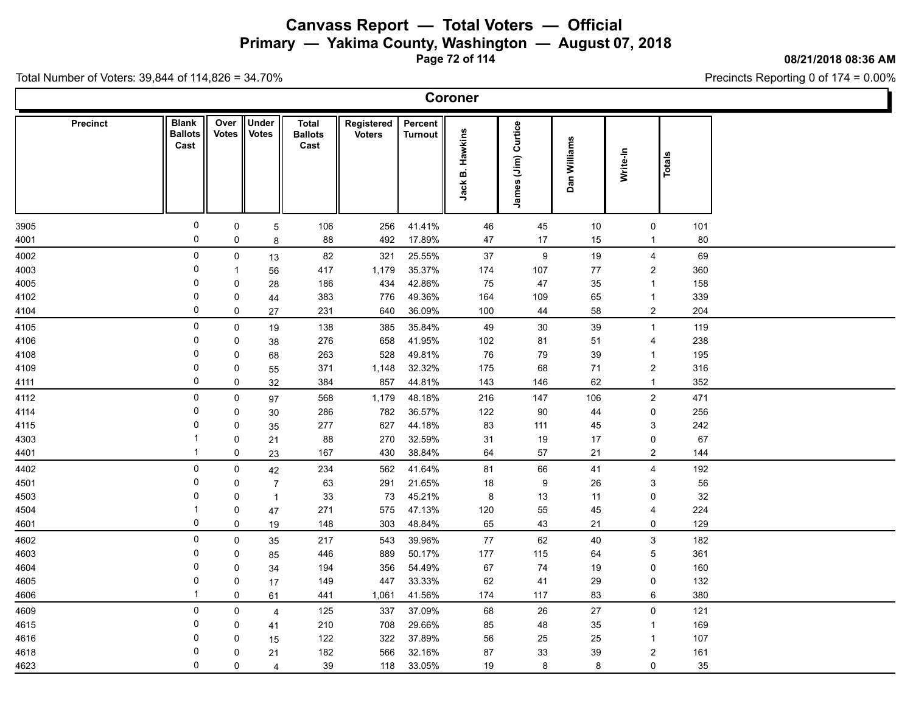**Primary — Yakima County, Washington — August 07, 2018**

**Page 72 of 114**

**08/21/2018 08:36 AM**

Precincts Reporting 0 of 174 = 0.00%

| <b>Coroner</b> |  |
|----------------|--|
|----------------|--|

| Precinct | <b>Blank</b><br><b>Ballots</b><br>Cast | Over<br><b>Votes</b> | Under<br><b>Votes</b> | <b>Total</b><br><b>Ballots</b><br>Cast | Registered<br><b>Voters</b> | Percent<br><b>Turnout</b> |                 |                     |              |          |                            |  |
|----------|----------------------------------------|----------------------|-----------------------|----------------------------------------|-----------------------------|---------------------------|-----------------|---------------------|--------------|----------|----------------------------|--|
|          |                                        |                      |                       |                                        |                             |                           | Jack B. Hawkins | James (Jim) Curtice | Dan Williams | Write-In | Totals                     |  |
| 3905     | $\mathsf{O}\xspace$                    | $\pmb{0}$            | $\overline{5}$        | 106                                    | 256                         | 41.41%                    | 46              | 45                  | 10           |          | $\mathsf{O}\xspace$<br>101 |  |
| 4001     | $\mathsf{O}\xspace$                    | $\mathbf 0$          | $\bf 8$               | 88                                     | 492                         | 17.89%                    | 47              | 17                  | 15           |          | 80<br>$\overline{1}$       |  |
| 4002     | 0                                      | $\pmb{0}$            | 13                    | 82                                     | 321                         | 25.55%                    | $37\,$          | $\boldsymbol{9}$    | 19           |          | 69<br>4                    |  |
| 4003     | 0                                      | $\mathbf{1}$         | 56                    | 417                                    | 1,179                       | 35.37%                    | 174             | 107                 | 77           |          | $\overline{2}$<br>360      |  |
| 4005     | 0                                      | 0                    | 28                    | 186                                    | 434                         | 42.86%                    | 75              | $47\,$              | 35           |          | 158<br>$\mathbf{1}$        |  |
| 4102     | 0                                      | $\pmb{0}$            | 44                    | 383                                    | 776                         | 49.36%                    | 164             | 109                 | 65           |          | 339<br>$\mathbf{1}$        |  |
| 4104     | $\pmb{0}$                              | $\mathbf 0$          | 27                    | 231                                    | 640                         | 36.09%                    | 100             | 44                  | 58           |          | $\overline{2}$<br>204      |  |
| 4105     | 0                                      | $\pmb{0}$            | 19                    | 138                                    | 385                         | 35.84%                    | 49              | $30\,$              | 39           |          | 119<br>$\mathbf{1}$        |  |
| 4106     | 0                                      | 0                    | 38                    | 276                                    | 658                         | 41.95%                    | 102             | 81                  | 51           |          | 238<br>4                   |  |
| 4108     | $\pmb{0}$                              | $\mathbf 0$          | 68                    | 263                                    | 528                         | 49.81%                    | 76              | 79                  | 39           |          | 195<br>$\overline{1}$      |  |
| 4109     | 0                                      | 0                    | 55                    | 371                                    | 1,148                       | 32.32%                    | 175             | 68                  | 71           |          | $\overline{2}$<br>316      |  |
| 4111     | 0                                      | $\pmb{0}$            | 32                    | 384                                    | 857                         | 44.81%                    | 143             | 146                 | 62           |          | 352<br>$\mathbf{1}$        |  |
| 4112     | 0                                      | $\pmb{0}$            | 97                    | 568                                    | 1,179                       | 48.18%                    | 216             | 147                 | 106          |          | $\mathbf{2}$<br>471        |  |
| 4114     | 0                                      | $\mathbf 0$          | 30                    | 286                                    | 782                         | 36.57%                    | 122             | 90                  | 44           |          | $\pmb{0}$<br>256           |  |
| 4115     | 0                                      | $\mathbf 0$          | 35                    | 277                                    | 627                         | 44.18%                    | 83              | 111                 | 45           |          | 3<br>242                   |  |
| 4303     | 1                                      | $\mathbf 0$          | 21                    | 88                                     | 270                         | 32.59%                    | 31              | 19                  | 17           |          | 67<br>$\mathbf 0$          |  |
| 4401     | $\mathbf{1}$                           | $\mathbf 0$          | 23                    | 167                                    | 430                         | 38.84%                    | 64              | 57                  | 21           |          | $\overline{2}$<br>144      |  |
| 4402     | $\mathbf 0$                            | $\mathbf 0$          | 42                    | 234                                    | 562                         | 41.64%                    | 81              | 66                  | 41           |          | 192<br>4                   |  |
| 4501     | 0                                      | $\mathbf 0$          | $\overline{7}$        | 63                                     | 291                         | 21.65%                    | 18              | $\boldsymbol{9}$    | 26           |          | 56<br>$\mathbf{3}$         |  |
| 4503     | 0                                      | $\pmb{0}$            | $\mathbf{1}$          | 33                                     | 73                          | 45.21%                    | 8               | 13                  | 11           |          | 32<br>$\mathbf 0$          |  |
| 4504     | 1                                      | $\mathbf 0$          | 47                    | 271                                    | 575                         | 47.13%                    | 120             | 55                  | 45           |          | 224<br>4                   |  |
| 4601     | $\pmb{0}$                              | $\mathbf 0$          | 19                    | 148                                    | 303                         | 48.84%                    | 65              | 43                  | 21           |          | 129<br>$\mathbf 0$         |  |
| 4602     | 0                                      | $\pmb{0}$            | 35                    | 217                                    | 543                         | 39.96%                    | 77              | 62                  | 40           |          | $\mathbf{3}$<br>182        |  |
| 4603     | 0                                      | $\pmb{0}$            | 85                    | 446                                    | 889                         | 50.17%                    | 177             | 115                 | 64           |          | $\mathbf 5$<br>361         |  |
| 4604     | 0                                      | $\mathbf 0$          | 34                    | 194                                    | 356                         | 54.49%                    | 67              | 74                  | 19           |          | 160<br>0                   |  |
| 4605     | 0                                      | $\pmb{0}$            | 17                    | 149                                    | 447                         | 33.33%                    | 62              | 41                  | 29           |          | 132<br>0                   |  |
| 4606     | $\mathbf{1}$                           | $\mathbf 0$          | 61                    | 441                                    | 1,061                       | 41.56%                    | 174             | 117                 | 83           |          | 6<br>380                   |  |
| 4609     | 0                                      | $\pmb{0}$            | $\overline{4}$        | 125                                    | 337                         | 37.09%                    | 68              | 26                  | 27           |          | $\mathsf{O}$<br>121        |  |
| 4615     | 0                                      | $\mathbf 0$          | 41                    | 210                                    | 708                         | 29.66%                    | 85              | 48                  | 35           |          | 169<br>$\overline{1}$      |  |
| 4616     | 0                                      | $\pmb{0}$            | 15                    | 122                                    | 322                         | 37.89%                    | 56              | 25                  | 25           |          | 107<br>$\mathbf{1}$        |  |
| 4618     | $\Omega$                               | $\pmb{0}$            | 21                    | 182                                    | 566                         | 32.16%                    | 87              | 33                  | 39           |          | $\sqrt{2}$<br>161          |  |
| 4623     | $\mathbf{0}$                           | $\mathbf 0$          | $\overline{4}$        | 39                                     | 118                         | 33.05%                    | 19              | $\bf 8$             | 8            |          | $\mathbf 0$<br>35          |  |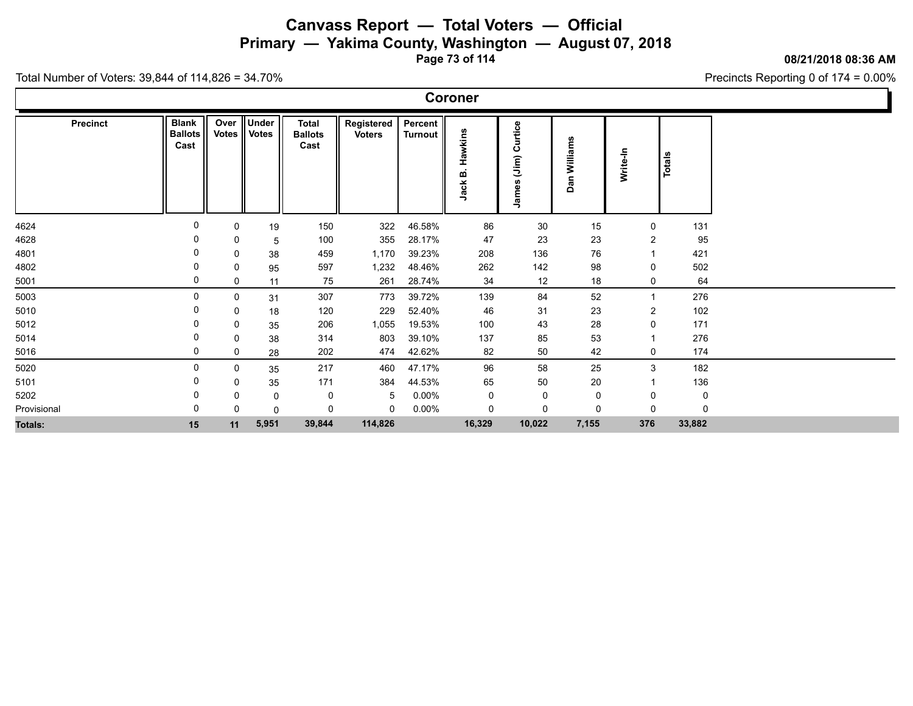**Primary — Yakima County, Washington — August 07, 2018**

**Page 73 of 114**

**08/21/2018 08:36 AM**

Precincts Reporting 0 of 174 = 0.00%

Total Number of Voters: 39,844 of 114,826 = 34.70%

Γ

|                 | Coroner                                |                      |                       |                                        |                             |                    |                      |                                       |                 |                |               |  |  |  |
|-----------------|----------------------------------------|----------------------|-----------------------|----------------------------------------|-----------------------------|--------------------|----------------------|---------------------------------------|-----------------|----------------|---------------|--|--|--|
| <b>Precinct</b> | <b>Blank</b><br><b>Ballots</b><br>Cast | Over<br><b>Votes</b> | Under<br><b>Votes</b> | <b>Total</b><br><b>Ballots</b><br>Cast | Registered<br><b>Voters</b> | Percent<br>Turnout | Hawkins<br>m<br>Jack | Curtice<br>์<br>เรื่อง<br>อิ<br>James | Williams<br>Dan | Write-In       | <b>Totals</b> |  |  |  |
| 4624            |                                        | $\mathbf 0$          | 19                    | 150                                    | 322                         | 46.58%             | 86                   | 30                                    | 15              | 0              | 131           |  |  |  |
| 4628            |                                        | 0                    | 5                     | 100                                    | 355                         | 28.17%             | 47                   | 23                                    | 23              | 2              | 95            |  |  |  |
| 4801            |                                        | 0                    | 38                    | 459                                    | 1,170                       | 39.23%             | 208                  | 136                                   | 76              |                | 421           |  |  |  |
| 4802            |                                        | $\mathbf 0$          | 95                    | 597                                    | 1,232                       | 48.46%             | 262                  | 142                                   | 98              | 0              | 502           |  |  |  |
| 5001            | 0                                      | 0                    | 11                    | 75                                     | 261                         | 28.74%             | 34                   | 12                                    | 18              | 0              | 64            |  |  |  |
| 5003            | 0                                      | 0                    | 31                    | 307                                    | 773                         | 39.72%             | 139                  | 84                                    | 52              |                | 276           |  |  |  |
| 5010            |                                        | 0                    | 18                    | 120                                    | 229                         | 52.40%             | 46                   | 31                                    | 23              | $\overline{c}$ | 102           |  |  |  |
| 5012            |                                        | 0                    | 35                    | 206                                    | 1,055                       | 19.53%             | 100                  | 43                                    | 28              | 0              | 171           |  |  |  |
| 5014            |                                        | 0                    | 38                    | 314                                    | 803                         | 39.10%             | 137                  | 85                                    | 53              |                | 276           |  |  |  |
| 5016            | 0                                      | 0                    | 28                    | 202                                    | 474                         | 42.62%             | 82                   | 50                                    | 42              | 0              | 174           |  |  |  |
| 5020            | 0                                      | $\mathbf 0$          | 35                    | 217                                    | 460                         | 47.17%             | 96                   | 58                                    | 25              | 3              | 182           |  |  |  |
| 5101            | 0                                      | 0                    | 35                    | 171                                    | 384                         | 44.53%             | 65                   | 50                                    | 20              |                | 136           |  |  |  |
| 5202            | 0                                      | 0                    | 0                     | 0                                      | 5                           | $0.00\%$           | 0                    | $\mathbf 0$                           | 0               | 0              | 0             |  |  |  |
| Provisional     | 0                                      | $\Omega$             | $\mathbf 0$           | 0                                      | $\mathbf 0$                 | $0.00\%$           | 0                    | $\mathbf 0$                           | $\Omega$        | $\Omega$       | $\Omega$      |  |  |  |
| <b>Totals:</b>  | 15                                     | 11                   | 5,951                 | 39,844                                 | 114,826                     |                    | 16,329               | 10,022                                | 7,155           | 376            | 33,882        |  |  |  |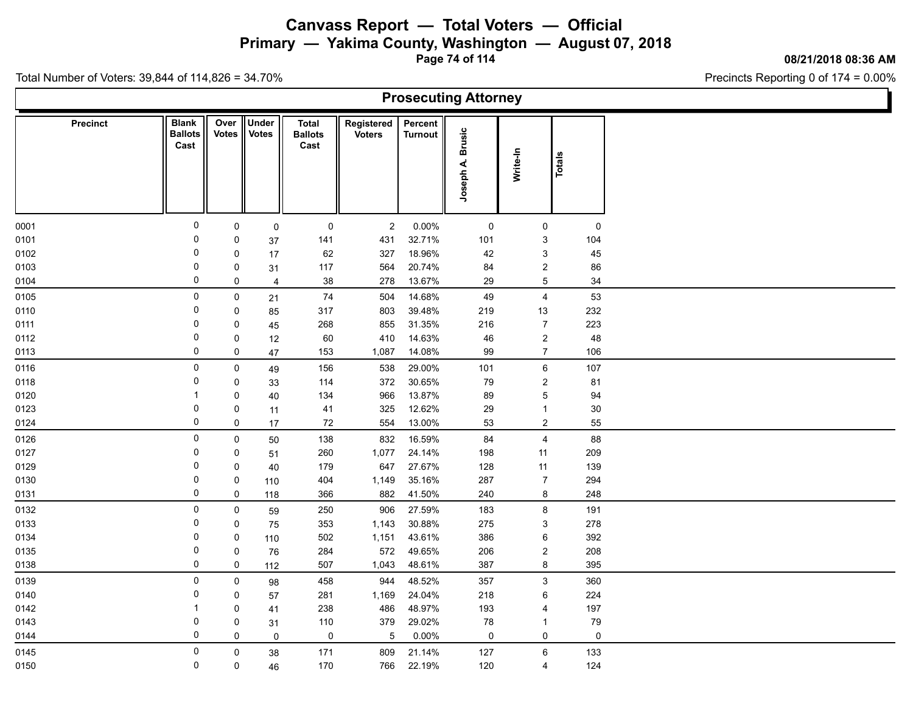**Primary — Yakima County, Washington — August 07, 2018**

**Page 74 of 114**

**08/21/2018 08:36 AM**

Precincts Reporting 0 of 174 = 0.00%

| <b>Prosecuting Attorney</b> |                                        |             |                            |                                        |                             |                           |                            |                 |             |  |  |  |  |
|-----------------------------|----------------------------------------|-------------|----------------------------|----------------------------------------|-----------------------------|---------------------------|----------------------------|-----------------|-------------|--|--|--|--|
| <b>Precinct</b>             | <b>Blank</b><br><b>Ballots</b><br>Cast | Votes       | Over Under<br><b>Votes</b> | <b>Total</b><br><b>Ballots</b><br>Cast | Registered<br><b>Voters</b> | Percent<br><b>Turnout</b> | <b>Brusic</b><br>Joseph A. | Write-In        | Totals      |  |  |  |  |
| 0001                        | $\mathbf 0$                            | 0           | $\mathsf 0$                | 0                                      | $\overline{c}$              | $0.00\%$                  | 0                          | $\mathbf 0$     | $\mathbf 0$ |  |  |  |  |
| 0101                        | 0                                      | 0           | 37                         | 141                                    | 431                         | 32.71%                    | 101                        | 3               | 104         |  |  |  |  |
| 0102                        | $\mathbf 0$                            | 0           | 17                         | 62                                     | 327                         | 18.96%                    | 42                         | $\mathbf{3}$    | 45          |  |  |  |  |
| 0103                        | 0                                      | 0           | 31                         | 117                                    | 564                         | 20.74%                    | 84                         | $\overline{c}$  | 86          |  |  |  |  |
| 0104                        | 0                                      | 0           | 4                          | 38                                     | 278                         | 13.67%                    | 29                         | $\mathbf 5$     | 34          |  |  |  |  |
| 0105                        | $\mathsf{O}\xspace$                    | $\mathsf 0$ | 21                         | $74$                                   | 504                         | 14.68%                    | 49                         | $\overline{4}$  | 53          |  |  |  |  |
| 0110                        | 0                                      | 0           | 85                         | 317                                    | 803                         | 39.48%                    | 219                        | 13              | 232         |  |  |  |  |
| 0111                        | 0                                      | 0           | 45                         | 268                                    | 855                         | 31.35%                    | 216                        | $\overline{7}$  | 223         |  |  |  |  |
| 0112                        | 0                                      | 0           | 12                         | 60                                     | 410                         | 14.63%                    | 46                         | $\overline{2}$  | 48          |  |  |  |  |
| 0113                        | 0                                      | 0           | 47                         | 153                                    | 1,087                       | 14.08%                    | 99                         | $\overline{7}$  | 106         |  |  |  |  |
| 0116                        | 0                                      | 0           | 49                         | 156                                    | 538                         | 29.00%                    | 101                        | $6\phantom{.}6$ | 107         |  |  |  |  |
| 0118                        | 0                                      | $\mathbf 0$ | 33                         | 114                                    | 372                         | 30.65%                    | 79                         | $\overline{2}$  | 81          |  |  |  |  |
| 0120                        | -1                                     | 0           | 40                         | 134                                    | 966                         | 13.87%                    | 89                         | 5               | 94          |  |  |  |  |
| 0123                        | 0                                      | 0           | 11                         | 41                                     | 325                         | 12.62%                    | 29                         | $\mathbf{1}$    | $30\,$      |  |  |  |  |
| 0124                        | 0                                      | 0           | 17                         | 72                                     | 554                         | 13.00%                    | 53                         | $\overline{a}$  | 55          |  |  |  |  |
| 0126                        | $\mathbf 0$                            | $\mathbf 0$ | 50                         | 138                                    | 832                         | 16.59%                    | 84                         | $\overline{4}$  | 88          |  |  |  |  |
| 0127                        | 0                                      | 0           | 51                         | 260                                    | 1,077                       | 24.14%                    | 198                        | 11              | 209         |  |  |  |  |
| 0129                        | 0                                      | 0           | 40                         | 179                                    | 647                         | 27.67%                    | 128                        | 11              | 139         |  |  |  |  |
| 0130                        | 0                                      | 0           | 110                        | 404                                    | 1,149                       | 35.16%                    | 287                        | $\overline{7}$  | 294         |  |  |  |  |
| 0131                        | 0                                      | 0           | 118                        | 366                                    | 882                         | 41.50%                    | 240                        | 8               | 248         |  |  |  |  |
| 0132                        | 0                                      | $\mathbf 0$ | 59                         | 250                                    | 906                         | 27.59%                    | 183                        | 8               | 191         |  |  |  |  |
| 0133                        | 0                                      | 0           | 75                         | 353                                    | 1,143                       | 30.88%                    | 275                        | $\mathbf{3}$    | 278         |  |  |  |  |
| 0134                        | 0                                      | 0           | 110                        | 502                                    | 1,151                       | 43.61%                    | 386                        | 6               | 392         |  |  |  |  |
| 0135                        | 0                                      | 0           | 76                         | 284                                    | 572                         | 49.65%                    | 206                        | $\overline{c}$  | 208         |  |  |  |  |
| 0138                        | 0                                      | 0           | 112                        | 507                                    | 1,043                       | 48.61%                    | 387                        | 8               | 395         |  |  |  |  |
| 0139                        | $\mathbf 0$                            | 0           | 98                         | 458                                    | 944                         | 48.52%                    | 357                        | $\mathbf{3}$    | 360         |  |  |  |  |
| 0140                        | 0                                      | 0           | 57                         | 281                                    | 1,169                       | 24.04%                    | 218                        | 6               | 224         |  |  |  |  |
| 0142                        | $\mathbf{1}$                           | 0           | 41                         | 238                                    | 486                         | 48.97%                    | 193                        | 4               | 197         |  |  |  |  |
| 0143                        | 0                                      | 0           | 31                         | 110                                    | 379                         | 29.02%                    | 78                         | -1              | 79          |  |  |  |  |
| 0144                        | $\mathbf 0$                            | $\mathbf 0$ | $\mathbf 0$                | 0                                      | $\overline{5}$              | 0.00%                     | $\mathbf 0$                | $\mathsf{O}$    | 0           |  |  |  |  |
| 0145                        | 0                                      | $\mathsf 0$ | 38                         | 171                                    | 809                         | 21.14%                    | 127                        | $6\phantom{.}6$ | 133         |  |  |  |  |
| 0150                        | 0                                      | 0           | 46                         | 170                                    | 766                         | 22.19%                    | 120                        | 4               | 124         |  |  |  |  |
|                             |                                        |             |                            |                                        |                             |                           |                            |                 |             |  |  |  |  |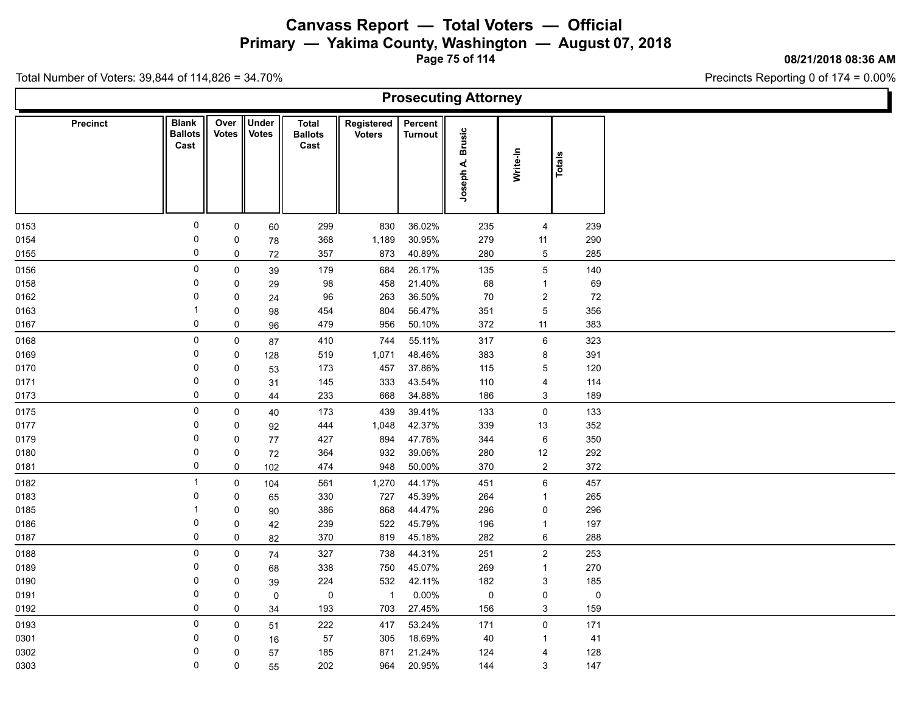**Primary — Yakima County, Washington — August 07, 2018**

**Page 75 of 114**

**08/21/2018 08:36 AM**

Ъ

Precincts Reporting 0 of 174 = 0.00%

Total Number of Voters: 39,844 of 114,826 = 34.70%

Г

| <b>Prosecuting Attorney</b> |                                        |                      |                              |                                        |                             |                    |                            |                         |           |  |  |  |  |
|-----------------------------|----------------------------------------|----------------------|------------------------------|----------------------------------------|-----------------------------|--------------------|----------------------------|-------------------------|-----------|--|--|--|--|
| <b>Precinct</b>             | <b>Blank</b><br><b>Ballots</b><br>Cast | Over<br><b>Votes</b> | <b>Under</b><br><b>Votes</b> | <b>Total</b><br><b>Ballots</b><br>Cast | Registered<br><b>Voters</b> | Percent<br>Turnout | <b>Brusic</b><br>Joseph A. | Write-In                | Totals    |  |  |  |  |
| 0153                        | 0                                      | $\mathbf 0$          | 60                           | 299                                    | 830                         | 36.02%             | 235                        | 4                       | 239       |  |  |  |  |
| 0154                        | 0                                      | $\mathbf 0$          | 78                           | 368                                    | 1,189                       | 30.95%             | 279                        | 11                      | 290       |  |  |  |  |
| 0155                        | $\mathsf 0$                            | $\mathbf 0$          | 72                           | 357                                    | 873                         | 40.89%             | 280                        | 5                       | 285       |  |  |  |  |
| 0156                        | 0                                      | $\mathbf 0$          | 39                           | 179                                    | 684                         | 26.17%             | 135                        | 5                       | 140       |  |  |  |  |
| 0158                        | $\mathbf 0$                            | $\mathbf 0$          | 29                           | 98                                     | 458                         | 21.40%             | 68                         | $\mathbf{1}$            | 69        |  |  |  |  |
| 0162                        | $\mathbf{0}$                           | 0                    | 24                           | 96                                     | 263                         | 36.50%             | $70\,$                     | $\overline{\mathbf{c}}$ | 72        |  |  |  |  |
| 0163                        |                                        | $\mathbf 0$          | 98                           | 454                                    | 804                         | 56.47%             | 351                        | $\overline{5}$          | 356       |  |  |  |  |
| 0167                        | 0                                      | 0                    | 96                           | 479                                    | 956                         | 50.10%             | 372                        | 11                      | 383       |  |  |  |  |
| 0168                        | 0                                      | $\mathbf 0$          | 87                           | 410                                    | 744                         | 55.11%             | 317                        | 6                       | 323       |  |  |  |  |
| 0169                        | $\mathbf 0$                            | $\mathsf{O}$         | 128                          | 519                                    | 1,071                       | 48.46%             | 383                        | 8                       | 391       |  |  |  |  |
| 0170                        | 0                                      | 0                    | 53                           | 173                                    | 457                         | 37.86%             | 115                        | 5                       | 120       |  |  |  |  |
| 0171                        | 0                                      | 0                    | 31                           | 145                                    | 333                         | 43.54%             | 110                        | $\overline{4}$          | 114       |  |  |  |  |
| 0173                        | 0                                      | 0                    | 44                           | 233                                    | 668                         | 34.88%             | 186                        | 3                       | 189       |  |  |  |  |
| 0175                        | 0                                      | $\mathbf 0$          | 40                           | 173                                    | 439                         | 39.41%             | 133                        | $\mathsf{O}\xspace$     | 133       |  |  |  |  |
| 0177                        | $\Omega$                               | $\mathbf 0$          | 92                           | 444                                    | 1,048                       | 42.37%             | 339                        | 13                      | 352       |  |  |  |  |
| 0179                        | 0                                      | 0                    | 77                           | 427                                    | 894                         | 47.76%             | 344                        | $\,6$                   | 350       |  |  |  |  |
| 0180                        | 0                                      | 0                    | $72\,$                       | 364                                    | 932                         | 39.06%             | 280                        | $12$                    | 292       |  |  |  |  |
| 0181                        | $\mathbf 0$                            | $\mathsf{O}\xspace$  | 102                          | 474                                    | 948                         | 50.00%             | 370                        | $\overline{\mathbf{c}}$ | 372       |  |  |  |  |
| 0182                        | -1                                     | $\mathbf 0$          | 104                          | 561                                    | 1,270                       | 44.17%             | 451                        | 6                       | 457       |  |  |  |  |
| 0183                        | 0                                      | 0                    | 65                           | 330                                    | 727                         | 45.39%             | 264                        | $\mathbf{1}$            | 265       |  |  |  |  |
| 0185                        |                                        | 0                    | 90                           | 386                                    | 868                         | 44.47%             | 296                        | 0                       | 296       |  |  |  |  |
| 0186                        | 0                                      | $\mathbf 0$          | 42                           | 239                                    | 522                         | 45.79%             | 196                        | $\mathbf{1}$            | 197       |  |  |  |  |
| 0187                        | $\mathbf 0$                            | 0                    | 82                           | 370                                    | 819                         | 45.18%             | 282                        | 6                       | 288       |  |  |  |  |
| 0188                        | $\mathbf 0$                            | $\mathbf 0$          | 74                           | 327                                    | 738                         | 44.31%             | 251                        | $\overline{\mathbf{c}}$ | 253       |  |  |  |  |
| 0189                        | 0                                      | 0                    | 68                           | 338                                    | 750                         | 45.07%             | 269                        | $\mathbf{1}$            | 270       |  |  |  |  |
| 0190                        | 0                                      | 0                    | 39                           | 224                                    | 532                         | 42.11%             | 182                        | 3                       | 185       |  |  |  |  |
| 0191                        | 0                                      | $\pmb{0}$            | $\mathsf{O}\xspace$          | $\pmb{0}$                              | $\overline{1}$              | $0.00\%$           | $\pmb{0}$                  | $\pmb{0}$               | $\pmb{0}$ |  |  |  |  |
| 0192                        | 0                                      | 0                    | 34                           | 193                                    | 703                         | 27.45%             | 156                        | $\mathfrak{S}$          | 159       |  |  |  |  |
| 0193                        | $\mathbf 0$                            | $\mathbf 0$          | 51                           | 222                                    | 417                         | 53.24%             | 171                        | 0                       | 171       |  |  |  |  |
| 0301                        | 0                                      | 0                    | 16                           | 57                                     | 305                         | 18.69%             | 40                         | $\mathbf{1}$            | 41        |  |  |  |  |
| 0302                        | 0                                      | $\mathbf 0$          | 57                           | 185                                    | 871                         | 21.24%             | 124                        | 4                       | 128       |  |  |  |  |
| 0303                        | $\mathbf 0$                            | 0                    | 55                           | 202                                    | 964                         | 20.95%             | 144                        | 3                       | 147       |  |  |  |  |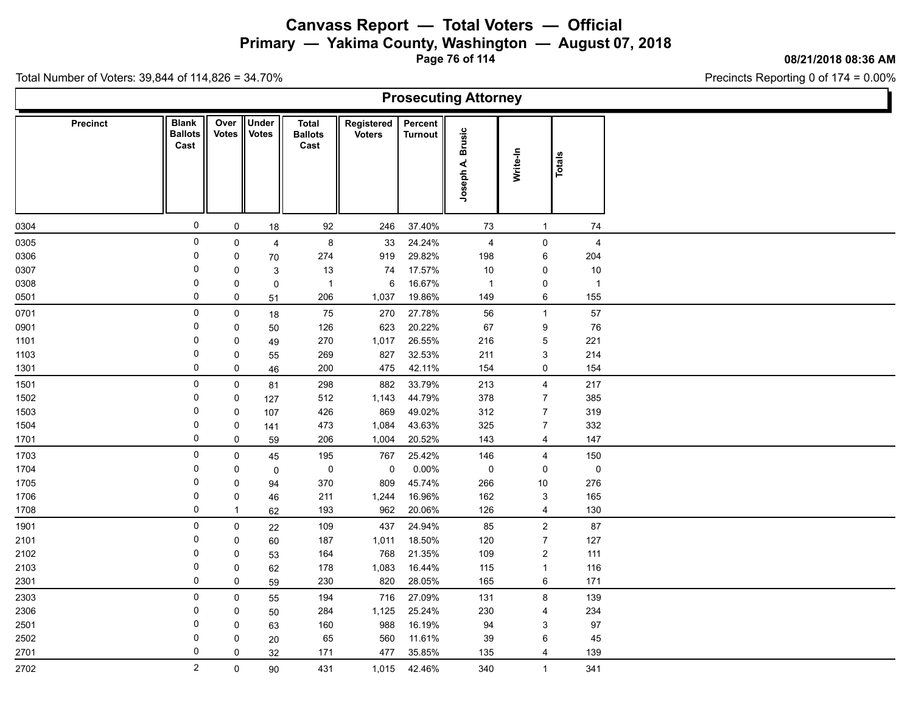**Primary — Yakima County, Washington — August 07, 2018**

**Page 76 of 114**

**08/21/2018 08:36 AM**

Precincts Reporting 0 of 174 = 0.00%

Total Number of Voters: 39,844 of 114,826 = 34.70%

 $\Gamma$ 

| <b>Prosecuting Attorney</b> |                                        |               |                              |                                        |                             |                           |                              |                           |                |  |  |  |  |
|-----------------------------|----------------------------------------|---------------|------------------------------|----------------------------------------|-----------------------------|---------------------------|------------------------------|---------------------------|----------------|--|--|--|--|
| Precinct                    | <b>Blank</b><br><b>Ballots</b><br>Cast | Over<br>Votes | <b>Under</b><br><b>Votes</b> | <b>Total</b><br><b>Ballots</b><br>Cast | Registered<br><b>Voters</b> | Percent<br><b>Turnout</b> | <b>Brusic</b><br>4<br>Joseph | Write-In                  | Totals         |  |  |  |  |
| 0304                        | $\mathsf{O}\xspace$                    | $\mathsf{O}$  | 18                           | 92                                     | 246                         | 37.40%                    | 73                           | $\mathbf{1}$              | 74             |  |  |  |  |
| 0305                        | $\mathsf{O}\xspace$                    | 0             | $\overline{4}$               | $\bf 8$                                | 33                          | 24.24%                    | $\overline{4}$               | $\pmb{0}$                 | $\overline{4}$ |  |  |  |  |
| 0306                        | $\mathbf 0$                            | $\pmb{0}$     | 70                           | 274                                    | 919                         | 29.82%                    | 198                          | 6                         | 204            |  |  |  |  |
| 0307                        | 0                                      | 0             | $\mathsf 3$                  | 13                                     | 74                          | 17.57%                    | $10$                         | $\mathbf 0$               | $10$           |  |  |  |  |
| 0308                        | 0                                      | 0             | $\mathsf{O}\xspace$          | $\overline{1}$                         | 6                           | 16.67%                    | $\overline{1}$               | $\mathsf 0$               | $\overline{1}$ |  |  |  |  |
| 0501                        | $\mathsf{O}\xspace$                    | 0             | 51                           | 206                                    | 1,037                       | 19.86%                    | 149                          | $\,6\,$                   | 155            |  |  |  |  |
| 0701                        | $\mathsf{O}\xspace$                    | 0             | 18                           | 75                                     | 270                         | 27.78%                    | 56                           | $\mathbf{1}$              | 57             |  |  |  |  |
| 0901                        | 0                                      | 0             | 50                           | 126                                    | 623                         | 20.22%                    | 67                           | 9                         | 76             |  |  |  |  |
| 1101                        | 0                                      | 0             | 49                           | 270                                    | 1,017                       | 26.55%                    | 216                          | $\mathbf 5$               | 221            |  |  |  |  |
| 1103                        | 0                                      | 0             | 55                           | 269                                    | 827                         | 32.53%                    | 211                          | $\ensuremath{\mathsf{3}}$ | 214            |  |  |  |  |
| 1301                        | 0                                      | 0             | 46                           | 200                                    | 475                         | 42.11%                    | 154                          | $\mathsf 0$               | 154            |  |  |  |  |
| 1501                        | 0                                      | 0             | 81                           | 298                                    | 882                         | 33.79%                    | 213                          | $\overline{4}$            | 217            |  |  |  |  |
| 1502                        | 0                                      | 0             | 127                          | 512                                    | 1,143                       | 44.79%                    | 378                          | $\overline{7}$            | 385            |  |  |  |  |
| 1503                        | 0                                      | $\pmb{0}$     | 107                          | 426                                    | 869                         | 49.02%                    | 312                          | $\boldsymbol{7}$          | 319            |  |  |  |  |
| 1504                        | 0                                      | $\pmb{0}$     | 141                          | 473                                    | 1,084                       | 43.63%                    | 325                          | $\overline{7}$            | 332            |  |  |  |  |
| 1701                        | 0                                      | $\mathbf 0$   | 59                           | 206                                    | 1,004                       | 20.52%                    | 143                          | $\overline{4}$            | 147            |  |  |  |  |
| 1703                        | $\pmb{0}$                              | $\pmb{0}$     | 45                           | 195                                    | 767                         | 25.42%                    | 146                          | $\overline{\mathbf{4}}$   | 150            |  |  |  |  |
| 1704                        | 0                                      | $\pmb{0}$     | $\mathsf 0$                  | $\pmb{0}$                              | $\pmb{0}$                   | $0.00\%$                  | $\mathsf{O}$                 | $\pmb{0}$                 | $\pmb{0}$      |  |  |  |  |
| 1705                        | 0                                      | 0             | 94                           | 370                                    | 809                         | 45.74%                    | 266                          | 10                        | 276            |  |  |  |  |
| 1706                        | 0                                      | 0             | 46                           | 211                                    | 1,244                       | 16.96%                    | 162                          | $\ensuremath{\mathsf{3}}$ | 165            |  |  |  |  |
| 1708                        | $\mathsf{O}\xspace$                    | $\mathbf{1}$  | 62                           | 193                                    | 962                         | 20.06%                    | 126                          | $\overline{4}$            | 130            |  |  |  |  |
| 1901                        | 0                                      | $\mathsf{O}$  | 22                           | 109                                    | 437                         | 24.94%                    | 85                           | $\boldsymbol{2}$          | 87             |  |  |  |  |
| 2101                        | 0                                      | 0             | 60                           | 187                                    | 1,011                       | 18.50%                    | 120                          | $\boldsymbol{7}$          | 127            |  |  |  |  |
| 2102                        | 0                                      | 0             | 53                           | 164                                    | 768                         | 21.35%                    | 109                          | $\boldsymbol{2}$          | 111            |  |  |  |  |
| 2103                        | 0                                      | $\pmb{0}$     | 62                           | 178                                    | 1,083                       | 16.44%                    | 115                          | $\mathbf{1}$              | 116            |  |  |  |  |
| 2301                        | 0                                      | $\mathsf{O}$  | 59                           | 230                                    | 820                         | 28.05%                    | 165                          | $\,6\,$                   | 171            |  |  |  |  |
| 2303                        | $\mathsf{O}\xspace$                    | $\mathsf{O}$  | 55                           | 194                                    | 716                         | 27.09%                    | 131                          | $\bf 8$                   | 139            |  |  |  |  |
| 2306                        | 0                                      | 0             | 50                           | 284                                    | 1,125                       | 25.24%                    | 230                          | 4                         | 234            |  |  |  |  |
| 2501                        | 0                                      | $\pmb{0}$     | 63                           | 160                                    | 988                         | 16.19%                    | 94                           | 3                         | 97             |  |  |  |  |
| 2502                        | 0                                      | 0             | 20                           | 65                                     | 560                         | 11.61%                    | 39                           | $\,6\,$                   | 45             |  |  |  |  |
| 2701                        | 0                                      | $\mathbf 0$   | 32                           | 171                                    | 477                         | 35.85%                    | 135                          | $\overline{4}$            | 139            |  |  |  |  |
| 2702                        | $\overline{2}$                         | $\pmb{0}$     | 90                           | 431                                    | 1,015                       | 42.46%                    | 340                          | $\mathbf{1}$              | 341            |  |  |  |  |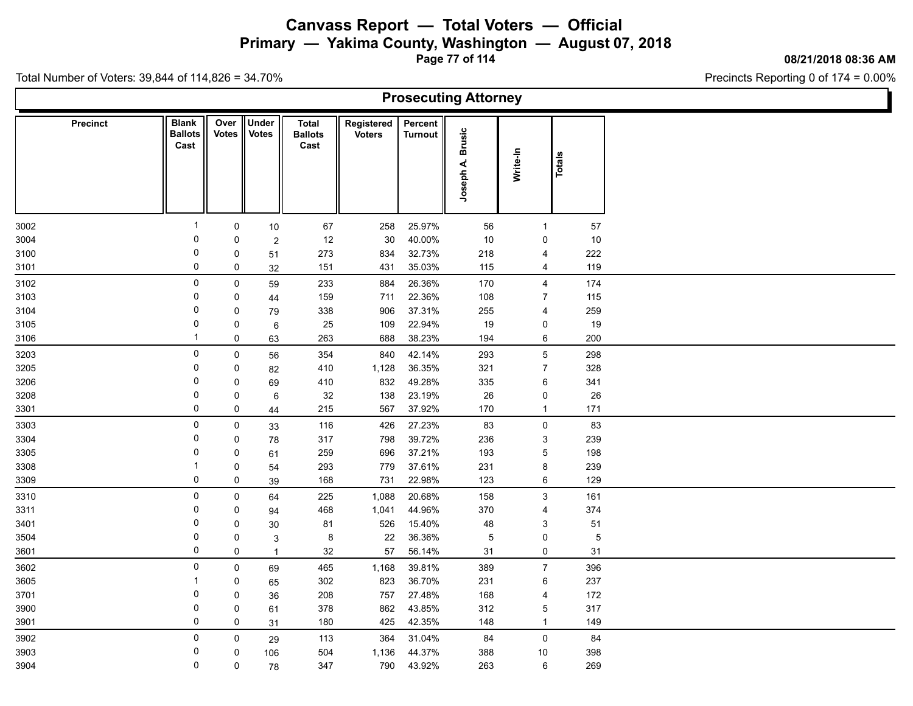**Primary — Yakima County, Washington — August 07, 2018**

**Page 77 of 114**

**08/21/2018 08:36 AM**

Precincts Reporting 0 of 174 = 0.00%

| <b>Prosecuting Attorney</b> |                 |                                        |                 |                              |                                        |                             |                           |                            |                           |        |                |  |  |
|-----------------------------|-----------------|----------------------------------------|-----------------|------------------------------|----------------------------------------|-----------------------------|---------------------------|----------------------------|---------------------------|--------|----------------|--|--|
|                             | <b>Precinct</b> | <b>Blank</b><br><b>Ballots</b><br>Cast | Over  <br>Votes | <b>Under</b><br><b>Votes</b> | <b>Total</b><br><b>Ballots</b><br>Cast | Registered<br><b>Voters</b> | Percent<br><b>Turnout</b> | <b>Brusic</b><br>Joseph A. | Write-In                  | Totals |                |  |  |
| 3002                        |                 | -1                                     | $\mathbf 0$     | $10\,$                       | 67                                     | 258                         | 25.97%                    | 56                         | $\mathbf{1}$              | 57     |                |  |  |
| 3004                        |                 | 0                                      | 0               | $\overline{c}$               | 12                                     | 30                          | 40.00%                    | 10                         | 0                         | 10     |                |  |  |
| 3100                        |                 | 0                                      | 0               | 51                           | 273                                    | 834                         | 32.73%                    | 218                        | 4                         | 222    |                |  |  |
| 3101                        |                 | 0                                      | 0               | 32                           | 151                                    | 431                         | 35.03%                    | 115                        | $\overline{4}$            | 119    |                |  |  |
| 3102                        |                 | $\mathbf 0$                            | $\mathbf 0$     | 59                           | 233                                    | 884                         | 26.36%                    | 170                        | $\overline{4}$            | 174    |                |  |  |
| 3103                        |                 | 0                                      | 0               | 44                           | 159                                    | 711                         | 22.36%                    | 108                        | $\overline{7}$            | 115    |                |  |  |
| 3104                        |                 | 0                                      | 0               | 79                           | 338                                    | 906                         | 37.31%                    | 255                        | $\overline{\mathbf{4}}$   | 259    |                |  |  |
| 3105                        |                 | 0                                      | 0               | 6                            | 25                                     | 109                         | 22.94%                    | 19                         | 0                         | 19     |                |  |  |
| 3106                        |                 | $\mathbf 1$                            | 0               | 63                           | 263                                    | 688                         | 38.23%                    | 194                        | 6                         | 200    |                |  |  |
| 3203                        |                 | 0                                      | $\mathbf 0$     | 56                           | 354                                    | 840                         | 42.14%                    | 293                        | $5\phantom{.0}$           | 298    |                |  |  |
| 3205                        |                 | $\pmb{0}$                              | 0               | 82                           | 410                                    | 1,128                       | 36.35%                    | 321                        | $\overline{7}$            | 328    |                |  |  |
| 3206                        |                 | 0                                      | 0               | 69                           | 410                                    | 832                         | 49.28%                    | 335                        | 6                         | 341    |                |  |  |
| 3208                        |                 | 0                                      | 0               | 6                            | 32                                     | 138                         | 23.19%                    | 26                         | 0                         |        | 26             |  |  |
| 3301                        |                 | 0                                      | $\mathbf 0$     | 44                           | 215                                    | 567                         | 37.92%                    | 170                        | $\mathbf{1}$              | 171    |                |  |  |
| 3303                        |                 | $\mathsf 0$                            | $\mathbf 0$     | 33                           | 116                                    | 426                         | 27.23%                    | 83                         | $\mathsf{O}\xspace$       |        | 83             |  |  |
| 3304                        |                 | 0                                      | 0               | 78                           | 317                                    | 798                         | 39.72%                    | 236                        | $\ensuremath{\mathsf{3}}$ | 239    |                |  |  |
| 3305                        |                 | 0                                      | 0               | 61                           | 259                                    | 696                         | 37.21%                    | 193                        | $\overline{5}$            | 198    |                |  |  |
| 3308                        |                 | -1                                     | 0               | 54                           | 293                                    | 779                         | 37.61%                    | 231                        | 8                         | 239    |                |  |  |
| 3309                        |                 | 0                                      | 0               | 39                           | 168                                    | 731                         | 22.98%                    | 123                        | 6                         | 129    |                |  |  |
| 3310                        |                 | $\mathbf 0$                            | $\mathbf 0$     | 64                           | 225                                    | 1,088                       | 20.68%                    | 158                        | $\mathbf{3}$              | 161    |                |  |  |
| 3311                        |                 | 0                                      | 0               | 94                           | 468                                    | 1,041                       | 44.96%                    | 370                        | 4                         | 374    |                |  |  |
| 3401                        |                 | 0                                      | 0               | $30\,$                       | 81                                     | 526                         | 15.40%                    | 48                         | $\ensuremath{\mathsf{3}}$ | 51     |                |  |  |
| 3504                        |                 | 0                                      | 0               | 3                            | 8                                      | 22                          | 36.36%                    | 5                          | 0                         |        | $\overline{5}$ |  |  |
| 3601                        |                 | 0                                      | 0               | $\overline{1}$               | 32                                     | 57                          | 56.14%                    | 31                         | 0                         | 31     |                |  |  |
| 3602                        |                 | $\mathbf 0$                            | 0               | 69                           | 465                                    | 1,168                       | 39.81%                    | 389                        | $\overline{7}$            | 396    |                |  |  |
| 3605                        |                 |                                        | 0               | 65                           | 302                                    | 823                         | 36.70%                    | 231                        | $\,6\,$                   | 237    |                |  |  |
| 3701                        |                 | 0                                      | 0               | 36                           | 208                                    | 757                         | 27.48%                    | 168                        | 4                         | 172    |                |  |  |
| 3900                        |                 | 0                                      | 0               | 61                           | 378                                    | 862                         | 43.85%                    | 312                        | $\overline{5}$            | 317    |                |  |  |
| 3901                        |                 | 0                                      | 0               | 31                           | 180                                    | 425                         | 42.35%                    | 148                        | $\mathbf{1}$              | 149    |                |  |  |
| 3902                        |                 | 0                                      | 0               | 29                           | 113                                    | 364                         | 31.04%                    | 84                         | $\mathsf{O}$              | 84     |                |  |  |
| 3903                        |                 | 0                                      | 0               | 106                          | 504                                    | 1,136                       | 44.37%                    | 388                        | 10                        | 398    |                |  |  |
| 3904                        |                 | 0                                      | $\mathbf 0$     | 78                           | 347                                    | 790                         | 43.92%                    | 263                        | 6                         | 269    |                |  |  |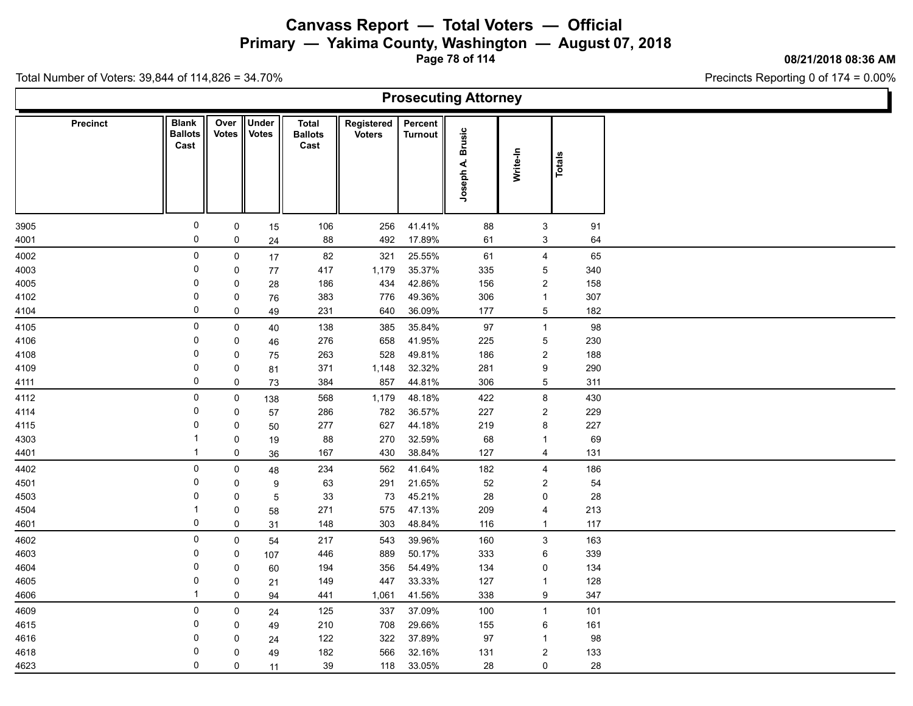**Primary — Yakima County, Washington — August 07, 2018**

**Page 78 of 114**

**08/21/2018 08:36 AM**

Ъ

Precincts Reporting 0 of 174 = 0.00%

Total Number of Voters: 39,844 of 114,826 = 34.70%

Г

| <b>Prosecuting Attorney</b> |                 |                                        |                      |                              |                                        |                             |                    |                            |                         |               |     |  |  |
|-----------------------------|-----------------|----------------------------------------|----------------------|------------------------------|----------------------------------------|-----------------------------|--------------------|----------------------------|-------------------------|---------------|-----|--|--|
|                             | <b>Precinct</b> | <b>Blank</b><br><b>Ballots</b><br>Cast | Over<br><b>Votes</b> | <b>Under</b><br><b>Votes</b> | <b>Total</b><br><b>Ballots</b><br>Cast | Registered<br><b>Voters</b> | Percent<br>Turnout | <b>Brusic</b><br>Joseph A. | Write-In                | <b>Totals</b> |     |  |  |
| 3905                        |                 | $\mathsf 0$                            | $\pmb{0}$            | 15                           | 106                                    | 256                         | 41.41%             | 88                         | $\mathbf{3}$            |               | 91  |  |  |
| 4001                        |                 | 0                                      | 0                    | 24                           | 88                                     | 492                         | 17.89%             | 61                         | 3                       |               | 64  |  |  |
| 4002                        |                 | 0                                      | 0                    | 17                           | 82                                     | 321                         | 25.55%             | 61                         | 4                       |               | 65  |  |  |
| 4003                        |                 | 0                                      | 0                    | 77                           | 417                                    | 1,179                       | 35.37%             | 335                        | 5                       |               | 340 |  |  |
| 4005                        |                 | 0                                      | 0                    | 28                           | 186                                    | 434                         | 42.86%             | 156                        | $\overline{\mathbf{c}}$ |               | 158 |  |  |
| 4102                        |                 | 0                                      | 0                    | 76                           | 383                                    | 776                         | 49.36%             | 306                        | $\mathbf{1}$            |               | 307 |  |  |
| 4104                        |                 | $\mathbf 0$                            | 0                    | 49                           | 231                                    | 640                         | 36.09%             | 177                        | 5                       |               | 182 |  |  |
| 4105                        |                 | 0                                      | $\mathsf 0$          | $40\,$                       | 138                                    | 385                         | 35.84%             | $97\,$                     | $\overline{1}$          |               | 98  |  |  |
| 4106                        |                 | 0                                      | 0                    | 46                           | 276                                    | 658                         | 41.95%             | 225                        | 5                       |               | 230 |  |  |
| 4108                        |                 | 0                                      | 0                    | 75                           | 263                                    | 528                         | 49.81%             | 186                        | $\overline{c}$          |               | 188 |  |  |
| 4109                        |                 | $\mathbf 0$                            | 0                    | 81                           | 371                                    | 1,148                       | 32.32%             | 281                        | 9                       |               | 290 |  |  |
| 4111                        |                 | 0                                      | 0                    | 73                           | 384                                    | 857                         | 44.81%             | 306                        | 5                       |               | 311 |  |  |
| 4112                        |                 | 0                                      | $\mathbf 0$          | 138                          | 568                                    | 1,179                       | 48.18%             | 422                        | 8                       |               | 430 |  |  |
| 4114                        |                 | 0                                      | 0                    | 57                           | 286                                    | 782                         | 36.57%             | 227                        | $\overline{\mathbf{c}}$ |               | 229 |  |  |
| 4115                        |                 | 0                                      | 0                    | 50                           | 277                                    | 627                         | 44.18%             | 219                        | 8                       |               | 227 |  |  |
| 4303                        |                 | $\mathbf 1$                            | 0                    | 19                           | 88                                     | 270                         | 32.59%             | 68                         | $\mathbf{1}$            |               | 69  |  |  |
| 4401                        |                 | $\mathbf{1}$                           | $\mathsf 0$          | 36                           | 167                                    | 430                         | 38.84%             | 127                        | $\overline{4}$          |               | 131 |  |  |
| 4402                        |                 | 0                                      | 0                    | 48                           | 234                                    | 562                         | 41.64%             | 182                        | 4                       |               | 186 |  |  |
| 4501                        |                 | 0                                      | 0                    | 9                            | 63                                     | 291                         | 21.65%             | 52                         | $\overline{\mathbf{c}}$ |               | 54  |  |  |
| 4503                        |                 | $\Omega$                               | 0                    | 5                            | 33                                     | 73                          | 45.21%             | 28                         | 0                       |               | 28  |  |  |
| 4504                        |                 | $\mathbf 1$                            | $\pmb{0}$            | 58                           | 271                                    | 575                         | 47.13%             | 209                        | 4                       |               | 213 |  |  |
| 4601                        |                 | $\mathbf 0$                            | 0                    | 31                           | 148                                    | 303                         | 48.84%             | 116                        | $\overline{1}$          |               | 117 |  |  |
| 4602                        |                 | 0                                      | 0                    | 54                           | 217                                    | 543                         | 39.96%             | 160                        | 3                       |               | 163 |  |  |
| 4603                        |                 | 0                                      | 0                    | 107                          | 446                                    | 889                         | 50.17%             | 333                        | 6                       |               | 339 |  |  |
| 4604                        |                 | 0                                      | 0                    | 60                           | 194                                    | 356                         | 54.49%             | 134                        | 0                       |               | 134 |  |  |
| 4605                        |                 | 0                                      | 0                    | 21                           | 149                                    | 447                         | 33.33%             | 127                        | $\mathbf{1}$            |               | 128 |  |  |
| 4606                        |                 | $\mathbf 1$                            | 0                    | 94                           | 441                                    | 1,061                       | 41.56%             | 338                        | 9                       |               | 347 |  |  |
| 4609                        |                 | 0                                      | $\mathbf 0$          | 24                           | 125                                    | 337                         | 37.09%             | 100                        | $\overline{1}$          |               | 101 |  |  |
| 4615                        |                 | 0                                      | 0                    | 49                           | 210                                    | 708                         | 29.66%             | 155                        | 6                       |               | 161 |  |  |
| 4616                        |                 | 0                                      | 0                    | 24                           | 122                                    | 322                         | 37.89%             | 97                         | -1                      |               | 98  |  |  |
| 4618                        |                 | 0                                      | 0                    | 49                           | 182                                    | 566                         | 32.16%             | 131                        | $\overline{\mathbf{c}}$ |               | 133 |  |  |
| 4623                        |                 | $\mathbf 0$                            | $\mathbf 0$          | 11                           | $39\,$                                 | 118                         | 33.05%             | 28                         | 0                       |               | 28  |  |  |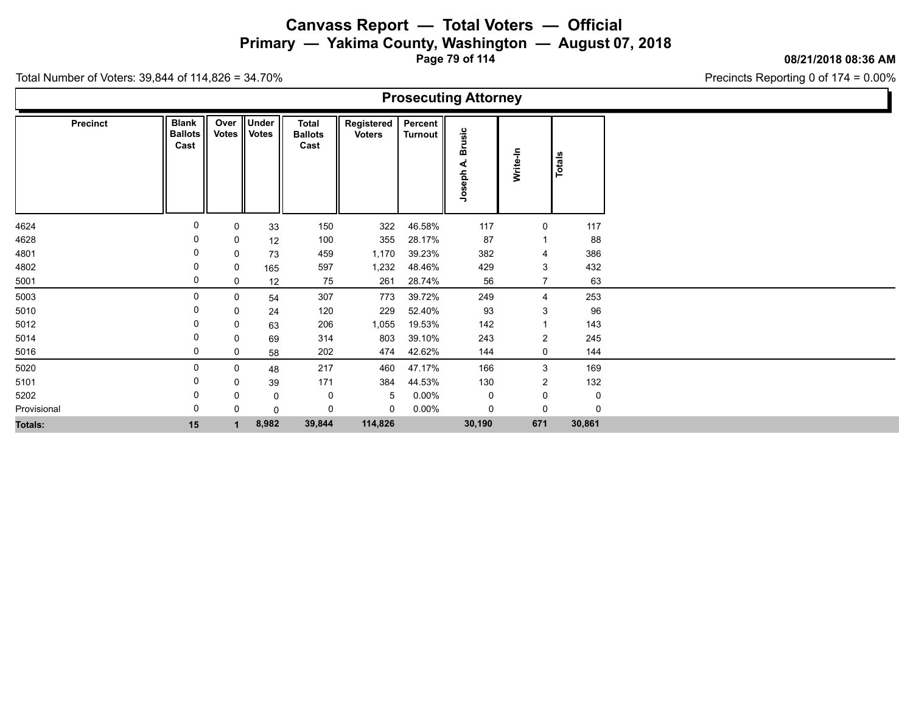**Primary — Yakima County, Washington — August 07, 2018**

**Page 79 of 114**

**08/21/2018 08:36 AM**

Ъ

Precincts Reporting 0 of 174 = 0.00%

| <b>Prosecuting Attorney</b> |                                        |             |                         |                                        |                             |                      |                               |                |        |  |  |  |  |
|-----------------------------|----------------------------------------|-------------|-------------------------|----------------------------------------|-----------------------------|----------------------|-------------------------------|----------------|--------|--|--|--|--|
| <b>Precinct</b>             | <b>Blank</b><br><b>Ballots</b><br>Cast | Over        | Under<br>Votes    Votes | <b>Total</b><br><b>Ballots</b><br>Cast | Registered<br><b>Voters</b> | Percent  <br>Turnout | usic<br>≃<br>⋖<br>loseph<br>っ | Write-In       | Totals |  |  |  |  |
| 4624                        | 0                                      | 0           | 33                      | 150                                    | 322                         | 46.58%               | 117                           | 0              | 117    |  |  |  |  |
| 4628                        | 0                                      | 0           | 12                      | 100                                    | 355                         | 28.17%               | 87                            |                | 88     |  |  |  |  |
| 4801                        | 0                                      | 0           | 73                      | 459                                    | 1,170                       | 39.23%               | 382                           | 4              | 386    |  |  |  |  |
| 4802                        | 0                                      | 0           | 165                     | 597                                    | 1,232                       | 48.46%               | 429                           | $\mathbf{3}$   | 432    |  |  |  |  |
| 5001                        | 0                                      | 0           | 12                      | 75                                     | 261                         | 28.74%               | 56                            | 7              | 63     |  |  |  |  |
| 5003                        | 0                                      | $\mathbf 0$ | 54                      | 307                                    | 773                         | 39.72%               | 249                           | $\overline{4}$ | 253    |  |  |  |  |
| 5010                        | 0                                      | 0           | 24                      | 120                                    | 229                         | 52.40%               | 93                            | 3              | 96     |  |  |  |  |
| 5012                        |                                        | 0           | 63                      | 206                                    | 1,055                       | 19.53%               | 142                           |                | 143    |  |  |  |  |
| 5014                        | 0                                      | 0           | 69                      | 314                                    | 803                         | 39.10%               | 243                           | $\overline{2}$ | 245    |  |  |  |  |
| 5016                        | 0                                      | 0           | 58                      | 202                                    | 474                         | 42.62%               | 144                           | 0              | 144    |  |  |  |  |
| 5020                        | 0                                      | 0           | 48                      | 217                                    | 460                         | 47.17%               | 166                           | 3              | 169    |  |  |  |  |
| 5101                        | 0                                      | 0           | 39                      | 171                                    | 384                         | 44.53%               | 130                           | $\overline{2}$ | 132    |  |  |  |  |
| 5202                        | 0                                      | 0           | 0                       | 0                                      | -5                          | $0.00\%$             | 0                             | 0              | 0      |  |  |  |  |
| Provisional                 | 0                                      | 0           | 0                       | 0                                      | $\mathbf 0$                 | $0.00\%$             | 0                             | $\mathbf 0$    | 0      |  |  |  |  |
| Totals:                     | 15                                     |             | 8,982                   | 39,844                                 | 114,826                     |                      | 30,190                        | 671            | 30,861 |  |  |  |  |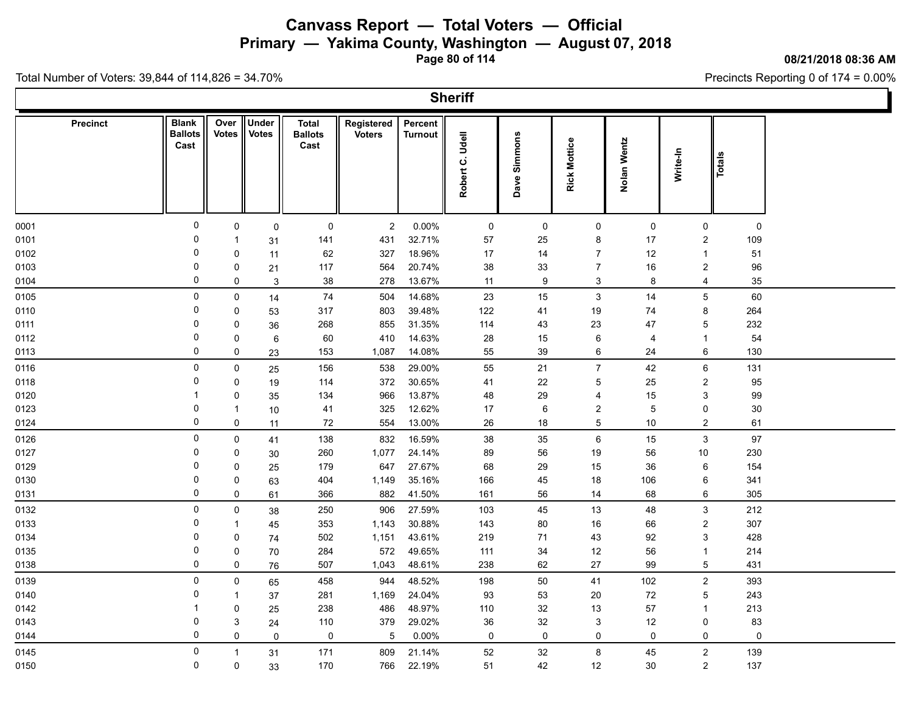**Primary — Yakima County, Washington — August 07, 2018**

**Page 80 of 114**

#### **08/21/2018 08:36 AM**

Ъ

Precincts Reporting 0 of 174 = 0.00%

Total Number of Voters: 39,844 of 114,826 = 34.70%

Г

|                 |                                        |                      |                       |                                        |                             |                           | <b>Sheriff</b>  |                 |                     |                |                |        |  |
|-----------------|----------------------------------------|----------------------|-----------------------|----------------------------------------|-----------------------------|---------------------------|-----------------|-----------------|---------------------|----------------|----------------|--------|--|
| <b>Precinct</b> | <b>Blank</b><br><b>Ballots</b><br>Cast | Over<br><b>Votes</b> | Under<br><b>Votes</b> | <b>Total</b><br><b>Ballots</b><br>Cast | Registered<br><b>Voters</b> | Percent<br><b>Turnout</b> | Robert C. Udell | Simmons<br>Dave | <b>Rick Mottice</b> | Nolan Wentz    | Write-In       | Totals |  |
| 0001            | 0                                      | 0                    | $\mathsf{O}$          | $\mathbf 0$                            | $\overline{2}$              | 0.00%                     | $\mathsf{O}$    | 0               | 0                   | $\mathsf{O}$   | 0              | 0      |  |
| 0101            | 0                                      | $\mathbf{1}$         | 31                    | 141                                    | 431                         | 32.71%                    | 57              | 25              | 8                   | 17             | 2              | 109    |  |
| 0102            | $\mathbf 0$                            | $\mathbf 0$          | 11                    | 62                                     | 327                         | 18.96%                    | 17              | 14              | $\overline{7}$      | 12             | $\mathbf{1}$   | 51     |  |
| 0103            | 0                                      | 0                    | 21                    | 117                                    | 564                         | 20.74%                    | 38              | 33              | $\overline{7}$      | 16             | 2              | 96     |  |
| 0104            | $\Omega$                               | $\mathsf{O}$         | $\mathbf{3}$          | 38                                     | 278                         | 13.67%                    | 11              | 9               | 3                   | 8              | $\overline{4}$ | 35     |  |
| 0105            | $\mathbf 0$                            | $\mathsf{O}$         | 14                    | 74                                     | 504                         | 14.68%                    | 23              | 15              | 3                   | 14             | 5              | 60     |  |
| 0110            | 0                                      | $\mathbf 0$          | 53                    | 317                                    | 803                         | 39.48%                    | 122             | 41              | 19                  | 74             | 8              | 264    |  |
| 0111            | $\Omega$                               | 0                    | 36                    | 268                                    | 855                         | 31.35%                    | 114             | 43              | 23                  | 47             | 5              | 232    |  |
| 0112            | 0                                      | $\mathbf 0$          | 6                     | 60                                     | 410                         | 14.63%                    | 28              | 15              | 6                   | $\overline{4}$ | $\mathbf{1}$   | 54     |  |
| 0113            | $\Omega$                               | 0                    | 23                    | 153                                    | 1,087                       | 14.08%                    | 55              | 39              | 6                   | 24             | 6              | 130    |  |
| 0116            | $\mathbf 0$                            | 0                    | 25                    | 156                                    | 538                         | 29.00%                    | 55              | 21              | $\overline{7}$      | 42             | 6              | 131    |  |
| 0118            | $\Omega$                               | $\mathbf 0$          | 19                    | 114                                    | 372                         | 30.65%                    | 41              | 22              | 5                   | 25             | $\overline{c}$ | 95     |  |
| 0120            | -1                                     | $\mathbf 0$          | 35                    | 134                                    | 966                         | 13.87%                    | 48              | 29              | $\overline{4}$      | 15             | 3              | 99     |  |
| 0123            | $\mathbf 0$                            | $\overline{1}$       | 10                    | 41                                     | 325                         | 12.62%                    | $17\,$          | 6               | $\sqrt{2}$          | 5              | 0              | $30\,$ |  |
| 0124            | $\Omega$                               | 0                    | 11                    | 72                                     | 554                         | 13.00%                    | 26              | 18              | 5                   | 10             | $\overline{2}$ | 61     |  |
| 0126            | 0                                      | $\mathbf 0$          | 41                    | 138                                    | 832                         | 16.59%                    | 38              | 35              | $\,6$               | 15             | 3              | 97     |  |
| 0127            | $\mathbf 0$                            | 0                    | 30                    | 260                                    | 1,077                       | 24.14%                    | 89              | 56              | 19                  | 56             | 10             | 230    |  |
| 0129            | 0                                      | $\mathbf 0$          | 25                    | 179                                    | 647                         | 27.67%                    | 68              | 29              | 15                  | 36             | 6              | 154    |  |
| 0130            | $\Omega$                               | $\mathbf 0$          | 63                    | 404                                    | 1,149                       | 35.16%                    | 166             | 45              | 18                  | 106            | 6              | 341    |  |
| 0131            | 0                                      | $\mathsf 0$          | 61                    | 366                                    | 882                         | 41.50%                    | 161             | 56              | 14                  | 68             | 6              | 305    |  |
| 0132            | $\mathbf 0$                            | $\mathbf 0$          | 38                    | 250                                    | 906                         | 27.59%                    | 103             | 45              | 13                  | 48             | 3              | 212    |  |
| 0133            | 0                                      | $\mathbf{1}$         | 45                    | 353                                    | 1,143                       | 30.88%                    | 143             | 80              | 16                  | 66             | $\overline{c}$ | 307    |  |
| 0134            | $\Omega$                               | 0                    | 74                    | 502                                    | 1,151                       | 43.61%                    | 219             | 71              | 43                  | 92             | 3              | 428    |  |
| 0135            | 0                                      | $\mathbf 0$          | 70                    | 284                                    | 572                         | 49.65%                    | 111             | 34              | 12                  | 56             | $\mathbf{1}$   | 214    |  |
| 0138            | $\Omega$                               | $\mathsf{O}$         | 76                    | 507                                    | 1,043                       | 48.61%                    | 238             | 62              | 27                  | 99             | 5              | 431    |  |
| 0139            | 0                                      | 0                    | 65                    | 458                                    | 944                         | 48.52%                    | 198             | 50              | 41                  | 102            | $\overline{2}$ | 393    |  |
| 0140            | 0                                      | $\mathbf{1}$         | 37                    | 281                                    | 1,169                       | 24.04%                    | 93              | 53              | 20                  | 72             | 5              | 243    |  |
| 0142            | -1                                     | $\mathbf 0$          | 25                    | 238                                    | 486                         | 48.97%                    | 110             | 32              | 13                  | 57             | $\mathbf{1}$   | 213    |  |
| 0143            | $\Omega$                               | 3                    | 24                    | 110                                    | 379                         | 29.02%                    | $36\,$          | 32              | $\sqrt{3}$          | 12             | 0              | 83     |  |
| 0144            | $\mathbf 0$                            | $\mathbf 0$          | 0                     | $\mathsf 0$                            | 5                           | 0.00%                     | 0               | 0               | $\mathsf 0$         | 0              | 0              | 0      |  |
| 0145            | 0                                      | $\mathbf{1}$         | 31                    | 171                                    | 809                         | 21.14%                    | 52              | 32              | 8                   | 45             | $\mathbf{2}$   | 139    |  |
| 0150            | $\mathbf 0$                            | $\pmb{0}$            | 33                    | 170                                    | 766                         | 22.19%                    | 51              | 42              | 12                  | 30             | $\overline{2}$ | 137    |  |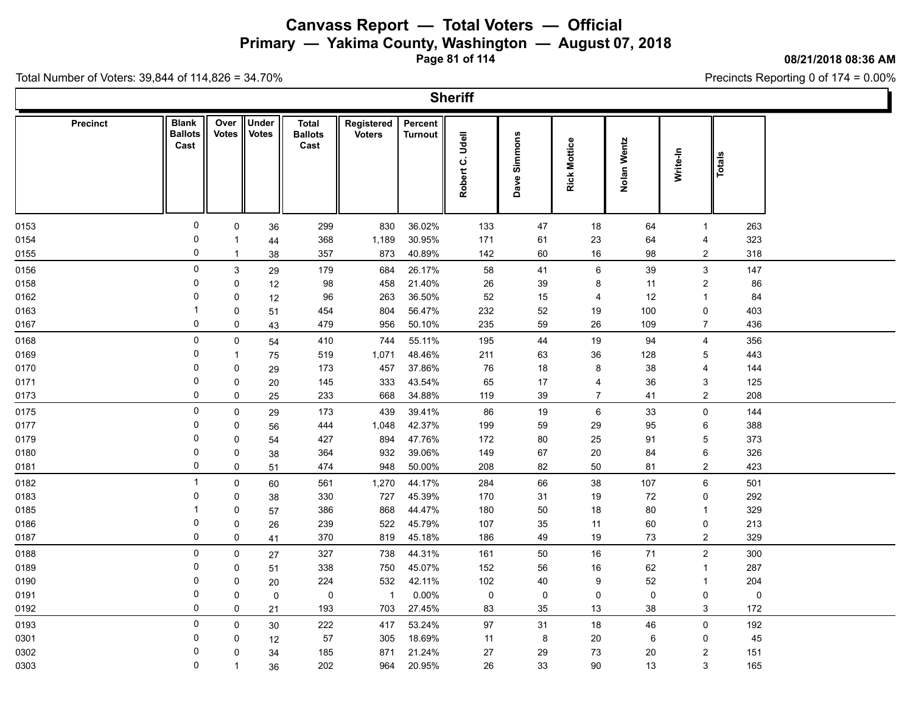**Primary — Yakima County, Washington — August 07, 2018**

**Page 81 of 114**

#### **08/21/2018 08:36 AM**

Ъ

Precincts Reporting 0 of 174 = 0.00%

Total Number of Voters: 39,844 of 114,826 = 34.70%

Г

|                 |                                        |                      |                       |                                        |                             |                           | <b>Sheriff</b>  |              |                     |             |                  |           |  |
|-----------------|----------------------------------------|----------------------|-----------------------|----------------------------------------|-----------------------------|---------------------------|-----------------|--------------|---------------------|-------------|------------------|-----------|--|
| <b>Precinct</b> | <b>Blank</b><br><b>Ballots</b><br>Cast | Over<br><b>Votes</b> | Under<br><b>Votes</b> | <b>Total</b><br><b>Ballots</b><br>Cast | Registered<br><b>Voters</b> | Percent<br><b>Turnout</b> | Robert C. Udell | Dave Simmons | <b>Rick Mottice</b> | Nolan Wentz | Write-In         | Totals    |  |
| 0153            | $\pmb{0}$                              | 0                    | 36                    | 299                                    | 830                         | 36.02%                    | 133             | 47           | 18                  | 64          | $\mathbf{1}$     | 263       |  |
| 0154            | 0                                      | $\mathbf 1$          | 44                    | 368                                    | 1,189                       | 30.95%                    | 171             | 61           | 23                  | 64          | 4                | 323       |  |
| 0155            | 0                                      | $\overline{1}$       | 38                    | 357                                    | 873                         | 40.89%                    | 142             | 60           | 16                  | 98          | $\overline{2}$   | 318       |  |
| 0156            | 0                                      | $\mathbf{3}$         | 29                    | 179                                    | 684                         | 26.17%                    | 58              | 41           | 6                   | 39          | $\mathfrak{S}$   | 147       |  |
| 0158            | $\Omega$                               | 0                    | 12                    | 98                                     | 458                         | 21.40%                    | 26              | 39           | 8                   | 11          | $\boldsymbol{2}$ | 86        |  |
| 0162            | $\Omega$                               | 0                    | 12                    | 96                                     | 263                         | 36.50%                    | 52              | 15           | 4                   | 12          | $\mathbf{1}$     | 84        |  |
| 0163            |                                        | $\mathbf 0$          | 51                    | 454                                    | 804                         | 56.47%                    | 232             | 52           | 19                  | 100         | 0                | 403       |  |
| 0167            | 0                                      | $\mathsf 0$          | 43                    | 479                                    | 956                         | 50.10%                    | 235             | 59           | 26                  | 109         | $\overline{7}$   | 436       |  |
| 0168            | $\pmb{0}$                              | 0                    | 54                    | 410                                    | 744                         | 55.11%                    | 195             | 44           | $19$                | 94          | 4                | 356       |  |
| 0169            | $\mathbf 0$                            | $\mathbf{1}$         | 75                    | 519                                    | 1,071                       | 48.46%                    | 211             | 63           | 36                  | 128         | 5                | 443       |  |
| 0170            | $\Omega$                               | 0                    | 29                    | 173                                    | 457                         | 37.86%                    | 76              | 18           | 8                   | 38          | 4                | 144       |  |
| 0171            | $\mathbf 0$                            | 0                    | 20                    | 145                                    | 333                         | 43.54%                    | 65              | 17           | 4                   | 36          | 3                | 125       |  |
| 0173            | 0                                      | 0                    | 25                    | 233                                    | 668                         | 34.88%                    | 119             | 39           | $\overline{7}$      | 41          | $\overline{2}$   | 208       |  |
| 0175            | 0                                      | $\mathbf 0$          | 29                    | 173                                    | 439                         | 39.41%                    | 86              | 19           | $\,6\,$             | 33          | $\mathbf 0$      | 144       |  |
| 0177            | $\Omega$                               | $\mathsf 0$          | 56                    | 444                                    | 1,048                       | 42.37%                    | 199             | 59           | 29                  | 95          | 6                | 388       |  |
| 0179            | 0                                      | $\mathbf 0$          | 54                    | 427                                    | 894                         | 47.76%                    | 172             | 80           | 25                  | 91          | 5                | 373       |  |
| 0180            | $\Omega$                               | 0                    | 38                    | 364                                    | 932                         | 39.06%                    | 149             | 67           | $20\,$              | 84          | 6                | 326       |  |
| 0181            | 0                                      | $\mathbf 0$          | 51                    | 474                                    | 948                         | 50.00%                    | 208             | 82           | 50                  | 81          | $\overline{c}$   | 423       |  |
| 0182            | $\mathbf 1$                            | $\pmb{0}$            | 60                    | 561                                    | 1,270                       | 44.17%                    | 284             | 66           | 38                  | 107         | 6                | 501       |  |
| 0183            | 0                                      | 0                    | 38                    | 330                                    | 727                         | 45.39%                    | 170             | 31           | 19                  | 72          | 0                | 292       |  |
| 0185            |                                        | 0                    | 57                    | 386                                    | 868                         | 44.47%                    | 180             | 50           | 18                  | $80\,$      | $\mathbf{1}$     | 329       |  |
| 0186            | 0                                      | 0                    | 26                    | 239                                    | 522                         | 45.79%                    | 107             | 35           | 11                  | 60          | $\mathbf 0$      | 213       |  |
| 0187            | 0                                      | 0                    | 41                    | 370                                    | 819                         | 45.18%                    | 186             | 49           | 19                  | 73          | $\overline{c}$   | 329       |  |
| 0188            | 0                                      | 0                    | 27                    | 327                                    | 738                         | 44.31%                    | 161             | 50           | 16                  | 71          | $\overline{c}$   | 300       |  |
| 0189            | 0                                      | 0                    | 51                    | 338                                    | 750                         | 45.07%                    | 152             | 56           | 16                  | 62          | $\mathbf{1}$     | 287       |  |
| 0190            | $\Omega$                               | 0                    | 20                    | 224                                    | 532                         | 42.11%                    | 102             | 40           | 9                   | 52          | $\mathbf{1}$     | 204       |  |
| 0191            | $\mathbf 0$                            | $\mathbf 0$          | $\pmb{0}$             | $\mathsf 0$                            | -1                          | $0.00\%$                  | $\pmb{0}$       | 0            | $\mathsf 0$         | $\pmb{0}$   | $\mathbf 0$      | $\pmb{0}$ |  |
| 0192            | 0                                      | $\mathsf{O}$         | 21                    | 193                                    | 703                         | 27.45%                    | 83              | 35           | 13                  | 38          | 3                | 172       |  |
| 0193            | 0                                      | $\mathbf 0$          | $30\,$                | 222                                    | 417                         | 53.24%                    | 97              | 31           | 18                  | 46          | $\mathbf 0$      | 192       |  |
| 0301            | 0                                      | 0                    | 12                    | 57                                     | 305                         | 18.69%                    | 11              | 8            | 20                  | 6           | 0                | 45        |  |
| 0302            | 0                                      | $\mathbf 0$          | 34                    | 185                                    | 871                         | 21.24%                    | 27              | 29           | 73                  | 20          | 2                | 151       |  |
| 0303            | $\mathbf 0$                            | $\mathbf{1}$         | 36                    | 202                                    | 964                         | 20.95%                    | 26              | 33           | 90                  | 13          | $\mathbf{3}$     | 165       |  |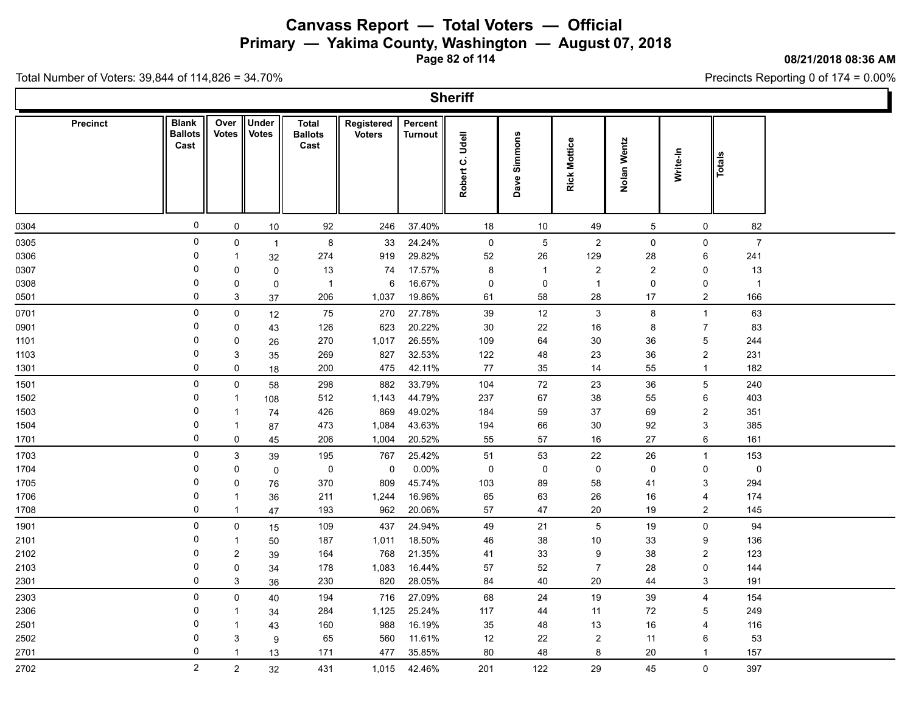**Primary — Yakima County, Washington — August 07, 2018**

**Page 82 of 114**

**08/21/2018 08:36 AM**

Precincts Reporting 0 of 174 = 0.00%

Total Number of Voters: 39,844 of 114,826 = 34.70%

 $\Gamma$ 

|                 |                                        |                      |                       |                                        |                             |                    | <b>Sheriff</b>     |              |                     |             |                     |                |  |
|-----------------|----------------------------------------|----------------------|-----------------------|----------------------------------------|-----------------------------|--------------------|--------------------|--------------|---------------------|-------------|---------------------|----------------|--|
| <b>Precinct</b> | <b>Blank</b><br><b>Ballots</b><br>Cast | Over<br><b>Votes</b> | Under<br><b>Votes</b> | <b>Total</b><br><b>Ballots</b><br>Cast | Registered<br><b>Voters</b> | Percent<br>Turnout | Udell<br>Robert C. | Dave Simmons | <b>Rick Mottice</b> | Nolan Wentz | Write-In            | <b>Totals</b>  |  |
| 0304            | $\mathsf{O}\xspace$                    | 0                    | 10                    | 92                                     | 246                         | 37.40%             | 18                 | $10$         | 49                  | $\mathbf 5$ | $\mathsf{O}$        | 82             |  |
| 0305            | $\mathsf 0$                            | 0                    | $\mathbf{1}$          | 8                                      | 33                          | 24.24%             | $\mathbf 0$        | $\mathbf 5$  | $\overline{c}$      | 0           | 0                   | $\overline{7}$ |  |
| 0306            | $\mathbf 0$                            | $\mathbf{1}$         | 32                    | 274                                    | 919                         | 29.82%             | 52                 | 26           | 129                 | 28          | 6                   | 241            |  |
| 0307            | 0                                      | 0                    | $\mathbf 0$           | 13                                     | 74                          | 17.57%             | 8                  | $\mathbf{1}$ | $\overline{2}$      | 2           | 0                   | 13             |  |
| 0308            | $\mathbf 0$                            | 0                    | $\mathbf 0$           | $\mathbf{1}$                           | 6                           | 16.67%             | 0                  | 0            | $\overline{1}$      | 0           | 0                   | $\overline{1}$ |  |
| 0501            | 0                                      | 3                    | $37\,$                | 206                                    | 1,037                       | 19.86%             | 61                 | 58           | 28                  | 17          | $\overline{2}$      | 166            |  |
| 0701            | 0                                      | 0                    | 12                    | 75                                     | 270                         | 27.78%             | 39                 | 12           | 3                   | 8           | $\mathbf{1}$        | 63             |  |
| 0901            | $\Omega$                               | 0                    | 43                    | 126                                    | 623                         | 20.22%             | $30\,$             | 22           | 16                  | 8           | $\overline{7}$      | 83             |  |
| 1101            | $\mathbf 0$                            | 0                    | 26                    | 270                                    | 1,017                       | 26.55%             | 109                | 64           | 30                  | 36          | $\mathbf 5$         | 244            |  |
| 1103            | $\mathbf 0$                            | 3                    | 35                    | 269                                    | 827                         | 32.53%             | 122                | 48           | 23                  | 36          | $\sqrt{2}$          | 231            |  |
| 1301            | $\mathbf 0$                            | 0                    | 18                    | 200                                    | 475                         | 42.11%             | 77                 | 35           | 14                  | 55          | $\mathbf{1}$        | 182            |  |
| 1501            | $\pmb{0}$                              | $\pmb{0}$            | 58                    | 298                                    | 882                         | 33.79%             | 104                | $72\,$       | 23                  | 36          | $\mathbf 5$         | 240            |  |
| 1502            | $\mathbf 0$                            | $\mathbf{1}$         | 108                   | 512                                    | 1,143                       | 44.79%             | 237                | 67           | 38                  | 55          | 6                   | 403            |  |
| 1503            | 0                                      | $\mathbf{1}$         | 74                    | 426                                    | 869                         | 49.02%             | 184                | 59           | 37                  | 69          | $\overline{c}$      | 351            |  |
| 1504            | $\mathbf 0$                            | $\mathbf{1}$         | 87                    | 473                                    | 1,084                       | 43.63%             | 194                | 66           | $30\,$              | 92          | $\mathbf{3}$        | 385            |  |
| 1701            | $\pmb{0}$                              | 0                    | 45                    | 206                                    | 1,004                       | 20.52%             | 55                 | 57           | $16\,$              | 27          | 6                   | 161            |  |
| 1703            | $\mathsf 0$                            | $\mathfrak{S}$       | 39                    | 195                                    | 767                         | 25.42%             | 51                 | 53           | 22                  | 26          | $\mathbf{1}$        | 153            |  |
| 1704            | $\mathbf 0$                            | 0                    | $\mathbf 0$           | $\pmb{0}$                              | 0                           | 0.00%              | 0                  | 0            | $\pmb{0}$           | $\mathbf 0$ | 0                   | $\pmb{0}$      |  |
| 1705            | 0                                      | $\pmb{0}$            | 76                    | 370                                    | 809                         | 45.74%             | 103                | 89           | 58                  | 41          | 3                   | 294            |  |
| 1706            | $\mathbf 0$                            | $\mathbf{1}$         | 36                    | 211                                    | 1,244                       | 16.96%             | 65                 | 63           | 26                  | $16\,$      | 4                   | 174            |  |
| 1708            | 0                                      | $\mathbf{1}$         | 47                    | 193                                    | 962                         | 20.06%             | 57                 | 47           | 20                  | 19          | $\overline{c}$      | 145            |  |
| 1901            | $\pmb{0}$                              | 0                    | 15                    | 109                                    | 437                         | 24.94%             | 49                 | 21           | $\overline{5}$      | 19          | $\mathsf{O}\xspace$ | 94             |  |
| 2101            | $\mathbf 0$                            | $\mathbf{1}$         | 50                    | 187                                    | 1,011                       | 18.50%             | 46                 | 38           | $10$                | 33          | 9                   | 136            |  |
| 2102            | $\mathbf 0$                            | $\overline{a}$       | 39                    | 164                                    | 768                         | 21.35%             | 41                 | $33\,$       | 9                   | 38          | $\overline{2}$      | 123            |  |
| 2103            | $\mathbf 0$                            | 0                    | 34                    | 178                                    | 1,083                       | 16.44%             | 57                 | 52           | $\overline{7}$      | 28          | 0                   | 144            |  |
| 2301            | $\mathsf 0$                            | 3                    | 36                    | 230                                    | 820                         | 28.05%             | 84                 | 40           | 20                  | 44          | 3                   | 191            |  |
| 2303            | $\mathsf{O}$                           | 0                    | 40                    | 194                                    | 716                         | 27.09%             | 68                 | 24           | 19                  | 39          | $\overline{4}$      | 154            |  |
| 2306            | 0                                      | $\mathbf{1}$         | 34                    | 284                                    | 1,125                       | 25.24%             | 117                | 44           | 11                  | 72          | $\overline{5}$      | 249            |  |
| 2501            | $\mathbf 0$                            | $\mathbf{1}$         | 43                    | 160                                    | 988                         | 16.19%             | 35                 | 48           | 13                  | 16          | 4                   | 116            |  |
| 2502            | $\mathbf 0$                            | 3                    | $\boldsymbol{9}$      | 65                                     | 560                         | 11.61%             | 12                 | 22           | $\boldsymbol{2}$    | 11          | 6                   | 53             |  |
| 2701            | 0                                      | $\mathbf{1}$         | 13                    | 171                                    | 477                         | 35.85%             | 80                 | 48           | 8                   | 20          | $\mathbf{1}$        | 157            |  |
| 2702            | $\overline{2}$                         | $\overline{a}$       | 32                    | 431                                    | 1,015                       | 42.46%             | 201                | 122          | 29                  | 45          | $\mathbf 0$         | 397            |  |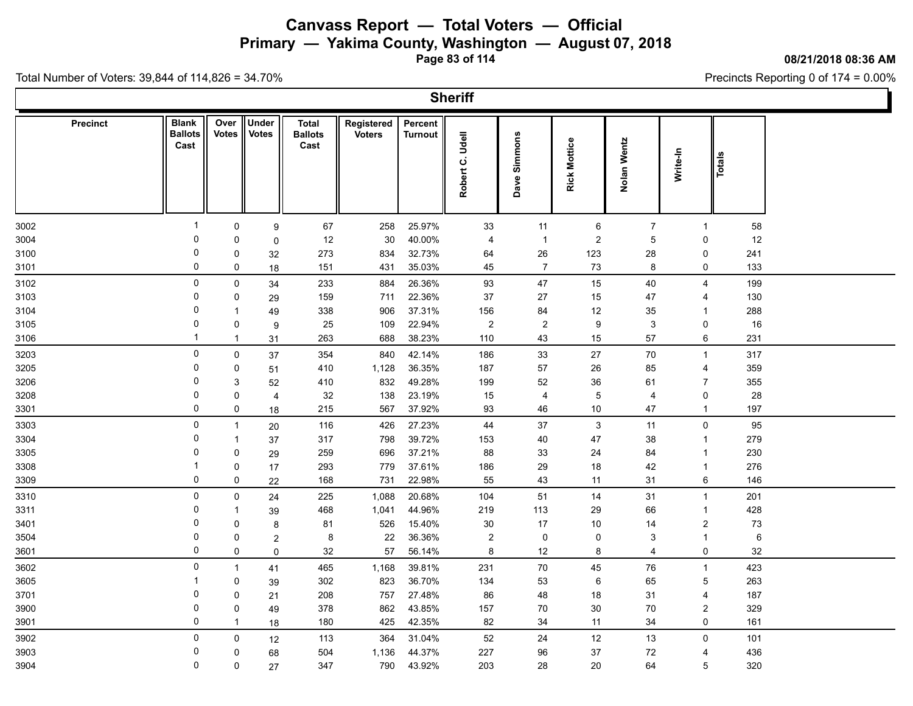**Primary — Yakima County, Washington — August 07, 2018**

**Page 83 of 114**

#### **08/21/2018 08:36 AM**

Ì.

Precincts Reporting 0 of 174 = 0.00%

Total Number of Voters: 39,844 of 114,826 = 34.70%

 $\mathbf{L}$ 

|                 |                                        |                      |                       |                                        |                             |                           | <b>Sheriff</b>                        |                     |                     |                |                 |         |  |
|-----------------|----------------------------------------|----------------------|-----------------------|----------------------------------------|-----------------------------|---------------------------|---------------------------------------|---------------------|---------------------|----------------|-----------------|---------|--|
| <b>Precinct</b> | <b>Blank</b><br><b>Ballots</b><br>Cast | Over<br><b>Votes</b> | Under<br><b>Votes</b> | <b>Total</b><br><b>Ballots</b><br>Cast | Registered<br><b>Voters</b> | Percent<br><b>Turnout</b> | Udell<br>$\dot{\mathbf{o}}$<br>Robert | Dave Simmons        | <b>Rick Mottice</b> | Nolan Wentz    | Write-In        | Totals  |  |
| 3002            | -1                                     | 0                    | 9                     | 67                                     | 258                         | 25.97%                    | 33                                    | 11                  | 6                   | $\overline{7}$ | $\mathbf{1}$    | 58      |  |
| 3004            | 0                                      | 0                    | $\mathbf 0$           | 12                                     | 30                          | 40.00%                    | 4                                     | $\overline{1}$      | $\overline{2}$      | $\overline{5}$ | 0               | 12      |  |
| 3100            | $\mathbf 0$                            | 0                    | 32                    | 273                                    | 834                         | 32.73%                    | 64                                    | 26                  | 123                 | 28             | 0               | 241     |  |
| 3101            | 0                                      | 0                    | 18                    | 151                                    | 431                         | 35.03%                    | 45                                    | $\overline{7}$      | 73                  | 8              | 0               | 133     |  |
| 3102            | 0                                      | $\mathsf 0$          | 34                    | 233                                    | 884                         | 26.36%                    | 93                                    | 47                  | 15                  | 40             | 4               | 199     |  |
| 3103            | 0                                      | 0                    | 29                    | 159                                    | 711                         | 22.36%                    | 37                                    | 27                  | 15                  | 47             | 4               | 130     |  |
| 3104            | 0                                      | -1                   | 49                    | 338                                    | 906                         | 37.31%                    | 156                                   | 84                  | 12                  | 35             | 1               | 288     |  |
| 3105            | $\Omega$                               | $\pmb{0}$            | 9                     | 25                                     | 109                         | 22.94%                    | $\boldsymbol{2}$                      | $\mathbf{2}$        | 9                   | $\sqrt{3}$     | 0               | 16      |  |
| 3106            | $\mathbf 1$                            | $\mathbf{1}$         | 31                    | 263                                    | 688                         | 38.23%                    | 110                                   | 43                  | 15                  | 57             | 6               | 231     |  |
| 3203            | 0                                      | $\mathsf 0$          | 37                    | 354                                    | 840                         | 42.14%                    | 186                                   | 33                  | 27                  | 70             | $\mathbf{1}$    | 317     |  |
| 3205            | 0                                      | 0                    | 51                    | 410                                    | 1,128                       | 36.35%                    | 187                                   | 57                  | 26                  | 85             | 4               | 359     |  |
| 3206            | 0                                      | 3                    | 52                    | 410                                    | 832                         | 49.28%                    | 199                                   | 52                  | 36                  | 61             | $\overline{7}$  | 355     |  |
| 3208            | 0                                      | 0                    | $\overline{4}$        | 32                                     | 138                         | 23.19%                    | 15                                    | 4                   | $\overline{5}$      | 4              | 0               | 28      |  |
| 3301            | $\Omega$                               | $\mathsf{O}$         | 18                    | 215                                    | 567                         | 37.92%                    | 93                                    | 46                  | $10\,$              | 47             | $\mathbf{1}$    | 197     |  |
| 3303            | $\mathbf 0$                            | $\overline{1}$       | 20                    | 116                                    | 426                         | 27.23%                    | 44                                    | $37\,$              | 3                   | 11             | $\mathbf 0$     | 95      |  |
| 3304            | 0                                      | $\mathbf{1}$         | 37                    | 317                                    | 798                         | 39.72%                    | 153                                   | 40                  | 47                  | 38             | $\mathbf{1}$    | 279     |  |
| 3305            | $\mathbf 0$                            | 0                    | 29                    | 259                                    | 696                         | 37.21%                    | 88                                    | 33                  | 24                  | 84             | $\mathbf{1}$    | 230     |  |
| 3308            |                                        | $\mathbf 0$          | 17                    | 293                                    | 779                         | 37.61%                    | 186                                   | 29                  | 18                  | 42             | $\mathbf{1}$    | 276     |  |
| 3309            | $\mathbf 0$                            | 0                    | 22                    | 168                                    | 731                         | 22.98%                    | 55                                    | 43                  | 11                  | 31             | 6               | 146     |  |
| 3310            | 0                                      | 0                    | 24                    | 225                                    | 1,088                       | 20.68%                    | 104                                   | 51                  | 14                  | 31             | $\mathbf{1}$    | 201     |  |
| 3311            | $\Omega$                               | $\mathbf 1$          | 39                    | 468                                    | 1,041                       | 44.96%                    | 219                                   | 113                 | 29                  | 66             | $\mathbf{1}$    | 428     |  |
| 3401            | 0                                      | 0                    | 8                     | 81                                     | 526                         | 15.40%                    | 30                                    | 17                  | 10                  | 14             | $\overline{c}$  | $73\,$  |  |
| 3504            | $\Omega$                               | 0                    | $\overline{c}$        | 8                                      | 22                          | 36.36%                    | $\sqrt{2}$                            | $\mathsf{O}\xspace$ | $\mathsf 0$         | 3              | $\mathbf{1}$    | $\,6\,$ |  |
| 3601            | 0                                      | 0                    | 0                     | 32                                     | 57                          | 56.14%                    | 8                                     | 12                  | 8                   | 4              | 0               | 32      |  |
| 3602            | 0                                      | $\mathbf{1}$         | 41                    | 465                                    | 1,168                       | 39.81%                    | 231                                   | 70                  | 45                  | 76             | $\mathbf{1}$    | 423     |  |
| 3605            | -1                                     | 0                    | 39                    | 302                                    | 823                         | 36.70%                    | 134                                   | 53                  | 6                   | 65             | $\overline{5}$  | 263     |  |
| 3701            | $\Omega$                               | $\mathbf 0$          | 21                    | 208                                    | 757                         | 27.48%                    | 86                                    | 48                  | 18                  | 31             | 4               | 187     |  |
| 3900            | 0                                      | 0                    | 49                    | 378                                    | 862                         | 43.85%                    | 157                                   | 70                  | $30\,$              | 70             | $\overline{c}$  | 329     |  |
| 3901            | 0                                      | $\mathbf 1$          | 18                    | 180                                    | 425                         | 42.35%                    | 82                                    | 34                  | 11                  | 34             | 0               | 161     |  |
| 3902            | $\mathbf 0$                            | 0                    | 12                    | 113                                    | 364                         | 31.04%                    | 52                                    | 24                  | 12                  | 13             | 0               | 101     |  |
| 3903            | 0                                      | $\mathbf 0$          | 68                    | 504                                    | 1,136                       | 44.37%                    | 227                                   | 96                  | 37                  | 72             | 4               | 436     |  |
| 3904            | $\mathbf 0$                            | 0                    | 27                    | 347                                    | 790                         | 43.92%                    | 203                                   | 28                  | 20                  | 64             | $5\phantom{.0}$ | 320     |  |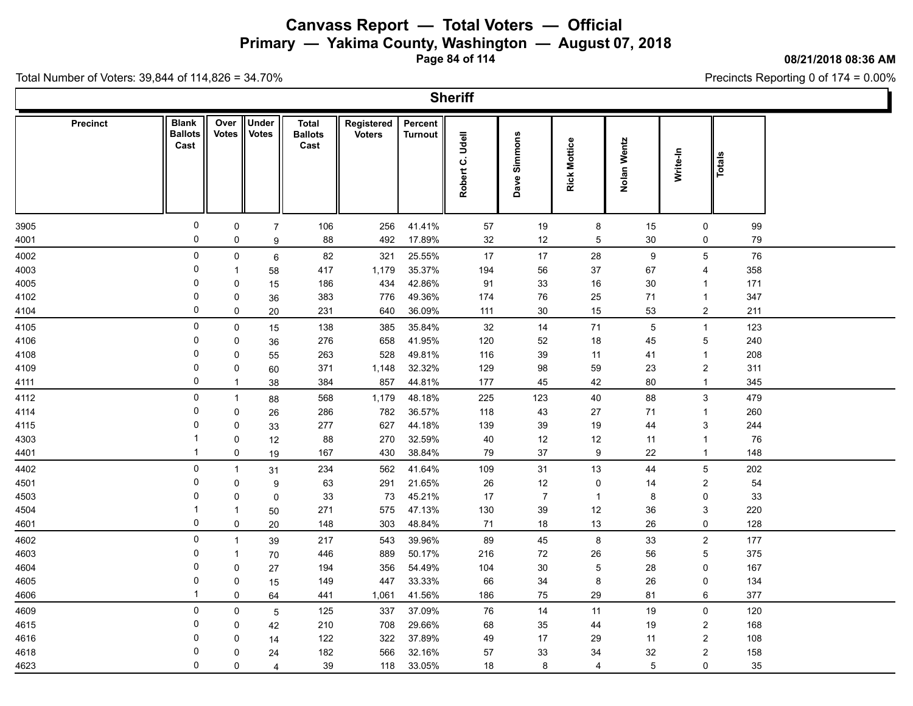**Primary — Yakima County, Washington — August 07, 2018**

**Page 84 of 114**

#### **08/21/2018 08:36 AM**

Ъ

Precincts Reporting 0 of 174 = 0.00%

Total Number of Voters: 39,844 of 114,826 = 34.70%

Г

|                 |                                        |                      |                              |                                        |                             |                           | <b>Sheriff</b>                        |                |                     |                 |                         |            |  |
|-----------------|----------------------------------------|----------------------|------------------------------|----------------------------------------|-----------------------------|---------------------------|---------------------------------------|----------------|---------------------|-----------------|-------------------------|------------|--|
| <b>Precinct</b> | <b>Blank</b><br><b>Ballots</b><br>Cast | Over<br><b>Votes</b> | <b>Under</b><br><b>Votes</b> | <b>Total</b><br><b>Ballots</b><br>Cast | Registered<br><b>Voters</b> | Percent<br><b>Turnout</b> | Udell<br>$\dot{\mathbf{o}}$<br>Robert | Dave Simmons   | <b>Rick Mottice</b> | Nolan Wentz     | Write-In                | Totals     |  |
| 3905            | $\pmb{0}$                              | 0                    | $\overline{7}$               | 106                                    | 256                         | 41.41%                    | 57                                    | 19             | 8                   | 15              | 0                       | 99         |  |
| 4001            | 0                                      | 0                    | 9                            | 88                                     | 492                         | 17.89%                    | 32                                    | 12             | 5                   | 30              | 0                       | 79         |  |
| 4002            | 0                                      | $\mathbf 0$          | 6                            | 82                                     | 321                         | 25.55%                    | 17                                    | 17             | 28                  | 9               | 5                       | 76         |  |
| 4003            | 0                                      | $\overline{1}$       | 58                           | 417                                    | 1,179                       | 35.37%                    | 194                                   | 56             | 37                  | 67              | 4                       | 358        |  |
| 4005            | $\Omega$                               | 0                    | 15                           | 186                                    | 434                         | 42.86%                    | 91                                    | 33             | 16                  | 30              | $\mathbf{1}$            | 171        |  |
| 4102            | 0                                      | 0                    | 36                           | 383                                    | 776                         | 49.36%                    | 174                                   | 76             | 25                  | 71              | $\mathbf{1}$            | 347        |  |
| 4104            | 0                                      | $\mathbf 0$          | 20                           | 231                                    | 640                         | 36.09%                    | 111                                   | 30             | 15                  | 53              | $\overline{c}$          | 211        |  |
| 4105            | $\mathbf 0$                            | $\mathsf{O}$         | 15                           | 138                                    | 385                         | 35.84%                    | 32                                    | 14             | 71                  | 5               | $\mathbf{1}$            | 123        |  |
| 4106            | 0                                      | 0                    | 36                           | 276                                    | 658                         | 41.95%                    | 120                                   | 52             | 18                  | 45              | 5                       | 240        |  |
| 4108            | $\mathbf 0$                            | 0                    | 55                           | 263                                    | 528                         | 49.81%                    | 116                                   | 39             | 11                  | 41              | $\mathbf{1}$            | 208        |  |
| 4109            | $\Omega$                               | 0                    | 60                           | 371                                    | 1,148                       | 32.32%                    | 129                                   | 98             | 59                  | 23              | $\overline{c}$          | 311        |  |
| 4111            | $\mathbf 0$                            | $\mathbf{1}$         | 38                           | 384                                    | 857                         | 44.81%                    | 177                                   | 45             | 42                  | 80              | $\mathbf{1}$            | 345        |  |
| 4112            | $\mathbf 0$                            | $\overline{1}$       | 88                           | 568                                    | 1,179                       | 48.18%                    | 225                                   | 123            | 40                  | 88              | $\mathfrak{S}$          | 479        |  |
| 4114            | 0                                      | $\mathbf 0$          | 26                           | 286                                    | 782                         | 36.57%                    | 118                                   | 43             | 27                  | 71              | $\mathbf{1}$            | 260        |  |
| 4115            | $\Omega$                               | $\pmb{0}$            | 33                           | 277                                    | 627                         | 44.18%                    | 139                                   | 39             | 19                  | 44              | 3                       | 244        |  |
| 4303            |                                        | $\mathbf 0$          | 12                           | 88                                     | 270                         | 32.59%                    | 40                                    | 12             | 12                  | 11              | $\mathbf{1}$            | 76         |  |
| 4401            | -1                                     | 0                    | 19                           | 167                                    | 430                         | 38.84%                    | 79                                    | $37\,$         | $\boldsymbol{9}$    | 22              | $\mathbf{1}$            | 148        |  |
| 4402            | $\pmb{0}$                              | $\overline{1}$       | 31                           | 234                                    | 562                         | 41.64%                    | 109                                   | 31             | 13                  | 44              | 5                       | 202        |  |
| 4501            | $\mathbf 0$                            | 0                    | 9                            | 63                                     | 291                         | 21.65%                    | 26                                    | 12             | 0                   | 14              | $\overline{\mathbf{c}}$ | 54         |  |
| 4503            | 0                                      | 0                    | $\mathbf 0$                  | 33                                     | 73                          | 45.21%                    | 17                                    | $\overline{7}$ | $\mathbf{1}$        | 8               | 0                       | 33         |  |
| 4504            | 0                                      | $\mathbf 1$          | 50                           | 271                                    | 575                         | 47.13%<br>48.84%          | 130                                   | $39\,$<br>18   | 12                  | 36              | 3<br>0                  | 220<br>128 |  |
| 4601            |                                        | 0                    | 20                           | 148                                    | 303                         |                           | 71                                    |                | 13                  | 26              |                         |            |  |
| 4602            | 0<br>$\Omega$                          | $\mathbf{1}$         | 39                           | 217                                    | 543                         | 39.96%                    | 89                                    | 45             | $\bf 8$             | 33              | $\overline{c}$          | 177        |  |
| 4603            | 0                                      | $\overline{1}$       | 70                           | 446                                    | 889                         | 50.17%                    | 216                                   | 72             | 26                  | 56              | 5                       | 375        |  |
| 4604            | $\Omega$                               | $\mathbf 0$          | 27                           | 194                                    | 356                         | 54.49%                    | 104                                   | 30             | $\overline{5}$      | 28              | 0                       | 167        |  |
| 4605<br>4606    |                                        | 0<br>$\mathbf 0$     | 15                           | 149<br>441                             | 447<br>1,061                | 33.33%<br>41.56%          | 66<br>186                             | 34<br>75       | 8<br>29             | 26<br>81        | 0<br>6                  | 134<br>377 |  |
|                 |                                        |                      | 64                           |                                        |                             |                           |                                       |                |                     |                 |                         |            |  |
| 4609            | $\mathbf 0$<br>0                       | 0                    | $\overline{5}$               | 125                                    | 337                         | 37.09%                    | 76                                    | 14             | 11                  | 19              | $\mathsf{O}\xspace$     | 120        |  |
| 4615            | $\Omega$                               | $\mathbf 0$          | 42                           | 210                                    | 708                         | 29.66%                    | 68                                    | 35             | 44                  | 19              | $\overline{c}$          | 168        |  |
| 4616<br>4618    | 0                                      | 0<br>$\mathbf 0$     | 14                           | 122<br>182                             | 322<br>566                  | 37.89%<br>32.16%          | 49<br>57                              | 17<br>33       | 29<br>34            | 11<br>32        | $\overline{c}$<br>2     | 108<br>158 |  |
| 4623            | $\Omega$                               | 0                    | 24<br>$\overline{4}$         | 39                                     | 118                         | 33.05%                    | 18                                    | 8              | 4                   | $5\phantom{.0}$ | 0                       | 35         |  |
|                 |                                        |                      |                              |                                        |                             |                           |                                       |                |                     |                 |                         |            |  |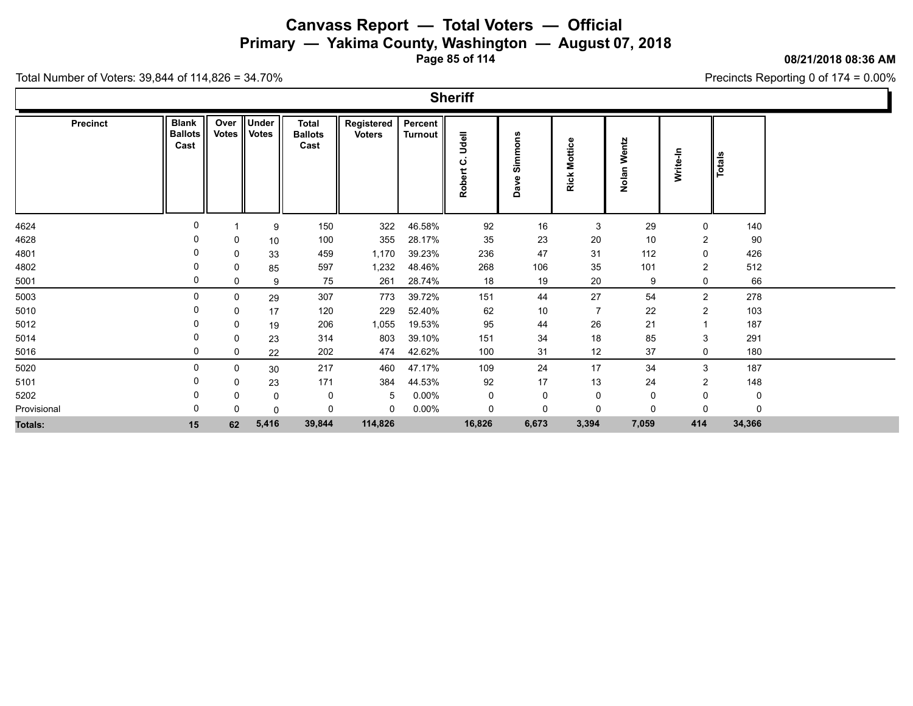**Primary — Yakima County, Washington — August 07, 2018**

**Page 85 of 114**

**08/21/2018 08:36 AM**

Ъ

Precincts Reporting 0 of 174 = 0.00%

|                 |                                        |             |                        |                                 |                             |                           | <b>Sheriff</b>       |                      |                        |                |                |               |  |
|-----------------|----------------------------------------|-------------|------------------------|---------------------------------|-----------------------------|---------------------------|----------------------|----------------------|------------------------|----------------|----------------|---------------|--|
| <b>Precinct</b> | <b>Blank</b><br><b>Ballots</b><br>Cast | Over        | Under<br>Votes   Votes | Total<br><b>Ballots</b><br>Cast | Registered<br><b>Voters</b> | Percent<br><b>Turnout</b> | Udell<br>ပ<br>Robert | ons<br>Simme<br>Dave | <b>Mottice</b><br>Rick | Wentz<br>Nolan | Write-In       | <b>Totals</b> |  |
| 4624            | 0                                      |             | 9                      | 150                             | 322                         | 46.58%                    | 92                   | 16                   | 3                      | 29             | 0              | 140           |  |
| 4628            | 0                                      | 0           | 10                     | 100                             | 355                         | 28.17%                    | 35                   | 23                   | 20                     | 10             | $\overline{2}$ | 90            |  |
| 4801            | 0                                      | 0           | 33                     | 459                             | 1,170                       | 39.23%                    | 236                  | 47                   | 31                     | 112            | 0              | 426           |  |
| 4802            | 0                                      | 0           | 85                     | 597                             | 1,232                       | 48.46%                    | 268                  | 106                  | 35                     | 101            | $\overline{2}$ | 512           |  |
| 5001            | 0                                      | 0           | 9                      | 75                              | 261                         | 28.74%                    | 18                   | 19                   | 20                     | 9              | 0              | 66            |  |
| 5003            | 0                                      | $\mathbf 0$ | 29                     | 307                             | 773                         | 39.72%                    | 151                  | 44                   | 27                     | 54             | $\overline{2}$ | 278           |  |
| 5010            | 0                                      | 0           | 17                     | 120                             | 229                         | 52.40%                    | 62                   | 10                   | $\overline{7}$         | 22             | $\overline{2}$ | 103           |  |
| 5012            | 0                                      | 0           | 19                     | 206                             | 1,055                       | 19.53%                    | 95                   | 44                   | 26                     | 21             |                | 187           |  |
| 5014            | 0                                      | 0           | 23                     | 314                             | 803                         | 39.10%                    | 151                  | 34                   | 18                     | 85             | 3              | 291           |  |
| 5016            | 0                                      | 0           | 22                     | 202                             | 474                         | 42.62%                    | 100                  | 31                   | 12                     | 37             | $\mathbf 0$    | 180           |  |
| 5020            | 0                                      | 0           | 30                     | 217                             | 460                         | 47.17%                    | 109                  | 24                   | 17                     | 34             | 3              | 187           |  |
| 5101            | 0                                      | 0           | 23                     | 171                             | 384                         | 44.53%                    | 92                   | 17                   | 13                     | 24             | $\overline{2}$ | 148           |  |
| 5202            | 0                                      | 0           | 0                      | 0                               | -5                          | $0.00\%$                  | 0                    | $\mathbf 0$          | 0                      | 0              | 0              | 0             |  |
| Provisional     | 0                                      | 0           | 0                      | 0                               | $\mathbf 0$                 | $0.00\%$                  | 0                    | $\mathbf 0$          | 0                      | $\Omega$       | $\Omega$       | $\mathbf{0}$  |  |
| Totals:         | 15                                     | 62          | 5,416                  | 39,844                          | 114,826                     |                           | 16,826               | 6,673                | 3,394                  | 7,059          | 414            | 34,366        |  |
|                 |                                        |             |                        |                                 |                             |                           |                      |                      |                        |                |                |               |  |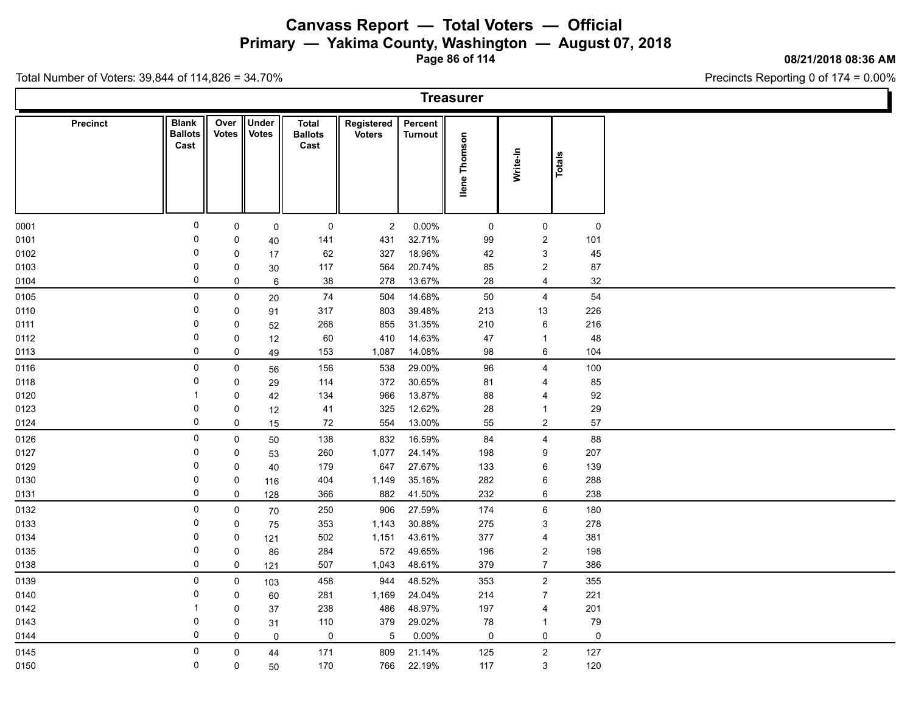**Primary — Yakima County, Washington — August 07, 2018**

**Page 86 of 114**

#### **08/21/2018 08:36 AM**

Precincts Reporting 0 of 174 = 0.00%

| <b>Precinct</b> | <b>Blank</b><br><b>Ballots</b><br>Cast | Over<br><b>Votes</b> | Under<br><b>Votes</b> | <b>Total</b><br><b>Ballots</b><br>Cast | Registered<br><b>Voters</b> | Percent<br><b>Turnout</b> | <b>Ilene Thomson</b> | Write-In                | Totals    |
|-----------------|----------------------------------------|----------------------|-----------------------|----------------------------------------|-----------------------------|---------------------------|----------------------|-------------------------|-----------|
| 0001            | 0                                      | $\mathbf 0$          | $\mathbf 0$           | $\mathsf 0$                            | $\overline{2}$              | $0.00\%$                  | 0                    | $\mathsf 0$             | $\pmb{0}$ |
| 0101            | $\Omega$                               | 0                    | 40                    | 141                                    | 431                         | 32.71%                    | 99                   | $\sqrt{2}$              | 101       |
| 0102            | 0                                      | 0                    | 17                    | 62                                     | 327                         | 18.96%                    | 42                   | 3                       | 45        |
| 0103            | 0                                      | $\mathsf 0$          | 30                    | 117                                    | 564                         | 20.74%                    | 85                   | $\boldsymbol{2}$        | 87        |
| 0104            | 0                                      | $\mathbf 0$          | 6                     | 38                                     | 278                         | 13.67%                    | 28                   | $\overline{4}$          | 32        |
| 0105            | 0                                      | $\mathsf 0$          | 20                    | 74                                     | 504                         | 14.68%                    | 50                   | $\overline{\mathbf{4}}$ | 54        |
| 0110            | 0                                      | $\mathsf 0$          | 91                    | 317                                    | 803                         | 39.48%                    | 213                  | $13$                    | 226       |
| 0111            | 0                                      | $\mathbf 0$          | 52                    | 268                                    | 855                         | 31.35%                    | 210                  | $\,6\,$                 | 216       |
| 0112            | 0                                      | $\mathbf 0$          | 12                    | 60                                     | 410                         | 14.63%                    | 47                   | $\mathbf{1}$            | 48        |
| 0113            | 0                                      | $\mathsf 0$          | 49                    | 153                                    | 1,087                       | 14.08%                    | 98                   | $\,6\,$                 | 104       |
| 0116            | 0                                      | $\mathsf 0$          | 56                    | 156                                    | 538                         | 29.00%                    | 96                   | $\overline{\mathbf{4}}$ | 100       |
| 0118            | 0                                      | $\mathbf 0$          | 29                    | 114                                    | 372                         | 30.65%                    | 81                   | $\overline{4}$          | 85        |
| 0120            | $\overline{1}$                         | $\mathbf 0$          | 42                    | 134                                    | 966                         | 13.87%                    | 88                   | $\overline{4}$          | 92        |
| 0123            | 0                                      | $\mathsf 0$          | 12                    | 41                                     | 325                         | 12.62%                    | 28                   | $\mathbf{1}$            | 29        |
| 0124            | 0                                      | $\mathbf 0$          | 15                    | 72                                     | 554                         | 13.00%                    | 55                   | $\boldsymbol{2}$        | 57        |
| 0126            | 0                                      | $\mathsf 0$          | 50                    | 138                                    | 832                         | 16.59%                    | 84                   | $\overline{4}$          | 88        |
| 0127            | 0                                      | $\mathbf 0$          | 53                    | 260                                    | 1,077                       | 24.14%                    | 198                  | 9                       | 207       |
| 0129            | $\mathbf 0$                            | 0                    | 40                    | 179                                    | 647                         | 27.67%                    | 133                  | 6                       | 139       |
| 0130            | 0                                      | $\pmb{0}$            | 116                   | 404                                    | 1,149                       | 35.16%                    | 282                  | $\,6\,$                 | 288       |
| 0131            | 0                                      | $\pmb{0}$            | 128                   | 366                                    | 882                         | 41.50%                    | 232                  | $\,6\,$                 | 238       |
| 0132            | 0                                      | $\mathbf 0$          | 70                    | 250                                    | 906                         | 27.59%                    | 174                  | 6                       | 180       |
| 0133            | 0                                      | $\mathsf 0$          | 75                    | 353                                    | 1,143                       | 30.88%                    | 275                  | $\mathbf{3}$            | 278       |
| 0134            | 0                                      | $\mathbf 0$          | 121                   | 502                                    | 1,151                       | 43.61%                    | 377                  | $\overline{4}$          | 381       |
| 0135            | 0                                      | $\mathsf 0$          | 86                    | 284                                    | 572                         | 49.65%                    | 196                  | $\overline{2}$          | 198       |
| 0138            | 0                                      | $\mathbf 0$          | 121                   | 507                                    | 1,043                       | 48.61%                    | 379                  | $\overline{7}$          | 386       |
| 0139            | $\mathsf{O}\xspace$                    | $\mathsf 0$          | 103                   | 458                                    | 944                         | 48.52%                    | 353                  | $\overline{2}$          | 355       |
| 0140            | 0                                      | $\mathbf 0$          | 60                    | 281                                    | 1,169                       | 24.04%                    | 214                  | $\overline{7}$          | 221       |
| 0142            | $\mathbf{1}$                           | $\mathbf 0$          | 37                    | 238                                    | 486                         | 48.97%                    | 197                  | $\overline{4}$          | 201       |
| 0143            | 0                                      | 0                    | 31                    | 110                                    | 379                         | 29.02%                    | 78                   | $\mathbf{1}$            | 79        |
| 0144            | 0                                      | $\mathsf 0$          | $\mathsf 0$           | $\mathsf{O}$                           | $\overline{5}$              | $0.00\%$                  | $\mathbf 0$          | $\mathsf 0$             | $\pmb{0}$ |
| 0145            | 0                                      | 0                    | 44                    | 171                                    | 809                         | 21.14%                    | 125                  | $\overline{2}$          | 127       |
| 0150            | 0                                      | $\mathsf 0$          | 50                    | 170                                    | 766                         | 22.19%                    | 117                  | $\mathbf{3}$            | 120       |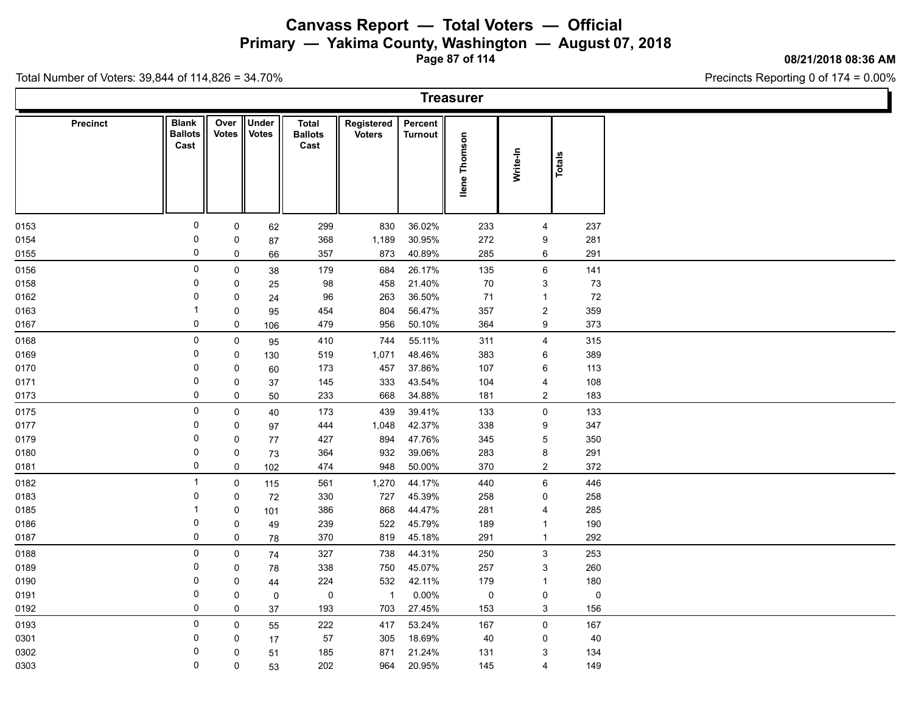**Primary — Yakima County, Washington — August 07, 2018**

**Page 87 of 114**

#### **08/21/2018 08:36 AM**

Precincts Reporting 0 of 174 = 0.00%

| <b>Treasurer</b> |                                        |                  |                       |                                 |                             |                           |                  |                     |             |  |  |  |  |
|------------------|----------------------------------------|------------------|-----------------------|---------------------------------|-----------------------------|---------------------------|------------------|---------------------|-------------|--|--|--|--|
| <b>Precinct</b>  | <b>Blank</b><br><b>Ballots</b><br>Cast | Over II<br>Votes | Under<br><b>Votes</b> | Total<br><b>Ballots</b><br>Cast | Registered<br><b>Voters</b> | Percent<br><b>Turnout</b> | Thomson<br>llene | Write-In            | Totals      |  |  |  |  |
| 0153             | 0                                      | $\mathsf{O}$     | 62                    | 299                             | 830                         | 36.02%                    | 233              | $\overline{4}$      | 237         |  |  |  |  |
| 0154             | 0                                      | 0                | 87                    | 368                             | 1,189                       | 30.95%                    | 272              | 9                   | 281         |  |  |  |  |
| 0155             | 0                                      | 0                | 66                    | 357                             | 873                         | 40.89%                    | 285              | 6                   | 291         |  |  |  |  |
| 0156             | $\mathbf 0$                            | $\mathsf{O}$     | 38                    | 179                             | 684                         | 26.17%                    | 135              | $6\phantom{.}$      | 141         |  |  |  |  |
| 0158             | $\mathbf 0$                            | 0                | 25                    | 98                              | 458                         | 21.40%                    | 70               | $\mathbf{3}$        | 73          |  |  |  |  |
| 0162             | 0                                      | 0                | 24                    | 96                              | 263                         | 36.50%                    | 71               | $\mathbf{1}$        | 72          |  |  |  |  |
| 0163             | -1                                     | 0                | 95                    | 454                             | 804                         | 56.47%                    | 357              | $\overline{c}$      | 359         |  |  |  |  |
| 0167             | 0                                      | $\mathsf{O}$     | 106                   | 479                             | 956                         | 50.10%                    | 364              | 9                   | 373         |  |  |  |  |
| 0168             | $\mathsf 0$                            | $\mathbf 0$      | 95                    | 410                             | 744                         | 55.11%                    | 311              | $\overline{4}$      | 315         |  |  |  |  |
| 0169             | 0                                      | $\mathbf 0$      | 130                   | 519                             | 1,071                       | 48.46%                    | 383              | 6                   | 389         |  |  |  |  |
| 0170             | 0                                      | 0                | 60                    | 173                             | 457                         | 37.86%                    | 107              | 6                   | 113         |  |  |  |  |
| 0171             | 0                                      | 0                | 37                    | 145                             | 333                         | 43.54%                    | 104              | 4                   | 108         |  |  |  |  |
| 0173             | 0                                      | $\mathbf 0$      | 50                    | 233                             | 668                         | 34.88%                    | 181              | $\overline{2}$      | 183         |  |  |  |  |
| 0175             | $\mathbf 0$                            | $\mathbf 0$      | 40                    | 173                             | 439                         | 39.41%                    | 133              | $\mathsf{O}\xspace$ | 133         |  |  |  |  |
| 0177             | 0                                      | 0                | 97                    | 444                             | 1,048                       | 42.37%                    | 338              | 9                   | 347         |  |  |  |  |
| 0179             | $\mathbf 0$                            | 0                | 77                    | 427                             | 894                         | 47.76%                    | 345              | $\sqrt{5}$          | 350         |  |  |  |  |
| 0180             | 0                                      | 0                | 73                    | 364                             | 932                         | 39.06%                    | 283              | 8                   | 291         |  |  |  |  |
| 0181             | $\mathbf 0$                            | 0                | 102                   | 474                             | 948                         | 50.00%                    | 370              | $\overline{2}$      | 372         |  |  |  |  |
| 0182             | $\overline{1}$                         | $\mathsf{0}$     | 115                   | 561                             | 1,270                       | 44.17%                    | 440              | 6                   | 446         |  |  |  |  |
| 0183             | 0                                      | $\mathbf 0$      | 72                    | 330                             | 727                         | 45.39%                    | 258              | 0                   | 258         |  |  |  |  |
| 0185             | -1                                     | 0                | 101                   | 386                             | 868                         | 44.47%                    | 281              | 4                   | 285         |  |  |  |  |
| 0186             | 0                                      | 0                | 49                    | 239                             | 522                         | 45.79%                    | 189              | $\overline{1}$      | 190         |  |  |  |  |
| 0187             | 0                                      | 0                | 78                    | 370                             | 819                         | 45.18%                    | 291              | $\mathbf{1}$        | 292         |  |  |  |  |
| 0188             | $\mathbf 0$                            | $\mathsf{O}$     | 74                    | 327                             | 738                         | 44.31%                    | 250              | $\mathbf{3}$        | 253         |  |  |  |  |
| 0189             | $\mathbf 0$                            | 0                | 78                    | 338                             | 750                         | 45.07%                    | 257              | 3                   | 260         |  |  |  |  |
| 0190             | 0                                      | 0                | 44                    | 224                             | 532                         | 42.11%                    | 179              | $\mathbf{1}$        | 180         |  |  |  |  |
| 0191             | $\mathbf 0$                            | 0                | 0                     | 0                               | $\overline{1}$              | $0.00\%$                  | 0                | $\mathsf{O}\xspace$ | $\mathbf 0$ |  |  |  |  |
| 0192             | 0                                      | $\mathsf{O}$     | 37                    | 193                             | 703                         | 27.45%                    | 153              | $\mathbf{3}$        | 156         |  |  |  |  |
| 0193             | $\mathbf 0$                            | $\mathbf 0$      | 55                    | 222                             | 417                         | 53.24%                    | 167              | $\mathsf{O}$        | 167         |  |  |  |  |
| 0301             | 0                                      | 0                | 17                    | 57                              | 305                         | 18.69%                    | 40               | 0                   | 40          |  |  |  |  |
| 0302             | 0                                      | $\mathbf 0$      | 51                    | 185                             | 871                         | 21.24%                    | 131              | 3                   | 134         |  |  |  |  |
| 0303             | 0                                      | $\mathbf 0$      | 53                    | 202                             | 964                         | 20.95%                    | 145              | $\overline{4}$      | 149         |  |  |  |  |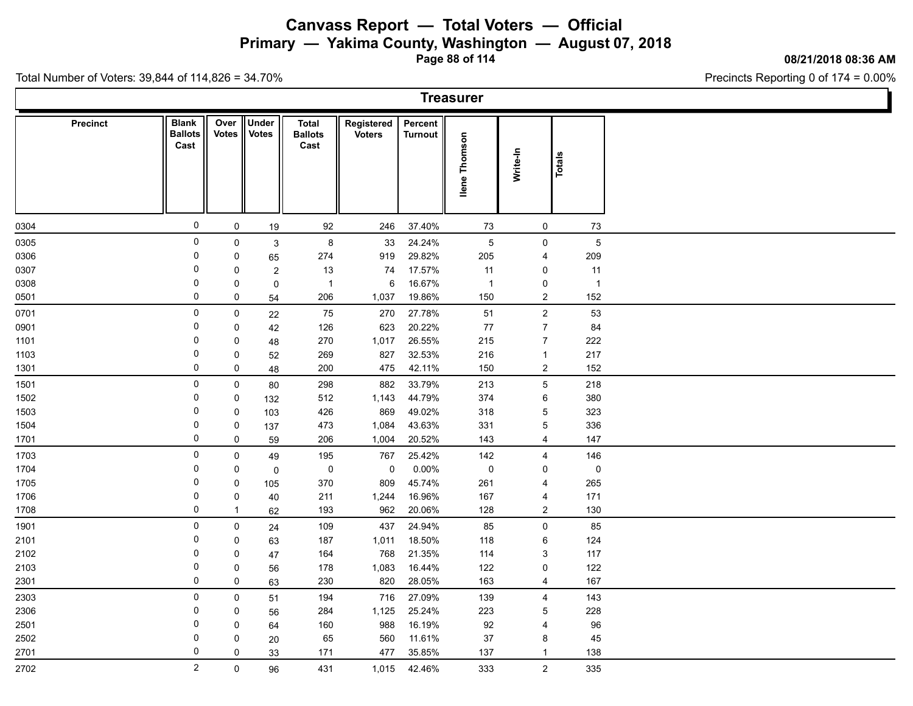**Primary — Yakima County, Washington — August 07, 2018**

**Page 88 of 114**

**08/21/2018 08:36 AM**

Ì.

Precincts Reporting 0 of 174 = 0.00%

Total Number of Voters: 39,844 of 114,826 = 34.70%

|              |                 |                                        |                           |                       |                                        |                             |                    | <b>Treasurer</b> |                                          |                |  |
|--------------|-----------------|----------------------------------------|---------------------------|-----------------------|----------------------------------------|-----------------------------|--------------------|------------------|------------------------------------------|----------------|--|
|              | <b>Precinct</b> | <b>Blank</b><br><b>Ballots</b><br>Cast | Over<br><b>Votes</b>      | Under<br><b>Votes</b> | <b>Total</b><br><b>Ballots</b><br>Cast | Registered<br><b>Voters</b> | Percent<br>Turnout | llene Thomson    | Write-In                                 | Totals         |  |
| 0304         |                 | $\mathsf{O}$                           | 0                         | 19                    | 92                                     | 246                         | 37.40%             | 73               | 0                                        | 73             |  |
| 0305         |                 | $\mathsf 0$                            | 0                         | $\mathfrak{S}$        | $\bf 8$                                | 33                          | 24.24%             | $\overline{5}$   | $\mathsf 0$                              | $\sqrt{5}$     |  |
| 0306         |                 | 0                                      | 0                         | 65                    | 274                                    | 919                         | 29.82%             | 205              | $\overline{4}$                           | 209            |  |
| 0307         |                 | $\mathbf 0$                            | 0                         | $\overline{c}$        | 13                                     | 74                          | 17.57%             | 11               | 0                                        | 11             |  |
| 0308         |                 | $\mathbf 0$                            | 0                         | $\pmb{0}$             | $\mathbf{1}$                           | 6                           | 16.67%             | $\overline{1}$   | $\mathsf 0$                              | $\overline{1}$ |  |
| 0501         |                 | 0                                      | 0                         | 54                    | 206                                    | 1,037                       | 19.86%             | 150              | $\boldsymbol{2}$                         | 152            |  |
| 0701         |                 | 0                                      | 0                         | 22                    | 75                                     | 270                         | 27.78%             | 51               | $\boldsymbol{2}$                         | 53             |  |
| 0901         |                 | $\mathbf 0$                            | 0                         | 42                    | 126                                    | 623                         | 20.22%             | $77$             | $\boldsymbol{7}$                         | 84             |  |
| 1101         |                 | 0                                      | 0                         | 48                    | 270                                    | 1,017                       | 26.55%             | 215              | $\boldsymbol{7}$                         | 222            |  |
| 1103         |                 | $\mathbf 0$                            | $\pmb{0}$                 | 52                    | 269                                    | 827                         | 32.53%             | 216              | $\mathbf{1}$                             | 217            |  |
| 1301         |                 | 0                                      | 0                         | 48                    | 200                                    | 475                         | 42.11%             | 150              | $\boldsymbol{2}$                         | 152            |  |
| 1501         |                 | $\mathsf{O}\xspace$                    | 0                         | 80                    | 298                                    | 882                         | 33.79%             | 213              | $\mathbf 5$                              | 218            |  |
| 1502         |                 | $\mathbf 0$                            | 0                         | 132                   | 512                                    | 1,143                       | 44.79%             | 374              | $\,6\,$                                  | 380            |  |
| 1503         |                 | $\mathbf 0$                            | 0                         | 103                   | 426                                    | 869                         | 49.02%             | 318              | $\mathbf 5$                              | 323            |  |
| 1504         |                 | $\mathbf 0$                            | $\pmb{0}$                 | 137                   | 473                                    | 1,084                       | 43.63%             | 331              | $\mathbf 5$                              | 336            |  |
| 1701         |                 | 0                                      | 0                         | 59                    | 206                                    | 1,004                       | 20.52%             | 143              | $\overline{4}$                           | 147            |  |
| 1703         |                 | $\mathsf{O}\xspace$                    | 0                         | 49                    | 195                                    | 767                         | 25.42%             | 142              | 4                                        | 146            |  |
| 1704         |                 | $\mathbf 0$                            | 0                         | $\pmb{0}$             | $\pmb{0}$                              | $\mathbf 0$                 | $0.00\%$           | $\mathsf 0$      | 0                                        | $\pmb{0}$      |  |
| 1705         |                 | $\mathbf 0$<br>$\mathbf 0$             | 0                         | 105                   | 370                                    | 809                         | 45.74%             | 261              | 4                                        | 265            |  |
| 1706         |                 | $\pmb{0}$                              | $\pmb{0}$<br>$\mathbf{1}$ | 40                    | 211<br>193                             | 1,244<br>962                | 16.96%             | 167              | 4<br>$\overline{c}$                      | 171<br>130     |  |
| 1708         |                 |                                        |                           | 62                    |                                        |                             | 20.06%             | 128              |                                          |                |  |
| 1901         |                 | $\mathsf 0$<br>$\mathbf 0$             | 0                         | 24                    | 109                                    | 437                         | 24.94%             | 85               | $\mathsf 0$                              | 85             |  |
| 2101         |                 | 0                                      | 0<br>0                    | 63                    | 187                                    | 1,011<br>768                | 18.50%<br>21.35%   | 118              | $\,6$                                    | 124<br>117     |  |
| 2102<br>2103 |                 | $\mathbf 0$                            | 0                         | 47                    | 164<br>178                             | 1,083                       | 16.44%             | 114<br>122       | $\ensuremath{\mathsf{3}}$<br>$\mathsf 0$ | 122            |  |
| 2301         |                 | 0                                      | 0                         | 56<br>63              | 230                                    | 820                         | 28.05%             | 163              | $\overline{4}$                           | 167            |  |
|              |                 | $\mathsf{O}\xspace$                    |                           |                       |                                        |                             |                    |                  |                                          |                |  |
| 2303         |                 | 0                                      | 0                         | 51                    | 194                                    | 716                         | 27.09%<br>25.24%   | 139              | $\overline{\mathbf{4}}$                  | 143            |  |
| 2306<br>2501 |                 | $\mathbf 0$                            | 0<br>0                    | 56                    | 284<br>160                             | 1,125<br>988                | 16.19%             | 223<br>92        | $\mathbf 5$<br>4                         | 228<br>96      |  |
| 2502         |                 | $\mathbf 0$                            | 0                         | 64<br>20              | 65                                     | 560                         | 11.61%             | 37               | $\bf 8$                                  | 45             |  |
| 2701         |                 | 0                                      | $\mathbf 0$               | 33                    | 171                                    | 477                         | 35.85%             | 137              | $\mathbf{1}$                             | 138            |  |
| 2702         |                 | $\overline{c}$                         | 0                         |                       | 431                                    | 1,015                       | 42.46%             | 333              | $\overline{c}$                           | 335            |  |
|              |                 |                                        |                           | 96                    |                                        |                             |                    |                  |                                          |                |  |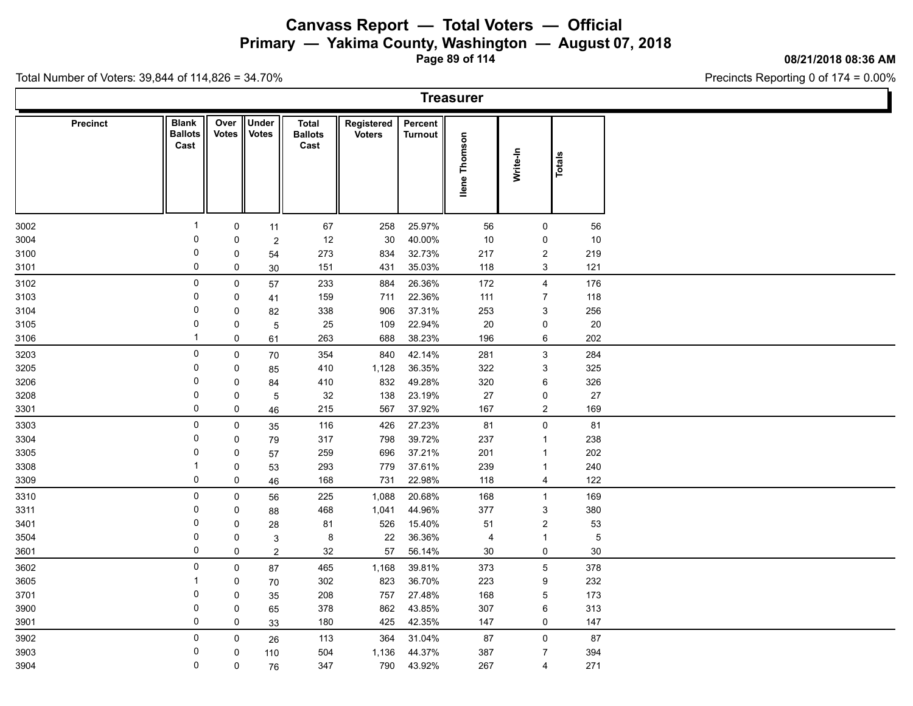**Primary — Yakima County, Washington — August 07, 2018**

**Page 89 of 114**

#### **08/21/2018 08:36 AM**

Precincts Reporting 0 of 174 = 0.00%

|                 |                                        |               |                       |                                 |                             |                           | <b>Treasurer</b> |                     |                |  |
|-----------------|----------------------------------------|---------------|-----------------------|---------------------------------|-----------------------------|---------------------------|------------------|---------------------|----------------|--|
| <b>Precinct</b> | <b>Blank</b><br><b>Ballots</b><br>Cast | Over<br>Votes | Under<br><b>Votes</b> | Total<br><b>Ballots</b><br>Cast | Registered<br><b>Voters</b> | Percent<br><b>Turnout</b> | Thomson<br>llene | Write-In            | Totals         |  |
| 3002            | $\overline{1}$                         | $\mathbf 0$   | 11                    | 67                              | 258                         | 25.97%                    | 56               | $\mathsf{O}$        | 56             |  |
| 3004            | 0                                      | 0             | $\overline{c}$        | 12                              | 30                          | 40.00%                    | 10               | 0                   | 10             |  |
| 3100            | $\mathbf 0$                            | 0             | 54                    | 273                             | 834                         | 32.73%                    | 217              | $\overline{2}$      | 219            |  |
| 3101            | 0                                      | 0             | 30                    | 151                             | 431                         | 35.03%                    | 118              | 3                   | 121            |  |
| 3102            | $\mathbf 0$                            | $\mathbf 0$   | 57                    | 233                             | 884                         | 26.36%                    | 172              | $\overline{4}$      | 176            |  |
| 3103            | 0                                      | 0             | 41                    | 159                             | 711                         | 22.36%                    | 111              | $\overline{7}$      | 118            |  |
| 3104            | $\mathbf 0$                            | 0             | 82                    | 338                             | 906                         | 37.31%                    | 253              | $\mathbf{3}$        | 256            |  |
| 3105            | 0                                      | $\mathbf 0$   | 5                     | 25                              | 109                         | 22.94%                    | 20               | 0                   | 20             |  |
| 3106            | $\overline{1}$                         | 0             | 61                    | 263                             | 688                         | 38.23%                    | 196              | 6                   | 202            |  |
| 3203            | 0                                      | $\mathbf 0$   | 70                    | 354                             | 840                         | 42.14%                    | 281              | $\mathbf{3}$        | 284            |  |
| 3205            | $\mathbf 0$                            | 0             | 85                    | 410                             | 1,128                       | 36.35%                    | 322              | 3                   | 325            |  |
| 3206            | 0                                      | 0             | 84                    | 410                             | 832                         | 49.28%                    | 320              | 6                   | 326            |  |
| 3208            | 0                                      | 0             | $5\,$                 | 32                              | 138                         | 23.19%                    | 27               | 0                   | 27             |  |
| 3301            | $\mathbf 0$                            | $\mathbf 0$   | 46                    | 215                             | 567                         | 37.92%                    | 167              | $\overline{2}$      | 169            |  |
| 3303            | $\mathbf 0$                            | $\mathbf 0$   | 35                    | 116                             | 426                         | 27.23%                    | 81               | $\mathsf{O}\xspace$ | 81             |  |
| 3304            | 0                                      | 0             | 79                    | 317                             | 798                         | 39.72%                    | 237              | $\mathbf{1}$        | 238            |  |
| 3305            | 0                                      | 0             | 57                    | 259                             | 696                         | 37.21%                    | 201              | $\mathbf{1}$        | 202            |  |
| 3308            | $\overline{1}$                         | $\mathbf 0$   | 53                    | 293                             | 779                         | 37.61%                    | 239              | $\mathbf{1}$        | 240            |  |
| 3309            | 0                                      | 0             | 46                    | 168                             | 731                         | 22.98%                    | 118              | $\overline{4}$      | 122            |  |
| 3310            | $\mathbf 0$                            | $\mathsf{O}$  | 56                    | 225                             | 1,088                       | 20.68%                    | 168              | $\mathbf{1}$        | 169            |  |
| 3311            | 0                                      | 0             | 88                    | 468                             | 1,041                       | 44.96%                    | 377              | $\mathbf{3}$        | 380            |  |
| 3401            | 0                                      | 0             | 28                    | 81                              | 526                         | 15.40%                    | 51               | $\overline{c}$      | 53             |  |
| 3504            | 0                                      | 0             | 3                     | 8                               | 22                          | 36.36%                    | 4                | $\overline{1}$      | $\overline{5}$ |  |
| 3601            | $\mathbf 0$                            | $\mathbf 0$   | 2                     | 32                              | 57                          | 56.14%                    | 30               | $\mathbf 0$         | 30             |  |
| 3602            | $\pmb{0}$                              | $\mathbf 0$   | 87                    | 465                             | 1,168                       | 39.81%                    | 373              | $5\,$               | 378            |  |
| 3605            | -1                                     | $\mathbf 0$   | 70                    | 302                             | 823                         | 36.70%                    | 223              | 9                   | 232            |  |
| 3701            | 0                                      | 0             | 35                    | 208                             | 757                         | 27.48%                    | 168              | 5                   | 173            |  |
| 3900            | 0                                      | 0             | 65                    | 378                             | 862                         | 43.85%                    | 307              | $\,6\,$             | 313            |  |
| 3901            | $\mathsf 0$                            | 0             | 33                    | 180                             | 425                         | 42.35%                    | 147              | 0                   | 147            |  |
| 3902            | 0                                      | 0             | 26                    | 113                             | 364                         | 31.04%                    | 87               | $\mathbf 0$         | 87             |  |
| 3903            | 0                                      | 0             | 110                   | 504                             | 1,136                       | 44.37%                    | 387              | $\overline{7}$      | 394            |  |
| 3904            | 0                                      | 0             | 76                    | 347                             | 790                         | 43.92%                    | 267              | $\overline{4}$      | 271            |  |
|                 |                                        |               |                       |                                 |                             |                           |                  |                     |                |  |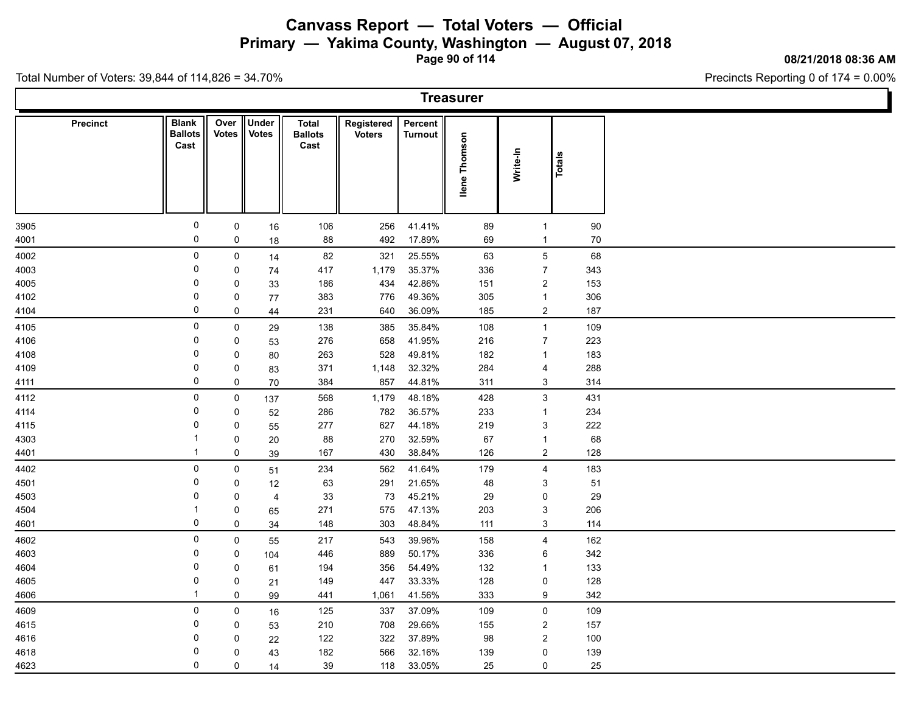**Primary — Yakima County, Washington — August 07, 2018**

**Page 90 of 114**

#### **08/21/2018 08:36 AM**

Precincts Reporting 0 of 174 = 0.00%

|                 |                                        |               |                       |                                 |                             |                           | <b>Treasurer</b> |                           |        |  |
|-----------------|----------------------------------------|---------------|-----------------------|---------------------------------|-----------------------------|---------------------------|------------------|---------------------------|--------|--|
| <b>Precinct</b> | <b>Blank</b><br><b>Ballots</b><br>Cast | Over<br>Votes | Under<br><b>Votes</b> | Total<br><b>Ballots</b><br>Cast | Registered<br><b>Voters</b> | Percent<br><b>Turnout</b> | Thomson<br>llene | Write-In                  | Totals |  |
| 3905            | $\mathbf 0$                            | $\mathbf 0$   | 16                    | 106                             | 256                         | 41.41%                    | 89               | $\overline{1}$            | 90     |  |
| 4001            | 0                                      | 0             | 18                    | 88                              | 492                         | 17.89%                    | 69               | $\mathbf{1}$              | 70     |  |
| 4002            | 0                                      | $\mathsf{O}$  | 14                    | 82                              | 321                         | 25.55%                    | 63               | $5\phantom{.0}$           | 68     |  |
| 4003            | 0                                      | 0             | 74                    | 417                             | 1,179                       | 35.37%                    | 336              | $\overline{7}$            | 343    |  |
| 4005            | $\mathbf 0$                            | 0             | 33                    | 186                             | 434                         | 42.86%                    | 151              | $\overline{c}$            | 153    |  |
| 4102            | 0                                      | 0             | 77                    | 383                             | 776                         | 49.36%                    | 305              | $\mathbf{1}$              | 306    |  |
| 4104            | 0                                      | $\mathsf{O}$  | 44                    | 231                             | 640                         | 36.09%                    | 185              | $\overline{2}$            | 187    |  |
| 4105            | 0                                      | $\mathsf{O}$  | 29                    | 138                             | 385                         | 35.84%                    | 108              | $\mathbf{1}$              | 109    |  |
| 4106            | $\mathbf 0$                            | 0             | 53                    | 276                             | 658                         | 41.95%                    | 216              | $\overline{7}$            | 223    |  |
| 4108            | 0                                      | 0             | 80                    | 263                             | 528                         | 49.81%                    | 182              | $\mathbf{1}$              | 183    |  |
| 4109            | $\mathbf 0$                            | 0             | 83                    | 371                             | 1,148                       | 32.32%                    | 284              | $\overline{4}$            | 288    |  |
| 4111            | 0                                      | 0             | 70                    | 384                             | 857                         | 44.81%                    | 311              | 3                         | 314    |  |
| 4112            | $\mathbf 0$                            | $\mathbf 0$   | 137                   | 568                             | 1,179                       | 48.18%                    | 428              | $\mathbf{3}$              | 431    |  |
| 4114            | 0                                      | 0             | 52                    | 286                             | 782                         | 36.57%                    | 233              | $\mathbf{1}$              | 234    |  |
| 4115            | $\mathbf 0$                            | 0             | 55                    | 277                             | 627                         | 44.18%                    | 219              | $\ensuremath{\mathsf{3}}$ | 222    |  |
| 4303            | $\overline{1}$                         | 0             | $20\,$                | 88                              | 270                         | 32.59%                    | 67               | $\mathbf{1}$              | 68     |  |
| 4401            | $\overline{1}$                         | $\mathsf{O}$  | 39                    | 167                             | 430                         | 38.84%                    | 126              | $\overline{2}$            | 128    |  |
| 4402            | $\mathsf{O}$                           | $\mathsf{O}$  | 51                    | 234                             | 562                         | 41.64%                    | 179              | $\overline{4}$            | 183    |  |
| 4501            | $\mathbf 0$                            | 0             | 12                    | 63                              | 291                         | 21.65%                    | 48               | 3                         | 51     |  |
| 4503            | 0                                      | 0             | $\overline{4}$        | 33                              | 73                          | 45.21%                    | 29               | 0                         | 29     |  |
| 4504            | $\overline{1}$                         | 0             | 65                    | 271                             | 575                         | 47.13%                    | 203              | $\ensuremath{\mathsf{3}}$ | 206    |  |
| 4601            | 0                                      | $\mathsf{O}$  | 34                    | 148                             | 303                         | 48.84%                    | 111              | $\mathbf{3}$              | 114    |  |
| 4602            | $\mathbf 0$                            | 0             | 55                    | 217                             | 543                         | 39.96%                    | 158              | $\overline{4}$            | 162    |  |
| 4603            | 0                                      | 0             | 104                   | 446                             | 889                         | 50.17%                    | 336              | 6                         | 342    |  |
| 4604            | 0                                      | 0             | 61                    | 194                             | 356                         | 54.49%                    | 132              | $\mathbf{1}$              | 133    |  |
| 4605            | 0                                      | 0             | 21                    | 149                             | 447                         | 33.33%                    | 128              | $\mathbf 0$               | 128    |  |
| 4606            | $\overline{1}$                         | $\mathsf{O}$  | 99                    | 441                             | 1,061                       | 41.56%                    | 333              | 9                         | 342    |  |
| 4609            | 0                                      | $\mathsf{O}$  | 16                    | 125                             | 337                         | 37.09%                    | 109              | $\mathbf 0$               | 109    |  |
| 4615            | 0                                      | 0             | 53                    | 210                             | 708                         | 29.66%                    | 155              | $\overline{2}$            | 157    |  |
| 4616            | 0                                      | $\mathbf 0$   | 22                    | 122                             | 322                         | 37.89%                    | 98               | $\overline{2}$            | 100    |  |
| 4618            | 0                                      | 0             | 43                    | 182                             | 566                         | 32.16%                    | 139              | 0                         | 139    |  |
| 4623            | 0                                      | $\mathbf 0$   | 14                    | 39                              | 118                         | 33.05%                    | 25               | $\mathsf{O}$              | 25     |  |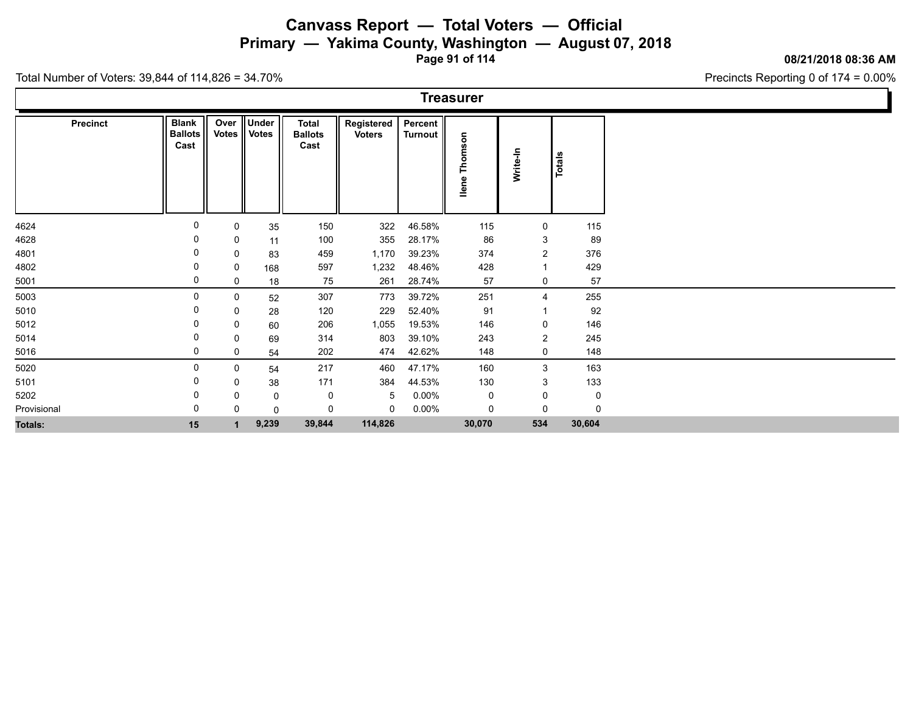**Primary — Yakima County, Washington — August 07, 2018**

**Page 91 of 114**

#### **08/21/2018 08:36 AM**

Precincts Reporting 0 of 174 = 0.00%

| <b>Treasurer</b> |
|------------------|
|------------------|

| Precinct       | <b>Blank</b><br><b>Ballots</b><br>Cast | Over<br>Votes | ∥Under<br><b>Votes</b> | <b>Total</b><br><b>Ballots</b><br>Cast | Registered<br><b>Voters</b> | Percent<br><b>Turnout</b> | ã<br>Thoms<br>llene | Write-In         | Totals      |
|----------------|----------------------------------------|---------------|------------------------|----------------------------------------|-----------------------------|---------------------------|---------------------|------------------|-------------|
|                | 0                                      | 0             |                        |                                        |                             |                           |                     |                  |             |
| 4624           | 0                                      |               | 35                     | 150                                    | 322                         | 46.58%                    | 115                 | 0<br>3           | 115         |
| 4628           |                                        | 0<br>0        | 11                     | 100<br>459                             | 355<br>1,170                | 28.17%<br>39.23%          | 86<br>374           | $\overline{c}$   | 89<br>376   |
| 4801           | 0                                      |               | 83                     |                                        |                             |                           |                     | $\mathbf 1$      |             |
| 4802           | 0                                      | 0             | 168                    | 597                                    | 1,232                       | 48.46%                    | 428                 |                  | 429         |
| 5001           |                                        | 0             | 18                     | 75                                     | 261                         | 28.74%                    | 57                  | 0                | 57          |
| 5003           |                                        | 0             | 52                     | 307                                    | 773                         | 39.72%                    | 251                 | $\overline{4}$   | 255         |
| 5010           |                                        | 0             | 28                     | 120                                    | 229                         | 52.40%                    | 91                  | $\overline{1}$   | 92          |
| 5012           |                                        | 0             | 60                     | 206                                    | 1,055                       | 19.53%                    | 146                 | 0                | 146         |
| 5014           |                                        | 0             | 69                     | 314                                    | 803                         | 39.10%                    | 243                 | $\boldsymbol{2}$ | 245         |
| 5016           |                                        | 0             | 54                     | 202                                    | 474                         | 42.62%                    | 148                 | 0                | 148         |
| 5020           | 0                                      | $\mathbf 0$   | 54                     | 217                                    | 460                         | 47.17%                    | 160                 | 3                | 163         |
| 5101           |                                        | 0             | 38                     | 171                                    | 384                         | 44.53%                    | 130                 | 3                | 133         |
| 5202           |                                        | 0             | $\mathbf 0$            | 0                                      | 5                           | $0.00\%$                  | 0                   | 0                | $\mathbf 0$ |
| Provisional    |                                        | 0             | $\Omega$               | 0                                      | 0                           | $0.00\%$                  | 0                   | $\Omega$         | $\mathbf 0$ |
| <b>Totals:</b> | 15                                     | $\mathbf 1$   | 9,239                  | 39,844                                 | 114,826                     |                           | 30,070              | 534              | 30,604      |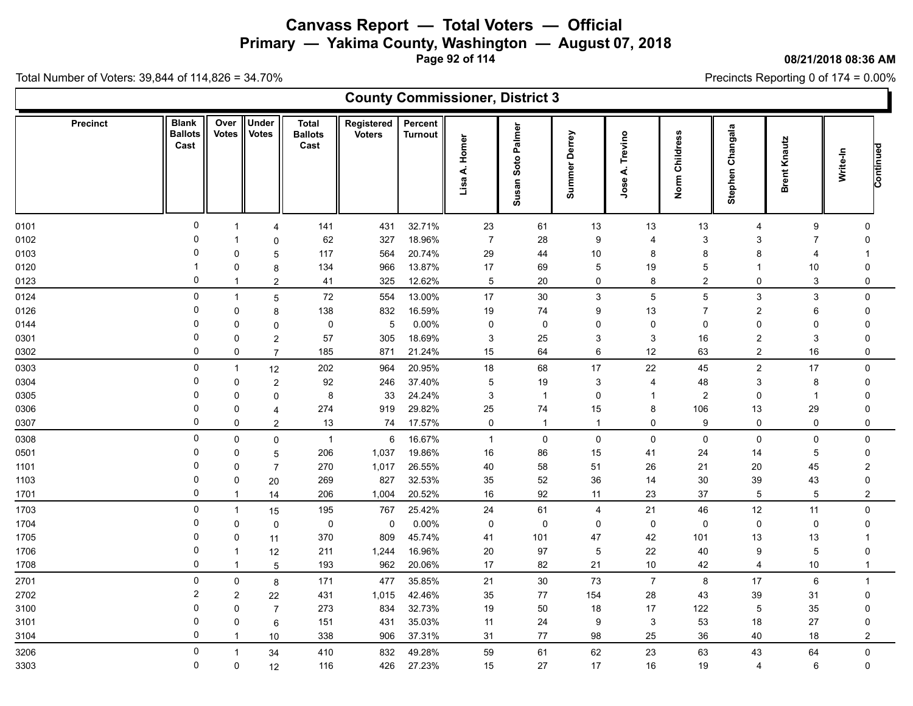**Primary — Yakima County, Washington — August 07, 2018**

**Page 92 of 114**

#### **08/21/2018 08:36 AM**

Precincts Reporting 0 of 174 = 0.00%

|                 |                                        |                      |                              |                                        | <b>County Commissioner, District 3</b> |                           |                   |                                |                           |                       |                |                     |                     |                       |  |
|-----------------|----------------------------------------|----------------------|------------------------------|----------------------------------------|----------------------------------------|---------------------------|-------------------|--------------------------------|---------------------------|-----------------------|----------------|---------------------|---------------------|-----------------------|--|
| <b>Precinct</b> | <b>Blank</b><br><b>Ballots</b><br>Cast | Over<br><b>Votes</b> | <b>Under</b><br><b>Votes</b> | <b>Total</b><br><b>Ballots</b><br>Cast | Registered<br><b>Voters</b>            | Percent<br><b>Turnout</b> | A. Homer<br>Lisa. | Palmer<br>Soto<br><b>Susan</b> | <b>Summer Derrey</b>      | Trevino<br>₹.<br>Jose | Norm Childress | Changala<br>Stephen | <b>Brent Knautz</b> | Continued<br>Write-In |  |
| 0101            | $\mathbf 0$                            |                      | $\overline{4}$               | 141                                    | 431                                    | 32.71%                    | 23                | 61                             | 13                        | 13                    | $13$           | $\overline{4}$      | 9                   | $\Omega$              |  |
| 0102            | $\Omega$                               |                      | $\mathbf 0$                  | 62                                     | 327                                    | 18.96%                    | $\overline{7}$    | 28                             | 9                         | $\overline{4}$        | 3              | 3                   | $\overline{7}$      | $\Omega$              |  |
| 0103            | $\Omega$                               | 0                    | 5                            | 117                                    | 564                                    | 20.74%                    | 29                | 44                             | $10\,$                    | 8                     | 8              | 8                   | 4                   |                       |  |
| 0120            | 1                                      | 0                    | 8                            | 134                                    | 966                                    | 13.87%                    | 17                | 69                             | $\sqrt{5}$                | 19                    | 5              |                     | 10                  | $\Omega$              |  |
| 0123            | 0                                      | $\mathbf 1$          | $\overline{2}$               | 41                                     | 325                                    | 12.62%                    | $\overline{5}$    | 20                             | 0                         | 8                     | $\overline{2}$ | $\mathbf 0$         | 3                   | 0                     |  |
| 0124            | 0                                      | $\mathbf{1}$         | 5                            | 72                                     | 554                                    | 13.00%                    | 17                | 30                             | $\mathbf{3}$              | 5                     | 5              | 3                   | 3                   | $\mathbf 0$           |  |
| 0126            | $\Omega$                               | $\mathbf 0$          | 8                            | 138                                    | 832                                    | 16.59%                    | 19                | 74                             | 9                         | 13                    | $\overline{7}$ | $\overline{c}$      | 6                   | $\mathbf 0$           |  |
| 0144            | 0                                      | $\mathbf 0$          | $\mathbf 0$                  | 0                                      | 5                                      | 0.00%                     | 0                 | 0                              | $\pmb{0}$                 | $\mathbf 0$           | $\mathbf 0$    | $\mathbf{0}$        | $\Omega$            | $\mathbf 0$           |  |
| 0301            | $\Omega$                               | $\mathbf 0$          | $\overline{2}$               | 57                                     | 305                                    | 18.69%                    | 3                 | 25                             | $\ensuremath{\mathsf{3}}$ | 3                     | 16             | $\overline{c}$      | 3                   | $\mathbf 0$           |  |
| 0302            | $\mathbf 0$                            | $\mathbf 0$          | $\overline{7}$               | 185                                    | 871                                    | 21.24%                    | 15                | 64                             | 6                         | 12                    | 63             | $\overline{2}$      | 16                  | $\mathbf 0$           |  |
| 0303            | $\mathbf 0$                            | $\overline{1}$       | 12                           | 202                                    | 964                                    | 20.95%                    | 18                | 68                             | 17                        | 22                    | 45             | $\overline{2}$      | 17                  | $\Omega$              |  |
| 0304            | $\Omega$                               | $\mathbf 0$          | $\overline{c}$               | 92                                     | 246                                    | 37.40%                    | 5                 | 19                             | $\mathbf{3}$              | $\overline{4}$        | 48             | 3                   | 8                   | $\Omega$              |  |
| 0305            | 0                                      | $\Omega$             | $\mathbf 0$                  | 8                                      | 33                                     | 24.24%                    | 3                 | $\overline{1}$                 | 0                         | -1                    | $\overline{c}$ | 0                   | $\overline{1}$      | 0                     |  |
| 0306            | $\Omega$                               | 0                    | $\overline{4}$               | 274                                    | 919                                    | 29.82%                    | 25                | ${\bf 74}$                     | 15                        | 8                     | 106            | 13                  | 29                  | $\mathbf 0$           |  |
| 0307            | $\Omega$                               | $\mathbf 0$          | $\overline{2}$               | 13                                     | 74                                     | 17.57%                    | $\mathbf 0$       | $\overline{1}$                 | $\mathbf{1}$              | 0                     | 9              | 0                   | 0                   | $\mathbf 0$           |  |
| 0308            | $\mathbf 0$                            | $\mathbf 0$          | $\mathbf 0$                  | $\mathbf{1}$                           | 6                                      | 16.67%                    | $\mathbf{1}$      | $\mathbf 0$                    | $\mathbf 0$               | $\mathbf 0$           | $\mathbf 0$    | $\mathbf 0$         | 0                   | $\mathbf 0$           |  |
| 0501            | 0                                      | 0                    | 5                            | 206                                    | 1,037                                  | 19.86%                    | 16                | 86                             | 15                        | 41                    | 24             | 14                  | 5                   | $\mathbf 0$           |  |
| 1101            | $\Omega$                               | $\Omega$             | $\overline{7}$               | 270                                    | 1,017                                  | 26.55%                    | 40                | 58                             | 51                        | 26                    | 21             | 20                  | 45                  | $\overline{2}$        |  |
| 1103            | $\Omega$                               | $\mathbf 0$          | 20                           | 269                                    | 827                                    | 32.53%                    | 35                | 52                             | $36\,$                    | 14                    | 30             | 39                  | 43                  | $\mathbf 0$           |  |
| 1701            | $\mathbf 0$                            | -1                   | 14                           | 206                                    | 1,004                                  | 20.52%                    | 16                | $92\,$                         | 11                        | 23                    | 37             | 5                   | 5                   | $\boldsymbol{2}$      |  |
| 1703            | $\mathbf 0$                            |                      | 15                           | 195                                    | 767                                    | 25.42%                    | 24                | 61                             | 4                         | 21                    | 46             | 12                  | 11                  | $\pmb{0}$             |  |
| 1704            | $\Omega$                               | $\mathbf 0$          | $\mathbf 0$                  | $\mathbf 0$                            | $\mathbf 0$                            | 0.00%                     | $\mathbf 0$       | 0                              | $\mathbf 0$               | $\mathbf 0$           | $\mathbf 0$    | $\mathbf 0$         | 0                   | $\mathbf 0$           |  |
| 1705            | 0                                      | $\mathbf 0$          | 11                           | 370                                    | 809                                    | 45.74%                    | 41                | 101                            | 47                        | 42                    | 101            | 13                  | 13                  |                       |  |
| 1706            | $\mathbf 0$                            | -1                   | 12                           | 211                                    | 1,244                                  | 16.96%                    | 20                | 97                             | $\mathbf 5$               | 22                    | 40             | 9                   | $\overline{5}$      | $\Omega$              |  |
| 1708            | $\mathbf 0$                            | -1                   | 5                            | 193                                    | 962                                    | 20.06%                    | 17                | 82                             | 21                        | $10$                  | 42             | $\overline{4}$      | 10                  | $\mathbf 1$           |  |
| 2701            | 0                                      | $\mathbf 0$          | 8                            | 171                                    | 477                                    | 35.85%                    | 21                | $30\,$                         | $73\,$                    | $\overline{7}$        | 8              | 17                  | 6                   | $\overline{1}$        |  |
| 2702            | $\overline{c}$                         | $\overline{2}$       | 22                           | 431                                    | 1,015                                  | 42.46%                    | 35                | 77                             | 154                       | 28                    | 43             | 39                  | 31                  | $\mathbf 0$           |  |
| 3100            | $\Omega$                               | $\mathbf{0}$         | $\overline{7}$               | 273                                    | 834                                    | 32.73%                    | 19                | 50                             | $18$                      | 17                    | 122            | $\mathbf 5$         | 35                  | $\mathbf 0$           |  |
| 3101            | $\Omega$                               | $\mathbf 0$          | 6                            | 151                                    | 431                                    | 35.03%                    | 11                | 24                             | 9                         | 3                     | 53             | 18                  | 27                  | 0                     |  |
| 3104            | $\mathbf 0$                            | -1                   | 10                           | 338                                    | 906                                    | 37.31%                    | 31                | 77                             | 98                        | 25                    | 36             | 40                  | 18                  | $\overline{c}$        |  |
| 3206            | 0                                      |                      | 34                           | 410                                    | 832                                    | 49.28%                    | 59                | 61                             | 62                        | 23                    | 63             | 43                  | 64                  | $\pmb{0}$             |  |
| 3303            | $\mathbf 0$                            | $\mathbf 0$          | 12                           | 116                                    | 426                                    | 27.23%                    | 15                | 27                             | 17                        | 16                    | $19$           | $\overline{4}$      | 6                   | $\pmb{0}$             |  |
|                 |                                        |                      |                              |                                        |                                        |                           |                   |                                |                           |                       |                |                     |                     |                       |  |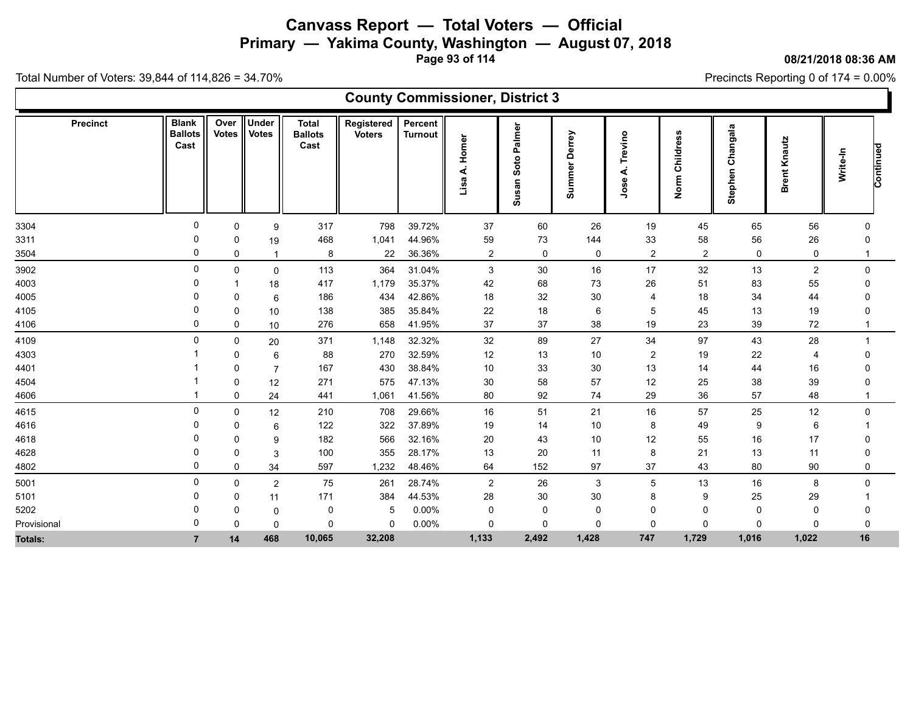**Primary — Yakima County, Washington — August 07, 2018**

**Page 93 of 114**

**County Commissioner, District 3**

**08/21/2018 08:36 AM**

Precincts Reporting 0 of 174 = 0.00%

| <b>Precinct</b> | <b>Blank</b><br><b>Ballots</b><br>Cast | Over<br>Votes | <b>Under</b><br><b>Votes</b> | <b>Total</b><br><b>Ballots</b><br>Cast | Registered<br><b>Voters</b> | Percent<br><b>Turnout</b> | Homer<br>∢<br>Lisa | Palmer<br>Soto<br>Susan | Derrey<br>Summer | Trevino<br>∢<br>Jose | Childress<br>Norm | angala<br>$\ddot{\epsilon}$<br>Stephen | Knautz<br><b>Brent</b> | Continued<br>Write-In |  |
|-----------------|----------------------------------------|---------------|------------------------------|----------------------------------------|-----------------------------|---------------------------|--------------------|-------------------------|------------------|----------------------|-------------------|----------------------------------------|------------------------|-----------------------|--|
| 3304            | $\Omega$                               | 0             | 9                            | 317                                    | 798                         | 39.72%                    | 37                 | 60                      | 26               | 19                   | 45                | 65                                     | 56                     | $\Omega$              |  |
| 3311            |                                        | 0             | 19                           | 468                                    | 1,041                       | 44.96%                    | 59                 | $73\,$                  | 144              | 33                   | 58                | 56                                     | 26                     |                       |  |
| 3504            | 0                                      | 0             |                              | 8                                      | 22                          | 36.36%                    | $\overline{2}$     | $\mathsf{O}$            | 0                | $\overline{2}$       | $\overline{2}$    | 0                                      | $\mathbf 0$            |                       |  |
| 3902            | 0                                      | 0             | $\mathbf 0$                  | 113                                    | 364                         | 31.04%                    | 3                  | 30                      | 16               | 17                   | 32                | 13                                     | 2                      | 0                     |  |
| 4003            | 0                                      |               | 18                           | 417                                    | 1,179                       | 35.37%                    | 42                 | 68                      | 73               | 26                   | 51                | 83                                     | 55                     | $\Omega$              |  |
| 4005            |                                        | $\Omega$      | 6                            | 186                                    | 434                         | 42.86%                    | 18                 | 32                      | 30               | -4                   | 18                | 34                                     | 44                     |                       |  |
| 4105            |                                        | 0             | 10                           | 138                                    | 385                         | 35.84%                    | 22                 | $18\,$                  | 6                | 5                    | 45                | 13                                     | 19                     |                       |  |
| 4106            | 0                                      | 0             | 10                           | 276                                    | 658                         | 41.95%                    | 37                 | 37                      | 38               | 19                   | 23                | 39                                     | 72                     |                       |  |
| 4109            | 0                                      | 0             | 20                           | 371                                    | 1,148                       | 32.32%                    | 32                 | 89                      | 27               | 34                   | 97                | 43                                     | 28                     |                       |  |
| 4303            |                                        | $\Omega$      | 6                            | 88                                     | 270                         | 32.59%                    | 12                 | 13                      | 10               | $\overline{2}$       | 19                | 22                                     | $\overline{4}$         | $\Omega$              |  |
| 4401            |                                        | 0             | 7                            | 167                                    | 430                         | 38.84%                    | 10                 | 33                      | 30               | 13                   | 14                | 44                                     | 16                     |                       |  |
| 4504            |                                        | 0             | 12                           | 271                                    | 575                         | 47.13%                    | 30                 | 58                      | 57               | 12                   | 25                | 38                                     | 39                     |                       |  |
| 4606            |                                        | 0             | 24                           | 441                                    | 1,061                       | 41.56%                    | 80                 | 92                      | 74               | 29                   | 36                | 57                                     | 48                     |                       |  |
| 4615            | 0                                      | 0             | 12                           | 210                                    | 708                         | 29.66%                    | 16                 | 51                      | 21               | 16                   | 57                | 25                                     | 12                     | $\Omega$              |  |
| 4616            | 0                                      | $\Omega$      | 6                            | 122                                    | 322                         | 37.89%                    | 19                 | 14                      | 10               | 8                    | 49                | 9                                      | 6                      |                       |  |
| 4618            |                                        | 0             | 9                            | 182                                    | 566                         | 32.16%                    | 20                 | 43                      | 10               | 12                   | 55                | 16                                     | 17                     |                       |  |
| 4628            |                                        | 0             | 3                            | 100                                    | 355                         | 28.17%                    | 13                 | 20                      | 11               | 8                    | 21                | 13                                     | 11                     | $\Omega$              |  |
| 4802            | 0                                      | 0             | 34                           | 597                                    | 1,232                       | 48.46%                    | 64                 | 152                     | 97               | 37                   | 43                | 80                                     | 90                     | 0                     |  |
| 5001            | 0                                      | $\mathbf 0$   | $\overline{2}$               | 75                                     | 261                         | 28.74%                    | $\overline{c}$     | 26                      | $\mathbf{3}$     | $5\,$                | 13                | 16                                     | 8                      | $\mathbf{0}$          |  |
| 5101            | -0                                     | 0             | 11                           | 171                                    | 384                         | 44.53%                    | 28                 | 30                      | 30               | 8                    | 9                 | 25                                     | 29                     |                       |  |
| 5202            |                                        | $\Omega$      | 0                            | 0                                      | -5                          | 0.00%                     | 0                  | $\mathbf 0$             | 0                | 0                    | 0                 | 0                                      | $\Omega$               |                       |  |
| Provisional     | <sup>0</sup>                           | $\mathbf{0}$  | 0                            | $\Omega$                               | $\Omega$                    | $0.00\%$                  | 0                  | 0                       | $\mathbf 0$      | $\Omega$             | $\Omega$          | $\Omega$                               | $\Omega$               | $\Omega$              |  |
| Totals:         |                                        | 14            | 468                          | 10,065                                 | 32,208                      |                           | 1,133              | 2,492                   | 1,428            | 747                  | 1,729             | 1,016                                  | 1,022                  | 16                    |  |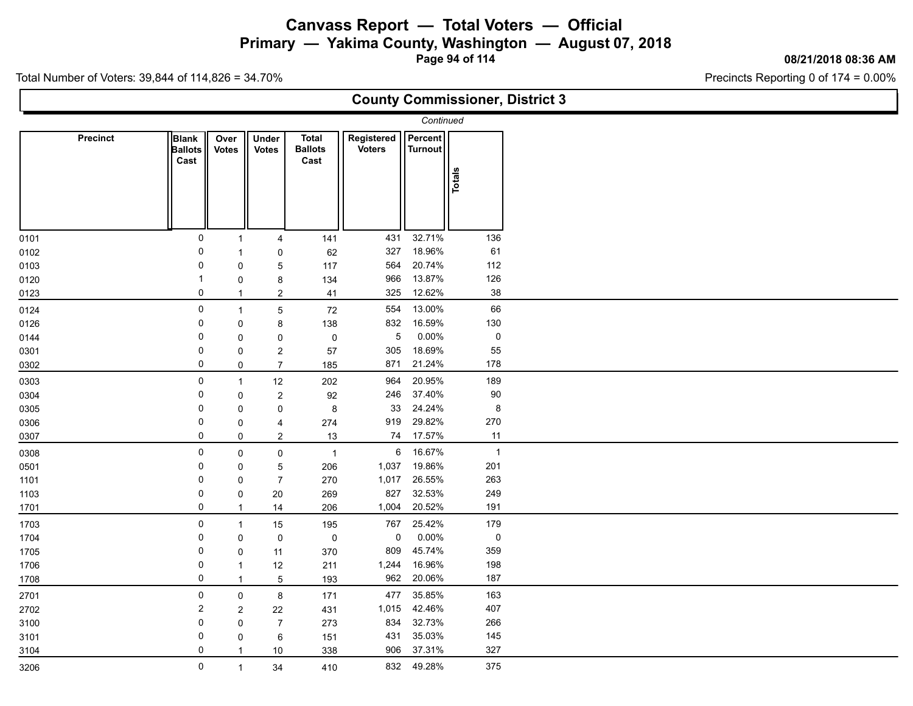#### **Canvass Report — Total Voters — Official Primary — Yakima County, Washington — August 07, 2018**

**Page 94 of 114**

#### **08/21/2018 08:36 AM**

Precincts Reporting 0 of 174 = 0.00%

Total Number of Voters: 39,844 of 114,826 = 34.70%

 $\Gamma$ 

|                 |                                        |                      |                         |                                        |                             |                           |                | <b>County Commissioner, District 3</b> |
|-----------------|----------------------------------------|----------------------|-------------------------|----------------------------------------|-----------------------------|---------------------------|----------------|----------------------------------------|
|                 |                                        |                      |                         |                                        |                             | Continued                 |                |                                        |
| <b>Precinct</b> | <b>Blank</b><br><b>Ballots</b><br>Cast | Over<br><b>Votes</b> | Under<br><b>Votes</b>   | <b>Total</b><br><b>Ballots</b><br>Cast | Registered<br><b>Voters</b> | Percent<br><b>Turnout</b> | Totals         |                                        |
| 0101            | $\mathsf{O}$                           | $\overline{1}$       | 4                       | 141                                    | 431                         | 32.71%                    | 136            |                                        |
| 0102            | 0                                      | $\mathbf{1}$         | 0                       | 62                                     | 327                         | 18.96%                    | 61             |                                        |
| 0103            | 0                                      | $\mathbf 0$          | 5                       | 117                                    | 564                         | 20.74%                    | 112            |                                        |
| 0120            | -1                                     | 0                    | 8                       | 134                                    | 966                         | 13.87%                    | 126            |                                        |
| 0123            | 0                                      | $\overline{1}$       | $\overline{2}$          | 41                                     | 325                         | 12.62%                    | 38             |                                        |
| 0124            | $\pmb{0}$                              | $\overline{1}$       | 5                       | 72                                     | 554                         | 13.00%                    | 66             |                                        |
| 0126            | 0                                      | $\mathbf 0$          | 8                       | 138                                    | 832                         | 16.59%                    | 130            |                                        |
| 0144            | 0                                      | $\mathbf 0$          | 0                       | $\pmb{0}$                              | $\overline{5}$              | $0.00\%$                  | 0              |                                        |
| 0301            | 0                                      | $\mathsf 0$          | $\overline{\mathbf{c}}$ | 57                                     | 305                         | 18.69%                    | 55             |                                        |
| 0302            | 0                                      | $\mathbf 0$          | $\overline{7}$          | 185                                    | 871                         | 21.24%                    | 178            |                                        |
| 0303            | 0                                      | $\overline{1}$       | 12                      | 202                                    | 964                         | 20.95%                    | 189            |                                        |
| 0304            | 0                                      | $\mathbf 0$          | $\overline{\mathbf{c}}$ | 92                                     | 246                         | 37.40%                    | $90\,$         |                                        |
| 0305            | 0                                      | $\mathbf 0$          | 0                       | 8                                      | 33                          | 24.24%                    | 8              |                                        |
| 0306            | 0                                      | 0                    | 4                       | 274                                    | 919                         | 29.82%                    | 270            |                                        |
| 0307            | 0                                      | $\mathbf 0$          | $\overline{a}$          | 13                                     | 74                          | 17.57%                    | 11             |                                        |
| 0308            | $\mathbf 0$                            | $\mathbf 0$          | 0                       | $\overline{1}$                         | $6\overline{6}$             | 16.67%                    | $\overline{1}$ |                                        |
| 0501            | 0                                      | $\mathbf 0$          | 5                       | 206                                    | 1,037                       | 19.86%                    | 201            |                                        |
| 1101            | 0                                      | $\mathbf 0$          | $\overline{7}$          | 270                                    | 1,017                       | 26.55%                    | 263            |                                        |
| 1103            | 0                                      | $\pmb{0}$            | 20                      | 269                                    | 827                         | 32.53%                    | 249            |                                        |
| 1701            | 0                                      | $\overline{1}$       | 14                      | 206                                    | 1,004                       | 20.52%                    | 191            |                                        |
| 1703            | $\mathbf 0$                            | $\overline{1}$       | 15                      | 195                                    | 767                         | 25.42%                    | 179            |                                        |
| 1704            | 0                                      | $\mathbf 0$          | 0                       | $\mathbf 0$                            | 0                           | $0.00\%$                  | $\pmb{0}$      |                                        |
| 1705            | 0                                      | $\mathbf 0$          | 11                      | 370                                    | 809                         | 45.74%                    | 359            |                                        |
| 1706            | 0                                      | $\mathbf{1}$         | 12                      | 211                                    | 1,244                       | 16.96%                    | 198            |                                        |
| 1708            | 0                                      | $\overline{1}$       | 5                       | 193                                    | 962                         | 20.06%                    | 187            |                                        |
| 2701            | $\mathbf 0$                            | $\mathsf 0$          | 8                       | 171                                    | 477                         | 35.85%                    | 163            |                                        |
| 2702            | $\overline{c}$                         | $\sqrt{2}$           | $22\,$                  | 431                                    | 1,015                       | 42.46%                    | 407            |                                        |
| 3100            | 0                                      | $\mathbf 0$          | $\overline{7}$          | 273                                    | 834                         | 32.73%                    | 266            |                                        |
| 3101            | 0                                      | 0                    | 6                       | 151                                    | 431                         | 35.03%                    | 145            |                                        |
| 3104            | 0                                      | $\overline{1}$       | 10                      | 338                                    | 906                         | 37.31%                    | 327            |                                        |
| 3206            | $\mathbf 0$                            | $\overline{1}$       | 34                      | 410                                    |                             | 832 49.28%                | 375            |                                        |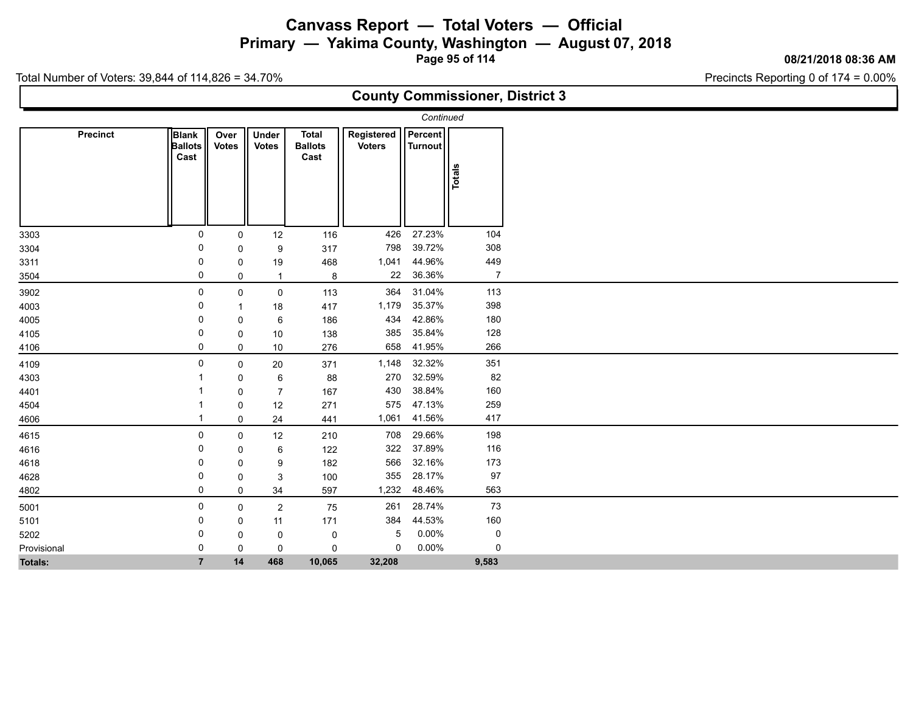**Primary — Yakima County, Washington — August 07, 2018**

**Page 95 of 114**

#### **08/21/2018 08:36 AM**

Precincts Reporting 0 of 174 = 0.00%

Total Number of Voters: 39,844 of 114,826 = 34.70%

#### **County Commissioner, District 3**

|                 |                                 |                      |                              |                                        |                             | Continued                        |                |  |
|-----------------|---------------------------------|----------------------|------------------------------|----------------------------------------|-----------------------------|----------------------------------|----------------|--|
| <b>Precinct</b> | Blank<br><b>Ballots</b><br>Cast | Over<br><b>Votes</b> | <b>Under</b><br><b>Votes</b> | <b>Total</b><br><b>Ballots</b><br>Cast | Registered<br><b>Voters</b> | <b>Percent</b><br><b>Turnout</b> | Totals         |  |
| 3303            | 0                               | 0                    | 12                           | 116                                    | 426                         | 27.23%                           | 104            |  |
| 3304            | 0                               | 0                    | $\boldsymbol{9}$             | 317                                    | 798                         | 39.72%                           | 308            |  |
| 3311            | 0                               | 0                    | 19                           | 468                                    | 1,041                       | 44.96%                           | 449            |  |
| 3504            | $\mathbf 0$                     | 0                    | $\mathbf{1}$                 | $\bf 8$                                | 22                          | 36.36%                           | $\overline{7}$ |  |
| 3902            | $\mathbf 0$                     | $\mathbf 0$          | $\mathbf 0$                  | 113                                    | 364                         | 31.04%                           | 113            |  |
| 4003            | 0                               |                      | 18                           | 417                                    | 1,179                       | 35.37%                           | 398            |  |
| 4005            | 0                               | 0                    | 6                            | 186                                    | 434                         | 42.86%                           | 180            |  |
| 4105            | 0                               | 0                    | 10                           | 138                                    | 385                         | 35.84%                           | 128            |  |
| 4106            | $\mathbf 0$                     | 0                    | 10                           | 276                                    | 658                         | 41.95%                           | 266            |  |
| 4109            | 0                               | 0                    | 20                           | 371                                    | 1,148                       | 32.32%                           | 351            |  |
| 4303            |                                 | 0                    | 6                            | 88                                     | 270                         | 32.59%                           | 82             |  |
| 4401            |                                 | 0                    | $\overline{7}$               | 167                                    | 430                         | 38.84%                           | 160            |  |
| 4504            |                                 | 0                    | 12                           | 271                                    | 575                         | 47.13%                           | 259            |  |
| 4606            |                                 | 0                    | 24                           | 441                                    | 1,061                       | 41.56%                           | 417            |  |
| 4615            | $\mathbf 0$                     | 0                    | 12                           | 210                                    | 708                         | 29.66%                           | 198            |  |
| 4616            | 0                               | 0                    | 6                            | 122                                    | 322                         | 37.89%                           | 116            |  |
| 4618            | 0                               | $\mathbf 0$          | 9                            | 182                                    | 566                         | 32.16%                           | 173            |  |
| 4628            | 0                               | 0                    | 3                            | 100                                    | 355                         | 28.17%                           | 97             |  |
| 4802            | $\mathbf 0$                     | 0                    | 34                           | 597                                    | 1,232                       | 48.46%                           | 563            |  |
| 5001            | 0                               | 0                    | $\overline{c}$               | 75                                     | 261                         | 28.74%                           | 73             |  |
| 5101            | 0                               | 0                    | 11                           | 171                                    | 384                         | 44.53%                           | 160            |  |
| 5202            | 0                               | 0                    | 0                            | 0                                      | 5                           | 0.00%                            | $\mathbf 0$    |  |
| Provisional     | $\mathbf 0$                     | $\mathbf 0$          | $\pmb{0}$                    | $\mathbf 0$                            | 0                           | 0.00%                            | 0              |  |
| <b>Totals:</b>  | $\overline{7}$                  | 14                   | 468                          | 10,065                                 | 32,208                      |                                  | 9,583          |  |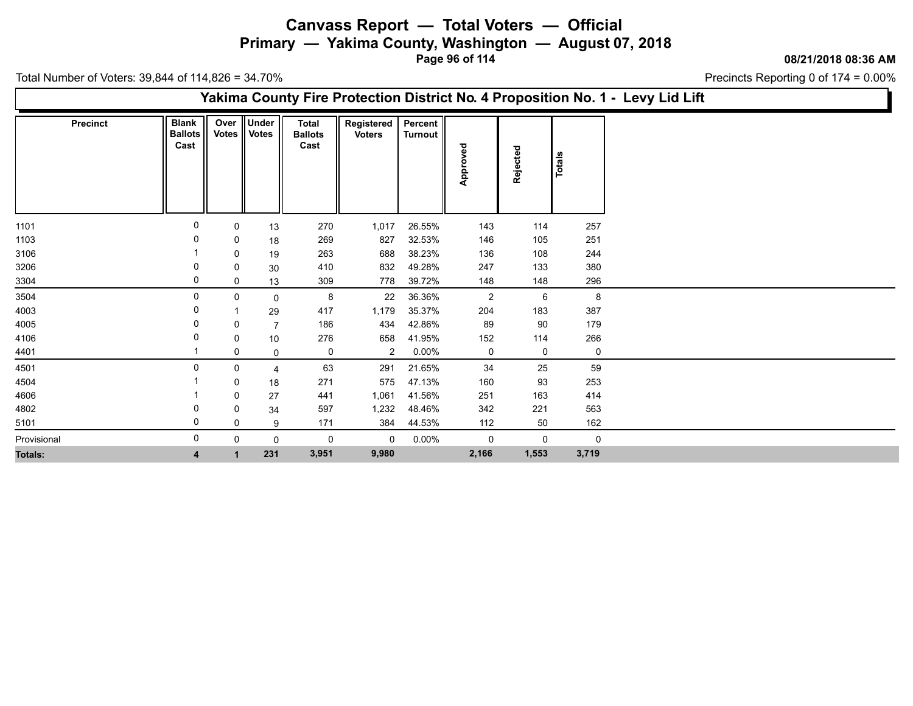**Primary — Yakima County, Washington — August 07, 2018**

**Page 96 of 114**

**08/21/2018 08:36 AM**

Precincts Reporting 0 of 174 = 0.00%

Total Number of Voters: 39,844 of 114,826 = 34.70%

#### **Yakima County Fire Protection District No. 4 Proposition No. 1 - Levy Lid Lift**

| <b>Precinct</b> | <b>Blank</b><br><b>Ballots</b><br>Cast |             | Over Under<br>Votes    Votes | <b>Total</b><br><b>Ballots</b><br>Cast | Registered<br><b>Voters</b> | <b>Percent</b><br>Turnout | ਠ              |             |             |
|-----------------|----------------------------------------|-------------|------------------------------|----------------------------------------|-----------------------------|---------------------------|----------------|-------------|-------------|
|                 |                                        |             |                              |                                        |                             |                           | Approved       | Rejected    | Totals      |
| 1101            | 0                                      | 0           | 13                           | 270                                    | 1,017                       | 26.55%                    | 143            | 114         | 257         |
| 1103            |                                        | 0           | 18                           | 269                                    | 827                         | 32.53%                    | 146            | 105         | 251         |
| 3106            |                                        | 0           | 19                           | 263                                    | 688                         | 38.23%                    | 136            | 108         | 244         |
| 3206            | 0                                      | 0           | 30                           | 410                                    | 832                         | 49.28%                    | 247            | 133         | 380         |
| 3304            | 0                                      | 0           | 13                           | 309                                    | 778                         | 39.72%                    | 148            | 148         | 296         |
| 3504            | 0                                      | $\mathbf 0$ | 0                            | 8                                      | 22                          | 36.36%                    | $\overline{2}$ | 6           | 8           |
| 4003            | 0                                      |             | 29                           | 417                                    | 1,179                       | 35.37%                    | 204            | 183         | 387         |
| 4005            |                                        | 0           | $\overline{7}$               | 186                                    | 434                         | 42.86%                    | 89             | 90          | 179         |
| 4106            |                                        | 0           | 10                           | 276                                    | 658                         | 41.95%                    | 152            | 114         | 266         |
| 4401            |                                        | 0           | 0                            | $\mathsf{O}$                           | $\overline{2}$              | $0.00\%$                  | 0              | 0           | $\mathbf 0$ |
| 4501            | $\Omega$                               | $\mathbf 0$ | 4                            | 63                                     | 291                         | 21.65%                    | 34             | 25          | 59          |
| 4504            |                                        | 0           | 18                           | 271                                    | 575                         | 47.13%                    | 160            | 93          | 253         |
| 4606            |                                        | 0           | 27                           | 441                                    | 1,061                       | 41.56%                    | 251            | 163         | 414         |
| 4802            | 0                                      | 0           | 34                           | 597                                    | 1,232                       | 48.46%                    | 342            | 221         | 563         |
| 5101            | 0                                      | 0           | 9                            | 171                                    | 384                         | 44.53%                    | 112            | 50          | 162         |
| Provisional     | 0                                      | $\mathbf 0$ | $\mathbf 0$                  | $\mathsf{O}$                           | $\mathbf 0$                 | $0.00\%$                  | $\pmb{0}$      | $\mathbf 0$ | $\mathbf 0$ |
| <b>Totals:</b>  | 4                                      | 1           | 231                          | 3,951                                  | 9,980                       |                           | 2,166          | 1,553       | 3,719       |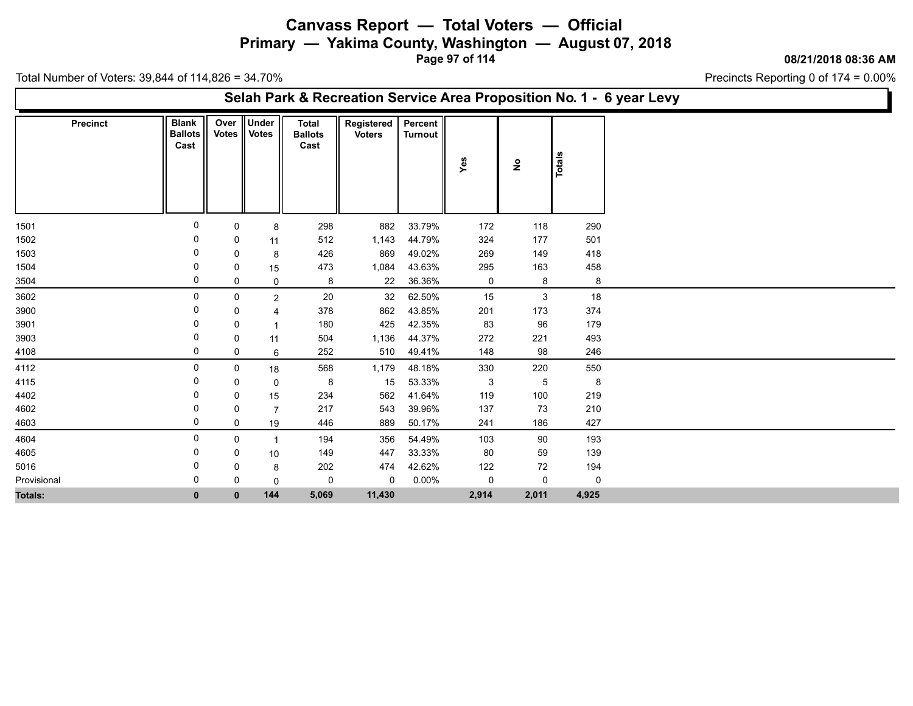**Primary — Yakima County, Washington — August 07, 2018**

**Page 97 of 114**

**08/21/2018 08:36 AM**

Precincts Reporting 0 of 174 = 0.00%

|                 |                                        |              |                             |                                 | Selah Park & Recreation Service Area Proposition No. 1 - 6 year Levy |                           |       |                                    |        |
|-----------------|----------------------------------------|--------------|-----------------------------|---------------------------------|----------------------------------------------------------------------|---------------------------|-------|------------------------------------|--------|
| <b>Precinct</b> | <b>Blank</b><br><b>Ballots</b><br>Cast |              | Over Under<br>Votes   Votes | Total<br><b>Ballots</b><br>Cast | Registered<br><b>Voters</b>                                          | Percent<br><b>Turnout</b> | Yes   | $\overset{\mathtt{o}}{\mathtt{z}}$ | Totals |
| 1501            | $\Omega$                               | 0            | 8                           | 298                             | 882                                                                  | 33.79%                    | 172   | 118                                | 290    |
| 1502            |                                        | 0            | 11                          | 512                             | 1,143                                                                | 44.79%                    | 324   | 177                                | 501    |
| 1503            |                                        | 0            | 8                           | 426                             | 869                                                                  | 49.02%                    | 269   | 149                                | 418    |
| 1504            |                                        | 0            | 15                          | 473                             | 1,084                                                                | 43.63%                    | 295   | 163                                | 458    |
| 3504            | 0                                      | 0            | 0                           | 8                               | 22                                                                   | 36.36%                    | 0     | 8                                  | 8      |
| 3602            | 0                                      | 0            | $\overline{2}$              | 20                              | 32                                                                   | 62.50%                    | 15    | 3                                  | 18     |
| 3900            | 0                                      | 0            | 4                           | 378                             | 862                                                                  | 43.85%                    | 201   | 173                                | 374    |
| 3901            | 0                                      | 0            |                             | 180                             | 425                                                                  | 42.35%                    | 83    | 96                                 | 179    |
| 3903            |                                        | 0            | 11                          | 504                             | 1,136                                                                | 44.37%                    | 272   | 221                                | 493    |
| 4108            | 0                                      | 0            | 6                           | 252                             | 510                                                                  | 49.41%                    | 148   | 98                                 | 246    |
| 4112            | 0                                      | 0            | 18                          | 568                             | 1,179                                                                | 48.18%                    | 330   | 220                                | 550    |
| 4115            |                                        | 0            | 0                           | 8                               | 15                                                                   | 53.33%                    | 3     | $5\,$                              | 8      |
| 4402            | 0                                      | 0            | 15                          | 234                             | 562                                                                  | 41.64%                    | 119   | 100                                | 219    |
| 4602            | 0                                      | 0            | 7                           | 217                             | 543                                                                  | 39.96%                    | 137   | 73                                 | 210    |
| 4603            | 0                                      | 0            | 19                          | 446                             | 889                                                                  | 50.17%                    | 241   | 186                                | 427    |
| 4604            | 0                                      | 0            | $\overline{\mathbf{1}}$     | 194                             | 356                                                                  | 54.49%                    | 103   | 90                                 | 193    |
| 4605            | 0                                      | 0            | 10                          | 149                             | 447                                                                  | 33.33%                    | 80    | 59                                 | 139    |
| 5016            | -0                                     | 0            | 8                           | 202                             | 474                                                                  | 42.62%                    | 122   | 72                                 | 194    |
| Provisional     | 0                                      | 0            | 0                           | 0                               | 0                                                                    | $0.00\%$                  | 0     | 0                                  | 0      |
| Totals:         | $\bf{0}$                               | $\mathbf{0}$ | 144                         | 5,069                           | 11,430                                                               |                           | 2,914 | 2,011                              | 4,925  |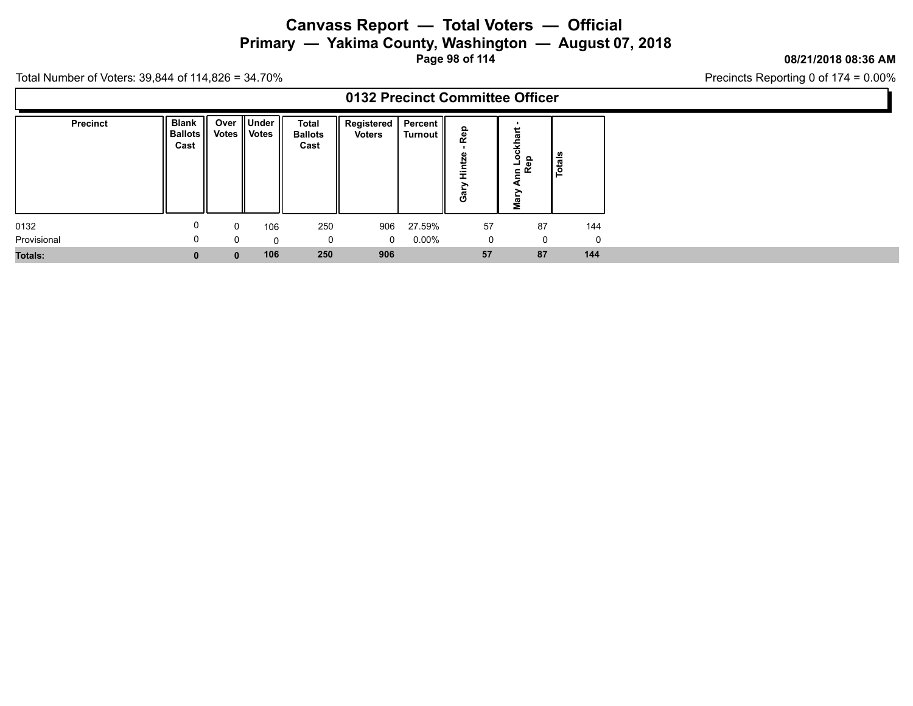**Primary — Yakima County, Washington — August 07, 2018**

**Page 98 of 114**

### **08/21/2018 08:36 AM**

Precincts Reporting 0 of 174 = 0.00%

|                 |                                               |     |                             |                                        |                               |                       | 0132 Precinct Committee Officer |                                  |        |
|-----------------|-----------------------------------------------|-----|-----------------------------|----------------------------------------|-------------------------------|-----------------------|---------------------------------|----------------------------------|--------|
| <b>Precinct</b> | <b>Blank</b><br>   Ballots    Votes  <br>Cast | -11 | Over ∥Under<br><b>Votes</b> | <b>Total</b><br><b>Ballots</b><br>Cast | Registered  <br><b>Voters</b> | Percent   <br>Turnout | ಸಿ<br>⋍<br>><br>යී              | ckhar<br>၌ ခူ<br>Am<br>R<br>Mary | Totals |
| 0132            |                                               | 0   | 106                         | 250                                    | 906                           | 27.59%                | 57                              | 87                               | 144    |
| Provisional     |                                               |     |                             | 0                                      | $\Omega$                      | $0.00\%$              | 0                               | 0                                |        |
| <b>Totals:</b>  |                                               |     | 106                         | 250                                    | 906                           |                       | 57                              | 87                               | 144    |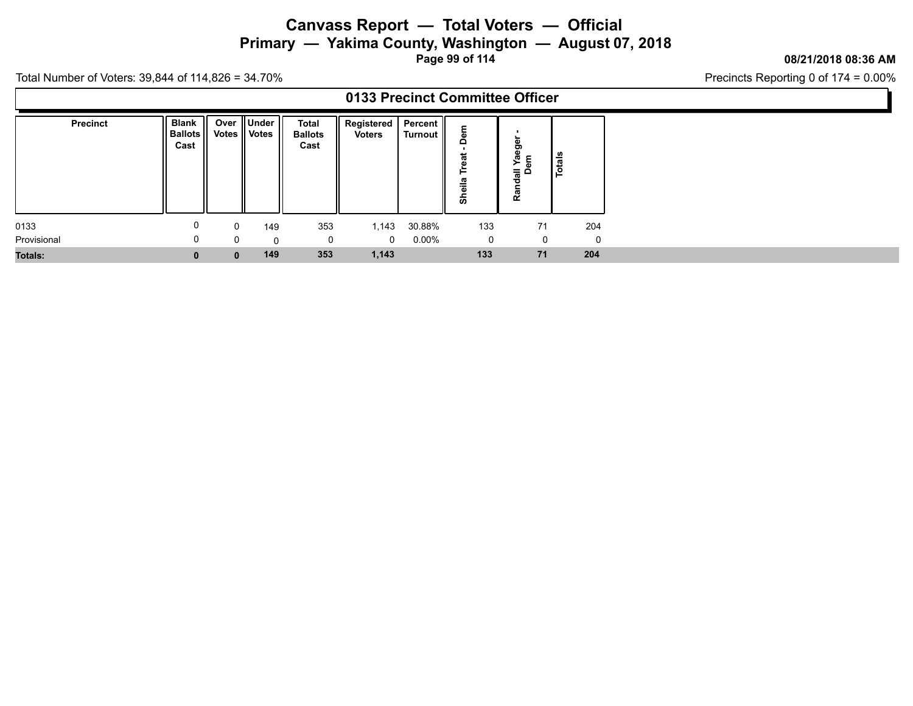# **Canvass Report — Total Voters — Official Primary — Yakima County, Washington — August 07, 2018**

**Page 99 of 114**

#### **08/21/2018 08:36 AM**

Precincts Reporting 0 of 174 = 0.00%

|                 |                                      |                      |                            |                                 | 0133 Precinct Committee Officer |                       |                                          |                                     |        |
|-----------------|--------------------------------------|----------------------|----------------------------|---------------------------------|---------------------------------|-----------------------|------------------------------------------|-------------------------------------|--------|
| <b>Precinct</b> | <b>Blank</b><br>  Ballots   <br>Cast | Over<br><b>Votes</b> | . ∥Under '<br><b>Votes</b> | Total<br><b>Ballots</b><br>Cast | Registered<br><b>Voters</b>     | Percent   <br>Turnout | Δ<br>ത<br>►<br>≅<br>--<br>$\omega$<br>န် | ger<br>G)<br>호 동<br>등 후<br>ਠ<br>Ran | Totals |
| 0133            | 0                                    |                      | 149                        | 353                             | 1,143                           | 30.88%                | 133                                      | 71                                  | 204    |
| Provisional     | 0                                    |                      | 0                          | 0                               | $\Omega$                        | 0.00%                 | - 0                                      | 0                                   |        |
| <b>Totals:</b>  | 0                                    |                      | 149                        | 353                             | 1,143                           |                       | 133                                      | 71                                  | 204    |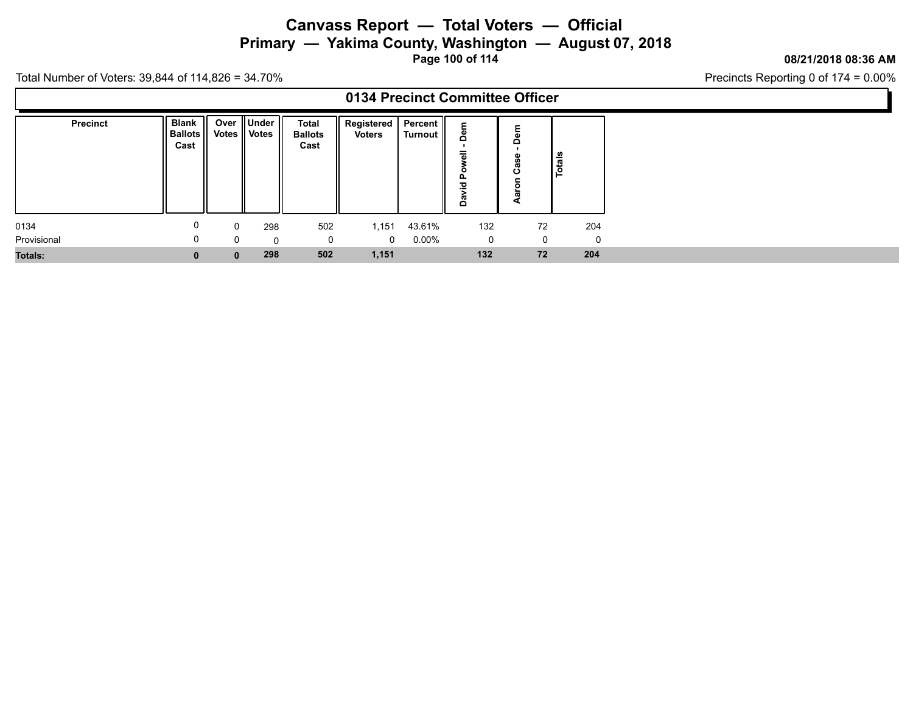**Primary — Yakima County, Washington — August 07, 2018**

**Page 100 of 114**

### **08/21/2018 08:36 AM**

Precincts Reporting 0 of 174 = 0.00%

|                 |                                |              |                              |                                        | 0134 Precinct Committee Officer          |          |                       |             |                      |          |
|-----------------|--------------------------------|--------------|------------------------------|----------------------------------------|------------------------------------------|----------|-----------------------|-------------|----------------------|----------|
| <b>Precinct</b> | Blank<br>   Ballots   <br>Cast |              | Over Under<br>Votes    Votes | <b>Total</b><br><b>Ballots</b><br>Cast | Registered   Percent   <br><b>Voters</b> | Turnout  | ۵<br>=<br>௨<br>혼<br>å | ω<br>≏<br>ن | $\frac{1}{\sqrt{2}}$ |          |
| 0134            | U                              | $\mathbf 0$  | 298                          | 502                                    | 1,151                                    | 43.61%   | 132                   |             | 72                   | 204      |
| Provisional     | 0                              | $\Omega$     | $\Omega$                     | 0                                      | $\mathbf{0}$                             | $0.00\%$ | 0                     |             |                      | $\Omega$ |
| <b>Totals:</b>  | U                              | $\mathbf{0}$ | 298                          | 502                                    | 1,151                                    |          | 132                   |             | 72                   | 204      |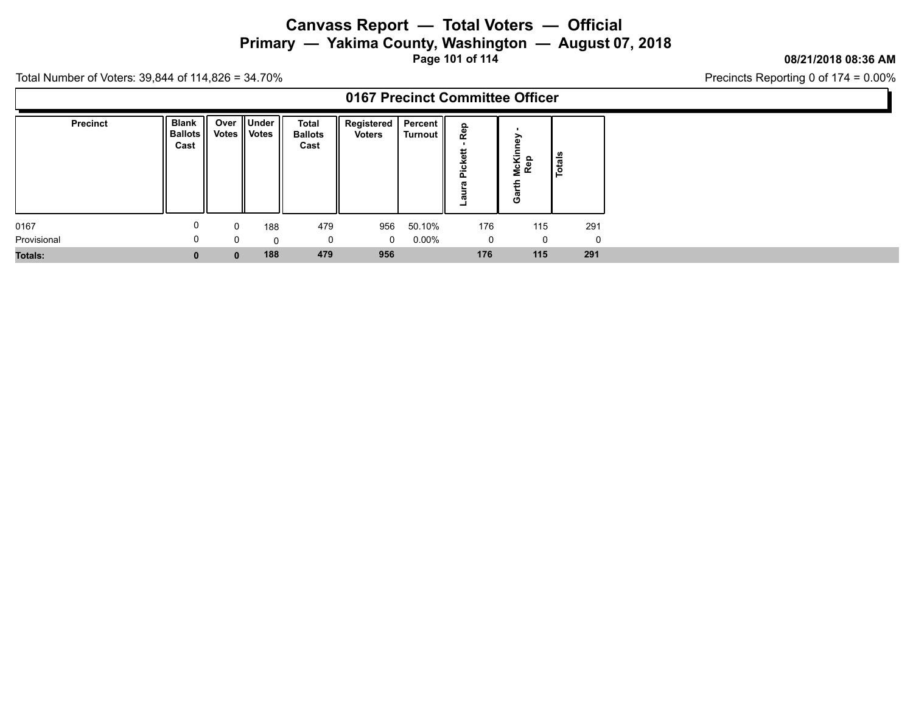**Primary — Yakima County, Washington — August 07, 2018**

**Page 101 of 114**

### **08/21/2018 08:36 AM**

Precincts Reporting 0 of 174 = 0.00%

|                |                                      |             |                                    |                                 |                                |                | 0167 Precinct Committee Officer             |                                    |        |
|----------------|--------------------------------------|-------------|------------------------------------|---------------------------------|--------------------------------|----------------|---------------------------------------------|------------------------------------|--------|
| Precinct       | <b>Blank</b><br>  Ballots   <br>Cast |             | Over    Under   <br>Votes    Votes | Total<br><b>Ballots</b><br>Cast | Registered   Percent<br>Voters | <b>Turnout</b> | ௨<br>Re<br>ket<br><b>Pic</b><br>ℼ<br>≒<br>ω | ∽<br>n,<br>McKin<br>Rep<br>£<br>යී | Totals |
| 0167           |                                      | $\mathbf 0$ | 188                                | 479                             | 956                            | 50.10%         | 176                                         | 115                                | 291    |
| Provisional    |                                      | $\Omega$    | $\mathbf{0}$                       | 0                               | $\mathbf 0$                    | $0.00\%$       | 0                                           | - 0                                |        |
| <b>Totals:</b> |                                      |             | 188                                | 479                             | 956                            |                | 176                                         | 115                                | 291    |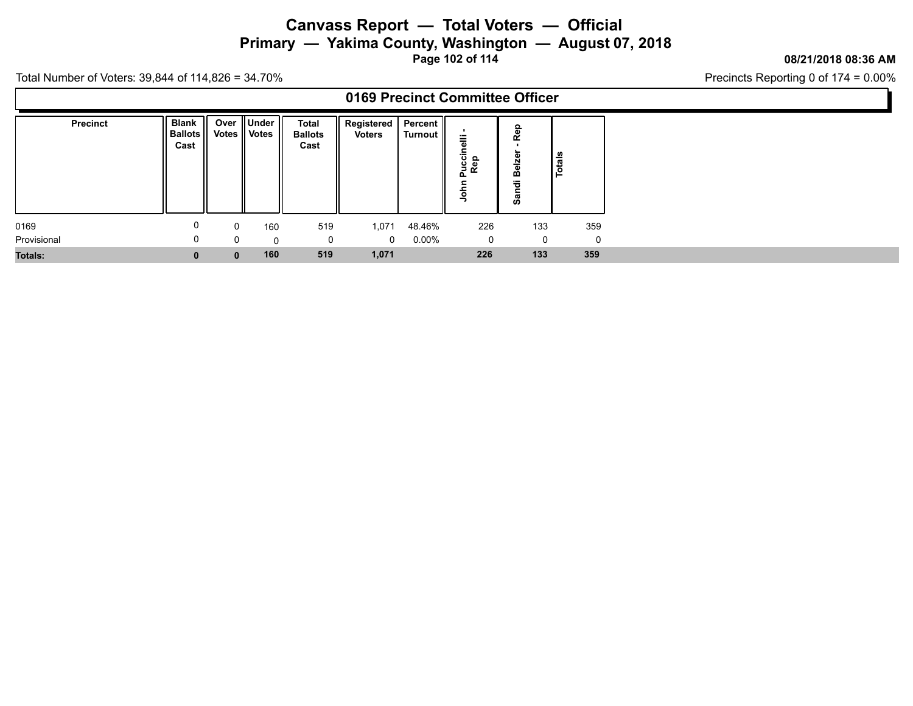# **Canvass Report — Total Voters — Official Primary — Yakima County, Washington — August 07, 2018**

**Page 102 of 114**

#### **08/21/2018 08:36 AM**

Precincts Reporting 0 of 174 = 0.00%

|                 |                                     |       |                                  |                                        |                        |                       | 0169 Precinct Committee Officer         |                          |          |
|-----------------|-------------------------------------|-------|----------------------------------|----------------------------------------|------------------------|-----------------------|-----------------------------------------|--------------------------|----------|
| <b>Precinct</b> | <b>Blank</b><br>  Ballots  <br>Cast | Votes | Over    Under   <br><b>Votes</b> | <b>Total</b><br><b>Ballots</b><br>Cast | Registered  <br>Voters | Percent   <br>Turnout | ⋍<br>Juccii<br>Rep<br>௳<br>≂<br>$\circ$ | Rep<br>Belze<br>ㅎ<br>ິສັ | Totals   |
| 0169            |                                     | 0     | 160                              | 519                                    | 1,071                  | 48.46%                | 226                                     | 133                      | 359      |
| Provisional     | 0                                   |       | $\Omega$                         | $\mathbf 0$                            | $\Omega$               | $0.00\%$              | $\mathbf 0$                             | 0                        | $\Omega$ |
| <b>Totals:</b>  | 0                                   | 0     | 160                              | 519                                    | 1,071                  |                       | 226                                     | 133                      | 359      |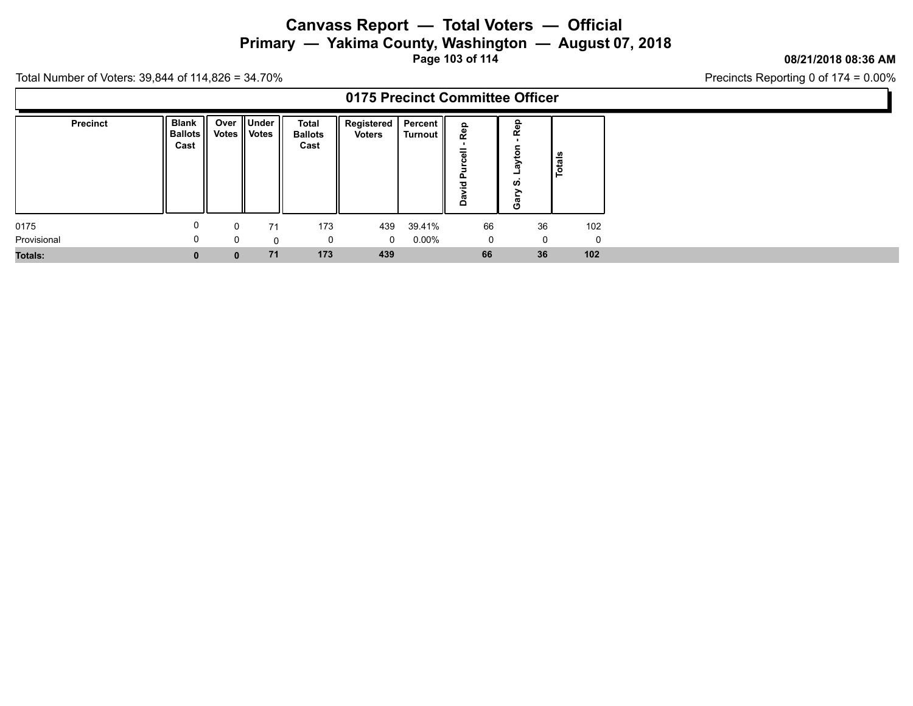**Primary — Yakima County, Washington — August 07, 2018**

**Page 103 of 114**

### **08/21/2018 08:36 AM**

Precincts Reporting 0 of 174 = 0.00%

|                 |                                     |               |                                               |                                 | 0175 Precinct Committee Officer |                       |                         |                                            |    |          |
|-----------------|-------------------------------------|---------------|-----------------------------------------------|---------------------------------|---------------------------------|-----------------------|-------------------------|--------------------------------------------|----|----------|
| <b>Precinct</b> | <b>Blank</b><br>  Ballots  <br>Cast | Over<br>Votes | $\parallel$ Under $\parallel$<br><b>Votes</b> | Total<br><b>Ballots</b><br>Cast | Registered  <br><b>Voters</b>   | Percent II<br>Turnout | ൦<br>ř<br>௨<br>$\Omega$ | Rep<br>ā<br>శె<br><b>SO</b><br>∽<br>ನ<br>O |    | Totals   |
| 0175            |                                     | 0             | 71                                            | 173                             | 439                             | 39.41%                | 66                      |                                            | 36 | 102      |
| Provisional     |                                     | 0             | 0                                             | 0                               | $\Omega$                        | $0.00\%$              |                         | 0                                          | 0  | $\Omega$ |
| <b>Totals:</b>  | 0                                   | 0             | 71                                            | 173                             | 439                             |                       | 66                      |                                            | 36 | 102      |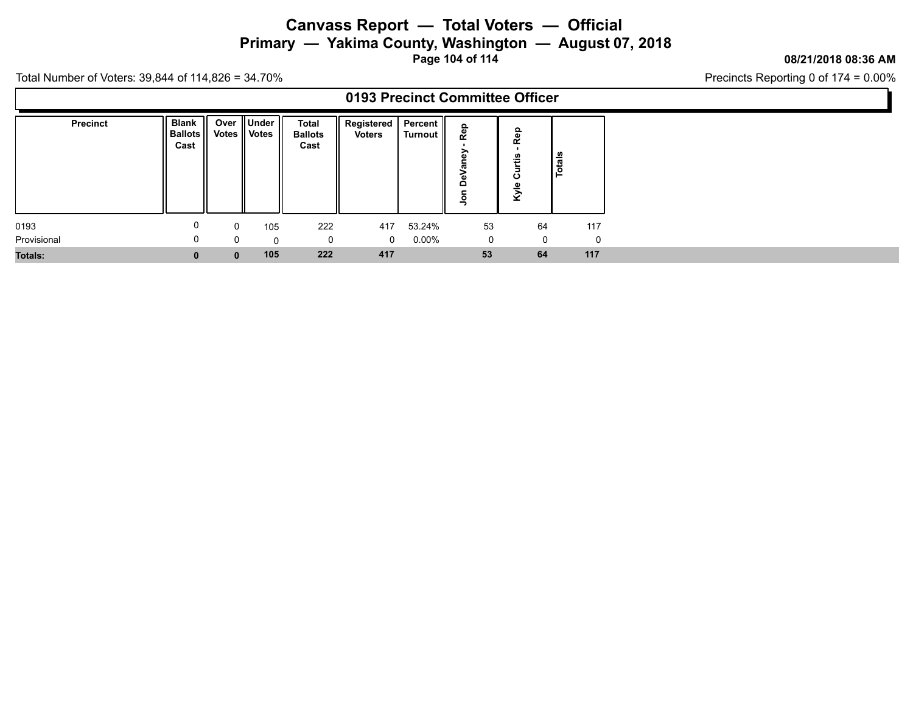**Primary — Yakima County, Washington — August 07, 2018**

**Page 104 of 114**

### **08/21/2018 08:36 AM**

Precincts Reporting 0 of 174 = 0.00%

|                 |                                  |              |                                 |                                        | 0193 Precinct Committee Officer   |          |                                                               |                                     |          |
|-----------------|----------------------------------|--------------|---------------------------------|----------------------------------------|-----------------------------------|----------|---------------------------------------------------------------|-------------------------------------|----------|
| <b>Precinct</b> | Blank   <br>  Ballots   <br>Cast |              | Over Under   <br>Votes    Votes | <b>Total</b><br><b>Ballots</b><br>Cast | Registered   Percent   <br>Voters | Turnout  | ௨<br><b>Re</b><br>$\sim$<br>$\sim$<br>≏<br>$\bar{\mathsf{S}}$ | ௨<br><b>Re</b><br>۵Ì<br>ౘ<br>ω<br>ঔ | Totals   |
| 0193            | U                                | $\mathbf 0$  | 105                             | 222                                    | 417                               | 53.24%   | 53                                                            | 64                                  | 117      |
| Provisional     | 0                                | $\Omega$     | $\Omega$                        | 0                                      | $\Omega$                          | $0.00\%$ | 0                                                             | 0                                   | $\Omega$ |
| <b>Totals:</b>  |                                  | $\mathbf{0}$ | 105                             | 222                                    | 417                               |          | 53                                                            | 64                                  | 117      |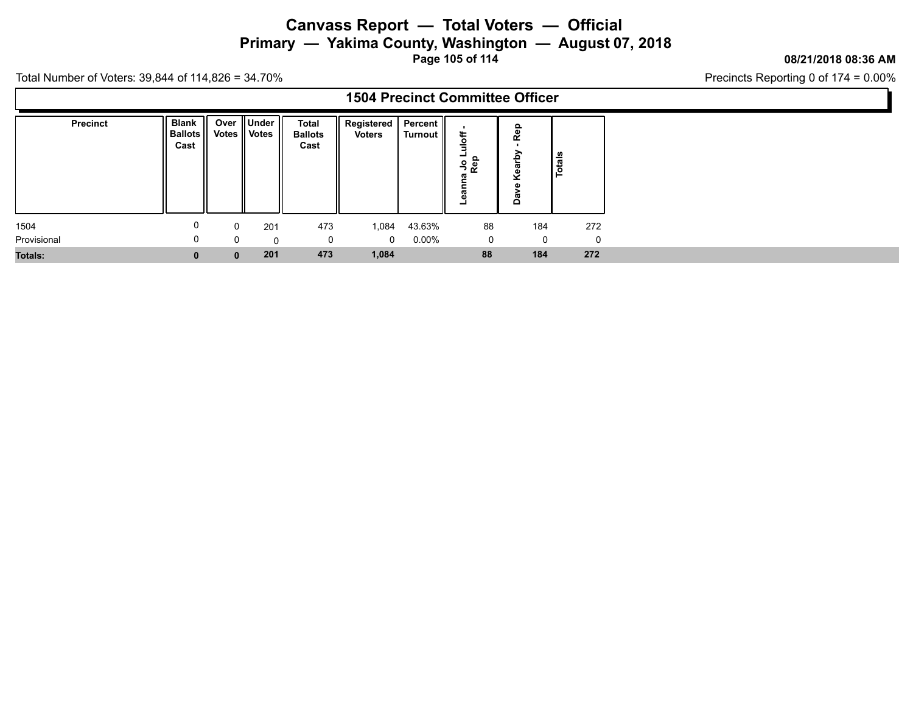# **Canvass Report — Total Voters — Official Primary — Yakima County, Washington — August 07, 2018**

**Page 105 of 114**

#### **08/21/2018 08:36 AM**

Precincts Reporting 0 of 174 = 0.00%

|                 |                                        |              |                                    |                                 | <b>1504 Precinct Committee Officer</b> |          |                       |              |                    |
|-----------------|----------------------------------------|--------------|------------------------------------|---------------------------------|----------------------------------------|----------|-----------------------|--------------|--------------------|
| <b>Precinct</b> | <b>Blank</b><br><b>Ballots</b><br>Cast |              | Over    Under   <br>Votes    Votes | Total<br><b>Ballots</b><br>Cast | Registered   Percent   <br>Voters      | Turnout  | -<br>၂<br>၁<br>၉<br>၁ | ۹ē<br>œ<br>≏ | <u>l ទឹ</u><br>ء ا |
| 1504            | 0                                      | $\Omega$     | 201                                | 473                             | 1,084                                  | 43.63%   | 88                    | 184          | 272                |
| Provisional     | 0                                      |              | 0                                  | $\Omega$                        | $\Omega$                               | $0.00\%$ | $\mathbf{0}$          | 0            | 0                  |
| <b>Totals:</b>  | $\bf{0}$                               | $\mathbf{0}$ | 201                                | 473                             | 1,084                                  |          | 88                    | 184          | 272                |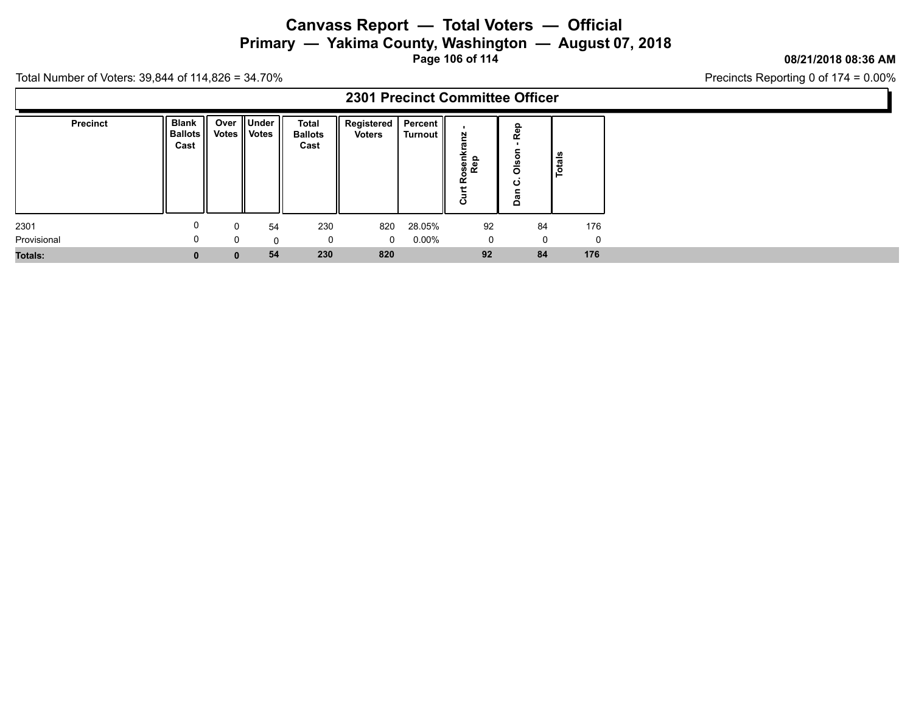**Primary — Yakima County, Washington — August 07, 2018**

**Page 106 of 114**

### **08/21/2018 08:36 AM**

Precincts Reporting 0 of 174 = 0.00%

|                 |                                       |              |                                    |                                 |                                  |                | 2301 Precinct Committee Officer              |                                          |        |
|-----------------|---------------------------------------|--------------|------------------------------------|---------------------------------|----------------------------------|----------------|----------------------------------------------|------------------------------------------|--------|
| <b>Precinct</b> | <b>Blank</b><br>   Ballots   <br>Cast |              | Over    Under   <br>Votes    Votes | Total<br><b>Ballots</b><br>Cast | Registered   Percent  <br>Voters | <b>Turnout</b> | N<br>ь.<br>senl<br>Rep<br><u>م</u><br>Ĕ<br>ပ | Rep<br>$\circ$<br>$rac{6}{5}$<br>ق<br>កី | Totals |
| 2301            | 0                                     | $\Omega$     | 54                                 | 230                             | 820                              | 28.05%         | 92                                           | 84                                       | 176    |
| Provisional     | 0                                     | $\Omega$     | $\mathbf{0}$                       | 0                               | $\mathbf{0}$                     | $0.00\%$       | 0                                            | $\Omega$                                 | - 0    |
| <b>Totals:</b>  | 0                                     | $\mathbf{0}$ | 54                                 | 230                             | 820                              |                | 92                                           | 84                                       | 176    |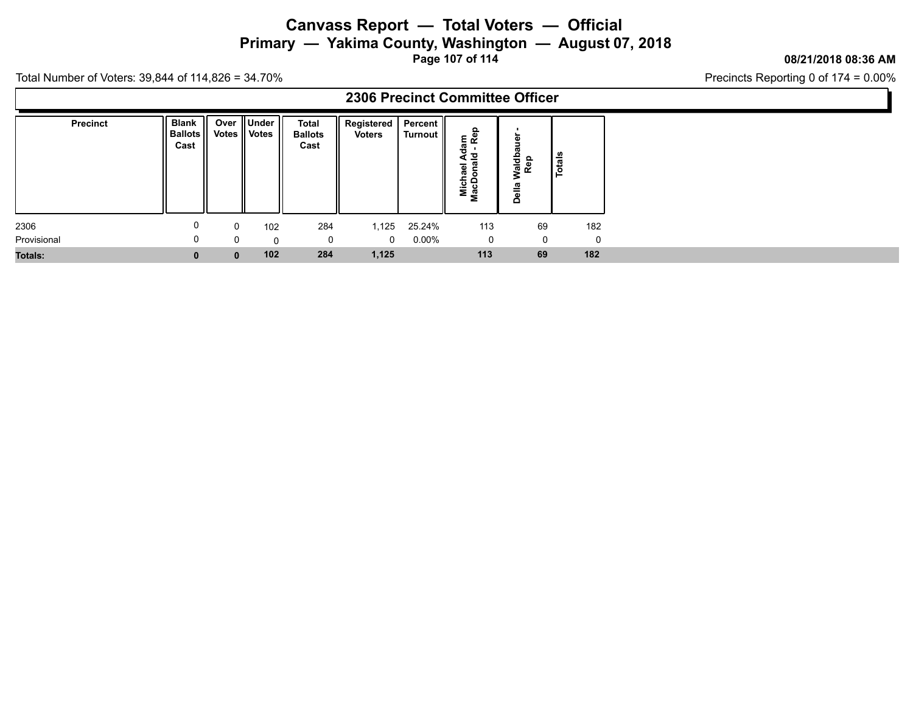**Primary — Yakima County, Washington — August 07, 2018**

**Page 107 of 114**

#### **08/21/2018 08:36 AM**

Precincts Reporting 0 of 174 = 0.00%

|                 |                                        |              |                                   |                                        | 2306 Precinct Committee Officer |                    |                                                                     |                             |        |
|-----------------|----------------------------------------|--------------|-----------------------------------|----------------------------------------|---------------------------------|--------------------|---------------------------------------------------------------------|-----------------------------|--------|
| <b>Precinct</b> | <b>Blank</b><br><b>Ballots</b><br>Cast |              | Over    Under  <br>Votes    Votes | <b>Total</b><br><b>Ballots</b><br>Cast | Registered  <br><b>Voters</b>   | Percent<br>Turnout | am<br>- Rep<br>ಕ<br>로 등<br>ಕ<br>⊆<br>œ<br>$\circ$<br>Micha<br>MacDo | ω<br>Waldba<br>Rep<br>Della | Totals |
| 2306            | 0                                      | 0            | 102                               | 284                                    | 1,125                           | 25.24%             | 113                                                                 | 69                          | 182    |
| Provisional     | $\Omega$                               | 0            | $\Omega$                          |                                        | $\mathbf{0}$                    | $0.00\%$           | 0                                                                   | 0                           | 0      |
| Totals:         | $\bf{0}$                               | $\mathbf{0}$ | 102                               | 284                                    | 1,125                           |                    | 113                                                                 | 69                          | 182    |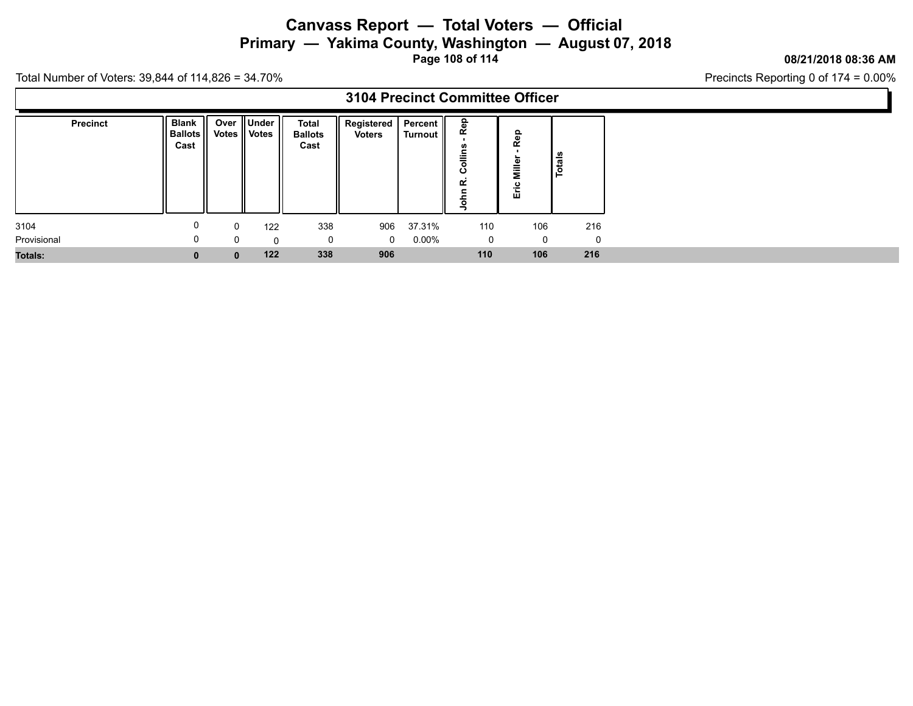**Primary — Yakima County, Washington — August 07, 2018**

**Page 108 of 114**

### **08/21/2018 08:36 AM**

Precincts Reporting 0 of 174 = 0.00%

|                |                                 |              |                                 |                                        |                                   |          | 3104 Precinct Committee Officer                |                      |                |
|----------------|---------------------------------|--------------|---------------------------------|----------------------------------------|-----------------------------------|----------|------------------------------------------------|----------------------|----------------|
| Precinct       | <b>Blank</b><br>Ballots<br>Cast | Over         | <b>∥Under</b><br>Votes    Votes | <b>Total</b><br><b>Ballots</b><br>Cast | Registered   Percent   <br>Voters | Turnout  | ၕ<br>≃<br>u.<br><b>alling</b><br>ن<br>œ<br>ohn | Rep<br>Mille<br>Εric | $\frac{1}{10}$ |
| 3104           | 0                               | 0            | 122                             | 338                                    | 906                               | 37.31%   | 110                                            | 106                  | 216            |
| Provisional    | 0                               |              | $\Omega$                        | $\mathbf 0$                            | $\mathbf{0}$                      | $0.00\%$ | 0                                              | $\Omega$             | $\Omega$       |
| <b>Totals:</b> | $\mathbf{0}$                    | $\mathbf{0}$ | 122                             | 338                                    | 906                               |          | 110                                            | 106                  | 216            |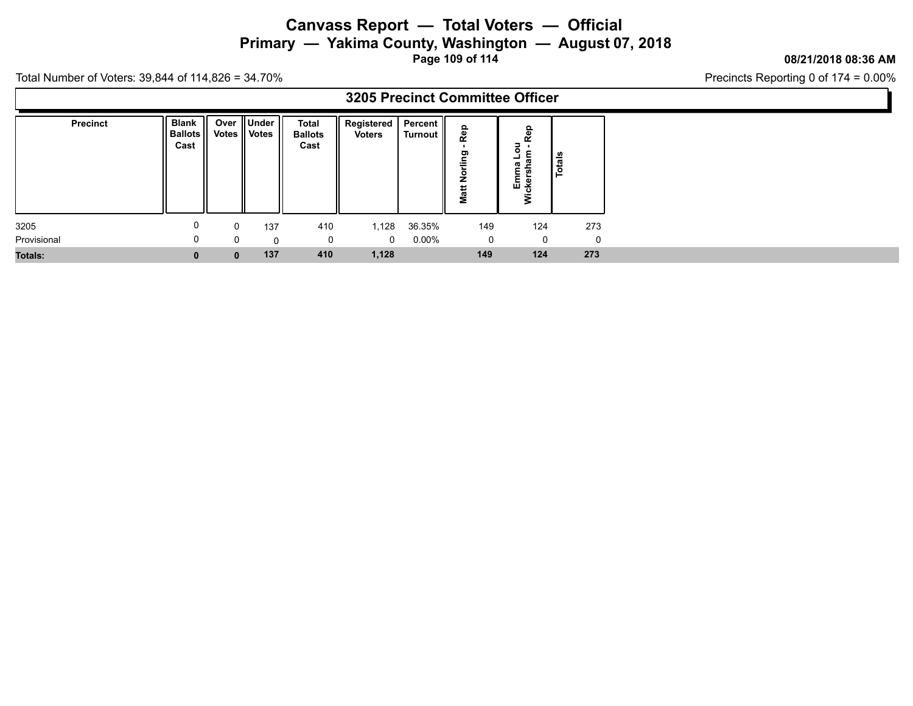**Primary — Yakima County, Washington — August 07, 2018**

**Page 109 of 114**

### **08/21/2018 08:36 AM**

Precincts Reporting 0 of 174 = 0.00%

|                |                                 |              |                          |                                        |                                   |          | 3205 Precinct Committee Officer            |                                |          |
|----------------|---------------------------------|--------------|--------------------------|----------------------------------------|-----------------------------------|----------|--------------------------------------------|--------------------------------|----------|
| Precinct       | <b>Blank</b><br>Ballots<br>Cast | Over         | ∥Under<br>Votes    Votes | <b>Total</b><br><b>Ballots</b><br>Cast | Registered   Percent   <br>Voters | Turnout  | ௨<br>Rej<br>ling<br>$\overline{2}$<br>Matt | ∍<br>۰<br>–<br>Emma<br>:kersha | Totals   |
| 3205           | 0                               | 0            | 137                      | 410                                    | 1,128                             | 36.35%   | 149                                        | 124                            | 273      |
| Provisional    | 0                               |              | $\Omega$                 | $\mathbf 0$                            | $\mathbf{0}$                      | $0.00\%$ | 0                                          | $\Omega$                       | $\Omega$ |
| <b>Totals:</b> | $\mathbf{0}$                    | $\mathbf{0}$ | 137                      | 410                                    | 1,128                             |          | 149                                        | 124                            | 273      |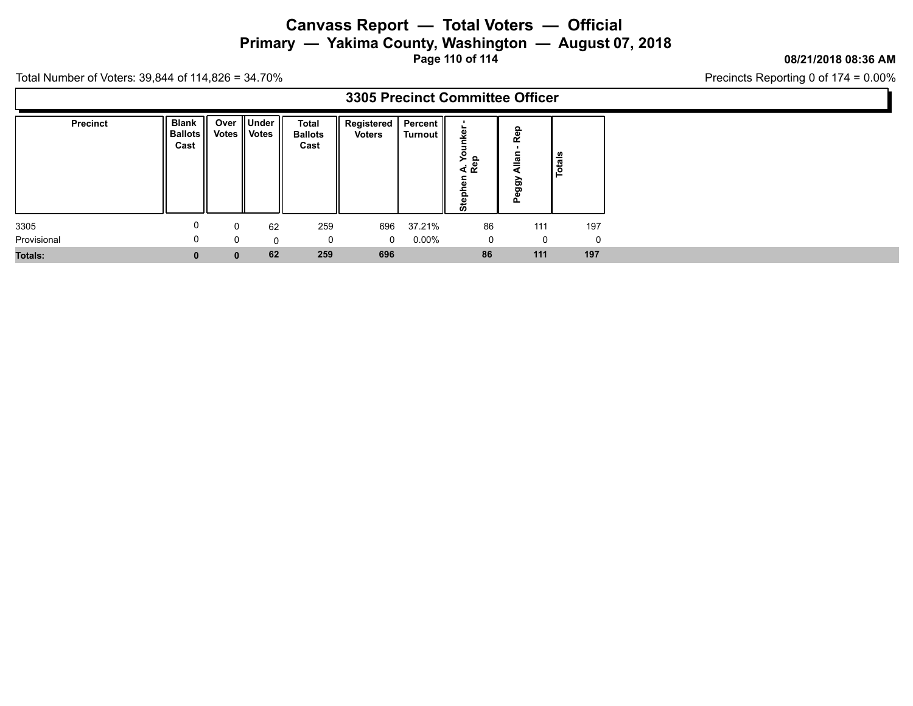# **Canvass Report — Total Voters — Official Primary — Yakima County, Washington — August 07, 2018**

**Page 110 of 114**

#### **08/21/2018 08:36 AM**

Precincts Reporting 0 of 174 = 0.00%

|                 |                                        |              |                              |                                 | 3305 Precinct Committee Officer |                      |                               |                  |               |
|-----------------|----------------------------------------|--------------|------------------------------|---------------------------------|---------------------------------|----------------------|-------------------------------|------------------|---------------|
| <b>Precinct</b> | <b>Blank</b><br><b>Ballots</b><br>Cast |              | Over Under<br>Votes    Votes | Total<br><b>Ballots</b><br>Cast | Registered  <br>Voters          | Percent  <br>Turnout | c<br>≻<br>္မေ<br>∢∝<br>c<br>ω | Rep<br>QBD<br>Ő. | <b>Totals</b> |
| 3305            | 0                                      | 0            | 62                           | 259                             | 696                             | 37.21%               | 86                            | 111              | 197           |
| Provisional     | 0                                      | 0            | $\Omega$                     |                                 | $\mathbf 0$                     | $0.00\%$             | 0                             | 0                | 0             |
| Totals:         | $\bf{0}$                               | $\mathbf{0}$ | 62                           | 259                             | 696                             |                      | 86                            | 111              | 197           |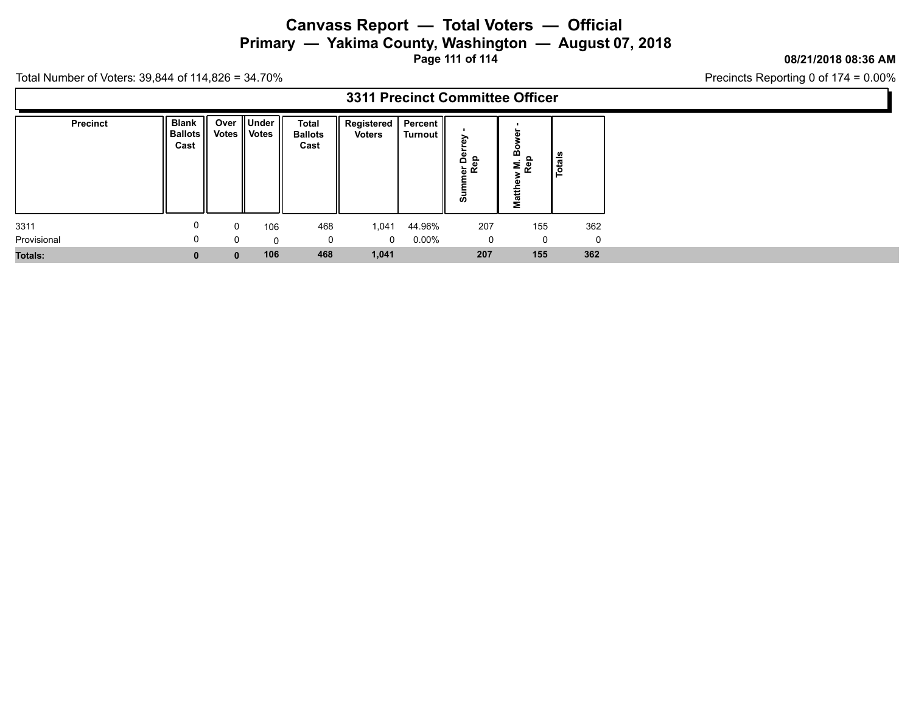**Primary — Yakima County, Washington — August 07, 2018**

**Page 111 of 114**

### **08/21/2018 08:36 AM**

Precincts Reporting 0 of 174 = 0.00%

|                 |                                  |              |                                   |                                        | 3311 Precinct Committee Officer |                    |                        |                                  |               |
|-----------------|----------------------------------|--------------|-----------------------------------|----------------------------------------|---------------------------------|--------------------|------------------------|----------------------------------|---------------|
| <b>Precinct</b> | Blank   <br>  Ballots   <br>Cast |              | Over    Under  <br>Votes    Votes | <b>Total</b><br><b>Ballots</b><br>Cast | Registered  <br>Voters          | Percent<br>Turnout | $\Omega$<br>능 le<br>శె | ≃<br>$M.1$<br>Rep<br>ω<br>ŧ<br>Σ | <b>Totals</b> |
| 3311            |                                  | 0            | 106                               | 468                                    | 1,041                           | 44.96%             | 207                    | 155                              | 362           |
| Provisional     | 0                                | $\Omega$     | $\Omega$                          | 0                                      | $\mathbf{0}$                    | $0.00\%$           | $\mathbf{0}$           | 0                                | 0             |
| <b>Totals:</b>  |                                  | $\mathbf{0}$ | 106                               | 468                                    | 1,041                           |                    | 207                    | 155                              | 362           |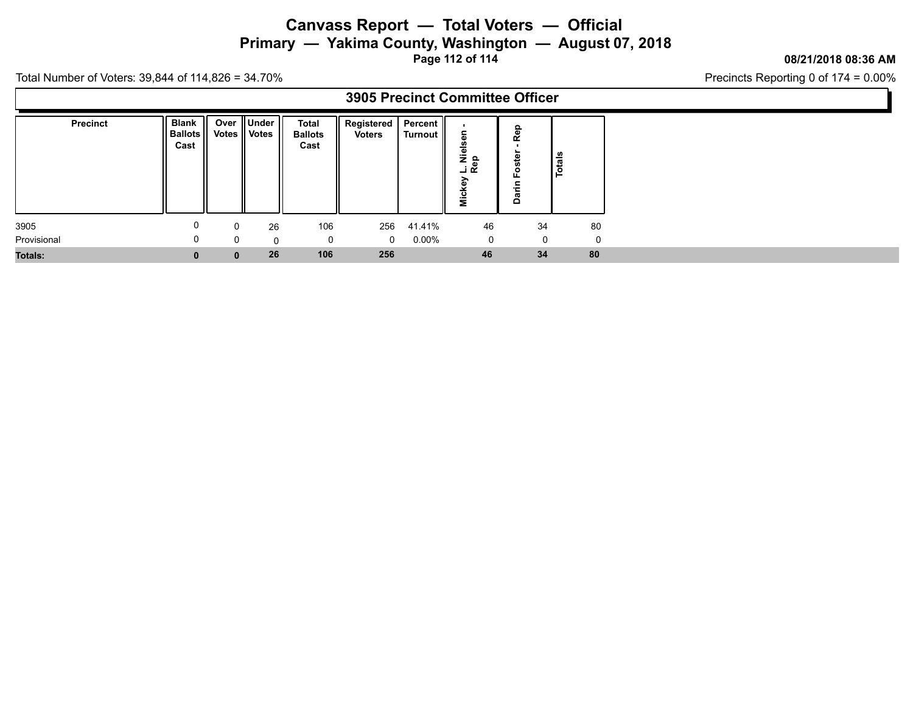# **Canvass Report — Total Voters — Official Primary — Yakima County, Washington — August 07, 2018**

**Page 112 of 114**

#### **08/21/2018 08:36 AM**

Precincts Reporting 0 of 174 = 0.00%

|                |                                        |          |                             |                                        | 3905 Precinct Committee Officer          |          |                            |                             |               |
|----------------|----------------------------------------|----------|-----------------------------|----------------------------------------|------------------------------------------|----------|----------------------------|-----------------------------|---------------|
| Precinct       | <b>Blank</b><br><b>Ballots</b><br>Cast |          | Over Under<br>Votes   Votes | <b>Total</b><br><b>Ballots</b><br>Cast | Registered   Percent   <br><b>Voters</b> | Turnout  | ۾ <del>خ</del><br>ت ت<br>έ | Rep<br>oste<br>ட<br>든<br>යි | <b>Totals</b> |
| 3905           | υ                                      | $\Omega$ | 26                          | 106                                    | 256                                      | 41.41%   | 46                         | 34                          | 80            |
| Provisional    | 0                                      |          | $\Omega$                    | 0                                      | $\Omega$                                 | $0.00\%$ | 0                          | $\mathbf{0}$                | $\Omega$      |
| <b>Totals:</b> | $\mathbf{0}$                           |          | 26                          | 106                                    | 256                                      |          | 46                         | 34                          | 80            |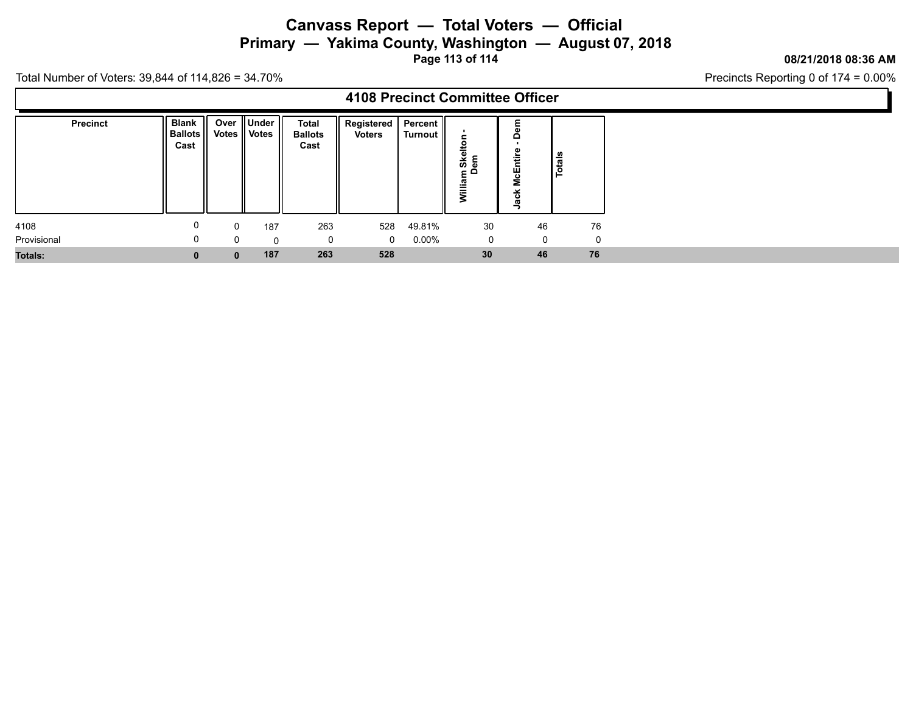**Primary — Yakima County, Washington — August 07, 2018**

**Page 113 of 114**

### **08/21/2018 08:36 AM**

Precincts Reporting 0 of 174 = 0.00%

|                 |                                        |              |                                   |                                 | 4108 Precinct Committee Officer  |          |                           |                            |             |    |
|-----------------|----------------------------------------|--------------|-----------------------------------|---------------------------------|----------------------------------|----------|---------------------------|----------------------------|-------------|----|
| <b>Precinct</b> | <b>Blank</b><br><b>Ballots</b><br>Cast |              | Over    Under  <br>Votes    Votes | Total<br><b>Ballots</b><br>Cast | Registered   Percent  <br>Voters | Turnout  | Skelto<br>em<br>م ءِ<br>Ē | $\Omega$<br>≂<br>McEn<br>ပ | Totals      |    |
| 4108            | 0                                      | 0            | 187                               | 263                             | 528                              | 49.81%   | 30                        |                            | 46          | 76 |
| Provisional     | 0                                      | 0            | $\Omega$                          |                                 | $\mathbf{0}$                     | $0.00\%$ | 0                         |                            | $\mathbf 0$ | 0  |
| Totals:         | $\mathbf{0}$                           | $\mathbf{0}$ | 187                               | 263                             | 528                              |          | 30 <sub>o</sub>           |                            | 46          | 76 |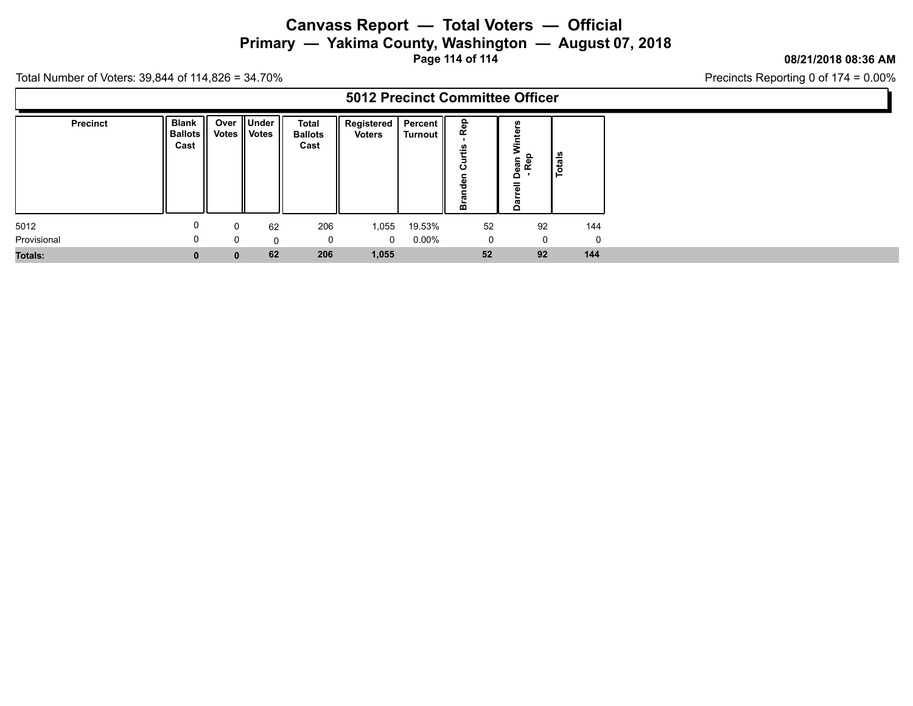# **Canvass Report — Total Voters — Official Primary — Yakima County, Washington — August 07, 2018**

**Page 114 of 114**

### **08/21/2018 08:36 AM**

Precincts Reporting 0 of 174 = 0.00%

|                 |                                        |              |                                   |                                 | 5012 Precinct Committee Officer |                      |                         |                  |                                    |        |     |
|-----------------|----------------------------------------|--------------|-----------------------------------|---------------------------------|---------------------------------|----------------------|-------------------------|------------------|------------------------------------|--------|-----|
| <b>Precinct</b> | <b>Blank</b><br><b>Ballots</b><br>Cast |              | Over    Under  <br>Votes    Votes | Total<br><b>Ballots</b><br>Cast | Registered  <br>Voters          | Percent  <br>Turnout | ௨<br><b>S</b><br>÷<br>œ |                  | Dean \<br>- Rep<br>$=$<br>$\Omega$ | Totals |     |
| 5012            | 0                                      | 0            | 62                                | 206                             | 1,055                           | 19.53%               |                         | $52\phantom{.0}$ | 92                                 |        | 144 |
| Provisional     | 0                                      | 0            | $\Omega$                          |                                 | $\overline{0}$                  | $0.00\%$             |                         | 0                | $\mathbf 0$                        |        | 0   |
| Totals:         | $\bf{0}$                               | $\mathbf{0}$ | 62                                | 206                             | 1,055                           |                      |                         | 52               | 92                                 | 144    |     |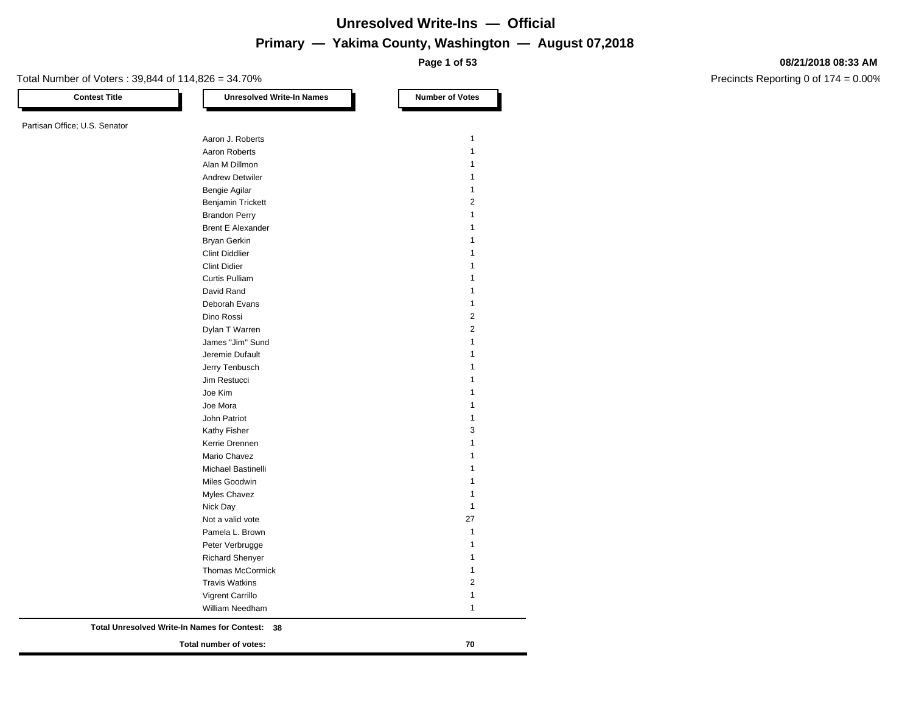**Page 1 of 53**

#### Total Number of Voters : 39,844 of 114,826 = 34.70%

Partisan Office; U.S. Senator

**Contest Title Number of Votes Number of Votes** 

Precincts Reporting 0 of 174 = 0.00%

|                                              | Total number of votes:         | 70                           |
|----------------------------------------------|--------------------------------|------------------------------|
| Total Unresolved Write-In Names for Contest: | 38                             |                              |
|                                              | William Needham                | 1                            |
|                                              | Vigrent Carrillo               | 1                            |
|                                              | <b>Travis Watkins</b>          |                              |
|                                              | <b>Thomas McCormick</b>        | $\overline{2}$               |
|                                              | <b>Richard Shenyer</b>         | $\mathbf{1}$<br>$\mathbf{1}$ |
|                                              | Peter Verbrugge                |                              |
|                                              | Pamela L. Brown                | $\mathbf{1}$<br>$\mathbf{1}$ |
|                                              | Not a valid vote               | 27                           |
|                                              | Nick Day                       |                              |
|                                              | Myles Chavez                   | 1<br>1                       |
|                                              | Miles Goodwin                  |                              |
|                                              | <b>Michael Bastinelli</b>      | 1                            |
|                                              |                                | 1                            |
|                                              | Kerrie Drennen<br>Mario Chavez | 1                            |
|                                              | Kathy Fisher                   | 1                            |
|                                              | John Patriot                   | 3                            |
|                                              | Joe Mora                       | 1<br>1                       |
|                                              | Joe Kim                        |                              |
|                                              | Jim Restucci                   | 1                            |
|                                              | Jerry Tenbusch                 | 1                            |
|                                              | Jeremie Dufault                | 1                            |
|                                              | James "Jim" Sund               | 1                            |
|                                              | Dylan T Warren                 | 1                            |
|                                              | Dino Rossi                     | $\overline{2}$               |
|                                              | Deborah Evans                  | 1<br>$\overline{2}$          |
|                                              | David Rand                     | 1                            |
|                                              | <b>Curtis Pulliam</b>          | 1                            |
|                                              | <b>Clint Didier</b>            | 1                            |
|                                              | <b>Clint Diddlier</b>          | 1                            |
|                                              | <b>Bryan Gerkin</b>            | 1                            |
|                                              | <b>Brent E Alexander</b>       | 1                            |
|                                              | <b>Brandon Perry</b>           | $\mathbf{1}$                 |
|                                              | <b>Benjamin Trickett</b>       | 2                            |
|                                              | Bengie Agilar                  | 1                            |
|                                              | <b>Andrew Detwiler</b>         | 1                            |
|                                              | Alan M Dillmon                 | 1                            |
|                                              | Aaron Roberts                  | 1                            |

Aaron J. Roberts 1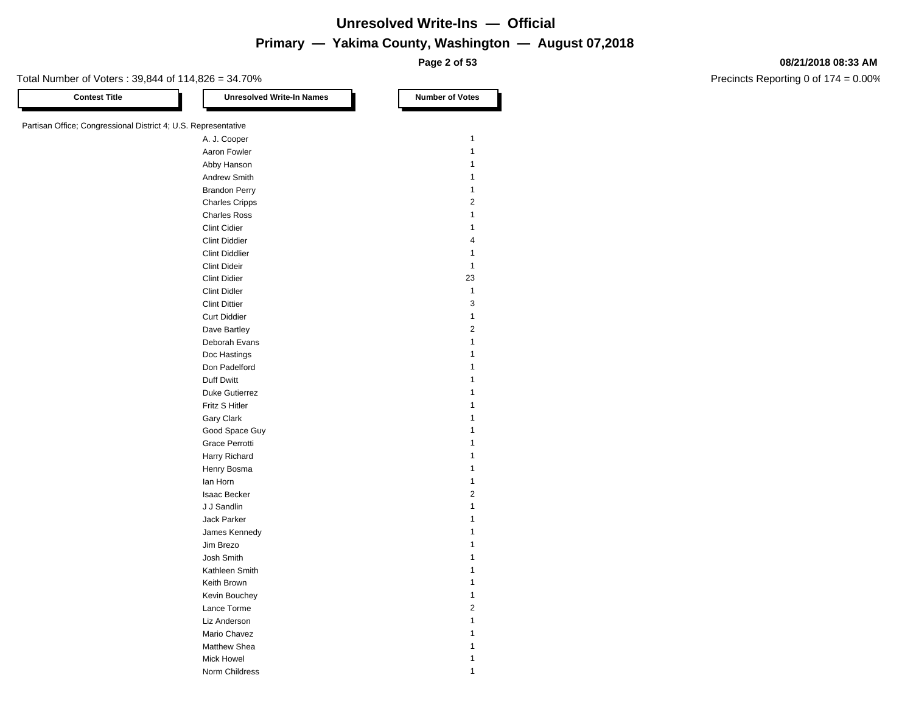**Page 2 of 53**

#### **08/21/2018 08:33 AM**

Precincts Reporting 0 of 174 = 0.00%

Total Number of Voters : 39,844 of 114,826 = 34.70%

**Contest Title Number of Votes Number of Votes** 

| Partisan Office; Congressional District 4; U.S. Representative |                       |                         |
|----------------------------------------------------------------|-----------------------|-------------------------|
|                                                                | A. J. Cooper          | $\mathbf{1}$            |
|                                                                | Aaron Fowler          | $\mathbf{1}$            |
|                                                                | Abby Hanson           | 1                       |
|                                                                | Andrew Smith          | $\mathbf{1}$            |
|                                                                | <b>Brandon Perry</b>  | 1                       |
|                                                                | <b>Charles Cripps</b> | $\sqrt{2}$              |
|                                                                | <b>Charles Ross</b>   | 1                       |
|                                                                | <b>Clint Cidier</b>   | $\mathbf{1}$            |
|                                                                | <b>Clint Diddier</b>  | 4                       |
|                                                                | <b>Clint Diddlier</b> | 1                       |
|                                                                | <b>Clint Dideir</b>   | $\mathbf{1}$            |
|                                                                | <b>Clint Didier</b>   | 23                      |
|                                                                | <b>Clint Didler</b>   | $\mathbf{1}$            |
|                                                                | <b>Clint Dittier</b>  | $\mathsf 3$             |
|                                                                | <b>Curt Diddier</b>   | $\mathbf{1}$            |
|                                                                | Dave Bartley          | $\sqrt{2}$              |
|                                                                | Deborah Evans         | 1                       |
|                                                                | Doc Hastings          | $\mathbf{1}$            |
|                                                                | Don Padelford         | $\mathbf{1}$            |
|                                                                | Duff Dwitt            | 1                       |
|                                                                | Duke Gutierrez        | 1                       |
|                                                                | Fritz S Hitler        | $\mathbf{1}$            |
|                                                                | Gary Clark            | $\mathbf{1}$            |
|                                                                | Good Space Guy        | 1                       |
|                                                                | Grace Perrotti        | 1                       |
|                                                                | Harry Richard         | $\mathbf{1}$            |
|                                                                | Henry Bosma           | $\mathbf{1}$            |
|                                                                | lan Horn              | $\mathbf{1}$            |
|                                                                | <b>Isaac Becker</b>   | $\overline{2}$          |
|                                                                | J J Sandlin           | 1                       |
|                                                                | Jack Parker           | 1                       |
|                                                                | James Kennedy         | $\mathbf{1}$            |
|                                                                | Jim Brezo             | $\mathbf{1}$            |
|                                                                | Josh Smith            | 1                       |
|                                                                | Kathleen Smith        | 1                       |
|                                                                | Keith Brown           | 1                       |
|                                                                | Kevin Bouchey         | $\mathbf{1}$            |
|                                                                | Lance Torme           | $\overline{\mathbf{c}}$ |
|                                                                | Liz Anderson          | $\mathbf{1}$            |
|                                                                | Mario Chavez          | 1                       |
|                                                                | Matthew Shea          | 1                       |
|                                                                | <b>Mick Howel</b>     | 1                       |
|                                                                | Norm Childress        | $\mathbf{1}$            |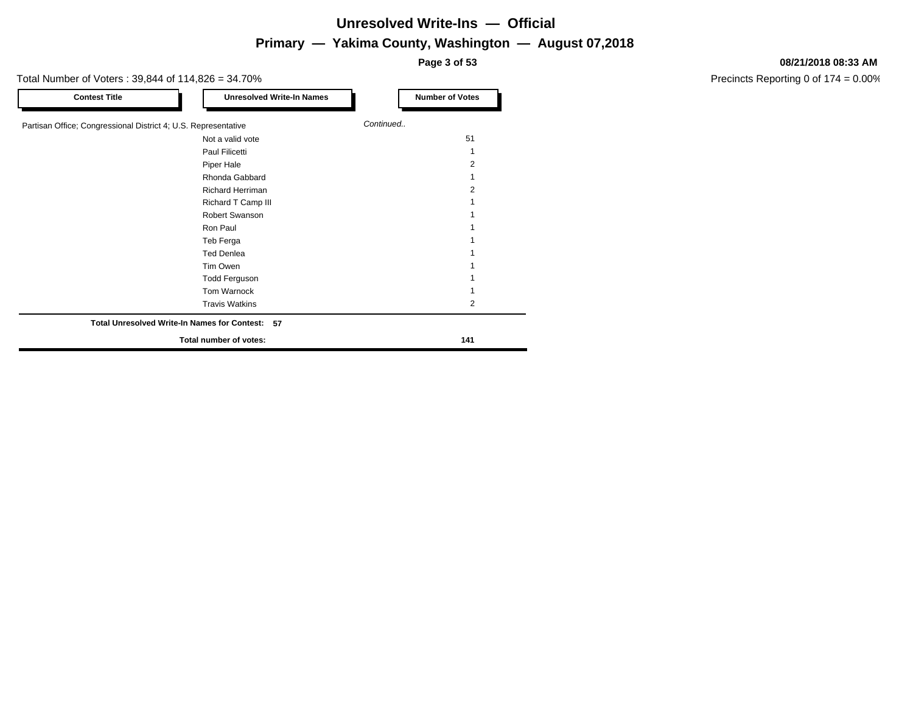**Page 3 of 53**

#### Total Number of Voters : 39,844 of 114,826 = 34.70%

| <b>Contest Title</b>                                           | <b>Unresolved Write-In Names</b>                | <b>Number of Votes</b> |
|----------------------------------------------------------------|-------------------------------------------------|------------------------|
| Partisan Office; Congressional District 4; U.S. Representative |                                                 | Continued              |
|                                                                | Not a valid vote                                | 51                     |
|                                                                | Paul Filicetti                                  |                        |
|                                                                | Piper Hale                                      | 2                      |
|                                                                | Rhonda Gabbard                                  |                        |
|                                                                | Richard Herriman                                | 2                      |
|                                                                | Richard T Camp III                              |                        |
|                                                                | Robert Swanson                                  |                        |
|                                                                | Ron Paul                                        |                        |
|                                                                | Teb Ferga                                       |                        |
|                                                                | <b>Ted Denlea</b>                               |                        |
|                                                                | Tim Owen                                        |                        |
|                                                                | <b>Todd Ferguson</b>                            |                        |
|                                                                | Tom Warnock                                     |                        |
|                                                                | <b>Travis Watkins</b>                           | 2                      |
|                                                                | Total Unresolved Write-In Names for Contest: 57 |                        |
|                                                                | Total number of votes:                          | 141                    |

#### **08/21/2018 08:33 AM**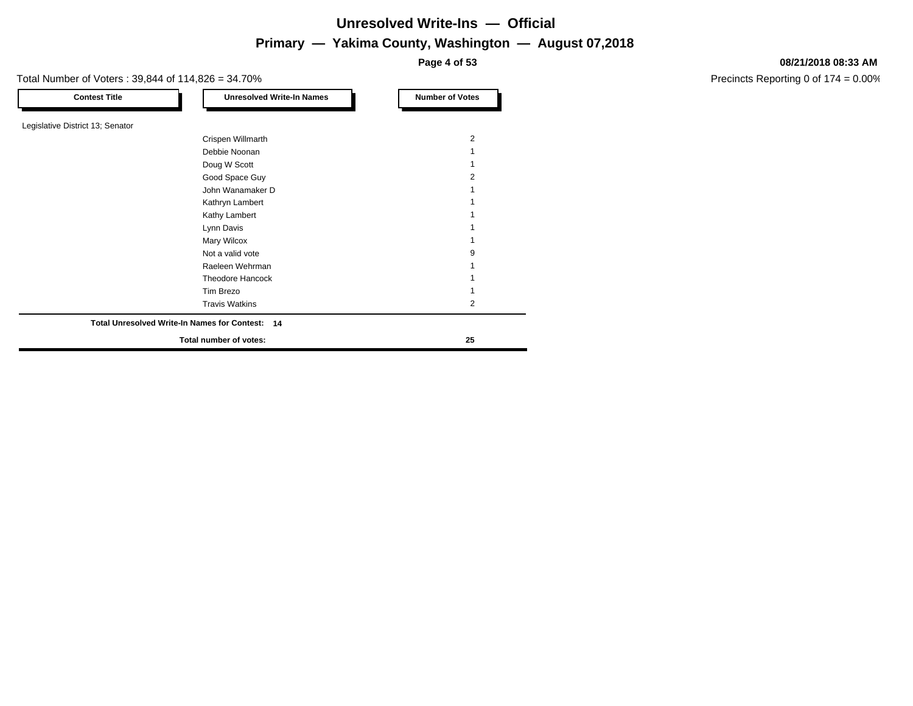**Page 4 of 53**

Total Number of Voters : 39,844 of 114,826 = 34.70%

| <b>Contest Title</b>             | <b>Unresolved Write-In Names</b>                | <b>Number of Votes</b> |
|----------------------------------|-------------------------------------------------|------------------------|
| Legislative District 13; Senator |                                                 |                        |
|                                  | Crispen Willmarth                               | $\overline{2}$         |
|                                  | Debbie Noonan                                   |                        |
|                                  | Doug W Scott                                    |                        |
|                                  | Good Space Guy                                  |                        |
|                                  | John Wanamaker D                                |                        |
|                                  | Kathryn Lambert                                 |                        |
|                                  | Kathy Lambert                                   |                        |
|                                  | Lynn Davis                                      |                        |
|                                  | <b>Mary Wilcox</b>                              |                        |
|                                  | Not a valid vote                                | 9                      |
|                                  | Raeleen Wehrman                                 |                        |
|                                  | <b>Theodore Hancock</b>                         |                        |
|                                  | Tim Brezo                                       |                        |
|                                  | <b>Travis Watkins</b>                           | 2                      |
|                                  | Total Unresolved Write-In Names for Contest: 14 |                        |
|                                  | Total number of votes:                          | 25                     |

#### **08/21/2018 08:33 AM**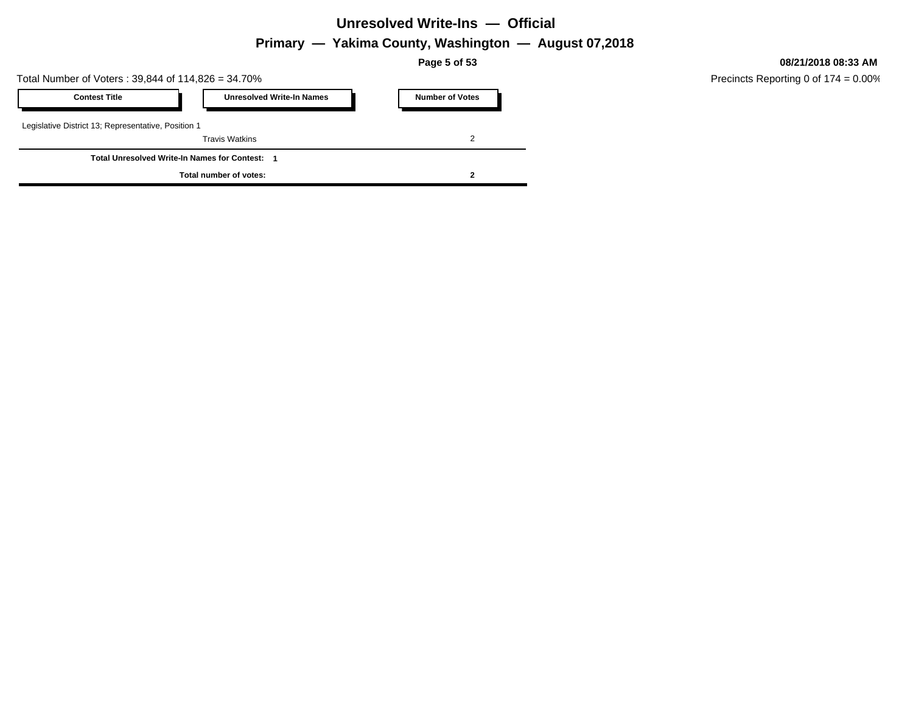### **Unresolved Write-Ins — Official**

# **Primary — Yakima County, Washington — August 07,2018**

**Page 5 of 53**

Total Number of Voters : 39,844 of 114,826 = 34.70%

| <b>Contest Title</b>                                | <b>Unresolved Write-In Names</b> | <b>Number of Votes</b> |  |
|-----------------------------------------------------|----------------------------------|------------------------|--|
| Legislative District 13; Representative, Position 1 |                                  |                        |  |
|                                                     | <b>Travis Watkins</b>            |                        |  |
| <b>Total Unresolved Write-In Names for Contest:</b> |                                  |                        |  |
|                                                     | Total number of votes:           |                        |  |

**08/21/2018 08:33 AM**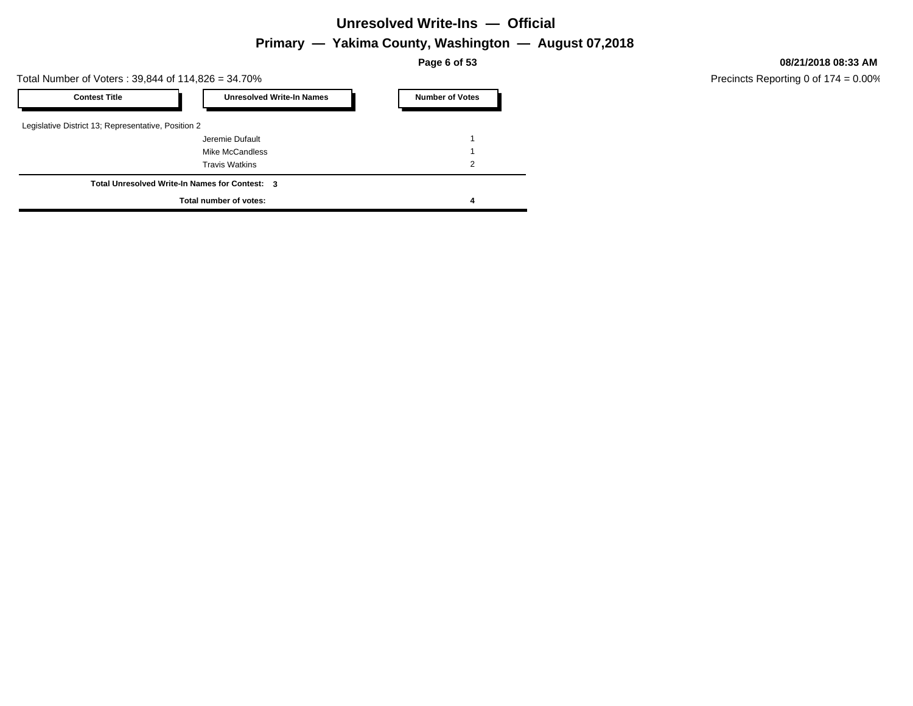### **Unresolved Write-Ins — Official**

# **Primary — Yakima County, Washington — August 07,2018**

**Page 6 of 53**

Total Number of Voters : 39,844 of 114,826 = 34.70%

| <b>Contest Title</b>                                | <b>Unresolved Write-In Names</b>               | <b>Number of Votes</b> |
|-----------------------------------------------------|------------------------------------------------|------------------------|
| Legislative District 13; Representative, Position 2 |                                                |                        |
|                                                     | Jeremie Dufault                                |                        |
|                                                     | Mike McCandless                                |                        |
|                                                     | <b>Travis Watkins</b>                          | 2                      |
|                                                     | Total Unresolved Write-In Names for Contest: 3 |                        |
|                                                     | Total number of votes:                         | 4                      |

**08/21/2018 08:33 AM**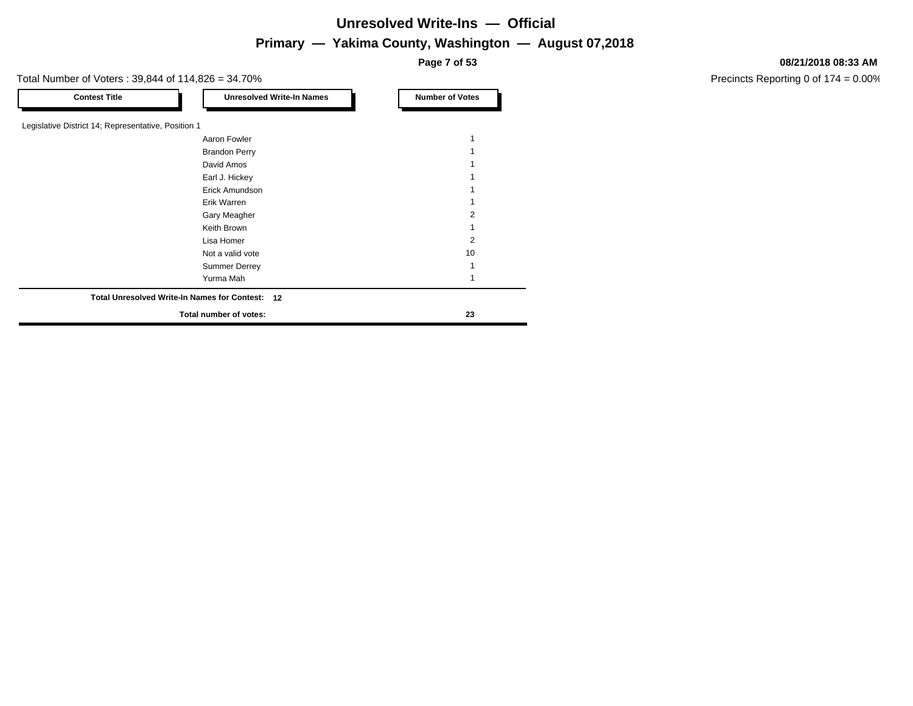**Page 7 of 53**

Total Number of Voters : 39,844 of 114,826 = 34.70%

| <b>Contest Title</b>                                | <b>Unresolved Write-In Names</b>                | <b>Number of Votes</b> |
|-----------------------------------------------------|-------------------------------------------------|------------------------|
|                                                     |                                                 |                        |
| Legislative District 14; Representative, Position 1 |                                                 |                        |
|                                                     | Aaron Fowler                                    |                        |
|                                                     | <b>Brandon Perry</b>                            |                        |
|                                                     | David Amos                                      |                        |
|                                                     | Earl J. Hickey                                  |                        |
|                                                     | Erick Amundson                                  |                        |
|                                                     | Erik Warren                                     |                        |
|                                                     | Gary Meagher                                    |                        |
|                                                     | Keith Brown                                     |                        |
|                                                     | Lisa Homer                                      | 2                      |
|                                                     | Not a valid vote                                | 10                     |
|                                                     | <b>Summer Derrey</b>                            |                        |
|                                                     | Yurma Mah                                       |                        |
|                                                     | Total Unresolved Write-In Names for Contest: 12 |                        |
|                                                     | Total number of votes:                          | 23                     |

#### **08/21/2018 08:33 AM**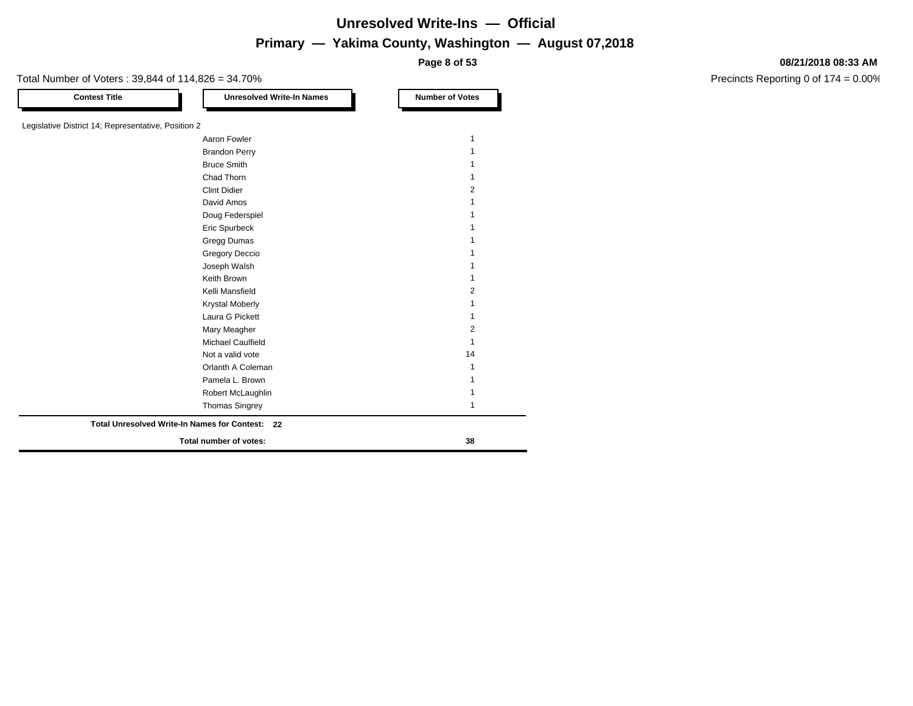**Page 8 of 53**

### Total Number of Voters : 39,844 of 114,826 = 34.70%

#### **08/21/2018 08:33 AM**

| <b>Contest Title</b>                                | <b>Unresolved Write-In Names</b>                | <b>Number of Votes</b> |
|-----------------------------------------------------|-------------------------------------------------|------------------------|
|                                                     |                                                 |                        |
| Legislative District 14; Representative, Position 2 |                                                 |                        |
|                                                     | Aaron Fowler                                    |                        |
|                                                     | <b>Brandon Perry</b>                            |                        |
|                                                     | <b>Bruce Smith</b>                              |                        |
|                                                     | Chad Thorn                                      |                        |
|                                                     | <b>Clint Didier</b>                             | $\overline{2}$         |
|                                                     | David Amos                                      |                        |
|                                                     | Doug Federspiel                                 |                        |
|                                                     | Eric Spurbeck                                   |                        |
|                                                     | Gregg Dumas                                     |                        |
|                                                     | Gregory Deccio                                  |                        |
|                                                     | Joseph Walsh                                    |                        |
|                                                     | Keith Brown                                     |                        |
|                                                     | Kelli Mansfield                                 | 2                      |
|                                                     | <b>Krystal Moberly</b>                          |                        |
|                                                     | Laura G Pickett                                 |                        |
|                                                     | Mary Meagher                                    | $\overline{2}$         |
|                                                     | Michael Caulfield                               | 1                      |
|                                                     | Not a valid vote                                | 14                     |
|                                                     | Orlanth A Coleman                               |                        |
|                                                     | Pamela L. Brown                                 |                        |
|                                                     | Robert McLaughlin                               |                        |
|                                                     | <b>Thomas Singrey</b>                           |                        |
|                                                     | Total Unresolved Write-In Names for Contest: 22 |                        |
|                                                     | Total number of votes:                          | 38                     |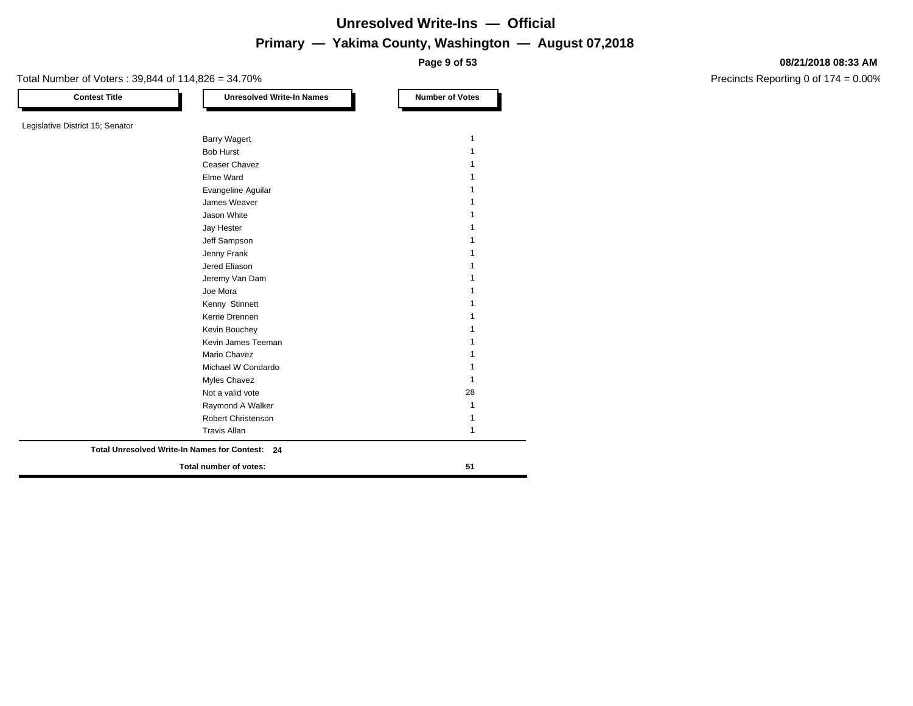**Page 9 of 53**

#### **08/21/2018 08:33 AM**

Precincts Reporting 0 of 174 = 0.00%

**Contest Title Number of Votes Number of Votes** Legislative District 15; Senator Barry Wagert 1 and 1 and 1 and 1 and 1 and 1 and 1 and 1 and 1 and 1 and 1 and 1 and 1 and 1 and 1 and 1 and 1 Bob Hurst 1 and 1 and 1 and 1 and 1 and 1 and 1 and 1 and 1 and 1 and 1 and 1 and 1 and 1 and 1 and 1 and 1 and 1 and 1 and 1 and 1 and 1 and 1 and 1 and 1 and 1 and 1 and 1 and 1 and 1 and 1 and 1 and 1 and 1 and 1 and 1 Ceaser Chavez **1** Elme Ward 1 Evangeline Aguilar 1 **James Weaver** 1 **Jason White** 1 Jay Hester 2020 12:00 12:00 12:00 12:00 12:00 12:00 12:00 12:00 12:00 12:00 12:00 12:00 12:00 12:00 12:00 12:00 12:00 12:00 12:00 12:00 12:00 12:00 12:00 12:00 12:00 12:00 12:00 12:00 12:00 12:00 12:00 12:00 12:00 12:00 12 Jeff Sampson 1 Jenny Frank 1 Jered Eliason 1 Jeremy Van Dam 1 Joe Mora 1 Kenny Stinnett 1 Kerrie Drennen 11 Kevin Bouchey **1** and 1 Kevin James Teeman 1 Mario Chavez 2008 120 and 2008 120 and 2008 120 and 2008 120 and 2008 120 and 2008 120 and 2008 120 and 2008 1 Michael W Condardo 1 Myles Chavez 2008 and 2009 and 2009 and 2009 and 2009 and 2009 and 2009 and 2009 and 2009 and 2009 and 2009 and 2009 and 2009 and 2009 and 2009 and 2009 and 2009 and 2009 and 2009 and 2009 and 2009 and 2009 and 2009 and 20 Not a valid vote 28 Raymond A Walker 1988 and 1989 and 1989 and 1989 and 1989 and 1989 and 1989 and 1989 and 1989 and 1989 and 198 Robert Christenson 1 Travis Allan 11 **Total number of votes: 51 Total Unresolved Write-In Names for Contest: 24**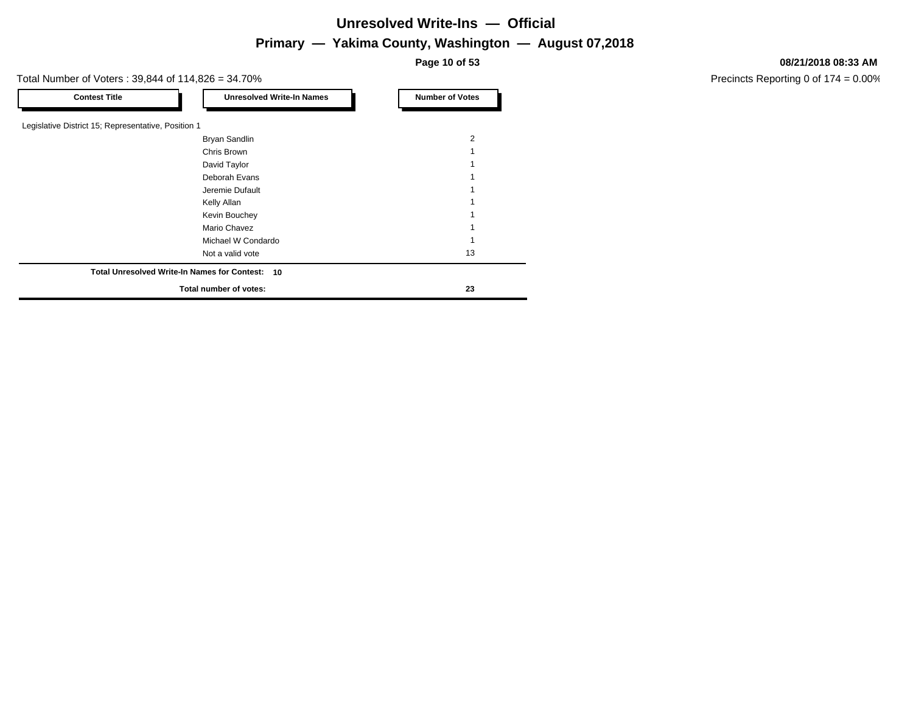# **Unresolved Write-Ins — Official**

# **Primary — Yakima County, Washington — August 07,2018**

**Page 10 of 53**

Total Number of Voters : 39,844 of 114,826 = 34.70%

| Legislative District 15; Representative, Position 1 |                |
|-----------------------------------------------------|----------------|
|                                                     |                |
|                                                     |                |
| Bryan Sandlin                                       | $\overline{2}$ |
| Chris Brown                                         |                |
| David Taylor                                        |                |
| Deborah Evans                                       |                |
| Jeremie Dufault                                     |                |
| Kelly Allan                                         |                |
| Kevin Bouchey                                       |                |
| Mario Chavez                                        |                |
| Michael W Condardo                                  |                |
| Not a valid vote                                    | 13             |
| Total Unresolved Write-In Names for Contest: 10     |                |
| Total number of votes:                              | 23             |
|                                                     |                |

#### **08/21/2018 08:33 AM**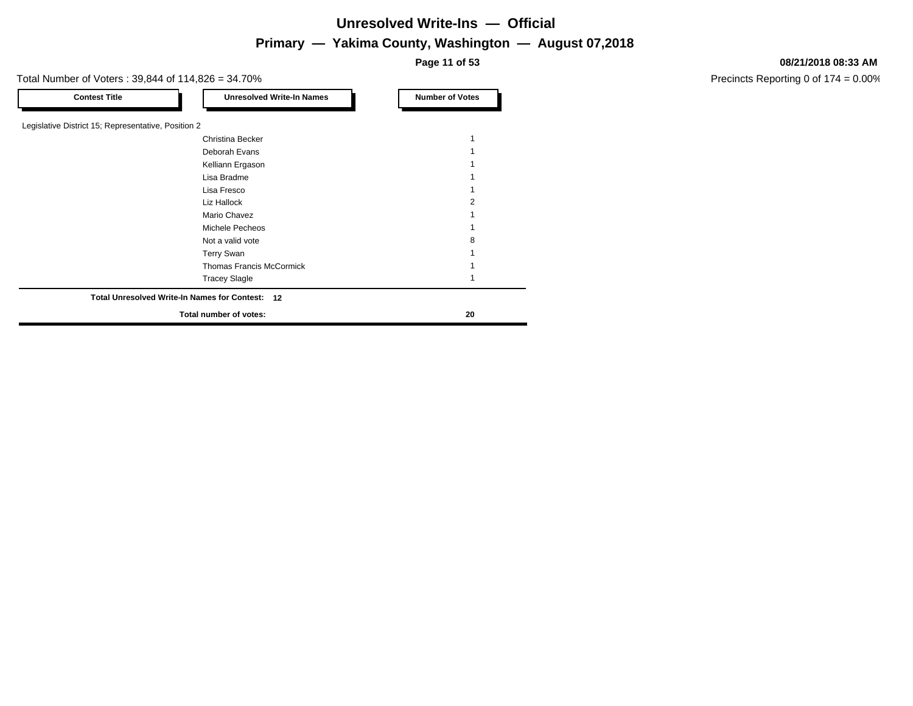**Page 11 of 53**

Total Number of Voters : 39,844 of 114,826 = 34.70%

| <b>Contest Title</b>                                | <b>Unresolved Write-In Names</b>                | <b>Number of Votes</b> |
|-----------------------------------------------------|-------------------------------------------------|------------------------|
|                                                     |                                                 |                        |
| Legislative District 15; Representative, Position 2 |                                                 |                        |
|                                                     | Christina Becker                                |                        |
|                                                     | Deborah Evans                                   |                        |
|                                                     | Kelliann Ergason                                |                        |
|                                                     | Lisa Bradme                                     |                        |
|                                                     | Lisa Fresco                                     |                        |
|                                                     | Liz Hallock                                     |                        |
|                                                     | Mario Chavez                                    |                        |
|                                                     | Michele Pecheos                                 |                        |
|                                                     | Not a valid vote                                |                        |
|                                                     | <b>Terry Swan</b>                               |                        |
|                                                     | <b>Thomas Francis McCormick</b>                 |                        |
|                                                     | <b>Tracey Slagle</b>                            |                        |
|                                                     | Total Unresolved Write-In Names for Contest: 12 |                        |
|                                                     | Total number of votes:                          | 20                     |

#### **08/21/2018 08:33 AM**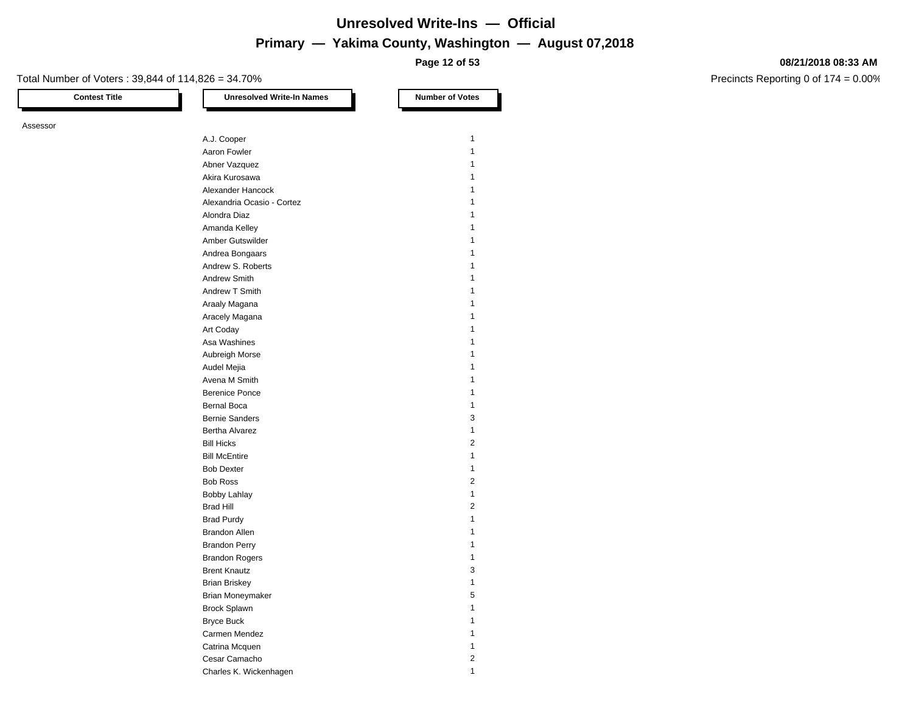**Page 12 of 53**

#### Total Number of Voters : 39,844 of 114,826 = 34.70%

Assessor

**Contest Title Number of Votes Number of Votes** A.J. Cooper 1 Aaron Fowler 1 and 1 and 1 and 1 and 1 and 1 and 1 and 1 and 1 and 1 and 1 and 1 and 1 and 1 and 1 and 1 and 1 Abner Vazquez 1 Akira Kurosawa 1 Alexander Hancock 1 Alexandria Ocasio - Cortez 1 Alondra Diaz 1 Amanda Kelley 1988 and 2008 and 2008 and 2008 and 2008 and 2008 and 2008 and 2008 and 2008 and 2008 and 2008 and 2008 and 2008 and 2008 and 2008 and 2008 and 2008 and 2008 and 2008 and 2008 and 2008 and 2008 and 2008 and 2 Amber Gutswilder 1986 and 1987 and 1988 and 1988 and 1988 and 1988 and 1988 and 1988 and 1988 and 1988 and 1988 and 1988 and 1988 and 1988 and 1988 and 1988 and 1988 and 1988 and 1988 and 1988 and 1988 and 1988 and 1988 an Andrea Bongaars 1986 and 1987 and 1988 and 1988 and 1988 and 1988 and 1988 and 1988 and 1988 and 1988 and 1988 and 1988 and 1988 and 1988 and 1988 and 1988 and 1988 and 1988 and 1988 and 1988 and 1988 and 1988 and 1988 and Andrew S. Roberts 1 Andrew Smith 1 and 1 and 1 and 1 and 1 and 1 and 1 and 1 and 1 and 1 and 1 and 1 and 1 and 1 and 1 and 1 and 1 and 1 and 1 and 1 and 1 and 1 and 1 and 1 and 1 and 1 and 1 and 1 and 1 and 1 and 1 and 1 and 1 and 1 and 1 and Andrew T Smith 1 Araaly Magana 1 and 2008 and 2008 and 2008 and 2008 and 2008 and 2008 and 2008 and 2008 and 2008 and 2008 and 2008 and 2008 and 2008 and 2008 and 2008 and 2008 and 2008 and 2008 and 2008 and 2008 and 2008 and 2008 and 2008 Aracely Magana 1 and 2008 and 2008 and 2008 and 2008 and 2008 and 2008 and 2008 and 2008 and 2008 and 2008 and 2008 and 2008 and 2008 and 2008 and 2008 and 2008 and 2008 and 2008 and 2008 and 2008 and 2008 and 2008 and 200 Art Coday 2012 12:00 12:00 12:00 12:00 12:00 12:00 12:00 12:00 12:00 12:00 12:00 12:00 12:00 12:00 12:00 12:00 12:00 12:00 12:00 12:00 12:00 12:00 12:00 12:00 12:00 12:00 12:00 12:00 12:00 12:00 12:00 12:00 12:00 12:00 12: Asa Washines 1988 and 2008 and 2008 and 2008 and 2008 and 2008 and 2008 and 2008 and 2008 and 2008 and 2008 and 2008 and 2008 and 2008 and 2008 and 2008 and 2008 and 2008 and 2008 and 2008 and 2008 and 2008 and 2008 and 20 Aubreigh Morse **1** Audel Mejia 1 Avena M Smith 1 and 1 and 1 and 1 and 1 and 1 and 1 and 1 and 1 and 1 and 1 and 1 and 1 and 1 and 1 and 1 and 1 Berenice Ponce 1 and 1 Bernal Boca 1 and 1 and 1 and 1 and 1 and 1 and 1 and 1 and 1 and 1 and 1 and 1 and 1 and 1 and 1 and 1 and 1 and 1 and 1 and 1 and 1 and 1 and 1 and 1 and 1 and 1 and 1 and 1 and 1 and 1 and 1 and 1 and 1 and 1 and 1 and Bernie Sanders 3 Bertha Alvarez 1 Bill Hicks 2 Bill McEntire 2012 12:00:00 12:00:00 12:00:00 12:00:00 12:00:00 12:00:00 12:00:00 12:00:00 12:00:00 12:00:00 12:00:00 12:00:00 12:00:00 12:00:00 12:00:00 12:00:00 12:00:00 12:00:00 12:00:00 12:00:00 12:00:00 12:00:00 12:00 Bob Dexter 2012 12:00 12:00 12:00 12:00 12:00 12:00 12:00 12:00 12:00 12:00 12:00 12:00 12:00 12:00 12:00 12:00 12:00 12:00 12:00 12:00 12:00 12:00 12:00 12:00 12:00 12:00 12:00 12:00 12:00 12:00 12:00 12:00 12:00 12:00 12 Bob Ross 2 Bobby Lahlay 1 and 1 and 1 and 1 and 1 and 1 and 1 and 1 and 1 and 1 and 1 and 1 and 1 and 1 and 1 and 1 and 1 Brad Hill 2 Brad Purdy 1 and 2008 1 and 2008 1 and 2008 1 and 2008 1 and 2008 1 and 2008 1 and 2008 1 and 2008 1 and 2008 1  $\sim$ Brandon Allen 1986 and 1987 and 1988 and 1988 and 1988 and 1988 and 1988 and 1988 and 1988 and 1988 and 1988 and 1988 and 1988 and 1988 and 1988 and 1988 and 1988 and 1988 and 1988 and 1988 and 1988 and 1988 and 1988 and 1 Brandon Perry 1 Brandon Rogers 11 and 12 and 12 and 12 and 12 and 12 and 12 and 12 and 12 and 12 and 12 and 12 and 12 and 12 and 12 and 12 and 12 and 12 and 12 and 12 and 12 and 12 and 12 and 12 and 12 and 12 and 12 and 12 and 12 and 12 a Brent Knautz 3 Brian Briskey 1988 and 1989 and 1989 and 1989 and 1989 and 1989 and 1989 and 1989 and 1989 and 1989 and 1989 and 1989 and 1989 and 1989 and 1989 and 1989 and 1989 and 1989 and 1989 and 1989 and 1989 and 1989 and 1989 and 1 Brian Moneymaker 5 Brock Splawn 1 Bryce Buck 1 and 1 and 1 and 1 and 1 and 1 and 1 and 1 and 1 and 1 and 1 and 1 and 1 and 1 and 1 and 1 and 1 and 1 and 1 and 1 and 1 and 1 and 1 and 1 and 1 and 1 and 1 and 1 and 1 and 1 and 1 and 1 and 1 and 1 and 1 and 1 Carmen Mendez 1 Catrina Mcquen 1 Cesar Camacho 2

Charles K. Wickenhagen 1

#### **08/21/2018 08:33 AM**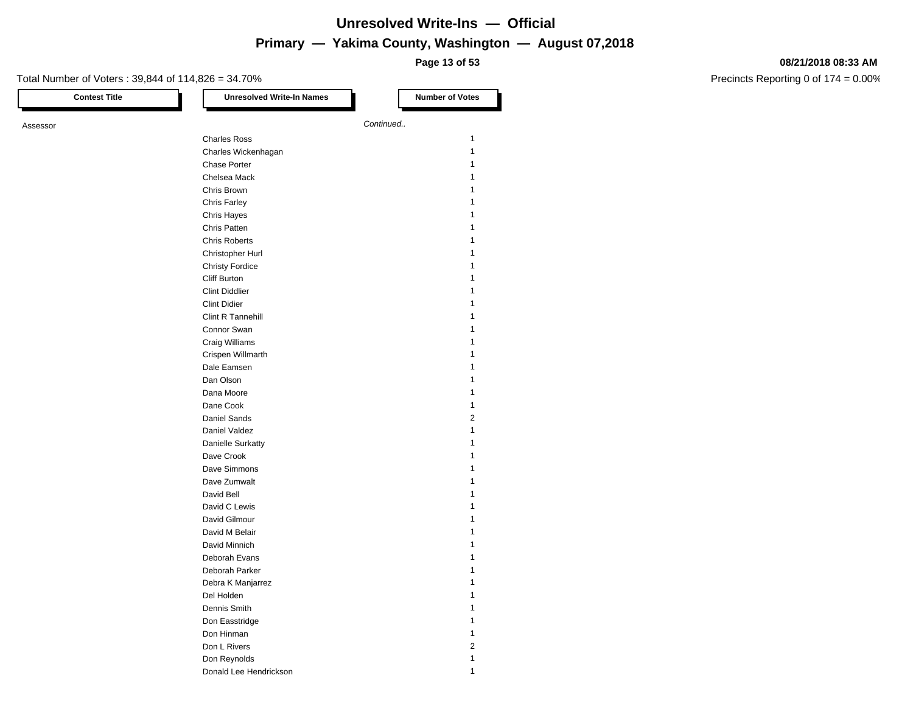**Page 13 of 53**

#### **08/21/2018 08:33 AM**

| <b>Contest Title</b> | <b>Unresolved Write-In Names</b> |           | <b>Number of Votes</b> |
|----------------------|----------------------------------|-----------|------------------------|
| Assessor             |                                  | Continued |                        |
|                      | <b>Charles Ross</b>              |           | $\mathbf{1}$           |
|                      | Charles Wickenhagan              |           | $\mathbf{1}$           |
|                      |                                  |           | 1                      |
|                      | Chase Porter                     |           | 1                      |
|                      | Chelsea Mack                     |           |                        |
|                      | Chris Brown                      |           | 1                      |
|                      | <b>Chris Farley</b>              |           | 1                      |
|                      | <b>Chris Hayes</b>               |           | 1                      |
|                      | Chris Patten                     |           | 1                      |
|                      | <b>Chris Roberts</b>             |           | 1                      |
|                      | Christopher Hurl                 |           | 1                      |
|                      | <b>Christy Fordice</b>           |           | 1                      |
|                      | Cliff Burton                     |           | 1                      |
|                      | <b>Clint Diddlier</b>            |           | $\mathbf{1}$           |
|                      | <b>Clint Didier</b>              |           | $\mathbf{1}$           |
|                      | Clint R Tannehill                |           | 1                      |
|                      | Connor Swan                      |           | 1                      |
|                      | Craig Williams                   |           | 1                      |
|                      | Crispen Willmarth                |           | 1                      |
|                      | Dale Eamsen                      |           | 1                      |
|                      | Dan Olson                        |           | 1                      |
|                      | Dana Moore                       |           | $\mathbf{1}$           |
|                      | Dane Cook                        |           | $\mathbf{1}$           |
|                      | Daniel Sands                     |           | $\overline{2}$         |
|                      | Daniel Valdez                    |           | $\mathbf{1}$           |
|                      |                                  |           | 1                      |
|                      | Danielle Surkatty                |           |                        |
|                      | Dave Crook                       |           | 1                      |
|                      | Dave Simmons                     |           | 1                      |
|                      | Dave Zumwalt                     |           | 1                      |
|                      | David Bell                       |           | 1                      |
|                      | David C Lewis                    |           | 1                      |
|                      | David Gilmour                    |           | 1                      |
|                      | David M Belair                   |           | 1                      |
|                      | David Minnich                    |           | 1                      |
|                      | Deborah Evans                    |           | $\mathbf{1}$           |
|                      | Deborah Parker                   |           | $\mathbf{1}$           |
|                      | Debra K Manjarrez                |           | 1                      |
|                      | Del Holden                       |           | 1                      |
|                      | Dennis Smith                     |           | 1                      |
|                      | Don Easstridge                   |           | 1                      |
|                      | Don Hinman                       |           | $\mathbf{1}$           |
|                      | Don L Rivers                     |           | $\overline{c}$         |
|                      | Don Reynolds                     |           | $\mathbf{1}$           |
|                      | Donald Lee Hendrickson           |           | 1                      |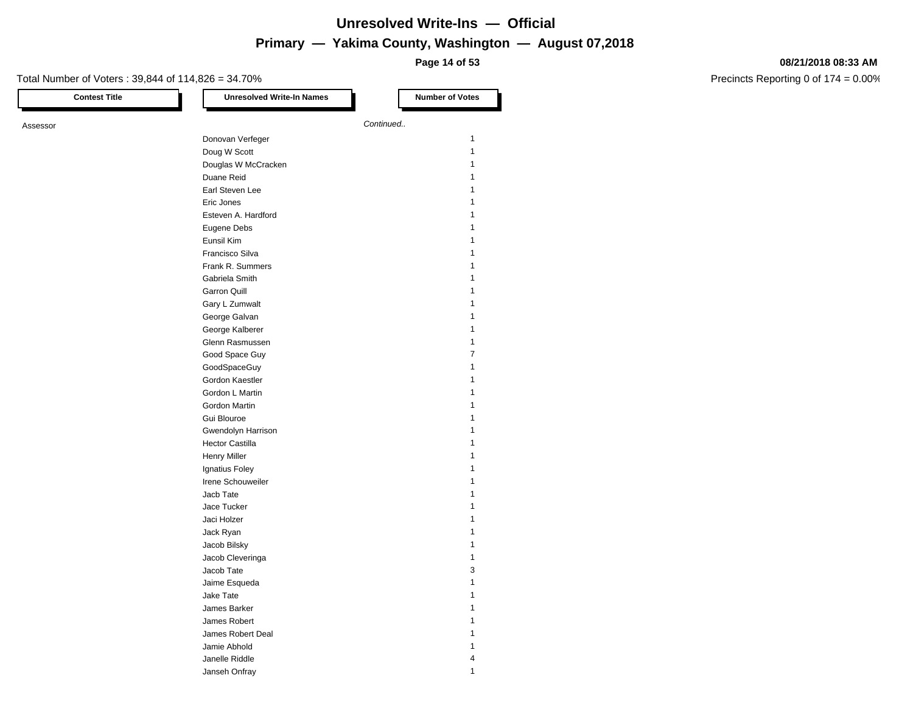**Page 14 of 53**

#### **08/21/2018 08:33 AM**

Precincts Reporting 0 of 174 = 0.00%

| <b>Contest Title</b> | <b>Unresolved Write-In Names</b> |           | <b>Number of Votes</b>  |
|----------------------|----------------------------------|-----------|-------------------------|
| Assessor             |                                  | Continued |                         |
|                      | Donovan Verfeger                 |           | $\mathbf{1}$            |
|                      | Doug W Scott                     |           | $\mathbf{1}$            |
|                      | Douglas W McCracken              |           | $\mathbf{1}$            |
|                      | Duane Reid                       |           | 1                       |
|                      | Earl Steven Lee                  |           | 1                       |
|                      | Eric Jones                       |           | 1                       |
|                      | Esteven A. Hardford              |           | 1                       |
|                      | Eugene Debs                      |           | 1                       |
|                      | Eunsil Kim                       |           | 1                       |
|                      | Francisco Silva                  |           | 1                       |
|                      | Frank R. Summers                 |           | 1                       |
|                      | Gabriela Smith                   |           | 1                       |
|                      | <b>Garron Quill</b>              |           | 1                       |
|                      | Gary L Zumwalt                   |           | 1                       |
|                      | George Galvan                    |           | 1                       |
|                      | George Kalberer                  |           | 1                       |
|                      | Glenn Rasmussen                  |           | $\mathbf{1}$            |
|                      | Good Space Guy                   |           | $\overline{7}$          |
|                      | GoodSpaceGuy                     |           | 1                       |
|                      | Gordon Kaestler                  |           | 1                       |
|                      | Gordon L Martin                  |           | 1                       |
|                      | Gordon Martin                    |           | 1                       |
|                      | Gui Blouroe                      |           | 1                       |
|                      | Gwendolyn Harrison               |           | 1                       |
|                      | <b>Hector Castilla</b>           |           | 1                       |
|                      | <b>Henry Miller</b>              |           | 1                       |
|                      | Ignatius Foley                   |           | 1                       |
|                      | Irene Schouweiler                |           | 1                       |
|                      | Jacb Tate                        |           | 1                       |
|                      | Jace Tucker                      |           | 1                       |
|                      | Jaci Holzer                      |           | 1                       |
|                      | Jack Ryan                        |           | 1                       |
|                      | Jacob Bilsky                     |           | $\mathbf{1}$            |
|                      | Jacob Cleveringa                 |           | $\mathbf{1}$            |
|                      | Jacob Tate                       |           | 3                       |
|                      | Jaime Esqueda                    |           | $\mathbf{1}$            |
|                      | Jake Tate                        |           | 1                       |
|                      | James Barker                     |           | 1                       |
|                      | James Robert                     |           | 1                       |
|                      | James Robert Deal                |           | 1                       |
|                      | Jamie Abhold                     |           | 1                       |
|                      | Janelle Riddle                   |           | $\overline{\mathbf{4}}$ |

Janseh Onfray 1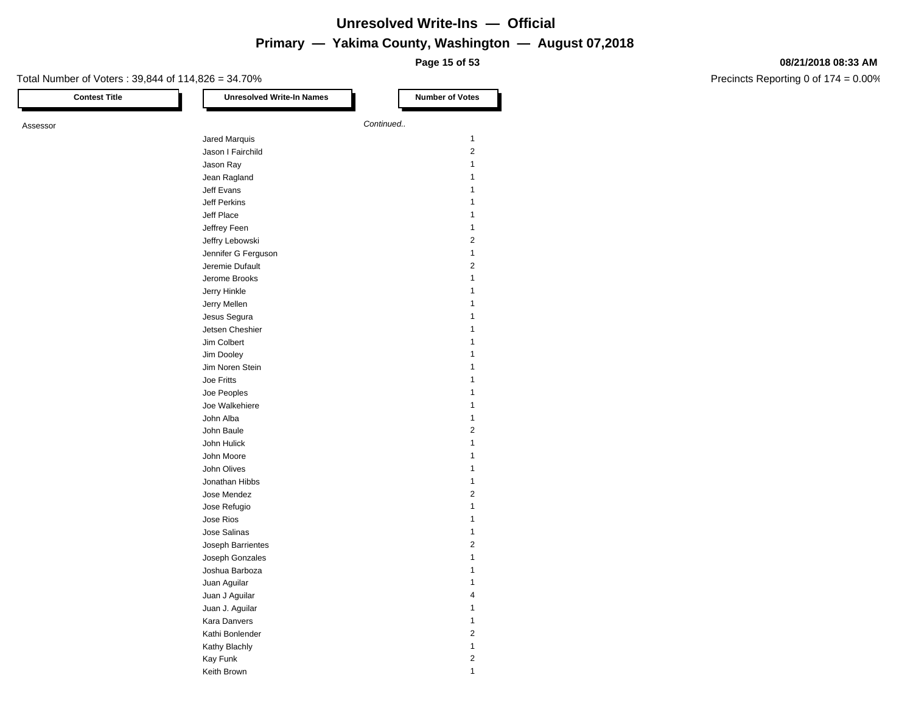**Page 15 of 53**

#### **08/21/2018 08:33 AM**

| <b>Contest Title</b> | <b>Unresolved Write-In Names</b>       | <b>Number of Votes</b>  |
|----------------------|----------------------------------------|-------------------------|
| Assessor             |                                        | Continued               |
|                      | Jared Marquis                          | 1                       |
|                      | Jason I Fairchild                      | 2                       |
|                      | Jason Ray                              | 1                       |
|                      | Jean Ragland                           | 1                       |
|                      | Jeff Evans                             | 1                       |
|                      | Jeff Perkins                           | 1                       |
|                      | Jeff Place                             | 1                       |
|                      | Jeffrey Feen                           | 1                       |
|                      | Jeffry Lebowski                        | 2                       |
|                      |                                        | 1                       |
|                      | Jennifer G Ferguson<br>Jeremie Dufault | 2                       |
|                      |                                        | 1                       |
|                      | Jerome Brooks                          |                         |
|                      | Jerry Hinkle                           | 1                       |
|                      | Jerry Mellen                           | 1                       |
|                      | Jesus Segura                           | 1                       |
|                      | Jetsen Cheshier                        | 1                       |
|                      | Jim Colbert                            | 1                       |
|                      | Jim Dooley                             | 1                       |
|                      | Jim Noren Stein                        | 1                       |
|                      | Joe Fritts                             | 1                       |
|                      | Joe Peoples                            | 1                       |
|                      | Joe Walkehiere                         | 1                       |
|                      | John Alba                              | 1                       |
|                      | John Baule                             | 2                       |
|                      | John Hulick                            | 1                       |
|                      | John Moore                             | 1                       |
|                      | John Olives                            | 1                       |
|                      | Jonathan Hibbs                         | 1                       |
|                      | Jose Mendez                            | 2                       |
|                      | Jose Refugio                           | 1                       |
|                      | Jose Rios                              | 1                       |
|                      | Jose Salinas                           | 1                       |
|                      | Joseph Barrientes                      | 2                       |
|                      | Joseph Gonzales                        | 1                       |
|                      | Joshua Barboza                         |                         |
|                      | Juan Aquilar                           | 1                       |
|                      | Juan J Aguilar                         | 4                       |
|                      | Juan J. Aguilar                        | 1                       |
|                      | Kara Danvers                           | $\mathbf{1}$            |
|                      | Kathi Bonlender                        | $\overline{\mathbf{c}}$ |
|                      | Kathy Blachly                          | $\mathbf{1}$            |
|                      | Kay Funk                               | $\sqrt{2}$              |
|                      | Keith Brown                            | $\mathbf{1}$            |
|                      |                                        |                         |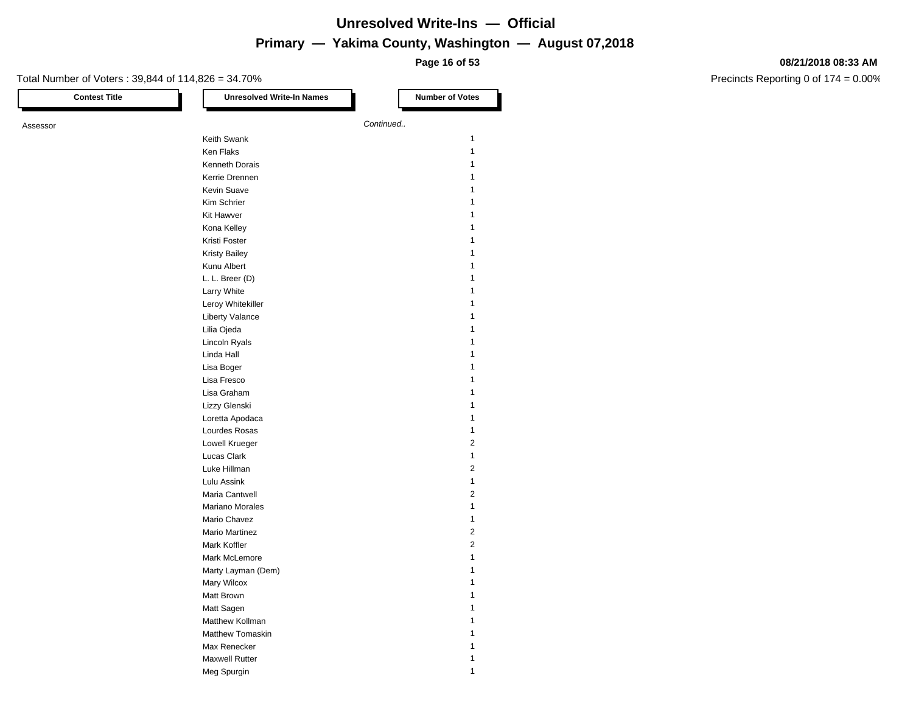**Page 16 of 53**

#### **08/21/2018 08:33 AM**

| <b>Contest Title</b> | <b>Unresolved Write-In Names</b> | <b>Number of Votes</b>  |
|----------------------|----------------------------------|-------------------------|
| Assessor             |                                  | Continued               |
|                      | Keith Swank                      | 1                       |
|                      | Ken Flaks                        | $\mathbf{1}$            |
|                      | Kenneth Dorais                   | 1                       |
|                      | Kerrie Drennen                   | 1                       |
|                      | Kevin Suave                      | 1                       |
|                      | Kim Schrier                      | 1                       |
|                      | Kit Hawver                       | 1                       |
|                      | Kona Kelley                      | 1                       |
|                      | Kristi Foster                    | 1                       |
|                      |                                  | 1                       |
|                      | <b>Kristy Bailey</b>             | 1                       |
|                      | Kunu Albert                      | 1                       |
|                      | L. L. Breer (D)                  |                         |
|                      | Larry White                      | 1                       |
|                      | Leroy Whitekiller                | 1                       |
|                      | <b>Liberty Valance</b>           | 1                       |
|                      | Lilia Ojeda                      | 1                       |
|                      | Lincoln Ryals                    | 1                       |
|                      | Linda Hall                       | 1                       |
|                      | Lisa Boger                       | 1                       |
|                      | Lisa Fresco                      | 1                       |
|                      | Lisa Graham                      | 1                       |
|                      | Lizzy Glenski                    | 1                       |
|                      | Loretta Apodaca                  | 1                       |
|                      | Lourdes Rosas                    | 1                       |
|                      | Lowell Krueger                   | $\overline{\mathbf{c}}$ |
|                      | Lucas Clark                      | 1                       |
|                      | Luke Hillman                     | 2                       |
|                      | Lulu Assink                      | 1                       |
|                      | Maria Cantwell                   | 2                       |
|                      | Mariano Morales                  | 1                       |
|                      | Mario Chavez                     | 1                       |
|                      | <b>Mario Martinez</b>            | 2                       |
|                      | Mark Koffler                     | $\overline{\mathbf{c}}$ |
|                      | Mark McLemore                    | 1                       |
|                      | Marty Layman (Dem)               |                         |
|                      | Mary Wilcox                      | 1                       |
|                      | Matt Brown                       | 1                       |
|                      | Matt Sagen                       | 1                       |
|                      | Matthew Kollman                  | 1                       |
|                      | <b>Matthew Tomaskin</b>          |                         |
|                      |                                  | 1                       |
|                      | Max Renecker                     | 1                       |
|                      | Maxwell Rutter                   | $\mathbf{1}$            |
|                      | Meg Spurgin                      | 1                       |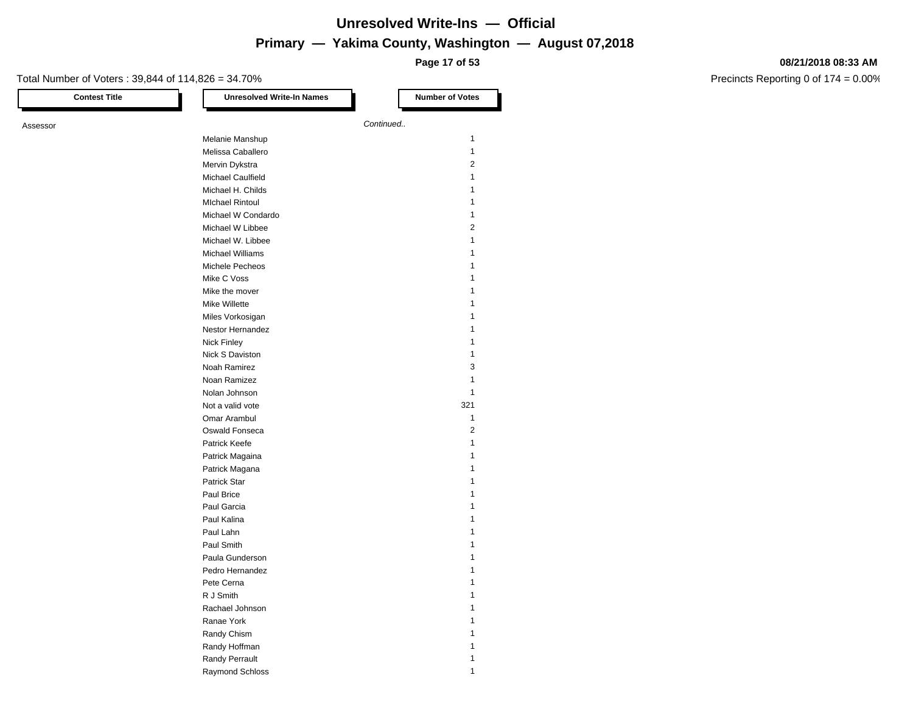**Page 17 of 53**

#### **08/21/2018 08:33 AM**

| <b>Contest Title</b> | <b>Unresolved Write-In Names</b> | <b>Number of Votes</b>  |
|----------------------|----------------------------------|-------------------------|
| Assessor             |                                  | Continued               |
|                      | Melanie Manshup                  | 1                       |
|                      | Melissa Caballero                | 1                       |
|                      | Mervin Dykstra                   | 2                       |
|                      | Michael Caulfield                | 1                       |
|                      | Michael H. Childs                | 1                       |
|                      | <b>MIchael Rintoul</b>           | 1                       |
|                      |                                  | 1                       |
|                      | Michael W Condardo               | $\overline{\mathbf{c}}$ |
|                      | Michael W Libbee                 |                         |
|                      | Michael W. Libbee                | 1                       |
|                      | <b>Michael Williams</b>          | 1                       |
|                      | Michele Pecheos                  | 1                       |
|                      | Mike C Voss                      |                         |
|                      | Mike the mover                   |                         |
|                      | <b>Mike Willette</b>             | 1                       |
|                      | Miles Vorkosigan                 | 1                       |
|                      | Nestor Hernandez                 | 1                       |
|                      | <b>Nick Finley</b>               | 1                       |
|                      | Nick S Daviston                  | 1                       |
|                      | Noah Ramirez                     | 3                       |
|                      | Noan Ramizez                     | 1                       |
|                      | Nolan Johnson                    | 1                       |
|                      | Not a valid vote                 | 321                     |
|                      | Omar Arambul                     | 1                       |
|                      | Oswald Fonseca                   | 2                       |
|                      | Patrick Keefe                    | 1                       |
|                      | Patrick Magaina                  | 1                       |
|                      | Patrick Magana                   | 1                       |
|                      | Patrick Star                     | 1                       |
|                      | Paul Brice                       | 1                       |
|                      | Paul Garcia                      | 1                       |
|                      | Paul Kalina                      | 1                       |
|                      | Paul Lahn                        | 1                       |
|                      | Paul Smith                       | 1                       |
|                      | Paula Gunderson                  |                         |
|                      |                                  | 1                       |
|                      | Pedro Hernandez                  | 1                       |
|                      | Pete Cerna                       | $\mathbf{1}$            |
|                      | R J Smith<br>Rachael Johnson     | 1                       |
|                      |                                  |                         |
|                      | Ranae York                       | 1                       |
|                      | Randy Chism                      | 1                       |
|                      | Randy Hoffman                    | 1                       |
|                      | Randy Perrault                   | 1                       |
|                      | Raymond Schloss                  | $\mathbf{1}$            |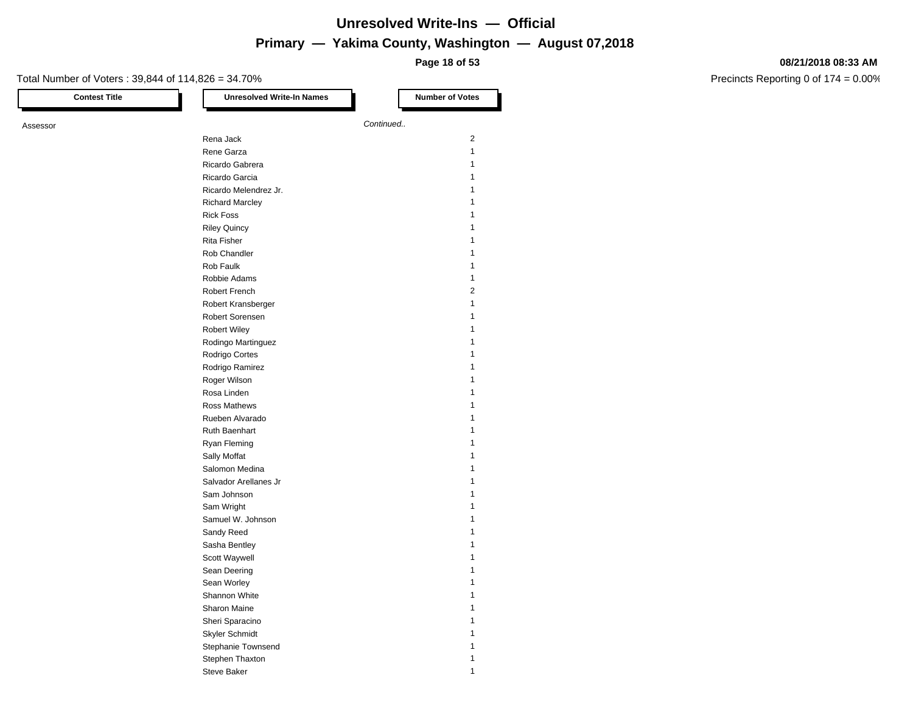**Page 18 of 53**

#### **08/21/2018 08:33 AM**

| <b>Contest Title</b> | <b>Unresolved Write-In Names</b> | <b>Number of Votes</b> |
|----------------------|----------------------------------|------------------------|
| Assessor             |                                  | Continued              |
|                      | Rena Jack                        | 2                      |
|                      | Rene Garza                       | 1                      |
|                      |                                  |                        |
|                      | Ricardo Gabrera                  | 1                      |
|                      | Ricardo Garcia                   | 1                      |
|                      | Ricardo Melendrez Jr.            | 1                      |
|                      | <b>Richard Marcley</b>           | 1                      |
|                      | <b>Rick Foss</b>                 |                        |
|                      | <b>Riley Quincy</b>              | 1                      |
|                      | Rita Fisher                      | 1                      |
|                      | Rob Chandler                     | 1                      |
|                      | Rob Faulk                        | 1                      |
|                      | Robbie Adams                     | 1                      |
|                      | Robert French                    | 2                      |
|                      | Robert Kransberger               | 1                      |
|                      | Robert Sorensen                  | 1                      |
|                      | <b>Robert Wiley</b>              |                        |
|                      | Rodingo Martinguez               | 1                      |
|                      | Rodrigo Cortes                   | 1                      |
|                      | Rodrigo Ramirez                  | 1                      |
|                      | Roger Wilson                     | 1                      |
|                      | Rosa Linden                      | 1                      |
|                      | Ross Mathews                     | 1                      |
|                      | Rueben Alvarado                  |                        |
|                      |                                  | 1                      |
|                      | Ruth Baenhart                    |                        |
|                      | Ryan Fleming                     | 1                      |
|                      | Sally Moffat                     | 1                      |
|                      | Salomon Medina                   | 1                      |
|                      | Salvador Arellanes Jr            |                        |
|                      | Sam Johnson                      | 1                      |
|                      | Sam Wright                       | 1                      |
|                      | Samuel W. Johnson                | 1                      |
|                      | Sandy Reed                       | 1                      |
|                      | Sasha Bentley                    | 1                      |
|                      | Scott Waywell                    |                        |
|                      | Sean Deering                     |                        |
|                      | Sean Worley                      | 1                      |
|                      | Shannon White                    | $\mathbf{1}$           |
|                      | Sharon Maine                     | $\mathbf{1}$           |
|                      | Sheri Sparacino                  | 1                      |
|                      | Skyler Schmidt                   | 1                      |
|                      | Stephanie Townsend               | 1                      |
|                      | Stephen Thaxton                  | 1                      |
|                      |                                  | $\mathbf{1}$           |
|                      | Steve Baker                      |                        |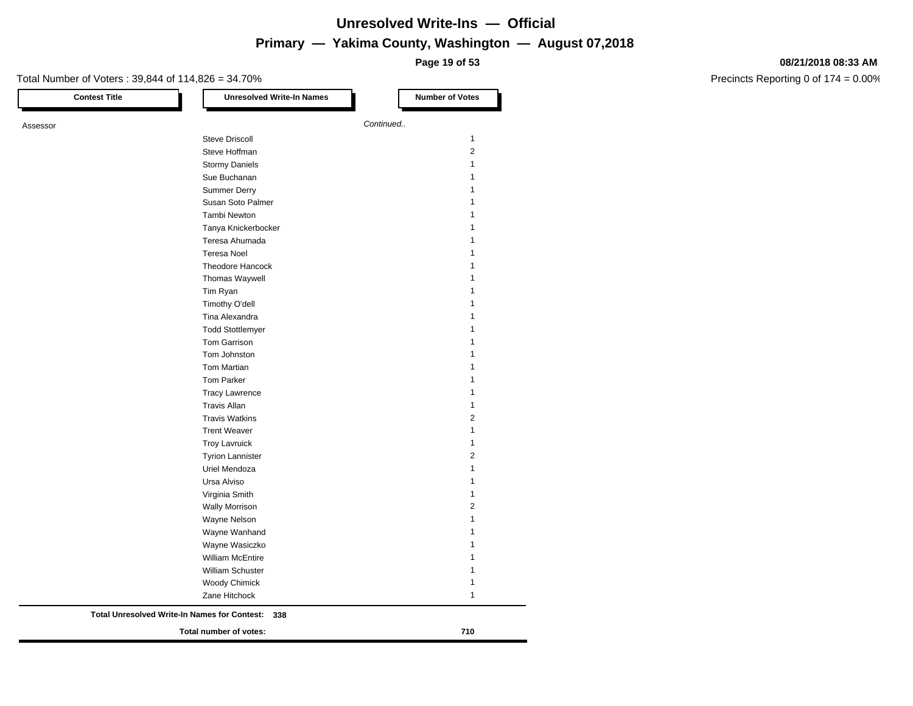**Page 19 of 53**

#### **08/21/2018 08:33 AM**

| <b>Contest Title</b> | <b>Unresolved Write-In Names</b>                           | <b>Number of Votes</b>  |
|----------------------|------------------------------------------------------------|-------------------------|
| Assessor             |                                                            | Continued               |
|                      | <b>Steve Driscoll</b>                                      | $\mathbf{1}$            |
|                      | Steve Hoffman                                              | $\overline{2}$          |
|                      | <b>Stormy Daniels</b>                                      | 1                       |
|                      | Sue Buchanan                                               | 1                       |
|                      | <b>Summer Derry</b>                                        | 1                       |
|                      | Susan Soto Palmer                                          | 1                       |
|                      | Tambi Newton                                               | 1                       |
|                      | Tanya Knickerbocker                                        | 1                       |
|                      | Teresa Ahumada                                             | 1                       |
|                      | <b>Teresa Noel</b>                                         |                         |
|                      | <b>Theodore Hancock</b>                                    | 1                       |
|                      | Thomas Waywell                                             | 1                       |
|                      | Tim Ryan                                                   | 1                       |
|                      | Timothy O'dell                                             |                         |
|                      | Tina Alexandra                                             | 1                       |
|                      | <b>Todd Stottlemyer</b>                                    |                         |
|                      | <b>Tom Garrison</b>                                        | 1                       |
|                      | Tom Johnston                                               | 1                       |
|                      | Tom Martian                                                |                         |
|                      | Tom Parker                                                 | 1                       |
|                      | <b>Tracy Lawrence</b>                                      | 1                       |
|                      | <b>Travis Allan</b>                                        | 1                       |
|                      | <b>Travis Watkins</b>                                      | 2                       |
|                      | <b>Trent Weaver</b>                                        | 1                       |
|                      | <b>Troy Lavruick</b>                                       | 1                       |
|                      | <b>Tyrion Lannister</b>                                    | $\overline{\mathbf{c}}$ |
|                      | Uriel Mendoza                                              | 1                       |
|                      | Ursa Alviso                                                | 1                       |
|                      | Virginia Smith                                             | 1                       |
|                      | <b>Wally Morrison</b>                                      | 2                       |
|                      | Wayne Nelson                                               | 1                       |
|                      | Wayne Wanhand                                              | 1                       |
|                      | Wayne Wasiczko                                             | 1                       |
|                      | <b>William McEntire</b>                                    | 1                       |
|                      | William Schuster                                           | 1                       |
|                      | <b>Woody Chimick</b>                                       | 1                       |
|                      | Zane Hitchock                                              | 1                       |
|                      | <b>Total Unresolved Write-In Names for Contest:</b><br>338 |                         |
|                      | Total number of votes:                                     | 710                     |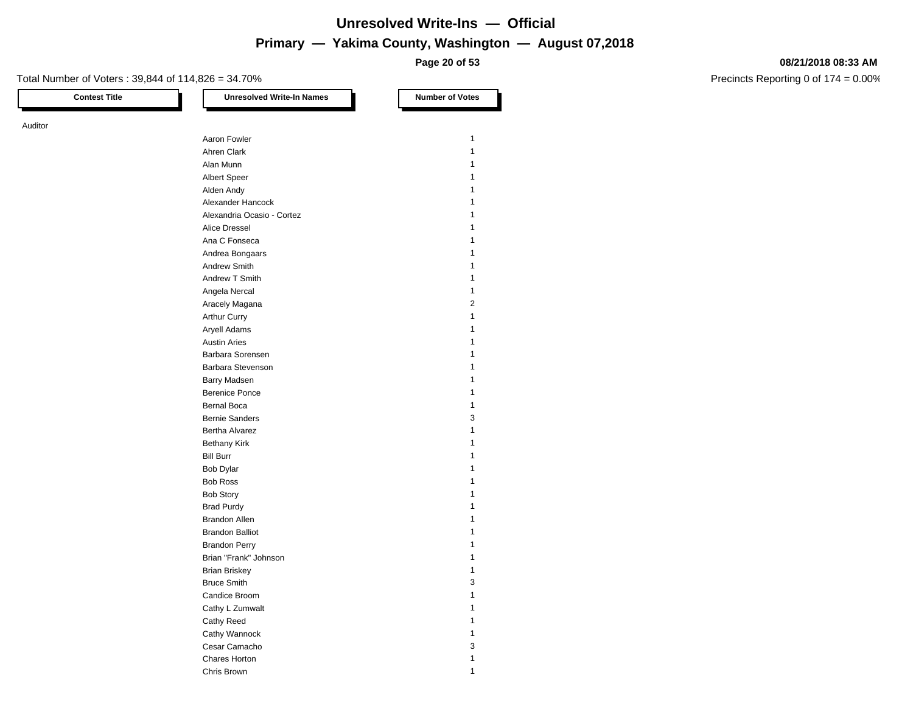**Page 20 of 53**

#### Total Number of Voters : 39,844 of 114,826 = 34.70%

Auditor

**Contest Title Let under the Unresolved Write-In Names Number of Votes** Aaron Fowler 2008 120 Aaron 2008 120 Aaron 2008 120 Aaron 2008 120 Aaron 2008 120 Aaron 2008 120 Aaron 2008 120 Aaron 2008 120 Aaron 2008 120 Aaron 2008 120 Aaron 2008 120 Aaron 2008 120 Aaron 2008 120 Aaron 2008 120 Aaron Ahren Clark 1 Alan Munn 1 Albert Speer 1 Alden Andy 1996 and 1997 and 1997 and 1997 and 1997 and 1997 and 1997 and 1997 and 1997 and 1997 and 1997 and 1 Alexander Hancock 1 Alexandria Ocasio - Cortez 1 Alice Dressel 1 Ana C Fonseca 1 Andrea Bongaars 1986 and 1987 and 1988 and 1988 and 1988 and 1988 and 1988 and 1988 and 1988 and 1988 and 1988 and 1988 and 1988 and 1988 and 1988 and 1988 and 1988 and 1988 and 1988 and 1988 and 1988 and 1988 and 1988 and Andrew Smith 1 Andrew T Smith 1 Angela Nercal 2008 and 2009 and 2009 and 2009 and 2009 and 2009 and 2009 and 2009 and 2009 and 2009 and 2009 and 2009 and 2009 and 2009 and 2009 and 2009 and 2009 and 2009 and 2009 and 2009 and 2009 and 2009 and 2009 and 2 Aracely Magana 2 Arthur Curry 2012 12:00 12:00 12:00 12:00 12:00 12:00 12:00 12:00 12:00 12:00 12:00 12:00 12:00 12:00 12:00 12:00 12:00 12:00 12:00 12:00 12:00 12:00 12:00 12:00 12:00 12:00 12:00 12:00 12:00 12:00 12:00 12:00 12:00 12:00 Aryell Adams 1 Austin Aries **1** Barbara Sorensen 1986 bland and the state of the state of the state of the state of the state of the state of the state of the state of the state of the state of the state of the state of the state of the state of the stat Barbara Stevenson 11 Barry Madsen 2008 12:00 12:00 12:00 12:00 12:00 12:00 12:00 12:00 12:00 12:00 12:00 12:00 12:00 12:00 12:00 12:00 12:00 12:00 12:00 12:00 12:00 12:00 12:00 12:00 12:00 12:00 12:00 12:00 12:00 12:00 12:00 12:00 12:00 12:00 Berenice Ponce 1 and 1 and 1 and 1 and 1 and 1 and 1 and 1 and 1 and 1 and 1 and 1 and 1 and 1 and 1 and 1 and 1 and 1 and 1 and 1 and 1 and 1 and 1 and 1 and 1 and 1 and 1 and 1 and 1 and 1 and 1 and 1 and 1 and 1 and 1 a Bernal Boca 1 and 1 and 1 and 1 and 1 and 1 and 1 and 1 and 1 and 1 and 1 and 1 and 1 and 1 and 1 and 1 and 1 and 1 and 1 and 1 and 1 and 1 and 1 and 1 and 1 and 1 and 1 and 1 and 1 and 1 and 1 and 1 and 1 and 1 and 1 and Bernie Sanders 3 Bertha Alvarez 1 Bethany Kirk 1 **Bill Burr** 1 **Community 1 Community 1 Community 1 Community 1 Community 1 Community 1** Bob Dylar 1 Bob Ross 2012 12:00 12:00 12:00 12:00 12:00 12:00 12:00 12:00 12:00 12:00 12:00 12:00 12:00 12:00 12:00 12:00 12:00 12:00 12:00 12:00 12:00 12:00 12:00 12:00 12:00 12:00 12:00 12:00 12:00 12:00 12:00 12:00 12:00 12:00 12:0 Bob Story 1 Brad Purdy 1 Brandon Allen 1986 and 1987 and 1988 and 1988 and 1988 and 1988 and 1988 and 1988 and 1988 and 1988 and 1988 and 1988 and 1988 and 1988 and 1988 and 1988 and 1988 and 1988 and 1988 and 1988 and 1988 and 1988 and 1988 and 1 Brandon Balliot 1 and 1 and 1 and 1 and 1 and 1 and 1 and 1 and 1 and 1 and 1 and 1 and 1 and 1 and 1 and 1 and 1 and 1 and 1 and 1 and 1 and 1 and 1 and 1 and 1 and 1 and 1 and 1 and 1 and 1 and 1 and 1 and 1 and 1 and 1 Brandon Perry 1 Brian "Frank" Johnson 1 Brian Briskey 1988 and 1989 and 1989 and 1989 and 1989 and 1989 and 1989 and 1989 and 1989 and 1989 and 1989 and 1989 and 1989 and 1989 and 1989 and 1989 and 1989 and 1989 and 1989 and 1989 and 1989 and 1989 and 1989 and 1 Bruce Smith 3 Candice Broom 2008 120 and 2008 120 and 2008 120 and 2008 120 and 2008 120 and 2008 120 and 2008 120 and 2008 120 and 2008 120 and 2008 120 and 2008 120 and 2008 120 and 2008 120 and 2008 120 and 2008 120 and 2008 120 and Cathy L Zumwalt 1 Cathy Reed 1 Cathy Wannock 1 Cesar Camacho 3 Chares Horton 1 and 1 and 1 and 1 and 1 and 1 and 1 and 1 and 1 and 1 and 1 and 1 and 1 and 1 and 1 and 1 and 1 and 1 and 1 and 1 and 1 and 1 and 1 and 1 and 1 and 1 and 1 and 1 and 1 and 1 and 1 and 1 and 1 and 1 and 1 an

Chris Brown 1

**08/21/2018 08:33 AM**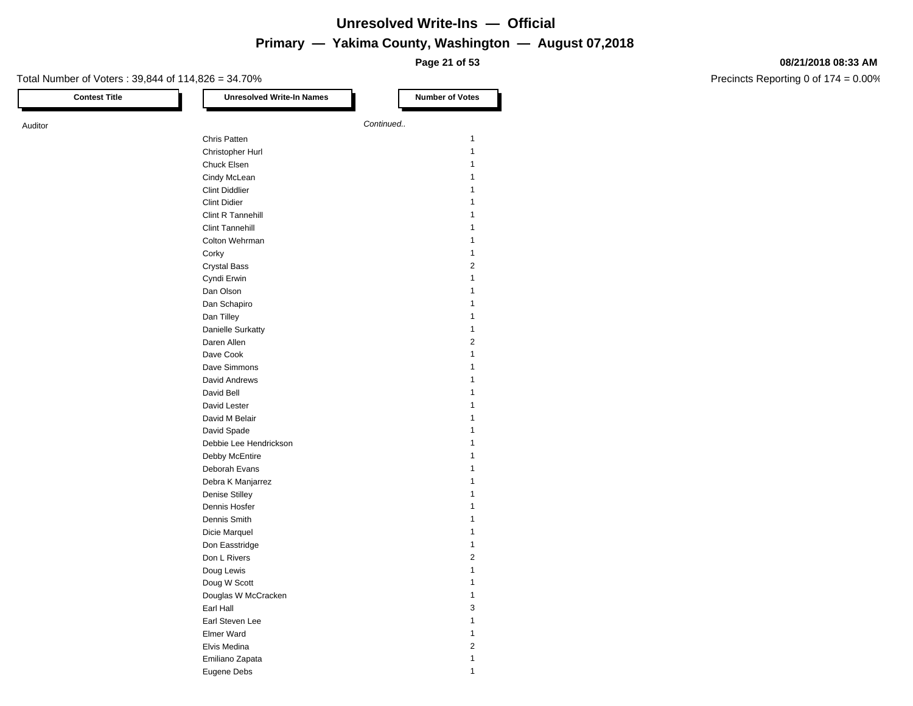**Page 21 of 53**

#### **08/21/2018 08:33 AM**

| <b>Contest Title</b> | <b>Unresolved Write-In Names</b> | <b>Number of Votes</b> |
|----------------------|----------------------------------|------------------------|
| Auditor              |                                  | Continued              |
|                      | Chris Patten                     | 1                      |
|                      | Christopher Hurl                 | $\mathbf{1}$           |
|                      | Chuck Elsen                      | 1                      |
|                      | Cindy McLean                     | 1                      |
|                      | <b>Clint Diddlier</b>            | 1                      |
|                      | <b>Clint Didier</b>              | 1                      |
|                      | Clint R Tannehill                | 1                      |
|                      | <b>Clint Tannehill</b>           | 1                      |
|                      |                                  | $\mathbf{1}$           |
|                      | Colton Wehrman                   |                        |
|                      | Corky                            | 1                      |
|                      | <b>Crystal Bass</b>              | 2                      |
|                      | Cyndi Erwin                      | 1                      |
|                      | Dan Olson                        | 1                      |
|                      | Dan Schapiro                     | 1                      |
|                      | Dan Tilley                       | 1                      |
|                      | <b>Danielle Surkatty</b>         | 1                      |
|                      | Daren Allen                      | 2                      |
|                      | Dave Cook                        | $\mathbf{1}$           |
|                      | Dave Simmons                     | 1                      |
|                      | David Andrews                    | 1                      |
|                      | David Bell                       | 1                      |
|                      | David Lester                     | 1                      |
|                      | David M Belair                   |                        |
|                      | David Spade                      | 1                      |
|                      | Debbie Lee Hendrickson           | 1                      |
|                      | Debby McEntire                   | 1                      |
|                      | Deborah Evans                    | 1                      |
|                      | Debra K Manjarrez                | 1                      |
|                      | <b>Denise Stilley</b>            | 1                      |
|                      | Dennis Hosfer                    | 1                      |
|                      |                                  | 1                      |
|                      | Dennis Smith                     | 1                      |
|                      | Dicie Marquel                    |                        |
|                      | Don Easstridge                   | 1                      |
|                      | Don L Rivers                     | 2                      |
|                      | Doug Lewis                       | 1                      |
|                      | Doug W Scott                     | 1                      |
|                      | Douglas W McCracken              | $\mathbf{1}$           |
|                      | Earl Hall                        | 3                      |
|                      | Earl Steven Lee                  | $\mathbf{1}$           |
|                      | Elmer Ward                       | 1                      |
|                      | Elvis Medina                     | 2                      |
|                      | Emiliano Zapata                  | $\mathbf{1}$           |
|                      | Eugene Debs                      | $\mathbf{1}$           |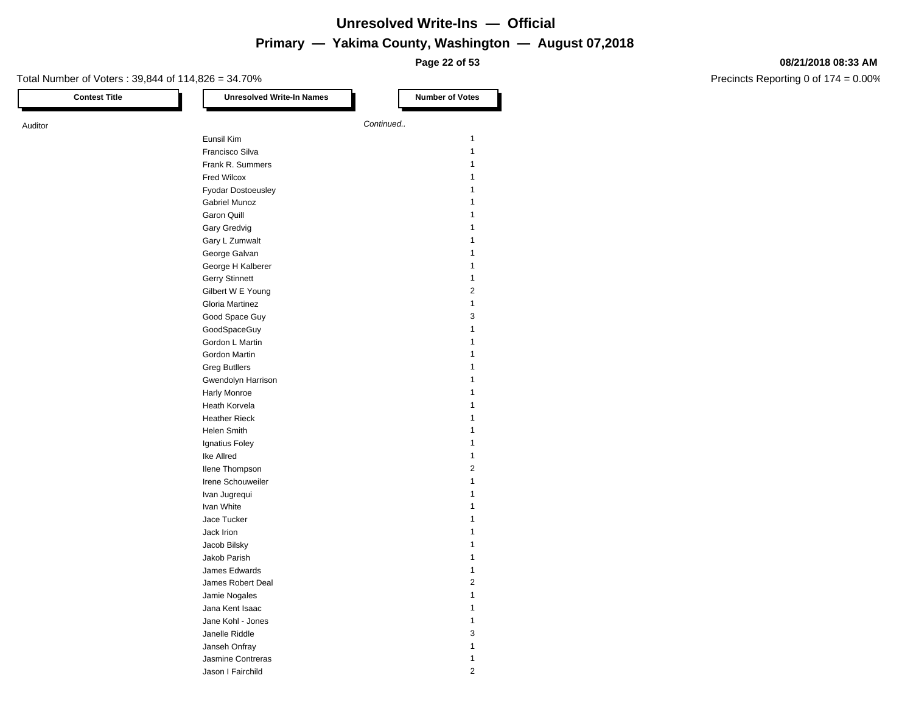**Page 22 of 53**

#### **08/21/2018 08:33 AM**

| <b>Contest Title</b> | <b>Unresolved Write-In Names</b> | <b>Number of Votes</b> |
|----------------------|----------------------------------|------------------------|
| Auditor              |                                  | Continued              |
|                      | Eunsil Kim                       | 1                      |
|                      | Francisco Silva                  | $\mathbf{1}$           |
|                      | Frank R. Summers                 | 1                      |
|                      |                                  | 1                      |
|                      | Fred Wilcox                      |                        |
|                      | Fyodar Dostoeusley               | 1                      |
|                      | Gabriel Munoz                    | 1                      |
|                      | Garon Quill                      | 1                      |
|                      | Gary Gredvig                     | 1                      |
|                      | Gary L Zumwalt                   | 1                      |
|                      | George Galvan                    | 1                      |
|                      | George H Kalberer                | 1                      |
|                      | Gerry Stinnett                   | 1                      |
|                      | Gilbert W E Young                | 2                      |
|                      | Gloria Martinez                  | 1                      |
|                      | Good Space Guy                   | 3                      |
|                      | GoodSpaceGuy                     | 1                      |
|                      | Gordon L Martin                  | 1                      |
|                      | Gordon Martin                    | 1                      |
|                      | <b>Greg Butllers</b>             | 1                      |
|                      | Gwendolyn Harrison               | 1                      |
|                      | Harly Monroe                     | 1                      |
|                      |                                  | 1                      |
|                      | Heath Korvela                    |                        |
|                      | <b>Heather Rieck</b>             |                        |
|                      | <b>Helen Smith</b>               | 1                      |
|                      | Ignatius Foley                   | 1                      |
|                      | Ike Allred                       | 1                      |
|                      | Ilene Thompson                   | 2                      |
|                      | Irene Schouweiler                | 1                      |
|                      | Ivan Jugrequi                    | 1                      |
|                      | Ivan White                       | 1                      |
|                      | Jace Tucker                      | 1                      |
|                      | Jack Irion                       | 1                      |
|                      | Jacob Bilsky                     | 1                      |
|                      | Jakob Parish                     | 1                      |
|                      | James Edwards                    |                        |
|                      | James Robert Deal                | $\overline{2}$         |
|                      | Jamie Nogales                    | 1                      |
|                      | Jana Kent Isaac                  | 1                      |
|                      |                                  | 1                      |
|                      | Jane Kohl - Jones                |                        |
|                      | Janelle Riddle                   | 3                      |
|                      | Janseh Onfray                    | 1                      |
|                      | Jasmine Contreras                | 1                      |
|                      | Jason I Fairchild                | $\overline{c}$         |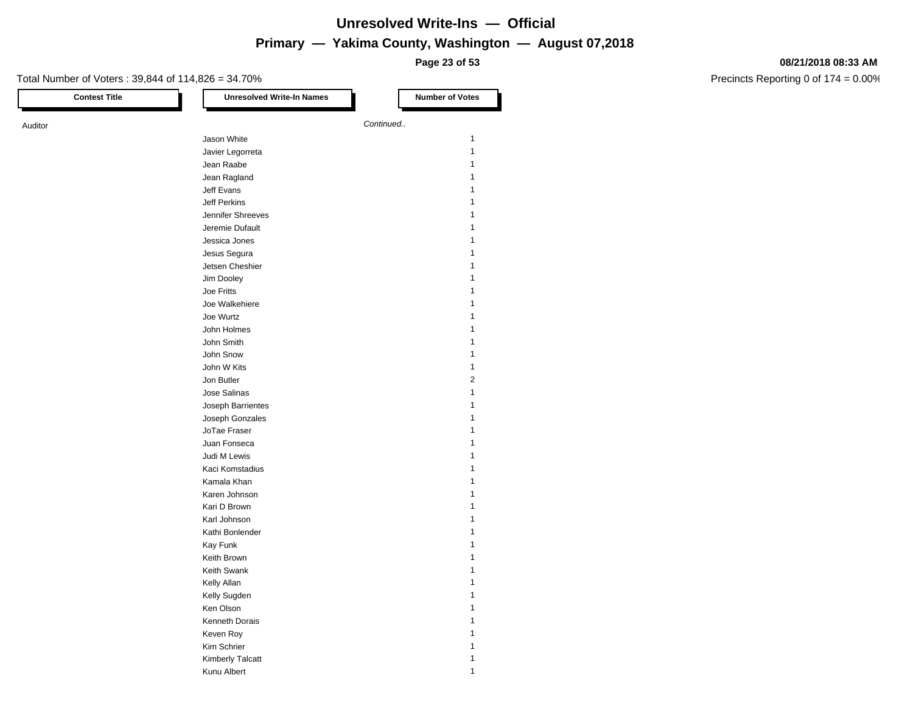**Page 23 of 53**

#### **08/21/2018 08:33 AM**

| <b>Contest Title</b> | <b>Unresolved Write-In Names</b> | <b>Number of Votes</b>  |
|----------------------|----------------------------------|-------------------------|
| Auditor              |                                  | Continued               |
|                      | Jason White                      | $\mathbf{1}$            |
|                      | Javier Legorreta                 | $\mathbf{1}$            |
|                      | Jean Raabe                       | 1                       |
|                      |                                  | 1                       |
|                      | Jean Ragland<br>Jeff Evans       | 1                       |
|                      |                                  | 1                       |
|                      | Jeff Perkins                     |                         |
|                      | Jennifer Shreeves                | 1                       |
|                      | Jeremie Dufault                  |                         |
|                      | Jessica Jones                    | 1                       |
|                      | Jesus Segura                     | 1                       |
|                      | Jetsen Cheshier                  | 1                       |
|                      | Jim Dooley                       |                         |
|                      | Joe Fritts                       |                         |
|                      | Joe Walkehiere                   | 1                       |
|                      | Joe Wurtz                        | 1                       |
|                      | John Holmes                      | 1                       |
|                      | John Smith                       | 1                       |
|                      | John Snow                        | 1                       |
|                      | John W Kits                      | 1                       |
|                      | Jon Butler                       | $\overline{\mathbf{c}}$ |
|                      | Jose Salinas                     | 1                       |
|                      | Joseph Barrientes                | 1                       |
|                      | Joseph Gonzales                  | 1                       |
|                      | JoTae Fraser                     | 1                       |
|                      | Juan Fonseca                     |                         |
|                      | Judi M Lewis                     | 1                       |
|                      | Kaci Komstadius                  | 1                       |
|                      | Kamala Khan                      | 1                       |
|                      | Karen Johnson                    | 1                       |
|                      | Kari D Brown                     | 1                       |
|                      | Karl Johnson                     | 1                       |
|                      | Kathi Bonlender                  | 1                       |
|                      |                                  | 1                       |
|                      | Kay Funk                         | 1                       |
|                      | Keith Brown                      |                         |
|                      | Keith Swank                      | 1<br>1                  |
|                      | Kelly Allan                      |                         |
|                      | Kelly Sugden                     | $\mathbf{1}$            |
|                      | Ken Olson                        | 1                       |
|                      | Kenneth Dorais                   | 1                       |
|                      | Keven Roy                        | 1                       |
|                      | Kim Schrier                      | 1                       |
|                      | Kimberly Talcatt                 | 1                       |
|                      | Kunu Albert                      | $\mathbf{1}$            |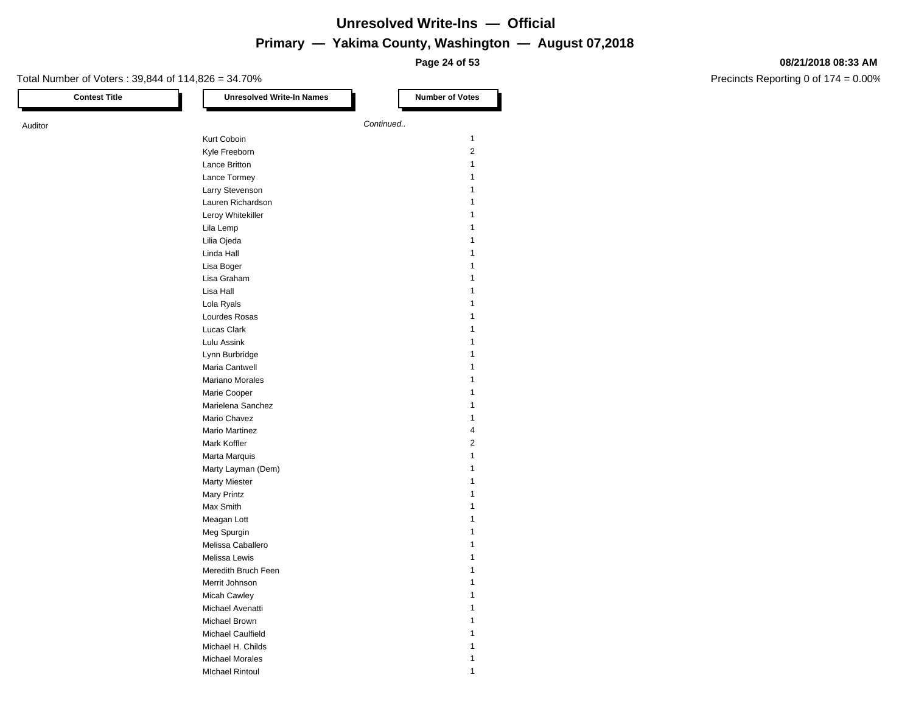**Page 24 of 53**

#### **08/21/2018 08:33 AM**

| <b>Contest Title</b> | <b>Unresolved Write-In Names</b> | <b>Number of Votes</b>  |
|----------------------|----------------------------------|-------------------------|
| Auditor              |                                  | Continued               |
|                      | Kurt Coboin                      | 1                       |
|                      | Kyle Freeborn                    | 2                       |
|                      | Lance Britton                    | 1                       |
|                      | Lance Tormey                     | 1                       |
|                      | Larry Stevenson                  | 1                       |
|                      | Lauren Richardson                | 1                       |
|                      | Leroy Whitekiller                | 1                       |
|                      | Lila Lemp                        | 1                       |
|                      | Lilia Ojeda                      | 1                       |
|                      | Linda Hall                       | 1                       |
|                      |                                  | 1                       |
|                      | Lisa Boger<br>Lisa Graham        | 1                       |
|                      | Lisa Hall                        |                         |
|                      |                                  | 1<br>1                  |
|                      | Lola Ryals                       | 1                       |
|                      | Lourdes Rosas                    |                         |
|                      | Lucas Clark                      | 1                       |
|                      | Lulu Assink                      | 1                       |
|                      | Lynn Burbridge                   | 1                       |
|                      | Maria Cantwell                   | 1                       |
|                      | Mariano Morales                  | 1                       |
|                      | Marie Cooper                     | 1                       |
|                      | Marielena Sanchez                | 1                       |
|                      | Mario Chavez                     | 1                       |
|                      | <b>Mario Martinez</b>            | 4                       |
|                      | Mark Koffler                     | $\overline{\mathbf{c}}$ |
|                      | Marta Marquis                    | 1                       |
|                      | Marty Layman (Dem)               | $\mathbf{1}$            |
|                      | <b>Marty Miester</b>             | 1                       |
|                      | <b>Mary Printz</b>               | 1                       |
|                      | Max Smith                        | 1                       |
|                      | Meagan Lott                      | 1                       |
|                      | Meg Spurgin                      | 1                       |
|                      | Melissa Caballero                | 1                       |
|                      | Melissa Lewis                    | 1                       |
|                      | Meredith Bruch Feen              |                         |
|                      | Merrit Johnson                   | 1                       |
|                      | Micah Cawley                     | 1                       |
|                      | Michael Avenatti                 | 1                       |
|                      | Michael Brown                    | 1                       |
|                      | Michael Caulfield                | 1                       |
|                      | Michael H. Childs                | 1                       |
|                      | <b>Michael Morales</b>           | 1                       |
|                      | <b>MIchael Rintoul</b>           | 1                       |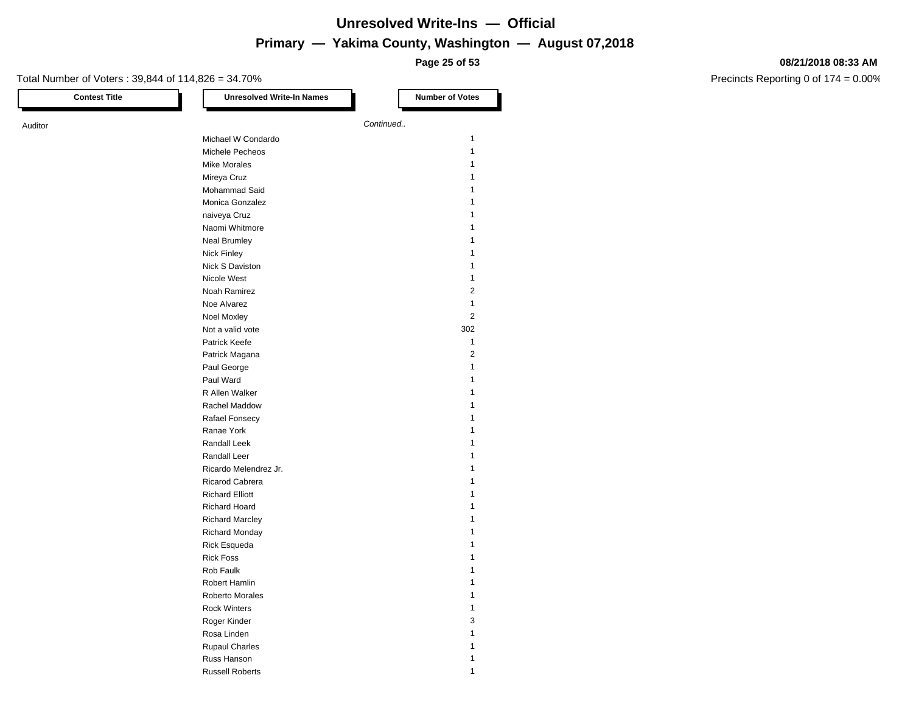**Page 25 of 53**

#### **08/21/2018 08:33 AM**

| <b>Contest Title</b> | <b>Unresolved Write-In Names</b> | <b>Number of Votes</b> |
|----------------------|----------------------------------|------------------------|
|                      |                                  | Continued              |
|                      | Michael W Condardo               | 1                      |
|                      | Michele Pecheos                  | 1                      |
|                      | <b>Mike Morales</b>              | 1                      |
|                      | Mireya Cruz                      | 1                      |
|                      | Mohammad Said                    | 1                      |
|                      |                                  |                        |
|                      | Monica Gonzalez<br>naiveya Cruz  | 1                      |
|                      |                                  |                        |
|                      | Naomi Whitmore                   |                        |
|                      | <b>Neal Brumley</b>              |                        |
|                      | Nick Finley                      | 1                      |
|                      | Nick S Daviston                  | 1                      |
|                      | Nicole West                      | 1                      |
|                      | Noah Ramirez                     | 2                      |
|                      | Noe Alvarez                      | 1                      |
|                      | <b>Noel Moxley</b>               | $\overline{2}$         |
|                      | Not a valid vote                 | 302                    |
|                      | Patrick Keefe                    | 1                      |
|                      | Patrick Magana                   | $\overline{2}$         |
|                      | Paul George                      | 1                      |
|                      | Paul Ward                        | 1                      |
|                      | R Allen Walker                   |                        |
|                      | Rachel Maddow                    | 1                      |
|                      | Rafael Fonsecy                   | 1                      |
|                      | Ranae York                       |                        |
|                      | Randall Leek                     |                        |
|                      | Randall Leer                     |                        |
|                      | Ricardo Melendrez Jr.            | 1                      |
|                      | Ricarod Cabrera                  | 1                      |
|                      | <b>Richard Elliott</b>           | 1                      |
|                      | <b>Richard Hoard</b>             |                        |
|                      |                                  |                        |
|                      | <b>Richard Marcley</b>           |                        |
|                      | Richard Monday                   |                        |
|                      | <b>Rick Esqueda</b>              |                        |
|                      | <b>Rick Foss</b>                 |                        |
|                      | Rob Faulk                        |                        |
|                      | Robert Hamlin                    |                        |
|                      | Roberto Morales                  | 1                      |
|                      | <b>Rock Winters</b>              | 1                      |
|                      | Roger Kinder                     | 3                      |
|                      | Rosa Linden                      | 1                      |
|                      | <b>Rupaul Charles</b>            | 1                      |
|                      | Russ Hanson                      | 1                      |
|                      | <b>Russell Roberts</b>           | $\mathbf{1}$           |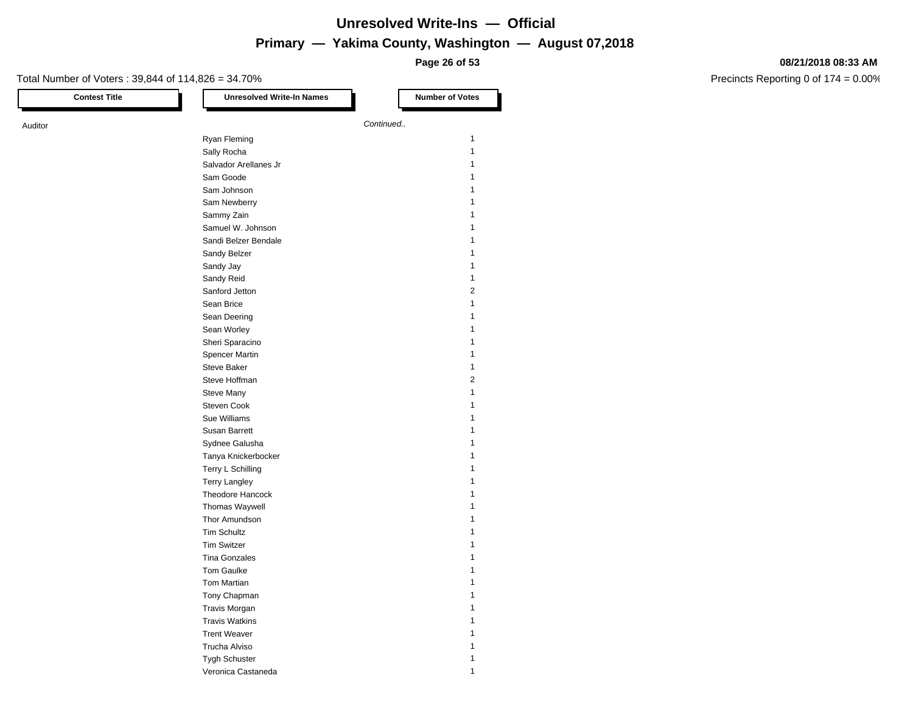**Page 26 of 53**

#### **08/21/2018 08:33 AM**

| <b>Contest Title</b> | <b>Unresolved Write-In Names</b> | <b>Number of Votes</b> |
|----------------------|----------------------------------|------------------------|
| Auditor              |                                  | Continued              |
|                      | Ryan Fleming                     | 1                      |
|                      | Sally Rocha                      | $\mathbf{1}$           |
|                      | Salvador Arellanes Jr            | 1                      |
|                      | Sam Goode                        | 1                      |
|                      | Sam Johnson                      | 1                      |
|                      | Sam Newberry                     | 1                      |
|                      | Sammy Zain                       | 1                      |
|                      | Samuel W. Johnson                | 1                      |
|                      | Sandi Belzer Bendale             | 1                      |
|                      |                                  | 1                      |
|                      | Sandy Belzer                     | 1                      |
|                      | Sandy Jay                        | 1                      |
|                      | Sandy Reid                       | 2                      |
|                      | Sanford Jetton                   |                        |
|                      | Sean Brice                       | 1<br>1                 |
|                      | Sean Deering                     |                        |
|                      | Sean Worley                      | 1                      |
|                      | Sheri Sparacino                  | 1                      |
|                      | Spencer Martin                   | 1                      |
|                      | Steve Baker                      | 1                      |
|                      | Steve Hoffman                    | 2                      |
|                      | Steve Many                       | $\mathbf{1}$           |
|                      | Steven Cook                      | 1                      |
|                      | Sue Williams                     | 1                      |
|                      | Susan Barrett                    | 1                      |
|                      | Sydnee Galusha                   | 1                      |
|                      | Tanya Knickerbocker              | 1                      |
|                      | Terry L Schilling                | 1                      |
|                      | <b>Terry Langley</b>             | 1                      |
|                      | Theodore Hancock                 | 1                      |
|                      | Thomas Waywell                   | 1                      |
|                      | Thor Amundson                    | 1                      |
|                      | <b>Tim Schultz</b>               | 1                      |
|                      | <b>Tim Switzer</b>               | 1                      |
|                      | <b>Tina Gonzales</b>             | 1                      |
|                      | <b>Tom Gaulke</b>                |                        |
|                      | Tom Martian                      | 1                      |
|                      | Tony Chapman                     | 1                      |
|                      | Travis Morgan                    | 1                      |
|                      | <b>Travis Watkins</b>            | 1                      |
|                      | <b>Trent Weaver</b>              | 1                      |
|                      | Trucha Alviso                    | 1                      |
|                      | Tygh Schuster                    | $\mathbf{1}$           |
|                      | Veronica Castaneda               | 1                      |
|                      |                                  |                        |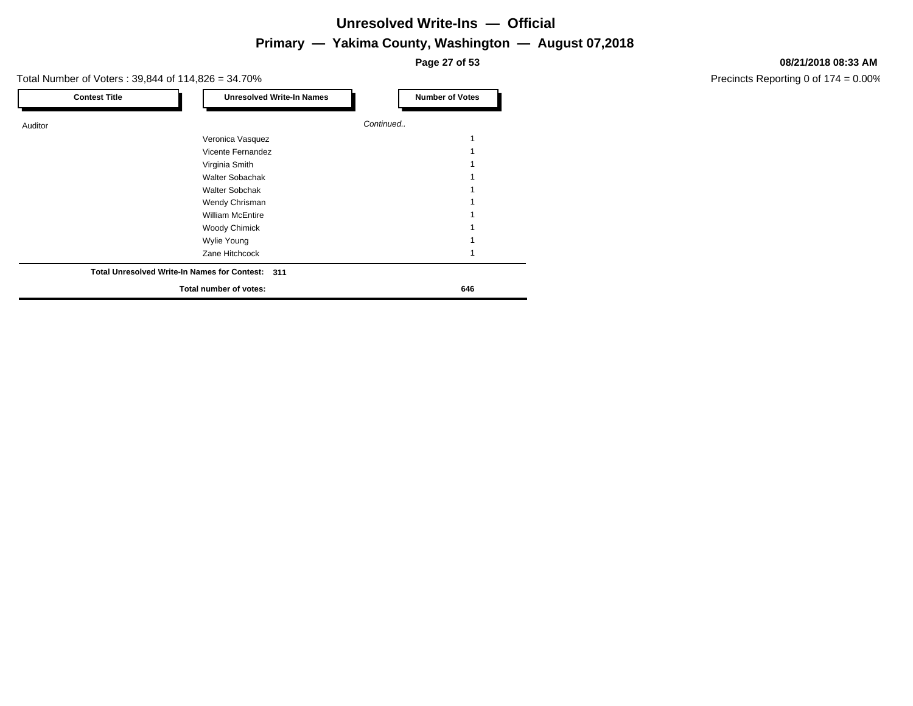**Page 27 of 53**

#### Total Number of Voters : 39,844 of 114,826 = 34.70%

| <b>Contest Title</b> | <b>Unresolved Write-In Names</b>                 | <b>Number of Votes</b> |
|----------------------|--------------------------------------------------|------------------------|
| Auditor              |                                                  | Continued              |
|                      | Veronica Vasquez                                 |                        |
|                      | Vicente Fernandez                                |                        |
|                      | Virginia Smith                                   |                        |
|                      | <b>Walter Sobachak</b>                           |                        |
|                      | <b>Walter Sobchak</b>                            |                        |
|                      | Wendy Chrisman                                   |                        |
|                      | <b>William McEntire</b>                          |                        |
|                      | <b>Woody Chimick</b>                             |                        |
|                      | Wylie Young                                      |                        |
|                      | Zane Hitchcock                                   |                        |
|                      | Total Unresolved Write-In Names for Contest: 311 |                        |
|                      | Total number of votes:                           | 646                    |

#### **08/21/2018 08:33 AM**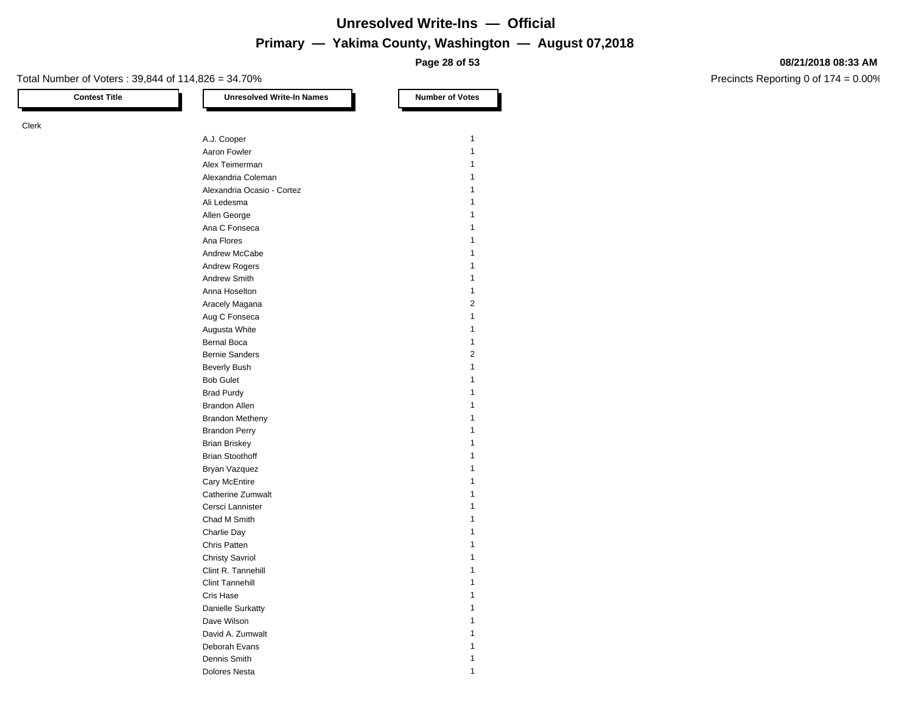**Page 28 of 53**

#### **08/21/2018 08:33 AM**

Precincts Reporting 0 of 174 = 0.00%

#### Total Number of Voters : 39,844 of 114,826 = 34.70%

# Clerk

| A.J. Cooper                | $\mathbf{1}$   |
|----------------------------|----------------|
| Aaron Fowler               | 1              |
| Alex Teimerman             | $\mathbf{1}$   |
| Alexandria Coleman         | $\mathbf{1}$   |
| Alexandria Ocasio - Cortez | 1              |
| Ali Ledesma                | $\mathbf{1}$   |
| Allen George               | $\mathbf{1}$   |
| Ana C Fonseca              | 1              |
| Ana Flores                 | $\mathbf{1}$   |
| Andrew McCabe              | $\mathbf{1}$   |
| <b>Andrew Rogers</b>       | 1              |
| Andrew Smith               | $\mathbf{1}$   |
| Anna Hoselton              | $\mathbf{1}$   |
| Aracely Magana             | $\overline{2}$ |
| Aug C Fonseca              | $\mathbf{1}$   |
| Augusta White              | $\mathbf{1}$   |
| <b>Bernal Boca</b>         | $\mathbf{1}$   |
| <b>Bernie Sanders</b>      | $\overline{2}$ |
| <b>Beverly Bush</b>        | $\mathbf{1}$   |
| <b>Bob Gulet</b>           | $\mathbf{1}$   |
| <b>Brad Purdy</b>          | 1              |
| <b>Brandon Allen</b>       | $\mathbf{1}$   |
| <b>Brandon Metheny</b>     | $\mathbf{1}$   |
| <b>Brandon Perry</b>       | 1              |
| <b>Brian Briskey</b>       | $\mathbf{1}$   |
| <b>Brian Stoothoff</b>     | $\mathbf{1}$   |
| Bryan Vazquez              | 1              |
| Cary McEntire              | $\mathbf{1}$   |
| Catherine Zumwalt          | $\mathbf{1}$   |
| Cersci Lannister           | $\mathbf{1}$   |
| Chad M Smith               | 1              |
| Charlie Day                | $\mathbf{1}$   |
| Chris Patten               | $\mathbf{1}$   |
| <b>Christy Savriol</b>     | 1              |
| Clint R. Tannehill         | $\mathbf{1}$   |
| <b>Clint Tannehill</b>     | $\mathbf{1}$   |
| Cris Hase                  | 1              |
| <b>Danielle Surkatty</b>   | $\mathbf{1}$   |
| Dave Wilson                | $\mathbf{1}$   |
| David A. Zumwalt           | 1              |
| Deborah Evans              | 1              |
| Dennis Smith               | 1              |
| <b>Dolores Nesta</b>       | 1              |

**Contest Title Number of Votes Number of Votes**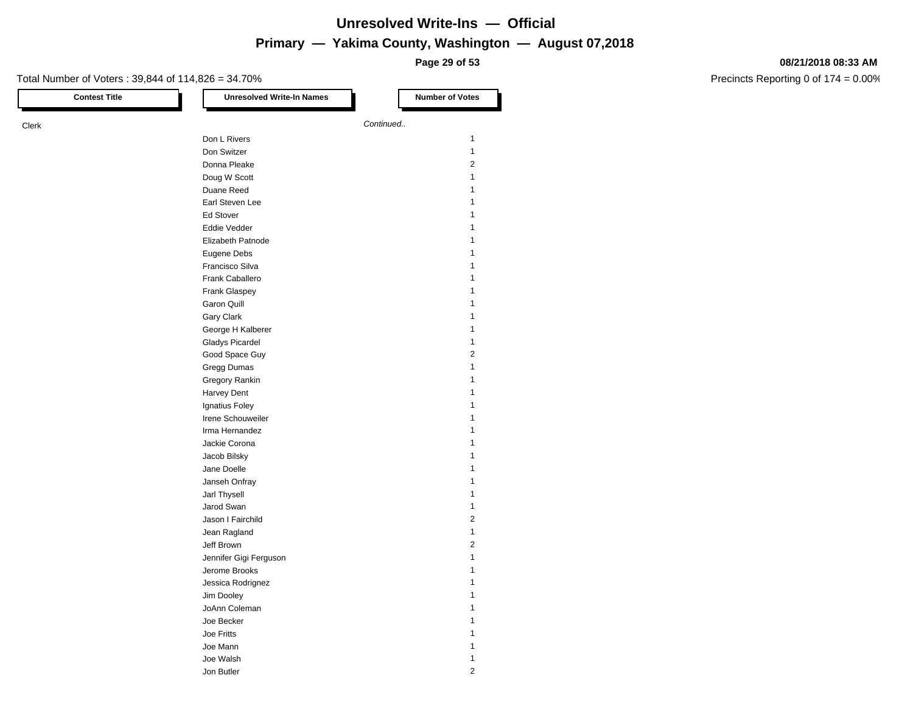**Page 29 of 53**

#### **08/21/2018 08:33 AM**

| <b>Contest Title</b> | <b>Unresolved Write-In Names</b> | <b>Number of Votes</b>  |
|----------------------|----------------------------------|-------------------------|
|                      |                                  | Continued               |
|                      |                                  |                         |
|                      | Don L Rivers                     | 1                       |
|                      | Don Switzer                      | 1                       |
|                      | Donna Pleake                     | 2                       |
|                      | Doug W Scott                     | 1                       |
|                      | Duane Reed                       | 1                       |
|                      | Earl Steven Lee                  | 1                       |
|                      | <b>Ed Stover</b>                 | 1                       |
|                      | Eddie Vedder                     | 1                       |
|                      | Elizabeth Patnode                | 1                       |
|                      | Eugene Debs                      | 1                       |
|                      | Francisco Silva                  | 1                       |
|                      | Frank Caballero                  | 1                       |
|                      | Frank Glaspey                    | 1                       |
|                      | <b>Garon Quill</b>               | 1                       |
|                      | Gary Clark                       | 1                       |
|                      | George H Kalberer                | 1                       |
|                      | <b>Gladys Picardel</b>           | 1                       |
|                      | Good Space Guy                   | $\overline{\mathbf{c}}$ |
|                      |                                  | 1                       |
|                      | Gregg Dumas                      |                         |
|                      | Gregory Rankin                   | 1                       |
|                      | Harvey Dent                      | 1                       |
|                      | Ignatius Foley                   | 1                       |
|                      | Irene Schouweiler                | 1                       |
|                      | Irma Hernandez                   | 1                       |
|                      | Jackie Corona                    | 1                       |
|                      | Jacob Bilsky                     | 1                       |
|                      | Jane Doelle                      | 1                       |
|                      | Janseh Onfray                    | 1                       |
|                      | Jarl Thysell                     | 1                       |
|                      | Jarod Swan                       | 1                       |
|                      | Jason I Fairchild                | $\overline{\mathbf{c}}$ |
|                      | Jean Ragland                     | 1                       |
|                      | Jeff Brown                       | 2                       |
|                      | Jennifer Gigi Ferguson           | 1                       |
|                      | Jerome Brooks                    | 1                       |
|                      | Jessica Rodrignez                | 1                       |
|                      | Jim Dooley                       | $\mathbf{1}$            |
|                      |                                  | 1                       |
|                      | JoAnn Coleman                    |                         |
|                      | Joe Becker                       | 1                       |
|                      | Joe Fritts                       | 1                       |
|                      | Joe Mann                         | 1                       |
|                      | Joe Walsh                        | 1                       |
|                      | Jon Butler                       | $\sqrt{2}$              |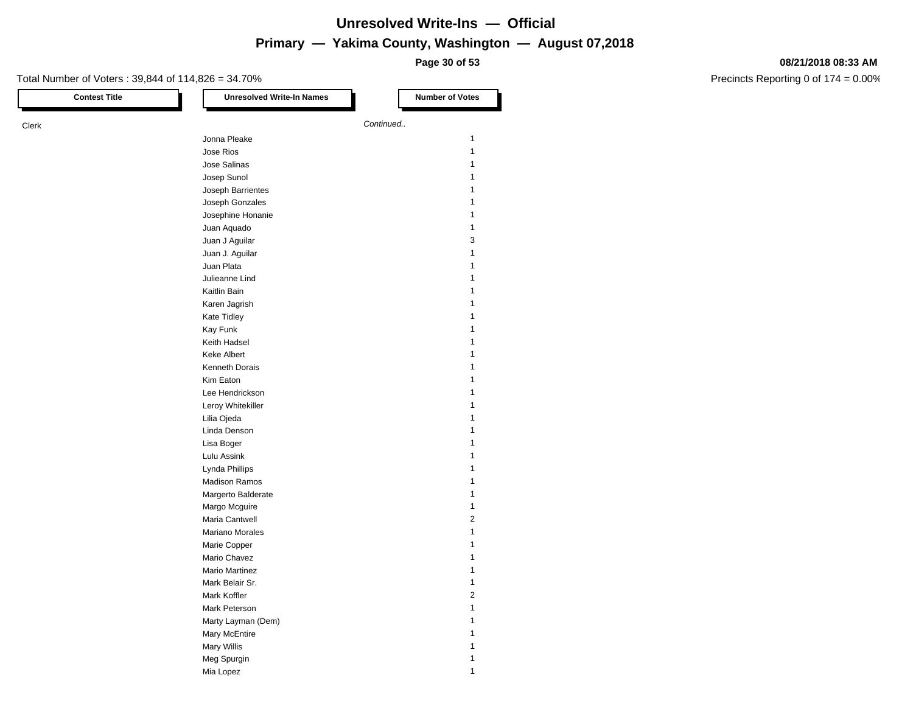**Page 30 of 53**

#### **08/21/2018 08:33 AM**

| <b>Contest Title</b> | <b>Unresolved Write-In Names</b> | <b>Number of Votes</b>  |
|----------------------|----------------------------------|-------------------------|
| Clerk                |                                  | Continued               |
|                      | Jonna Pleake                     | 1                       |
|                      | Jose Rios                        | $\mathbf{1}$            |
|                      | Jose Salinas                     | 1                       |
|                      | Josep Sunol                      | 1                       |
|                      | Joseph Barrientes                | 1                       |
|                      | Joseph Gonzales                  | 1                       |
|                      | Josephine Honanie                | 1                       |
|                      | Juan Aquado                      | 1                       |
|                      | Juan J Aguilar                   | 3                       |
|                      | Juan J. Aguilar                  | 1                       |
|                      | Juan Plata                       | 1                       |
|                      | Julieanne Lind                   | 1                       |
|                      | Kaitlin Bain                     | 1                       |
|                      |                                  | 1                       |
|                      | Karen Jagrish                    | 1                       |
|                      | Kate Tidley<br>Kay Funk          | 1                       |
|                      |                                  | 1                       |
|                      | Keith Hadsel                     | 1                       |
|                      | <b>Keke Albert</b>               |                         |
|                      | Kenneth Dorais                   | 1                       |
|                      | Kim Eaton                        | 1                       |
|                      | Lee Hendrickson                  | 1                       |
|                      | Leroy Whitekiller                | 1                       |
|                      | Lilia Ojeda                      | 1                       |
|                      | Linda Denson                     | 1                       |
|                      | Lisa Boger                       | 1                       |
|                      | Lulu Assink                      | 1                       |
|                      | Lynda Phillips                   | $\mathbf{1}$            |
|                      | <b>Madison Ramos</b>             | 1                       |
|                      | Margerto Balderate               | 1                       |
|                      | Margo Mcguire                    | 1                       |
|                      | Maria Cantwell                   | $\overline{\mathbf{c}}$ |
|                      | Mariano Morales                  | 1                       |
|                      | Marie Copper                     | 1                       |
|                      | Mario Chavez                     | 1                       |
|                      | <b>Mario Martinez</b>            |                         |
|                      | Mark Belair Sr.                  | 1                       |
|                      | Mark Koffler                     | $\overline{\mathbf{c}}$ |
|                      | Mark Peterson                    | $\mathbf{1}$            |
|                      | Marty Layman (Dem)               | 1                       |
|                      | Mary McEntire                    | 1                       |
|                      | Mary Willis                      | 1                       |
|                      | Meg Spurgin                      | $\mathbf{1}$            |
|                      | Mia Lopez                        | $\mathbf{1}$            |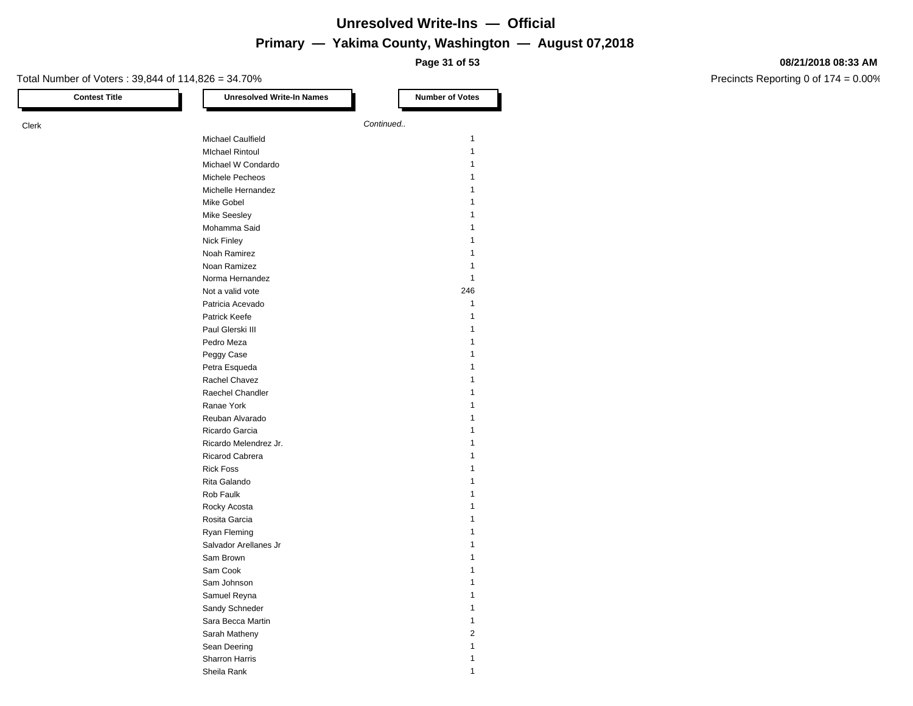**Page 31 of 53**

#### **08/21/2018 08:33 AM**

| <b>Contest Title</b> | <b>Unresolved Write-In Names</b> | <b>Number of Votes</b> |
|----------------------|----------------------------------|------------------------|
|                      |                                  | Continued              |
|                      | Michael Caulfield                | 1                      |
|                      | <b>MIchael Rintoul</b>           | 1                      |
|                      | Michael W Condardo               | 1                      |
|                      |                                  |                        |
|                      | Michele Pecheos                  |                        |
|                      | Michelle Hernandez               |                        |
|                      | Mike Gobel                       |                        |
|                      | Mike Seesley                     | 1                      |
|                      | Mohamma Said                     | 1                      |
|                      | Nick Finley                      |                        |
|                      | Noah Ramirez                     |                        |
|                      | Noan Ramizez                     |                        |
|                      | Norma Hernandez                  | 1                      |
|                      | Not a valid vote                 | 246                    |
|                      | Patricia Acevado                 | 1                      |
|                      | Patrick Keefe                    | 1                      |
|                      | Paul Glerski III                 |                        |
|                      | Pedro Meza                       | 1                      |
|                      | Peggy Case                       |                        |
|                      | Petra Esqueda                    |                        |
|                      | Rachel Chavez                    | 1                      |
|                      | Raechel Chandler                 | 1                      |
|                      | Ranae York                       |                        |
|                      | Reuban Alvarado                  |                        |
|                      | Ricardo Garcia                   |                        |
|                      | Ricardo Melendrez Jr.            |                        |
|                      | Ricarod Cabrera                  | 1                      |
|                      | <b>Rick Foss</b>                 | 1                      |
|                      | Rita Galando                     |                        |
|                      | Rob Faulk                        |                        |
|                      | Rocky Acosta                     | 1                      |
|                      | Rosita Garcia                    |                        |
|                      | Ryan Fleming                     |                        |
|                      | Salvador Arellanes Jr            |                        |
|                      | Sam Brown                        |                        |
|                      | Sam Cook                         |                        |
|                      | Sam Johnson                      | 1                      |
|                      | Samuel Reyna                     | $\mathbf{1}$           |
|                      | Sandy Schneder                   | 1                      |
|                      | Sara Becca Martin                | 1                      |
|                      | Sarah Matheny                    | $\mathbf 2$            |
|                      | Sean Deering                     | 1                      |
|                      | Sharron Harris                   | 1                      |
|                      | Sheila Rank                      | $\mathbf{1}$           |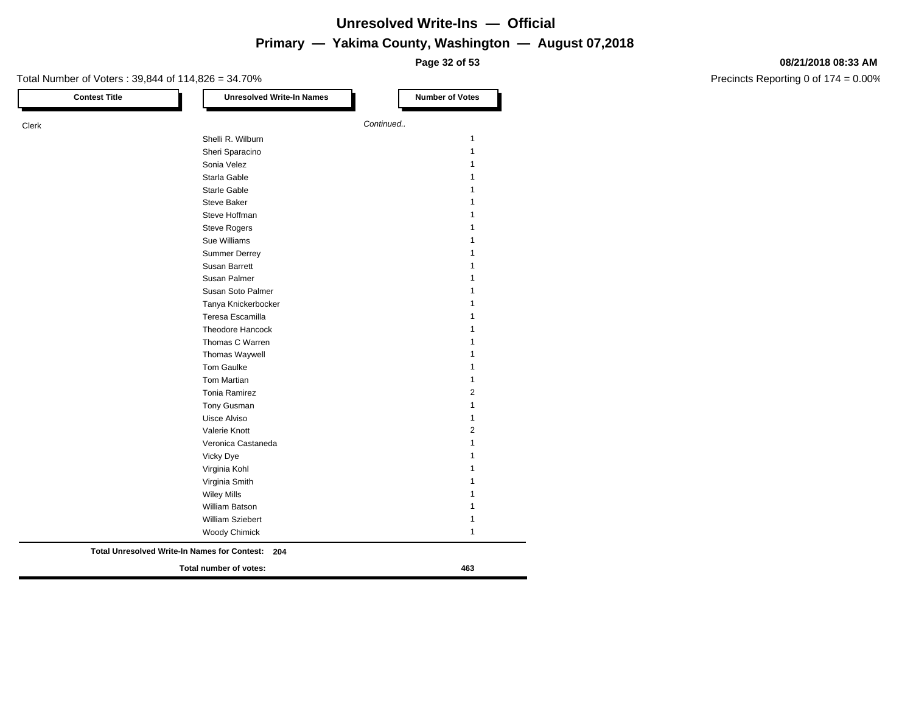**Page 32 of 53**

#### **08/21/2018 08:33 AM**

| <b>Contest Title</b> | <b>Unresolved Write-In Names</b>                    | <b>Number of Votes</b> |
|----------------------|-----------------------------------------------------|------------------------|
| Clerk                |                                                     | Continued              |
|                      | Shelli R. Wilburn                                   | $\mathbf{1}$           |
|                      | Sheri Sparacino                                     | 1                      |
|                      | Sonia Velez                                         | 1                      |
|                      | Starla Gable                                        | 1                      |
|                      | Starle Gable                                        | 1                      |
|                      | <b>Steve Baker</b>                                  | 1                      |
|                      | Steve Hoffman                                       |                        |
|                      | <b>Steve Rogers</b>                                 |                        |
|                      | Sue Williams                                        |                        |
|                      | <b>Summer Derrey</b>                                |                        |
|                      | <b>Susan Barrett</b>                                |                        |
|                      | Susan Palmer                                        | 1                      |
|                      | Susan Soto Palmer                                   | 1                      |
|                      | Tanya Knickerbocker                                 | 1                      |
|                      | Teresa Escamilla                                    |                        |
|                      | <b>Theodore Hancock</b>                             |                        |
|                      | Thomas C Warren                                     | 1                      |
|                      | Thomas Waywell                                      |                        |
|                      | <b>Tom Gaulke</b>                                   | 1                      |
|                      | Tom Martian                                         | 1                      |
|                      | <b>Tonia Ramirez</b>                                | 2                      |
|                      | Tony Gusman                                         | 1                      |
|                      | Uisce Alviso                                        | 1                      |
|                      | Valerie Knott                                       | 2                      |
|                      | Veronica Castaneda                                  | 1                      |
|                      | Vicky Dye                                           |                        |
|                      | Virginia Kohl                                       |                        |
|                      | Virginia Smith                                      |                        |
|                      | <b>Wiley Mills</b>                                  | 1                      |
|                      | <b>William Batson</b>                               | 1                      |
|                      | William Sziebert                                    | 1                      |
|                      | Woody Chimick                                       | 1                      |
|                      | Total Unresolved Write-In Names for Contest:<br>204 |                        |
|                      | Total number of votes:                              | 463                    |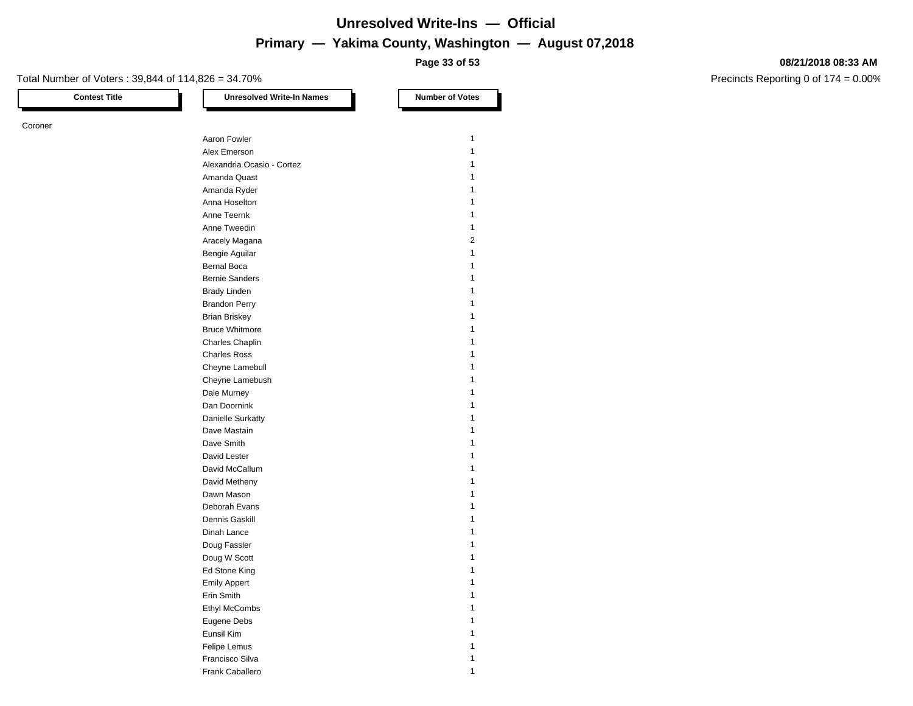**Page 33 of 53**

#### Total Number of Voters : 39,844 of 114,826 = 34.70%

Coroner

**Contest Title Number of Votes Number of Votes** Aaron Fowler 1 and 1 and 1 and 1 and 1 and 1 and 1 and 1 and 1 and 1 and 1 and 1 and 1 and 1 and 1 and 1 and 1 Alex Emerson 1 Alexandria Ocasio - Cortez 1 Amanda Quast 1 Amanda Ryder 1986 and 1987 and 1988 and 1988 and 1988 and 1988 and 1988 and 1988 and 1988 and 1988 and 1988 and 1988 and 1988 and 1988 and 1988 and 1988 and 1988 and 1988 and 1988 and 1988 and 1988 and 1988 and 1988 and 19 Anna Hoselton 1986 and 1987 and 1988 and 1988 and 1988 and 1988 and 1988 and 1988 and 1988 and 1988 and 1988 and 1988 and 1988 and 1988 and 1988 and 1988 and 1988 and 1988 and 1988 and 1988 and 1988 and 1988 and 1988 and 1 Anne Teernk 1 Anne Tweedin 2008 and 2009 and 2009 and 2009 and 2009 and 2009 and 2009 and 2009 and 2009 and 2009 and 2009 and 2009 and 2009 and 2009 and 2009 and 2009 and 2009 and 2009 and 2009 and 2009 and 2009 and 2009 and 2009 and 20 Aracely Magana 2 Bengie Aguilar 1986 and 1987 and 1988 and 1988 and 1988 and 1988 and 1988 and 1988 and 1988 and 1988 and 1988 and 1988 and 1988 and 1988 and 1988 and 1988 and 1988 and 1988 and 1988 and 1988 and 1988 and 1988 and 1988 and Bernal Boca 1 and 1 and 1 and 1 and 1 and 1 and 1 and 1 and 1 and 1 and 1 and 1 and 1 and 1 and 1 and 1 and 1 and 1 and 1 and 1 and 1 and 1 and 1 and 1 and 1 and 1 and 1 and 1 and 1 and 1 and 1 and 1 and 1 and 1 and 1 and Bernie Sanders 1986 and 1987 and 1988 and 1988 and 1988 and 1988 and 1988 and 1988 and 1988 and 1988 and 1988 and 1988 and 1988 and 1988 and 1988 and 1988 and 1988 and 1988 and 1988 and 1988 and 1988 and 1988 and 1988 and Brady Linden 1 and 1 and 1 and 1 and 1 and 1 and 1 and 1 and 1 and 1 and 1 and 1 and 1 and 1 and 1 and 1 and 1 Brandon Perry 1 Brian Briskey 1988 and the state of the state of the state of the state of the state of the state of the state of the state of the state of the state of the state of the state of the state of the state of the state of the Bruce Whitmore 2008 and 2008 and 2008 and 2008 and 2008 and 2008 and 2008 and 2008 and 2008 and 2008 and 2008 and 2008 and 2008 and 2008 and 2008 and 2008 and 2008 and 2008 and 2008 and 2008 and 2008 and 2008 and 2008 and Charles Chaplin 1 Charles Ross 1 Cheyne Lamebull **1** Cheyne Lamebush 1 Dale Murney 1996 and the United States of the United States 1997 and 1997 and 1997 and 1997 and 1997 and 1997 and 1997 and 1997 and 1997 and 1997 and 1997 and 1997 and 1997 and 1997 and 1997 and 1997 and 1997 and 1997 and Dan Doornink 1 Danielle Surkatty 1 Dave Mastain 2008 and 2009 and 2009 and 2009 and 2009 and 2009 and 2009 and 2009 and 2009 and 2009 and 2009 and 2009 and 2009 and 2009 and 2009 and 2009 and 2009 and 2009 and 2009 and 2009 and 2009 and 2009 and 2009 and 20 Dave Smith 1 David Lester 1 David McCallum 1 David Metheny 1 Dawn Mason 2012 12:00:00 12:00:00 12:00:00 12:00:00 12:00:00 12:00:00 12:00:00 12:00:00 12:00:00 12:00:00 12:00:00 12:00:00 12:00:00 12:00:00 12:00:00 12:00:00 12:00:00 12:00:00 12:00:00 12:00:00 12:00:00 12:00:00 12:00:00 Deborah Evans 1 Dennis Gaskill **1** and 1 and 1 and 1 and 1 and 1 and 1 and 1 and 1 and 1 and 1 and 1 and 1 and 1 and 1 and 1 and 1 and 1 and 1 and 1 and 1 and 1 and 1 and 1 and 1 and 1 and 1 and 1 and 1 and 1 and 1 and 1 and 1 and 1 and 1 Dinah Lance 1 Doug Fassler 1 and 1 and 1 and 1 and 1 and 1 and 1 and 1 and 1 and 1 and 1 and 1 and 1 and 1 and 1 and 1 and 1 Doug W Scott 2008 12 and 2008 12 and 2008 12 and 2008 12 and 2008 12 and 2008 12 and 2008 12 and 2008 12 and 20 Ed Stone King 1999 and 1999 and 1999 and 1999 and 1999 and 1999 and 1999 and 1999 and 1999 and 1999 and 1999 and 1999 and 1999 and 1999 and 1999 and 1999 and 1999 and 1999 and 1999 and 1999 and 1999 and 1999 and 1999 and 1 Emily Appert 1 Erin Smith 1 Ethyl McCombs 1 Eugene Debs 1 and 1 and 1 and 1 and 1 and 1 and 1 and 1 and 1 and 1 and 1 and 1 and 1 and 1 and 1 and 1 and 1 and 1 and 1 and 1 and 1 and 1 and 1 and 1 and 1 and 1 and 1 and 1 and 1 and 1 and 1 and 1 and 1 and 1 and 1 and

> Eunsil Kim 1 Felipe Lemus 1 Francisco Silva 11 Frank Caballero 11 and 12 and 12 and 12 and 12 and 12 and 12 and 12 and 12 and 12 and 12 and 12 and 12 and 12 and 12 and 12 and 12 and 12 and 12 and 12 and 12 and 12 and 12 and 12 and 12 and 12 and 12 and 12 and 12 and 12

#### **08/21/2018 08:33 AM**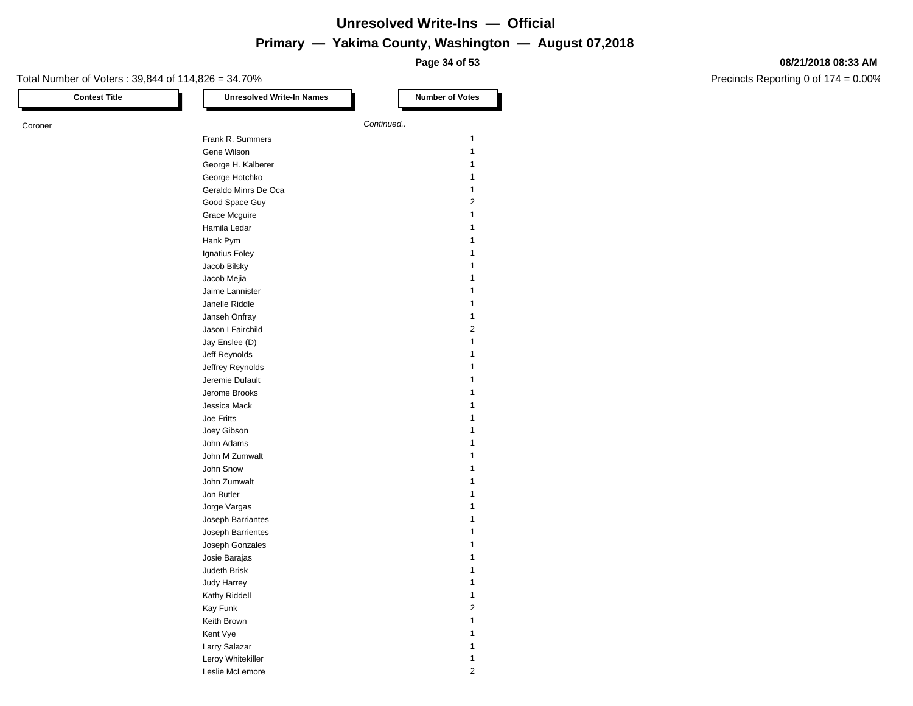**Page 34 of 53**

#### **08/21/2018 08:33 AM**

| <b>Contest Title</b> | <b>Unresolved Write-In Names</b> | <b>Number of Votes</b>  |
|----------------------|----------------------------------|-------------------------|
| Coroner              |                                  | Continued               |
|                      | Frank R. Summers                 | 1                       |
|                      | Gene Wilson                      | $\mathbf{1}$            |
|                      | George H. Kalberer               | 1                       |
|                      | George Hotchko                   | 1                       |
|                      | Geraldo Minrs De Oca             | 1                       |
|                      | Good Space Guy                   | 2                       |
|                      | Grace Mcguire                    | 1                       |
|                      | Hamila Ledar                     | 1                       |
|                      |                                  | 1                       |
|                      | Hank Pym                         |                         |
|                      | Ignatius Foley                   | 1                       |
|                      | Jacob Bilsky                     |                         |
|                      | Jacob Mejia                      | 1                       |
|                      | Jaime Lannister                  | 1                       |
|                      | Janelle Riddle                   | 1                       |
|                      | Janseh Onfray                    | 1                       |
|                      | Jason I Fairchild                | 2                       |
|                      | Jay Enslee (D)                   | 1                       |
|                      | Jeff Reynolds                    | 1                       |
|                      | Jeffrey Reynolds                 | 1                       |
|                      | Jeremie Dufault                  | 1                       |
|                      | Jerome Brooks                    | 1                       |
|                      | Jessica Mack                     | 1                       |
|                      | Joe Fritts                       |                         |
|                      | Joey Gibson                      | 1                       |
|                      | John Adams                       | 1                       |
|                      | John M Zumwalt                   | 1                       |
|                      | John Snow                        | 1                       |
|                      | John Zumwalt                     | 1                       |
|                      | Jon Butler                       |                         |
|                      | Jorge Vargas                     | 1                       |
|                      | Joseph Barriantes                | 1                       |
|                      | Joseph Barrientes                | 1                       |
|                      | Joseph Gonzales                  | 1                       |
|                      | Josie Barajas                    | 1                       |
|                      | Judeth Brisk                     |                         |
|                      |                                  | 1                       |
|                      | <b>Judy Harrey</b>               |                         |
|                      | Kathy Riddell                    | $\mathbf{1}$            |
|                      | Kay Funk                         | $\overline{\mathbf{c}}$ |
|                      | Keith Brown                      | $\mathbf{1}$            |
|                      | Kent Vye                         | 1                       |
|                      | Larry Salazar                    | 1                       |
|                      | Leroy Whitekiller                | $\mathbf{1}$            |
|                      | Leslie McLemore                  | $\overline{c}$          |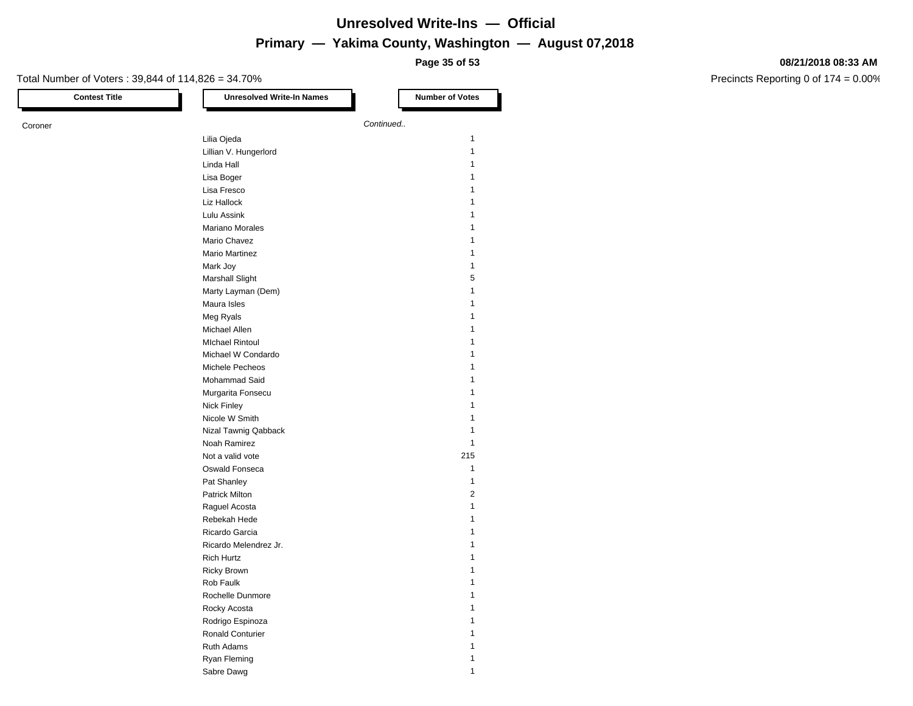**Page 35 of 53**

#### **08/21/2018 08:33 AM**

| <b>Contest Title</b> | <b>Unresolved Write-In Names</b> | <b>Number of Votes</b> |
|----------------------|----------------------------------|------------------------|
| Coroner              |                                  | Continued              |
|                      | Lilia Ojeda                      | 1                      |
|                      | Lillian V. Hungerlord            | $\mathbf{1}$           |
|                      | Linda Hall                       | 1                      |
|                      | Lisa Boger                       | 1                      |
|                      | Lisa Fresco                      | 1                      |
|                      | Liz Hallock                      | 1                      |
|                      | Lulu Assink                      | 1                      |
|                      | <b>Mariano Morales</b>           | 1                      |
|                      | Mario Chavez                     | 1                      |
|                      | <b>Mario Martinez</b>            | 1                      |
|                      | Mark Joy                         | 1                      |
|                      | <b>Marshall Slight</b>           | 5                      |
|                      | Marty Layman (Dem)               | 1                      |
|                      | Maura Isles                      | 1                      |
|                      |                                  | 1                      |
|                      | Meg Ryals<br>Michael Allen       | 1                      |
|                      | <b>MIchael Rintoul</b>           | 1                      |
|                      |                                  | 1                      |
|                      | Michael W Condardo               |                        |
|                      | Michele Pecheos                  | 1<br>1                 |
|                      | Mohammad Said                    |                        |
|                      | Murgarita Fonsecu                | 1                      |
|                      | <b>Nick Finley</b>               | 1                      |
|                      | Nicole W Smith                   |                        |
|                      | Nizal Tawnig Qabback             | 1                      |
|                      | Noah Ramirez                     | 1                      |
|                      | Not a valid vote                 | 215                    |
|                      | Oswald Fonseca                   | 1                      |
|                      | Pat Shanley                      | 1                      |
|                      | <b>Patrick Milton</b>            | 2                      |
|                      | Raguel Acosta                    | $\mathbf{1}$           |
|                      | Rebekah Hede                     | 1                      |
|                      | Ricardo Garcia                   | 1                      |
|                      | Ricardo Melendrez Jr.            | 1                      |
|                      | <b>Rich Hurtz</b>                | 1                      |
|                      | <b>Ricky Brown</b>               |                        |
|                      | Rob Faulk                        | 1                      |
|                      | Rochelle Dunmore                 | 1                      |
|                      | Rocky Acosta                     | 1                      |
|                      | Rodrigo Espinoza                 | 1                      |
|                      | Ronald Conturier                 | 1                      |
|                      | Ruth Adams                       | 1                      |
|                      | Ryan Fleming                     | $\mathbf{1}$           |
|                      | Sabre Dawg                       | $\mathbf{1}$           |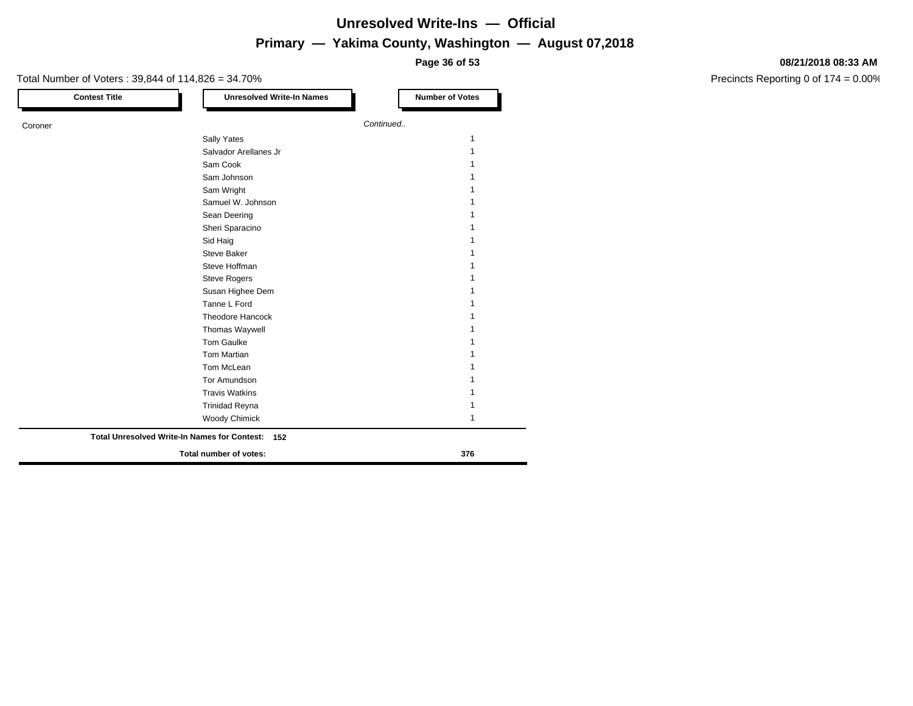**Page 36 of 53**

### Total Number of Voters : 39,844 of 114,826 = 34.70% **Contest Title Number of Votes Number of Votes** Coroner *Continued..* Sally Yates 1999 and the state of the state of the state of the state of the state of the state of the state of the state of the state of the state of the state of the state of the state of the state of the state of the st Salvador Arellanes Jr 1 Sam Cook 1 Sam Johnson 1 and 1 and 1 and 1 and 1 and 1 and 1 and 1 and 1 and 1 and 1 and 1 and 1 and 1 and 1 and 1 and 1 and 1 and 1 and 1 and 1 and 1 and 1 and 1 and 1 and 1 and 1 and 1 and 1 and 1 and 1 and 1 and 1 and 1 and 1 and Sam Wright 1 and 1 and 1 and 1 and 1 and 1 and 1 and 1 and 1 and 1 and 1 and 1 and 1 and 1 and 1 and 1 and 1 and 1 and 1 and 1 and 1 and 1 and 1 and 1 and 1 and 1 and 1 and 1 and 1 and 1 and 1 and 1 and 1 and 1 and 1 and 1 Samuel W. Johnson 1 Sean Deering 1 and 1 and 1 and 1 and 1 and 1 and 1 and 1 and 1 and 1 and 1 and 1 and 1 and 1 and 1 and 1 and 1 Sheri Sparacino 11 Sid Haig 1 and 1 and 1 and 1 and 1 and 1 and 1 and 1 and 1 and 1 and 1 and 1 and 1 and 1 and 1 and 1 and 1 and 1 Steve Baker 1 Steve Hoffman 1 Steve Rogers 1 Susan Highee Dem 1 Tanne L Ford 1 Theodore Hancock 1 Thomas Waywell **1** Tom Gaulke 1 and 1 and 1 and 1 and 1 and 1 and 1 and 1 and 1 and 1 and 1 and 1 and 1 and 1 and 1 and 1 and 1 and 1 and 1 and 1 and 1 and 1 and 1 and 1 and 1 and 1 and 1 and 1 and 1 and 1 and 1 and 1 and 1 and 1 and 1 and 1 Tom Martian 1 Tom McLean 2012 12:00:00 12:00:00 12:00:00 12:00:00 12:00:00 12:00:00 12:00:00 12:00:00 12:00:00 12:00:00 12:00:00 12:00:00 12:00:00 12:00:00 12:00:00 12:00:00 12:00:00 12:00:00 12:00:00 12:00:00 12:00:00 12:00:00 12:00:00 Tor Amundson 1 Travis Watkins 1 Trinidad Reyna 1 Woody Chimick 1 **Total number of votes: 376 Total Unresolved Write-In Names for Contest: 152**

#### **08/21/2018 08:33 AM**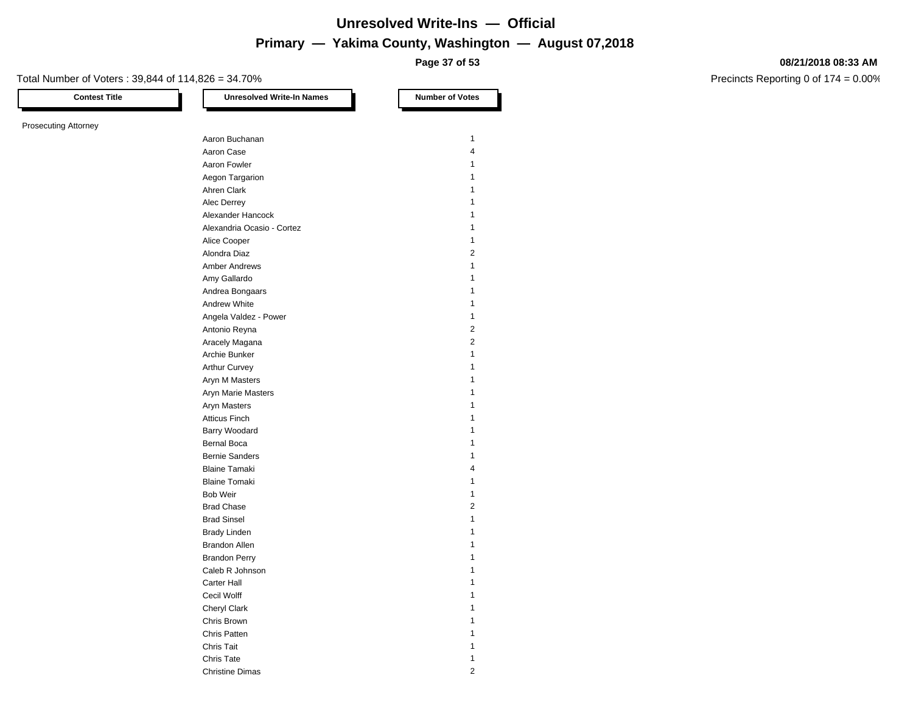**Page 37 of 53**

#### **08/21/2018 08:33 AM**

Precincts Reporting 0 of 174 = 0.00%

Total Number of Voters : 39,844 of 114,826 = 34.70%

Prosecuting Attorney

**Contest Title Let under the Unresolved Write-In Names Number of Votes** Aaron Buchanan 11 and 12 and 12 and 12 and 12 and 12 and 12 and 12 and 12 and 12 and 12 and 12 and 12 and 12 and 12 and 12 and 12 and 12 and 12 and 12 and 12 and 12 and 12 and 12 and 12 and 12 and 12 and 12 and 12 and 12 a Aaron Case 4 Aaron Fowler 1 Aegon Targarion 1 Ahren Clark 1 Alec Derrey 1 Alexander Hancock 1 Alexandria Ocasio - Cortez 1 Alice Cooper 1 Alondra Diaz 2 Amber Andrews 1 Amy Gallardo 11 and 12 and 12 and 12 and 12 and 12 and 12 and 12 and 12 and 12 and 12 and 12 and 12 and 12 and 12 and 12 and 12 and 12 and 12 and 12 and 12 and 12 and 12 and 12 and 12 and 12 and 12 and 12 and 12 and 12 and Andrea Bongaars 1988 and 1989 and 1989 and 1989 and 1989 and 1989 and 1989 and 1989 and 1989 and 1989 and 1989  $\pm 1$ Andrew White 1999 and 1999 and 1999 and 1999 and 1999 and 1999 and 1999 and 1999 and 1999 and 1999 and 1999 and 1999 and 1999 and 1999 and 1999 and 1999 and 1999 and 1999 and 1999 and 1999 and 1999 and 1999 and 1999 and 19 Angela Valdez - Power 1 Antonio Reyna 2 Aracely Magana 2 Archie Bunker 1986 and 1987 and 1988 and 1988 and 1988 and 1988 and 1988 and 1988 and 1988 and 1988 and 1988 and 1988 and 1988 and 1988 and 1988 and 1988 and 1988 and 1988 and 1988 and 1988 and 1988 and 1988 and 1988 and 1 Arthur Curvey **1** Aryn M Masters 1 Aryn Marie Masters 1 Aryn Masters 1 Atticus Finch 1 Barry Woodard 2008 12 and 2008 12 and 2008 12 and 2008 12 and 2008 12 and 2008 12 and 2008 12 and 2008 12 and 2008 12 and 2008 12 and 2008 12 and 2008 12 and 2008 12 and 2008 12 and 2008 12 and 2008 12 and 2008 12 and 2008 Bernal Boca 1 and 1 and 1 and 1 and 1 and 1 and 1 and 1 and 1 and 1 and 1 and 1 and 1 and 1 and 1 and 1 and 1 and 1 and 1 and 1 and 1 and 1 and 1 and 1 and 1 and 1 and 1 and 1 and 1 and 1 and 1 and 1 and 1 and 1 and 1 and Bernie Sanders 1986 and 1987 and 1988 and 1988 and 1988 and 1988 and 1988 and 1988 and 1988 and 1988 and 1988 and 1988 and 1988 and 1988 and 1988 and 1988 and 1988 and 1988 and 1988 and 1988 and 1988 and 1988 and 1988 and Blaine Tamaki 4 Blaine Tomaki 1 Bob Weir **1** and 1 and 1 and 1 and 1 and 1 and 1 and 1 and 1 and 1 and 1 and 1 and 1 and 1 and 1 and 1 and 1 and 1 and 1 and 1 and 1 and 1 and 1 and 1 and 1 and 1 and 1 and 1 and 1 and 1 and 1 and 1 and 1 and 1 and 1 and 1 Brad Chase 2 Brad Sinsel 2020 12:00:00 12:00:00 12:00:00 12:00:00 12:00:00 12:00:00 12:00:00 12:00:00 12:00:00 12:00:00 12:00:00 12:00:00 12:00:00 12:00:00 12:00:00 12:00:00 12:00:00 12:00:00 12:00:00 12:00:00 12:00:00 12:00:00 12:00:0 Brady Linden 1 and 1 and 1 and 1 and 1 and 1 and 1 and 1 and 1 and 1 and 1 and 1 and 1 and 1 and 1 and 1 and 1 Brandon Allen 1986 and 1987 and 1988 and 1988 and 1988 and 1988 and 1988 and 1988 and 1988 and 1988 and 1988 and 1988 and 1988 and 1988 and 1988 and 1988 and 1988 and 1988 and 1988 and 1988 and 1988 and 1988 and 1988 and 1 Brandon Perry 1 Caleb R Johnson 1 Carter Hall 1 Cecil Wolff 1 Cheryl Clark 1 Chris Brown 1 Chris Patten 1 and 1 and 1 and 1 and 1 and 1 and 1 and 1 and 1 and 1 and 1 and 1 and 1 and 1 and 1 and 1 and 1 **Chris Tait** 1 **Chris Tait** 1 **1** Chris Tate 1 and 1 and 1 and 1 and 1 and 1 and 1 and 1 and 1 and 1 and 1 and 1 and 1 and 1 and 1 and 1 and 1 and 1 and 1 and 1 and 1 and 1 and 1 and 1 and 1 and 1 and 1 and 1 and 1 and 1 and 1 and 1 and 1 and 1 and 1 and 1

Christine Dimas 2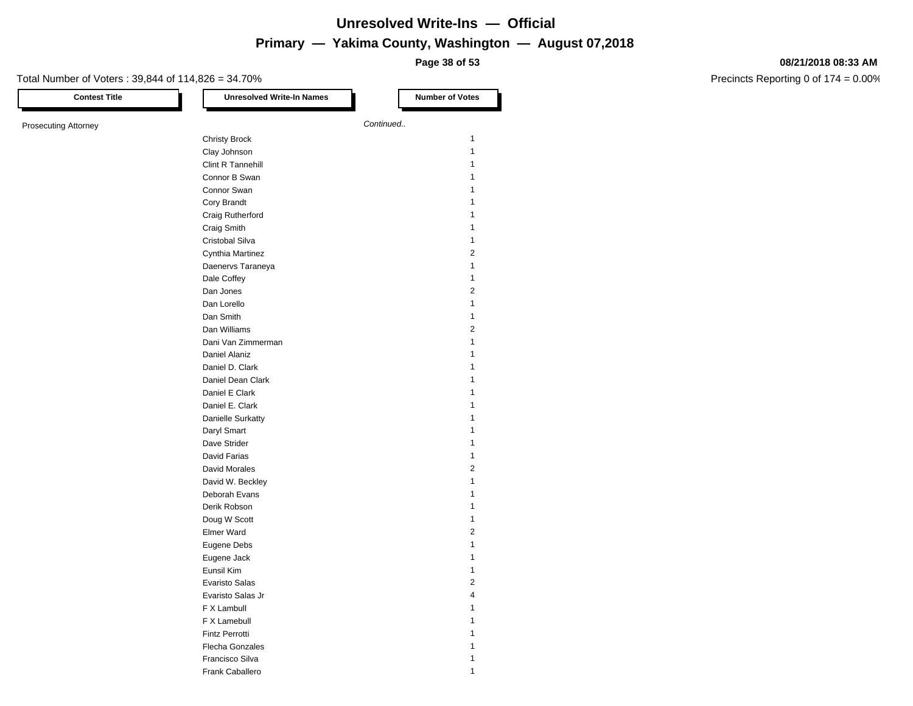**Page 38 of 53**

#### **08/21/2018 08:33 AM**

| <b>Contest Title</b>        | <b>Unresolved Write-In Names</b> | <b>Number of Votes</b> |
|-----------------------------|----------------------------------|------------------------|
| <b>Prosecuting Attorney</b> |                                  | Continued              |
|                             | <b>Christy Brock</b>             | 1                      |
|                             |                                  | 1                      |
|                             | Clay Johnson                     |                        |
|                             | Clint R Tannehill                | 1                      |
|                             | Connor B Swan                    | 1                      |
|                             | Connor Swan                      | 1                      |
|                             | Cory Brandt                      | 1                      |
|                             | Craig Rutherford                 | 1                      |
|                             | Craig Smith                      | 1                      |
|                             | Cristobal Silva                  | 1                      |
|                             | Cynthia Martinez                 | 2                      |
|                             | Daenervs Taraneya                | 1                      |
|                             | Dale Coffey                      | 1                      |
|                             | Dan Jones                        | 2                      |
|                             | Dan Lorello                      | 1                      |
|                             | Dan Smith                        | 1                      |
|                             | Dan Williams                     | 2                      |
|                             | Dani Van Zimmerman               | 1                      |
|                             |                                  | 1                      |
|                             | Daniel Alaniz                    |                        |
|                             | Daniel D. Clark                  | 1                      |
|                             | Daniel Dean Clark                | 1                      |
|                             | Daniel E Clark                   | 1                      |
|                             | Daniel E. Clark                  | 1                      |
|                             | Danielle Surkatty                | 1                      |
|                             | Daryl Smart                      | 1                      |
|                             | Dave Strider                     | 1                      |
|                             | David Farias                     | 1                      |
|                             | David Morales                    | 2                      |
|                             | David W. Beckley                 | 1                      |
|                             | Deborah Evans                    | 1                      |
|                             | Derik Robson                     | 1                      |
|                             | Doug W Scott                     | 1                      |
|                             | Elmer Ward                       | 2                      |
|                             | Eugene Debs                      | 1                      |
|                             |                                  |                        |
|                             | Eugene Jack                      | 1                      |
|                             | Eunsil Kim                       | 1                      |
|                             | <b>Evaristo Salas</b>            | 2                      |
|                             | Evaristo Salas Jr                | 4                      |
|                             | F X Lambull                      | 1                      |
|                             | F X Lamebull                     | 1                      |
|                             | <b>Fintz Perrotti</b>            | 1                      |
|                             | Flecha Gonzales                  | 1                      |
|                             | Francisco Silva                  | 1                      |
|                             | Frank Caballero                  | 1                      |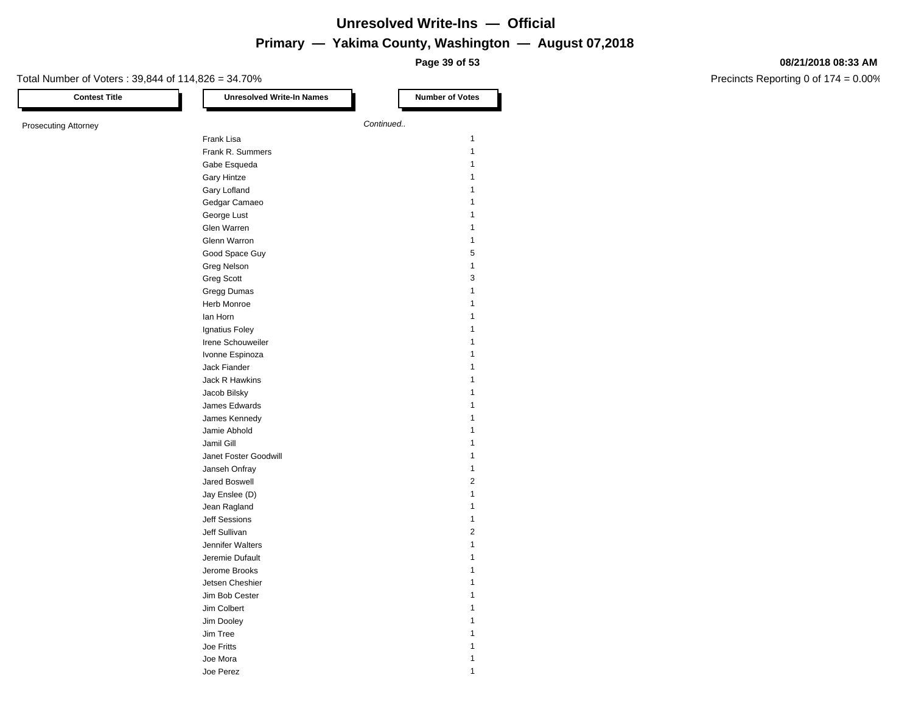**Page 39 of 53**

#### **08/21/2018 08:33 AM**

Precincts Reporting 0 of 174 = 0.00%

| <b>Contest Title</b>        | <b>Unresolved Write-In Names</b> | <b>Number of Votes</b> |
|-----------------------------|----------------------------------|------------------------|
| <b>Prosecuting Attorney</b> |                                  | Continued              |
|                             | Frank Lisa                       | $\mathbf{1}$           |
|                             | Frank R. Summers                 | $\mathbf{1}$           |
|                             | Gabe Esqueda                     | $\mathbf{1}$           |
|                             | <b>Gary Hintze</b>               | 1                      |
|                             | Gary Lofland                     | 1                      |
|                             | Gedgar Camaeo                    | $\mathbf{1}$           |
|                             | George Lust                      | $\mathbf{1}$           |
|                             | Glen Warren                      | $\mathbf{1}$           |
|                             | Glenn Warron                     | $\mathbf{1}$           |
|                             | Good Space Guy                   | 5                      |
|                             | Greg Nelson                      | $\mathbf{1}$           |
|                             | <b>Greg Scott</b>                | 3                      |
|                             | Gregg Dumas                      | $\mathbf{1}$           |
|                             | Herb Monroe                      | $\mathbf{1}$           |
|                             | lan Horn                         | 1                      |
|                             | Ignatius Foley                   | 1                      |
|                             | Irene Schouweiler                | 1                      |
|                             | Ivonne Espinoza                  | 1                      |
|                             | Jack Fiander                     | 1                      |
|                             | Jack R Hawkins                   | 1                      |
|                             | Jacob Bilsky                     | 1                      |
|                             | James Edwards                    | 1                      |
|                             | James Kennedy                    | 1                      |
|                             | Jamie Abhold                     | 1                      |
|                             | Jamil Gill                       | $\mathbf{1}$           |
|                             | Janet Foster Goodwill            | $\mathbf{1}$           |
|                             | Janseh Onfray                    | $\mathbf{1}$           |
|                             | Jared Boswell                    | $\boldsymbol{2}$       |
|                             | Jay Enslee (D)                   | $\mathbf{1}$           |
|                             | Jean Ragland                     | $\mathbf{1}$           |
|                             | <b>Jeff Sessions</b>             | $\mathbf{1}$           |
|                             | Jeff Sullivan                    | $\overline{2}$         |
|                             | Jennifer Walters                 | $\mathbf{1}$           |
|                             | Jeremie Dufault                  | 1                      |
|                             | Jerome Brooks                    | 1                      |
|                             | Jetsen Cheshier                  | $\mathbf{1}$           |
|                             | Jim Bob Cester                   | 1                      |
|                             | Jim Colbert                      | 1                      |
|                             | Jim Dooley                       | 1                      |
|                             | Jim Tree                         | 1                      |
|                             | Joe Fritts                       | 1                      |
|                             | Joe Mora                         | 1                      |

Joe Perez 1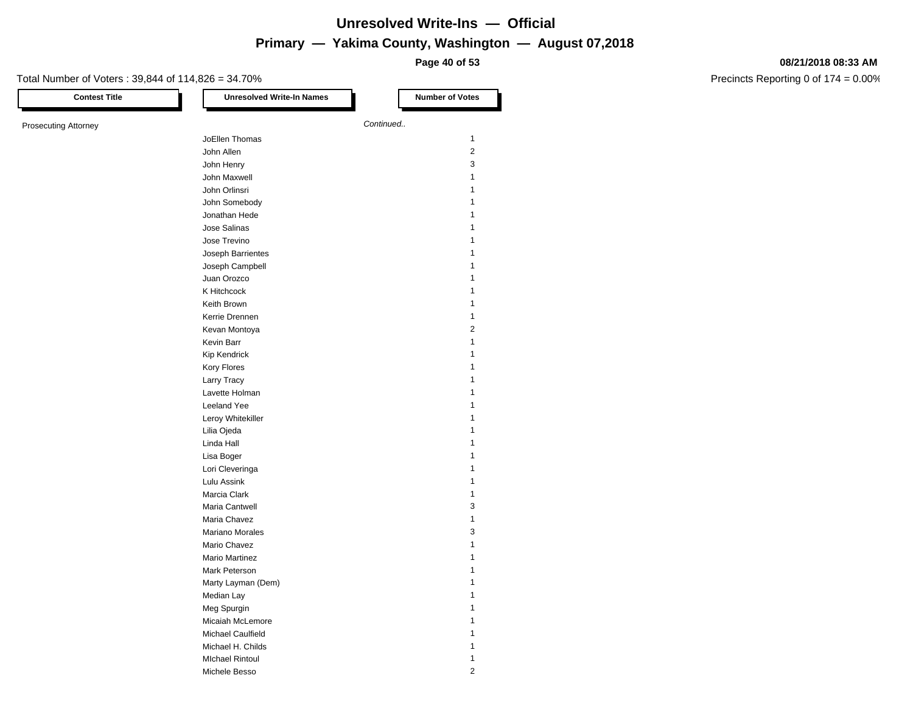**Page 40 of 53**

#### **08/21/2018 08:33 AM**

| <b>Contest Title</b>        | <b>Unresolved Write-In Names</b> | <b>Number of Votes</b> |
|-----------------------------|----------------------------------|------------------------|
| <b>Prosecuting Attorney</b> |                                  | Continued              |
|                             | JoEllen Thomas                   | 1                      |
|                             | John Allen                       | 2                      |
|                             | John Henry                       | 3                      |
|                             | John Maxwell                     | 1                      |
|                             | John Orlinsri                    | 1                      |
|                             |                                  | 1                      |
|                             | John Somebody                    | 1                      |
|                             | Jonathan Hede                    |                        |
|                             | Jose Salinas                     | 1                      |
|                             | Jose Trevino                     | 1                      |
|                             | Joseph Barrientes                | 1                      |
|                             | Joseph Campbell                  | 1                      |
|                             | Juan Orozco                      | 1                      |
|                             | K Hitchcock                      | 1                      |
|                             | Keith Brown                      | 1                      |
|                             | Kerrie Drennen                   | 1                      |
|                             | Kevan Montoya                    | 2                      |
|                             | Kevin Barr                       | 1                      |
|                             | <b>Kip Kendrick</b>              | 1                      |
|                             | Kory Flores                      | 1                      |
|                             | Larry Tracy                      | 1                      |
|                             | Lavette Holman                   | 1                      |
|                             | Leeland Yee                      | 1                      |
|                             | Leroy Whitekiller                | 1                      |
|                             | Lilia Ojeda                      | 1                      |
|                             | Linda Hall                       | 1                      |
|                             | Lisa Boger                       | 1                      |
|                             | Lori Cleveringa                  | 1                      |
|                             | Lulu Assink                      | 1                      |
|                             | Marcia Clark                     | 1                      |
|                             | Maria Cantwell                   | 3                      |
|                             | Maria Chavez                     | 1                      |
|                             | Mariano Morales                  | 3                      |
|                             | Mario Chavez                     | 1                      |
|                             | <b>Mario Martinez</b>            | 1                      |
|                             | Mark Peterson                    | 1                      |
|                             | Marty Layman (Dem)               | 1                      |
|                             | Median Lay                       | $\mathbf{1}$           |
|                             | Meg Spurgin                      | 1                      |
|                             | Micaiah McLemore                 | 1                      |
|                             | Michael Caulfield                |                        |
|                             |                                  | 1                      |
|                             | Michael H. Childs                | 1                      |
|                             | <b>MIchael Rintoul</b>           | 1                      |
|                             | Michele Besso                    | 2                      |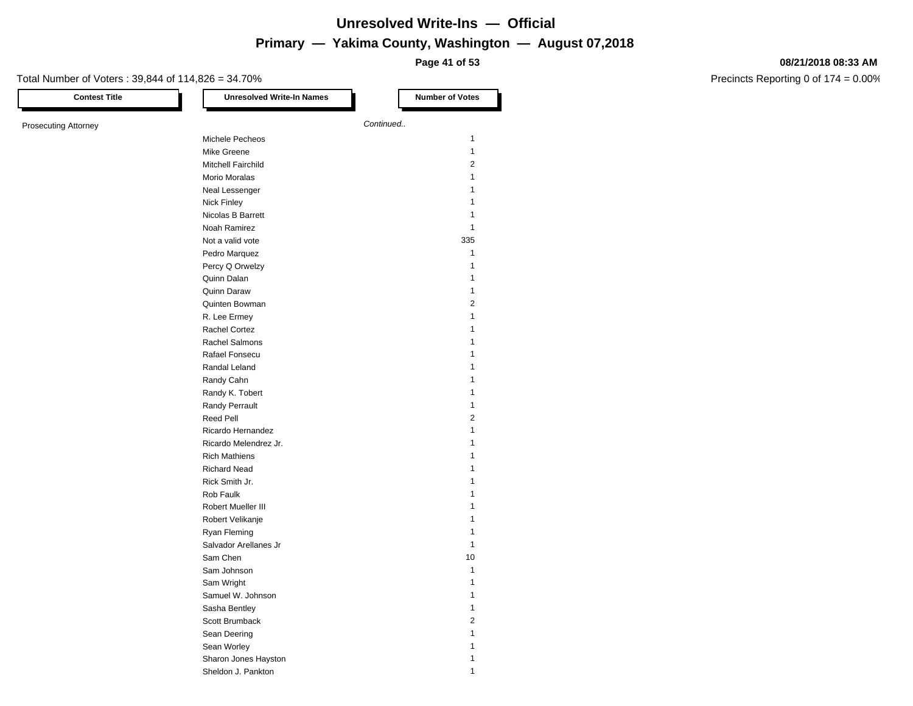**Page 41 of 53**

#### **08/21/2018 08:33 AM**

| <b>Contest Title</b> | <b>Unresolved Write-In Names</b>  | <b>Number of Votes</b>  |
|----------------------|-----------------------------------|-------------------------|
| Prosecuting Attorney |                                   | Continued               |
|                      | Michele Pecheos                   | 1                       |
|                      | Mike Greene                       | 1                       |
|                      | Mitchell Fairchild                | 2                       |
|                      | Morio Moralas                     | 1                       |
|                      |                                   | 1                       |
|                      | Neal Lessenger                    | 1                       |
|                      | Nick Finley                       | 1                       |
|                      | Nicolas B Barrett<br>Noah Ramirez | 1                       |
|                      |                                   |                         |
|                      | Not a valid vote                  | 335                     |
|                      | Pedro Marquez                     | 1                       |
|                      | Percy Q Orwelzy                   | 1                       |
|                      | Quinn Dalan                       | 1                       |
|                      | Quinn Daraw                       | 1                       |
|                      | Quinten Bowman                    | 2                       |
|                      | R. Lee Ermey                      | $\mathbf{1}$            |
|                      | <b>Rachel Cortez</b>              | 1                       |
|                      | <b>Rachel Salmons</b>             |                         |
|                      | Rafael Fonsecu                    | 1                       |
|                      | Randal Leland                     | 1                       |
|                      | Randy Cahn                        | 1                       |
|                      | Randy K. Tobert                   | 1                       |
|                      | Randy Perrault                    | 1                       |
|                      | <b>Reed Pell</b>                  | 2                       |
|                      | Ricardo Hernandez                 | 1                       |
|                      | Ricardo Melendrez Jr.             | 1                       |
|                      | <b>Rich Mathiens</b>              | 1                       |
|                      | <b>Richard Nead</b>               | 1                       |
|                      | Rick Smith Jr.                    | 1                       |
|                      | Rob Faulk                         |                         |
|                      |                                   | 1                       |
|                      | Robert Mueller III                |                         |
|                      | Robert Velikanje                  | 1                       |
|                      | Ryan Fleming                      |                         |
|                      | Salvador Arellanes Jr             | 1                       |
|                      | Sam Chen                          | 10                      |
|                      | Sam Johnson                       | 1                       |
|                      | Sam Wright                        | $\mathbf{1}$            |
|                      | Samuel W. Johnson                 | 1                       |
|                      | Sasha Bentley                     | 1                       |
|                      | Scott Brumback                    | $\overline{\mathbf{c}}$ |
|                      | Sean Deering                      | 1                       |
|                      | Sean Worley                       | 1                       |
|                      | Sharon Jones Hayston              | 1                       |
|                      | Sheldon J. Pankton                | 1                       |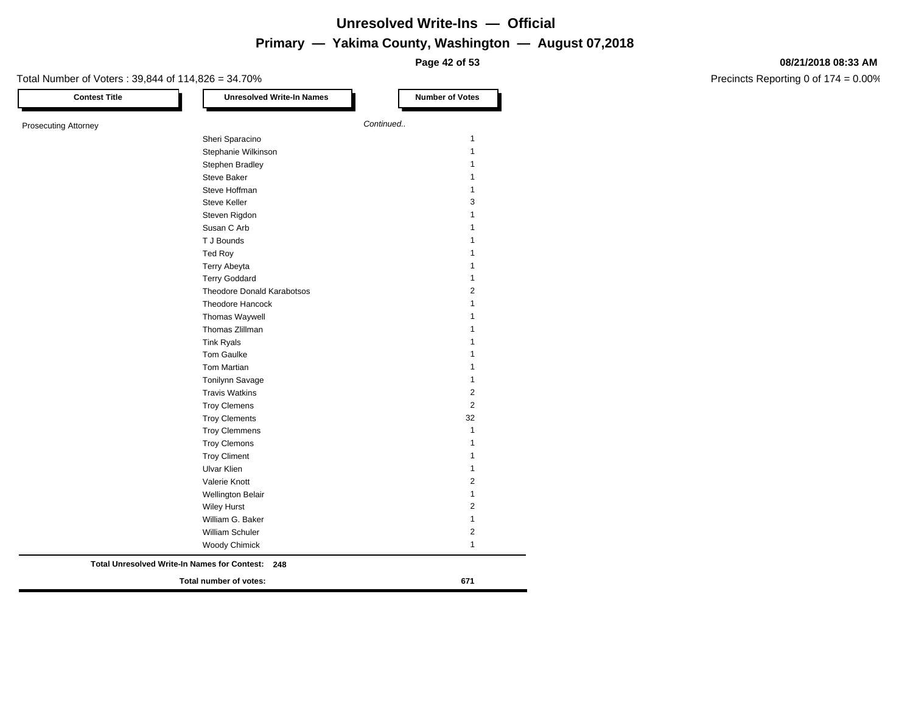**Page 42 of 53**

#### **08/21/2018 08:33 AM**

| <b>Contest Title</b>        | <b>Unresolved Write-In Names</b>                           | <b>Number of Votes</b> |
|-----------------------------|------------------------------------------------------------|------------------------|
| <b>Prosecuting Attorney</b> |                                                            | Continued              |
|                             | Sheri Sparacino                                            |                        |
|                             | Stephanie Wilkinson                                        |                        |
|                             | Stephen Bradley                                            |                        |
|                             | <b>Steve Baker</b>                                         |                        |
|                             | Steve Hoffman                                              |                        |
|                             | <b>Steve Keller</b>                                        |                        |
|                             | Steven Rigdon                                              |                        |
|                             | Susan C Arb                                                |                        |
|                             | T J Bounds                                                 |                        |
|                             | Ted Roy                                                    |                        |
|                             | Terry Abeyta                                               |                        |
|                             | <b>Terry Goddard</b>                                       |                        |
|                             | <b>Theodore Donald Karabotsos</b>                          |                        |
|                             | Theodore Hancock                                           |                        |
|                             | Thomas Waywell                                             |                        |
|                             | Thomas Zlillman                                            |                        |
|                             | <b>Tink Ryals</b>                                          |                        |
|                             | Tom Gaulke                                                 |                        |
|                             | Tom Martian                                                |                        |
|                             | Tonilynn Savage                                            |                        |
|                             | <b>Travis Watkins</b>                                      |                        |
|                             | <b>Troy Clemens</b>                                        |                        |
|                             | <b>Troy Clements</b>                                       | 32                     |
|                             | <b>Troy Clemmens</b>                                       |                        |
|                             | <b>Troy Clemons</b>                                        |                        |
|                             | <b>Troy Climent</b>                                        |                        |
|                             | <b>Ulvar Klien</b>                                         |                        |
|                             | Valerie Knott                                              |                        |
|                             | <b>Wellington Belair</b>                                   |                        |
|                             | <b>Wiley Hurst</b>                                         |                        |
|                             | William G. Baker                                           |                        |
|                             | William Schuler                                            |                        |
|                             | <b>Woody Chimick</b>                                       |                        |
|                             | <b>Total Unresolved Write-In Names for Contest:</b><br>248 |                        |
|                             | Total number of votes:                                     | 671                    |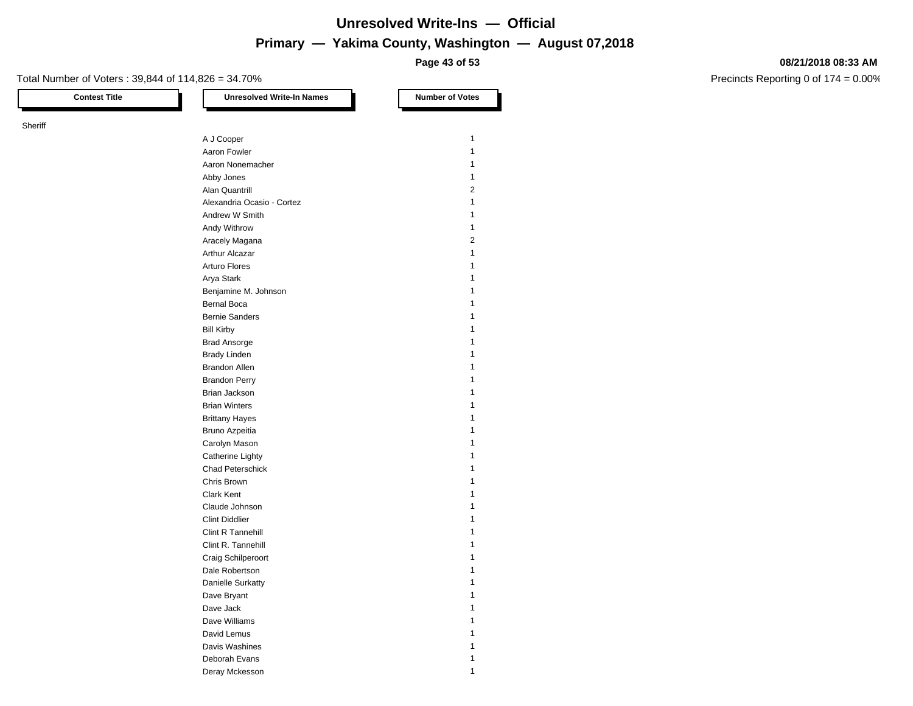**Page 43 of 53**

#### Total Number of Voters : 39,844 of 114,826 = 34.70%

Sheriff

**Contest Title Number of Votes Number of Votes** A J Cooper 1 Aaron Fowler 1 Aaron Nonemacher 11 and 12 and 12 and 12 and 12 and 12 and 12 and 12 and 12 and 12 and 12 and 12 and 12 and 12 and 12 and 12 and 12 and 12 and 12 and 12 and 12 and 12 and 12 and 12 and 12 and 12 and 12 and 12 and 12 and 12 Abby Jones 2012 12:00 12:00 12:00 12:00 12:00 12:00 12:00 12:00 12:00 12:00 12:00 12:00 12:00 12:00 12:00 12:00 12:00 12:00 12:00 12:00 12:00 12:00 12:00 12:00 12:00 12:00 12:00 12:00 12:00 12:00 12:00 12:00 12:00 12:00 12 Alan Quantrill 2 Alexandria Ocasio - Cortez 1 Andrew W Smith 1 Andy Withrow 1 Aracely Magana 2 Arthur Alcazar 1 Arturo Flores **1** Arya Stark 1 Benjamine M. Johnson 1999 and 1999 and 1999 and 1999 and 1999 and 1999 and 1999 and 1999 and 1999 and 1999 and 1 Bernal Boca 1 and 1 and 1 and 1 and 1 and 1 and 1 and 1 and 1 and 1 and 1 and 1 and 1 and 1 and 1 and 1 and 1 and 1 and 1 and 1 and 1 and 1 and 1 and 1 and 1 and 1 and 1 and 1 and 1 and 1 and 1 and 1 and 1 and 1 and 1 and Bernie Sanders 1986 and 1987 and 1988 and 1988 and 1988 and 1988 and 1988 and 1988 and 1988 and 1988 and 1988 and 1988 and 1988 and 1988 and 1988 and 1988 and 1988 and 1988 and 1988 and 1988 and 1988 and 1988 and 1988 and Bill Kirby 1 Brad Ansorge 1999 and 2009 and 2009 and 2009 and 2009 and 2009 and 2009 and 2009 and 2009 and 2009 and 2009 and 2009 and 2009 and 2009 and 2009 and 2009 and 2009 and 2009 and 2009 and 2009 and 2009 and 2009 and 2009 and 20 Brady Linden 1 and 1 and 1 and 1 and 1 and 1 and 1 and 1 and 1 and 1 and 1 and 1 and 1 and 1 and 1 and 1 and 1 Brandon Allen 1986 and 1987 and 1988 and 1988 and 1988 and 1988 and 1988 and 1988 and 1988 and 1988 and 1988 and 1988 and 1988 and 1988 and 1988 and 1988 and 1988 and 1988 and 1988 and 1988 and 1988 and 1988 and 1988 and 1 Brandon Perry 1 Brian Jackson 1 Brian Winters 1 Brittany Hayes 1 Bruno Azpeitia **1** Carolyn Mason 2008 12:00 12:00 12:00 12:00 12:00 12:00 12:00 12:00 12:00 12:00 12:00 12:00 12:00 12:00 12:00 12:00 12:00 12:00 12:00 12:00 12:00 12:00 12:00 12:00 12:00 12:00 12:00 12:00 12:00 12:00 12:00 12:00 12:00 12:00 Catherine Lighty 1 and 1 and 1 and 1 and 1 and 1 and 1 and 1 and 1 and 1 and 1 and 1 and 1 and 1 and 1 and 1 and 1 and 1 and 1 and 1 and 1 and 1 and 1 and 1 and 1 and 1 and 1 and 1 and 1 and 1 and 1 and 1 and 1 and 1 and 1 Chad Peterschick 1 **Chris Brown 1** Clark Kent 1 Claude Johnson 1 Clint Diddlier 1 Clint R Tannehill 1 Clint R. Tannehill 1 Craig Schilperoort 1 Dale Robertson 11 and 12 and 12 and 12 and 12 and 12 and 12 and 12 and 12 and 12 and 12 and 12 and 12 and 12 and 12 and 12 and 12 and 12 and 12 and 12 and 12 and 12 and 12 and 12 and 12 and 12 and 12 and 12 and 12 and 12 a Danielle Surkatty 1 Dave Bryant 1 and 1 and 1 and 1 and 1 and 1 and 1 and 1 and 1 and 1 and 1 and 1 and 1 and 1 and 1 and 1 and 1 and 1 and 1 and 1 and 1 and 1 and 1 and 1 and 1 and 1 and 1 and 1 and 1 and 1 and 1 and 1 and 1 and 1 and 1 and Dave Jack 2012 12:00:00 12:00:00 12:00:00 12:00:00 12:00:00 12:00:00 12:00:00 12:00:00 12:00:00 12:00:00 12:00 Dave Williams 1 David Lemus 1 Davis Washines 1999 and 1999 and 1999 and 1999 and 1999 and 1999 and 1999 and 1999 and 1999 and 1999 and 1999  $\pm 1$ Deborah Evans 1

Deray Mckesson 11 and 12 and 12 and 12 and 12 and 12 and 12 and 12 and 12 and 12 and 12 and 12 and 12 and 12 and 12 and 12 and 12 and 12 and 12 and 12 and 12 and 12 and 12 and 12 and 12 and 12 and 12 and 12 and 12 and 12 a

#### **08/21/2018 08:33 AM**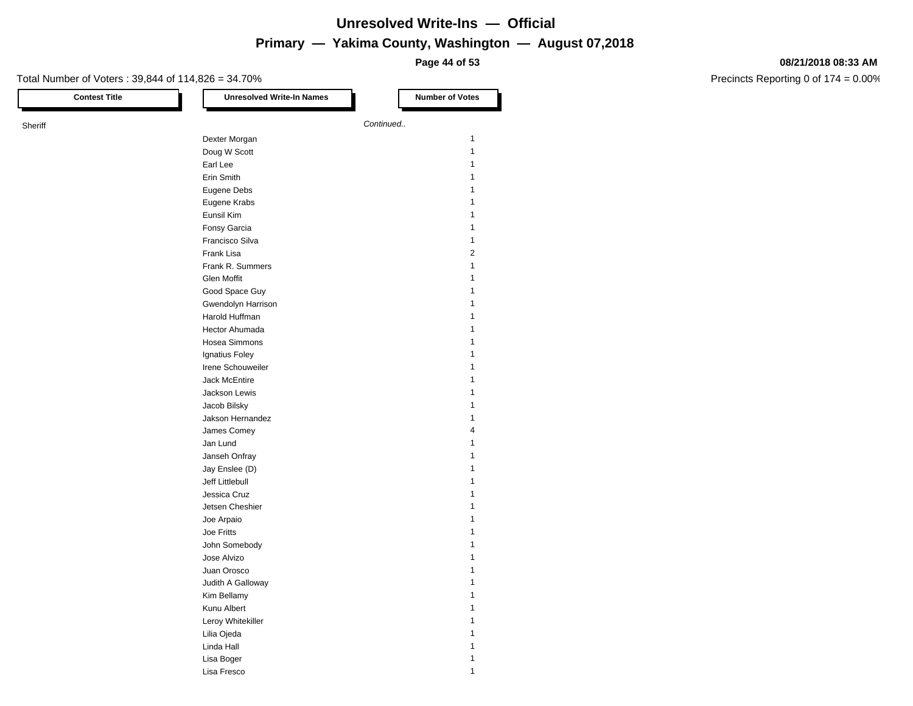**Page 44 of 53**

#### **08/21/2018 08:33 AM**

| <b>Contest Title</b> | <b>Unresolved Write-In Names</b> | <b>Number of Votes</b> |
|----------------------|----------------------------------|------------------------|
| Sheriff              |                                  | Continued              |
|                      | Dexter Morgan                    | $\mathbf{1}$           |
|                      | Doug W Scott                     | $\mathbf{1}$           |
|                      | Earl Lee                         | 1                      |
|                      | Erin Smith                       | 1                      |
|                      | Eugene Debs                      | 1                      |
|                      |                                  | 1                      |
|                      | Eugene Krabs<br>Eunsil Kim       | 1                      |
|                      |                                  | 1                      |
|                      | Fonsy Garcia                     |                        |
|                      | Francisco Silva                  | 1                      |
|                      | Frank Lisa                       | 2                      |
|                      | Frank R. Summers                 | 1                      |
|                      | Glen Moffit                      | 1                      |
|                      | Good Space Guy                   |                        |
|                      | Gwendolyn Harrison               | 1                      |
|                      | Harold Huffman                   | 1                      |
|                      | Hector Ahumada                   | 1                      |
|                      | Hosea Simmons                    | 1                      |
|                      | Ignatius Foley                   | 1                      |
|                      | Irene Schouweiler                | 1                      |
|                      | Jack McEntire                    | 1                      |
|                      | Jackson Lewis                    | 1                      |
|                      | Jacob Bilsky                     | 1                      |
|                      | Jakson Hernandez                 | 1                      |
|                      | James Comey                      | 4                      |
|                      | Jan Lund                         | 1                      |
|                      | Janseh Onfray                    | 1                      |
|                      | Jay Enslee (D)                   | 1                      |
|                      | Jeff Littlebull                  | 1                      |
|                      | Jessica Cruz                     | 1                      |
|                      | Jetsen Cheshier                  | 1                      |
|                      | Joe Arpaio                       | 1                      |
|                      | Joe Fritts                       | 1                      |
|                      | John Somebody                    | 1                      |
|                      |                                  | 1                      |
|                      | Jose Alvizo                      |                        |
|                      | Juan Orosco                      | 1<br>1                 |
|                      | Judith A Galloway                |                        |
|                      | Kim Bellamy                      | $\mathbf{1}$           |
|                      | Kunu Albert                      | 1                      |
|                      | Leroy Whitekiller                | 1                      |
|                      | Lilia Ojeda                      | 1                      |
|                      | Linda Hall                       | 1                      |
|                      | Lisa Boger                       | 1                      |
|                      | Lisa Fresco                      | $\mathbf{1}$           |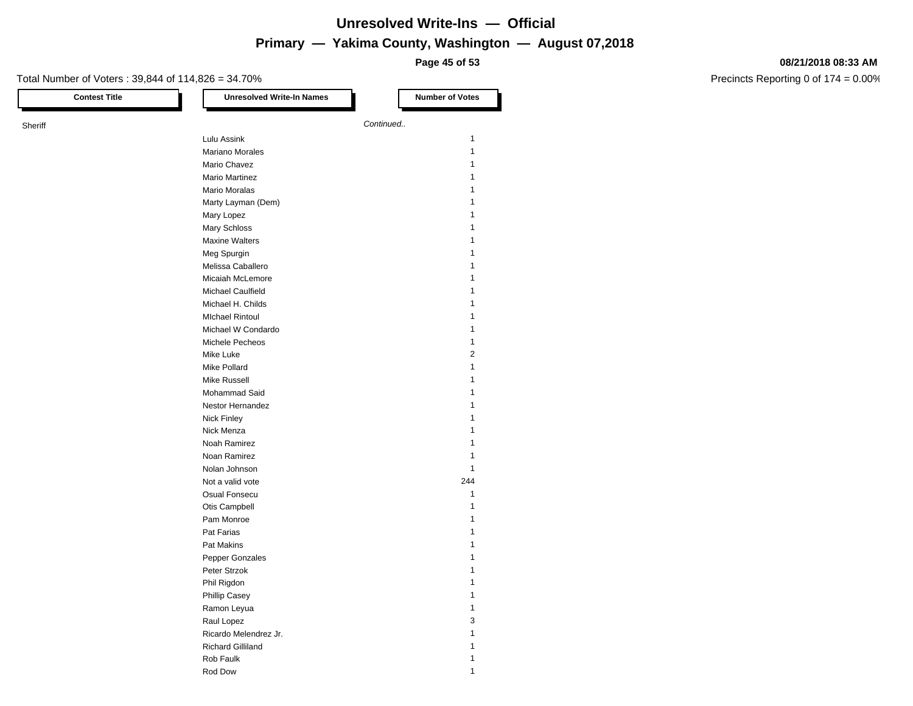**Page 45 of 53**

#### **08/21/2018 08:33 AM**

| <b>Contest Title</b> | <b>Unresolved Write-In Names</b>    | <b>Number of Votes</b> |
|----------------------|-------------------------------------|------------------------|
| Sheriff              |                                     | Continued              |
|                      | Lulu Assink                         | 1                      |
|                      | Mariano Morales                     | 1                      |
|                      | Mario Chavez                        | 1                      |
|                      | <b>Mario Martinez</b>               | 1                      |
|                      | <b>Mario Moralas</b>                | 1                      |
|                      |                                     | 1                      |
|                      | Marty Layman (Dem)<br>Mary Lopez    |                        |
|                      |                                     |                        |
|                      | Mary Schloss                        | 1                      |
|                      | <b>Maxine Walters</b>               |                        |
|                      | Meg Spurgin                         | 1                      |
|                      | Melissa Caballero                   |                        |
|                      | Micaiah McLemore                    |                        |
|                      | Michael Caulfield                   | 1                      |
|                      | Michael H. Childs                   | 1                      |
|                      | <b>MIchael Rintoul</b>              | 1                      |
|                      | Michael W Condardo                  | 1                      |
|                      | Michele Pecheos                     | 1                      |
|                      | Mike Luke                           | $\overline{2}$         |
|                      | Mike Pollard                        | 1                      |
|                      | Mike Russell                        | 1                      |
|                      | Mohammad Said                       | 1                      |
|                      | Nestor Hernandez                    | 1                      |
|                      | <b>Nick Finley</b>                  |                        |
|                      | Nick Menza                          |                        |
|                      | Noah Ramirez                        | 1                      |
|                      | Noan Ramirez                        | 1                      |
|                      | Nolan Johnson                       | 1                      |
|                      | Not a valid vote                    | 244                    |
|                      | Osual Fonsecu                       | 1                      |
|                      | Otis Campbell                       | 1                      |
|                      | Pam Monroe                          | 1                      |
|                      | Pat Farias                          | 1                      |
|                      | Pat Makins                          | 1                      |
|                      | Pepper Gonzales                     | 1                      |
|                      | Peter Strzok                        |                        |
|                      | Phil Rigdon                         | $\mathbf{1}$           |
|                      | Phillip Casey                       | 1                      |
|                      | Ramon Leyua                         | 1                      |
|                      |                                     | 3                      |
|                      | Raul Lopez<br>Ricardo Melendrez Jr. |                        |
|                      |                                     | 1                      |
|                      | <b>Richard Gilliland</b>            | 1                      |
|                      | Rob Faulk                           | $\mathbf{1}$           |
|                      | Rod Dow                             | 1                      |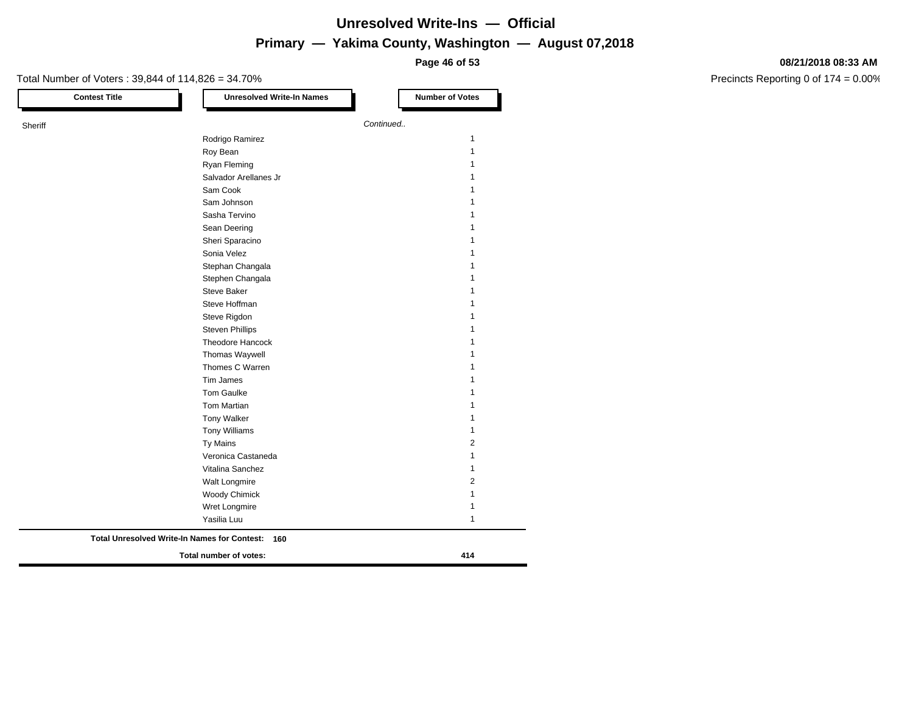**Page 46 of 53**

#### Total Number of Voters : 39,844 of 114,826 = 34.70% **Contest Title Number of Votes Number of Votes Sheriff Continued. Continued. Continued. Continued. Continued. Continued.** Rodrigo Ramirez 11 Roy Bean **1** and 2008 **Contract Contract Contract Contract Contract Contract Contract Contract Contract Contract Contract Contract Contract Contract Contract Contract Contract Contract Contract Contract Contract Contract C** Ryan Fleming 2008 12 and 2008 12 and 2008 12 and 2008 12 and 2008 12 and 2008 12 and 2008 12 and 2008 12 and 20 Salvador Arellanes Jr 1 Sam Cook 1 Sam Johnson 1 and 1 and 1 and 1 and 1 and 1 and 1 and 1 and 1 and 1 and 1 and 1 and 1 and 1 and 1 and 1 and 1 and 1 and 1 and 1 and 1 and 1 and 1 and 1 and 1 and 1 and 1 and 1 and 1 and 1 and 1 and 1 and 1 and 1 and 1 and Sasha Tervino 1 Sean Deering 1 Sheri Sparacino 11 Sonia Velez 1 Stephan Changala 1 Stephen Changala 1 Steve Baker 1 Steve Hoffman 1 Steve Rigdon 1 Steven Phillips 1 and 1 and 1 and 1 and 1 and 1 and 1 and 1 and 1 and 1 and 1 and 1 and 1 and 1 and 1 and 1 and 1 and 1 and 1 and 1 and 1 and 1 and 1 and 1 and 1 and 1 and 1 and 1 and 1 and 1 and 1 and 1 and 1 and 1 and 1 Theodore Hancock 1 Thomas Waywell **1** Thomes C Warren 11 Tim James 2012 12:00 12:00 12:00 12:00 12:00 12:00 12:00 12:00 12:00 12:00 12:00 12:00 12:00 12:00 12:00 12:00 12:00 12:00 12:00 12:00 12:00 12:00 12:00 12:00 12:00 12:00 12:00 12:00 12:00 12:00 12:00 12:00 12:00 12:00 12: Tom Gaulke 1 and 1 and 1 and 1 and 1 and 1 and 1 and 1 and 1 and 1 and 1 and 1 and 1 and 1 and 1 and 1 and 1 and 1 and 1 and 1 and 1 and 1 and 1 and 1 and 1 and 1 and 1 and 1 and 1 and 1 and 1 and 1 and 1 and 1 and 1 and 1 Tom Martian 1 and 1 and 1 and 1 and 1 and 1 and 1 and 1 and 1 and 1 and 1 and 1 and 1 and 1 and 1 and 1 and 1 and 1 and 1 and 1 and 1 and 1 and 1 and 1 and 1 and 1 and 1 and 1 and 1 and 1 and 1 and 1 and 1 and 1 and 1 and Tony Walker 1 Tony Williams 1 Ty Mains 2 Veronica Castaneda 1 Vitalina Sanchez 1 Walt Longmire 2012 Woody Chimick 2008 120 November 2008 120 November 2008 120 November 2008 120 November 2008 120 November 2008 1 Wret Longmire 2008 12 and 2008 12 and 2008 12 and 2008 12 and 2008 12 and 2008 12 and 2008 12 and 2008 12 and 2008 12 and 2008 12 and 2008 12 and 2008 12 and 2008 12 and 2008 12 and 2008 12 and 2008 12 and 2008 12 and 2008 Yasilia Luu 1 **Total number of votes: 414 Total Unresolved Write-In Names for Contest: 160**

#### **08/21/2018 08:33 AM**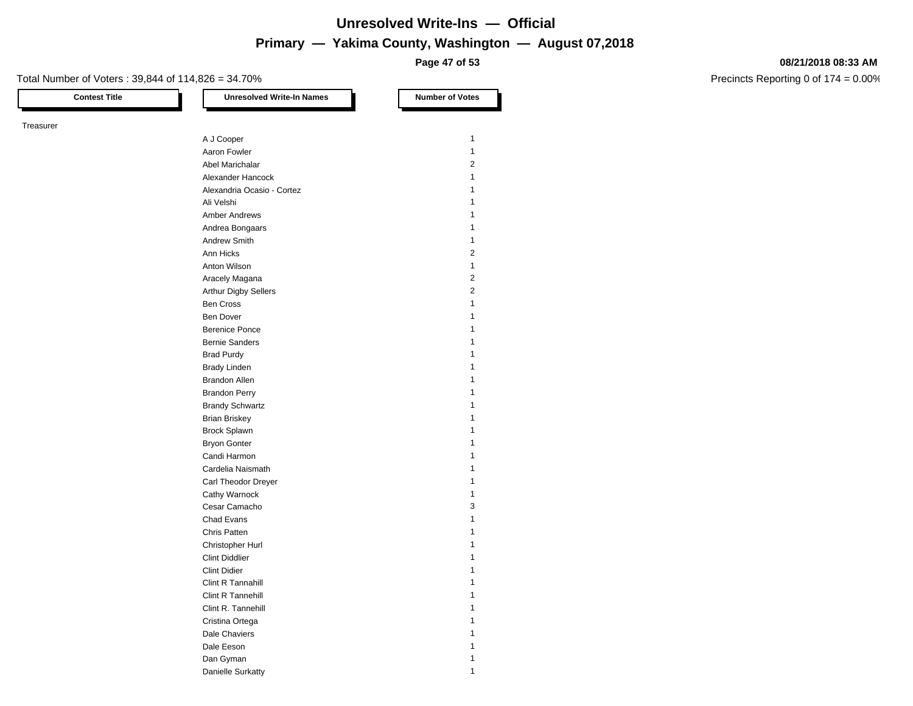**Page 47 of 53**

#### Total Number of Voters : 39,844 of 114,826 = 34.70%

Treasurer

**Contest Title Number of Votes Number of Votes** A J Cooper 1 Aaron Fowler 1 and 1 and 1 and 1 and 1 and 1 and 1 and 1 and 1 and 1 and 1 and 1 and 1 and 1 and 1 and 1 and 1 Abel Marichalar 2012 Alexander Hancock 1 Alexandria Ocasio - Cortez 1 Ali Velshi 1 Amber Andrews 1 Andrea Bongaars 1988 and 1989 and 1989 and 1989 and 1989 and 1989 and 1989 and 1989 and 1989 and 1989 and 1989 and 1989 and 1989 and 1989 and 1989 and 1989 and 1989 and 1989 and 1989 and 1989 and 1989 and 1989 and 1989 and Andrew Smith 1 Ann Hicks 2 Anton Wilson 1 Aracely Magana 2 Arthur Digby Sellers 2 Ben Cross 1 Ben Dover 1 Berenice Ponce 1 and 1 and 1 and 1 and 1 and 1 and 1 and 1 and 1 and 1 and 1 and 1 and 1 and 1 and 1 and 1 and 1 and 1 and 1 and 1 and 1 and 1 and 1 and 1 and 1 and 1 and 1 and 1 and 1 and 1 and 1 and 1 and 1 and 1 and 1 a Bernie Sanders 1986 and 1987 and 1988 and 1988 and 1988 and 1988 and 1988 and 1988 and 1988 and 1988 and 1988 and 1988 and 1988 and 1988 and 1988 and 1988 and 1988 and 1988 and 1988 and 1988 and 1988 and 1988 and 1988 and Brad Purdy 1 Brady Linden 1 and 1 and 1 and 1 and 1 and 1 and 1 and 1 and 1 and 1 and 1 and 1 and 1 and 1 and 1 and 1 and 1 Brandon Allen 1986 and 1987 and 1988 and 1988 and 1988 and 1988 and 1988 and 1988 and 1988 and 1988 and 1988 and 1988 and 1988 and 1988 and 1988 and 1988 and 1988 and 1988 and 1988 and 1988 and 1988 and 1988 and 1988 and 1 Brandon Perry 1 Brandy Schwartz 1988 and 1988 and 1988 and 1988 and 1988 and 1988 and 1988 and 1988 and 1988 and 1988 and 1988 and 1988 and 1988 and 1988 and 1988 and 1988 and 1988 and 1988 and 1988 and 1988 and 1988 and 1988 and 1988 and Brian Briskey 1988 and the state of the state of the state of the state of the state of the state of the state of the state of the state of the state of the state of the state of the state of the state of the state of the Brock Splawn 1 Bryon Gonter 2012 12:30 12:30 12:30 12:30 12:30 12:30 12:30 12:30 12:30 12:30 12:30 12:30 12:30 12:30 12:30 12:30 12:30 12:30 12:30 12:30 12:30 12:30 12:30 12:30 12:30 12:30 12:30 12:30 12:30 12:30 12:30 12:30 12:30 12:30 Candi Harmon 11 and 12 and 12 and 12 and 12 and 12 and 12 and 12 and 12 and 12 and 12 and 12 and 12 and 12 and 12 and 12 and 12 and 12 and 12 and 12 and 12 and 12 and 12 and 12 and 12 and 12 and 12 and 12 and 12 and 12 and Cardelia Naismath 1 Carl Theodor Dreyer 1 Cathy Warnock 1 Cesar Camacho 3 Chad Evans 1 Chris Patten 1 and 1 and 1 and 1 and 1 and 1 and 1 and 1 and 1 and 1 and 1 and 1 and 1 and 1 and 1 and 1 and 1 Christopher Hurl 1 Clint Diddlier 1 Clint Didier 1 and 1 and 1 and 1 and 1 and 1 and 1 and 1 and 1 and 1 and 1 and 1 and 1 and 1 and 1 and 1 and 1 Clint R Tannahill 1 Clint R Tannehill 1 Clint R. Tannehill 1 Cristina Ortega 1 Dale Chaviers **1** Dale Eeson 1 Dan Gyman 1 actor and 1 and 1 and 1 and 1 and 1 and 1 and 1 and 1 and 1 and 1 and 1 and 1 and 1 and 1 and 1 and 1 and 1 and 1 and 1 and 1 and 1 and 1 and 1 and 1 and 1 and 1 and 1 and 1 and 1 and 1 and 1 and 1 and 1 and 1

Danielle Surkatty 1996 and 1997 and 1997 and 1997 and 1997 and 1997 and 1997 and 1997 and 1997 and 1997 and 19

#### **08/21/2018 08:33 AM**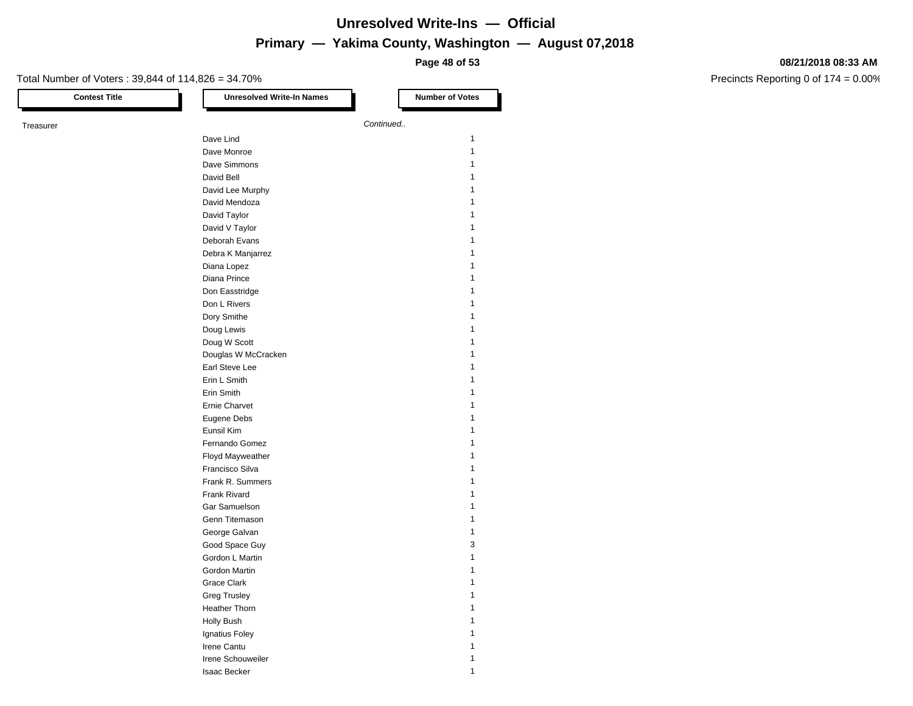**Page 48 of 53**

#### **08/21/2018 08:33 AM**

| <b>Contest Title</b> | <b>Unresolved Write-In Names</b> | <b>Number of Votes</b> |
|----------------------|----------------------------------|------------------------|
| Treasurer            |                                  | Continued              |
|                      | Dave Lind                        | $\mathbf{1}$           |
|                      | Dave Monroe                      | $\mathbf{1}$           |
|                      | Dave Simmons                     | 1                      |
|                      | David Bell                       | 1                      |
|                      | David Lee Murphy                 | 1                      |
|                      |                                  | 1                      |
|                      | David Mendoza<br>David Taylor    | 1                      |
|                      |                                  | 1                      |
|                      | David V Taylor                   | 1                      |
|                      | Deborah Evans                    |                        |
|                      | Debra K Manjarrez                | 1                      |
|                      | Diana Lopez                      | 1                      |
|                      | Diana Prince                     | 1                      |
|                      | Don Easstridge                   | 1                      |
|                      | Don L Rivers                     | 1                      |
|                      | Dory Smithe                      | 1                      |
|                      | Doug Lewis                       | 1                      |
|                      | Doug W Scott                     | 1                      |
|                      | Douglas W McCracken              | 1                      |
|                      | Earl Steve Lee                   | 1                      |
|                      | Erin L Smith                     | 1                      |
|                      | Erin Smith                       | 1                      |
|                      | <b>Ernie Charvet</b>             | 1                      |
|                      | Eugene Debs                      | 1                      |
|                      | Eunsil Kim                       | 1                      |
|                      | Fernando Gomez                   |                        |
|                      | Floyd Mayweather                 | 1                      |
|                      | Francisco Silva                  | 1                      |
|                      | Frank R. Summers                 | 1                      |
|                      | Frank Rivard                     | 1                      |
|                      | Gar Samuelson                    | 1                      |
|                      | Genn Titemason                   | 1                      |
|                      | George Galvan                    | 1                      |
|                      | Good Space Guy                   | 3                      |
|                      | Gordon L Martin                  | 1                      |
|                      | Gordon Martin                    | 1                      |
|                      | Grace Clark                      | 1                      |
|                      | <b>Greg Trusley</b>              | 1                      |
|                      | Heather Thorn                    | 1                      |
|                      |                                  | 1                      |
|                      | <b>Holly Bush</b>                |                        |
|                      | Ignatius Foley                   | 1                      |
|                      | Irene Cantu                      | 1                      |
|                      | Irene Schouweiler                | 1                      |
|                      | <b>Isaac Becker</b>              | $\mathbf{1}$           |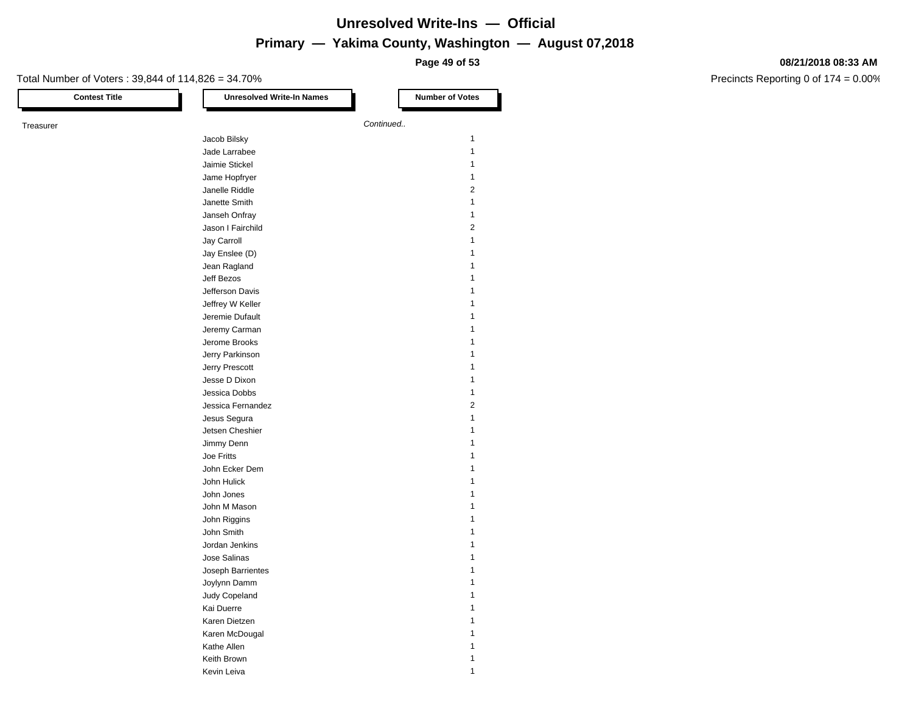**Page 49 of 53**

### Total Number of Voters : 39,844 of 114,826 = 34.70%

#### **08/21/2018 08:33 AM**

| <b>Contest Title</b> | <b>Unresolved Write-In Names</b>  | <b>Number of Votes</b>       |
|----------------------|-----------------------------------|------------------------------|
| Treasurer            |                                   | Continued                    |
|                      | Jacob Bilsky                      | $\mathbf{1}$                 |
|                      | Jade Larrabee                     | $\mathbf{1}$                 |
|                      | Jaimie Stickel                    | $\mathbf{1}$                 |
|                      | Jame Hopfryer                     | $\mathbf{1}$                 |
|                      | Janelle Riddle                    | $\overline{2}$               |
|                      | Janette Smith                     | $\mathbf{1}$                 |
|                      | Janseh Onfray                     | $\mathbf{1}$                 |
|                      | Jason I Fairchild                 | $\overline{2}$               |
|                      | Jay Carroll                       | $\mathbf{1}$                 |
|                      | Jay Enslee (D)                    | $\mathbf{1}$                 |
|                      | Jean Ragland                      | 1                            |
|                      | Jeff Bezos                        | $\mathbf{1}$                 |
|                      | Jefferson Davis                   | 1                            |
|                      | Jeffrey W Keller                  | $\mathbf{1}$                 |
|                      | Jeremie Dufault                   | $\mathbf{1}$                 |
|                      | Jeremy Carman                     | $\mathbf{1}$                 |
|                      | Jerome Brooks                     | $\mathbf{1}$                 |
|                      |                                   | 1                            |
|                      | Jerry Parkinson<br>Jerry Prescott | $\mathbf{1}$                 |
|                      | Jesse D Dixon                     | $\mathbf{1}$                 |
|                      | Jessica Dobbs                     | $\mathbf{1}$                 |
|                      | Jessica Fernandez                 | $\overline{2}$               |
|                      |                                   | $\mathbf{1}$                 |
|                      | Jesus Segura                      | $\mathbf{1}$                 |
|                      | Jetsen Cheshier                   | $\mathbf{1}$                 |
|                      | Jimmy Denn                        | $\mathbf{1}$                 |
|                      | Joe Fritts                        | 1                            |
|                      | John Ecker Dem                    | $\mathbf{1}$                 |
|                      | John Hulick                       |                              |
|                      | John Jones                        | $\mathbf{1}$<br>$\mathbf{1}$ |
|                      | John M Mason                      | $\mathbf{1}$                 |
|                      | John Riggins                      | $\mathbf{1}$                 |
|                      | John Smith                        | $\mathbf{1}$                 |
|                      | Jordan Jenkins                    | $\mathbf{1}$                 |
|                      | Jose Salinas                      | $\mathbf{1}$                 |
|                      | Joseph Barrientes                 |                              |
|                      | Joylynn Damm                      | 1<br>$\mathbf{1}$            |
|                      | Judy Copeland                     | $\mathbf{1}$                 |
|                      | Kai Duerre                        | $\mathbf{1}$                 |
|                      | Karen Dietzen                     |                              |
|                      | Karen McDougal                    | $\mathbf{1}$                 |
|                      | Kathe Allen                       | $\mathbf{1}$                 |
|                      | Keith Brown                       | $\mathbf{1}$                 |
|                      | Kevin Leiva                       | $\mathbf{1}$                 |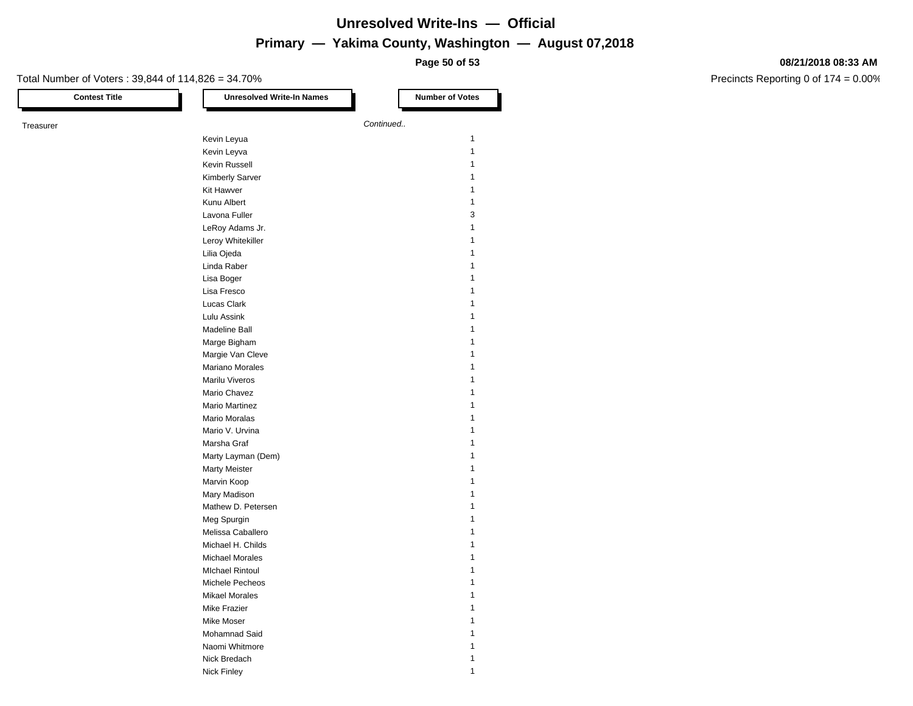**Page 50 of 53**

#### **08/21/2018 08:33 AM**

| <b>Contest Title</b> | <b>Unresolved Write-In Names</b> | <b>Number of Votes</b> |
|----------------------|----------------------------------|------------------------|
| Treasurer            | Continued                        |                        |
|                      | Kevin Leyua                      | $\mathbf{1}$           |
|                      | Kevin Leyva                      | 1                      |
|                      | Kevin Russell                    | 1                      |
|                      | <b>Kimberly Sarver</b>           | 1                      |
|                      | Kit Hawver                       | 1                      |
|                      |                                  | 1                      |
|                      | Kunu Albert                      |                        |
|                      | Lavona Fuller                    | 3                      |
|                      | LeRoy Adams Jr.                  | 1                      |
|                      | Leroy Whitekiller                | 1                      |
|                      | Lilia Ojeda                      | 1                      |
|                      | Linda Raber                      | 1                      |
|                      | Lisa Boger                       | 1                      |
|                      | Lisa Fresco                      | 1                      |
|                      | Lucas Clark                      | 1                      |
|                      | Lulu Assink                      | 1                      |
|                      | Madeline Ball                    | 1                      |
|                      | Marge Bigham                     | 1                      |
|                      | Margie Van Cleve                 | 1                      |
|                      | Mariano Morales                  | 1                      |
|                      | Marilu Viveros                   | 1                      |
|                      | Mario Chavez                     | 1                      |
|                      | Mario Martinez                   | 1                      |
|                      | Mario Moralas                    | 1                      |
|                      | Mario V. Urvina                  | 1                      |
|                      | Marsha Graf                      | 1                      |
|                      | Marty Layman (Dem)               | 1                      |
|                      | <b>Marty Meister</b>             | 1                      |
|                      | Marvin Koop                      | 1                      |
|                      | Mary Madison                     | 1                      |
|                      | Mathew D. Petersen               | 1                      |
|                      | Meg Spurgin                      | 1                      |
|                      | Melissa Caballero                | 1                      |
|                      | Michael H. Childs                | 1                      |
|                      | <b>Michael Morales</b>           | 1                      |
|                      | <b>MIchael Rintoul</b>           | 1                      |
|                      |                                  | 1                      |
|                      | Michele Pecheos                  |                        |
|                      | <b>Mikael Morales</b>            | 1                      |
|                      | Mike Frazier                     | 1                      |
|                      | Mike Moser                       | 1                      |
|                      | Mohamnad Said                    |                        |
|                      | Naomi Whitmore                   | 1                      |
|                      | Nick Bredach                     | 1                      |
|                      | Nick Finley                      | 1                      |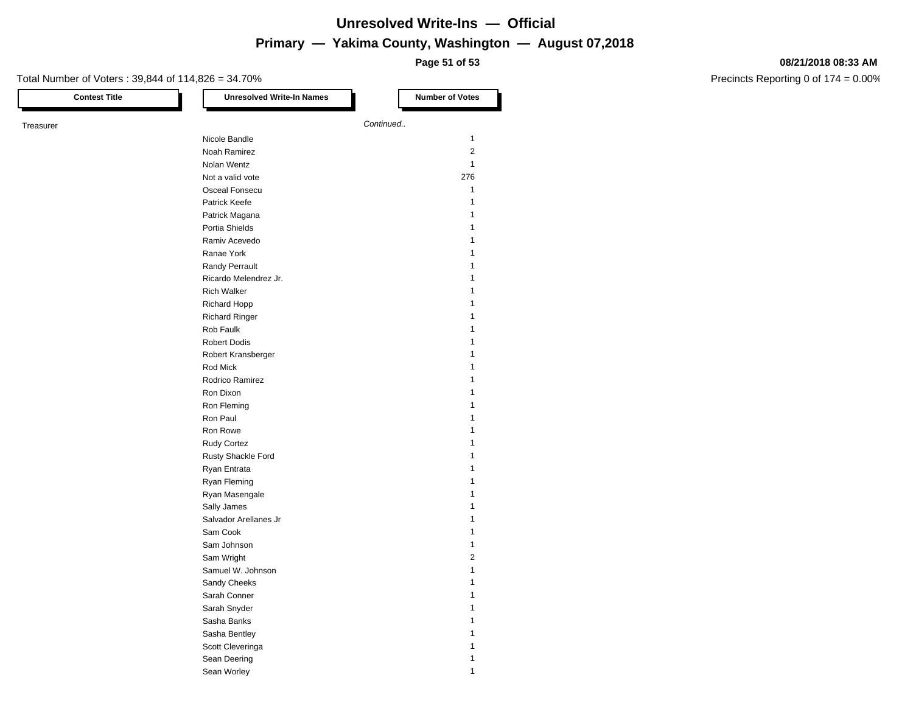**Page 51 of 53**

#### **08/21/2018 08:33 AM**

| <b>Contest Title</b> | <b>Unresolved Write-In Names</b> | <b>Number of Votes</b> |  |
|----------------------|----------------------------------|------------------------|--|
| Treasurer            |                                  | Continued              |  |
|                      | Nicole Bandle                    | $\mathbf{1}$           |  |
|                      | Noah Ramirez                     | 2                      |  |
|                      | Nolan Wentz                      | 1                      |  |
|                      | Not a valid vote                 | 276                    |  |
|                      | Osceal Fonsecu                   | 1                      |  |
|                      | Patrick Keefe                    | 1                      |  |
|                      | Patrick Magana                   | 1                      |  |
|                      | Portia Shields                   | 1                      |  |
|                      | Ramiv Acevedo                    | 1                      |  |
|                      | Ranae York                       | 1                      |  |
|                      | Randy Perrault                   | 1                      |  |
|                      | Ricardo Melendrez Jr.            | 1                      |  |
|                      | <b>Rich Walker</b>               | 1                      |  |
|                      | <b>Richard Hopp</b>              | 1                      |  |
|                      | <b>Richard Ringer</b>            | 1                      |  |
|                      | Rob Faulk                        | 1                      |  |
|                      | <b>Robert Dodis</b>              | 1                      |  |
|                      | Robert Kransberger               | 1                      |  |
|                      | Rod Mick                         | 1                      |  |
|                      | Rodrico Ramirez                  | 1                      |  |
|                      | Ron Dixon                        | 1                      |  |
|                      | Ron Fleming                      | 1                      |  |
|                      | Ron Paul                         | 1                      |  |
|                      | Ron Rowe                         | 1                      |  |
|                      | Rudy Cortez                      | 1                      |  |
|                      | Rusty Shackle Ford               | 1                      |  |
|                      | Ryan Entrata                     | 1                      |  |
|                      | Ryan Fleming                     | 1                      |  |
|                      | Ryan Masengale                   | 1                      |  |
|                      | Sally James                      | 1                      |  |
|                      | Salvador Arellanes Jr            | 1                      |  |
|                      | Sam Cook                         | 1                      |  |
|                      | Sam Johnson                      | 1                      |  |
|                      | Sam Wright                       | $\overline{2}$         |  |
|                      | Samuel W. Johnson                | 1                      |  |
|                      | Sandy Cheeks                     | 1                      |  |
|                      | Sarah Conner                     | 1                      |  |
|                      | Sarah Snyder                     | 1                      |  |
|                      | Sasha Banks                      | 1                      |  |
|                      | Sasha Bentley                    | 1                      |  |
|                      | Scott Cleveringa                 | 1                      |  |
|                      | Sean Deering                     | 1                      |  |
|                      | Sean Worley                      | 1                      |  |
|                      |                                  |                        |  |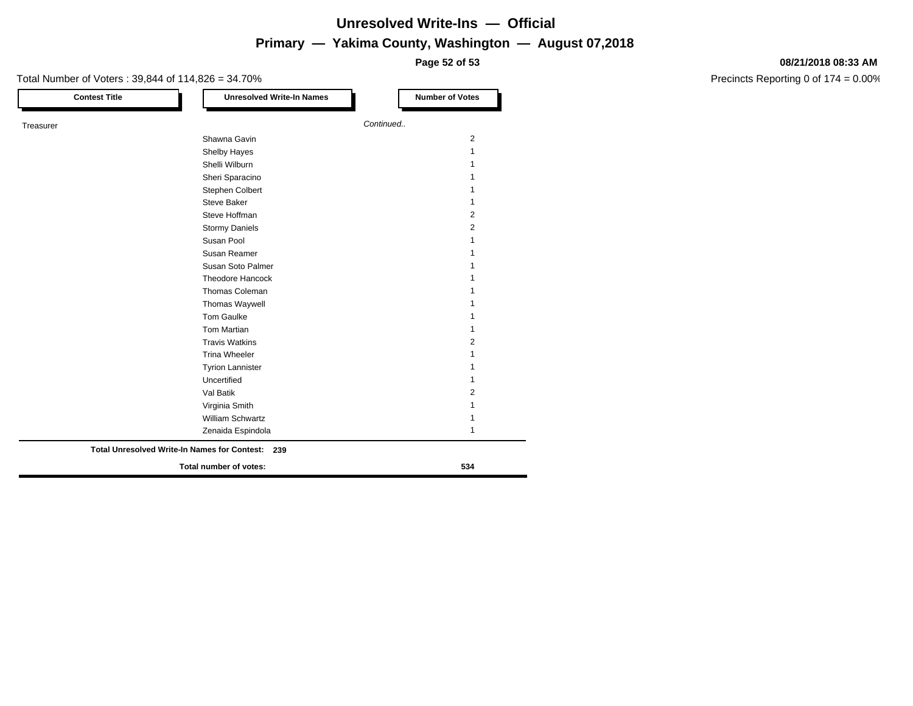**Page 52 of 53**

### Total Number of Voters : 39,844 of 114,826 = 34.70% **Contest Title Number of Votes Number of Votes** Treasurer *Continued..* Shawna Gavin 2008 and 2009 and 2009 and 2009 and 2009 and 2009 and 2009 and 2009 and 2009 and 2009 and 2009 and 2009 and 2009 and 2009 and 2009 and 2009 and 2009 and 2009 and 2009 and 2009 and 2009 and 2009 and 2009 and 20 Shelby Hayes 1999 and 1999 and 1999 and 1999 and 1999 and 1999 and 1999 and 1999 and 1999 and 1999 and 1999 and 1999 and 1999 and 1999 and 1999 and 1999 and 1999 and 1999 and 1999 and 1999 and 1999 and 1999 and 1999 and 19 Shelli Wilburn 1986 and 1987 and 1988 and 1988 and 1988 and 1988 and 1988 and 1988 and 1988 and 1988 and 1988 and 1988 and 1988 and 1988 and 1988 and 1988 and 1988 and 1988 and 1988 and 1988 and 1988 and 1988 and 1988 and Sheri Sparacino 11 Stephen Colbert 1 Steve Baker 1 and 1 and 1 and 1 and 1 and 1 and 1 and 1 and 1 and 1 and 1 and 1 and 1 and 1 and 1 and 1 and 1 and 1 and 1 and 1 and 1 and 1 and 1 and 1 and 1 and 1 and 1 and 1 and 1 and 1 and 1 and 1 and 1 and 1 and 1 and Steve Hoffman 2 Stormy Daniels 2 Susan Pool 1 and 1 and 1 and 1 and 1 and 1 and 1 and 1 and 1 and 1 and 1 and 1 and 1 and 1 and 1 and 1 and 1 and 1 and 1 and 1 and 1 and 1 and 1 and 1 and 1 and 1 and 1 and 1 and 1 and 1 and 1 and 1 and 1 and 1 and 1 and 1 Susan Reamer 1 and 1 and 1 and 1 and 1 and 1 and 1 and 1 and 1 and 1 and 1 and 1 and 1 and 1 and 1 and 1 and 1 and 1 and 1 and 1 and 1 and 1 and 1 and 1 and 1 and 1 and 1 and 1 and 1 and 1 and 1 and 1 and 1 and 1 and 1 and Susan Soto Palmer 1 1 Theodore Hancock 1 Thomas Coleman 1 and 1 and 1 and 1 and 1 and 1 and 1 and 1 and 1 and 1 and 1 and 1 and 1 and 1 and 1 and 1 and 1 and 1 and 1 and 1 and 1 and 1 and 1 and 1 and 1 and 1 and 1 and 1 and 1 and 1 and 1 and 1 and 1 and 1 and 1 a Thomas Waywell **1** Tom Gaulke 1 and 1 and 1 and 1 and 1 and 1 and 1 and 1 and 1 and 1 and 1 and 1 and 1 and 1 and 1 and 1 and 1 and 1 and 1 and 1 and 1 and 1 and 1 and 1 and 1 and 1 and 1 and 1 and 1 and 1 and 1 and 1 and 1 and 1 and 1 and 1 Tom Martian 1 and 1 and 1 and 1 and 1 and 1 and 1 and 1 and 1 and 1 and 1 and 1 and 1 and 1 and 1 and 1 and 1 and 1 and 1 and 1 and 1 and 1 and 1 and 1 and 1 and 1 and 1 and 1 and 1 and 1 and 1 and 1 and 1 and 1 and 1 and Travis Watkins 2 Trina Wheeler 1 Tyrion Lannister 1 Uncertified 1 Val Batik 2 Virginia Smith 1 William Schwartz 1 Zenaida Espindola 1 **Total number of votes: 534 Total Unresolved Write-In Names for Contest: 239**

#### **08/21/2018 08:33 AM**